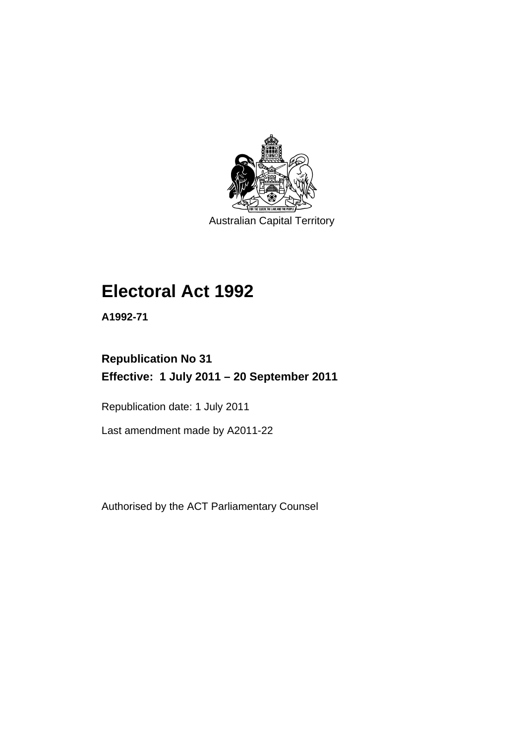

Australian Capital Territory

# **Electoral Act 1992**

**A1992-71** 

# **Republication No 31 Effective: 1 July 2011 – 20 September 2011**

Republication date: 1 July 2011

Last amendment made by A2011-22

Authorised by the ACT Parliamentary Counsel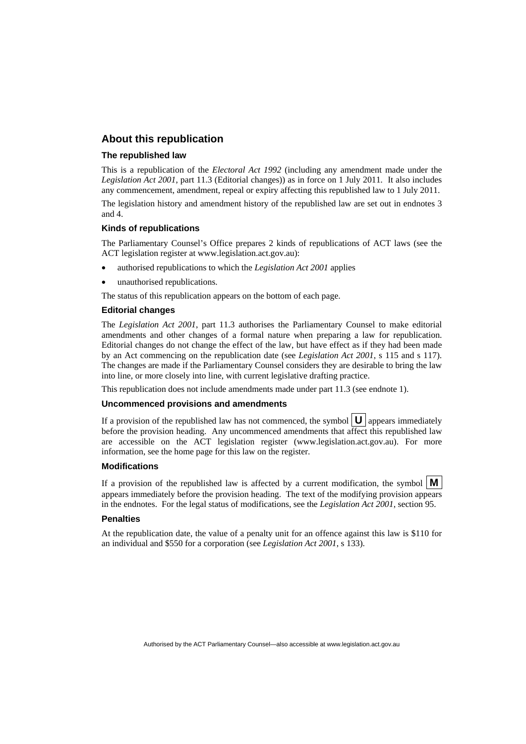#### **About this republication**

#### **The republished law**

This is a republication of the *Electoral Act 1992* (including any amendment made under the *Legislation Act 2001*, part 11.3 (Editorial changes)) as in force on 1 July 2011*.* It also includes any commencement, amendment, repeal or expiry affecting this republished law to 1 July 2011.

The legislation history and amendment history of the republished law are set out in endnotes 3 and 4.

#### **Kinds of republications**

The Parliamentary Counsel's Office prepares 2 kinds of republications of ACT laws (see the ACT legislation register at www.legislation.act.gov.au):

- authorised republications to which the *Legislation Act 2001* applies
- unauthorised republications.

The status of this republication appears on the bottom of each page.

#### **Editorial changes**

The *Legislation Act 2001*, part 11.3 authorises the Parliamentary Counsel to make editorial amendments and other changes of a formal nature when preparing a law for republication. Editorial changes do not change the effect of the law, but have effect as if they had been made by an Act commencing on the republication date (see *Legislation Act 2001*, s 115 and s 117). The changes are made if the Parliamentary Counsel considers they are desirable to bring the law into line, or more closely into line, with current legislative drafting practice.

This republication does not include amendments made under part 11.3 (see endnote 1).

#### **Uncommenced provisions and amendments**

If a provision of the republished law has not commenced, the symbol  $\mathbf{U}$  appears immediately before the provision heading. Any uncommenced amendments that affect this republished law are accessible on the ACT legislation register (www.legislation.act.gov.au). For more information, see the home page for this law on the register.

#### **Modifications**

If a provision of the republished law is affected by a current modification, the symbol  $\mathbf{M}$ appears immediately before the provision heading. The text of the modifying provision appears in the endnotes. For the legal status of modifications, see the *Legislation Act 2001*, section 95.

#### **Penalties**

At the republication date, the value of a penalty unit for an offence against this law is \$110 for an individual and \$550 for a corporation (see *Legislation Act 2001*, s 133).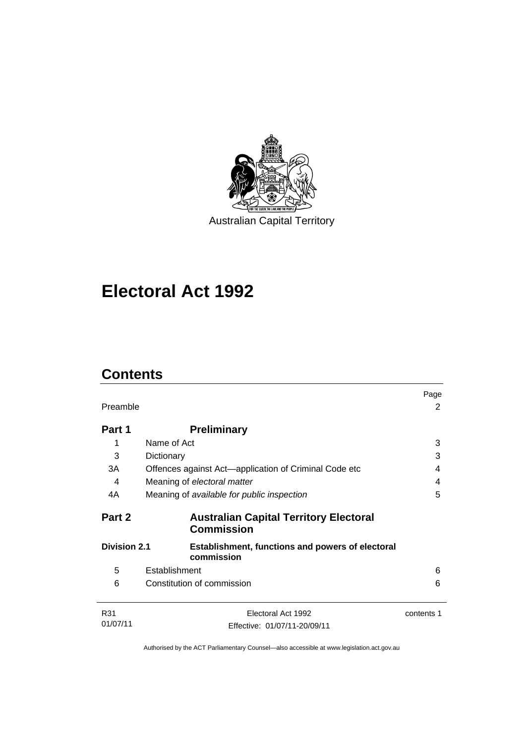

# **Electoral Act 1992**

# **Contents**

| Preamble            |                                                                       | Page<br>2  |
|---------------------|-----------------------------------------------------------------------|------------|
| Part 1              | <b>Preliminary</b>                                                    |            |
|                     | Name of Act                                                           | 3          |
| 3                   | Dictionary                                                            | 3          |
| 3A                  | Offences against Act—application of Criminal Code etc                 | 4          |
| 4                   | Meaning of electoral matter                                           | 4          |
| 4A                  | Meaning of available for public inspection                            | 5          |
| Part 2              | <b>Australian Capital Territory Electoral</b><br><b>Commission</b>    |            |
| <b>Division 2.1</b> | <b>Establishment, functions and powers of electoral</b><br>commission |            |
| 5                   | Establishment                                                         | 6          |
| 6                   | Constitution of commission                                            | 6          |
| R31                 | Electoral Act 1992                                                    | contents 1 |
| 01/07/11            | Effective: 01/07/11-20/09/11                                          |            |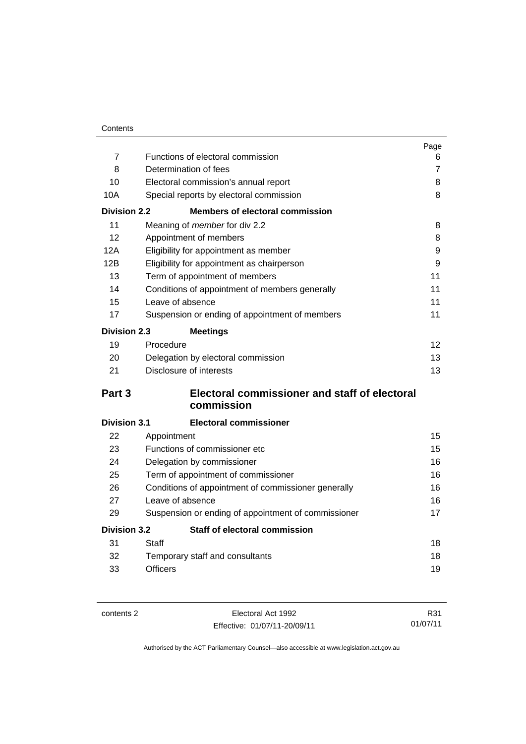|                     |                                                     | Page           |
|---------------------|-----------------------------------------------------|----------------|
| $\overline{7}$      | Functions of electoral commission                   | 6              |
| 8                   | Determination of fees                               | $\overline{7}$ |
| 10                  | Electoral commission's annual report                | 8              |
| 10A                 | Special reports by electoral commission             | 8              |
| <b>Division 2.2</b> | <b>Members of electoral commission</b>              |                |
| 11                  | Meaning of member for div 2.2                       | 8              |
| 12                  | Appointment of members                              | 8              |
| 12A                 | Eligibility for appointment as member               | 9              |
| 12B                 | Eligibility for appointment as chairperson          | 9              |
| 13                  | Term of appointment of members                      | 11             |
| 14                  | Conditions of appointment of members generally      | 11             |
| 15                  | Leave of absence                                    | 11             |
| 17                  | Suspension or ending of appointment of members      | 11             |
| <b>Division 2.3</b> | <b>Meetings</b>                                     |                |
| 19                  | Procedure                                           | 12             |
| 20                  | Delegation by electoral commission                  | 13             |
| 21                  | Disclosure of interests                             | 13             |
| Part <sub>3</sub>   | Electoral commissioner and staff of electoral       |                |
|                     | commission                                          |                |
| <b>Division 3.1</b> | <b>Electoral commissioner</b>                       |                |
| 22                  | Appointment                                         | 15             |
| 23                  | Functions of commissioner etc                       | 15             |
| 24                  | Delegation by commissioner                          | 16             |
| 25                  | Term of appointment of commissioner                 | 16             |
| 26                  | Conditions of appointment of commissioner generally | 16             |
| 27                  | Leave of absence                                    | 16             |
| 29                  | Suspension or ending of appointment of commissioner | 17             |
| <b>Division 3.2</b> | Staff of electoral commission                       |                |
| 31                  | Staff                                               | 18             |
| 32                  | Temporary staff and consultants                     | 18             |
| 33                  | <b>Officers</b>                                     | 19             |

contents 2 Electoral Act 1992 Effective: 01/07/11-20/09/11

R31 01/07/11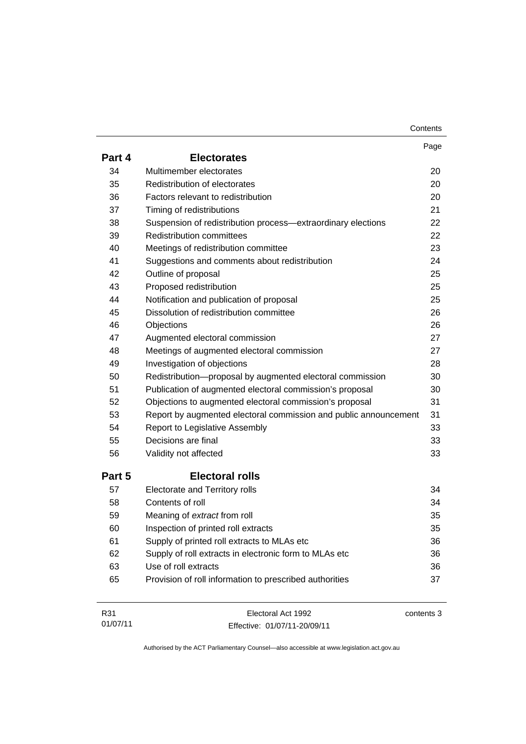| Contents |
|----------|
|----------|

|        |                                                                  | Page       |
|--------|------------------------------------------------------------------|------------|
| Part 4 | <b>Electorates</b>                                               |            |
| 34     | Multimember electorates                                          | 20         |
| 35     | Redistribution of electorates                                    | 20         |
| 36     | Factors relevant to redistribution                               | 20         |
| 37     | Timing of redistributions                                        | 21         |
| 38     | Suspension of redistribution process-extraordinary elections     | 22         |
| 39     | <b>Redistribution committees</b>                                 | 22         |
| 40     | Meetings of redistribution committee                             | 23         |
| 41     | Suggestions and comments about redistribution                    | 24         |
| 42     | Outline of proposal                                              | 25         |
| 43     | Proposed redistribution                                          | 25         |
| 44     | Notification and publication of proposal                         | 25         |
| 45     | Dissolution of redistribution committee                          | 26         |
| 46     | Objections                                                       | 26         |
| 47     | Augmented electoral commission                                   | 27         |
| 48     | Meetings of augmented electoral commission                       | 27         |
| 49     | Investigation of objections                                      | 28         |
| 50     | Redistribution-proposal by augmented electoral commission        | 30         |
| 51     | Publication of augmented electoral commission's proposal         | 30         |
| 52     | Objections to augmented electoral commission's proposal          | 31         |
| 53     | Report by augmented electoral commission and public announcement | 31         |
| 54     | Report to Legislative Assembly                                   | 33         |
| 55     | Decisions are final                                              | 33         |
| 56     | Validity not affected                                            | 33         |
| Part 5 | <b>Electoral rolls</b>                                           |            |
| 57     | Electorate and Territory rolls                                   | 34         |
| 58     | Contents of roll                                                 | 34         |
| 59     | Meaning of extract from roll                                     | 35         |
| 60     | Inspection of printed roll extracts                              | 35         |
| 61     | Supply of printed roll extracts to MLAs etc                      | 36         |
| 62     | Supply of roll extracts in electronic form to MLAs etc           | 36         |
| 63     | Use of roll extracts                                             | 36         |
| 65     | Provision of roll information to prescribed authorities          | 37         |
| R31    | Electoral Act 1992                                               | contents 3 |

Effective: 01/07/11-20/09/11

01/07/11

contents 3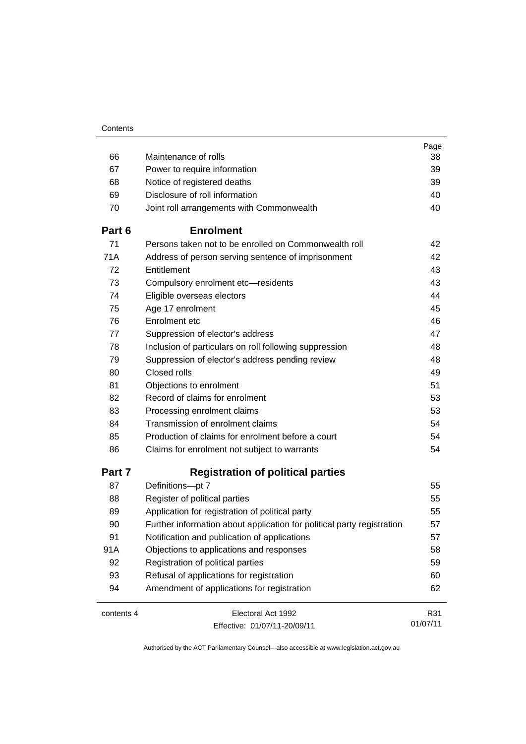|            |                                                                        | Page     |
|------------|------------------------------------------------------------------------|----------|
| 66         | Maintenance of rolls                                                   | 38       |
| 67         | Power to require information                                           | 39       |
| 68         | Notice of registered deaths                                            | 39       |
| 69         | Disclosure of roll information                                         | 40       |
| 70         | Joint roll arrangements with Commonwealth                              | 40       |
| Part 6     | <b>Enrolment</b>                                                       |          |
| 71         | Persons taken not to be enrolled on Commonwealth roll                  | 42       |
| 71A        | Address of person serving sentence of imprisonment                     | 42       |
| 72         | Entitlement                                                            | 43       |
| 73         | Compulsory enrolment etc-residents                                     | 43       |
| 74         | Eligible overseas electors                                             | 44       |
| 75         | Age 17 enrolment                                                       | 45       |
| 76         | Enrolment etc                                                          | 46       |
| 77         | Suppression of elector's address                                       | 47       |
| 78         | Inclusion of particulars on roll following suppression                 | 48       |
| 79         | Suppression of elector's address pending review                        | 48       |
| 80         | Closed rolls                                                           | 49       |
| 81         | Objections to enrolment                                                | 51       |
| 82         | Record of claims for enrolment                                         | 53       |
| 83         | Processing enrolment claims                                            | 53       |
| 84         | Transmission of enrolment claims                                       | 54       |
| 85         | Production of claims for enrolment before a court                      | 54       |
| 86         | Claims for enrolment not subject to warrants                           | 54       |
| Part 7     | <b>Registration of political parties</b>                               |          |
| 87         | Definitions-pt 7                                                       | 55       |
| 88         | Register of political parties                                          | 55       |
| 89         | Application for registration of political party                        | 55       |
| 90         | Further information about application for political party registration | 57       |
| 91         | Notification and publication of applications                           | 57       |
| 91A        | Objections to applications and responses                               | 58       |
| 92         | Registration of political parties                                      | 59       |
| 93         | Refusal of applications for registration                               | 60       |
| 94         | Amendment of applications for registration                             | 62       |
| contents 4 | Electoral Act 1992                                                     | R31      |
|            | Effective: 01/07/11-20/09/11                                           | 01/07/11 |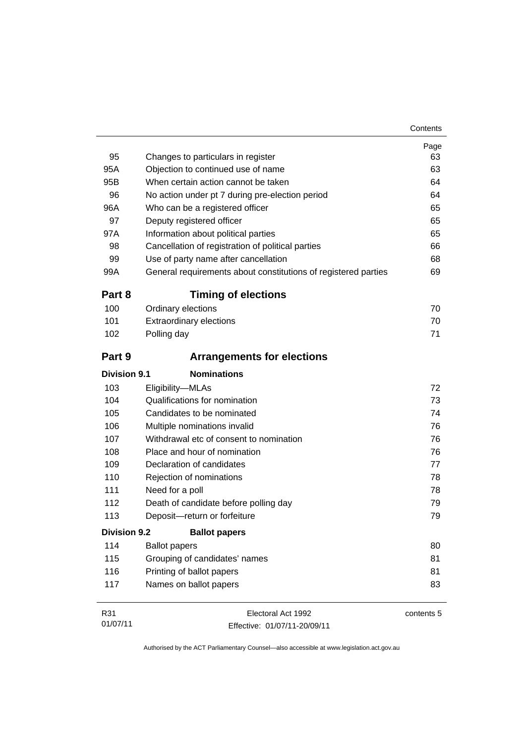| 95           | Changes to particulars in register                             | Page<br>63 |
|--------------|----------------------------------------------------------------|------------|
| 95A          | Objection to continued use of name                             | 63         |
| 95B          | When certain action cannot be taken                            | 64         |
| 96           | No action under pt 7 during pre-election period                | 64         |
| 96A          | Who can be a registered officer                                | 65         |
| 97           | Deputy registered officer                                      | 65         |
| 97A          | Information about political parties                            | 65         |
| 98           | Cancellation of registration of political parties              | 66         |
| 99           | Use of party name after cancellation                           | 68         |
| 99A          | General requirements about constitutions of registered parties | 69         |
| Part 8       | <b>Timing of elections</b>                                     |            |
| 100          | Ordinary elections                                             | 70         |
| 101          | <b>Extraordinary elections</b>                                 | 70         |
| 102          | Polling day                                                    | 71         |
| Part 9       | <b>Arrangements for elections</b>                              |            |
| Division 9.1 | <b>Nominations</b>                                             |            |
| 103          | Eligibility-MLAs                                               | 72         |
| 104          | Qualifications for nomination                                  | 73         |
| 105          | Candidates to be nominated                                     | 74         |
| 106          | Multiple nominations invalid                                   | 76         |
| 107          | Withdrawal etc of consent to nomination                        | 76         |
| 108          | Place and hour of nomination                                   | 76         |
| 109          | Declaration of candidates                                      | 77         |
| 110          | Rejection of nominations                                       | 78         |
| 111          | Need for a poll                                                | 78         |
| 112          | Death of candidate before polling day                          | 79         |
| 113          | Deposit-return or forfeiture                                   | 79         |
| Division 9.2 | <b>Ballot papers</b>                                           |            |
| 114          | <b>Ballot papers</b>                                           | 80         |
| 115          | Grouping of candidates' names                                  | 81         |
| 116          | Printing of ballot papers                                      | 81         |
| 117          | Names on ballot papers                                         | 83         |
| R31          | Electoral Act 1992                                             | contents 5 |

Authorised by the ACT Parliamentary Counsel—also accessible at www.legislation.act.gov.au

Effective: 01/07/11-20/09/11

01/07/11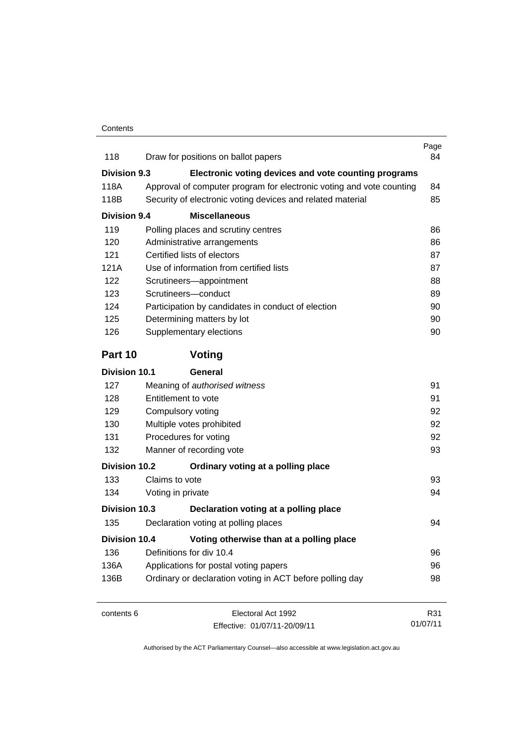| 118                  | Draw for positions on ballot papers                                  | Page<br>84 |
|----------------------|----------------------------------------------------------------------|------------|
| Division 9.3         | Electronic voting devices and vote counting programs                 |            |
| 118A                 | Approval of computer program for electronic voting and vote counting | 84         |
| 118B                 | Security of electronic voting devices and related material           | 85         |
| <b>Division 9.4</b>  | <b>Miscellaneous</b>                                                 |            |
| 119                  | Polling places and scrutiny centres                                  | 86         |
| 120                  | Administrative arrangements                                          | 86         |
| 121                  | Certified lists of electors                                          | 87         |
| 121A                 | Use of information from certified lists                              | 87         |
| 122                  | Scrutineers-appointment                                              | 88         |
| 123                  | Scrutineers-conduct                                                  | 89         |
| 124                  | Participation by candidates in conduct of election                   | 90         |
| 125                  | Determining matters by lot                                           | 90         |
| 126                  | Supplementary elections                                              | 90         |
| Part 10              | Voting                                                               |            |
| <b>Division 10.1</b> | General                                                              |            |
| 127                  | Meaning of authorised witness                                        | 91         |
| 128                  | Entitlement to vote                                                  | 91         |
| 129                  | Compulsory voting                                                    | 92         |
| 130                  | Multiple votes prohibited                                            | 92         |
| 131                  | Procedures for voting                                                | 92         |
| 132                  | Manner of recording vote                                             | 93         |
| <b>Division 10.2</b> | Ordinary voting at a polling place                                   |            |
| 133                  | Claims to vote                                                       | 93         |
| 134                  | Voting in private                                                    | 94         |
| Division 10.3        | Declaration voting at a polling place                                |            |
| 135                  | Declaration voting at polling places                                 | 94         |
| <b>Division 10.4</b> | Voting otherwise than at a polling place                             |            |
| 136                  | Definitions for div 10.4                                             | 96         |
| 136A                 | Applications for postal voting papers                                | 96         |
| 136B                 | Ordinary or declaration voting in ACT before polling day             | 98         |
| contents 6           | Electoral Act 1992                                                   | R31        |
|                      | Fffective: 01/07/11-20/09/11                                         | 01/07/11   |

Effective: 01/07/11-20/09/11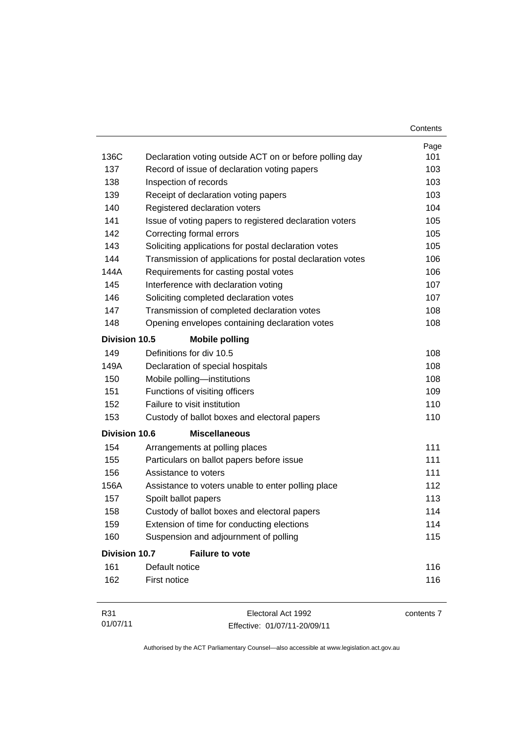|                      |                                                           | Contents   |
|----------------------|-----------------------------------------------------------|------------|
|                      |                                                           | Page       |
| 136C                 | Declaration voting outside ACT on or before polling day   | 101        |
| 137                  | Record of issue of declaration voting papers              | 103        |
| 138                  | Inspection of records                                     | 103        |
| 139                  | Receipt of declaration voting papers                      | 103        |
| 140                  | Registered declaration voters                             | 104        |
| 141                  | Issue of voting papers to registered declaration voters   | 105        |
| 142                  | Correcting formal errors                                  | 105        |
| 143                  | Soliciting applications for postal declaration votes      | 105        |
| 144                  | Transmission of applications for postal declaration votes | 106        |
| 144A                 | Requirements for casting postal votes                     | 106        |
| 145                  | Interference with declaration voting                      | 107        |
| 146                  | Soliciting completed declaration votes                    | 107        |
| 147                  | Transmission of completed declaration votes               | 108        |
| 148                  | Opening envelopes containing declaration votes            | 108        |
| Division 10.5        | <b>Mobile polling</b>                                     |            |
| 149                  | Definitions for div 10.5                                  | 108        |
| 149A                 | Declaration of special hospitals                          | 108        |
| 150                  | Mobile polling-institutions                               | 108        |
| 151                  | Functions of visiting officers                            | 109        |
| 152                  | Failure to visit institution                              | 110        |
| 153                  | Custody of ballot boxes and electoral papers              | 110        |
| <b>Division 10.6</b> | <b>Miscellaneous</b>                                      |            |
| 154                  | Arrangements at polling places                            | 111        |
| 155                  | Particulars on ballot papers before issue                 | 111        |
| 156                  | Assistance to voters                                      | 111        |
| 156A                 | Assistance to voters unable to enter polling place        | 112        |
| 157                  | Spoilt ballot papers                                      | 113        |
| 158                  | Custody of ballot boxes and electoral papers              | 114        |
| 159                  | Extension of time for conducting elections                | 114        |
| 160                  | Suspension and adjournment of polling                     | 115        |
| <b>Division 10.7</b> | <b>Failure to vote</b>                                    |            |
| 161                  | Default notice                                            | 116        |
| 162                  | First notice                                              | 116        |
| R31                  | Electoral Act 1992                                        | contents 7 |

Authorised by the ACT Parliamentary Counsel—also accessible at www.legislation.act.gov.au

Effective: 01/07/11-20/09/11

01/07/11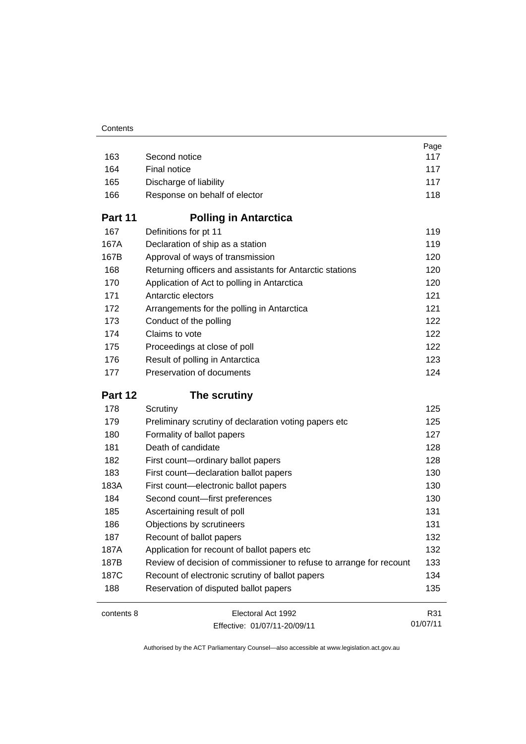|            |                                                                     | Page     |
|------------|---------------------------------------------------------------------|----------|
| 163        | Second notice                                                       | 117      |
| 164        | Final notice                                                        | 117      |
| 165        | Discharge of liability                                              | 117      |
| 166        | Response on behalf of elector                                       | 118      |
| Part 11    | <b>Polling in Antarctica</b>                                        |          |
| 167        | Definitions for pt 11                                               | 119      |
| 167A       | Declaration of ship as a station                                    | 119      |
| 167B       | Approval of ways of transmission                                    | 120      |
| 168        | Returning officers and assistants for Antarctic stations            | 120      |
| 170        | Application of Act to polling in Antarctica                         | 120      |
| 171        | Antarctic electors                                                  | 121      |
| 172        | Arrangements for the polling in Antarctica                          | 121      |
| 173        | Conduct of the polling                                              | 122      |
| 174        | Claims to vote                                                      | 122      |
| 175        | Proceedings at close of poll                                        | 122      |
| 176        | Result of polling in Antarctica                                     | 123      |
| 177        | Preservation of documents                                           | 124      |
| Part 12    | The scrutiny                                                        |          |
| 178        | Scrutiny                                                            | 125      |
| 179        | Preliminary scrutiny of declaration voting papers etc               | 125      |
| 180        | Formality of ballot papers                                          | 127      |
| 181        | Death of candidate                                                  | 128      |
| 182        | First count-ordinary ballot papers                                  | 128      |
| 183        | First count-declaration ballot papers                               | 130      |
| 183A       | First count-electronic ballot papers                                | 130      |
| 184        | Second count-first preferences                                      | 130      |
| 185        | Ascertaining result of poll                                         | 131      |
| 186        | Objections by scrutineers                                           | 131      |
| 187        | Recount of ballot papers                                            | 132      |
| 187A       | Application for recount of ballot papers etc                        | 132      |
| 187B       | Review of decision of commissioner to refuse to arrange for recount | 133      |
| 187C       | Recount of electronic scrutiny of ballot papers                     | 134      |
| 188        | Reservation of disputed ballot papers                               | 135      |
| contents 8 | Electoral Act 1992                                                  | R31      |
|            | Effective: 01/07/11-20/09/11                                        | 01/07/11 |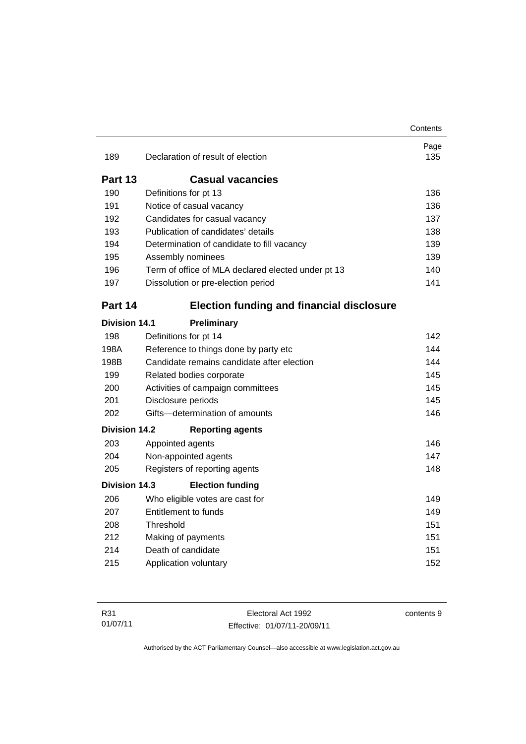|                      |                                                    | Contents    |
|----------------------|----------------------------------------------------|-------------|
| 189                  | Declaration of result of election                  | Page<br>135 |
|                      |                                                    |             |
| Part 13              | <b>Casual vacancies</b>                            |             |
| 190                  | Definitions for pt 13                              | 136         |
| 191                  | Notice of casual vacancy                           | 136         |
| 192                  | Candidates for casual vacancy                      | 137         |
| 193                  | Publication of candidates' details                 | 138         |
| 194                  | Determination of candidate to fill vacancy         | 139         |
| 195                  | Assembly nominees                                  | 139         |
| 196                  | Term of office of MLA declared elected under pt 13 | 140         |
| 197                  | Dissolution or pre-election period                 | 141         |
| Part 14              | <b>Election funding and financial disclosure</b>   |             |
| <b>Division 14.1</b> | Preliminary                                        |             |
| 198                  | Definitions for pt 14                              | 142         |
| 198A                 | Reference to things done by party etc              | 144         |
| 198B                 | Candidate remains candidate after election         | 144         |
| 199                  | Related bodies corporate                           | 145         |
| 200                  | Activities of campaign committees                  | 145         |
| 201                  | Disclosure periods                                 | 145         |
| 202                  | Gifts-determination of amounts                     | 146         |
| <b>Division 14.2</b> | <b>Reporting agents</b>                            |             |
| 203                  | Appointed agents                                   | 146         |
| 204                  | Non-appointed agents                               | 147         |
| 205                  | Registers of reporting agents                      | 148         |
| Division 14.3        | <b>Election funding</b>                            |             |
| 206                  | Who eligible votes are cast for                    | 149         |
| 207                  | <b>Entitlement to funds</b>                        | 149         |
| 208                  | Threshold                                          | 151         |
| 212                  | Making of payments                                 | 151         |
| 214                  | Death of candidate                                 | 151         |
| 215                  | Application voluntary                              | 152         |
|                      |                                                    |             |

Electoral Act 1992 Effective: 01/07/11-20/09/11 contents 9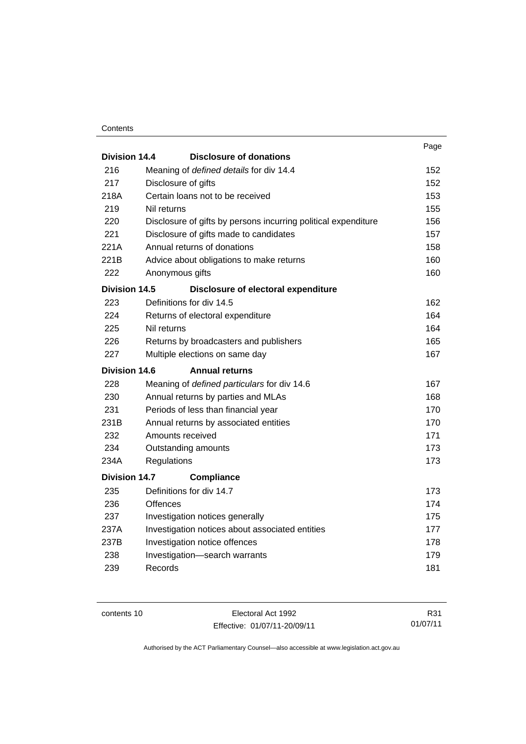#### **Contents**

|                      |                     |                                                                | Page |
|----------------------|---------------------|----------------------------------------------------------------|------|
| Division 14.4        |                     | <b>Disclosure of donations</b>                                 |      |
| 216                  |                     | Meaning of defined details for div 14.4                        | 152  |
| 217                  | Disclosure of gifts |                                                                | 152  |
| 218A                 |                     | Certain loans not to be received                               | 153  |
| 219                  | Nil returns         |                                                                | 155  |
| 220                  |                     | Disclosure of gifts by persons incurring political expenditure | 156  |
| 221                  |                     | Disclosure of gifts made to candidates                         | 157  |
| 221A                 |                     | Annual returns of donations                                    | 158  |
| 221B                 |                     | Advice about obligations to make returns                       | 160  |
| 222                  | Anonymous gifts     |                                                                | 160  |
| <b>Division 14.5</b> |                     | Disclosure of electoral expenditure                            |      |
| 223                  |                     | Definitions for div 14.5                                       | 162  |
| 224                  |                     | Returns of electoral expenditure                               | 164  |
| 225                  | Nil returns         |                                                                | 164  |
| 226                  |                     | Returns by broadcasters and publishers                         | 165  |
| 227                  |                     | Multiple elections on same day                                 | 167  |
| Division 14.6        |                     | <b>Annual returns</b>                                          |      |
| 228                  |                     | Meaning of defined particulars for div 14.6                    | 167  |
| 230                  |                     | Annual returns by parties and MLAs                             | 168  |
| 231                  |                     | Periods of less than financial year                            | 170  |
| 231B                 |                     | Annual returns by associated entities                          | 170  |
| 232                  | Amounts received    |                                                                | 171  |
| 234                  |                     | Outstanding amounts                                            | 173  |
| 234A                 | Regulations         |                                                                | 173  |
| <b>Division 14.7</b> |                     | <b>Compliance</b>                                              |      |
| 235                  |                     | Definitions for div 14.7                                       | 173  |
| 236                  | <b>Offences</b>     |                                                                | 174  |
| 237                  |                     | Investigation notices generally                                | 175  |
| 237A                 |                     | Investigation notices about associated entities                | 177  |
| 237B                 |                     | Investigation notice offences                                  | 178  |
| 238                  |                     | Investigation-search warrants                                  | 179  |
| 239                  | Records             |                                                                | 181  |
|                      |                     |                                                                |      |

contents 10 Electoral Act 1992 Effective: 01/07/11-20/09/11

R31 01/07/11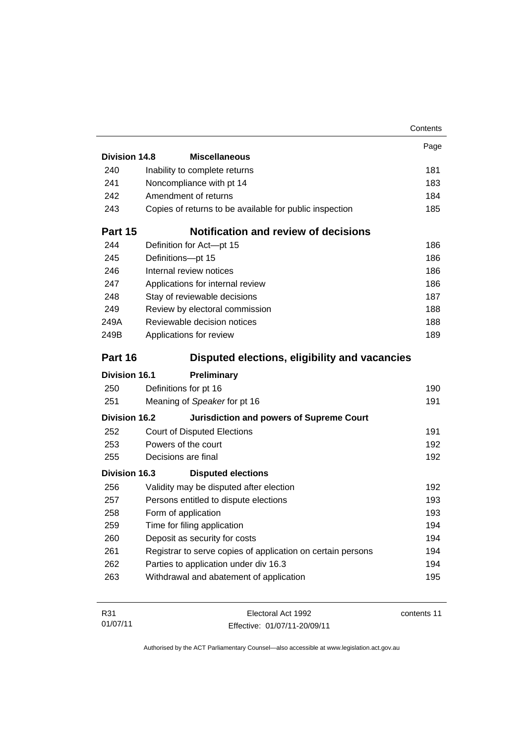| Division 14.8<br><b>Miscellaneous</b><br>240<br>Inability to complete returns<br>241<br>Noncompliance with pt 14<br>Amendment of returns<br>242<br>243<br>Copies of returns to be available for public inspection<br><b>Notification and review of decisions</b><br>Part 15<br>244<br>Definition for Act-pt 15<br>245<br>Definitions-pt 15<br>Internal review notices<br>246<br>247<br>Applications for internal review<br>248<br>Stay of reviewable decisions<br>249<br>Review by electoral commission<br>Reviewable decision notices<br>249A<br>249B<br>Applications for review<br>Part 16<br>Disputed elections, eligibility and vacancies<br><b>Division 16.1</b><br>Preliminary<br>250<br>Definitions for pt 16<br>251<br>Meaning of Speaker for pt 16<br><b>Division 16.2</b><br><b>Jurisdiction and powers of Supreme Court</b><br>252<br><b>Court of Disputed Elections</b><br>Powers of the court<br>253<br>255<br>Decisions are final<br>Division 16.3<br><b>Disputed elections</b><br>256<br>Validity may be disputed after election<br>257<br>Persons entitled to dispute elections<br>258<br>Form of application<br>259<br>Time for filing application<br>Deposit as security for costs<br>260<br>Registrar to serve copies of application on certain persons<br>261<br>Parties to application under div 16.3<br>262 | Contents |
|-----------------------------------------------------------------------------------------------------------------------------------------------------------------------------------------------------------------------------------------------------------------------------------------------------------------------------------------------------------------------------------------------------------------------------------------------------------------------------------------------------------------------------------------------------------------------------------------------------------------------------------------------------------------------------------------------------------------------------------------------------------------------------------------------------------------------------------------------------------------------------------------------------------------------------------------------------------------------------------------------------------------------------------------------------------------------------------------------------------------------------------------------------------------------------------------------------------------------------------------------------------------------------------------------------------------------------------|----------|
|                                                                                                                                                                                                                                                                                                                                                                                                                                                                                                                                                                                                                                                                                                                                                                                                                                                                                                                                                                                                                                                                                                                                                                                                                                                                                                                                   | Page     |
|                                                                                                                                                                                                                                                                                                                                                                                                                                                                                                                                                                                                                                                                                                                                                                                                                                                                                                                                                                                                                                                                                                                                                                                                                                                                                                                                   |          |
|                                                                                                                                                                                                                                                                                                                                                                                                                                                                                                                                                                                                                                                                                                                                                                                                                                                                                                                                                                                                                                                                                                                                                                                                                                                                                                                                   | 181      |
|                                                                                                                                                                                                                                                                                                                                                                                                                                                                                                                                                                                                                                                                                                                                                                                                                                                                                                                                                                                                                                                                                                                                                                                                                                                                                                                                   | 183      |
|                                                                                                                                                                                                                                                                                                                                                                                                                                                                                                                                                                                                                                                                                                                                                                                                                                                                                                                                                                                                                                                                                                                                                                                                                                                                                                                                   | 184      |
|                                                                                                                                                                                                                                                                                                                                                                                                                                                                                                                                                                                                                                                                                                                                                                                                                                                                                                                                                                                                                                                                                                                                                                                                                                                                                                                                   | 185      |
|                                                                                                                                                                                                                                                                                                                                                                                                                                                                                                                                                                                                                                                                                                                                                                                                                                                                                                                                                                                                                                                                                                                                                                                                                                                                                                                                   |          |
|                                                                                                                                                                                                                                                                                                                                                                                                                                                                                                                                                                                                                                                                                                                                                                                                                                                                                                                                                                                                                                                                                                                                                                                                                                                                                                                                   | 186      |
|                                                                                                                                                                                                                                                                                                                                                                                                                                                                                                                                                                                                                                                                                                                                                                                                                                                                                                                                                                                                                                                                                                                                                                                                                                                                                                                                   | 186      |
|                                                                                                                                                                                                                                                                                                                                                                                                                                                                                                                                                                                                                                                                                                                                                                                                                                                                                                                                                                                                                                                                                                                                                                                                                                                                                                                                   | 186      |
|                                                                                                                                                                                                                                                                                                                                                                                                                                                                                                                                                                                                                                                                                                                                                                                                                                                                                                                                                                                                                                                                                                                                                                                                                                                                                                                                   | 186      |
|                                                                                                                                                                                                                                                                                                                                                                                                                                                                                                                                                                                                                                                                                                                                                                                                                                                                                                                                                                                                                                                                                                                                                                                                                                                                                                                                   | 187      |
|                                                                                                                                                                                                                                                                                                                                                                                                                                                                                                                                                                                                                                                                                                                                                                                                                                                                                                                                                                                                                                                                                                                                                                                                                                                                                                                                   | 188      |
|                                                                                                                                                                                                                                                                                                                                                                                                                                                                                                                                                                                                                                                                                                                                                                                                                                                                                                                                                                                                                                                                                                                                                                                                                                                                                                                                   | 188      |
|                                                                                                                                                                                                                                                                                                                                                                                                                                                                                                                                                                                                                                                                                                                                                                                                                                                                                                                                                                                                                                                                                                                                                                                                                                                                                                                                   | 189      |
|                                                                                                                                                                                                                                                                                                                                                                                                                                                                                                                                                                                                                                                                                                                                                                                                                                                                                                                                                                                                                                                                                                                                                                                                                                                                                                                                   |          |
|                                                                                                                                                                                                                                                                                                                                                                                                                                                                                                                                                                                                                                                                                                                                                                                                                                                                                                                                                                                                                                                                                                                                                                                                                                                                                                                                   |          |
|                                                                                                                                                                                                                                                                                                                                                                                                                                                                                                                                                                                                                                                                                                                                                                                                                                                                                                                                                                                                                                                                                                                                                                                                                                                                                                                                   | 190      |
|                                                                                                                                                                                                                                                                                                                                                                                                                                                                                                                                                                                                                                                                                                                                                                                                                                                                                                                                                                                                                                                                                                                                                                                                                                                                                                                                   | 191      |
|                                                                                                                                                                                                                                                                                                                                                                                                                                                                                                                                                                                                                                                                                                                                                                                                                                                                                                                                                                                                                                                                                                                                                                                                                                                                                                                                   |          |
|                                                                                                                                                                                                                                                                                                                                                                                                                                                                                                                                                                                                                                                                                                                                                                                                                                                                                                                                                                                                                                                                                                                                                                                                                                                                                                                                   | 191      |
|                                                                                                                                                                                                                                                                                                                                                                                                                                                                                                                                                                                                                                                                                                                                                                                                                                                                                                                                                                                                                                                                                                                                                                                                                                                                                                                                   | 192      |
|                                                                                                                                                                                                                                                                                                                                                                                                                                                                                                                                                                                                                                                                                                                                                                                                                                                                                                                                                                                                                                                                                                                                                                                                                                                                                                                                   | 192      |
|                                                                                                                                                                                                                                                                                                                                                                                                                                                                                                                                                                                                                                                                                                                                                                                                                                                                                                                                                                                                                                                                                                                                                                                                                                                                                                                                   |          |
|                                                                                                                                                                                                                                                                                                                                                                                                                                                                                                                                                                                                                                                                                                                                                                                                                                                                                                                                                                                                                                                                                                                                                                                                                                                                                                                                   | 192      |
|                                                                                                                                                                                                                                                                                                                                                                                                                                                                                                                                                                                                                                                                                                                                                                                                                                                                                                                                                                                                                                                                                                                                                                                                                                                                                                                                   | 193      |
|                                                                                                                                                                                                                                                                                                                                                                                                                                                                                                                                                                                                                                                                                                                                                                                                                                                                                                                                                                                                                                                                                                                                                                                                                                                                                                                                   | 193      |
|                                                                                                                                                                                                                                                                                                                                                                                                                                                                                                                                                                                                                                                                                                                                                                                                                                                                                                                                                                                                                                                                                                                                                                                                                                                                                                                                   | 194      |
|                                                                                                                                                                                                                                                                                                                                                                                                                                                                                                                                                                                                                                                                                                                                                                                                                                                                                                                                                                                                                                                                                                                                                                                                                                                                                                                                   | 194      |
|                                                                                                                                                                                                                                                                                                                                                                                                                                                                                                                                                                                                                                                                                                                                                                                                                                                                                                                                                                                                                                                                                                                                                                                                                                                                                                                                   | 194      |
|                                                                                                                                                                                                                                                                                                                                                                                                                                                                                                                                                                                                                                                                                                                                                                                                                                                                                                                                                                                                                                                                                                                                                                                                                                                                                                                                   | 194      |
| Withdrawal and abatement of application<br>263                                                                                                                                                                                                                                                                                                                                                                                                                                                                                                                                                                                                                                                                                                                                                                                                                                                                                                                                                                                                                                                                                                                                                                                                                                                                                    | 195      |
|                                                                                                                                                                                                                                                                                                                                                                                                                                                                                                                                                                                                                                                                                                                                                                                                                                                                                                                                                                                                                                                                                                                                                                                                                                                                                                                                   |          |

| R31      | Electoral Act 1992           | contents 11 |
|----------|------------------------------|-------------|
| 01/07/11 | Effective: 01/07/11-20/09/11 |             |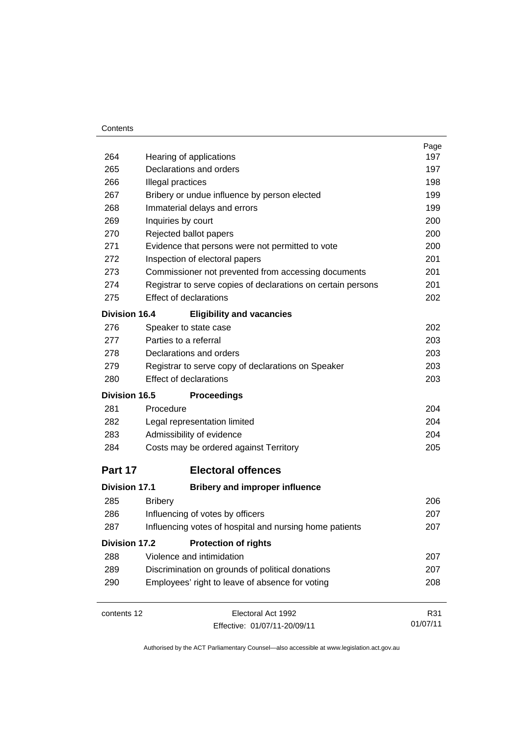#### **Contents**

|                      |                                                              | Page     |
|----------------------|--------------------------------------------------------------|----------|
| 264                  | Hearing of applications                                      | 197      |
| 265                  | Declarations and orders                                      | 197      |
| 266                  | Illegal practices                                            | 198      |
| 267                  | Bribery or undue influence by person elected                 | 199      |
| 268                  | Immaterial delays and errors                                 | 199      |
| 269                  | Inquiries by court                                           | 200      |
| 270                  | Rejected ballot papers                                       | 200      |
| 271                  | Evidence that persons were not permitted to vote             | 200      |
| 272                  | Inspection of electoral papers                               | 201      |
| 273                  | Commissioner not prevented from accessing documents          | 201      |
| 274                  | Registrar to serve copies of declarations on certain persons | 201      |
| 275                  | <b>Effect of declarations</b>                                | 202      |
| <b>Division 16.4</b> | <b>Eligibility and vacancies</b>                             |          |
| 276                  | Speaker to state case                                        | 202      |
| 277                  | Parties to a referral                                        | 203      |
| 278                  | Declarations and orders                                      | 203      |
| 279                  | Registrar to serve copy of declarations on Speaker           | 203      |
| 280                  | <b>Effect of declarations</b>                                | 203      |
| <b>Division 16.5</b> | <b>Proceedings</b>                                           |          |
| 281                  | Procedure                                                    | 204      |
| 282                  | Legal representation limited                                 | 204      |
| 283                  | Admissibility of evidence                                    | 204      |
| 284                  | Costs may be ordered against Territory                       | 205      |
| Part 17              | <b>Electoral offences</b>                                    |          |
| <b>Division 17.1</b> | <b>Bribery and improper influence</b>                        |          |
| 285                  | <b>Bribery</b>                                               | 206      |
| 286                  | Influencing of votes by officers                             | 207      |
| 287                  | Influencing votes of hospital and nursing home patients      | 207      |
| <b>Division 17.2</b> | <b>Protection of rights</b>                                  |          |
| 288                  | Violence and intimidation                                    | 207      |
| 289                  | Discrimination on grounds of political donations             | 207      |
| 290                  | Employees' right to leave of absence for voting              | 208      |
| contents 12          | Electoral Act 1992                                           | R31      |
|                      | Effective: 01/07/11-20/09/11                                 | 01/07/11 |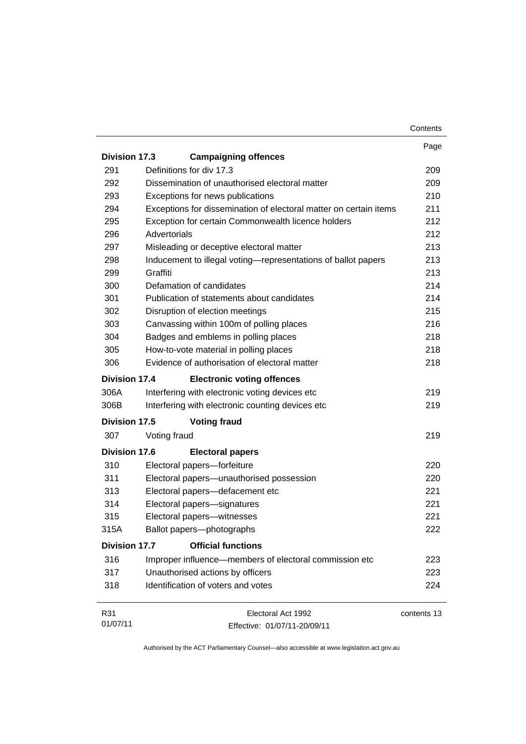|                      |                                                                   | Contents    |
|----------------------|-------------------------------------------------------------------|-------------|
|                      |                                                                   | Page        |
| Division 17.3        | <b>Campaigning offences</b>                                       |             |
| 291                  | Definitions for div 17.3                                          | 209         |
| 292                  | Dissemination of unauthorised electoral matter                    | 209         |
| 293                  | Exceptions for news publications                                  | 210         |
| 294                  | Exceptions for dissemination of electoral matter on certain items | 211         |
| 295                  | Exception for certain Commonwealth licence holders                | 212         |
| 296                  | Advertorials                                                      | 212         |
| 297                  | Misleading or deceptive electoral matter                          | 213         |
| 298                  | Inducement to illegal voting-representations of ballot papers     | 213         |
| 299                  | Graffiti                                                          | 213         |
| 300                  | Defamation of candidates                                          | 214         |
| 301                  | Publication of statements about candidates                        | 214         |
| 302                  | Disruption of election meetings                                   | 215         |
| 303                  | Canvassing within 100m of polling places                          | 216         |
| 304                  | Badges and emblems in polling places                              | 218         |
| 305                  | How-to-vote material in polling places                            | 218         |
| 306                  | Evidence of authorisation of electoral matter                     | 218         |
| <b>Division 17.4</b> | <b>Electronic voting offences</b>                                 |             |
| 306A                 | Interfering with electronic voting devices etc                    | 219         |
| 306B                 | Interfering with electronic counting devices etc                  | 219         |
| Division 17.5        | <b>Voting fraud</b>                                               |             |
| 307                  | Voting fraud                                                      | 219         |
| <b>Division 17.6</b> | <b>Electoral papers</b>                                           |             |
| 310                  | Electoral papers-forfeiture                                       | 220         |
| 311                  | Electoral papers-unauthorised possession                          | 220         |
| 313                  | Electoral papers-defacement etc                                   | 221         |
| 314                  | Electoral papers-signatures                                       | 221         |
| 315                  | Electoral papers—witnesses                                        | 221         |
| 315A                 | Ballot papers-photographs                                         | 222         |
| <b>Division 17.7</b> | <b>Official functions</b>                                         |             |
| 316                  | Improper influence—members of electoral commission etc            | 223         |
| 317                  | Unauthorised actions by officers                                  | 223         |
| 318                  | Identification of voters and votes                                | 224         |
| R31                  | Electoral Act 1992                                                | contents 13 |
| 01/07/11             | Fffective: 01/07/11-20/09/11                                      |             |

Effective: 01/07/11-20/09/11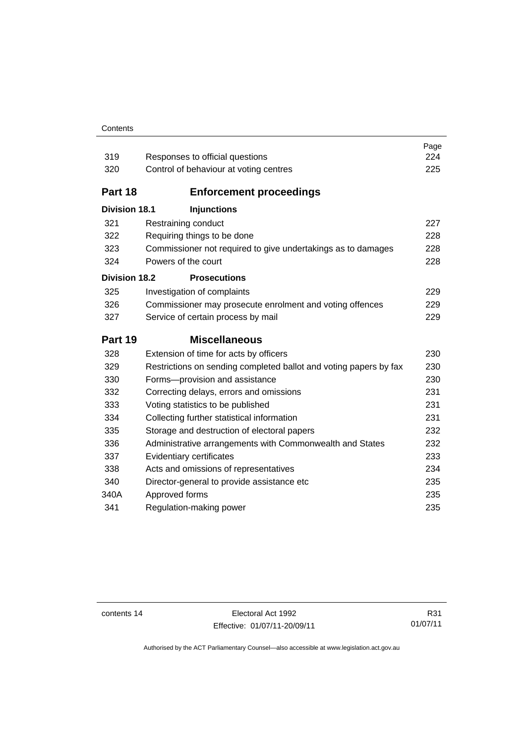#### **Contents**

| 319                  | Responses to official questions                                   | Page<br>224 |
|----------------------|-------------------------------------------------------------------|-------------|
| 320                  | Control of behaviour at voting centres                            | 225         |
| Part 18              | <b>Enforcement proceedings</b>                                    |             |
| <b>Division 18.1</b> | <b>Injunctions</b>                                                |             |
| 321                  | Restraining conduct                                               | 227         |
| 322                  | Requiring things to be done                                       | 228         |
| 323                  | Commissioner not required to give undertakings as to damages      | 228         |
| 324                  | Powers of the court                                               | 228         |
| <b>Division 18.2</b> | <b>Prosecutions</b>                                               |             |
| 325                  | Investigation of complaints                                       | 229         |
| 326                  | Commissioner may prosecute enrolment and voting offences          | 229         |
| 327                  | Service of certain process by mail                                | 229         |
|                      |                                                                   |             |
| Part 19              | <b>Miscellaneous</b>                                              |             |
| 328                  | Extension of time for acts by officers                            | 230         |
| 329                  | Restrictions on sending completed ballot and voting papers by fax | 230         |
| 330                  | Forms-provision and assistance                                    | 230         |
| 332                  | Correcting delays, errors and omissions                           | 231         |
| 333                  | Voting statistics to be published                                 | 231         |
| 334                  | Collecting further statistical information                        | 231         |
| 335                  | Storage and destruction of electoral papers                       | 232         |
| 336                  | Administrative arrangements with Commonwealth and States          | 232         |
| 337                  | Evidentiary certificates                                          | 233         |
| 338                  | Acts and omissions of representatives                             | 234         |
| 340                  | Director-general to provide assistance etc                        | 235         |
| 340A<br>341          | Approved forms<br>Regulation-making power                         | 235<br>235  |

contents 14 Electoral Act 1992 Effective: 01/07/11-20/09/11

R31 01/07/11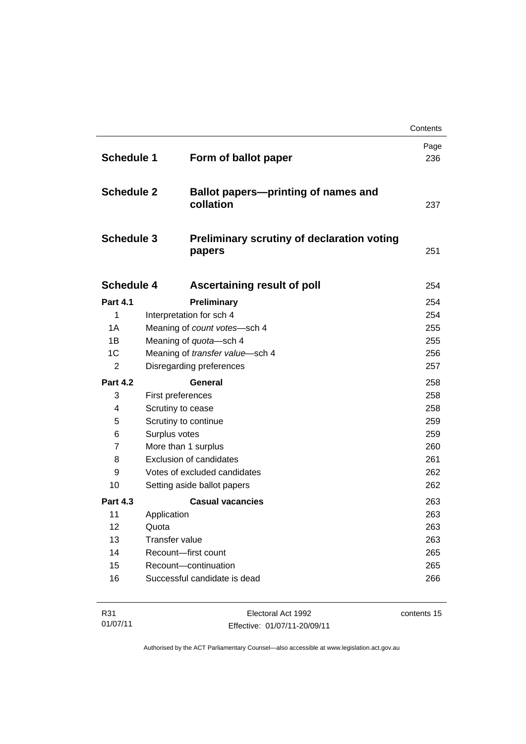|                   |                                                             | Contents    |
|-------------------|-------------------------------------------------------------|-------------|
| <b>Schedule 1</b> | Form of ballot paper                                        | Page<br>236 |
| <b>Schedule 2</b> | <b>Ballot papers-printing of names and</b><br>collation     | 237         |
| <b>Schedule 3</b> | <b>Preliminary scrutiny of declaration voting</b><br>papers | 251         |
| <b>Schedule 4</b> | Ascertaining result of poll                                 | 254         |
| <b>Part 4.1</b>   | Preliminary                                                 | 254         |
| 1                 | Interpretation for sch 4                                    | 254         |
| 1A                | Meaning of count votes-sch 4                                | 255         |
| 1B                | Meaning of quota-sch 4                                      | 255         |
| 1C                | Meaning of transfer value-sch 4                             | 256         |
| $\overline{2}$    | Disregarding preferences                                    | 257         |
| <b>Part 4.2</b>   | General                                                     | 258         |
| 3                 | First preferences                                           | 258         |
| 4                 | Scrutiny to cease                                           | 258         |
| 5                 | Scrutiny to continue                                        | 259         |
| 6                 | Surplus votes                                               | 259         |
| $\overline{7}$    | More than 1 surplus                                         | 260         |
| 8                 | Exclusion of candidates                                     | 261         |
| 9                 | Votes of excluded candidates                                | 262         |
| 10                | Setting aside ballot papers                                 | 262         |
| <b>Part 4.3</b>   | <b>Casual vacancies</b>                                     | 263         |
| 11                | Application                                                 | 263         |
| 12                | Quota                                                       | 263         |
| 13                | <b>Transfer value</b>                                       | 263         |
| 14                | Recount-first count                                         | 265         |
| 15                | Recount-continuation                                        | 265         |
| 16                | Successful candidate is dead                                | 266         |

| R31      | Electoral Act 1992           | contents 15 |
|----------|------------------------------|-------------|
| 01/07/11 | Effective: 01/07/11-20/09/11 |             |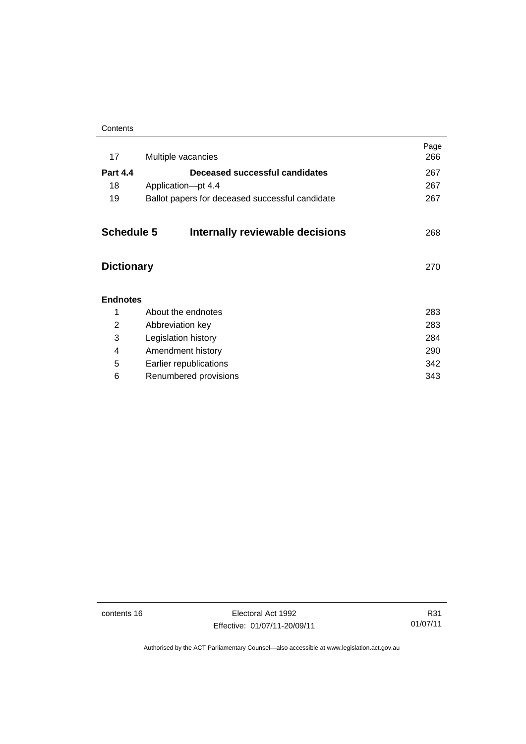| Contents |
|----------|
|----------|

| 17                | Multiple vacancies                              | Page<br>266 |
|-------------------|-------------------------------------------------|-------------|
| <b>Part 4.4</b>   | Deceased successful candidates                  | 267         |
| 18                | Application-pt 4.4                              | 267         |
| 19                | Ballot papers for deceased successful candidate | 267         |
| <b>Schedule 5</b> | Internally reviewable decisions                 | 268         |
| <b>Dictionary</b> |                                                 | 270         |
| <b>Endnotes</b>   |                                                 |             |
| 1                 | About the endnotes                              | 283         |
| 2                 | Abbreviation key                                | 283         |
| 3                 | Legislation history                             | 284         |
| 4                 | Amendment history                               | 290         |
| 5                 | Earlier republications                          | 342         |
| 6                 | Renumbered provisions                           | 343         |
|                   |                                                 |             |

contents 16 Electoral Act 1992 Effective: 01/07/11-20/09/11

R31 01/07/11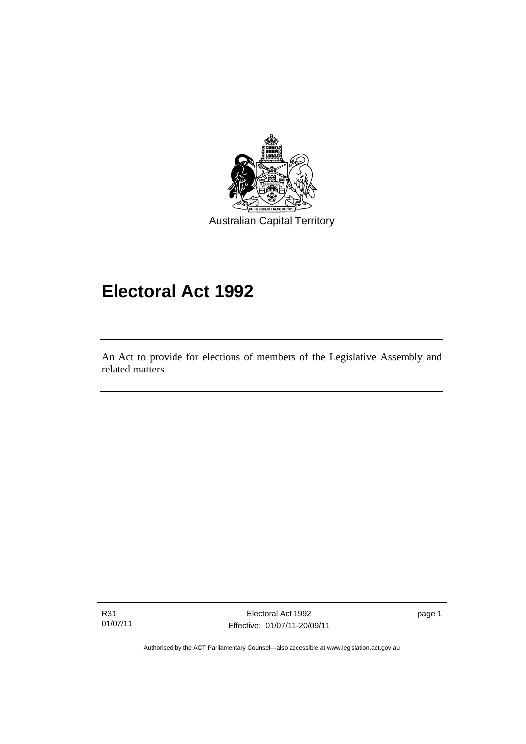

# **Electoral Act 1992**

An Act to provide for elections of members of the Legislative Assembly and related matters

R31 01/07/11

I

Electoral Act 1992 Effective: 01/07/11-20/09/11 page 1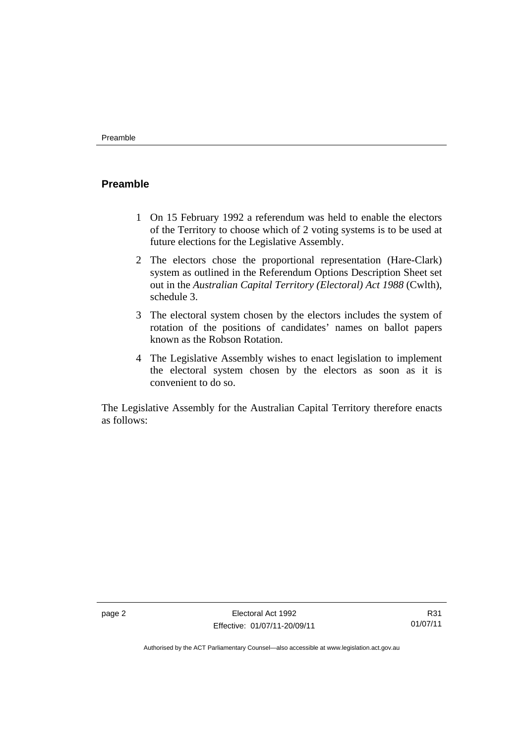### <span id="page-19-0"></span>**Preamble**

- 1 On 15 February 1992 a referendum was held to enable the electors of the Territory to choose which of 2 voting systems is to be used at future elections for the Legislative Assembly.
- 2 The electors chose the proportional representation (Hare-Clark) system as outlined in the Referendum Options Description Sheet set out in the *Australian Capital Territory (Electoral) Act 1988* (Cwlth), schedule 3.
- 3 The electoral system chosen by the electors includes the system of rotation of the positions of candidates' names on ballot papers known as the Robson Rotation.
- 4 The Legislative Assembly wishes to enact legislation to implement the electoral system chosen by the electors as soon as it is convenient to do so.

The Legislative Assembly for the Australian Capital Territory therefore enacts as follows: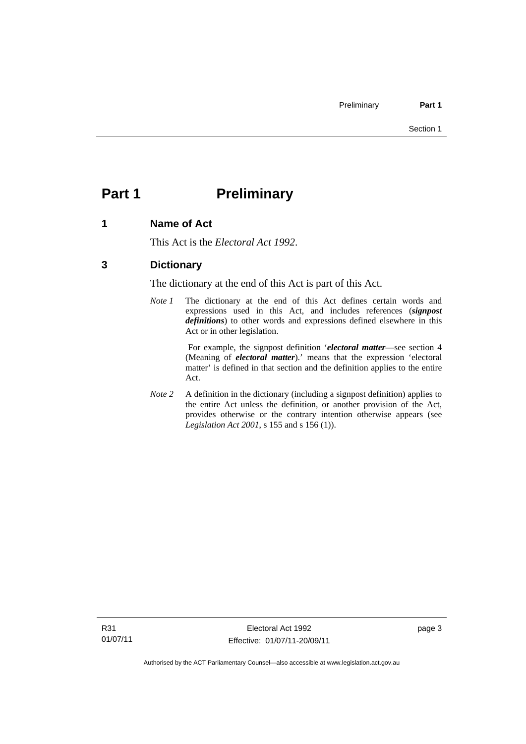# <span id="page-20-0"></span>**Part 1** Preliminary

### <span id="page-20-1"></span>**1 Name of Act**

This Act is the *Electoral Act 1992*.

### <span id="page-20-2"></span>**3 Dictionary**

The dictionary at the end of this Act is part of this Act.

*Note 1* The dictionary at the end of this Act defines certain words and expressions used in this Act, and includes references (*signpost definitions*) to other words and expressions defined elsewhere in this Act or in other legislation.

> For example, the signpost definition '*electoral matter*—see section 4 (Meaning of *electoral matter*).' means that the expression 'electoral matter' is defined in that section and the definition applies to the entire Act.

*Note 2* A definition in the dictionary (including a signpost definition) applies to the entire Act unless the definition, or another provision of the Act, provides otherwise or the contrary intention otherwise appears (see *Legislation Act 2001*, s 155 and s 156 (1)).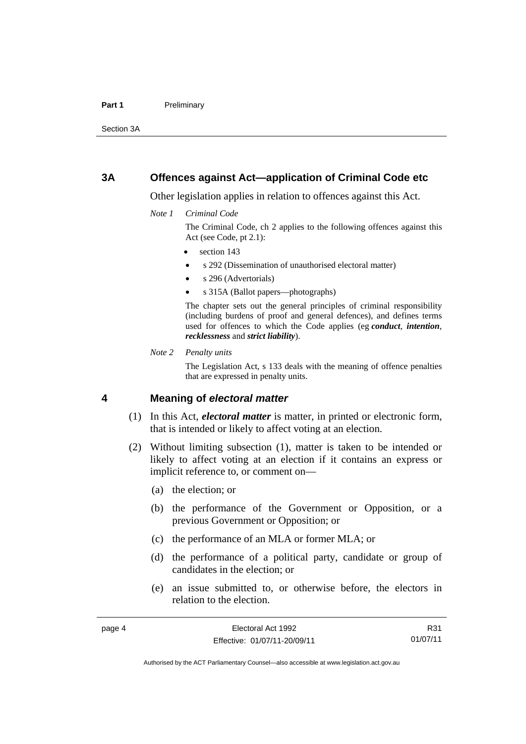#### Part 1 **Preliminary**

Section 3A

#### <span id="page-21-0"></span>**3A Offences against Act—application of Criminal Code etc**

Other legislation applies in relation to offences against this Act.

*Note 1 Criminal Code*

The Criminal Code, ch 2 applies to the following offences against this Act (see Code, pt 2.1):

- section 143
- s 292 (Dissemination of unauthorised electoral matter)
- s 296 (Advertorials)
- s 315A (Ballot papers—photographs)

The chapter sets out the general principles of criminal responsibility (including burdens of proof and general defences), and defines terms used for offences to which the Code applies (eg *conduct*, *intention*, *recklessness* and *strict liability*).

*Note 2 Penalty units* 

The Legislation Act, s 133 deals with the meaning of offence penalties that are expressed in penalty units.

#### <span id="page-21-1"></span>**4 Meaning of** *electoral matter*

- (1) In this Act, *electoral matter* is matter, in printed or electronic form, that is intended or likely to affect voting at an election.
- (2) Without limiting subsection (1), matter is taken to be intended or likely to affect voting at an election if it contains an express or implicit reference to, or comment on—
	- (a) the election; or
	- (b) the performance of the Government or Opposition, or a previous Government or Opposition; or
	- (c) the performance of an MLA or former MLA; or
	- (d) the performance of a political party, candidate or group of candidates in the election; or
	- (e) an issue submitted to, or otherwise before, the electors in relation to the election.

R31 01/07/11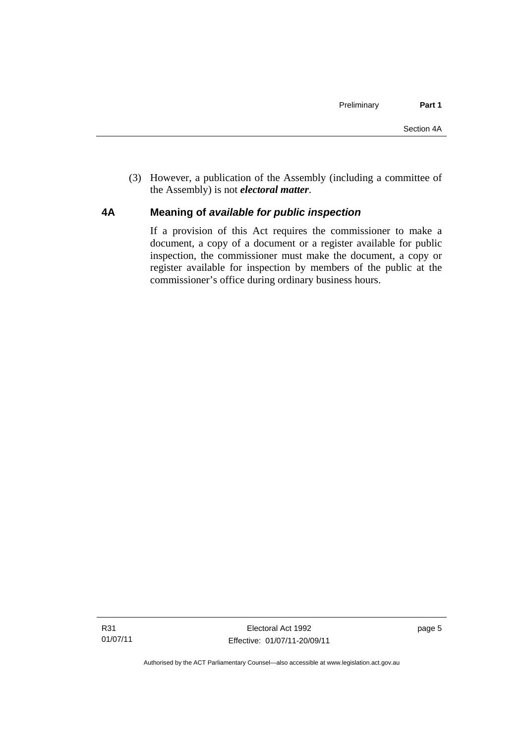(3) However, a publication of the Assembly (including a committee of the Assembly) is not *electoral matter*.

#### <span id="page-22-0"></span>**4A Meaning of** *available for public inspection*

If a provision of this Act requires the commissioner to make a document, a copy of a document or a register available for public inspection, the commissioner must make the document, a copy or register available for inspection by members of the public at the commissioner's office during ordinary business hours.

page 5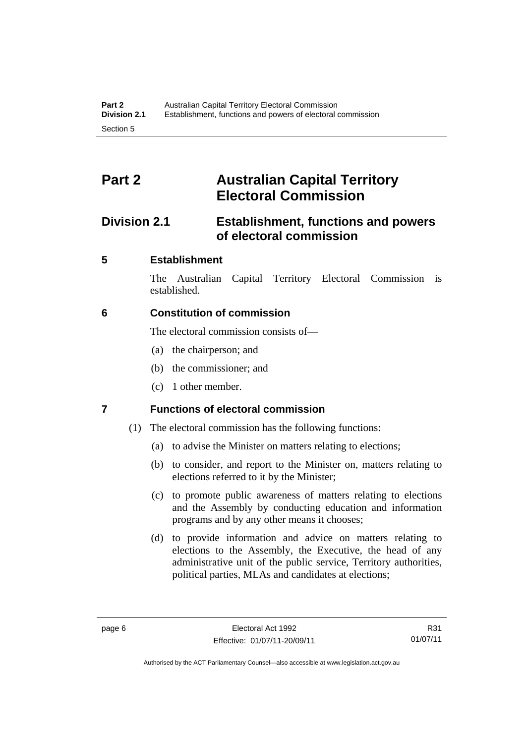# <span id="page-23-0"></span>**Part 2 Australian Capital Territory Electoral Commission**

## <span id="page-23-1"></span>**Division 2.1 Establishment, functions and powers of electoral commission**

### <span id="page-23-2"></span>**5 Establishment**

The Australian Capital Territory Electoral Commission is established.

### <span id="page-23-3"></span>**6 Constitution of commission**

The electoral commission consists of—

- (a) the chairperson; and
- (b) the commissioner; and
- (c) 1 other member.

## <span id="page-23-4"></span>**7 Functions of electoral commission**

- (1) The electoral commission has the following functions:
	- (a) to advise the Minister on matters relating to elections;
	- (b) to consider, and report to the Minister on, matters relating to elections referred to it by the Minister;
	- (c) to promote public awareness of matters relating to elections and the Assembly by conducting education and information programs and by any other means it chooses;
	- (d) to provide information and advice on matters relating to elections to the Assembly, the Executive, the head of any administrative unit of the public service, Territory authorities, political parties, MLAs and candidates at elections;

R31 01/07/11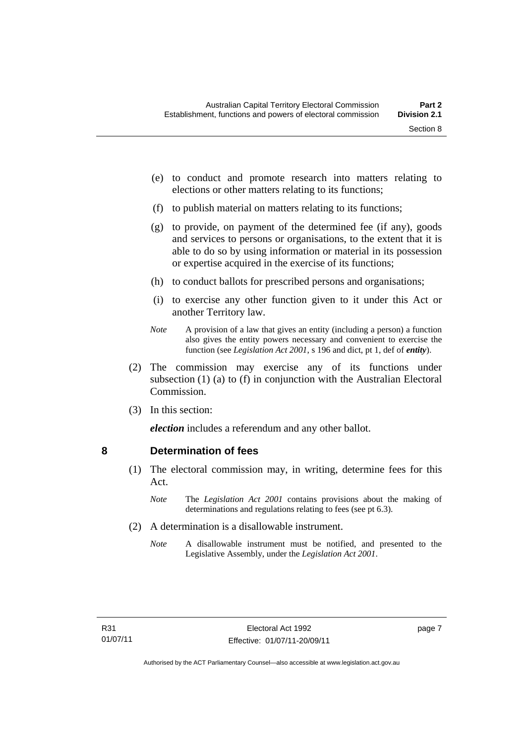- (e) to conduct and promote research into matters relating to elections or other matters relating to its functions;
- (f) to publish material on matters relating to its functions;
- (g) to provide, on payment of the determined fee (if any), goods and services to persons or organisations, to the extent that it is able to do so by using information or material in its possession or expertise acquired in the exercise of its functions;
- (h) to conduct ballots for prescribed persons and organisations;
- (i) to exercise any other function given to it under this Act or another Territory law.
- *Note* A provision of a law that gives an entity (including a person) a function also gives the entity powers necessary and convenient to exercise the function (see *Legislation Act 2001*, s 196 and dict, pt 1, def of *entity*).
- (2) The commission may exercise any of its functions under subsection (1) (a) to (f) in conjunction with the Australian Electoral Commission.
- (3) In this section:

*election* includes a referendum and any other ballot.

#### <span id="page-24-0"></span>**8 Determination of fees**

- (1) The electoral commission may, in writing, determine fees for this Act.
	- *Note* The *Legislation Act 2001* contains provisions about the making of determinations and regulations relating to fees (see pt 6.3).
- (2) A determination is a disallowable instrument.
	- *Note* A disallowable instrument must be notified, and presented to the Legislative Assembly, under the *Legislation Act 2001*.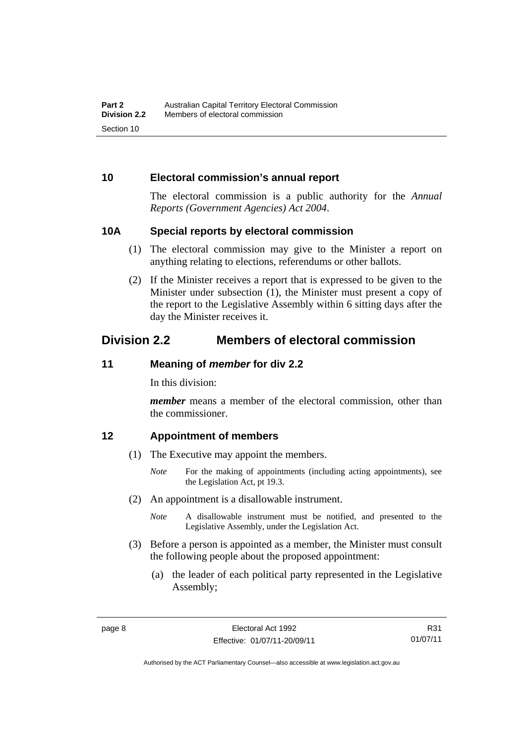#### <span id="page-25-0"></span>**10 Electoral commission's annual report**

The electoral commission is a public authority for the *Annual Reports (Government Agencies) Act 2004*.

#### <span id="page-25-1"></span>**10A Special reports by electoral commission**

- (1) The electoral commission may give to the Minister a report on anything relating to elections, referendums or other ballots.
- (2) If the Minister receives a report that is expressed to be given to the Minister under subsection (1), the Minister must present a copy of the report to the Legislative Assembly within 6 sitting days after the day the Minister receives it.

## <span id="page-25-2"></span>**Division 2.2 Members of electoral commission**

#### <span id="page-25-3"></span>**11 Meaning of** *member* **for div 2.2**

In this division:

*member* means a member of the electoral commission, other than the commissioner.

#### <span id="page-25-4"></span>**12 Appointment of members**

- (1) The Executive may appoint the members.
	- *Note* For the making of appointments (including acting appointments), see the Legislation Act, pt 19.3.
- (2) An appointment is a disallowable instrument.
	- *Note* A disallowable instrument must be notified, and presented to the Legislative Assembly, under the Legislation Act.
- (3) Before a person is appointed as a member, the Minister must consult the following people about the proposed appointment:
	- (a) the leader of each political party represented in the Legislative Assembly;

R31 01/07/11

Authorised by the ACT Parliamentary Counsel—also accessible at www.legislation.act.gov.au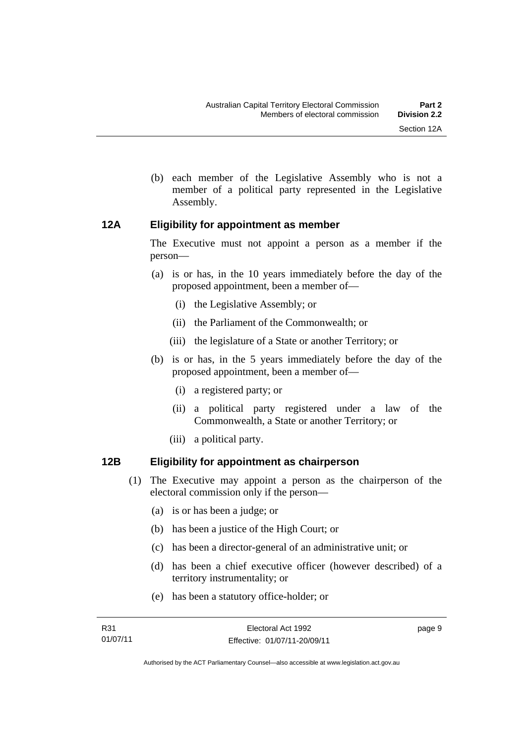- 
- (b) each member of the Legislative Assembly who is not a member of a political party represented in the Legislative Assembly.

#### <span id="page-26-0"></span>**12A Eligibility for appointment as member**

The Executive must not appoint a person as a member if the person—

- (a) is or has, in the 10 years immediately before the day of the proposed appointment, been a member of—
	- (i) the Legislative Assembly; or
	- (ii) the Parliament of the Commonwealth; or
	- (iii) the legislature of a State or another Territory; or
- (b) is or has, in the 5 years immediately before the day of the proposed appointment, been a member of—
	- (i) a registered party; or
	- (ii) a political party registered under a law of the Commonwealth, a State or another Territory; or
	- (iii) a political party.

### <span id="page-26-1"></span>**12B Eligibility for appointment as chairperson**

- (1) The Executive may appoint a person as the chairperson of the electoral commission only if the person—
	- (a) is or has been a judge; or
	- (b) has been a justice of the High Court; or
	- (c) has been a director-general of an administrative unit; or
	- (d) has been a chief executive officer (however described) of a territory instrumentality; or
	- (e) has been a statutory office-holder; or

page 9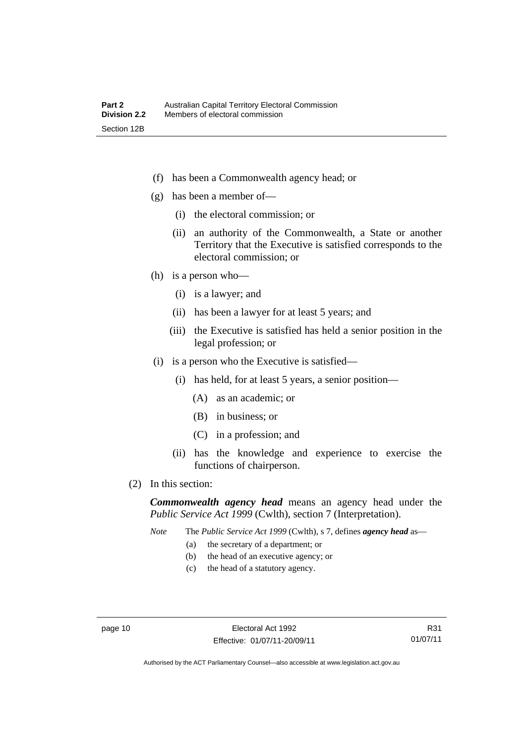- (f) has been a Commonwealth agency head; or
- (g) has been a member of—
	- (i) the electoral commission; or
	- (ii) an authority of the Commonwealth, a State or another Territory that the Executive is satisfied corresponds to the electoral commission; or
- (h) is a person who—
	- (i) is a lawyer; and
	- (ii) has been a lawyer for at least 5 years; and
	- (iii) the Executive is satisfied has held a senior position in the legal profession; or
- (i) is a person who the Executive is satisfied—
	- (i) has held, for at least 5 years, a senior position—
		- (A) as an academic; or
		- (B) in business; or
		- (C) in a profession; and
	- (ii) has the knowledge and experience to exercise the functions of chairperson.
- (2) In this section:

*Commonwealth agency head* means an agency head under the *Public Service Act 1999* (Cwlth), section 7 (Interpretation).

*Note* The *Public Service Act 1999* (Cwlth), s 7, defines *agency head* as—

- (a) the secretary of a department; or
- (b) the head of an executive agency; or
- (c) the head of a statutory agency.

R31 01/07/11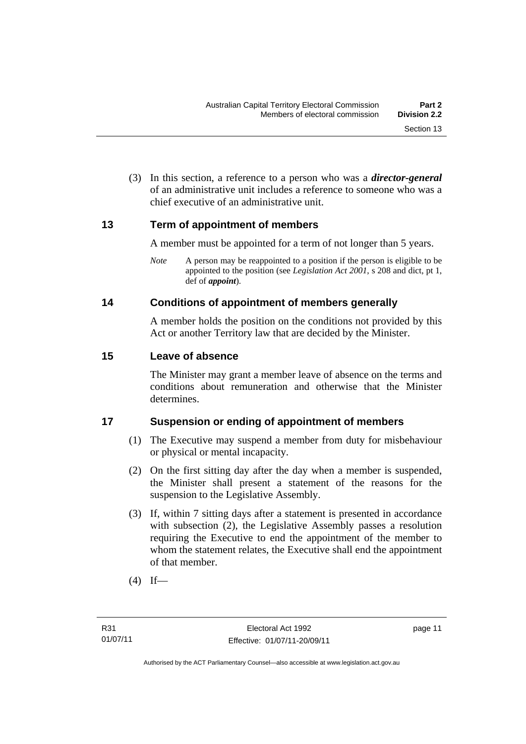(3) In this section, a reference to a person who was a *director-general*  of an administrative unit includes a reference to someone who was a chief executive of an administrative unit.

#### <span id="page-28-0"></span>**13 Term of appointment of members**

A member must be appointed for a term of not longer than 5 years.

*Note* A person may be reappointed to a position if the person is eligible to be appointed to the position (see *Legislation Act 2001*, s 208 and dict, pt 1, def of *appoint*).

#### <span id="page-28-1"></span>**14 Conditions of appointment of members generally**

A member holds the position on the conditions not provided by this Act or another Territory law that are decided by the Minister.

#### <span id="page-28-2"></span>**15 Leave of absence**

The Minister may grant a member leave of absence on the terms and conditions about remuneration and otherwise that the Minister determines.

### <span id="page-28-3"></span>**17 Suspension or ending of appointment of members**

- (1) The Executive may suspend a member from duty for misbehaviour or physical or mental incapacity.
- (2) On the first sitting day after the day when a member is suspended, the Minister shall present a statement of the reasons for the suspension to the Legislative Assembly.
- (3) If, within 7 sitting days after a statement is presented in accordance with subsection (2), the Legislative Assembly passes a resolution requiring the Executive to end the appointment of the member to whom the statement relates, the Executive shall end the appointment of that member.
- $(4)$  If—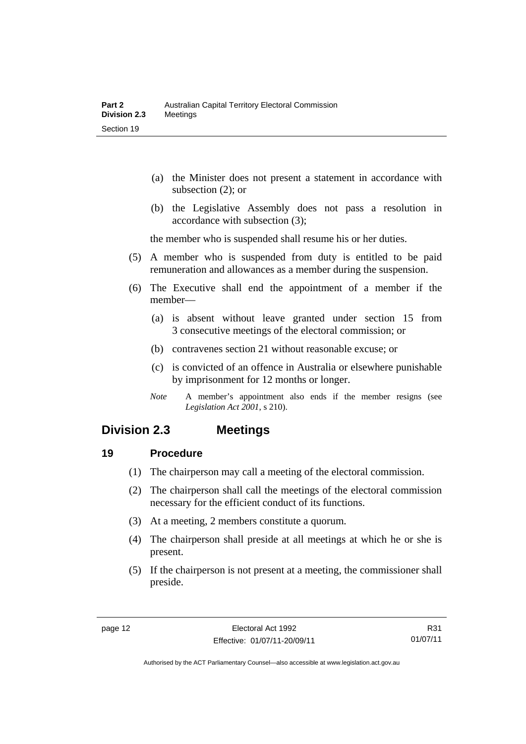- (a) the Minister does not present a statement in accordance with subsection (2); or
- (b) the Legislative Assembly does not pass a resolution in accordance with subsection (3);

the member who is suspended shall resume his or her duties.

- (5) A member who is suspended from duty is entitled to be paid remuneration and allowances as a member during the suspension.
- (6) The Executive shall end the appointment of a member if the member—
	- (a) is absent without leave granted under section 15 from 3 consecutive meetings of the electoral commission; or
	- (b) contravenes section 21 without reasonable excuse; or
	- (c) is convicted of an offence in Australia or elsewhere punishable by imprisonment for 12 months or longer.
	- *Note* A member's appointment also ends if the member resigns (see *Legislation Act 2001*, s 210).

## <span id="page-29-0"></span>**Division 2.3 Meetings**

#### <span id="page-29-1"></span>**19 Procedure**

- (1) The chairperson may call a meeting of the electoral commission.
- (2) The chairperson shall call the meetings of the electoral commission necessary for the efficient conduct of its functions.
- (3) At a meeting, 2 members constitute a quorum.
- (4) The chairperson shall preside at all meetings at which he or she is present.
- (5) If the chairperson is not present at a meeting, the commissioner shall preside.

R31 01/07/11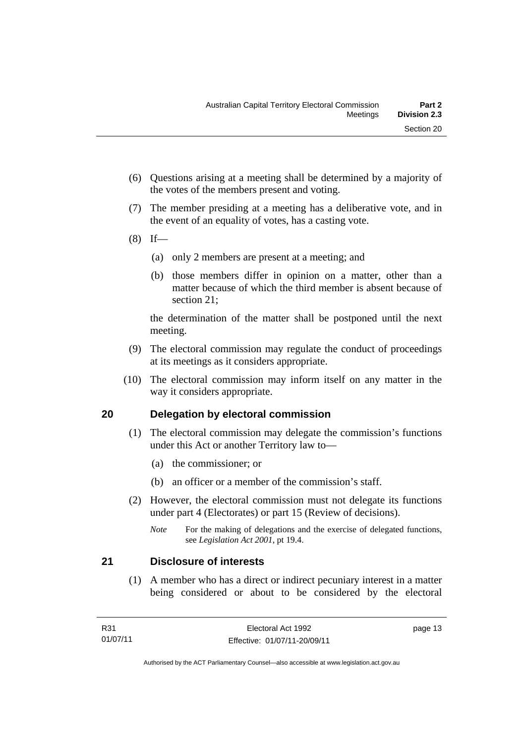- (6) Questions arising at a meeting shall be determined by a majority of the votes of the members present and voting.
- (7) The member presiding at a meeting has a deliberative vote, and in the event of an equality of votes, has a casting vote.
- $(8)$  If—
	- (a) only 2 members are present at a meeting; and
	- (b) those members differ in opinion on a matter, other than a matter because of which the third member is absent because of section 21;

the determination of the matter shall be postponed until the next meeting.

- (9) The electoral commission may regulate the conduct of proceedings at its meetings as it considers appropriate.
- (10) The electoral commission may inform itself on any matter in the way it considers appropriate.

### <span id="page-30-0"></span>**20 Delegation by electoral commission**

- (1) The electoral commission may delegate the commission's functions under this Act or another Territory law to—
	- (a) the commissioner; or
	- (b) an officer or a member of the commission's staff.
- (2) However, the electoral commission must not delegate its functions under part 4 (Electorates) or part 15 (Review of decisions).

#### <span id="page-30-1"></span>**21 Disclosure of interests**

 (1) A member who has a direct or indirect pecuniary interest in a matter being considered or about to be considered by the electoral

*Note* For the making of delegations and the exercise of delegated functions, see *Legislation Act 2001*, pt 19.4.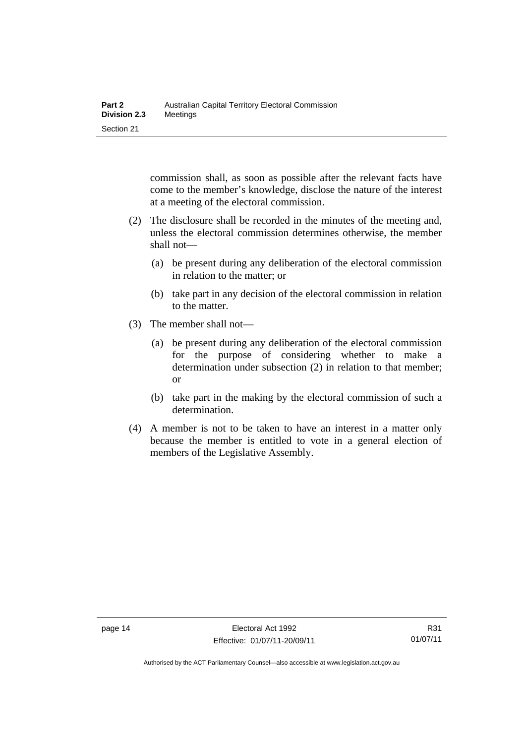commission shall, as soon as possible after the relevant facts have come to the member's knowledge, disclose the nature of the interest at a meeting of the electoral commission.

- (2) The disclosure shall be recorded in the minutes of the meeting and, unless the electoral commission determines otherwise, the member shall not—
	- (a) be present during any deliberation of the electoral commission in relation to the matter; or
	- (b) take part in any decision of the electoral commission in relation to the matter.
- (3) The member shall not—
	- (a) be present during any deliberation of the electoral commission for the purpose of considering whether to make a determination under subsection (2) in relation to that member; or
	- (b) take part in the making by the electoral commission of such a determination.
- (4) A member is not to be taken to have an interest in a matter only because the member is entitled to vote in a general election of members of the Legislative Assembly.

Authorised by the ACT Parliamentary Counsel—also accessible at www.legislation.act.gov.au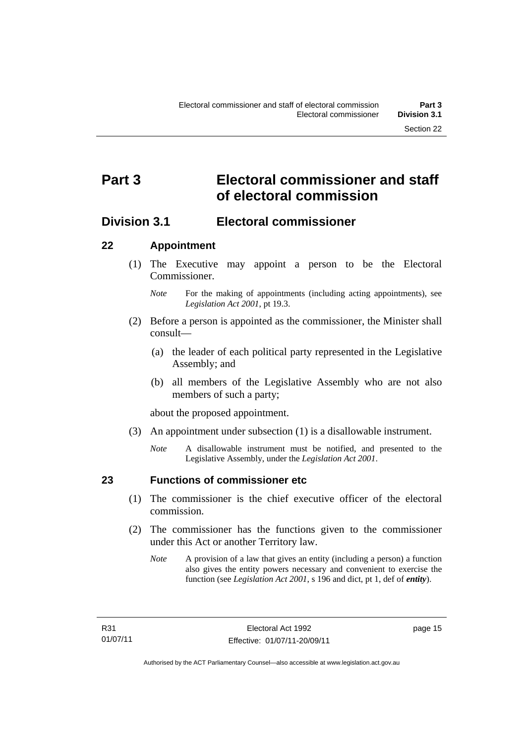# <span id="page-32-0"></span>**Part 3 Electoral commissioner and staff of electoral commission**

## <span id="page-32-1"></span>**Division 3.1 Electoral commissioner**

#### <span id="page-32-2"></span>**22 Appointment**

- (1) The Executive may appoint a person to be the Electoral Commissioner.
	- *Note* For the making of appointments (including acting appointments), see *Legislation Act 2001*, pt 19.3.
- (2) Before a person is appointed as the commissioner, the Minister shall consult—
	- (a) the leader of each political party represented in the Legislative Assembly; and
	- (b) all members of the Legislative Assembly who are not also members of such a party;

about the proposed appointment.

- (3) An appointment under subsection (1) is a disallowable instrument.
	- *Note* A disallowable instrument must be notified, and presented to the Legislative Assembly, under the *Legislation Act 2001*.

<span id="page-32-3"></span>

#### **23 Functions of commissioner etc**

- (1) The commissioner is the chief executive officer of the electoral commission.
- (2) The commissioner has the functions given to the commissioner under this Act or another Territory law.
	- *Note* A provision of a law that gives an entity (including a person) a function also gives the entity powers necessary and convenient to exercise the function (see *Legislation Act 2001*, s 196 and dict, pt 1, def of *entity*).

page 15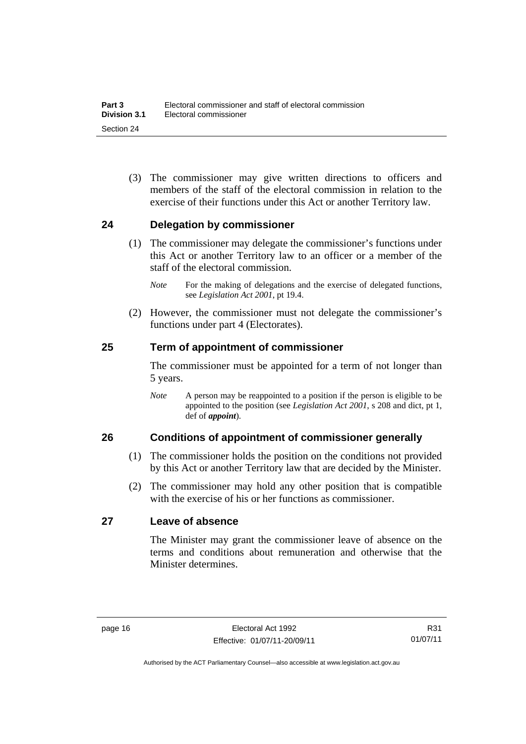(3) The commissioner may give written directions to officers and members of the staff of the electoral commission in relation to the exercise of their functions under this Act or another Territory law.

#### <span id="page-33-0"></span>**24 Delegation by commissioner**

- (1) The commissioner may delegate the commissioner's functions under this Act or another Territory law to an officer or a member of the staff of the electoral commission.
	- *Note* For the making of delegations and the exercise of delegated functions, see *Legislation Act 2001*, pt 19.4.
- (2) However, the commissioner must not delegate the commissioner's functions under part 4 (Electorates).

#### <span id="page-33-1"></span>**25 Term of appointment of commissioner**

The commissioner must be appointed for a term of not longer than 5 years.

*Note* A person may be reappointed to a position if the person is eligible to be appointed to the position (see *Legislation Act 2001*, s 208 and dict, pt 1, def of *appoint*).

#### <span id="page-33-2"></span>**26 Conditions of appointment of commissioner generally**

- (1) The commissioner holds the position on the conditions not provided by this Act or another Territory law that are decided by the Minister.
- (2) The commissioner may hold any other position that is compatible with the exercise of his or her functions as commissioner.

#### <span id="page-33-3"></span>**27 Leave of absence**

The Minister may grant the commissioner leave of absence on the terms and conditions about remuneration and otherwise that the Minister determines.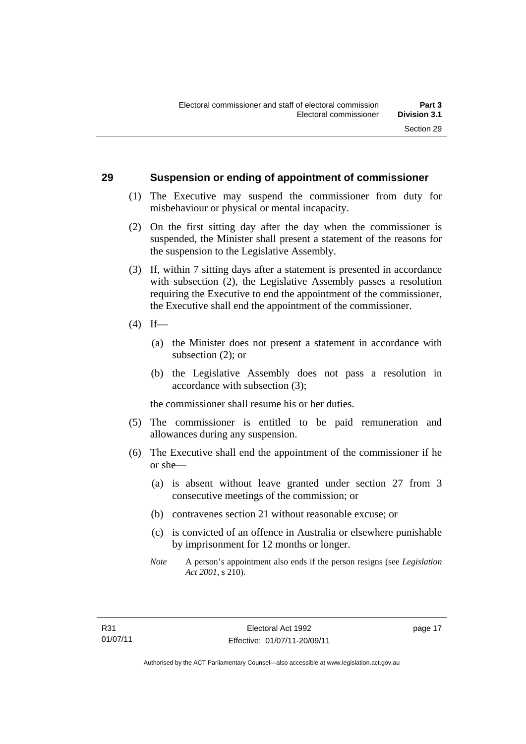#### <span id="page-34-0"></span>**29 Suspension or ending of appointment of commissioner**

- (1) The Executive may suspend the commissioner from duty for misbehaviour or physical or mental incapacity.
- (2) On the first sitting day after the day when the commissioner is suspended, the Minister shall present a statement of the reasons for the suspension to the Legislative Assembly.
- (3) If, within 7 sitting days after a statement is presented in accordance with subsection (2), the Legislative Assembly passes a resolution requiring the Executive to end the appointment of the commissioner, the Executive shall end the appointment of the commissioner.
- $(4)$  If—
	- (a) the Minister does not present a statement in accordance with subsection (2); or
	- (b) the Legislative Assembly does not pass a resolution in accordance with subsection (3);

the commissioner shall resume his or her duties.

- (5) The commissioner is entitled to be paid remuneration and allowances during any suspension.
- (6) The Executive shall end the appointment of the commissioner if he or she—
	- (a) is absent without leave granted under section 27 from 3 consecutive meetings of the commission; or
	- (b) contravenes section 21 without reasonable excuse; or
	- (c) is convicted of an offence in Australia or elsewhere punishable by imprisonment for 12 months or longer.
	- *Note* A person's appointment also ends if the person resigns (see *Legislation Act 2001*, s 210).

page 17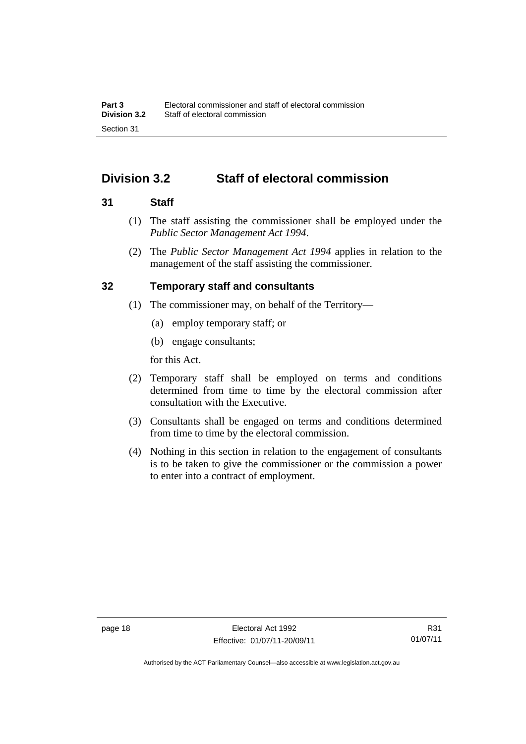# <span id="page-35-0"></span>**Division 3.2 Staff of electoral commission**

#### <span id="page-35-1"></span>**31 Staff**

- (1) The staff assisting the commissioner shall be employed under the *Public Sector Management Act 1994*.
- (2) The *Public Sector Management Act 1994* applies in relation to the management of the staff assisting the commissioner.

#### <span id="page-35-2"></span>**32 Temporary staff and consultants**

- (1) The commissioner may, on behalf of the Territory—
	- (a) employ temporary staff; or
	- (b) engage consultants;

for this Act.

- (2) Temporary staff shall be employed on terms and conditions determined from time to time by the electoral commission after consultation with the Executive.
- (3) Consultants shall be engaged on terms and conditions determined from time to time by the electoral commission.
- (4) Nothing in this section in relation to the engagement of consultants is to be taken to give the commissioner or the commission a power to enter into a contract of employment.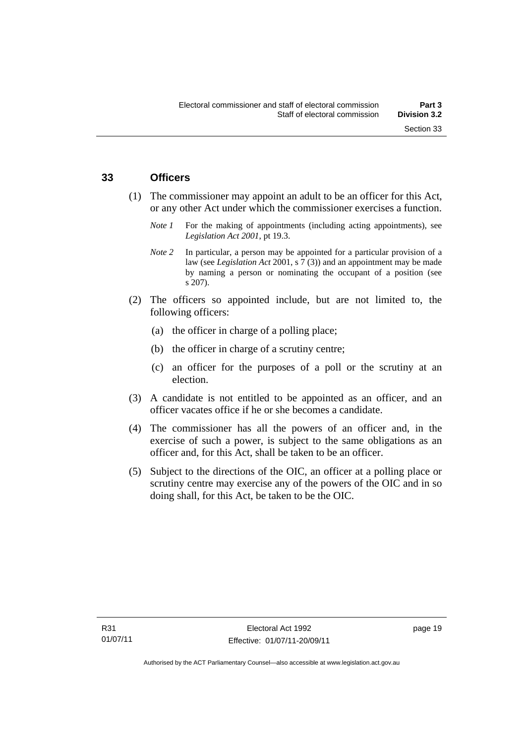#### **33 Officers**

- (1) The commissioner may appoint an adult to be an officer for this Act, or any other Act under which the commissioner exercises a function.
	- *Note 1* For the making of appointments (including acting appointments), see *Legislation Act 2001*, pt 19.3.
	- *Note* 2 In particular, a person may be appointed for a particular provision of a law (see *Legislation Act* 2001, s 7 (3)) and an appointment may be made by naming a person or nominating the occupant of a position (see s 207).
- (2) The officers so appointed include, but are not limited to, the following officers:
	- (a) the officer in charge of a polling place;
	- (b) the officer in charge of a scrutiny centre;
	- (c) an officer for the purposes of a poll or the scrutiny at an election.
- (3) A candidate is not entitled to be appointed as an officer, and an officer vacates office if he or she becomes a candidate.
- (4) The commissioner has all the powers of an officer and, in the exercise of such a power, is subject to the same obligations as an officer and, for this Act, shall be taken to be an officer.
- (5) Subject to the directions of the OIC, an officer at a polling place or scrutiny centre may exercise any of the powers of the OIC and in so doing shall, for this Act, be taken to be the OIC.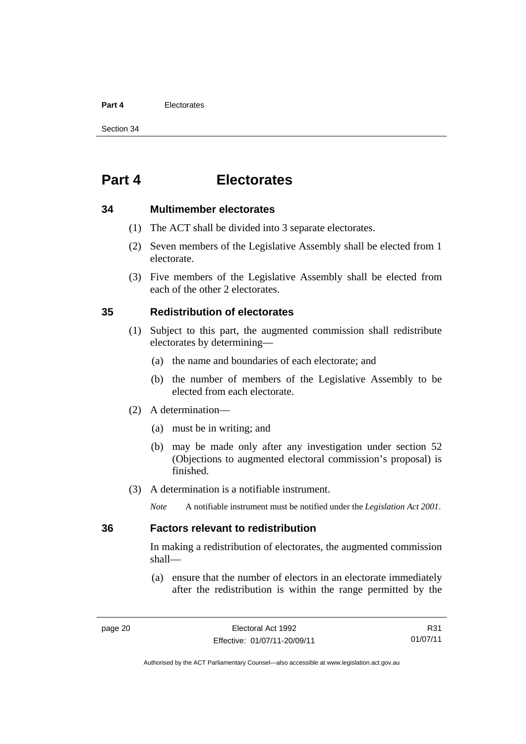#### **Part 4** Electorates

Section 34

# **Part 4 Electorates**

#### **34 Multimember electorates**

- (1) The ACT shall be divided into 3 separate electorates.
- (2) Seven members of the Legislative Assembly shall be elected from 1 electorate.
- (3) Five members of the Legislative Assembly shall be elected from each of the other 2 electorates.

#### **35 Redistribution of electorates**

- (1) Subject to this part, the augmented commission shall redistribute electorates by determining—
	- (a) the name and boundaries of each electorate; and
	- (b) the number of members of the Legislative Assembly to be elected from each electorate.
- (2) A determination—
	- (a) must be in writing; and
	- (b) may be made only after any investigation under section 52 (Objections to augmented electoral commission's proposal) is finished.
- (3) A determination is a notifiable instrument.

*Note* A notifiable instrument must be notified under the *Legislation Act 2001*.

#### **36 Factors relevant to redistribution**

In making a redistribution of electorates, the augmented commission shall—

 (a) ensure that the number of electors in an electorate immediately after the redistribution is within the range permitted by the

R31 01/07/11

Authorised by the ACT Parliamentary Counsel—also accessible at www.legislation.act.gov.au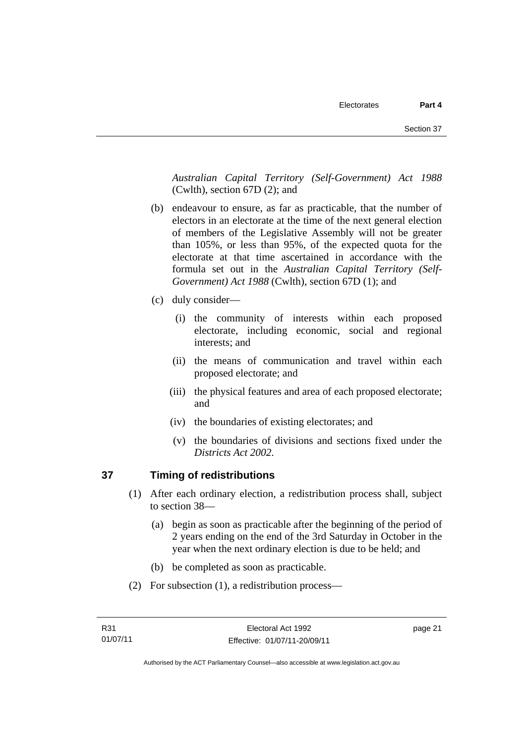*Australian Capital Territory (Self-Government) Act 1988*  (Cwlth), section 67D (2); and

- (b) endeavour to ensure, as far as practicable, that the number of electors in an electorate at the time of the next general election of members of the Legislative Assembly will not be greater than 105%, or less than 95%, of the expected quota for the electorate at that time ascertained in accordance with the formula set out in the *Australian Capital Territory (Self-Government) Act 1988* (Cwlth), section 67D (1); and
- (c) duly consider—
	- (i) the community of interests within each proposed electorate, including economic, social and regional interests; and
	- (ii) the means of communication and travel within each proposed electorate; and
	- (iii) the physical features and area of each proposed electorate; and
	- (iv) the boundaries of existing electorates; and
	- (v) the boundaries of divisions and sections fixed under the *Districts Act 2002*.

# **37 Timing of redistributions**

- (1) After each ordinary election, a redistribution process shall, subject to section 38—
	- (a) begin as soon as practicable after the beginning of the period of 2 years ending on the end of the 3rd Saturday in October in the year when the next ordinary election is due to be held; and
	- (b) be completed as soon as practicable.
- (2) For subsection (1), a redistribution process—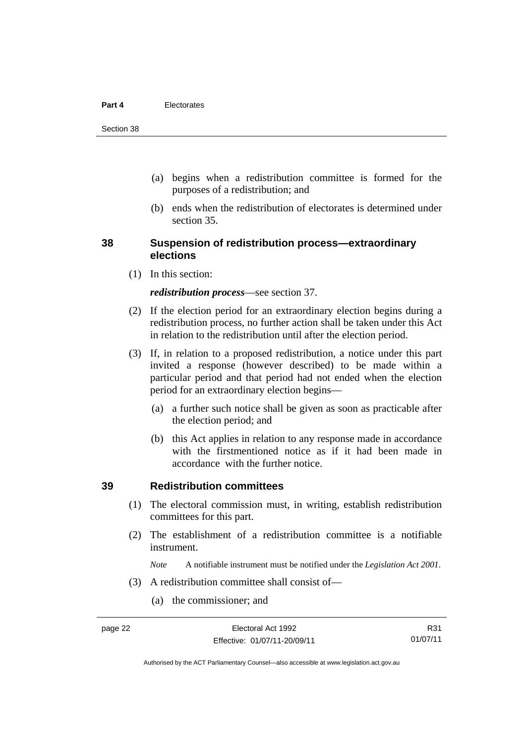- (a) begins when a redistribution committee is formed for the purposes of a redistribution; and
- (b) ends when the redistribution of electorates is determined under section 35.

#### **38 Suspension of redistribution process—extraordinary elections**

(1) In this section:

#### *redistribution process*—see section 37.

- (2) If the election period for an extraordinary election begins during a redistribution process, no further action shall be taken under this Act in relation to the redistribution until after the election period.
- (3) If, in relation to a proposed redistribution, a notice under this part invited a response (however described) to be made within a particular period and that period had not ended when the election period for an extraordinary election begins—
	- (a) a further such notice shall be given as soon as practicable after the election period; and
	- (b) this Act applies in relation to any response made in accordance with the firstmentioned notice as if it had been made in accordance with the further notice.

#### **39 Redistribution committees**

- (1) The electoral commission must, in writing, establish redistribution committees for this part.
- (2) The establishment of a redistribution committee is a notifiable instrument.

*Note* A notifiable instrument must be notified under the *Legislation Act 2001*.

- (3) A redistribution committee shall consist of—
	- (a) the commissioner; and

Authorised by the ACT Parliamentary Counsel—also accessible at www.legislation.act.gov.au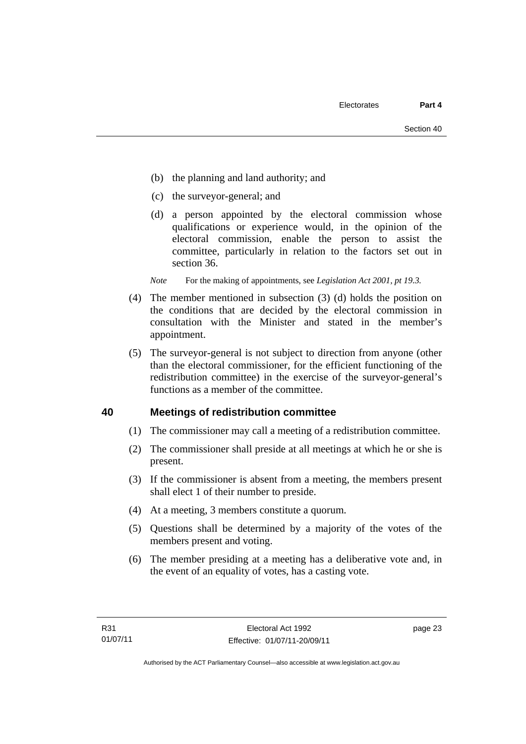- (b) the planning and land authority; and
- (c) the surveyor-general; and
- (d) a person appointed by the electoral commission whose qualifications or experience would, in the opinion of the electoral commission, enable the person to assist the committee, particularly in relation to the factors set out in section 36.

*Note* For the making of appointments, see *Legislation Act 2001, pt 19.3.* 

- (4) The member mentioned in subsection (3) (d) holds the position on the conditions that are decided by the electoral commission in consultation with the Minister and stated in the member's appointment.
- (5) The surveyor-general is not subject to direction from anyone (other than the electoral commissioner, for the efficient functioning of the redistribution committee) in the exercise of the surveyor-general's functions as a member of the committee.

#### **40 Meetings of redistribution committee**

- (1) The commissioner may call a meeting of a redistribution committee.
- (2) The commissioner shall preside at all meetings at which he or she is present.
- (3) If the commissioner is absent from a meeting, the members present shall elect 1 of their number to preside.
- (4) At a meeting, 3 members constitute a quorum.
- (5) Questions shall be determined by a majority of the votes of the members present and voting.
- (6) The member presiding at a meeting has a deliberative vote and, in the event of an equality of votes, has a casting vote.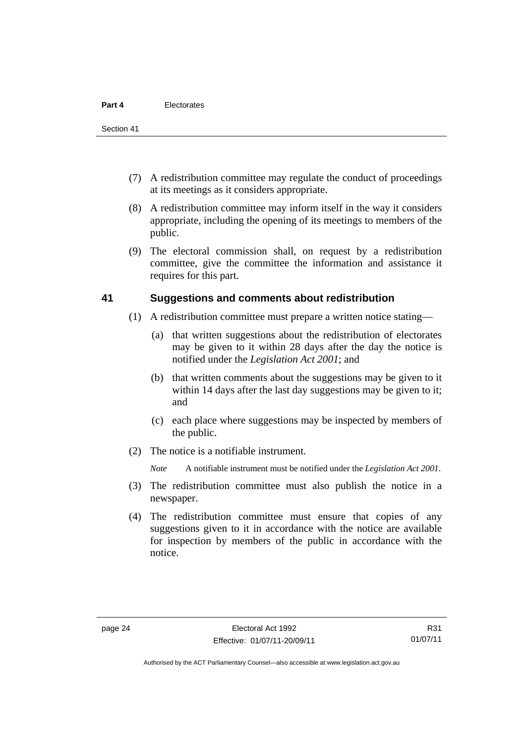- (7) A redistribution committee may regulate the conduct of proceedings at its meetings as it considers appropriate.
- (8) A redistribution committee may inform itself in the way it considers appropriate, including the opening of its meetings to members of the public.
- (9) The electoral commission shall, on request by a redistribution committee, give the committee the information and assistance it requires for this part.

#### **41 Suggestions and comments about redistribution**

- (1) A redistribution committee must prepare a written notice stating—
	- (a) that written suggestions about the redistribution of electorates may be given to it within 28 days after the day the notice is notified under the *Legislation Act 2001*; and
	- (b) that written comments about the suggestions may be given to it within 14 days after the last day suggestions may be given to it; and
	- (c) each place where suggestions may be inspected by members of the public.
- (2) The notice is a notifiable instrument.

*Note* A notifiable instrument must be notified under the *Legislation Act 2001*.

- (3) The redistribution committee must also publish the notice in a newspaper.
- (4) The redistribution committee must ensure that copies of any suggestions given to it in accordance with the notice are available for inspection by members of the public in accordance with the notice.

R31 01/07/11

Authorised by the ACT Parliamentary Counsel—also accessible at www.legislation.act.gov.au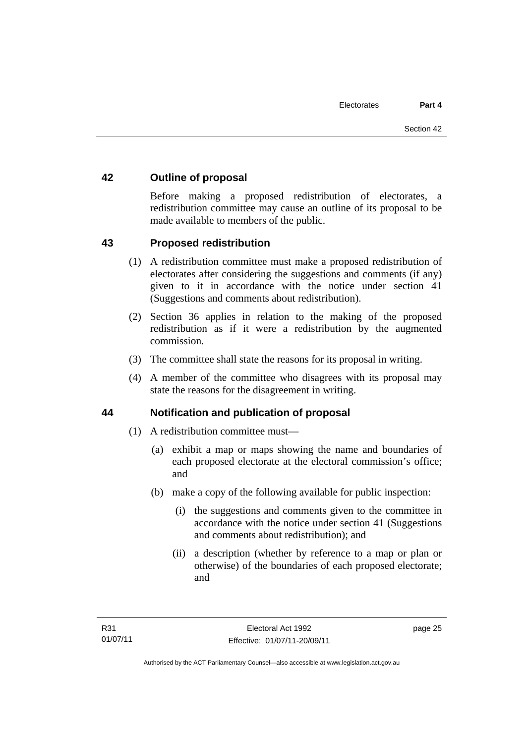#### **42 Outline of proposal**

Before making a proposed redistribution of electorates, a redistribution committee may cause an outline of its proposal to be made available to members of the public.

#### **43 Proposed redistribution**

- (1) A redistribution committee must make a proposed redistribution of electorates after considering the suggestions and comments (if any) given to it in accordance with the notice under section 41 (Suggestions and comments about redistribution).
- (2) Section 36 applies in relation to the making of the proposed redistribution as if it were a redistribution by the augmented commission.
- (3) The committee shall state the reasons for its proposal in writing.
- (4) A member of the committee who disagrees with its proposal may state the reasons for the disagreement in writing.

#### **44 Notification and publication of proposal**

- (1) A redistribution committee must—
	- (a) exhibit a map or maps showing the name and boundaries of each proposed electorate at the electoral commission's office; and
	- (b) make a copy of the following available for public inspection:
		- (i) the suggestions and comments given to the committee in accordance with the notice under section 41 (Suggestions and comments about redistribution); and
		- (ii) a description (whether by reference to a map or plan or otherwise) of the boundaries of each proposed electorate; and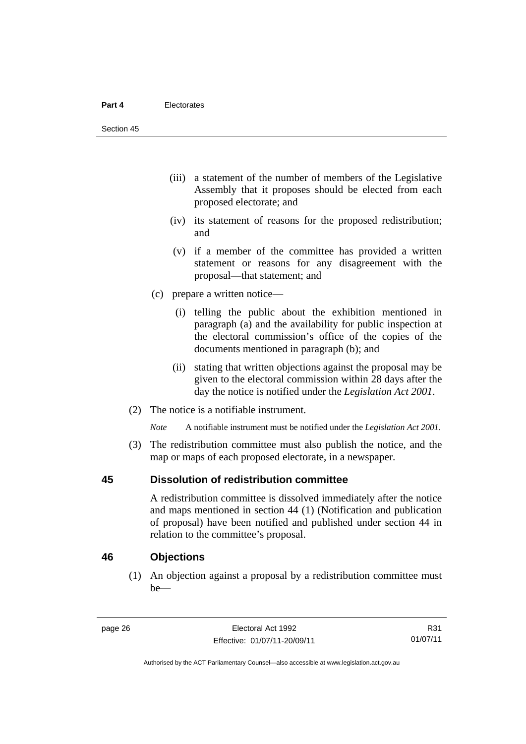- (iii) a statement of the number of members of the Legislative Assembly that it proposes should be elected from each proposed electorate; and
- (iv) its statement of reasons for the proposed redistribution; and
- (v) if a member of the committee has provided a written statement or reasons for any disagreement with the proposal—that statement; and
- (c) prepare a written notice—
	- (i) telling the public about the exhibition mentioned in paragraph (a) and the availability for public inspection at the electoral commission's office of the copies of the documents mentioned in paragraph (b); and
	- (ii) stating that written objections against the proposal may be given to the electoral commission within 28 days after the day the notice is notified under the *Legislation Act 2001*.
- (2) The notice is a notifiable instrument.

*Note* A notifiable instrument must be notified under the *Legislation Act 2001*.

 (3) The redistribution committee must also publish the notice, and the map or maps of each proposed electorate, in a newspaper.

#### **45 Dissolution of redistribution committee**

A redistribution committee is dissolved immediately after the notice and maps mentioned in section 44 (1) (Notification and publication of proposal) have been notified and published under section 44 in relation to the committee's proposal.

#### **46 Objections**

(1) An objection against a proposal by a redistribution committee must be—

R31 01/07/11

Authorised by the ACT Parliamentary Counsel—also accessible at www.legislation.act.gov.au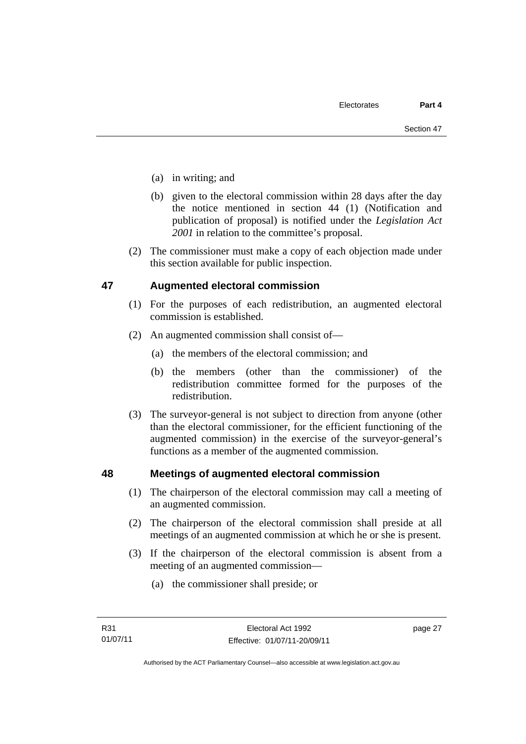- (a) in writing; and
- (b) given to the electoral commission within 28 days after the day the notice mentioned in section 44 (1) (Notification and publication of proposal) is notified under the *Legislation Act 2001* in relation to the committee's proposal.
- (2) The commissioner must make a copy of each objection made under this section available for public inspection.

#### **47 Augmented electoral commission**

- (1) For the purposes of each redistribution, an augmented electoral commission is established.
- (2) An augmented commission shall consist of—
	- (a) the members of the electoral commission; and
	- (b) the members (other than the commissioner) of the redistribution committee formed for the purposes of the redistribution.
- (3) The surveyor-general is not subject to direction from anyone (other than the electoral commissioner, for the efficient functioning of the augmented commission) in the exercise of the surveyor-general's functions as a member of the augmented commission.

#### **48 Meetings of augmented electoral commission**

- (1) The chairperson of the electoral commission may call a meeting of an augmented commission.
- (2) The chairperson of the electoral commission shall preside at all meetings of an augmented commission at which he or she is present.
- (3) If the chairperson of the electoral commission is absent from a meeting of an augmented commission—
	- (a) the commissioner shall preside; or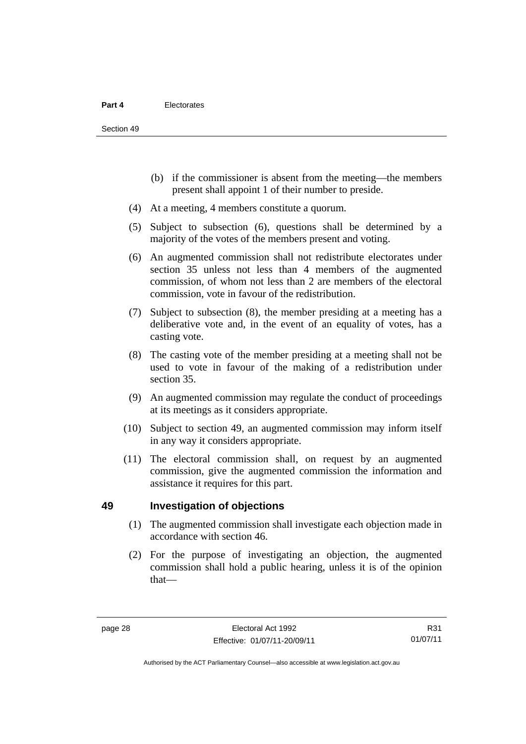- (b) if the commissioner is absent from the meeting—the members present shall appoint 1 of their number to preside.
- (4) At a meeting, 4 members constitute a quorum.
- (5) Subject to subsection (6), questions shall be determined by a majority of the votes of the members present and voting.
- (6) An augmented commission shall not redistribute electorates under section 35 unless not less than 4 members of the augmented commission, of whom not less than 2 are members of the electoral commission, vote in favour of the redistribution.
- (7) Subject to subsection (8), the member presiding at a meeting has a deliberative vote and, in the event of an equality of votes, has a casting vote.
- (8) The casting vote of the member presiding at a meeting shall not be used to vote in favour of the making of a redistribution under section 35.
- (9) An augmented commission may regulate the conduct of proceedings at its meetings as it considers appropriate.
- (10) Subject to section 49, an augmented commission may inform itself in any way it considers appropriate.
- (11) The electoral commission shall, on request by an augmented commission, give the augmented commission the information and assistance it requires for this part.

#### **49 Investigation of objections**

- (1) The augmented commission shall investigate each objection made in accordance with section 46.
- (2) For the purpose of investigating an objection, the augmented commission shall hold a public hearing, unless it is of the opinion that—

R31 01/07/11

Authorised by the ACT Parliamentary Counsel—also accessible at www.legislation.act.gov.au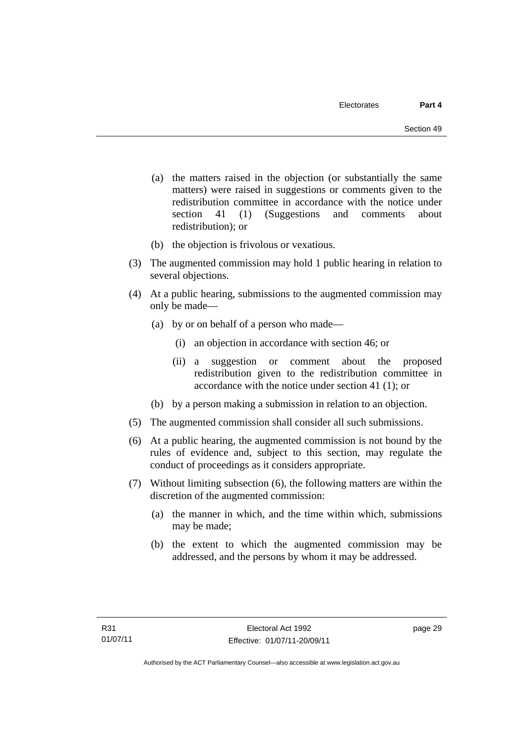- (a) the matters raised in the objection (or substantially the same matters) were raised in suggestions or comments given to the redistribution committee in accordance with the notice under section 41 (1) (Suggestions and comments about redistribution); or
- (b) the objection is frivolous or vexatious.
- (3) The augmented commission may hold 1 public hearing in relation to several objections.
- (4) At a public hearing, submissions to the augmented commission may only be made—
	- (a) by or on behalf of a person who made—
		- (i) an objection in accordance with section 46; or
		- (ii) a suggestion or comment about the proposed redistribution given to the redistribution committee in accordance with the notice under section 41 (1); or
	- (b) by a person making a submission in relation to an objection.
- (5) The augmented commission shall consider all such submissions.
- (6) At a public hearing, the augmented commission is not bound by the rules of evidence and, subject to this section, may regulate the conduct of proceedings as it considers appropriate.
- (7) Without limiting subsection (6), the following matters are within the discretion of the augmented commission:
	- (a) the manner in which, and the time within which, submissions may be made;
	- (b) the extent to which the augmented commission may be addressed, and the persons by whom it may be addressed.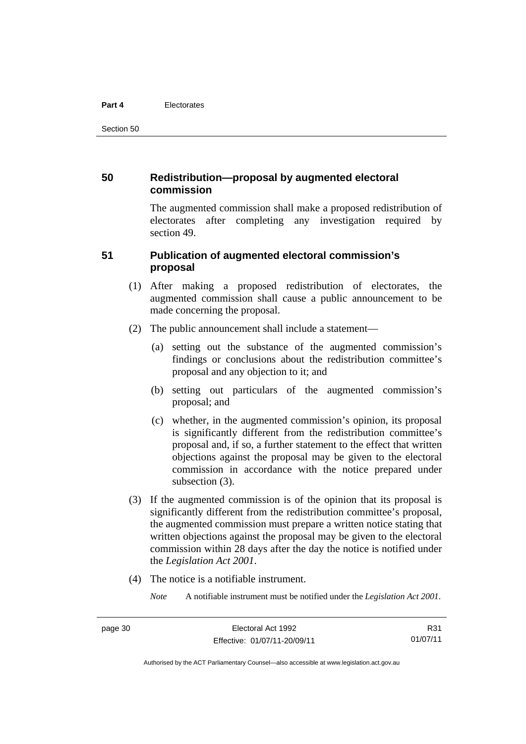#### **Part 4** Electorates

Section 50

#### **50 Redistribution—proposal by augmented electoral commission**

The augmented commission shall make a proposed redistribution of electorates after completing any investigation required by section 49.

#### **51 Publication of augmented electoral commission's proposal**

- (1) After making a proposed redistribution of electorates, the augmented commission shall cause a public announcement to be made concerning the proposal.
- (2) The public announcement shall include a statement—
	- (a) setting out the substance of the augmented commission's findings or conclusions about the redistribution committee's proposal and any objection to it; and
	- (b) setting out particulars of the augmented commission's proposal; and
	- (c) whether, in the augmented commission's opinion, its proposal is significantly different from the redistribution committee's proposal and, if so, a further statement to the effect that written objections against the proposal may be given to the electoral commission in accordance with the notice prepared under subsection  $(3)$ .
- (3) If the augmented commission is of the opinion that its proposal is significantly different from the redistribution committee's proposal, the augmented commission must prepare a written notice stating that written objections against the proposal may be given to the electoral commission within 28 days after the day the notice is notified under the *Legislation Act 2001*.
- (4) The notice is a notifiable instrument.

*Note* A notifiable instrument must be notified under the *Legislation Act 2001*.

Authorised by the ACT Parliamentary Counsel—also accessible at www.legislation.act.gov.au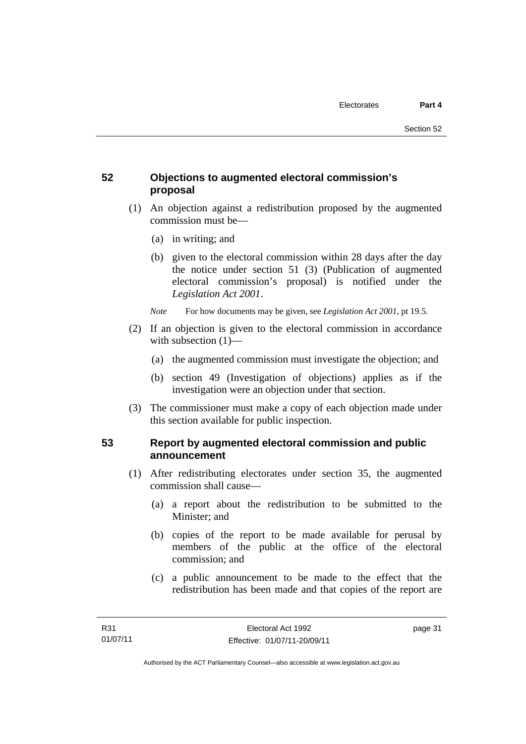# **52 Objections to augmented electoral commission's proposal**

- (1) An objection against a redistribution proposed by the augmented commission must be—
	- (a) in writing; and
	- (b) given to the electoral commission within 28 days after the day the notice under section 51 (3) (Publication of augmented electoral commission's proposal) is notified under the *Legislation Act 2001*.
	- *Note* For how documents may be given, see *Legislation Act 2001*, pt 19.5.
- (2) If an objection is given to the electoral commission in accordance with subsection (1)—
	- (a) the augmented commission must investigate the objection; and
	- (b) section 49 (Investigation of objections) applies as if the investigation were an objection under that section.
- (3) The commissioner must make a copy of each objection made under this section available for public inspection.

# **53 Report by augmented electoral commission and public announcement**

- (1) After redistributing electorates under section 35, the augmented commission shall cause—
	- (a) a report about the redistribution to be submitted to the Minister; and
	- (b) copies of the report to be made available for perusal by members of the public at the office of the electoral commission; and
	- (c) a public announcement to be made to the effect that the redistribution has been made and that copies of the report are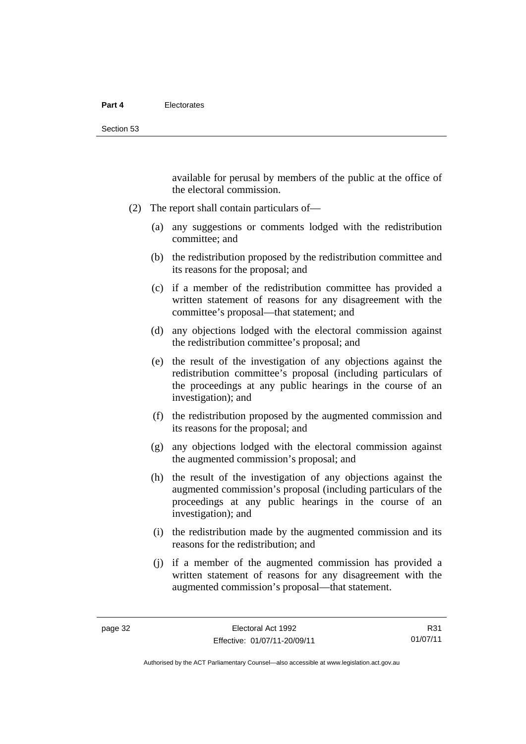available for perusal by members of the public at the office of the electoral commission.

- (2) The report shall contain particulars of—
	- (a) any suggestions or comments lodged with the redistribution committee; and
	- (b) the redistribution proposed by the redistribution committee and its reasons for the proposal; and
	- (c) if a member of the redistribution committee has provided a written statement of reasons for any disagreement with the committee's proposal—that statement; and
	- (d) any objections lodged with the electoral commission against the redistribution committee's proposal; and
	- (e) the result of the investigation of any objections against the redistribution committee's proposal (including particulars of the proceedings at any public hearings in the course of an investigation); and
	- (f) the redistribution proposed by the augmented commission and its reasons for the proposal; and
	- (g) any objections lodged with the electoral commission against the augmented commission's proposal; and
	- (h) the result of the investigation of any objections against the augmented commission's proposal (including particulars of the proceedings at any public hearings in the course of an investigation); and
	- (i) the redistribution made by the augmented commission and its reasons for the redistribution; and
	- (j) if a member of the augmented commission has provided a written statement of reasons for any disagreement with the augmented commission's proposal—that statement.

R31 01/07/11

Authorised by the ACT Parliamentary Counsel—also accessible at www.legislation.act.gov.au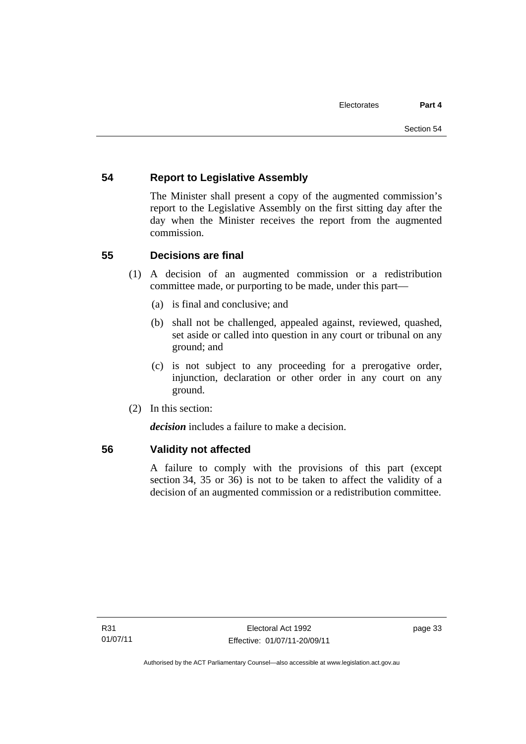# **54 Report to Legislative Assembly**

The Minister shall present a copy of the augmented commission's report to the Legislative Assembly on the first sitting day after the day when the Minister receives the report from the augmented commission.

# **55 Decisions are final**

- (1) A decision of an augmented commission or a redistribution committee made, or purporting to be made, under this part—
	- (a) is final and conclusive; and
	- (b) shall not be challenged, appealed against, reviewed, quashed, set aside or called into question in any court or tribunal on any ground; and
	- (c) is not subject to any proceeding for a prerogative order, injunction, declaration or other order in any court on any ground.
- (2) In this section:

*decision* includes a failure to make a decision.

#### **56 Validity not affected**

A failure to comply with the provisions of this part (except section 34, 35 or 36) is not to be taken to affect the validity of a decision of an augmented commission or a redistribution committee.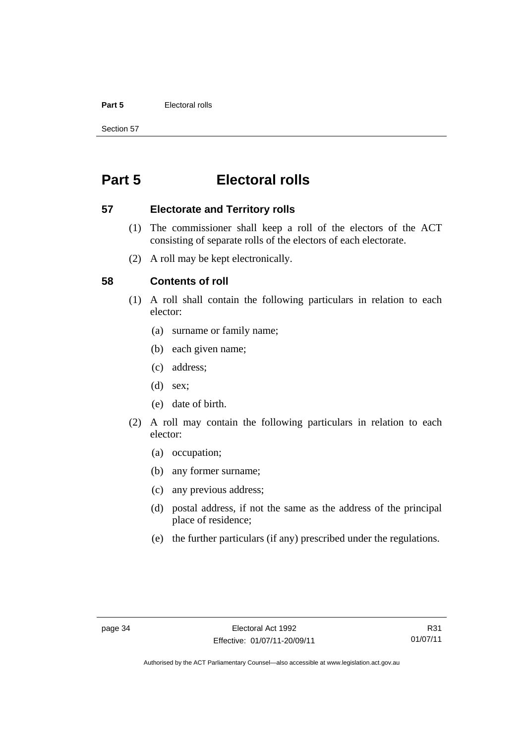#### **Part 5** Electoral rolls

Section 57

# **Part 5 Electoral rolls**

#### **57 Electorate and Territory rolls**

- (1) The commissioner shall keep a roll of the electors of the ACT consisting of separate rolls of the electors of each electorate.
- (2) A roll may be kept electronically.

#### **58 Contents of roll**

- (1) A roll shall contain the following particulars in relation to each elector:
	- (a) surname or family name;
	- (b) each given name;
	- (c) address;
	- (d) sex;
	- (e) date of birth.
- (2) A roll may contain the following particulars in relation to each elector:
	- (a) occupation;
	- (b) any former surname;
	- (c) any previous address;
	- (d) postal address, if not the same as the address of the principal place of residence;
	- (e) the further particulars (if any) prescribed under the regulations.

Authorised by the ACT Parliamentary Counsel—also accessible at www.legislation.act.gov.au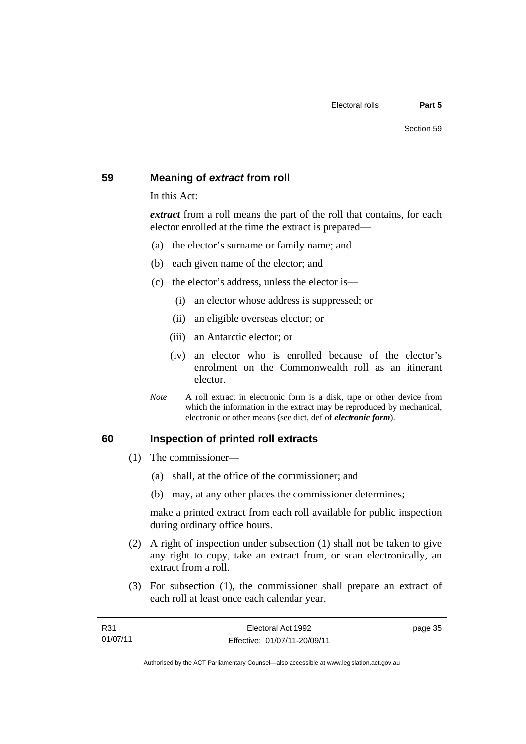#### **59 Meaning of** *extract* **from roll**

In this Act:

*extract* from a roll means the part of the roll that contains, for each elector enrolled at the time the extract is prepared—

- (a) the elector's surname or family name; and
- (b) each given name of the elector; and
- (c) the elector's address, unless the elector is—
	- (i) an elector whose address is suppressed; or
	- (ii) an eligible overseas elector; or
	- (iii) an Antarctic elector; or
	- (iv) an elector who is enrolled because of the elector's enrolment on the Commonwealth roll as an itinerant elector.
- *Note* A roll extract in electronic form is a disk, tape or other device from which the information in the extract may be reproduced by mechanical, electronic or other means (see dict, def of *electronic form*).

#### **60 Inspection of printed roll extracts**

- (1) The commissioner—
	- (a) shall, at the office of the commissioner; and
	- (b) may, at any other places the commissioner determines;

make a printed extract from each roll available for public inspection during ordinary office hours.

- (2) A right of inspection under subsection (1) shall not be taken to give any right to copy, take an extract from, or scan electronically, an extract from a roll.
- (3) For subsection (1), the commissioner shall prepare an extract of each roll at least once each calendar year.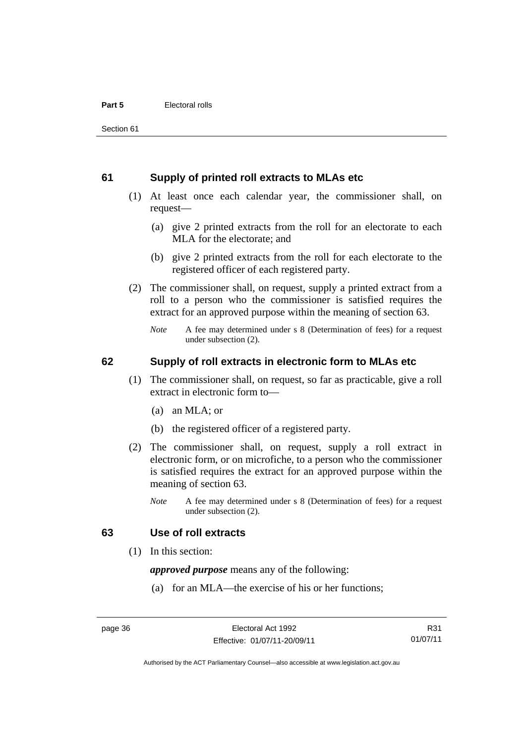#### **61 Supply of printed roll extracts to MLAs etc**

- (1) At least once each calendar year, the commissioner shall, on request—
	- (a) give 2 printed extracts from the roll for an electorate to each MLA for the electorate; and
	- (b) give 2 printed extracts from the roll for each electorate to the registered officer of each registered party.
- (2) The commissioner shall, on request, supply a printed extract from a roll to a person who the commissioner is satisfied requires the extract for an approved purpose within the meaning of section 63.
	- *Note* A fee may determined under s 8 (Determination of fees) for a request under subsection (2).

#### **62 Supply of roll extracts in electronic form to MLAs etc**

- (1) The commissioner shall, on request, so far as practicable, give a roll extract in electronic form to—
	- (a) an MLA; or
	- (b) the registered officer of a registered party.
- (2) The commissioner shall, on request, supply a roll extract in electronic form, or on microfiche, to a person who the commissioner is satisfied requires the extract for an approved purpose within the meaning of section 63.
	- *Note* A fee may determined under s 8 (Determination of fees) for a request under subsection (2).

#### **63 Use of roll extracts**

(1) In this section:

*approved purpose* means any of the following:

(a) for an MLA—the exercise of his or her functions;

R31 01/07/11

Authorised by the ACT Parliamentary Counsel—also accessible at www.legislation.act.gov.au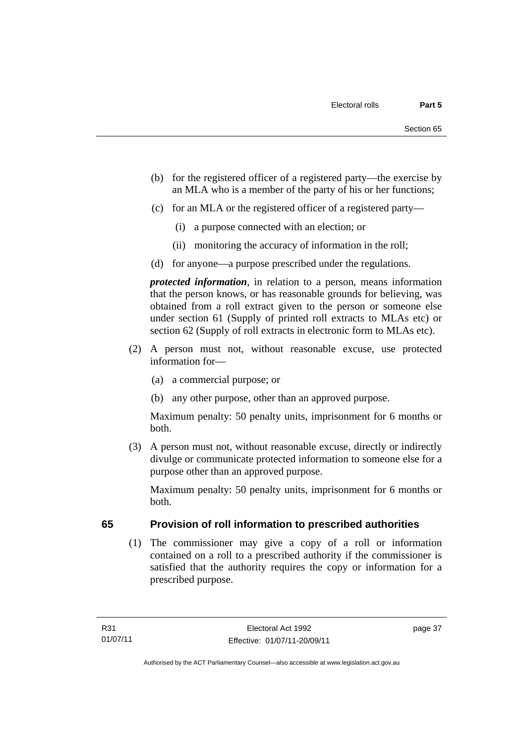- (b) for the registered officer of a registered party—the exercise by an MLA who is a member of the party of his or her functions;
- (c) for an MLA or the registered officer of a registered party—
	- (i) a purpose connected with an election; or
	- (ii) monitoring the accuracy of information in the roll;
- (d) for anyone—a purpose prescribed under the regulations.

*protected information*, in relation to a person, means information that the person knows, or has reasonable grounds for believing, was obtained from a roll extract given to the person or someone else under section 61 (Supply of printed roll extracts to MLAs etc) or section 62 (Supply of roll extracts in electronic form to MLAs etc).

- (2) A person must not, without reasonable excuse, use protected information for—
	- (a) a commercial purpose; or
	- (b) any other purpose, other than an approved purpose.

Maximum penalty: 50 penalty units, imprisonment for 6 months or both.

 (3) A person must not, without reasonable excuse, directly or indirectly divulge or communicate protected information to someone else for a purpose other than an approved purpose.

Maximum penalty: 50 penalty units, imprisonment for 6 months or both.

# **65 Provision of roll information to prescribed authorities**

(1) The commissioner may give a copy of a roll or information contained on a roll to a prescribed authority if the commissioner is satisfied that the authority requires the copy or information for a prescribed purpose.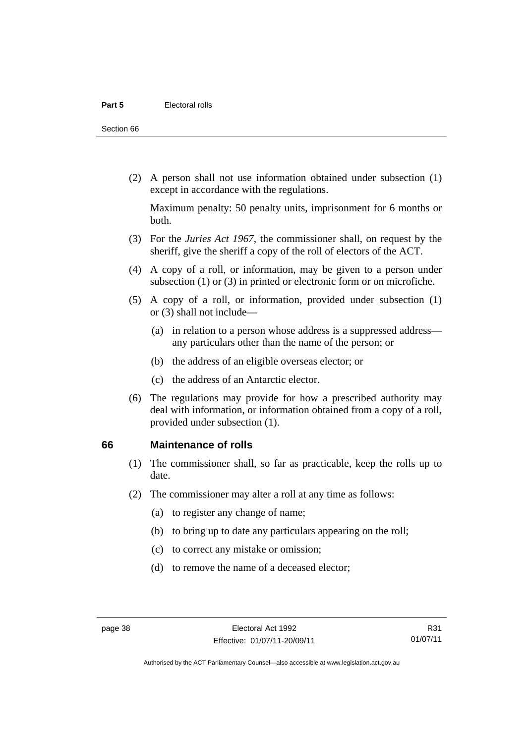Section 66

 (2) A person shall not use information obtained under subsection (1) except in accordance with the regulations.

Maximum penalty: 50 penalty units, imprisonment for 6 months or both.

- (3) For the *Juries Act 1967*, the commissioner shall, on request by the sheriff, give the sheriff a copy of the roll of electors of the ACT.
- (4) A copy of a roll, or information, may be given to a person under subsection (1) or (3) in printed or electronic form or on microfiche.
- (5) A copy of a roll, or information, provided under subsection (1) or (3) shall not include—
	- (a) in relation to a person whose address is a suppressed address any particulars other than the name of the person; or
	- (b) the address of an eligible overseas elector; or
	- (c) the address of an Antarctic elector.
- (6) The regulations may provide for how a prescribed authority may deal with information, or information obtained from a copy of a roll, provided under subsection (1).

#### **66 Maintenance of rolls**

- (1) The commissioner shall, so far as practicable, keep the rolls up to date.
- (2) The commissioner may alter a roll at any time as follows:
	- (a) to register any change of name;
	- (b) to bring up to date any particulars appearing on the roll;
	- (c) to correct any mistake or omission;
	- (d) to remove the name of a deceased elector;

R31 01/07/11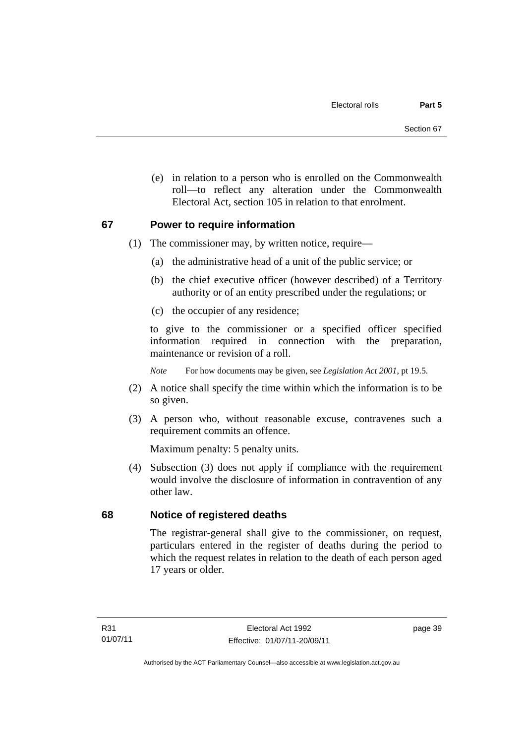(e) in relation to a person who is enrolled on the Commonwealth roll—to reflect any alteration under the Commonwealth Electoral Act, section 105 in relation to that enrolment.

#### **67 Power to require information**

- (1) The commissioner may, by written notice, require—
	- (a) the administrative head of a unit of the public service; or
	- (b) the chief executive officer (however described) of a Territory authority or of an entity prescribed under the regulations; or
	- (c) the occupier of any residence;

to give to the commissioner or a specified officer specified information required in connection with the preparation, maintenance or revision of a roll.

*Note* For how documents may be given, see *Legislation Act 2001*, pt 19.5.

- (2) A notice shall specify the time within which the information is to be so given.
- (3) A person who, without reasonable excuse, contravenes such a requirement commits an offence.

Maximum penalty: 5 penalty units.

 (4) Subsection (3) does not apply if compliance with the requirement would involve the disclosure of information in contravention of any other law.

# **68 Notice of registered deaths**

The registrar-general shall give to the commissioner, on request, particulars entered in the register of deaths during the period to which the request relates in relation to the death of each person aged 17 years or older.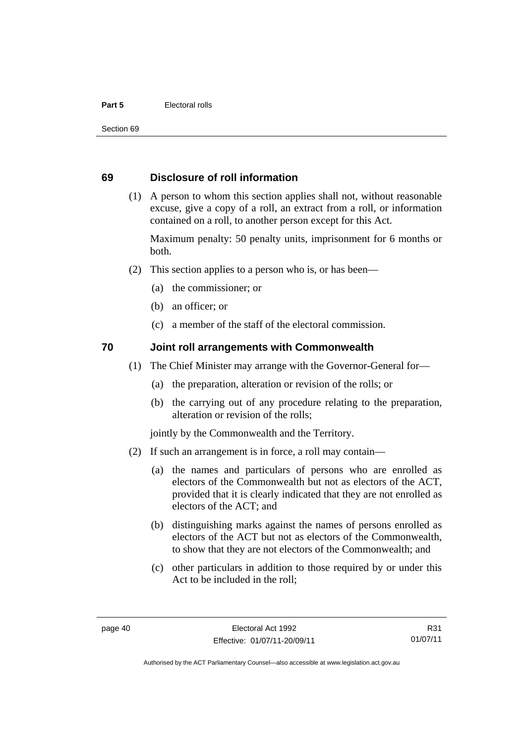#### **Part 5** Electoral rolls

Section 69

#### **69 Disclosure of roll information**

 (1) A person to whom this section applies shall not, without reasonable excuse, give a copy of a roll, an extract from a roll, or information contained on a roll, to another person except for this Act.

Maximum penalty: 50 penalty units, imprisonment for 6 months or both.

- (2) This section applies to a person who is, or has been—
	- (a) the commissioner; or
	- (b) an officer; or
	- (c) a member of the staff of the electoral commission.

#### **70 Joint roll arrangements with Commonwealth**

- (1) The Chief Minister may arrange with the Governor-General for—
	- (a) the preparation, alteration or revision of the rolls; or
	- (b) the carrying out of any procedure relating to the preparation, alteration or revision of the rolls;

jointly by the Commonwealth and the Territory.

- (2) If such an arrangement is in force, a roll may contain—
	- (a) the names and particulars of persons who are enrolled as electors of the Commonwealth but not as electors of the ACT, provided that it is clearly indicated that they are not enrolled as electors of the ACT; and
	- (b) distinguishing marks against the names of persons enrolled as electors of the ACT but not as electors of the Commonwealth, to show that they are not electors of the Commonwealth; and
	- (c) other particulars in addition to those required by or under this Act to be included in the roll;

R31 01/07/11

Authorised by the ACT Parliamentary Counsel—also accessible at www.legislation.act.gov.au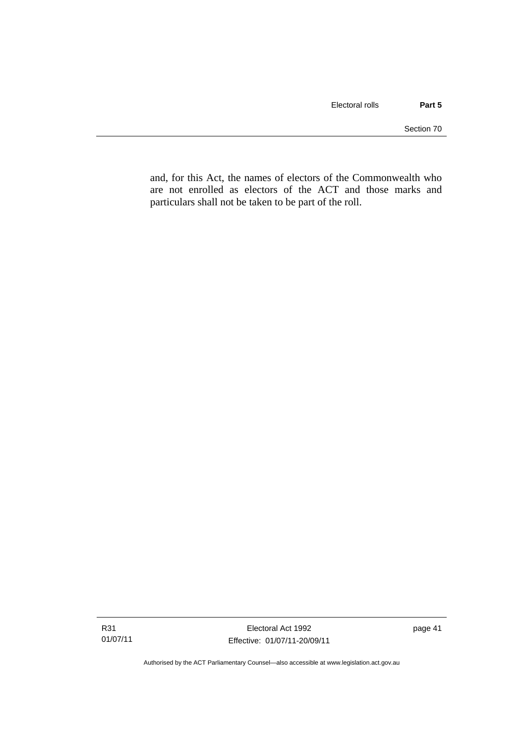and, for this Act, the names of electors of the Commonwealth who are not enrolled as electors of the ACT and those marks and particulars shall not be taken to be part of the roll.

Authorised by the ACT Parliamentary Counsel—also accessible at www.legislation.act.gov.au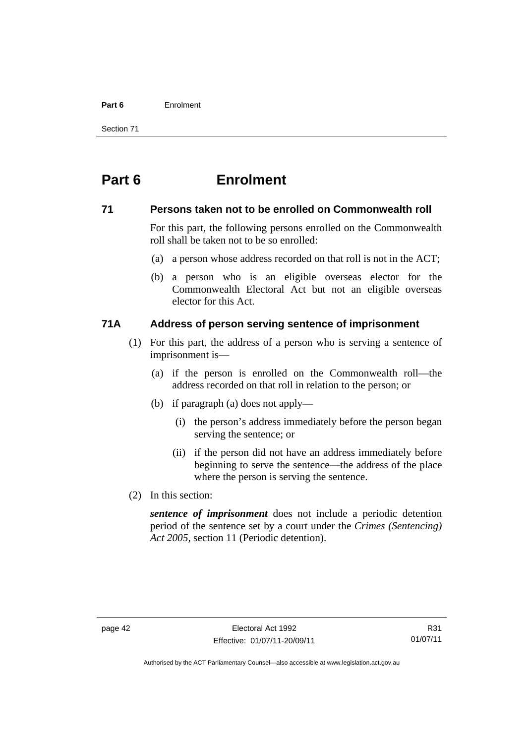#### **Part 6** Enrolment

Section 71

# **Part 6 Enrolment**

#### **71 Persons taken not to be enrolled on Commonwealth roll**

For this part, the following persons enrolled on the Commonwealth roll shall be taken not to be so enrolled:

- (a) a person whose address recorded on that roll is not in the ACT;
- (b) a person who is an eligible overseas elector for the Commonwealth Electoral Act but not an eligible overseas elector for this Act.

# **71A Address of person serving sentence of imprisonment**

- (1) For this part, the address of a person who is serving a sentence of imprisonment is—
	- (a) if the person is enrolled on the Commonwealth roll—the address recorded on that roll in relation to the person; or
	- (b) if paragraph (a) does not apply—
		- (i) the person's address immediately before the person began serving the sentence; or
		- (ii) if the person did not have an address immediately before beginning to serve the sentence—the address of the place where the person is serving the sentence.
- (2) In this section:

*sentence of imprisonment* does not include a periodic detention period of the sentence set by a court under the *Crimes (Sentencing) Act 2005*, section 11 (Periodic detention).

R31 01/07/11

Authorised by the ACT Parliamentary Counsel—also accessible at www.legislation.act.gov.au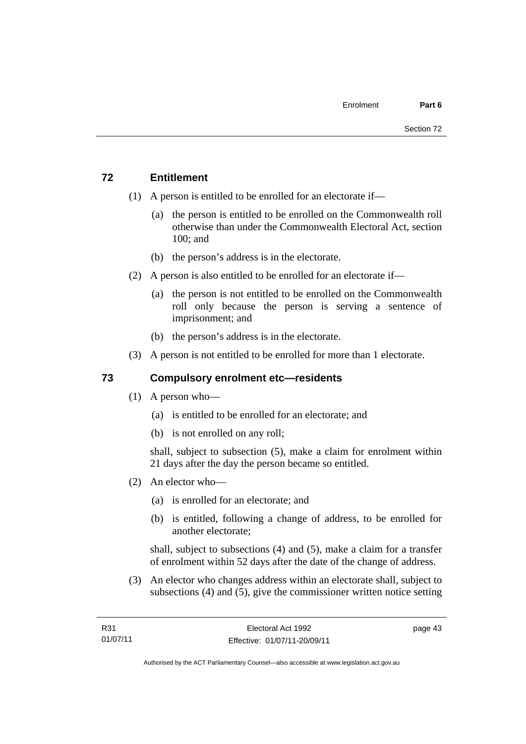# **72 Entitlement**

- (1) A person is entitled to be enrolled for an electorate if—
	- (a) the person is entitled to be enrolled on the Commonwealth roll otherwise than under the Commonwealth Electoral Act, section 100; and
	- (b) the person's address is in the electorate.
- (2) A person is also entitled to be enrolled for an electorate if—
	- (a) the person is not entitled to be enrolled on the Commonwealth roll only because the person is serving a sentence of imprisonment; and
	- (b) the person's address is in the electorate.
- (3) A person is not entitled to be enrolled for more than 1 electorate.

# **73 Compulsory enrolment etc—residents**

- (1) A person who—
	- (a) is entitled to be enrolled for an electorate; and
	- (b) is not enrolled on any roll;

shall, subject to subsection (5), make a claim for enrolment within 21 days after the day the person became so entitled.

- (2) An elector who—
	- (a) is enrolled for an electorate; and
	- (b) is entitled, following a change of address, to be enrolled for another electorate;

shall, subject to subsections (4) and (5), make a claim for a transfer of enrolment within 52 days after the date of the change of address.

 (3) An elector who changes address within an electorate shall, subject to subsections (4) and (5), give the commissioner written notice setting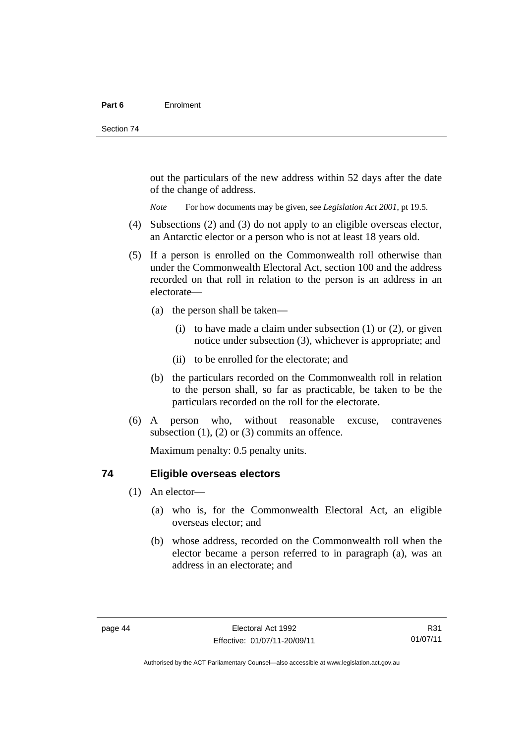out the particulars of the new address within 52 days after the date of the change of address.

*Note* For how documents may be given, see *Legislation Act 2001*, pt 19.5.

- (4) Subsections (2) and (3) do not apply to an eligible overseas elector, an Antarctic elector or a person who is not at least 18 years old.
- (5) If a person is enrolled on the Commonwealth roll otherwise than under the Commonwealth Electoral Act, section 100 and the address recorded on that roll in relation to the person is an address in an electorate—
	- (a) the person shall be taken—
		- (i) to have made a claim under subsection  $(1)$  or  $(2)$ , or given notice under subsection (3), whichever is appropriate; and
		- (ii) to be enrolled for the electorate; and
	- (b) the particulars recorded on the Commonwealth roll in relation to the person shall, so far as practicable, be taken to be the particulars recorded on the roll for the electorate.
- (6) A person who, without reasonable excuse, contravenes subsection  $(1)$ ,  $(2)$  or  $(3)$  commits an offence.

Maximum penalty: 0.5 penalty units.

#### **74 Eligible overseas electors**

- (1) An elector—
	- (a) who is, for the Commonwealth Electoral Act, an eligible overseas elector; and
	- (b) whose address, recorded on the Commonwealth roll when the elector became a person referred to in paragraph (a), was an address in an electorate; and

R31 01/07/11

Authorised by the ACT Parliamentary Counsel—also accessible at www.legislation.act.gov.au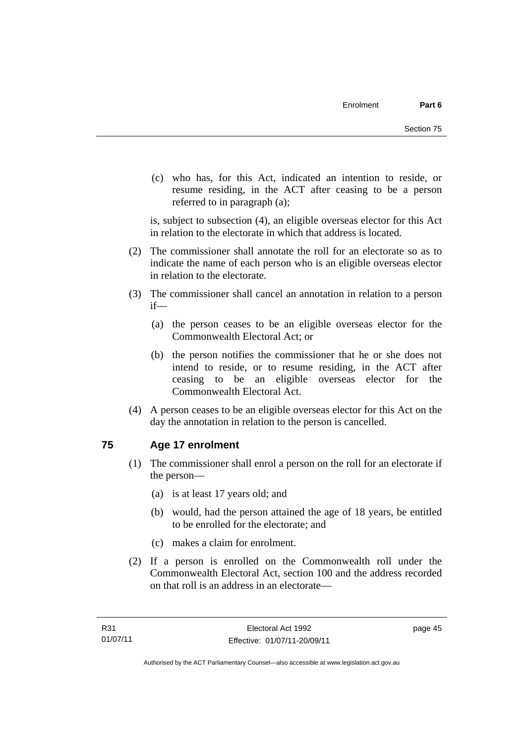(c) who has, for this Act, indicated an intention to reside, or resume residing, in the ACT after ceasing to be a person referred to in paragraph (a);

is, subject to subsection (4), an eligible overseas elector for this Act in relation to the electorate in which that address is located.

- (2) The commissioner shall annotate the roll for an electorate so as to indicate the name of each person who is an eligible overseas elector in relation to the electorate.
- (3) The commissioner shall cancel an annotation in relation to a person if—
	- (a) the person ceases to be an eligible overseas elector for the Commonwealth Electoral Act; or
	- (b) the person notifies the commissioner that he or she does not intend to reside, or to resume residing, in the ACT after ceasing to be an eligible overseas elector for the Commonwealth Electoral Act.
- (4) A person ceases to be an eligible overseas elector for this Act on the day the annotation in relation to the person is cancelled.

# **75 Age 17 enrolment**

- (1) The commissioner shall enrol a person on the roll for an electorate if the person—
	- (a) is at least 17 years old; and
	- (b) would, had the person attained the age of 18 years, be entitled to be enrolled for the electorate; and
	- (c) makes a claim for enrolment.
- (2) If a person is enrolled on the Commonwealth roll under the Commonwealth Electoral Act, section 100 and the address recorded on that roll is an address in an electorate—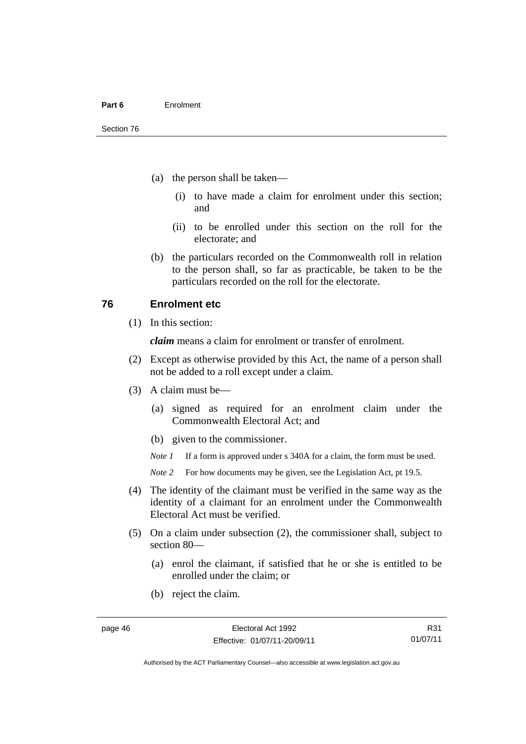- (a) the person shall be taken—
	- (i) to have made a claim for enrolment under this section; and
	- (ii) to be enrolled under this section on the roll for the electorate; and
- (b) the particulars recorded on the Commonwealth roll in relation to the person shall, so far as practicable, be taken to be the particulars recorded on the roll for the electorate.

#### **76 Enrolment etc**

(1) In this section:

*claim* means a claim for enrolment or transfer of enrolment.

- (2) Except as otherwise provided by this Act, the name of a person shall not be added to a roll except under a claim.
- (3) A claim must be—
	- (a) signed as required for an enrolment claim under the Commonwealth Electoral Act; and
	- (b) given to the commissioner.

*Note 1* If a form is approved under s 340A for a claim, the form must be used.

- *Note* 2 For how documents may be given, see the Legislation Act, pt 19.5.
- (4) The identity of the claimant must be verified in the same way as the identity of a claimant for an enrolment under the Commonwealth Electoral Act must be verified.
- (5) On a claim under subsection (2), the commissioner shall, subject to section 80—
	- (a) enrol the claimant, if satisfied that he or she is entitled to be enrolled under the claim; or
	- (b) reject the claim.

R31 01/07/11

Authorised by the ACT Parliamentary Counsel—also accessible at www.legislation.act.gov.au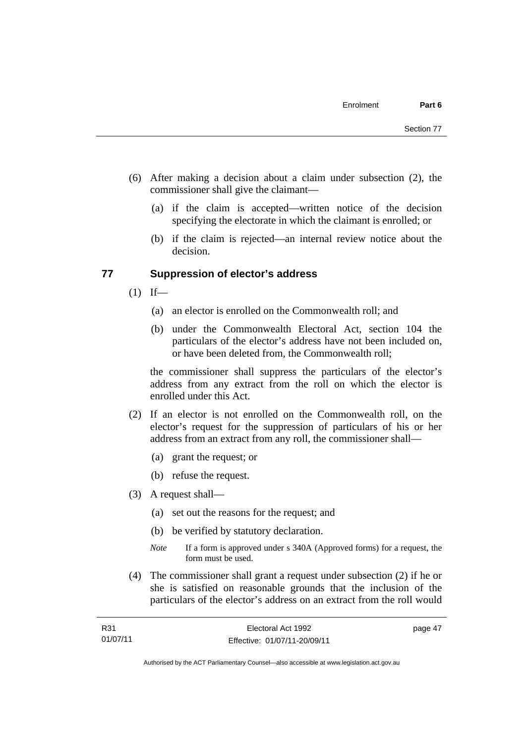- (6) After making a decision about a claim under subsection (2), the commissioner shall give the claimant—
	- (a) if the claim is accepted—written notice of the decision specifying the electorate in which the claimant is enrolled; or
	- (b) if the claim is rejected—an internal review notice about the decision.

#### **77 Suppression of elector's address**

- $(1)$  If—
	- (a) an elector is enrolled on the Commonwealth roll; and
	- (b) under the Commonwealth Electoral Act, section 104 the particulars of the elector's address have not been included on, or have been deleted from, the Commonwealth roll;

the commissioner shall suppress the particulars of the elector's address from any extract from the roll on which the elector is enrolled under this Act.

- (2) If an elector is not enrolled on the Commonwealth roll, on the elector's request for the suppression of particulars of his or her address from an extract from any roll, the commissioner shall—
	- (a) grant the request; or
	- (b) refuse the request.
- (3) A request shall—
	- (a) set out the reasons for the request; and
	- (b) be verified by statutory declaration.
	- *Note* If a form is approved under s 340A (Approved forms) for a request, the form must be used.
- (4) The commissioner shall grant a request under subsection (2) if he or she is satisfied on reasonable grounds that the inclusion of the particulars of the elector's address on an extract from the roll would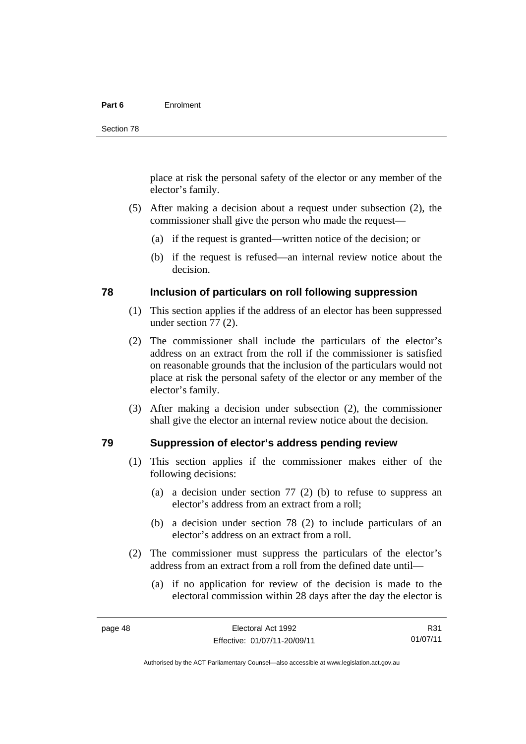#### **Part 6** Enrolment

place at risk the personal safety of the elector or any member of the elector's family.

- (5) After making a decision about a request under subsection (2), the commissioner shall give the person who made the request—
	- (a) if the request is granted—written notice of the decision; or
	- (b) if the request is refused—an internal review notice about the decision.

#### **78 Inclusion of particulars on roll following suppression**

- (1) This section applies if the address of an elector has been suppressed under section 77 (2).
- (2) The commissioner shall include the particulars of the elector's address on an extract from the roll if the commissioner is satisfied on reasonable grounds that the inclusion of the particulars would not place at risk the personal safety of the elector or any member of the elector's family.
- (3) After making a decision under subsection (2), the commissioner shall give the elector an internal review notice about the decision.

#### **79 Suppression of elector's address pending review**

- (1) This section applies if the commissioner makes either of the following decisions:
	- (a) a decision under section 77 (2) (b) to refuse to suppress an elector's address from an extract from a roll;
	- (b) a decision under section 78 (2) to include particulars of an elector's address on an extract from a roll.
- (2) The commissioner must suppress the particulars of the elector's address from an extract from a roll from the defined date until—
	- (a) if no application for review of the decision is made to the electoral commission within 28 days after the day the elector is

R31 01/07/11

Authorised by the ACT Parliamentary Counsel—also accessible at www.legislation.act.gov.au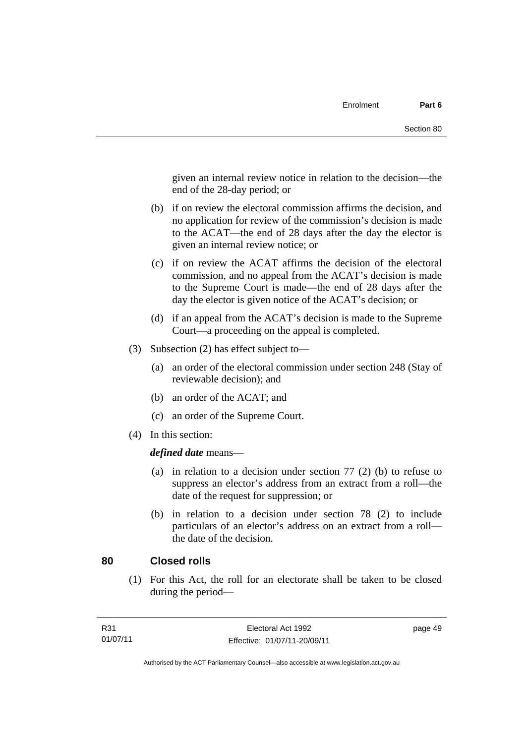given an internal review notice in relation to the decision—the end of the 28-day period; or

- (b) if on review the electoral commission affirms the decision, and no application for review of the commission's decision is made to the ACAT—the end of 28 days after the day the elector is given an internal review notice; or
- (c) if on review the ACAT affirms the decision of the electoral commission, and no appeal from the ACAT's decision is made to the Supreme Court is made—the end of 28 days after the day the elector is given notice of the ACAT's decision; or
- (d) if an appeal from the ACAT's decision is made to the Supreme Court—a proceeding on the appeal is completed.
- (3) Subsection (2) has effect subject to—
	- (a) an order of the electoral commission under section 248 (Stay of reviewable decision); and
	- (b) an order of the ACAT; and
	- (c) an order of the Supreme Court.
- (4) In this section:

*defined date* means—

- (a) in relation to a decision under section 77 (2) (b) to refuse to suppress an elector's address from an extract from a roll—the date of the request for suppression; or
- (b) in relation to a decision under section 78 (2) to include particulars of an elector's address on an extract from a roll the date of the decision.

#### **80 Closed rolls**

(1) For this Act, the roll for an electorate shall be taken to be closed during the period—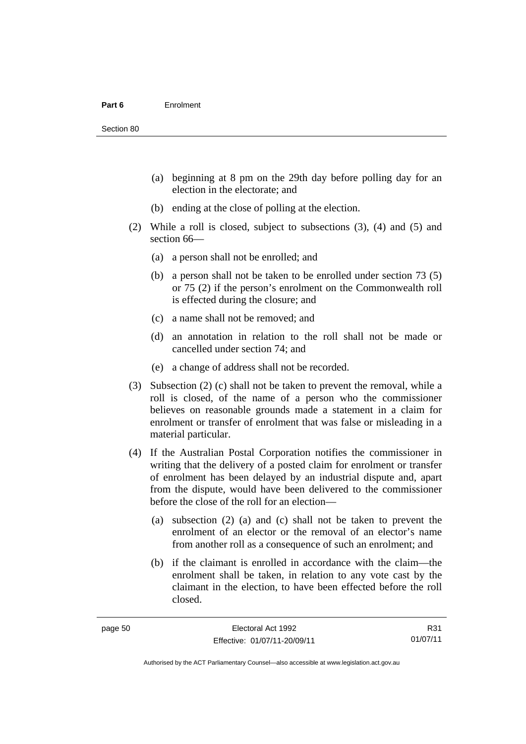- (a) beginning at 8 pm on the 29th day before polling day for an election in the electorate; and
- (b) ending at the close of polling at the election.
- (2) While a roll is closed, subject to subsections (3), (4) and (5) and section 66—
	- (a) a person shall not be enrolled; and
	- (b) a person shall not be taken to be enrolled under section 73 (5) or 75 (2) if the person's enrolment on the Commonwealth roll is effected during the closure; and
	- (c) a name shall not be removed; and
	- (d) an annotation in relation to the roll shall not be made or cancelled under section 74; and
	- (e) a change of address shall not be recorded.
- (3) Subsection (2) (c) shall not be taken to prevent the removal, while a roll is closed, of the name of a person who the commissioner believes on reasonable grounds made a statement in a claim for enrolment or transfer of enrolment that was false or misleading in a material particular.
- (4) If the Australian Postal Corporation notifies the commissioner in writing that the delivery of a posted claim for enrolment or transfer of enrolment has been delayed by an industrial dispute and, apart from the dispute, would have been delivered to the commissioner before the close of the roll for an election—
	- (a) subsection (2) (a) and (c) shall not be taken to prevent the enrolment of an elector or the removal of an elector's name from another roll as a consequence of such an enrolment; and
	- (b) if the claimant is enrolled in accordance with the claim—the enrolment shall be taken, in relation to any vote cast by the claimant in the election, to have been effected before the roll closed.

R31 01/07/11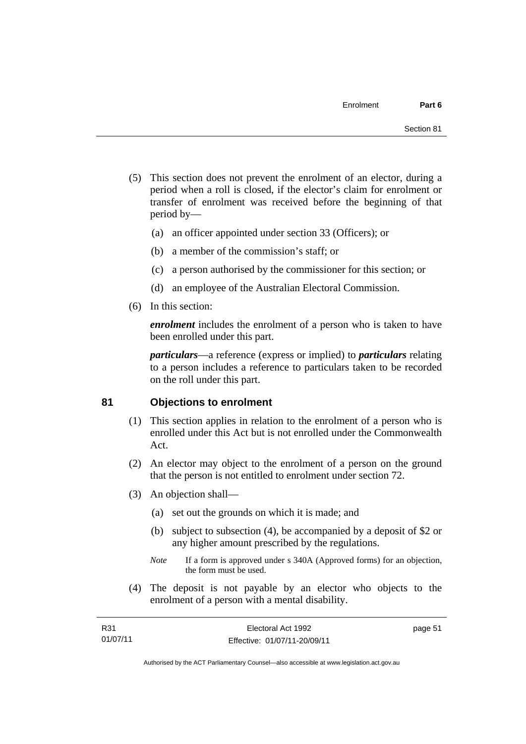- (5) This section does not prevent the enrolment of an elector, during a period when a roll is closed, if the elector's claim for enrolment or transfer of enrolment was received before the beginning of that period by—
	- (a) an officer appointed under section 33 (Officers); or
	- (b) a member of the commission's staff; or
	- (c) a person authorised by the commissioner for this section; or
	- (d) an employee of the Australian Electoral Commission.
- (6) In this section:

*enrolment* includes the enrolment of a person who is taken to have been enrolled under this part.

*particulars*—a reference (express or implied) to *particulars* relating to a person includes a reference to particulars taken to be recorded on the roll under this part.

#### **81 Objections to enrolment**

- (1) This section applies in relation to the enrolment of a person who is enrolled under this Act but is not enrolled under the Commonwealth Act.
- (2) An elector may object to the enrolment of a person on the ground that the person is not entitled to enrolment under section 72.
- (3) An objection shall—
	- (a) set out the grounds on which it is made; and
	- (b) subject to subsection (4), be accompanied by a deposit of \$2 or any higher amount prescribed by the regulations.
	- *Note* If a form is approved under s 340A (Approved forms) for an objection, the form must be used.
- (4) The deposit is not payable by an elector who objects to the enrolment of a person with a mental disability.

| R31      | Electoral Act 1992           | page 51 |
|----------|------------------------------|---------|
| 01/07/11 | Effective: 01/07/11-20/09/11 |         |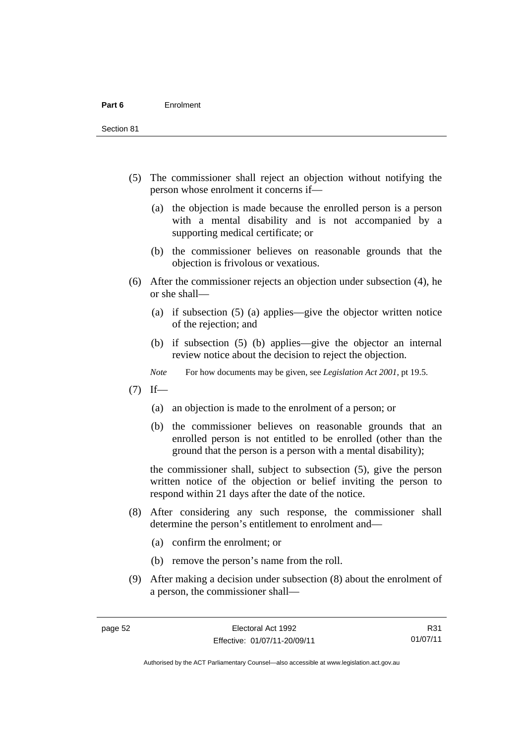Section 81

- (5) The commissioner shall reject an objection without notifying the person whose enrolment it concerns if—
	- (a) the objection is made because the enrolled person is a person with a mental disability and is not accompanied by a supporting medical certificate; or
	- (b) the commissioner believes on reasonable grounds that the objection is frivolous or vexatious.
- (6) After the commissioner rejects an objection under subsection (4), he or she shall—
	- (a) if subsection (5) (a) applies—give the objector written notice of the rejection; and
	- (b) if subsection (5) (b) applies—give the objector an internal review notice about the decision to reject the objection.
	- *Note* For how documents may be given, see *Legislation Act 2001*, pt 19.5.
- $(7)$  If—
	- (a) an objection is made to the enrolment of a person; or
	- (b) the commissioner believes on reasonable grounds that an enrolled person is not entitled to be enrolled (other than the ground that the person is a person with a mental disability);

the commissioner shall, subject to subsection (5), give the person written notice of the objection or belief inviting the person to respond within 21 days after the date of the notice.

- (8) After considering any such response, the commissioner shall determine the person's entitlement to enrolment and—
	- (a) confirm the enrolment; or
	- (b) remove the person's name from the roll.
- (9) After making a decision under subsection (8) about the enrolment of a person, the commissioner shall—

R31 01/07/11

Authorised by the ACT Parliamentary Counsel—also accessible at www.legislation.act.gov.au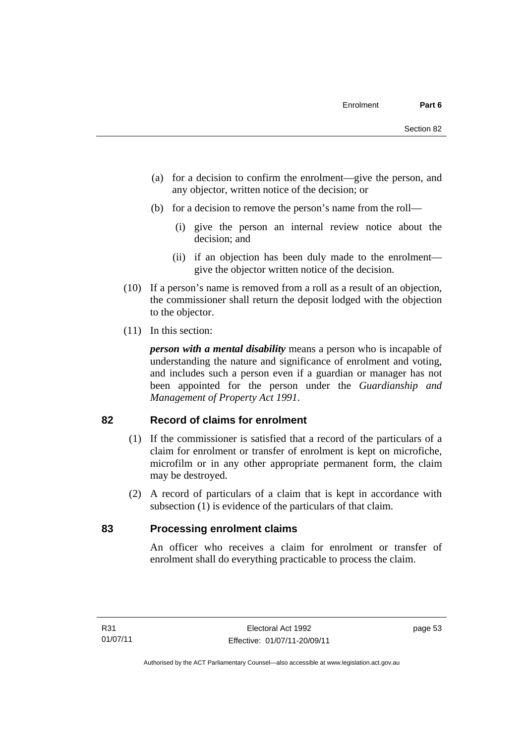- (a) for a decision to confirm the enrolment—give the person, and any objector, written notice of the decision; or
- (b) for a decision to remove the person's name from the roll—
	- (i) give the person an internal review notice about the decision; and
	- (ii) if an objection has been duly made to the enrolment give the objector written notice of the decision.
- (10) If a person's name is removed from a roll as a result of an objection, the commissioner shall return the deposit lodged with the objection to the objector.
- (11) In this section:

*person with a mental disability* means a person who is incapable of understanding the nature and significance of enrolment and voting, and includes such a person even if a guardian or manager has not been appointed for the person under the *Guardianship and Management of Property Act 1991*.

#### **82 Record of claims for enrolment**

- (1) If the commissioner is satisfied that a record of the particulars of a claim for enrolment or transfer of enrolment is kept on microfiche, microfilm or in any other appropriate permanent form, the claim may be destroyed.
- (2) A record of particulars of a claim that is kept in accordance with subsection (1) is evidence of the particulars of that claim.

#### **83 Processing enrolment claims**

An officer who receives a claim for enrolment or transfer of enrolment shall do everything practicable to process the claim.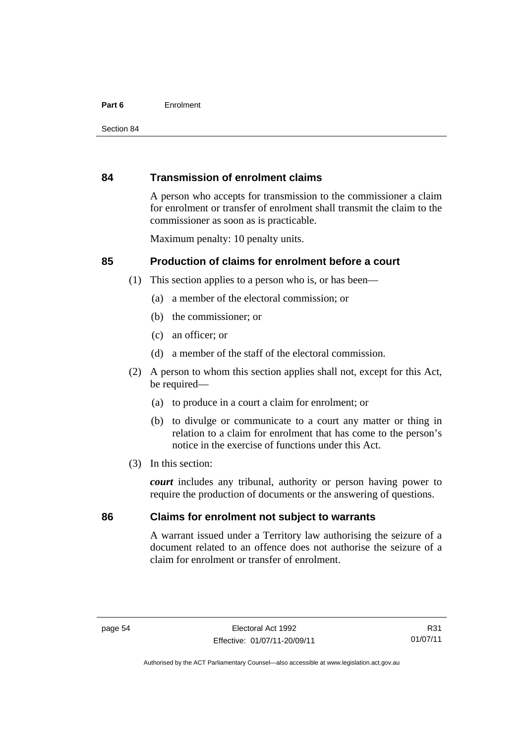#### **Part 6** Enrolment

#### **84 Transmission of enrolment claims**

A person who accepts for transmission to the commissioner a claim for enrolment or transfer of enrolment shall transmit the claim to the commissioner as soon as is practicable.

Maximum penalty: 10 penalty units.

#### **85 Production of claims for enrolment before a court**

- (1) This section applies to a person who is, or has been—
	- (a) a member of the electoral commission; or
	- (b) the commissioner; or
	- (c) an officer; or
	- (d) a member of the staff of the electoral commission.
- (2) A person to whom this section applies shall not, except for this Act, be required-
	- (a) to produce in a court a claim for enrolment; or
	- (b) to divulge or communicate to a court any matter or thing in relation to a claim for enrolment that has come to the person's notice in the exercise of functions under this Act.
- (3) In this section:

*court* includes any tribunal, authority or person having power to require the production of documents or the answering of questions.

#### **86 Claims for enrolment not subject to warrants**

A warrant issued under a Territory law authorising the seizure of a document related to an offence does not authorise the seizure of a claim for enrolment or transfer of enrolment.

R31 01/07/11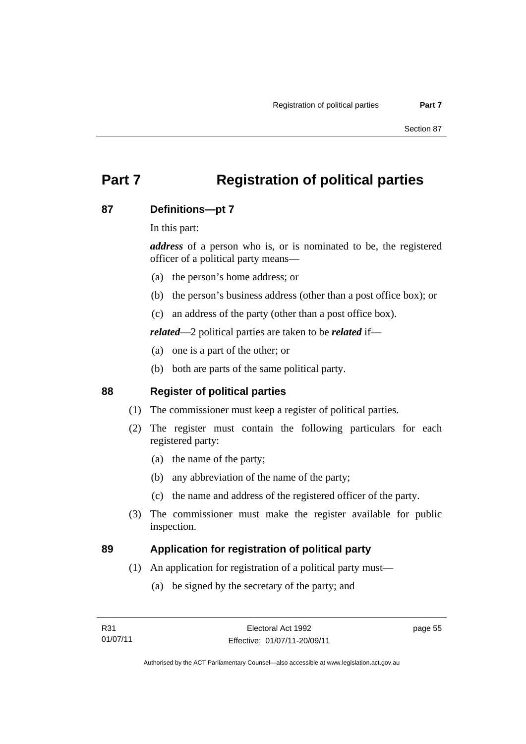# **Part 7 Registration of political parties**

## **87 Definitions—pt 7**

In this part:

*address* of a person who is, or is nominated to be, the registered officer of a political party means—

- (a) the person's home address; or
- (b) the person's business address (other than a post office box); or
- (c) an address of the party (other than a post office box).

*related*—2 political parties are taken to be *related* if—

- (a) one is a part of the other; or
- (b) both are parts of the same political party.

## **88 Register of political parties**

- (1) The commissioner must keep a register of political parties.
- (2) The register must contain the following particulars for each registered party:
	- (a) the name of the party;
	- (b) any abbreviation of the name of the party;
	- (c) the name and address of the registered officer of the party.
- (3) The commissioner must make the register available for public inspection.

#### **89 Application for registration of political party**

- (1) An application for registration of a political party must—
	- (a) be signed by the secretary of the party; and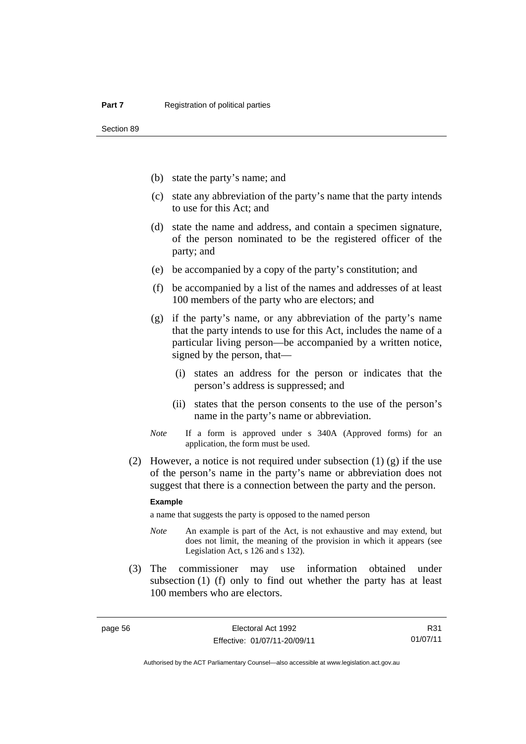Section 89

- (b) state the party's name; and
- (c) state any abbreviation of the party's name that the party intends to use for this Act; and
- (d) state the name and address, and contain a specimen signature, of the person nominated to be the registered officer of the party; and
- (e) be accompanied by a copy of the party's constitution; and
- (f) be accompanied by a list of the names and addresses of at least 100 members of the party who are electors; and
- (g) if the party's name, or any abbreviation of the party's name that the party intends to use for this Act, includes the name of a particular living person—be accompanied by a written notice, signed by the person, that—
	- (i) states an address for the person or indicates that the person's address is suppressed; and
	- (ii) states that the person consents to the use of the person's name in the party's name or abbreviation.
- *Note* If a form is approved under s 340A (Approved forms) for an application, the form must be used.
- (2) However, a notice is not required under subsection  $(1)$  (g) if the use of the person's name in the party's name or abbreviation does not suggest that there is a connection between the party and the person.

#### **Example**

a name that suggests the party is opposed to the named person

- *Note* An example is part of the Act, is not exhaustive and may extend, but does not limit, the meaning of the provision in which it appears (see Legislation Act, s 126 and s 132).
- (3) The commissioner may use information obtained under subsection (1) (f) only to find out whether the party has at least 100 members who are electors.

R31 01/07/11

Authorised by the ACT Parliamentary Counsel—also accessible at www.legislation.act.gov.au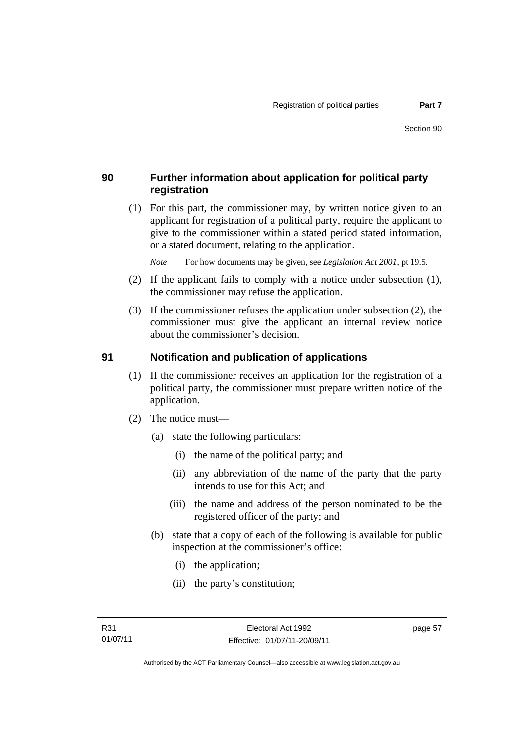## **90 Further information about application for political party registration**

 (1) For this part, the commissioner may, by written notice given to an applicant for registration of a political party, require the applicant to give to the commissioner within a stated period stated information, or a stated document, relating to the application.

*Note* For how documents may be given, see *Legislation Act 2001*, pt 19.5.

- (2) If the applicant fails to comply with a notice under subsection (1), the commissioner may refuse the application.
- (3) If the commissioner refuses the application under subsection (2), the commissioner must give the applicant an internal review notice about the commissioner's decision.

#### **91 Notification and publication of applications**

- (1) If the commissioner receives an application for the registration of a political party, the commissioner must prepare written notice of the application.
- (2) The notice must—
	- (a) state the following particulars:
		- (i) the name of the political party; and
		- (ii) any abbreviation of the name of the party that the party intends to use for this Act; and
		- (iii) the name and address of the person nominated to be the registered officer of the party; and
	- (b) state that a copy of each of the following is available for public inspection at the commissioner's office:
		- (i) the application;
		- (ii) the party's constitution;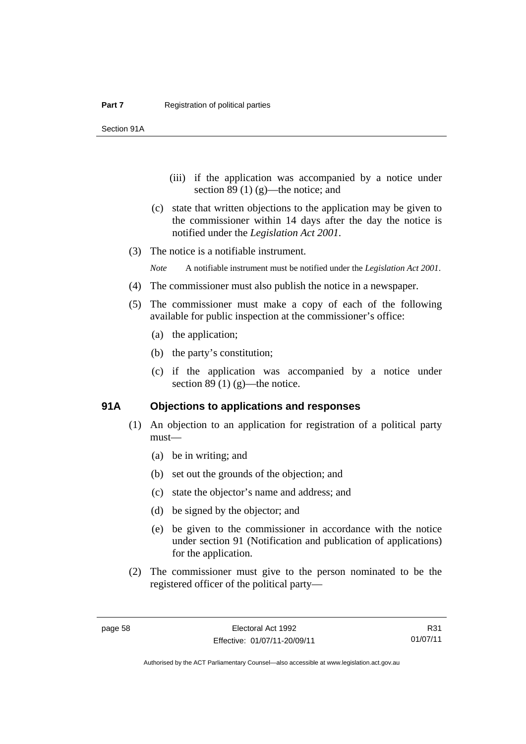Section 91A

- (iii) if the application was accompanied by a notice under section 89 $(1)$  $(g)$ —the notice; and
- (c) state that written objections to the application may be given to the commissioner within 14 days after the day the notice is notified under the *Legislation Act 2001*.
- (3) The notice is a notifiable instrument.

*Note* A notifiable instrument must be notified under the *Legislation Act 2001*.

- (4) The commissioner must also publish the notice in a newspaper.
- (5) The commissioner must make a copy of each of the following available for public inspection at the commissioner's office:
	- (a) the application;
	- (b) the party's constitution;
	- (c) if the application was accompanied by a notice under section 89 (1)  $(g)$ —the notice.

#### **91A Objections to applications and responses**

- (1) An objection to an application for registration of a political party must—
	- (a) be in writing; and
	- (b) set out the grounds of the objection; and
	- (c) state the objector's name and address; and
	- (d) be signed by the objector; and
	- (e) be given to the commissioner in accordance with the notice under section 91 (Notification and publication of applications) for the application.
- (2) The commissioner must give to the person nominated to be the registered officer of the political party—

R31 01/07/11

Authorised by the ACT Parliamentary Counsel—also accessible at www.legislation.act.gov.au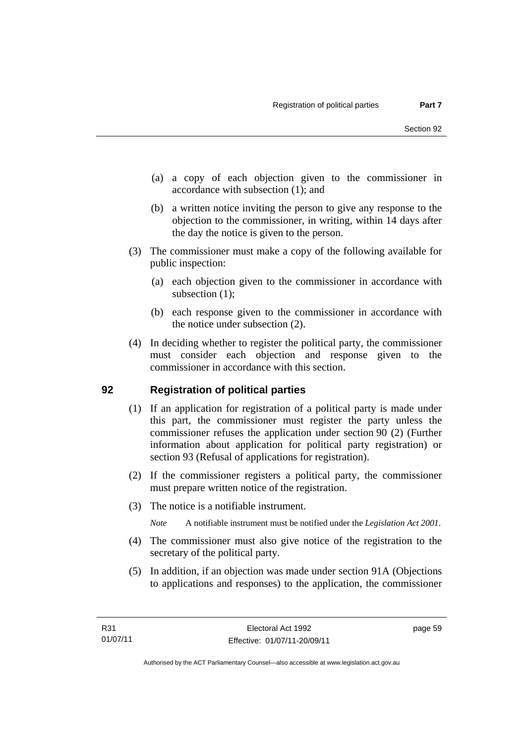- (a) a copy of each objection given to the commissioner in accordance with subsection (1); and
- (b) a written notice inviting the person to give any response to the objection to the commissioner, in writing, within 14 days after the day the notice is given to the person.
- (3) The commissioner must make a copy of the following available for public inspection:
	- (a) each objection given to the commissioner in accordance with subsection  $(1)$ ;
	- (b) each response given to the commissioner in accordance with the notice under subsection (2).
- (4) In deciding whether to register the political party, the commissioner must consider each objection and response given to the commissioner in accordance with this section.

## **92 Registration of political parties**

- (1) If an application for registration of a political party is made under this part, the commissioner must register the party unless the commissioner refuses the application under section 90 (2) (Further information about application for political party registration) or section 93 (Refusal of applications for registration).
- (2) If the commissioner registers a political party, the commissioner must prepare written notice of the registration.
- (3) The notice is a notifiable instrument.

*Note* A notifiable instrument must be notified under the *Legislation Act 2001*.

- (4) The commissioner must also give notice of the registration to the secretary of the political party.
- (5) In addition, if an objection was made under section 91A (Objections to applications and responses) to the application, the commissioner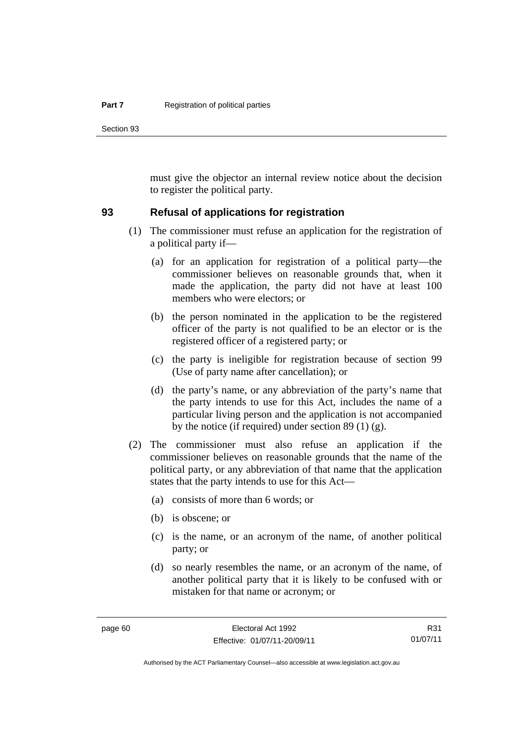Section 93

must give the objector an internal review notice about the decision to register the political party.

#### **93 Refusal of applications for registration**

- (1) The commissioner must refuse an application for the registration of a political party if—
	- (a) for an application for registration of a political party—the commissioner believes on reasonable grounds that, when it made the application, the party did not have at least 100 members who were electors; or
	- (b) the person nominated in the application to be the registered officer of the party is not qualified to be an elector or is the registered officer of a registered party; or
	- (c) the party is ineligible for registration because of section 99 (Use of party name after cancellation); or
	- (d) the party's name, or any abbreviation of the party's name that the party intends to use for this Act, includes the name of a particular living person and the application is not accompanied by the notice (if required) under section 89 (1) (g).
- (2) The commissioner must also refuse an application if the commissioner believes on reasonable grounds that the name of the political party, or any abbreviation of that name that the application states that the party intends to use for this Act—
	- (a) consists of more than 6 words; or
	- (b) is obscene; or
	- (c) is the name, or an acronym of the name, of another political party; or
	- (d) so nearly resembles the name, or an acronym of the name, of another political party that it is likely to be confused with or mistaken for that name or acronym; or

R31 01/07/11

Authorised by the ACT Parliamentary Counsel—also accessible at www.legislation.act.gov.au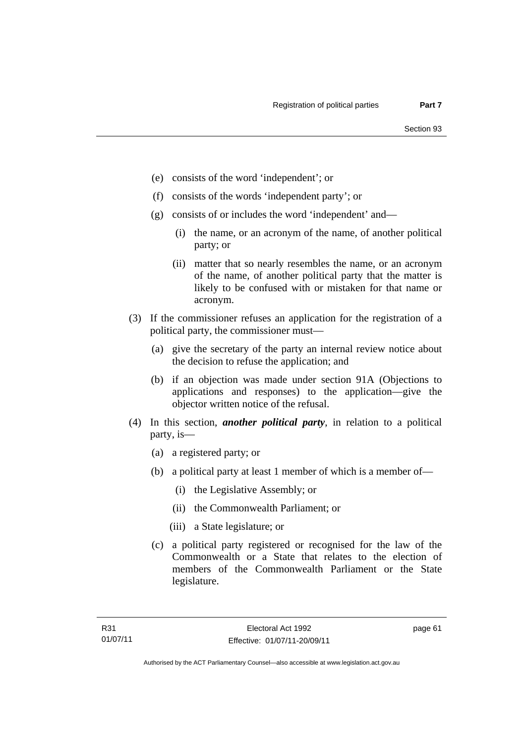- (e) consists of the word 'independent'; or
- (f) consists of the words 'independent party'; or
- (g) consists of or includes the word 'independent' and—
	- (i) the name, or an acronym of the name, of another political party; or
	- (ii) matter that so nearly resembles the name, or an acronym of the name, of another political party that the matter is likely to be confused with or mistaken for that name or acronym.
- (3) If the commissioner refuses an application for the registration of a political party, the commissioner must—
	- (a) give the secretary of the party an internal review notice about the decision to refuse the application; and
	- (b) if an objection was made under section 91A (Objections to applications and responses) to the application—give the objector written notice of the refusal.
- (4) In this section, *another political party*, in relation to a political party, is—
	- (a) a registered party; or
	- (b) a political party at least 1 member of which is a member of—
		- (i) the Legislative Assembly; or
		- (ii) the Commonwealth Parliament; or
		- (iii) a State legislature; or
	- (c) a political party registered or recognised for the law of the Commonwealth or a State that relates to the election of members of the Commonwealth Parliament or the State legislature.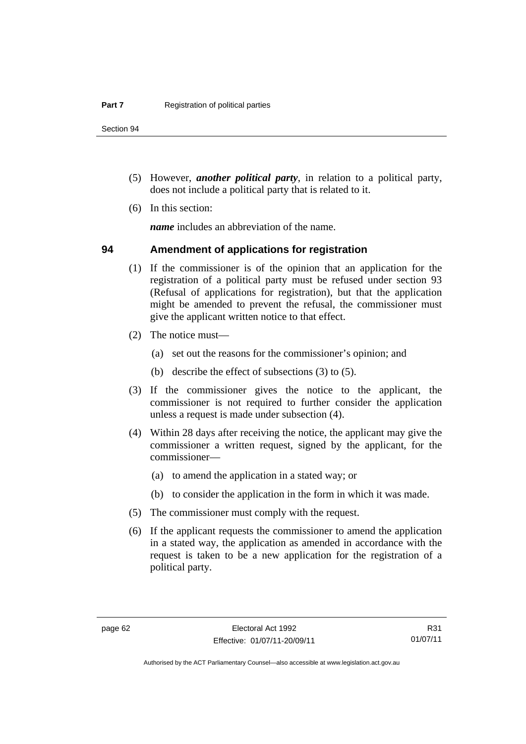Section 94

- (5) However, *another political party*, in relation to a political party, does not include a political party that is related to it.
- (6) In this section:

*name* includes an abbreviation of the name.

### **94 Amendment of applications for registration**

- (1) If the commissioner is of the opinion that an application for the registration of a political party must be refused under section 93 (Refusal of applications for registration), but that the application might be amended to prevent the refusal, the commissioner must give the applicant written notice to that effect.
- (2) The notice must—
	- (a) set out the reasons for the commissioner's opinion; and
	- (b) describe the effect of subsections (3) to (5).
- (3) If the commissioner gives the notice to the applicant, the commissioner is not required to further consider the application unless a request is made under subsection (4).
- (4) Within 28 days after receiving the notice, the applicant may give the commissioner a written request, signed by the applicant, for the commissioner—
	- (a) to amend the application in a stated way; or
	- (b) to consider the application in the form in which it was made.
- (5) The commissioner must comply with the request.
- (6) If the applicant requests the commissioner to amend the application in a stated way, the application as amended in accordance with the request is taken to be a new application for the registration of a political party.

R31 01/07/11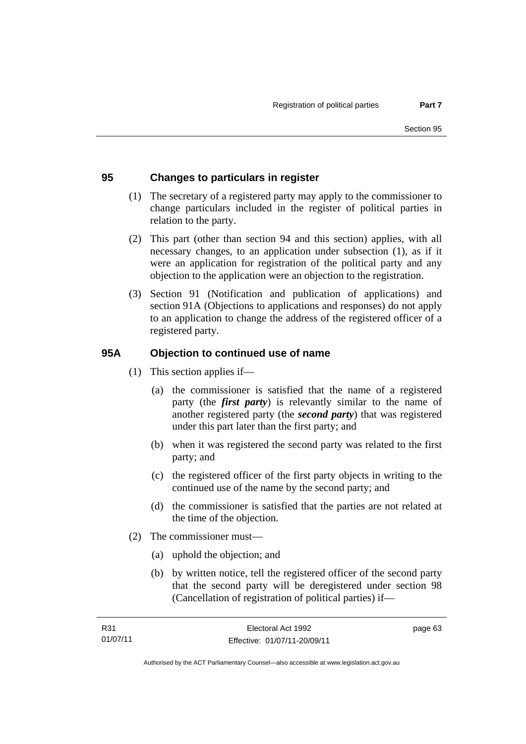## **95 Changes to particulars in register**

- (1) The secretary of a registered party may apply to the commissioner to change particulars included in the register of political parties in relation to the party.
- (2) This part (other than section 94 and this section) applies, with all necessary changes, to an application under subsection (1), as if it were an application for registration of the political party and any objection to the application were an objection to the registration.
- (3) Section 91 (Notification and publication of applications) and section 91A (Objections to applications and responses) do not apply to an application to change the address of the registered officer of a registered party.

### **95A Objection to continued use of name**

- (1) This section applies if—
	- (a) the commissioner is satisfied that the name of a registered party (the *first party*) is relevantly similar to the name of another registered party (the *second party*) that was registered under this part later than the first party; and
	- (b) when it was registered the second party was related to the first party; and
	- (c) the registered officer of the first party objects in writing to the continued use of the name by the second party; and
	- (d) the commissioner is satisfied that the parties are not related at the time of the objection.
- (2) The commissioner must—
	- (a) uphold the objection; and
	- (b) by written notice, tell the registered officer of the second party that the second party will be deregistered under section 98 (Cancellation of registration of political parties) if—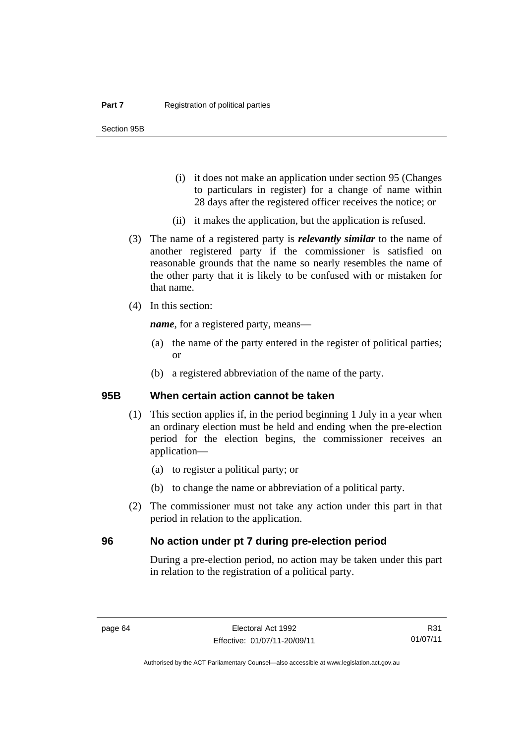- (i) it does not make an application under section 95 (Changes to particulars in register) for a change of name within 28 days after the registered officer receives the notice; or
- (ii) it makes the application, but the application is refused.
- (3) The name of a registered party is *relevantly similar* to the name of another registered party if the commissioner is satisfied on reasonable grounds that the name so nearly resembles the name of the other party that it is likely to be confused with or mistaken for that name.
- (4) In this section:

*name*, for a registered party, means—

- (a) the name of the party entered in the register of political parties; or
- (b) a registered abbreviation of the name of the party.

#### **95B When certain action cannot be taken**

- (1) This section applies if, in the period beginning 1 July in a year when an ordinary election must be held and ending when the pre-election period for the election begins, the commissioner receives an application—
	- (a) to register a political party; or
	- (b) to change the name or abbreviation of a political party.
- (2) The commissioner must not take any action under this part in that period in relation to the application.

#### **96 No action under pt 7 during pre-election period**

During a pre-election period, no action may be taken under this part in relation to the registration of a political party.

R31 01/07/11

Authorised by the ACT Parliamentary Counsel—also accessible at www.legislation.act.gov.au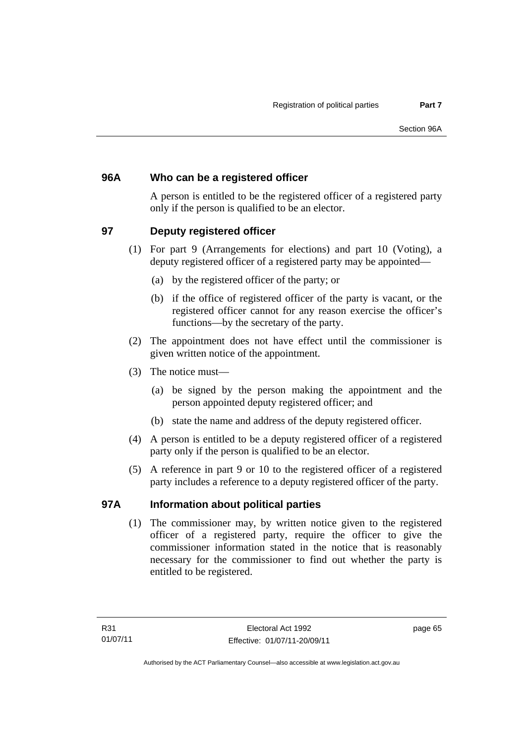## **96A Who can be a registered officer**

A person is entitled to be the registered officer of a registered party only if the person is qualified to be an elector.

## **97 Deputy registered officer**

- (1) For part 9 (Arrangements for elections) and part 10 (Voting), a deputy registered officer of a registered party may be appointed—
	- (a) by the registered officer of the party; or
	- (b) if the office of registered officer of the party is vacant, or the registered officer cannot for any reason exercise the officer's functions—by the secretary of the party.
- (2) The appointment does not have effect until the commissioner is given written notice of the appointment.
- (3) The notice must—
	- (a) be signed by the person making the appointment and the person appointed deputy registered officer; and
	- (b) state the name and address of the deputy registered officer.
- (4) A person is entitled to be a deputy registered officer of a registered party only if the person is qualified to be an elector.
- (5) A reference in part 9 or 10 to the registered officer of a registered party includes a reference to a deputy registered officer of the party.

## **97A Information about political parties**

(1) The commissioner may, by written notice given to the registered officer of a registered party, require the officer to give the commissioner information stated in the notice that is reasonably necessary for the commissioner to find out whether the party is entitled to be registered.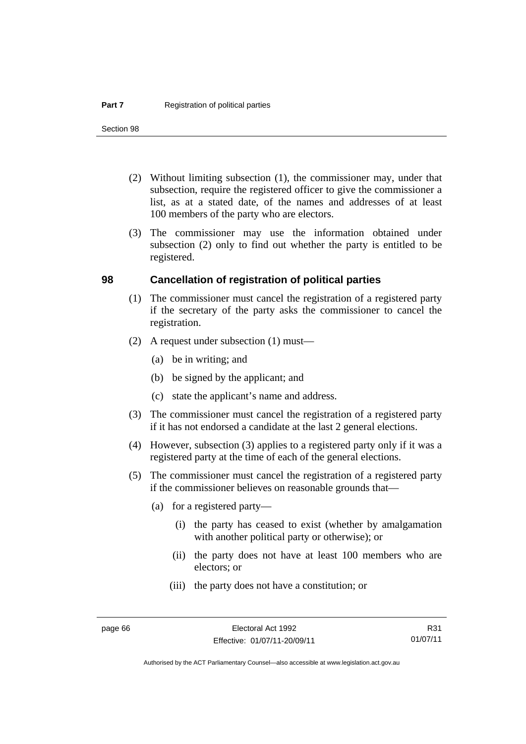Section 98

- (2) Without limiting subsection (1), the commissioner may, under that subsection, require the registered officer to give the commissioner a list, as at a stated date, of the names and addresses of at least 100 members of the party who are electors.
- (3) The commissioner may use the information obtained under subsection (2) only to find out whether the party is entitled to be registered.

#### **98 Cancellation of registration of political parties**

- (1) The commissioner must cancel the registration of a registered party if the secretary of the party asks the commissioner to cancel the registration.
- (2) A request under subsection (1) must—
	- (a) be in writing; and
	- (b) be signed by the applicant; and
	- (c) state the applicant's name and address.
- (3) The commissioner must cancel the registration of a registered party if it has not endorsed a candidate at the last 2 general elections.
- (4) However, subsection (3) applies to a registered party only if it was a registered party at the time of each of the general elections.
- (5) The commissioner must cancel the registration of a registered party if the commissioner believes on reasonable grounds that—
	- (a) for a registered party—
		- (i) the party has ceased to exist (whether by amalgamation with another political party or otherwise); or
		- (ii) the party does not have at least 100 members who are electors; or
		- (iii) the party does not have a constitution; or

Authorised by the ACT Parliamentary Counsel—also accessible at www.legislation.act.gov.au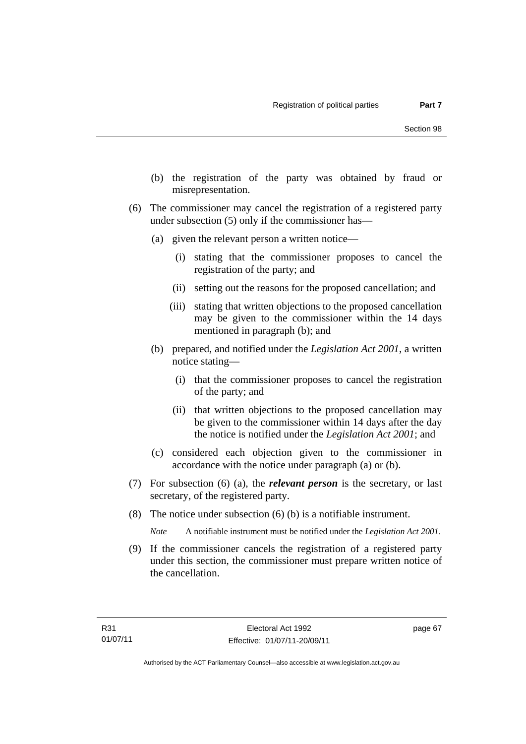- (b) the registration of the party was obtained by fraud or misrepresentation.
- (6) The commissioner may cancel the registration of a registered party under subsection (5) only if the commissioner has—
	- (a) given the relevant person a written notice—
		- (i) stating that the commissioner proposes to cancel the registration of the party; and
		- (ii) setting out the reasons for the proposed cancellation; and
		- (iii) stating that written objections to the proposed cancellation may be given to the commissioner within the 14 days mentioned in paragraph (b); and
	- (b) prepared, and notified under the *Legislation Act 2001*, a written notice stating—
		- (i) that the commissioner proposes to cancel the registration of the party; and
		- (ii) that written objections to the proposed cancellation may be given to the commissioner within 14 days after the day the notice is notified under the *Legislation Act 2001*; and
	- (c) considered each objection given to the commissioner in accordance with the notice under paragraph (a) or (b).
- (7) For subsection (6) (a), the *relevant person* is the secretary, or last secretary, of the registered party.
- (8) The notice under subsection (6) (b) is a notifiable instrument.

*Note* A notifiable instrument must be notified under the *Legislation Act 2001*.

 (9) If the commissioner cancels the registration of a registered party under this section, the commissioner must prepare written notice of the cancellation.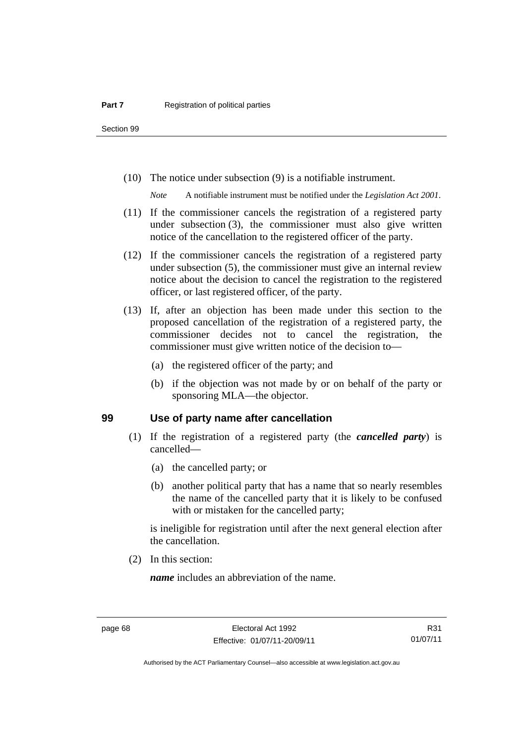Section 99

(10) The notice under subsection (9) is a notifiable instrument.

*Note* A notifiable instrument must be notified under the *Legislation Act 2001*.

- (11) If the commissioner cancels the registration of a registered party under subsection (3), the commissioner must also give written notice of the cancellation to the registered officer of the party.
- (12) If the commissioner cancels the registration of a registered party under subsection (5), the commissioner must give an internal review notice about the decision to cancel the registration to the registered officer, or last registered officer, of the party.
- (13) If, after an objection has been made under this section to the proposed cancellation of the registration of a registered party, the commissioner decides not to cancel the registration, the commissioner must give written notice of the decision to—
	- (a) the registered officer of the party; and
	- (b) if the objection was not made by or on behalf of the party or sponsoring MLA—the objector.

#### **99 Use of party name after cancellation**

- (1) If the registration of a registered party (the *cancelled party*) is cancelled—
	- (a) the cancelled party; or
	- (b) another political party that has a name that so nearly resembles the name of the cancelled party that it is likely to be confused with or mistaken for the cancelled party;

is ineligible for registration until after the next general election after the cancellation.

(2) In this section:

*name* includes an abbreviation of the name.

R31 01/07/11

Authorised by the ACT Parliamentary Counsel—also accessible at www.legislation.act.gov.au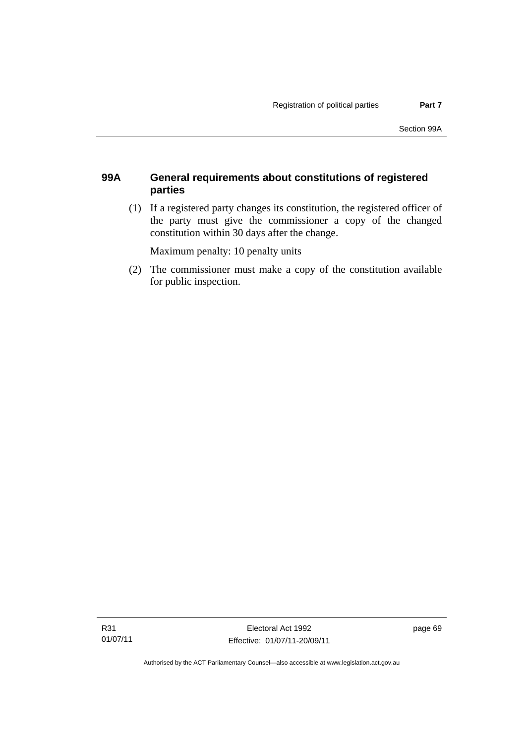### **99A General requirements about constitutions of registered parties**

 (1) If a registered party changes its constitution, the registered officer of the party must give the commissioner a copy of the changed constitution within 30 days after the change.

Maximum penalty: 10 penalty units

 (2) The commissioner must make a copy of the constitution available for public inspection.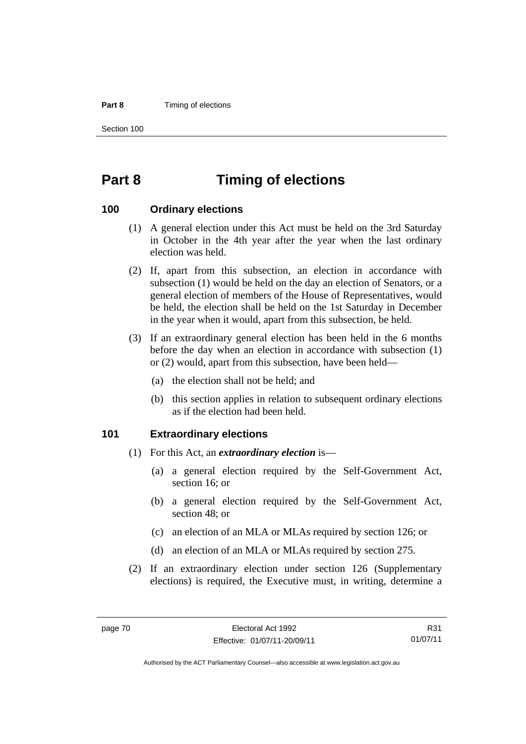#### **Part 8 Timing of elections**

Section 100

# **Part 8 Timing of elections**

#### **100 Ordinary elections**

- (1) A general election under this Act must be held on the 3rd Saturday in October in the 4th year after the year when the last ordinary election was held.
- (2) If, apart from this subsection, an election in accordance with subsection (1) would be held on the day an election of Senators, or a general election of members of the House of Representatives, would be held, the election shall be held on the 1st Saturday in December in the year when it would, apart from this subsection, be held.
- (3) If an extraordinary general election has been held in the 6 months before the day when an election in accordance with subsection (1) or (2) would, apart from this subsection, have been held—
	- (a) the election shall not be held; and
	- (b) this section applies in relation to subsequent ordinary elections as if the election had been held.

#### **101 Extraordinary elections**

- (1) For this Act, an *extraordinary election* is—
	- (a) a general election required by the Self-Government Act, section 16; or
	- (b) a general election required by the Self-Government Act, section 48; or
	- (c) an election of an MLA or MLAs required by section 126; or
	- (d) an election of an MLA or MLAs required by section 275.
- (2) If an extraordinary election under section 126 (Supplementary elections) is required, the Executive must, in writing, determine a

R31 01/07/11

Authorised by the ACT Parliamentary Counsel—also accessible at www.legislation.act.gov.au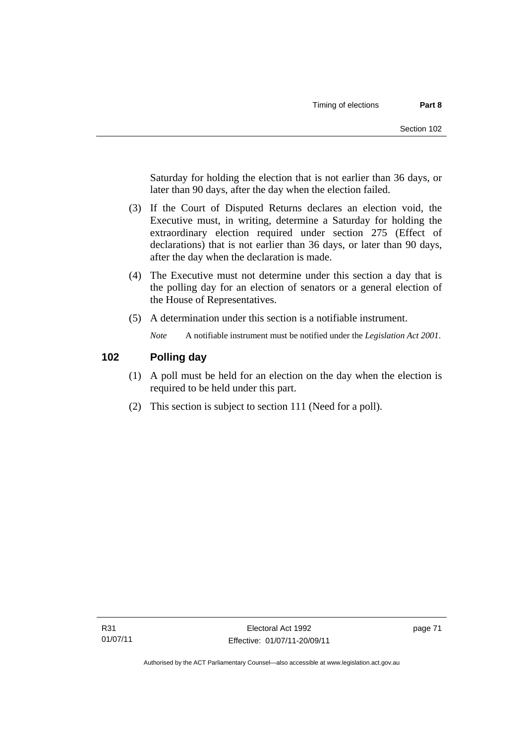Saturday for holding the election that is not earlier than 36 days, or later than 90 days, after the day when the election failed.

- (3) If the Court of Disputed Returns declares an election void, the Executive must, in writing, determine a Saturday for holding the extraordinary election required under section 275 (Effect of declarations) that is not earlier than 36 days, or later than 90 days, after the day when the declaration is made.
- (4) The Executive must not determine under this section a day that is the polling day for an election of senators or a general election of the House of Representatives.
- (5) A determination under this section is a notifiable instrument.

*Note* A notifiable instrument must be notified under the *Legislation Act 2001*.

### **102 Polling day**

- (1) A poll must be held for an election on the day when the election is required to be held under this part.
- (2) This section is subject to section 111 (Need for a poll).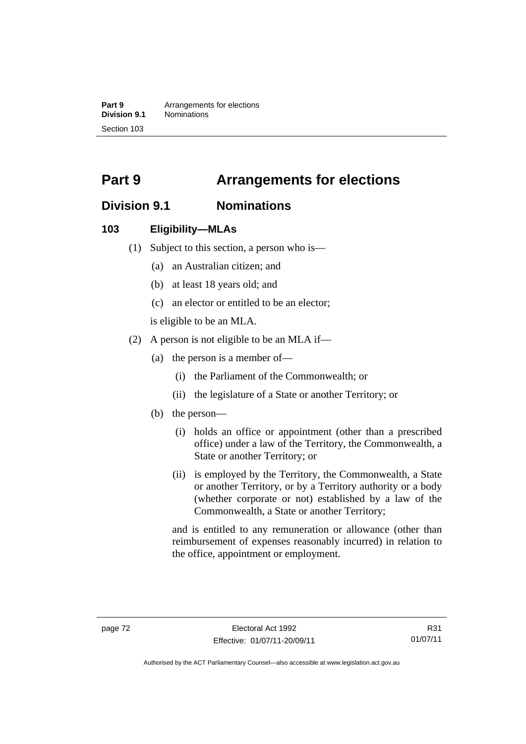**Part 9 Arrangements for elections**<br>**Division 9.1 Nominations Division 9.1** Nominations Section 103

# **Part 9 Arrangements for elections**

# **Division 9.1 Nominations**

### **103 Eligibility—MLAs**

- (1) Subject to this section, a person who is—
	- (a) an Australian citizen; and
	- (b) at least 18 years old; and
	- (c) an elector or entitled to be an elector;

is eligible to be an MLA.

- (2) A person is not eligible to be an MLA if—
	- (a) the person is a member of—
		- (i) the Parliament of the Commonwealth; or
		- (ii) the legislature of a State or another Territory; or
	- (b) the person—
		- (i) holds an office or appointment (other than a prescribed office) under a law of the Territory, the Commonwealth, a State or another Territory; or
		- (ii) is employed by the Territory, the Commonwealth, a State or another Territory, or by a Territory authority or a body (whether corporate or not) established by a law of the Commonwealth, a State or another Territory;

and is entitled to any remuneration or allowance (other than reimbursement of expenses reasonably incurred) in relation to the office, appointment or employment.

R31 01/07/11

Authorised by the ACT Parliamentary Counsel—also accessible at www.legislation.act.gov.au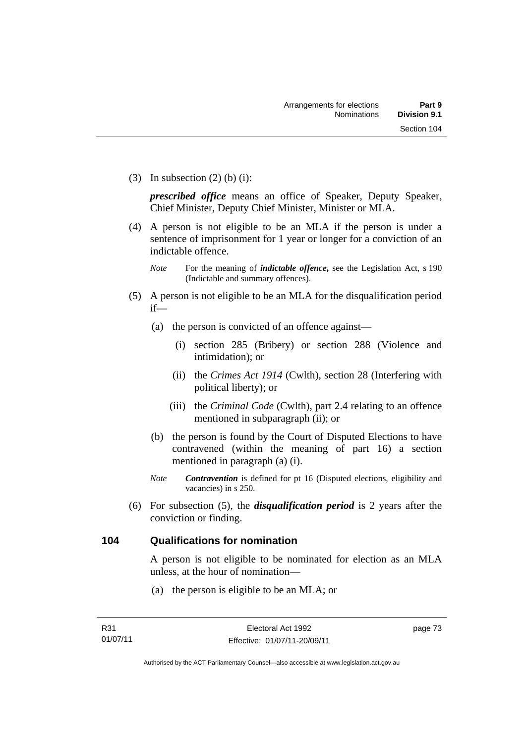(3) In subsection  $(2)$  (b) (i):

*prescribed office* means an office of Speaker, Deputy Speaker, Chief Minister, Deputy Chief Minister, Minister or MLA.

 (4) A person is not eligible to be an MLA if the person is under a sentence of imprisonment for 1 year or longer for a conviction of an indictable offence.

- (5) A person is not eligible to be an MLA for the disqualification period if—
	- (a) the person is convicted of an offence against—
		- (i) section 285 (Bribery) or section 288 (Violence and intimidation); or
		- (ii) the *Crimes Act 1914* (Cwlth), section 28 (Interfering with political liberty); or
		- (iii) the *Criminal Code* (Cwlth), part 2.4 relating to an offence mentioned in subparagraph (ii); or
	- (b) the person is found by the Court of Disputed Elections to have contravened (within the meaning of part 16) a section mentioned in paragraph (a) (i).
	- *Note Contravention* is defined for pt 16 (Disputed elections, eligibility and vacancies) in s 250.
- (6) For subsection (5), the *disqualification period* is 2 years after the conviction or finding.

## **104 Qualifications for nomination**

A person is not eligible to be nominated for election as an MLA unless, at the hour of nomination—

(a) the person is eligible to be an MLA; or

*Note* For the meaning of *indictable offence*, see the Legislation Act, s 190 (Indictable and summary offences).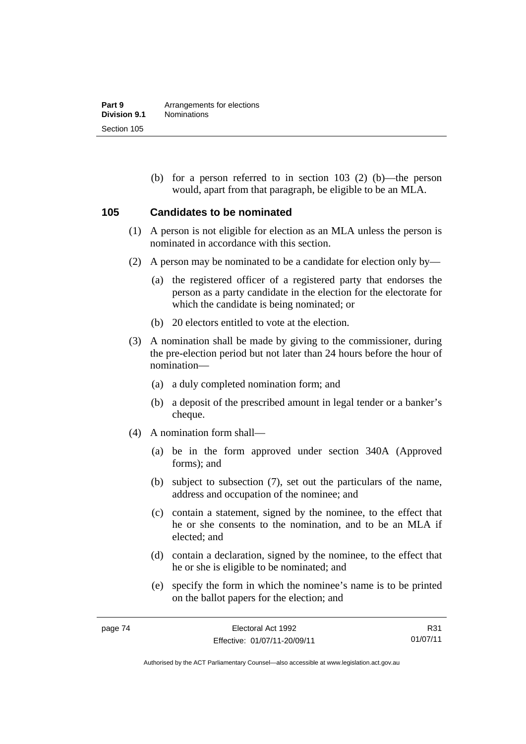(b) for a person referred to in section 103 (2) (b)—the person would, apart from that paragraph, be eligible to be an MLA.

#### **105 Candidates to be nominated**

- (1) A person is not eligible for election as an MLA unless the person is nominated in accordance with this section.
- (2) A person may be nominated to be a candidate for election only by—
	- (a) the registered officer of a registered party that endorses the person as a party candidate in the election for the electorate for which the candidate is being nominated; or
	- (b) 20 electors entitled to vote at the election.
- (3) A nomination shall be made by giving to the commissioner, during the pre-election period but not later than 24 hours before the hour of nomination—
	- (a) a duly completed nomination form; and
	- (b) a deposit of the prescribed amount in legal tender or a banker's cheque.
- (4) A nomination form shall—
	- (a) be in the form approved under section 340A (Approved forms); and
	- (b) subject to subsection (7), set out the particulars of the name, address and occupation of the nominee; and
	- (c) contain a statement, signed by the nominee, to the effect that he or she consents to the nomination, and to be an MLA if elected; and
	- (d) contain a declaration, signed by the nominee, to the effect that he or she is eligible to be nominated; and
	- (e) specify the form in which the nominee's name is to be printed on the ballot papers for the election; and

R31 01/07/11

Authorised by the ACT Parliamentary Counsel—also accessible at www.legislation.act.gov.au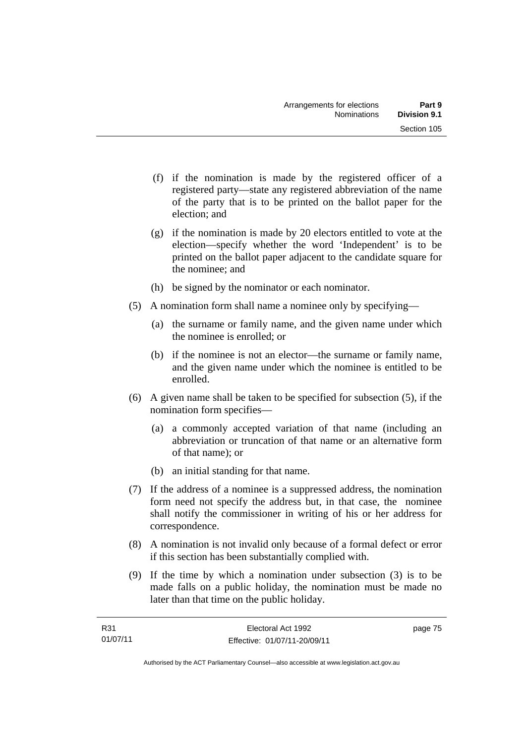- (f) if the nomination is made by the registered officer of a registered party—state any registered abbreviation of the name of the party that is to be printed on the ballot paper for the election; and
- (g) if the nomination is made by 20 electors entitled to vote at the election—specify whether the word 'Independent' is to be printed on the ballot paper adjacent to the candidate square for the nominee; and
- (h) be signed by the nominator or each nominator.
- (5) A nomination form shall name a nominee only by specifying—
	- (a) the surname or family name, and the given name under which the nominee is enrolled; or
	- (b) if the nominee is not an elector—the surname or family name, and the given name under which the nominee is entitled to be enrolled.
- (6) A given name shall be taken to be specified for subsection (5), if the nomination form specifies—
	- (a) a commonly accepted variation of that name (including an abbreviation or truncation of that name or an alternative form of that name); or
	- (b) an initial standing for that name.
- (7) If the address of a nominee is a suppressed address, the nomination form need not specify the address but, in that case, the nominee shall notify the commissioner in writing of his or her address for correspondence.
- (8) A nomination is not invalid only because of a formal defect or error if this section has been substantially complied with.
- (9) If the time by which a nomination under subsection (3) is to be made falls on a public holiday, the nomination must be made no later than that time on the public holiday.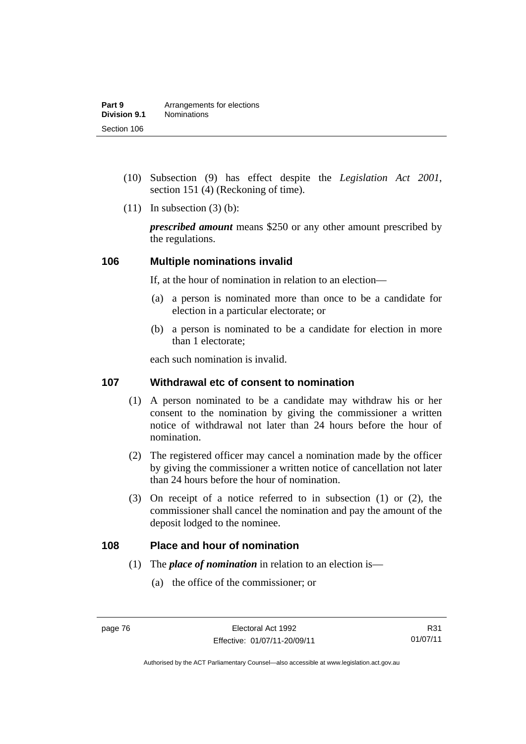- (10) Subsection (9) has effect despite the *Legislation Act 2001*, section 151 (4) (Reckoning of time).
- $(11)$  In subsection  $(3)$  (b):

*prescribed amount* means \$250 or any other amount prescribed by the regulations.

#### **106 Multiple nominations invalid**

If, at the hour of nomination in relation to an election—

- (a) a person is nominated more than once to be a candidate for election in a particular electorate; or
- (b) a person is nominated to be a candidate for election in more than 1 electorate;

each such nomination is invalid.

### **107 Withdrawal etc of consent to nomination**

- (1) A person nominated to be a candidate may withdraw his or her consent to the nomination by giving the commissioner a written notice of withdrawal not later than 24 hours before the hour of nomination.
- (2) The registered officer may cancel a nomination made by the officer by giving the commissioner a written notice of cancellation not later than 24 hours before the hour of nomination.
- (3) On receipt of a notice referred to in subsection (1) or (2), the commissioner shall cancel the nomination and pay the amount of the deposit lodged to the nominee.

#### **108 Place and hour of nomination**

- (1) The *place of nomination* in relation to an election is—
	- (a) the office of the commissioner; or

R31 01/07/11

Authorised by the ACT Parliamentary Counsel—also accessible at www.legislation.act.gov.au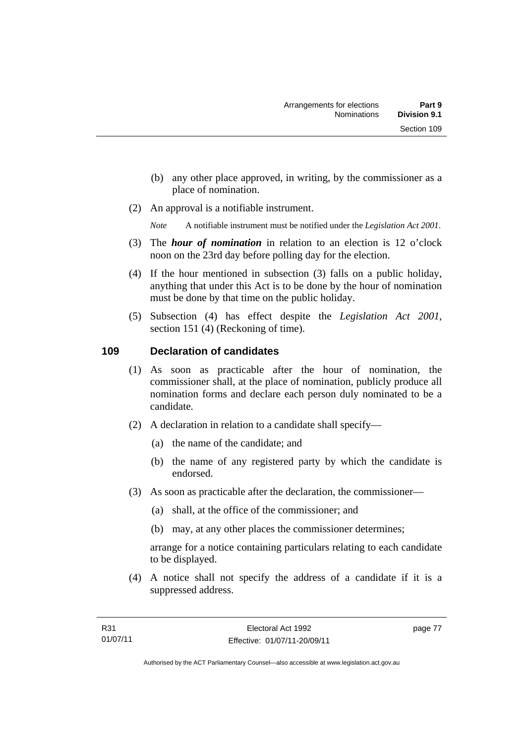- (b) any other place approved, in writing, by the commissioner as a place of nomination.
- (2) An approval is a notifiable instrument.

*Note* A notifiable instrument must be notified under the *Legislation Act 2001*.

- (3) The *hour of nomination* in relation to an election is 12 o'clock noon on the 23rd day before polling day for the election.
- (4) If the hour mentioned in subsection (3) falls on a public holiday, anything that under this Act is to be done by the hour of nomination must be done by that time on the public holiday.
- (5) Subsection (4) has effect despite the *Legislation Act 2001*, section 151 (4) (Reckoning of time).

## **109 Declaration of candidates**

- (1) As soon as practicable after the hour of nomination, the commissioner shall, at the place of nomination, publicly produce all nomination forms and declare each person duly nominated to be a candidate.
- (2) A declaration in relation to a candidate shall specify—
	- (a) the name of the candidate; and
	- (b) the name of any registered party by which the candidate is endorsed.
- (3) As soon as practicable after the declaration, the commissioner—
	- (a) shall, at the office of the commissioner; and
	- (b) may, at any other places the commissioner determines;

arrange for a notice containing particulars relating to each candidate to be displayed.

 (4) A notice shall not specify the address of a candidate if it is a suppressed address.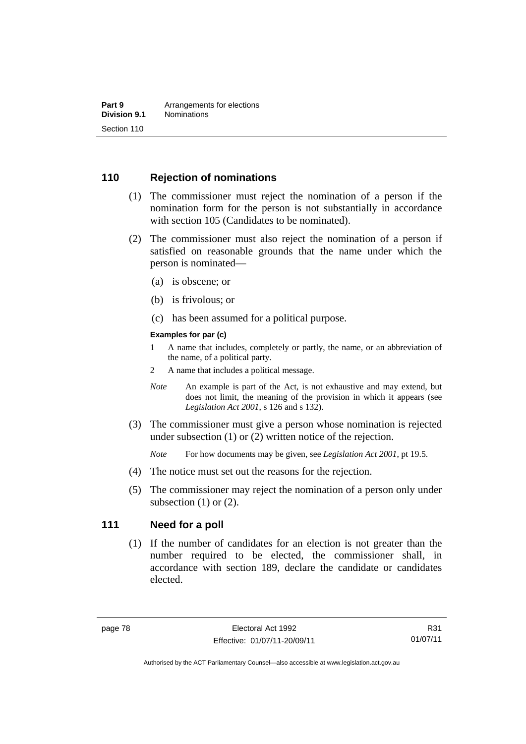### **110 Rejection of nominations**

- (1) The commissioner must reject the nomination of a person if the nomination form for the person is not substantially in accordance with section 105 (Candidates to be nominated).
- (2) The commissioner must also reject the nomination of a person if satisfied on reasonable grounds that the name under which the person is nominated—
	- (a) is obscene; or
	- (b) is frivolous; or
	- (c) has been assumed for a political purpose.

#### **Examples for par (c)**

- 1 A name that includes, completely or partly, the name, or an abbreviation of the name, of a political party.
- 2 A name that includes a political message.
- *Note* An example is part of the Act, is not exhaustive and may extend, but does not limit, the meaning of the provision in which it appears (see *Legislation Act 2001*, s 126 and s 132).
- (3) The commissioner must give a person whose nomination is rejected under subsection (1) or (2) written notice of the rejection.

*Note* For how documents may be given, see *Legislation Act 2001*, pt 19.5.

- (4) The notice must set out the reasons for the rejection.
- (5) The commissioner may reject the nomination of a person only under subsection  $(1)$  or  $(2)$ .

#### **111 Need for a poll**

(1) If the number of candidates for an election is not greater than the number required to be elected, the commissioner shall, in accordance with section 189, declare the candidate or candidates elected.

Authorised by the ACT Parliamentary Counsel—also accessible at www.legislation.act.gov.au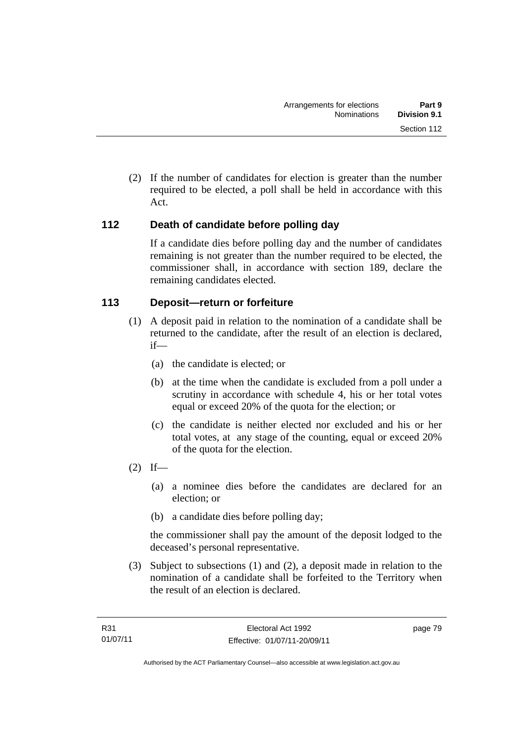(2) If the number of candidates for election is greater than the number required to be elected, a poll shall be held in accordance with this Act.

## **112 Death of candidate before polling day**

If a candidate dies before polling day and the number of candidates remaining is not greater than the number required to be elected, the commissioner shall, in accordance with section 189, declare the remaining candidates elected.

## **113 Deposit—return or forfeiture**

- (1) A deposit paid in relation to the nomination of a candidate shall be returned to the candidate, after the result of an election is declared, if—
	- (a) the candidate is elected; or
	- (b) at the time when the candidate is excluded from a poll under a scrutiny in accordance with schedule 4, his or her total votes equal or exceed 20% of the quota for the election; or
	- (c) the candidate is neither elected nor excluded and his or her total votes, at any stage of the counting, equal or exceed 20% of the quota for the election.
- $(2)$  If—
	- (a) a nominee dies before the candidates are declared for an election; or
	- (b) a candidate dies before polling day;

the commissioner shall pay the amount of the deposit lodged to the deceased's personal representative.

 (3) Subject to subsections (1) and (2), a deposit made in relation to the nomination of a candidate shall be forfeited to the Territory when the result of an election is declared.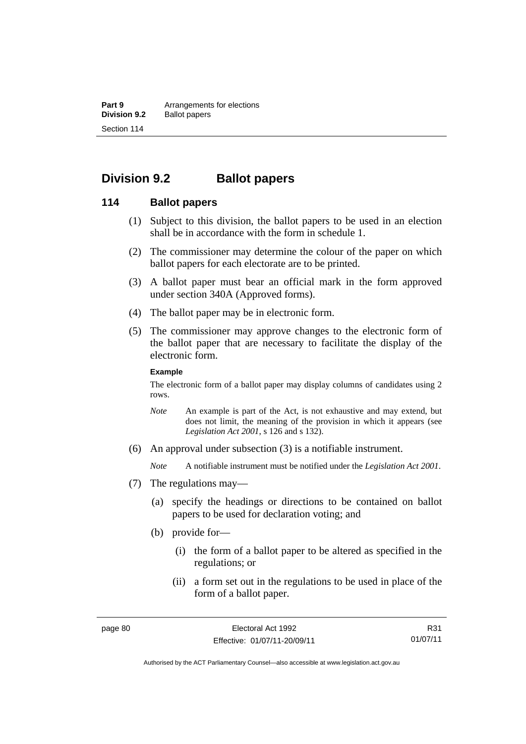**Part 9 Arrangements for elections**<br>**Division 9.2 Ballot papers Ballot papers** Section 114

# **Division 9.2 Ballot papers**

#### **114 Ballot papers**

- (1) Subject to this division, the ballot papers to be used in an election shall be in accordance with the form in schedule 1.
- (2) The commissioner may determine the colour of the paper on which ballot papers for each electorate are to be printed.
- (3) A ballot paper must bear an official mark in the form approved under section 340A (Approved forms).
- (4) The ballot paper may be in electronic form.
- (5) The commissioner may approve changes to the electronic form of the ballot paper that are necessary to facilitate the display of the electronic form.

#### **Example**

The electronic form of a ballot paper may display columns of candidates using 2 rows.

- *Note* An example is part of the Act, is not exhaustive and may extend, but does not limit, the meaning of the provision in which it appears (see *Legislation Act 2001*, s 126 and s 132).
- (6) An approval under subsection (3) is a notifiable instrument.

*Note* A notifiable instrument must be notified under the *Legislation Act 2001*.

- (7) The regulations may—
	- (a) specify the headings or directions to be contained on ballot papers to be used for declaration voting; and
	- (b) provide for—
		- (i) the form of a ballot paper to be altered as specified in the regulations; or
		- (ii) a form set out in the regulations to be used in place of the form of a ballot paper.

R31 01/07/11

Authorised by the ACT Parliamentary Counsel—also accessible at www.legislation.act.gov.au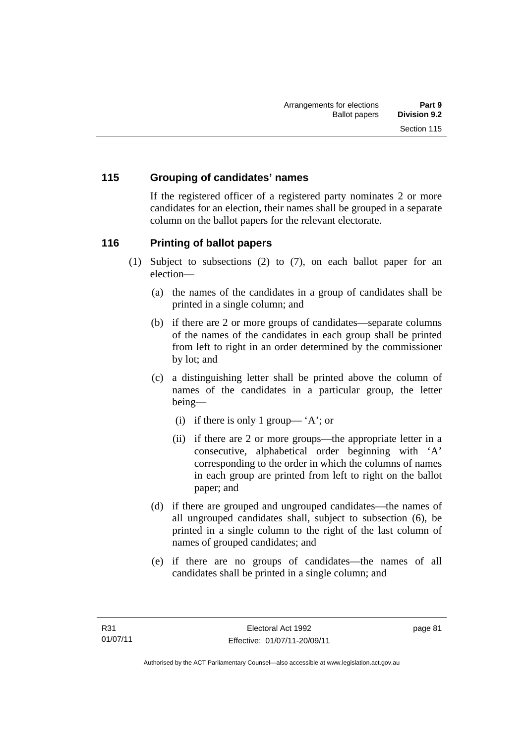## **115 Grouping of candidates' names**

If the registered officer of a registered party nominates 2 or more candidates for an election, their names shall be grouped in a separate column on the ballot papers for the relevant electorate.

### **116 Printing of ballot papers**

- (1) Subject to subsections (2) to (7), on each ballot paper for an election—
	- (a) the names of the candidates in a group of candidates shall be printed in a single column; and
	- (b) if there are 2 or more groups of candidates—separate columns of the names of the candidates in each group shall be printed from left to right in an order determined by the commissioner by lot; and
	- (c) a distinguishing letter shall be printed above the column of names of the candidates in a particular group, the letter being—
		- (i) if there is only 1 group— 'A'; or
		- (ii) if there are 2 or more groups—the appropriate letter in a consecutive, alphabetical order beginning with 'A' corresponding to the order in which the columns of names in each group are printed from left to right on the ballot paper; and
	- (d) if there are grouped and ungrouped candidates—the names of all ungrouped candidates shall, subject to subsection (6), be printed in a single column to the right of the last column of names of grouped candidates; and
	- (e) if there are no groups of candidates—the names of all candidates shall be printed in a single column; and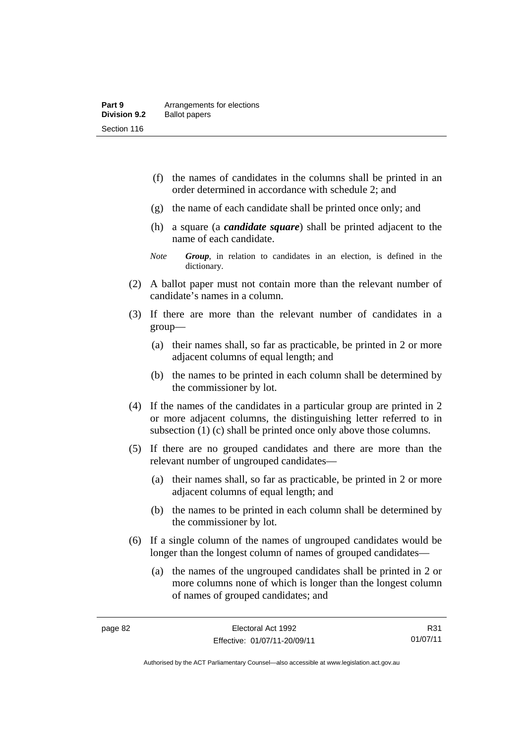- (f) the names of candidates in the columns shall be printed in an order determined in accordance with schedule 2; and
- (g) the name of each candidate shall be printed once only; and
- (h) a square (a *candidate square*) shall be printed adjacent to the name of each candidate.
- *Note Group*, in relation to candidates in an election, is defined in the dictionary.
- (2) A ballot paper must not contain more than the relevant number of candidate's names in a column.
- (3) If there are more than the relevant number of candidates in a group—
	- (a) their names shall, so far as practicable, be printed in 2 or more adjacent columns of equal length; and
	- (b) the names to be printed in each column shall be determined by the commissioner by lot.
- (4) If the names of the candidates in a particular group are printed in 2 or more adjacent columns, the distinguishing letter referred to in subsection (1) (c) shall be printed once only above those columns.
- (5) If there are no grouped candidates and there are more than the relevant number of ungrouped candidates—
	- (a) their names shall, so far as practicable, be printed in 2 or more adjacent columns of equal length; and
	- (b) the names to be printed in each column shall be determined by the commissioner by lot.
- (6) If a single column of the names of ungrouped candidates would be longer than the longest column of names of grouped candidates—
	- (a) the names of the ungrouped candidates shall be printed in 2 or more columns none of which is longer than the longest column of names of grouped candidates; and

R31 01/07/11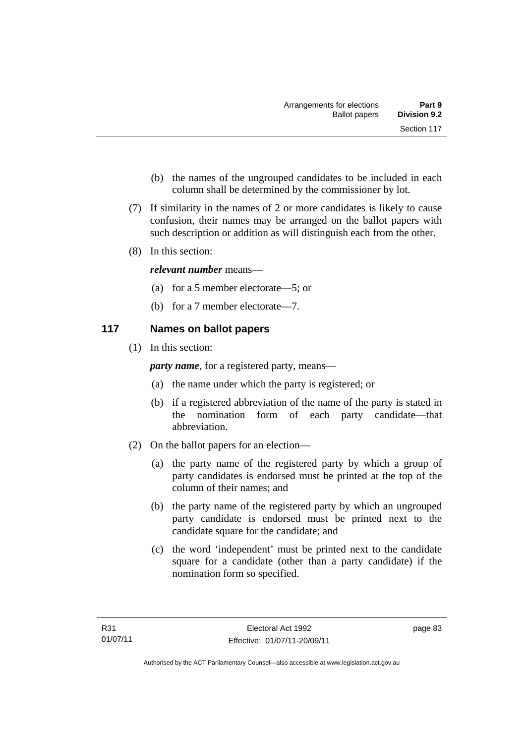- (b) the names of the ungrouped candidates to be included in each column shall be determined by the commissioner by lot.
- (7) If similarity in the names of 2 or more candidates is likely to cause confusion, their names may be arranged on the ballot papers with such description or addition as will distinguish each from the other.
- (8) In this section:

### *relevant number* means—

- (a) for a 5 member electorate—5; or
- (b) for a 7 member electorate—7.

## **117 Names on ballot papers**

(1) In this section:

*party name*, for a registered party, means—

- (a) the name under which the party is registered; or
- (b) if a registered abbreviation of the name of the party is stated in the nomination form of each party candidate—that abbreviation.
- (2) On the ballot papers for an election—
	- (a) the party name of the registered party by which a group of party candidates is endorsed must be printed at the top of the column of their names; and
	- (b) the party name of the registered party by which an ungrouped party candidate is endorsed must be printed next to the candidate square for the candidate; and
	- (c) the word 'independent' must be printed next to the candidate square for a candidate (other than a party candidate) if the nomination form so specified.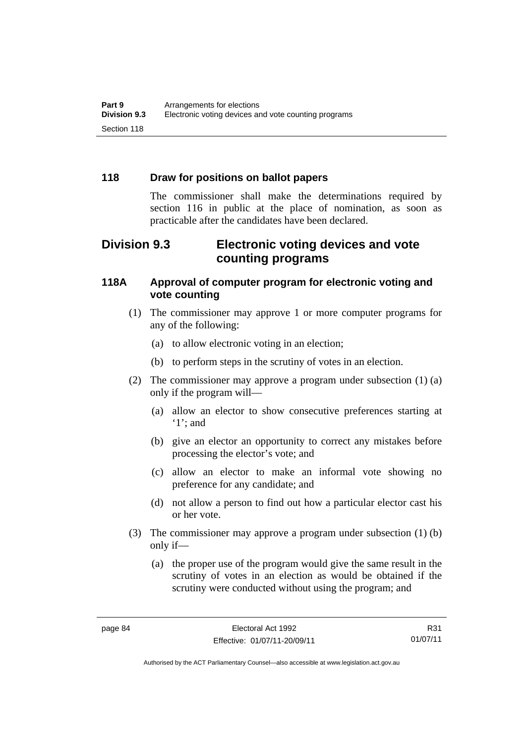### **118 Draw for positions on ballot papers**

The commissioner shall make the determinations required by section 116 in public at the place of nomination, as soon as practicable after the candidates have been declared.

# **Division 9.3 Electronic voting devices and vote counting programs**

### **118A Approval of computer program for electronic voting and vote counting**

- (1) The commissioner may approve 1 or more computer programs for any of the following:
	- (a) to allow electronic voting in an election;
	- (b) to perform steps in the scrutiny of votes in an election.
- (2) The commissioner may approve a program under subsection (1) (a) only if the program will—
	- (a) allow an elector to show consecutive preferences starting at '1'; and
	- (b) give an elector an opportunity to correct any mistakes before processing the elector's vote; and
	- (c) allow an elector to make an informal vote showing no preference for any candidate; and
	- (d) not allow a person to find out how a particular elector cast his or her vote.
- (3) The commissioner may approve a program under subsection (1) (b) only if—
	- (a) the proper use of the program would give the same result in the scrutiny of votes in an election as would be obtained if the scrutiny were conducted without using the program; and

R31 01/07/11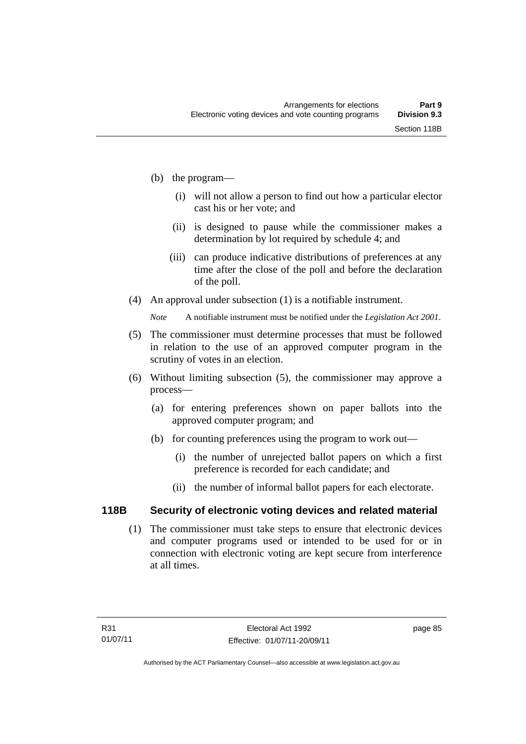- (b) the program—
	- (i) will not allow a person to find out how a particular elector cast his or her vote; and
	- (ii) is designed to pause while the commissioner makes a determination by lot required by schedule 4; and
	- (iii) can produce indicative distributions of preferences at any time after the close of the poll and before the declaration of the poll.
- (4) An approval under subsection (1) is a notifiable instrument.

*Note* A notifiable instrument must be notified under the *Legislation Act 2001*.

- (5) The commissioner must determine processes that must be followed in relation to the use of an approved computer program in the scrutiny of votes in an election.
- (6) Without limiting subsection (5), the commissioner may approve a process—
	- (a) for entering preferences shown on paper ballots into the approved computer program; and
	- (b) for counting preferences using the program to work out—
		- (i) the number of unrejected ballot papers on which a first preference is recorded for each candidate; and
		- (ii) the number of informal ballot papers for each electorate.

## **118B Security of electronic voting devices and related material**

 (1) The commissioner must take steps to ensure that electronic devices and computer programs used or intended to be used for or in connection with electronic voting are kept secure from interference at all times.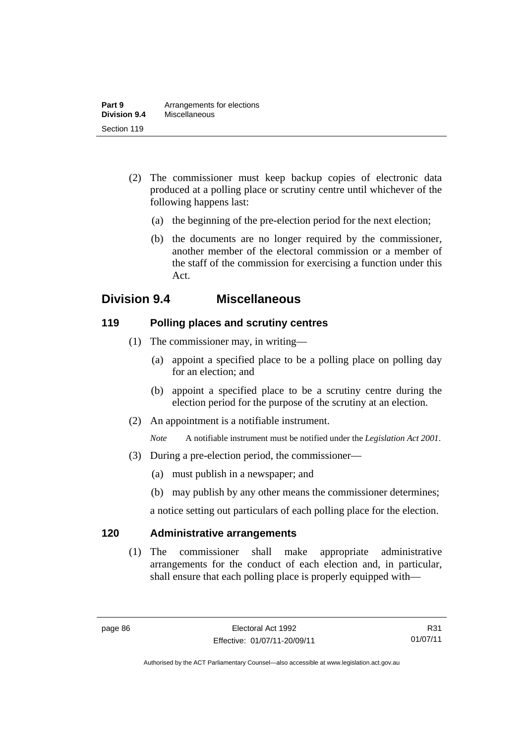- (2) The commissioner must keep backup copies of electronic data produced at a polling place or scrutiny centre until whichever of the following happens last:
	- (a) the beginning of the pre-election period for the next election;
	- (b) the documents are no longer required by the commissioner, another member of the electoral commission or a member of the staff of the commission for exercising a function under this Act.

# **Division 9.4 Miscellaneous**

### **119 Polling places and scrutiny centres**

- (1) The commissioner may, in writing—
	- (a) appoint a specified place to be a polling place on polling day for an election; and
	- (b) appoint a specified place to be a scrutiny centre during the election period for the purpose of the scrutiny at an election.
- (2) An appointment is a notifiable instrument.

*Note* A notifiable instrument must be notified under the *Legislation Act 2001*.

- (3) During a pre-election period, the commissioner—
	- (a) must publish in a newspaper; and
	- (b) may publish by any other means the commissioner determines;

a notice setting out particulars of each polling place for the election.

## **120 Administrative arrangements**

(1) The commissioner shall make appropriate administrative arrangements for the conduct of each election and, in particular, shall ensure that each polling place is properly equipped with—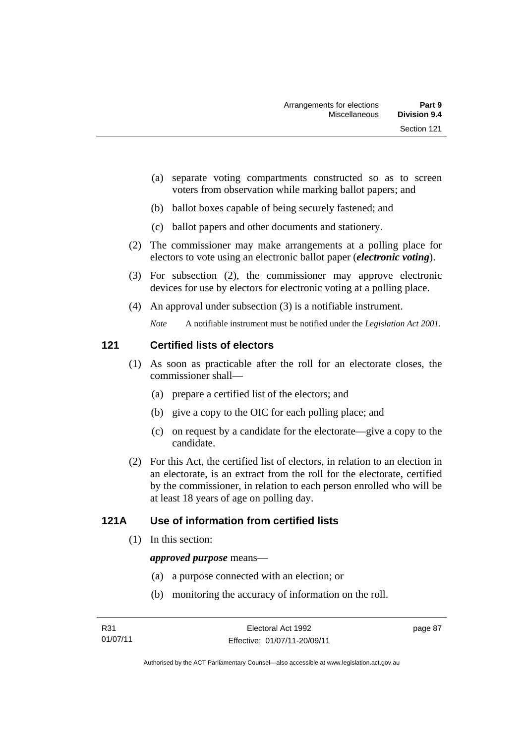- (a) separate voting compartments constructed so as to screen voters from observation while marking ballot papers; and
- (b) ballot boxes capable of being securely fastened; and
- (c) ballot papers and other documents and stationery.
- (2) The commissioner may make arrangements at a polling place for electors to vote using an electronic ballot paper (*electronic voting*).
- (3) For subsection (2), the commissioner may approve electronic devices for use by electors for electronic voting at a polling place.
- (4) An approval under subsection (3) is a notifiable instrument.

*Note* A notifiable instrument must be notified under the *Legislation Act 2001*.

## **121 Certified lists of electors**

- (1) As soon as practicable after the roll for an electorate closes, the commissioner shall—
	- (a) prepare a certified list of the electors; and
	- (b) give a copy to the OIC for each polling place; and
	- (c) on request by a candidate for the electorate—give a copy to the candidate.
- (2) For this Act, the certified list of electors, in relation to an election in an electorate, is an extract from the roll for the electorate, certified by the commissioner, in relation to each person enrolled who will be at least 18 years of age on polling day.

## **121A Use of information from certified lists**

(1) In this section:

#### *approved purpose* means—

- (a) a purpose connected with an election; or
- (b) monitoring the accuracy of information on the roll.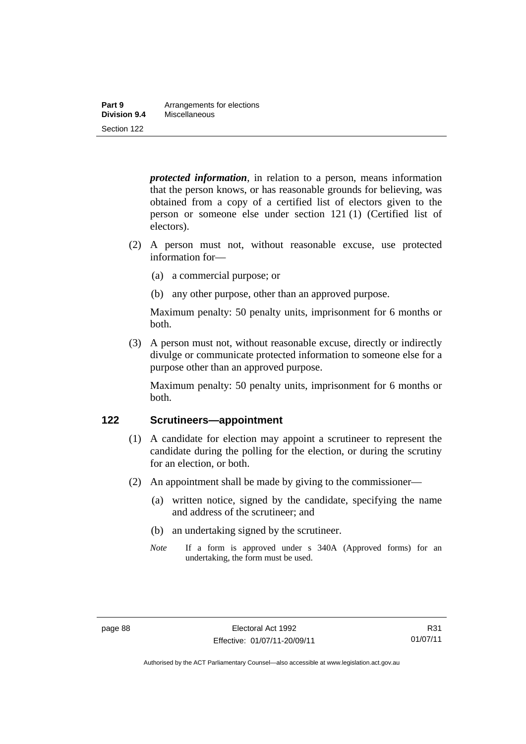| Part 9       | Arrangements for elections |
|--------------|----------------------------|
| Division 9.4 | Miscellaneous              |
| Section 122  |                            |

*protected information*, in relation to a person, means information that the person knows, or has reasonable grounds for believing, was obtained from a copy of a certified list of electors given to the person or someone else under section 121 (1) (Certified list of electors).

- (2) A person must not, without reasonable excuse, use protected information for—
	- (a) a commercial purpose; or
	- (b) any other purpose, other than an approved purpose.

Maximum penalty: 50 penalty units, imprisonment for 6 months or both.

 (3) A person must not, without reasonable excuse, directly or indirectly divulge or communicate protected information to someone else for a purpose other than an approved purpose.

Maximum penalty: 50 penalty units, imprisonment for 6 months or both.

#### **122 Scrutineers—appointment**

- (1) A candidate for election may appoint a scrutineer to represent the candidate during the polling for the election, or during the scrutiny for an election, or both.
- (2) An appointment shall be made by giving to the commissioner—
	- (a) written notice, signed by the candidate, specifying the name and address of the scrutineer; and
	- (b) an undertaking signed by the scrutineer.
	- *Note* If a form is approved under s 340A (Approved forms) for an undertaking, the form must be used.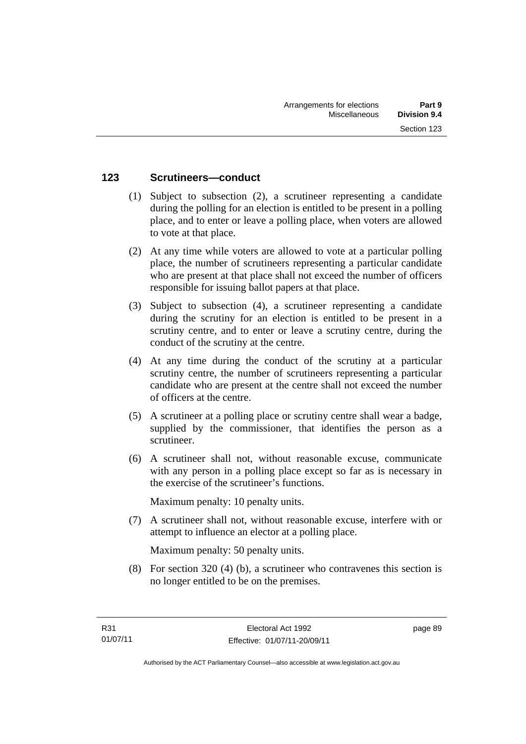### **123 Scrutineers—conduct**

- (1) Subject to subsection (2), a scrutineer representing a candidate during the polling for an election is entitled to be present in a polling place, and to enter or leave a polling place, when voters are allowed to vote at that place.
- (2) At any time while voters are allowed to vote at a particular polling place, the number of scrutineers representing a particular candidate who are present at that place shall not exceed the number of officers responsible for issuing ballot papers at that place.
- (3) Subject to subsection (4), a scrutineer representing a candidate during the scrutiny for an election is entitled to be present in a scrutiny centre, and to enter or leave a scrutiny centre, during the conduct of the scrutiny at the centre.
- (4) At any time during the conduct of the scrutiny at a particular scrutiny centre, the number of scrutineers representing a particular candidate who are present at the centre shall not exceed the number of officers at the centre.
- (5) A scrutineer at a polling place or scrutiny centre shall wear a badge, supplied by the commissioner, that identifies the person as a scrutineer.
- (6) A scrutineer shall not, without reasonable excuse, communicate with any person in a polling place except so far as is necessary in the exercise of the scrutineer's functions.

Maximum penalty: 10 penalty units.

 (7) A scrutineer shall not, without reasonable excuse, interfere with or attempt to influence an elector at a polling place.

Maximum penalty: 50 penalty units.

 (8) For section 320 (4) (b), a scrutineer who contravenes this section is no longer entitled to be on the premises.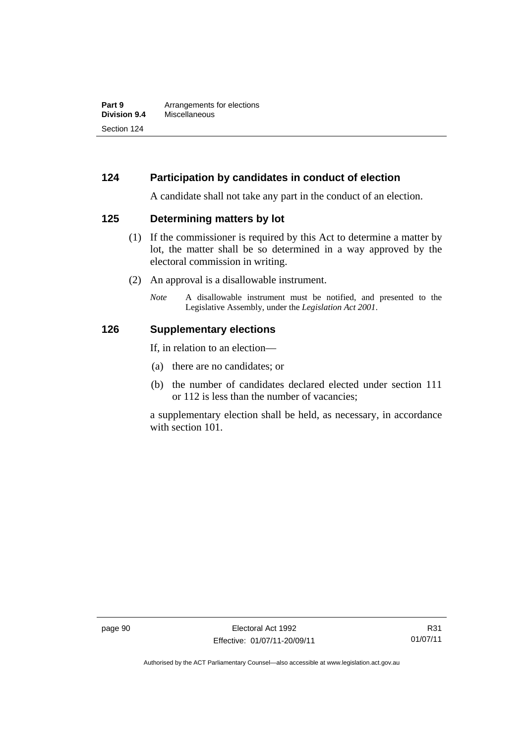## **124 Participation by candidates in conduct of election**

A candidate shall not take any part in the conduct of an election.

#### **125 Determining matters by lot**

- (1) If the commissioner is required by this Act to determine a matter by lot, the matter shall be so determined in a way approved by the electoral commission in writing.
- (2) An approval is a disallowable instrument.
	- *Note* A disallowable instrument must be notified, and presented to the Legislative Assembly, under the *Legislation Act 2001*.

#### **126 Supplementary elections**

If, in relation to an election—

- (a) there are no candidates; or
- (b) the number of candidates declared elected under section 111 or 112 is less than the number of vacancies;

a supplementary election shall be held, as necessary, in accordance with section 101.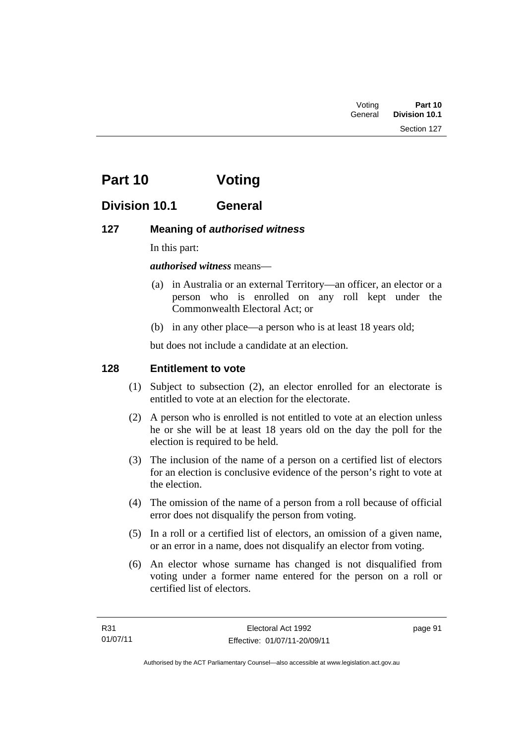| Voting  | Part 10              |
|---------|----------------------|
| General | <b>Division 10.1</b> |

# **Part 10 Voting**

## **Division 10.1 General**

### **127 Meaning of** *authorised witness*

In this part:

*authorised witness* means—

- (a) in Australia or an external Territory—an officer, an elector or a person who is enrolled on any roll kept under the Commonwealth Electoral Act; or
- (b) in any other place—a person who is at least 18 years old;

but does not include a candidate at an election.

### **128 Entitlement to vote**

- (1) Subject to subsection (2), an elector enrolled for an electorate is entitled to vote at an election for the electorate.
- (2) A person who is enrolled is not entitled to vote at an election unless he or she will be at least 18 years old on the day the poll for the election is required to be held.
- (3) The inclusion of the name of a person on a certified list of electors for an election is conclusive evidence of the person's right to vote at the election.
- (4) The omission of the name of a person from a roll because of official error does not disqualify the person from voting.
- (5) In a roll or a certified list of electors, an omission of a given name, or an error in a name, does not disqualify an elector from voting.
- (6) An elector whose surname has changed is not disqualified from voting under a former name entered for the person on a roll or certified list of electors.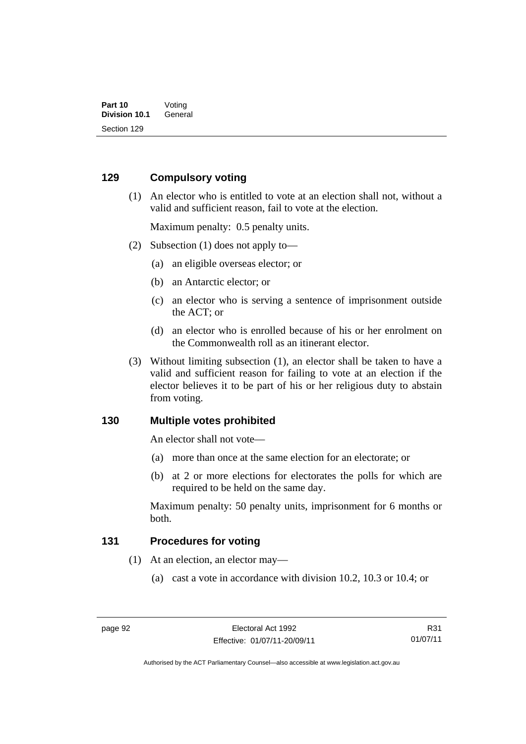### **129 Compulsory voting**

 (1) An elector who is entitled to vote at an election shall not, without a valid and sufficient reason, fail to vote at the election.

Maximum penalty: 0.5 penalty units.

- (2) Subsection (1) does not apply to—
	- (a) an eligible overseas elector; or
	- (b) an Antarctic elector; or
	- (c) an elector who is serving a sentence of imprisonment outside the ACT; or
	- (d) an elector who is enrolled because of his or her enrolment on the Commonwealth roll as an itinerant elector.
- (3) Without limiting subsection (1), an elector shall be taken to have a valid and sufficient reason for failing to vote at an election if the elector believes it to be part of his or her religious duty to abstain from voting.

#### **130 Multiple votes prohibited**

An elector shall not vote—

- (a) more than once at the same election for an electorate; or
- (b) at 2 or more elections for electorates the polls for which are required to be held on the same day.

Maximum penalty: 50 penalty units, imprisonment for 6 months or both.

#### **131 Procedures for voting**

- (1) At an election, an elector may—
	- (a) cast a vote in accordance with division 10.2, 10.3 or 10.4; or

R31 01/07/11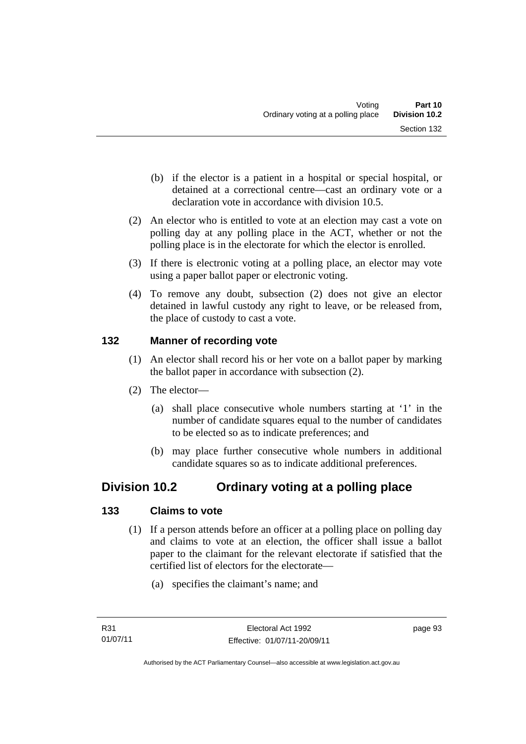- (b) if the elector is a patient in a hospital or special hospital, or detained at a correctional centre—cast an ordinary vote or a declaration vote in accordance with division 10.5.
- (2) An elector who is entitled to vote at an election may cast a vote on polling day at any polling place in the ACT, whether or not the polling place is in the electorate for which the elector is enrolled.
- (3) If there is electronic voting at a polling place, an elector may vote using a paper ballot paper or electronic voting.
- (4) To remove any doubt, subsection (2) does not give an elector detained in lawful custody any right to leave, or be released from, the place of custody to cast a vote.

### **132 Manner of recording vote**

- (1) An elector shall record his or her vote on a ballot paper by marking the ballot paper in accordance with subsection (2).
- (2) The elector—
	- (a) shall place consecutive whole numbers starting at '1' in the number of candidate squares equal to the number of candidates to be elected so as to indicate preferences; and
	- (b) may place further consecutive whole numbers in additional candidate squares so as to indicate additional preferences.

## **Division 10.2 Ordinary voting at a polling place**

## **133 Claims to vote**

- (1) If a person attends before an officer at a polling place on polling day and claims to vote at an election, the officer shall issue a ballot paper to the claimant for the relevant electorate if satisfied that the certified list of electors for the electorate—
	- (a) specifies the claimant's name; and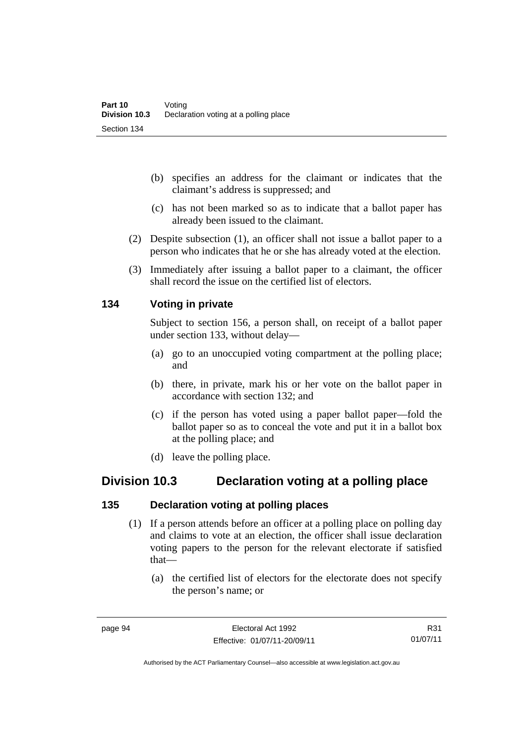- (b) specifies an address for the claimant or indicates that the claimant's address is suppressed; and
- (c) has not been marked so as to indicate that a ballot paper has already been issued to the claimant.
- (2) Despite subsection (1), an officer shall not issue a ballot paper to a person who indicates that he or she has already voted at the election.
- (3) Immediately after issuing a ballot paper to a claimant, the officer shall record the issue on the certified list of electors.

#### **134 Voting in private**

Subject to section 156, a person shall, on receipt of a ballot paper under section 133, without delay—

- (a) go to an unoccupied voting compartment at the polling place; and
- (b) there, in private, mark his or her vote on the ballot paper in accordance with section 132; and
- (c) if the person has voted using a paper ballot paper—fold the ballot paper so as to conceal the vote and put it in a ballot box at the polling place; and
- (d) leave the polling place.

## **Division 10.3 Declaration voting at a polling place**

#### **135 Declaration voting at polling places**

- (1) If a person attends before an officer at a polling place on polling day and claims to vote at an election, the officer shall issue declaration voting papers to the person for the relevant electorate if satisfied that—
	- (a) the certified list of electors for the electorate does not specify the person's name; or

R31 01/07/11

Authorised by the ACT Parliamentary Counsel—also accessible at www.legislation.act.gov.au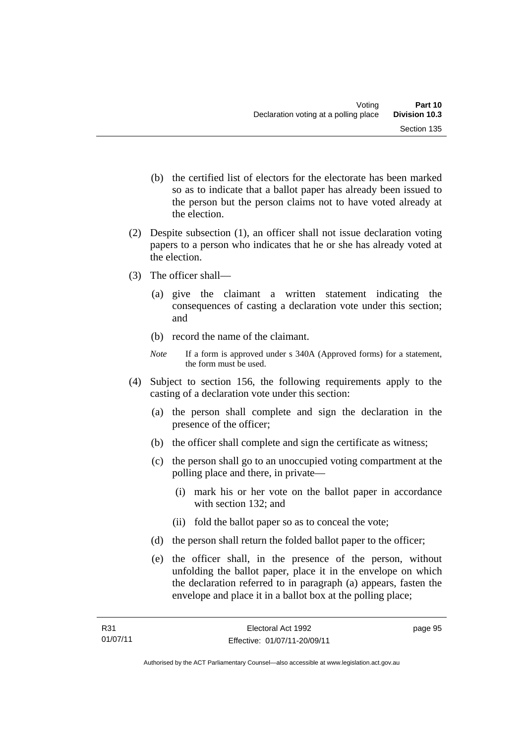- (b) the certified list of electors for the electorate has been marked so as to indicate that a ballot paper has already been issued to the person but the person claims not to have voted already at the election.
- (2) Despite subsection (1), an officer shall not issue declaration voting papers to a person who indicates that he or she has already voted at the election.
- (3) The officer shall—
	- (a) give the claimant a written statement indicating the consequences of casting a declaration vote under this section; and
	- (b) record the name of the claimant.
	- *Note* If a form is approved under s 340A (Approved forms) for a statement, the form must be used.
- (4) Subject to section 156, the following requirements apply to the casting of a declaration vote under this section:
	- (a) the person shall complete and sign the declaration in the presence of the officer;
	- (b) the officer shall complete and sign the certificate as witness;
	- (c) the person shall go to an unoccupied voting compartment at the polling place and there, in private—
		- (i) mark his or her vote on the ballot paper in accordance with section 132; and
		- (ii) fold the ballot paper so as to conceal the vote;
	- (d) the person shall return the folded ballot paper to the officer;
	- (e) the officer shall, in the presence of the person, without unfolding the ballot paper, place it in the envelope on which the declaration referred to in paragraph (a) appears, fasten the envelope and place it in a ballot box at the polling place;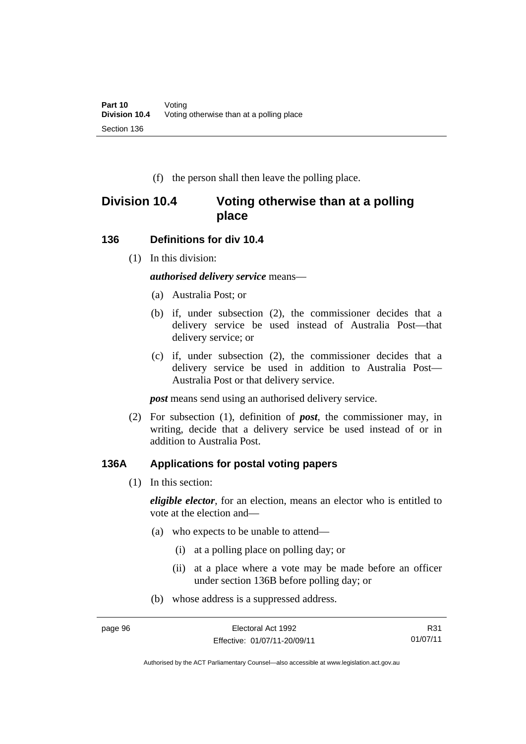(f) the person shall then leave the polling place.

## **Division 10.4 Voting otherwise than at a polling place**

#### **136 Definitions for div 10.4**

(1) In this division:

*authorised delivery service* means—

- (a) Australia Post; or
- (b) if, under subsection (2), the commissioner decides that a delivery service be used instead of Australia Post—that delivery service; or
- (c) if, under subsection (2), the commissioner decides that a delivery service be used in addition to Australia Post— Australia Post or that delivery service.

*post* means send using an authorised delivery service.

 (2) For subsection (1), definition of *post*, the commissioner may, in writing, decide that a delivery service be used instead of or in addition to Australia Post.

#### **136A Applications for postal voting papers**

(1) In this section:

*eligible elector*, for an election, means an elector who is entitled to vote at the election and—

- (a) who expects to be unable to attend—
	- (i) at a polling place on polling day; or
	- (ii) at a place where a vote may be made before an officer under section 136B before polling day; or
- (b) whose address is a suppressed address.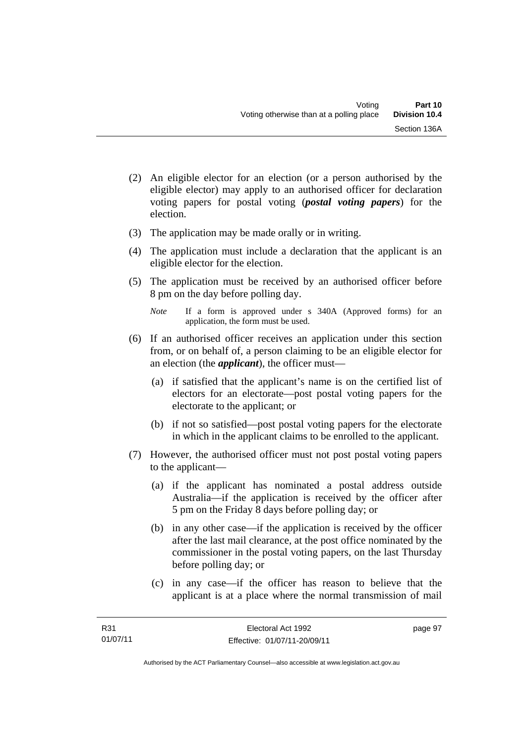- (2) An eligible elector for an election (or a person authorised by the eligible elector) may apply to an authorised officer for declaration voting papers for postal voting (*postal voting papers*) for the election.
- (3) The application may be made orally or in writing.
- (4) The application must include a declaration that the applicant is an eligible elector for the election.
- (5) The application must be received by an authorised officer before 8 pm on the day before polling day.
	- *Note* If a form is approved under s 340A (Approved forms) for an application, the form must be used.
- (6) If an authorised officer receives an application under this section from, or on behalf of, a person claiming to be an eligible elector for an election (the *applicant*), the officer must—
	- (a) if satisfied that the applicant's name is on the certified list of electors for an electorate—post postal voting papers for the electorate to the applicant; or
	- (b) if not so satisfied—post postal voting papers for the electorate in which in the applicant claims to be enrolled to the applicant.
- (7) However, the authorised officer must not post postal voting papers to the applicant—
	- (a) if the applicant has nominated a postal address outside Australia—if the application is received by the officer after 5 pm on the Friday 8 days before polling day; or
	- (b) in any other case—if the application is received by the officer after the last mail clearance, at the post office nominated by the commissioner in the postal voting papers, on the last Thursday before polling day; or
	- (c) in any case—if the officer has reason to believe that the applicant is at a place where the normal transmission of mail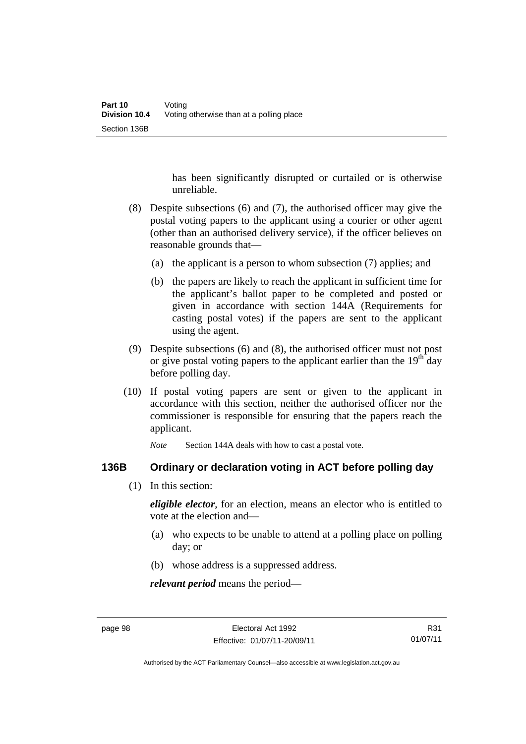has been significantly disrupted or curtailed or is otherwise unreliable.

- (8) Despite subsections (6) and (7), the authorised officer may give the postal voting papers to the applicant using a courier or other agent (other than an authorised delivery service), if the officer believes on reasonable grounds that—
	- (a) the applicant is a person to whom subsection (7) applies; and
	- (b) the papers are likely to reach the applicant in sufficient time for the applicant's ballot paper to be completed and posted or given in accordance with section 144A (Requirements for casting postal votes) if the papers are sent to the applicant using the agent.
- (9) Despite subsections (6) and (8), the authorised officer must not post or give postal voting papers to the applicant earlier than the  $19<sup>th</sup>$  day before polling day.
- (10) If postal voting papers are sent or given to the applicant in accordance with this section, neither the authorised officer nor the commissioner is responsible for ensuring that the papers reach the applicant.

*Note* Section 144A deals with how to cast a postal vote.

#### **136B Ordinary or declaration voting in ACT before polling day**

(1) In this section:

*eligible elector*, for an election, means an elector who is entitled to vote at the election and—

- (a) who expects to be unable to attend at a polling place on polling day; or
- (b) whose address is a suppressed address.

*relevant period* means the period—

R31 01/07/11

Authorised by the ACT Parliamentary Counsel—also accessible at www.legislation.act.gov.au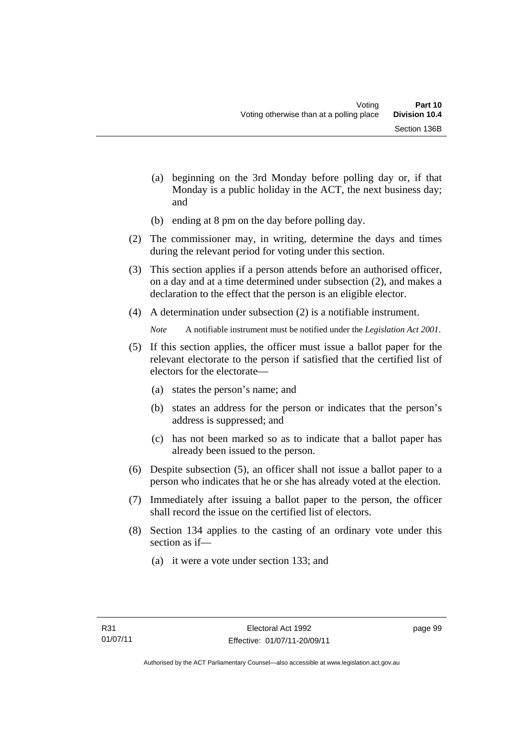- (a) beginning on the 3rd Monday before polling day or, if that Monday is a public holiday in the ACT, the next business day; and
- (b) ending at 8 pm on the day before polling day.
- (2) The commissioner may, in writing, determine the days and times during the relevant period for voting under this section.
- (3) This section applies if a person attends before an authorised officer, on a day and at a time determined under subsection (2), and makes a declaration to the effect that the person is an eligible elector.
- (4) A determination under subsection (2) is a notifiable instrument.

*Note* A notifiable instrument must be notified under the *Legislation Act 2001*.

- (5) If this section applies, the officer must issue a ballot paper for the relevant electorate to the person if satisfied that the certified list of electors for the electorate—
	- (a) states the person's name; and
	- (b) states an address for the person or indicates that the person's address is suppressed; and
	- (c) has not been marked so as to indicate that a ballot paper has already been issued to the person.
- (6) Despite subsection (5), an officer shall not issue a ballot paper to a person who indicates that he or she has already voted at the election.
- (7) Immediately after issuing a ballot paper to the person, the officer shall record the issue on the certified list of electors.
- (8) Section 134 applies to the casting of an ordinary vote under this section as if—
	- (a) it were a vote under section 133; and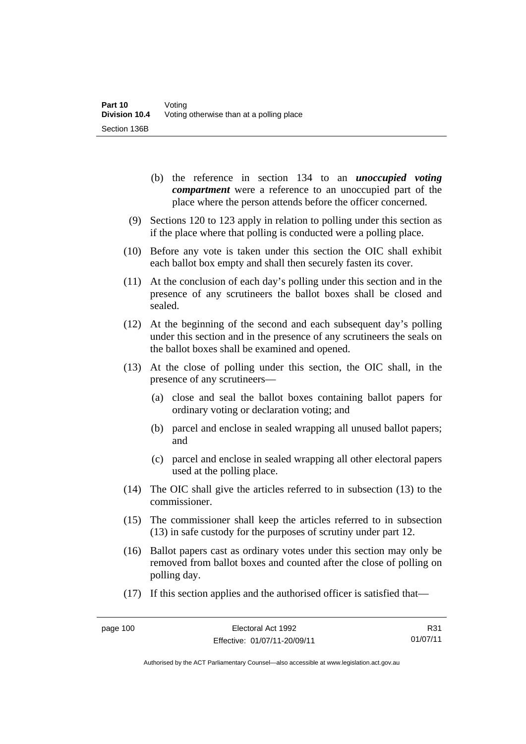- (b) the reference in section 134 to an *unoccupied voting compartment* were a reference to an unoccupied part of the place where the person attends before the officer concerned.
- (9) Sections 120 to 123 apply in relation to polling under this section as if the place where that polling is conducted were a polling place.
- (10) Before any vote is taken under this section the OIC shall exhibit each ballot box empty and shall then securely fasten its cover.
- (11) At the conclusion of each day's polling under this section and in the presence of any scrutineers the ballot boxes shall be closed and sealed.
- (12) At the beginning of the second and each subsequent day's polling under this section and in the presence of any scrutineers the seals on the ballot boxes shall be examined and opened.
- (13) At the close of polling under this section, the OIC shall, in the presence of any scrutineers—
	- (a) close and seal the ballot boxes containing ballot papers for ordinary voting or declaration voting; and
	- (b) parcel and enclose in sealed wrapping all unused ballot papers; and
	- (c) parcel and enclose in sealed wrapping all other electoral papers used at the polling place.
- (14) The OIC shall give the articles referred to in subsection (13) to the commissioner.
- (15) The commissioner shall keep the articles referred to in subsection (13) in safe custody for the purposes of scrutiny under part 12.
- (16) Ballot papers cast as ordinary votes under this section may only be removed from ballot boxes and counted after the close of polling on polling day.
- (17) If this section applies and the authorised officer is satisfied that—

R31 01/07/11

Authorised by the ACT Parliamentary Counsel—also accessible at www.legislation.act.gov.au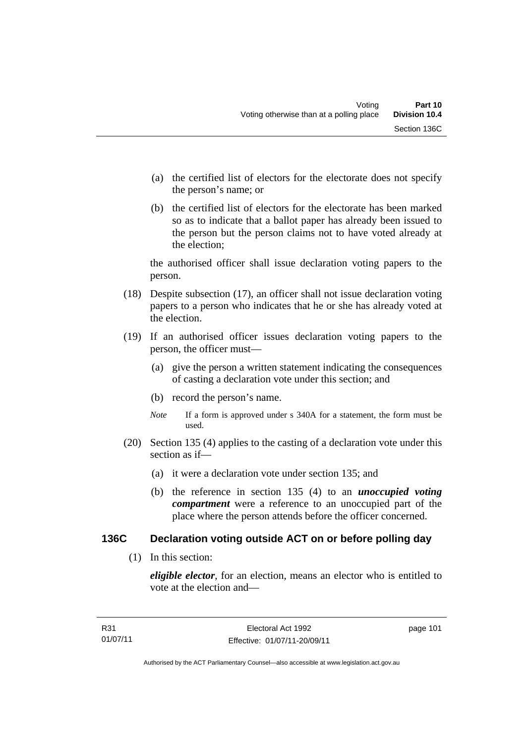- (a) the certified list of electors for the electorate does not specify the person's name; or
- (b) the certified list of electors for the electorate has been marked so as to indicate that a ballot paper has already been issued to the person but the person claims not to have voted already at the election;

the authorised officer shall issue declaration voting papers to the person.

- (18) Despite subsection (17), an officer shall not issue declaration voting papers to a person who indicates that he or she has already voted at the election.
- (19) If an authorised officer issues declaration voting papers to the person, the officer must—
	- (a) give the person a written statement indicating the consequences of casting a declaration vote under this section; and
	- (b) record the person's name.
	- *Note* If a form is approved under s 340A for a statement, the form must be used.
- (20) Section 135 (4) applies to the casting of a declaration vote under this section as if—
	- (a) it were a declaration vote under section 135; and
	- (b) the reference in section 135 (4) to an *unoccupied voting compartment* were a reference to an unoccupied part of the place where the person attends before the officer concerned.

#### **136C Declaration voting outside ACT on or before polling day**

(1) In this section:

*eligible elector*, for an election, means an elector who is entitled to vote at the election and—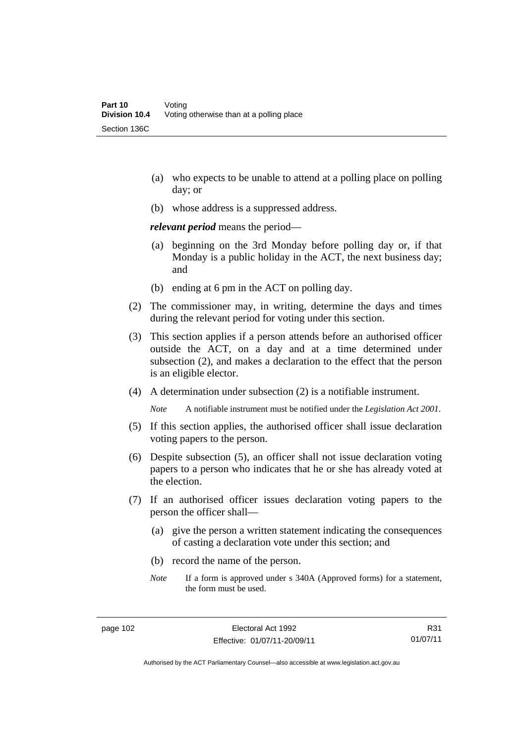- (a) who expects to be unable to attend at a polling place on polling day; or
- (b) whose address is a suppressed address.

*relevant period* means the period—

- (a) beginning on the 3rd Monday before polling day or, if that Monday is a public holiday in the ACT, the next business day; and
- (b) ending at 6 pm in the ACT on polling day.
- (2) The commissioner may, in writing, determine the days and times during the relevant period for voting under this section.
- (3) This section applies if a person attends before an authorised officer outside the ACT, on a day and at a time determined under subsection (2), and makes a declaration to the effect that the person is an eligible elector.
- (4) A determination under subsection (2) is a notifiable instrument.

*Note* A notifiable instrument must be notified under the *Legislation Act 2001*.

- (5) If this section applies, the authorised officer shall issue declaration voting papers to the person.
- (6) Despite subsection (5), an officer shall not issue declaration voting papers to a person who indicates that he or she has already voted at the election.
- (7) If an authorised officer issues declaration voting papers to the person the officer shall—
	- (a) give the person a written statement indicating the consequences of casting a declaration vote under this section; and
	- (b) record the name of the person.
	- *Note* If a form is approved under s 340A (Approved forms) for a statement, the form must be used.

R31 01/07/11

Authorised by the ACT Parliamentary Counsel—also accessible at www.legislation.act.gov.au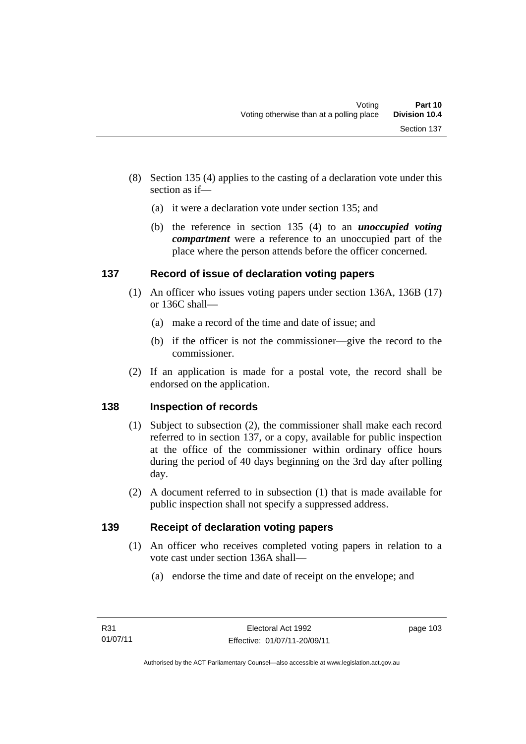- (8) Section 135 (4) applies to the casting of a declaration vote under this section as if—
	- (a) it were a declaration vote under section 135; and
	- (b) the reference in section 135 (4) to an *unoccupied voting compartment* were a reference to an unoccupied part of the place where the person attends before the officer concerned.

## **137 Record of issue of declaration voting papers**

- (1) An officer who issues voting papers under section 136A, 136B (17) or 136C shall—
	- (a) make a record of the time and date of issue; and
	- (b) if the officer is not the commissioner—give the record to the commissioner.
- (2) If an application is made for a postal vote, the record shall be endorsed on the application.

## **138 Inspection of records**

- (1) Subject to subsection (2), the commissioner shall make each record referred to in section 137, or a copy, available for public inspection at the office of the commissioner within ordinary office hours during the period of 40 days beginning on the 3rd day after polling day.
- (2) A document referred to in subsection (1) that is made available for public inspection shall not specify a suppressed address.

## **139 Receipt of declaration voting papers**

- (1) An officer who receives completed voting papers in relation to a vote cast under section 136A shall—
	- (a) endorse the time and date of receipt on the envelope; and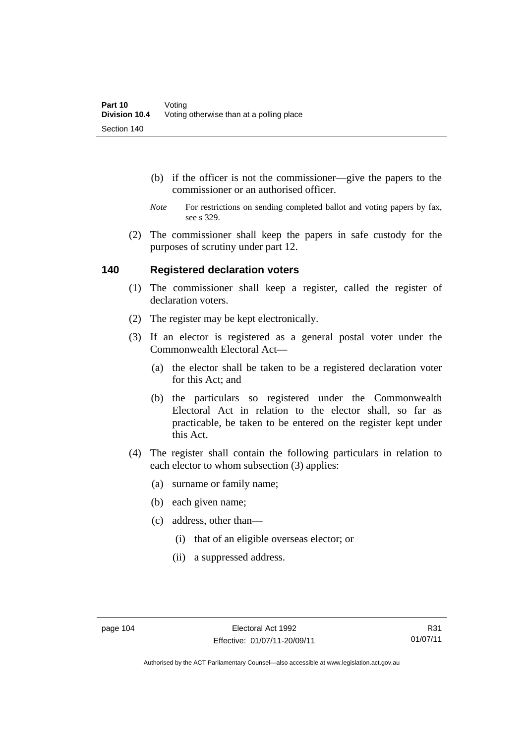- (b) if the officer is not the commissioner—give the papers to the commissioner or an authorised officer.
- *Note* For restrictions on sending completed ballot and voting papers by fax, see s 329.
- (2) The commissioner shall keep the papers in safe custody for the purposes of scrutiny under part 12.

#### **140 Registered declaration voters**

- (1) The commissioner shall keep a register, called the register of declaration voters.
- (2) The register may be kept electronically.
- (3) If an elector is registered as a general postal voter under the Commonwealth Electoral Act—
	- (a) the elector shall be taken to be a registered declaration voter for this Act; and
	- (b) the particulars so registered under the Commonwealth Electoral Act in relation to the elector shall, so far as practicable, be taken to be entered on the register kept under this Act.
- (4) The register shall contain the following particulars in relation to each elector to whom subsection (3) applies:
	- (a) surname or family name;
	- (b) each given name;
	- (c) address, other than—
		- (i) that of an eligible overseas elector; or
		- (ii) a suppressed address.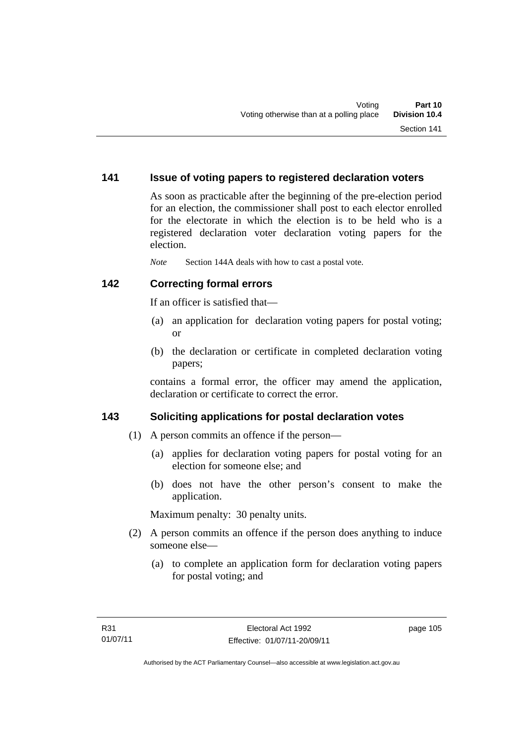#### **141 Issue of voting papers to registered declaration voters**

As soon as practicable after the beginning of the pre-election period for an election, the commissioner shall post to each elector enrolled for the electorate in which the election is to be held who is a registered declaration voter declaration voting papers for the election.

*Note* Section 144A deals with how to cast a postal vote.

#### **142 Correcting formal errors**

If an officer is satisfied that—

- (a) an application for declaration voting papers for postal voting; or
- (b) the declaration or certificate in completed declaration voting papers;

contains a formal error, the officer may amend the application, declaration or certificate to correct the error.

### **143 Soliciting applications for postal declaration votes**

- (1) A person commits an offence if the person—
	- (a) applies for declaration voting papers for postal voting for an election for someone else; and
	- (b) does not have the other person's consent to make the application.

Maximum penalty: 30 penalty units.

- (2) A person commits an offence if the person does anything to induce someone else—
	- (a) to complete an application form for declaration voting papers for postal voting; and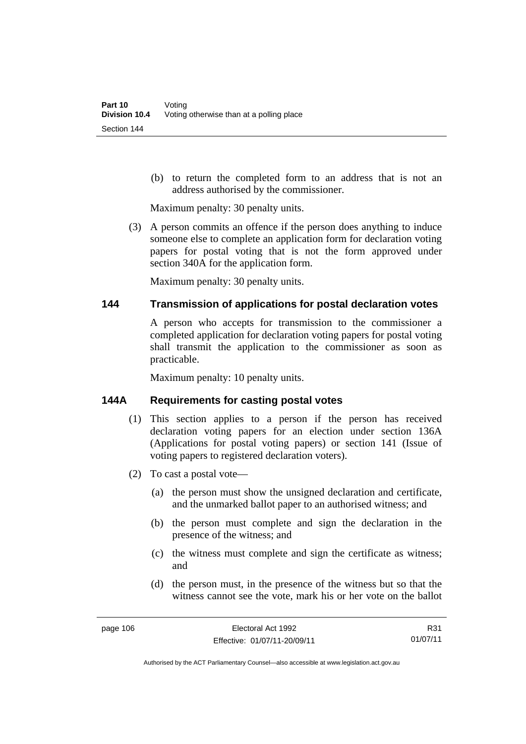(b) to return the completed form to an address that is not an address authorised by the commissioner.

Maximum penalty: 30 penalty units.

 (3) A person commits an offence if the person does anything to induce someone else to complete an application form for declaration voting papers for postal voting that is not the form approved under section 340A for the application form.

Maximum penalty: 30 penalty units.

#### **144 Transmission of applications for postal declaration votes**

A person who accepts for transmission to the commissioner a completed application for declaration voting papers for postal voting shall transmit the application to the commissioner as soon as practicable.

Maximum penalty: 10 penalty units.

#### **144A Requirements for casting postal votes**

- (1) This section applies to a person if the person has received declaration voting papers for an election under section 136A (Applications for postal voting papers) or section 141 (Issue of voting papers to registered declaration voters).
- (2) To cast a postal vote—
	- (a) the person must show the unsigned declaration and certificate, and the unmarked ballot paper to an authorised witness; and
	- (b) the person must complete and sign the declaration in the presence of the witness; and
	- (c) the witness must complete and sign the certificate as witness; and
	- (d) the person must, in the presence of the witness but so that the witness cannot see the vote, mark his or her vote on the ballot

R31 01/07/11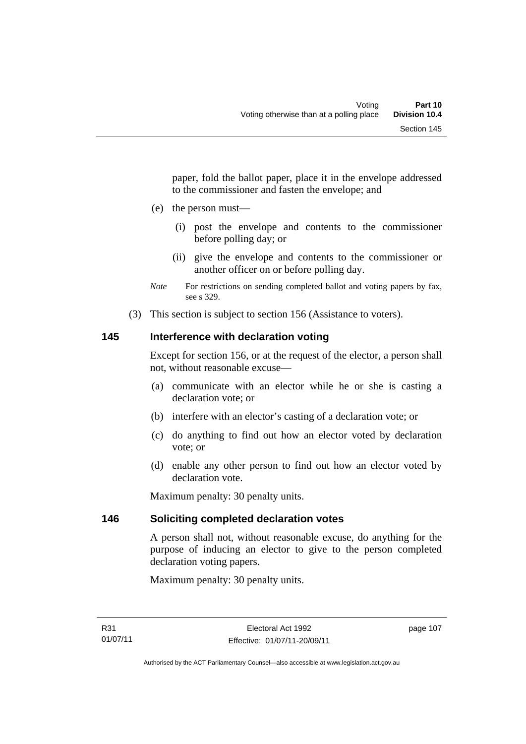paper, fold the ballot paper, place it in the envelope addressed to the commissioner and fasten the envelope; and

- (e) the person must—
	- (i) post the envelope and contents to the commissioner before polling day; or
	- (ii) give the envelope and contents to the commissioner or another officer on or before polling day.
- *Note* For restrictions on sending completed ballot and voting papers by fax, see s 329.
- (3) This section is subject to section 156 (Assistance to voters).

### **145 Interference with declaration voting**

Except for section 156, or at the request of the elector, a person shall not, without reasonable excuse—

- (a) communicate with an elector while he or she is casting a declaration vote; or
- (b) interfere with an elector's casting of a declaration vote; or
- (c) do anything to find out how an elector voted by declaration vote; or
- (d) enable any other person to find out how an elector voted by declaration vote.

Maximum penalty: 30 penalty units.

### **146 Soliciting completed declaration votes**

A person shall not, without reasonable excuse, do anything for the purpose of inducing an elector to give to the person completed declaration voting papers.

Maximum penalty: 30 penalty units.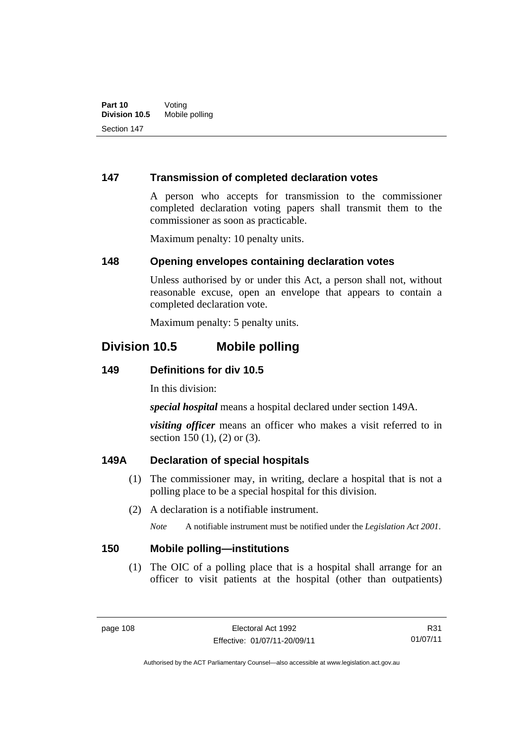#### **147 Transmission of completed declaration votes**

A person who accepts for transmission to the commissioner completed declaration voting papers shall transmit them to the commissioner as soon as practicable.

Maximum penalty: 10 penalty units.

#### **148 Opening envelopes containing declaration votes**

Unless authorised by or under this Act, a person shall not, without reasonable excuse, open an envelope that appears to contain a completed declaration vote.

Maximum penalty: 5 penalty units.

## **Division 10.5 Mobile polling**

#### **149 Definitions for div 10.5**

In this division:

*special hospital* means a hospital declared under section 149A.

*visiting officer* means an officer who makes a visit referred to in section 150 (1), (2) or (3).

### **149A Declaration of special hospitals**

- (1) The commissioner may, in writing, declare a hospital that is not a polling place to be a special hospital for this division.
- (2) A declaration is a notifiable instrument.

*Note* A notifiable instrument must be notified under the *Legislation Act 2001*.

#### **150 Mobile polling—institutions**

 (1) The OIC of a polling place that is a hospital shall arrange for an officer to visit patients at the hospital (other than outpatients)

R31 01/07/11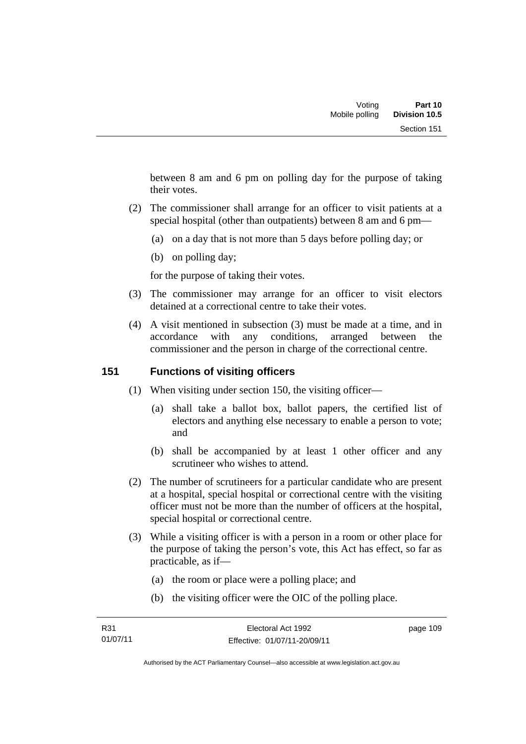between 8 am and 6 pm on polling day for the purpose of taking their votes.

- (2) The commissioner shall arrange for an officer to visit patients at a special hospital (other than outpatients) between 8 am and 6 pm—
	- (a) on a day that is not more than 5 days before polling day; or
	- (b) on polling day;

for the purpose of taking their votes.

- (3) The commissioner may arrange for an officer to visit electors detained at a correctional centre to take their votes.
- (4) A visit mentioned in subsection (3) must be made at a time, and in accordance with any conditions, arranged between the commissioner and the person in charge of the correctional centre.

### **151 Functions of visiting officers**

- (1) When visiting under section 150, the visiting officer—
	- (a) shall take a ballot box, ballot papers, the certified list of electors and anything else necessary to enable a person to vote; and
	- (b) shall be accompanied by at least 1 other officer and any scrutineer who wishes to attend.
- (2) The number of scrutineers for a particular candidate who are present at a hospital, special hospital or correctional centre with the visiting officer must not be more than the number of officers at the hospital, special hospital or correctional centre.
- (3) While a visiting officer is with a person in a room or other place for the purpose of taking the person's vote, this Act has effect, so far as practicable, as if—
	- (a) the room or place were a polling place; and
	- (b) the visiting officer were the OIC of the polling place.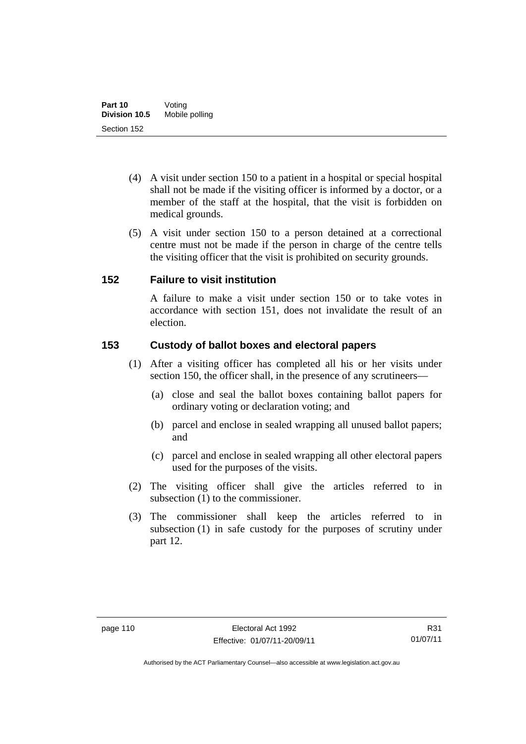- (4) A visit under section 150 to a patient in a hospital or special hospital shall not be made if the visiting officer is informed by a doctor, or a member of the staff at the hospital, that the visit is forbidden on medical grounds.
- (5) A visit under section 150 to a person detained at a correctional centre must not be made if the person in charge of the centre tells the visiting officer that the visit is prohibited on security grounds.

#### **152 Failure to visit institution**

A failure to make a visit under section 150 or to take votes in accordance with section 151, does not invalidate the result of an election.

### **153 Custody of ballot boxes and electoral papers**

- (1) After a visiting officer has completed all his or her visits under section 150, the officer shall, in the presence of any scrutineers—
	- (a) close and seal the ballot boxes containing ballot papers for ordinary voting or declaration voting; and
	- (b) parcel and enclose in sealed wrapping all unused ballot papers; and
	- (c) parcel and enclose in sealed wrapping all other electoral papers used for the purposes of the visits.
- (2) The visiting officer shall give the articles referred to in subsection (1) to the commissioner.
- (3) The commissioner shall keep the articles referred to in subsection (1) in safe custody for the purposes of scrutiny under part 12.

Authorised by the ACT Parliamentary Counsel—also accessible at www.legislation.act.gov.au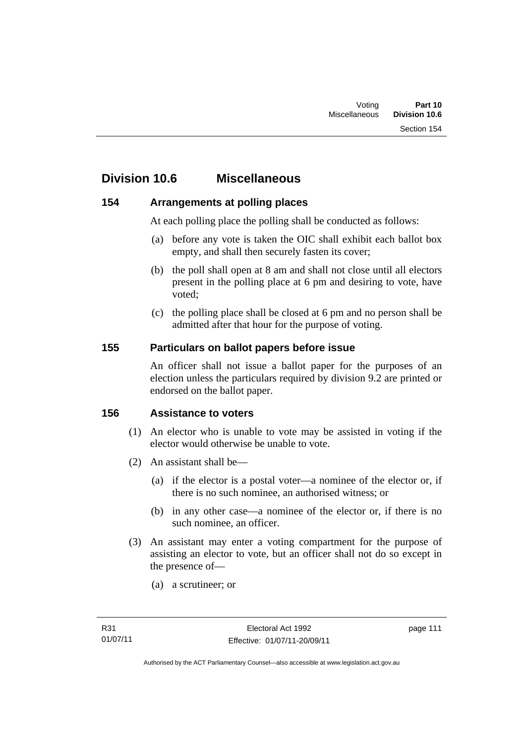## **Division 10.6 Miscellaneous**

#### **154 Arrangements at polling places**

At each polling place the polling shall be conducted as follows:

- (a) before any vote is taken the OIC shall exhibit each ballot box empty, and shall then securely fasten its cover;
- (b) the poll shall open at 8 am and shall not close until all electors present in the polling place at 6 pm and desiring to vote, have voted;
- (c) the polling place shall be closed at 6 pm and no person shall be admitted after that hour for the purpose of voting.

#### **155 Particulars on ballot papers before issue**

An officer shall not issue a ballot paper for the purposes of an election unless the particulars required by division 9.2 are printed or endorsed on the ballot paper.

#### **156 Assistance to voters**

- (1) An elector who is unable to vote may be assisted in voting if the elector would otherwise be unable to vote.
- (2) An assistant shall be—
	- (a) if the elector is a postal voter—a nominee of the elector or, if there is no such nominee, an authorised witness; or
	- (b) in any other case—a nominee of the elector or, if there is no such nominee, an officer.
- (3) An assistant may enter a voting compartment for the purpose of assisting an elector to vote, but an officer shall not do so except in the presence of—
	- (a) a scrutineer; or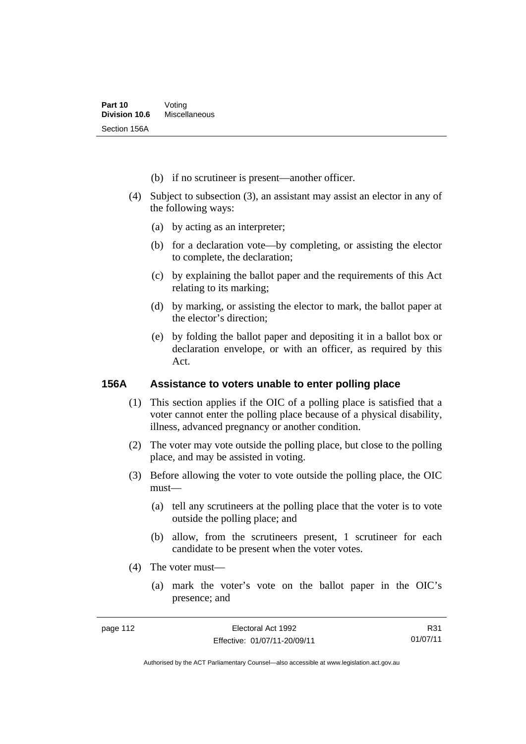- (b) if no scrutineer is present—another officer.
- (4) Subject to subsection (3), an assistant may assist an elector in any of the following ways:
	- (a) by acting as an interpreter;
	- (b) for a declaration vote—by completing, or assisting the elector to complete, the declaration;
	- (c) by explaining the ballot paper and the requirements of this Act relating to its marking;
	- (d) by marking, or assisting the elector to mark, the ballot paper at the elector's direction;
	- (e) by folding the ballot paper and depositing it in a ballot box or declaration envelope, or with an officer, as required by this Act.

#### **156A Assistance to voters unable to enter polling place**

- (1) This section applies if the OIC of a polling place is satisfied that a voter cannot enter the polling place because of a physical disability, illness, advanced pregnancy or another condition.
- (2) The voter may vote outside the polling place, but close to the polling place, and may be assisted in voting.
- (3) Before allowing the voter to vote outside the polling place, the OIC must—
	- (a) tell any scrutineers at the polling place that the voter is to vote outside the polling place; and
	- (b) allow, from the scrutineers present, 1 scrutineer for each candidate to be present when the voter votes.
- (4) The voter must—
	- (a) mark the voter's vote on the ballot paper in the OIC's presence; and

R31 01/07/11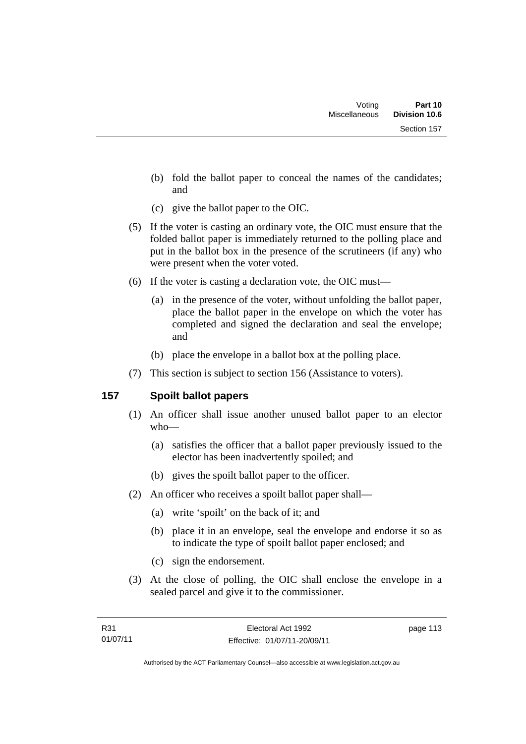- (b) fold the ballot paper to conceal the names of the candidates; and
- (c) give the ballot paper to the OIC.
- (5) If the voter is casting an ordinary vote, the OIC must ensure that the folded ballot paper is immediately returned to the polling place and put in the ballot box in the presence of the scrutineers (if any) who were present when the voter voted.
- (6) If the voter is casting a declaration vote, the OIC must—
	- (a) in the presence of the voter, without unfolding the ballot paper, place the ballot paper in the envelope on which the voter has completed and signed the declaration and seal the envelope; and
	- (b) place the envelope in a ballot box at the polling place.
- (7) This section is subject to section 156 (Assistance to voters).

### **157 Spoilt ballot papers**

- (1) An officer shall issue another unused ballot paper to an elector who—
	- (a) satisfies the officer that a ballot paper previously issued to the elector has been inadvertently spoiled; and
	- (b) gives the spoilt ballot paper to the officer.
- (2) An officer who receives a spoilt ballot paper shall—
	- (a) write 'spoilt' on the back of it; and
	- (b) place it in an envelope, seal the envelope and endorse it so as to indicate the type of spoilt ballot paper enclosed; and
	- (c) sign the endorsement.
- (3) At the close of polling, the OIC shall enclose the envelope in a sealed parcel and give it to the commissioner.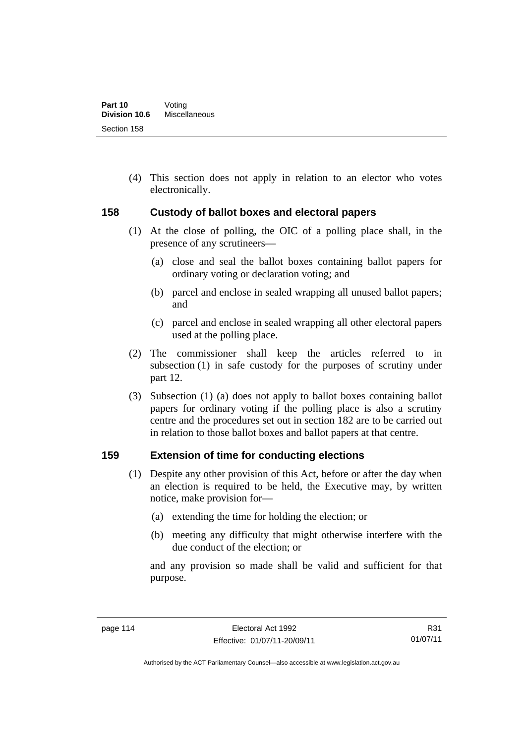(4) This section does not apply in relation to an elector who votes electronically.

#### **158 Custody of ballot boxes and electoral papers**

- (1) At the close of polling, the OIC of a polling place shall, in the presence of any scrutineers—
	- (a) close and seal the ballot boxes containing ballot papers for ordinary voting or declaration voting; and
	- (b) parcel and enclose in sealed wrapping all unused ballot papers; and
	- (c) parcel and enclose in sealed wrapping all other electoral papers used at the polling place.
- (2) The commissioner shall keep the articles referred to in subsection (1) in safe custody for the purposes of scrutiny under part 12.
- (3) Subsection (1) (a) does not apply to ballot boxes containing ballot papers for ordinary voting if the polling place is also a scrutiny centre and the procedures set out in section 182 are to be carried out in relation to those ballot boxes and ballot papers at that centre.

#### **159 Extension of time for conducting elections**

- (1) Despite any other provision of this Act, before or after the day when an election is required to be held, the Executive may, by written notice, make provision for—
	- (a) extending the time for holding the election; or
	- (b) meeting any difficulty that might otherwise interfere with the due conduct of the election; or

and any provision so made shall be valid and sufficient for that purpose.

R31 01/07/11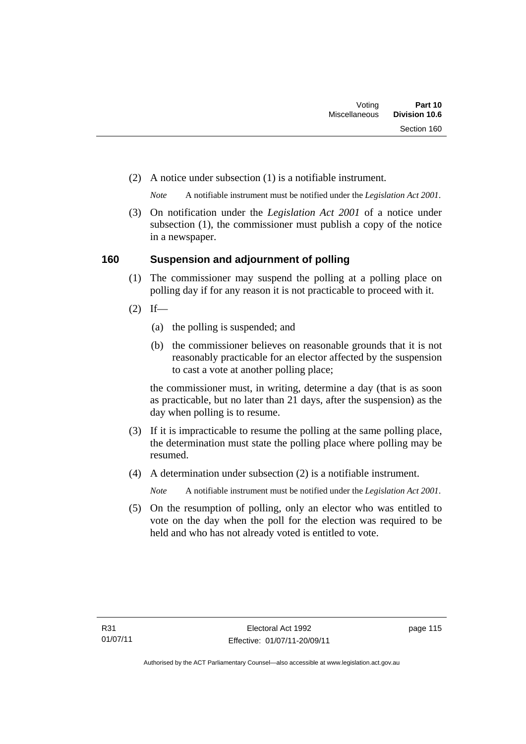(2) A notice under subsection (1) is a notifiable instrument.

*Note* A notifiable instrument must be notified under the *Legislation Act 2001*.

 (3) On notification under the *Legislation Act 2001* of a notice under subsection (1), the commissioner must publish a copy of the notice in a newspaper.

#### **160 Suspension and adjournment of polling**

- (1) The commissioner may suspend the polling at a polling place on polling day if for any reason it is not practicable to proceed with it.
- $(2)$  If—
	- (a) the polling is suspended; and
	- (b) the commissioner believes on reasonable grounds that it is not reasonably practicable for an elector affected by the suspension to cast a vote at another polling place;

the commissioner must, in writing, determine a day (that is as soon as practicable, but no later than 21 days, after the suspension) as the day when polling is to resume.

- (3) If it is impracticable to resume the polling at the same polling place, the determination must state the polling place where polling may be resumed.
- (4) A determination under subsection (2) is a notifiable instrument.

*Note* A notifiable instrument must be notified under the *Legislation Act 2001*.

 (5) On the resumption of polling, only an elector who was entitled to vote on the day when the poll for the election was required to be held and who has not already voted is entitled to vote.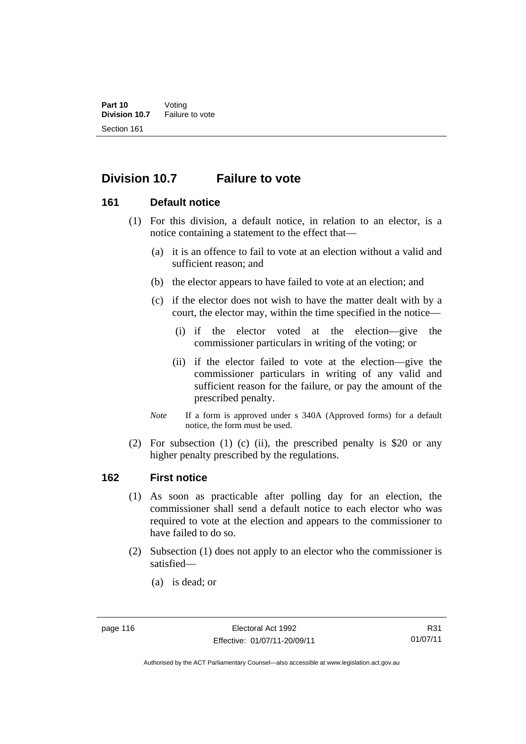## **Division 10.7 Failure to vote**

#### **161 Default notice**

- (1) For this division, a default notice, in relation to an elector, is a notice containing a statement to the effect that—
	- (a) it is an offence to fail to vote at an election without a valid and sufficient reason; and
	- (b) the elector appears to have failed to vote at an election; and
	- (c) if the elector does not wish to have the matter dealt with by a court, the elector may, within the time specified in the notice—
		- (i) if the elector voted at the election—give the commissioner particulars in writing of the voting; or
		- (ii) if the elector failed to vote at the election—give the commissioner particulars in writing of any valid and sufficient reason for the failure, or pay the amount of the prescribed penalty.
	- *Note* If a form is approved under s 340A (Approved forms) for a default notice, the form must be used.
- (2) For subsection (1) (c) (ii), the prescribed penalty is \$20 or any higher penalty prescribed by the regulations.

#### **162 First notice**

- (1) As soon as practicable after polling day for an election, the commissioner shall send a default notice to each elector who was required to vote at the election and appears to the commissioner to have failed to do so.
- (2) Subsection (1) does not apply to an elector who the commissioner is satisfied—
	- (a) is dead; or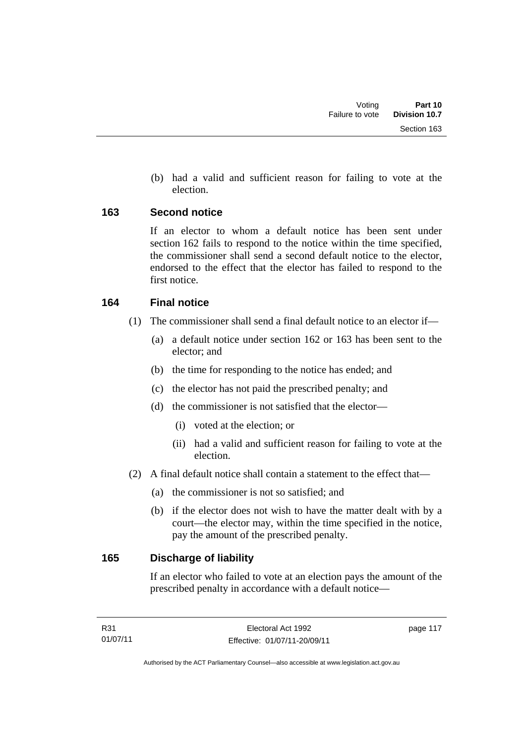(b) had a valid and sufficient reason for failing to vote at the election.

#### **163 Second notice**

If an elector to whom a default notice has been sent under section 162 fails to respond to the notice within the time specified, the commissioner shall send a second default notice to the elector, endorsed to the effect that the elector has failed to respond to the first notice.

#### **164 Final notice**

- (1) The commissioner shall send a final default notice to an elector if—
	- (a) a default notice under section 162 or 163 has been sent to the elector; and
	- (b) the time for responding to the notice has ended; and
	- (c) the elector has not paid the prescribed penalty; and
	- (d) the commissioner is not satisfied that the elector—
		- (i) voted at the election; or
		- (ii) had a valid and sufficient reason for failing to vote at the election.
- (2) A final default notice shall contain a statement to the effect that—
	- (a) the commissioner is not so satisfied; and
	- (b) if the elector does not wish to have the matter dealt with by a court—the elector may, within the time specified in the notice, pay the amount of the prescribed penalty.

### **165 Discharge of liability**

If an elector who failed to vote at an election pays the amount of the prescribed penalty in accordance with a default notice—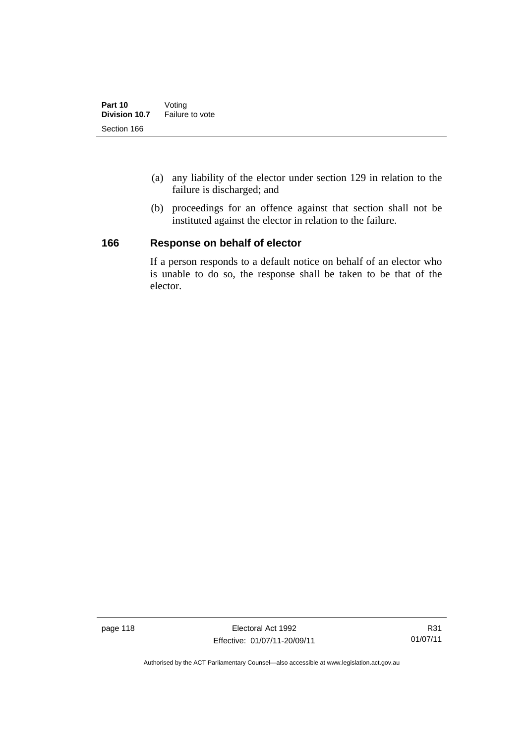- (a) any liability of the elector under section 129 in relation to the failure is discharged; and
- (b) proceedings for an offence against that section shall not be instituted against the elector in relation to the failure.

#### **166 Response on behalf of elector**

If a person responds to a default notice on behalf of an elector who is unable to do so, the response shall be taken to be that of the elector.

page 118 **Electoral Act 1992** Effective: 01/07/11-20/09/11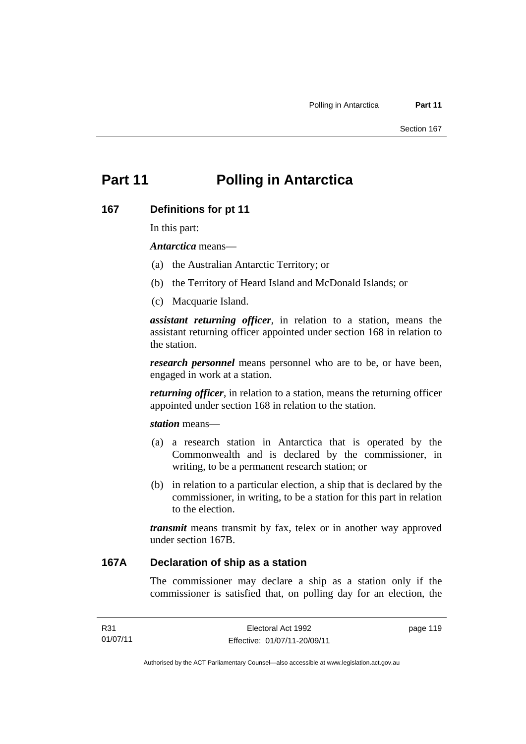# **Part 11 Polling in Antarctica**

#### **167 Definitions for pt 11**

In this part:

*Antarctica* means—

- (a) the Australian Antarctic Territory; or
- (b) the Territory of Heard Island and McDonald Islands; or
- (c) Macquarie Island.

*assistant returning officer*, in relation to a station, means the assistant returning officer appointed under section 168 in relation to the station.

*research personnel* means personnel who are to be, or have been, engaged in work at a station.

*returning officer*, in relation to a station, means the returning officer appointed under section 168 in relation to the station.

*station* means—

- (a) a research station in Antarctica that is operated by the Commonwealth and is declared by the commissioner, in writing, to be a permanent research station; or
- (b) in relation to a particular election, a ship that is declared by the commissioner, in writing, to be a station for this part in relation to the election.

*transmit* means transmit by fax, telex or in another way approved under section 167B.

#### **167A Declaration of ship as a station**

The commissioner may declare a ship as a station only if the commissioner is satisfied that, on polling day for an election, the

Authorised by the ACT Parliamentary Counsel—also accessible at www.legislation.act.gov.au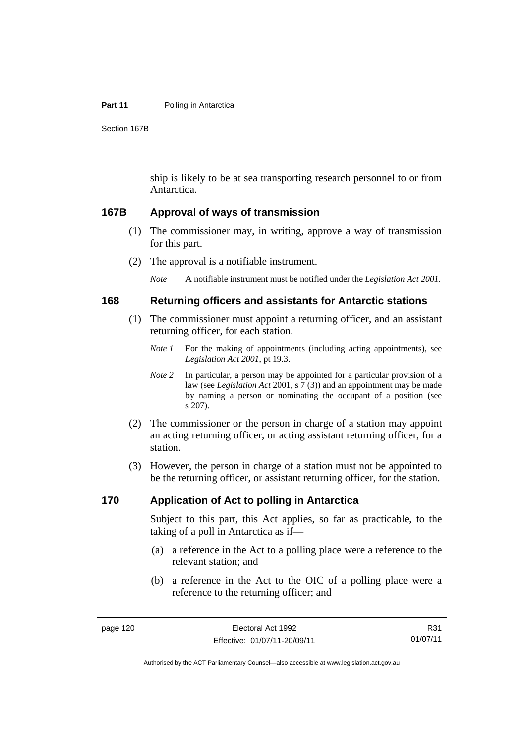#### **Part 11** Polling in Antarctica

Section 167B

ship is likely to be at sea transporting research personnel to or from Antarctica.

#### **167B Approval of ways of transmission**

- (1) The commissioner may, in writing, approve a way of transmission for this part.
- (2) The approval is a notifiable instrument.

*Note* A notifiable instrument must be notified under the *Legislation Act 2001*.

#### **168 Returning officers and assistants for Antarctic stations**

- (1) The commissioner must appoint a returning officer, and an assistant returning officer, for each station.
	- *Note 1* For the making of appointments (including acting appointments), see *Legislation Act 2001*, pt 19.3.
	- *Note 2* In particular, a person may be appointed for a particular provision of a law (see *Legislation Act* 2001, s 7 (3)) and an appointment may be made by naming a person or nominating the occupant of a position (see s 207).
- (2) The commissioner or the person in charge of a station may appoint an acting returning officer, or acting assistant returning officer, for a station.
- (3) However, the person in charge of a station must not be appointed to be the returning officer, or assistant returning officer, for the station.

#### **170 Application of Act to polling in Antarctica**

Subject to this part, this Act applies, so far as practicable, to the taking of a poll in Antarctica as if—

- (a) a reference in the Act to a polling place were a reference to the relevant station; and
- (b) a reference in the Act to the OIC of a polling place were a reference to the returning officer; and

R31 01/07/11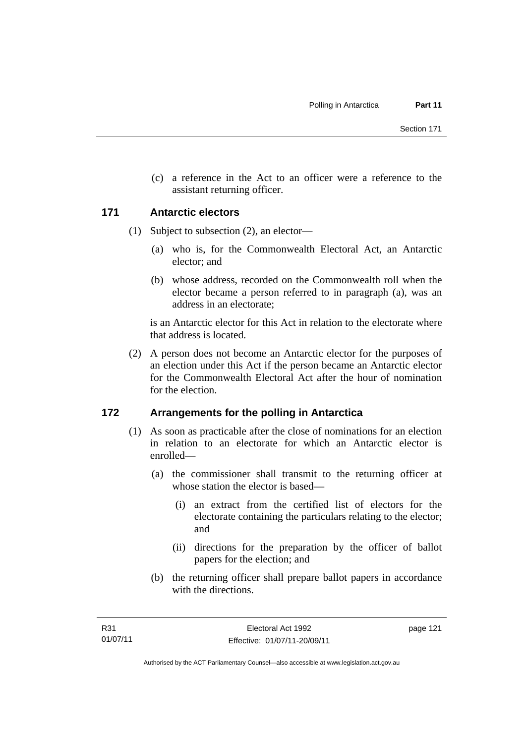(c) a reference in the Act to an officer were a reference to the assistant returning officer.

#### **171 Antarctic electors**

- (1) Subject to subsection (2), an elector—
	- (a) who is, for the Commonwealth Electoral Act, an Antarctic elector; and
	- (b) whose address, recorded on the Commonwealth roll when the elector became a person referred to in paragraph (a), was an address in an electorate;

is an Antarctic elector for this Act in relation to the electorate where that address is located.

 (2) A person does not become an Antarctic elector for the purposes of an election under this Act if the person became an Antarctic elector for the Commonwealth Electoral Act after the hour of nomination for the election.

### **172 Arrangements for the polling in Antarctica**

- (1) As soon as practicable after the close of nominations for an election in relation to an electorate for which an Antarctic elector is enrolled—
	- (a) the commissioner shall transmit to the returning officer at whose station the elector is based—
		- (i) an extract from the certified list of electors for the electorate containing the particulars relating to the elector; and
		- (ii) directions for the preparation by the officer of ballot papers for the election; and
	- (b) the returning officer shall prepare ballot papers in accordance with the directions.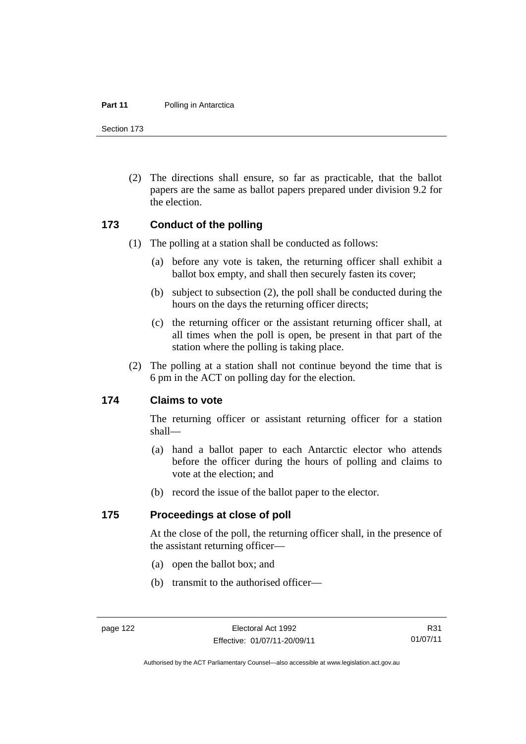#### **Part 11** Polling in Antarctica

Section 173

 (2) The directions shall ensure, so far as practicable, that the ballot papers are the same as ballot papers prepared under division 9.2 for the election.

#### **173 Conduct of the polling**

- (1) The polling at a station shall be conducted as follows:
	- (a) before any vote is taken, the returning officer shall exhibit a ballot box empty, and shall then securely fasten its cover;
	- (b) subject to subsection (2), the poll shall be conducted during the hours on the days the returning officer directs;
	- (c) the returning officer or the assistant returning officer shall, at all times when the poll is open, be present in that part of the station where the polling is taking place.
- (2) The polling at a station shall not continue beyond the time that is 6 pm in the ACT on polling day for the election.

#### **174 Claims to vote**

The returning officer or assistant returning officer for a station shall—

- (a) hand a ballot paper to each Antarctic elector who attends before the officer during the hours of polling and claims to vote at the election; and
- (b) record the issue of the ballot paper to the elector.

#### **175 Proceedings at close of poll**

At the close of the poll, the returning officer shall, in the presence of the assistant returning officer—

- (a) open the ballot box; and
- (b) transmit to the authorised officer—

R31 01/07/11

Authorised by the ACT Parliamentary Counsel—also accessible at www.legislation.act.gov.au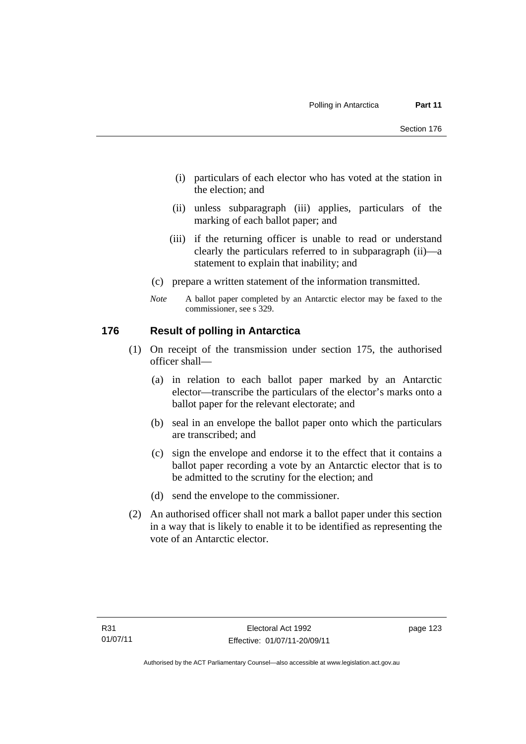- (i) particulars of each elector who has voted at the station in the election; and
- (ii) unless subparagraph (iii) applies, particulars of the marking of each ballot paper; and
- (iii) if the returning officer is unable to read or understand clearly the particulars referred to in subparagraph (ii)—a statement to explain that inability; and
- (c) prepare a written statement of the information transmitted.
- *Note* A ballot paper completed by an Antarctic elector may be faxed to the commissioner, see s 329.

#### **176 Result of polling in Antarctica**

- (1) On receipt of the transmission under section 175, the authorised officer shall—
	- (a) in relation to each ballot paper marked by an Antarctic elector—transcribe the particulars of the elector's marks onto a ballot paper for the relevant electorate; and
	- (b) seal in an envelope the ballot paper onto which the particulars are transcribed; and
	- (c) sign the envelope and endorse it to the effect that it contains a ballot paper recording a vote by an Antarctic elector that is to be admitted to the scrutiny for the election; and
	- (d) send the envelope to the commissioner.
- (2) An authorised officer shall not mark a ballot paper under this section in a way that is likely to enable it to be identified as representing the vote of an Antarctic elector.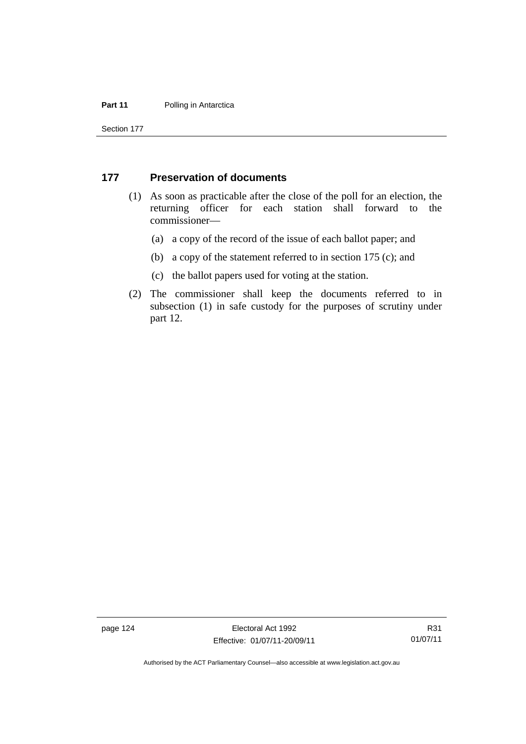#### **Part 11** Polling in Antarctica

Section 177

#### **177 Preservation of documents**

- (1) As soon as practicable after the close of the poll for an election, the returning officer for each station shall forward to the commissioner—
	- (a) a copy of the record of the issue of each ballot paper; and
	- (b) a copy of the statement referred to in section 175 (c); and
	- (c) the ballot papers used for voting at the station.
- (2) The commissioner shall keep the documents referred to in subsection (1) in safe custody for the purposes of scrutiny under part 12.

page 124 Electoral Act 1992 Effective: 01/07/11-20/09/11

R31 01/07/11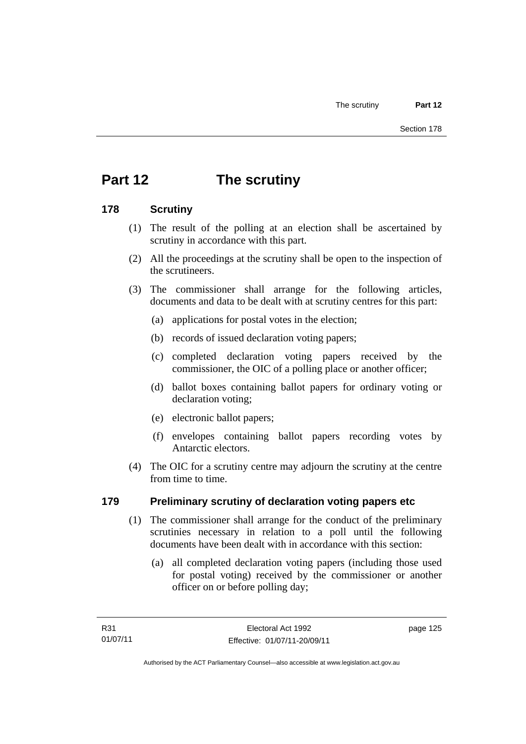# **Part 12 The scrutiny**

### **178 Scrutiny**

- (1) The result of the polling at an election shall be ascertained by scrutiny in accordance with this part.
- (2) All the proceedings at the scrutiny shall be open to the inspection of the scrutineers.
- (3) The commissioner shall arrange for the following articles, documents and data to be dealt with at scrutiny centres for this part:
	- (a) applications for postal votes in the election;
	- (b) records of issued declaration voting papers;
	- (c) completed declaration voting papers received by the commissioner, the OIC of a polling place or another officer;
	- (d) ballot boxes containing ballot papers for ordinary voting or declaration voting;
	- (e) electronic ballot papers;
	- (f) envelopes containing ballot papers recording votes by Antarctic electors.
- (4) The OIC for a scrutiny centre may adjourn the scrutiny at the centre from time to time.

### **179 Preliminary scrutiny of declaration voting papers etc**

- (1) The commissioner shall arrange for the conduct of the preliminary scrutinies necessary in relation to a poll until the following documents have been dealt with in accordance with this section:
	- (a) all completed declaration voting papers (including those used for postal voting) received by the commissioner or another officer on or before polling day;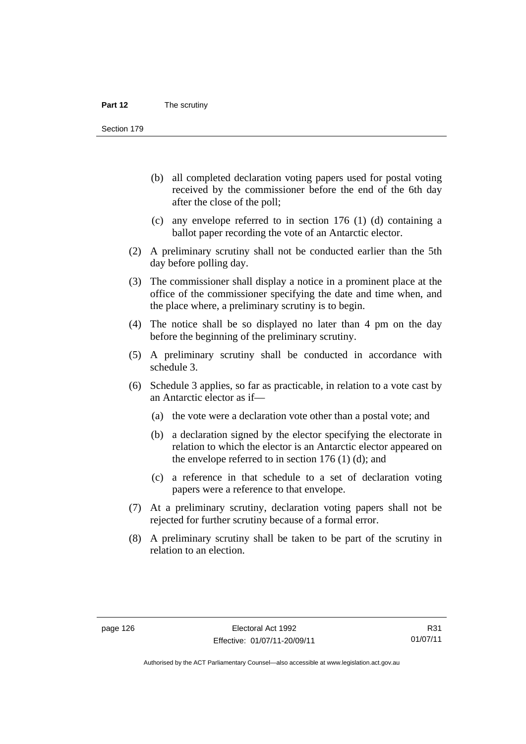Section 179

- (b) all completed declaration voting papers used for postal voting received by the commissioner before the end of the 6th day after the close of the poll;
- (c) any envelope referred to in section 176 (1) (d) containing a ballot paper recording the vote of an Antarctic elector.
- (2) A preliminary scrutiny shall not be conducted earlier than the 5th day before polling day.
- (3) The commissioner shall display a notice in a prominent place at the office of the commissioner specifying the date and time when, and the place where, a preliminary scrutiny is to begin.
- (4) The notice shall be so displayed no later than 4 pm on the day before the beginning of the preliminary scrutiny.
- (5) A preliminary scrutiny shall be conducted in accordance with schedule 3.
- (6) Schedule 3 applies, so far as practicable, in relation to a vote cast by an Antarctic elector as if—
	- (a) the vote were a declaration vote other than a postal vote; and
	- (b) a declaration signed by the elector specifying the electorate in relation to which the elector is an Antarctic elector appeared on the envelope referred to in section  $176$  (1) (d); and
	- (c) a reference in that schedule to a set of declaration voting papers were a reference to that envelope.
- (7) At a preliminary scrutiny, declaration voting papers shall not be rejected for further scrutiny because of a formal error.
- (8) A preliminary scrutiny shall be taken to be part of the scrutiny in relation to an election.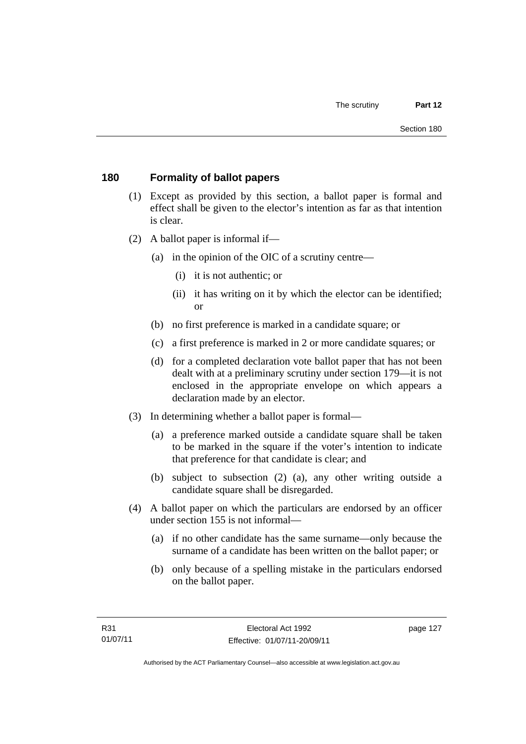# **180 Formality of ballot papers**

- (1) Except as provided by this section, a ballot paper is formal and effect shall be given to the elector's intention as far as that intention is clear.
- (2) A ballot paper is informal if—
	- (a) in the opinion of the OIC of a scrutiny centre—
		- (i) it is not authentic; or
		- (ii) it has writing on it by which the elector can be identified; or
	- (b) no first preference is marked in a candidate square; or
	- (c) a first preference is marked in 2 or more candidate squares; or
	- (d) for a completed declaration vote ballot paper that has not been dealt with at a preliminary scrutiny under section 179—it is not enclosed in the appropriate envelope on which appears a declaration made by an elector.
- (3) In determining whether a ballot paper is formal—
	- (a) a preference marked outside a candidate square shall be taken to be marked in the square if the voter's intention to indicate that preference for that candidate is clear; and
	- (b) subject to subsection (2) (a), any other writing outside a candidate square shall be disregarded.
- (4) A ballot paper on which the particulars are endorsed by an officer under section 155 is not informal—
	- (a) if no other candidate has the same surname—only because the surname of a candidate has been written on the ballot paper; or
	- (b) only because of a spelling mistake in the particulars endorsed on the ballot paper.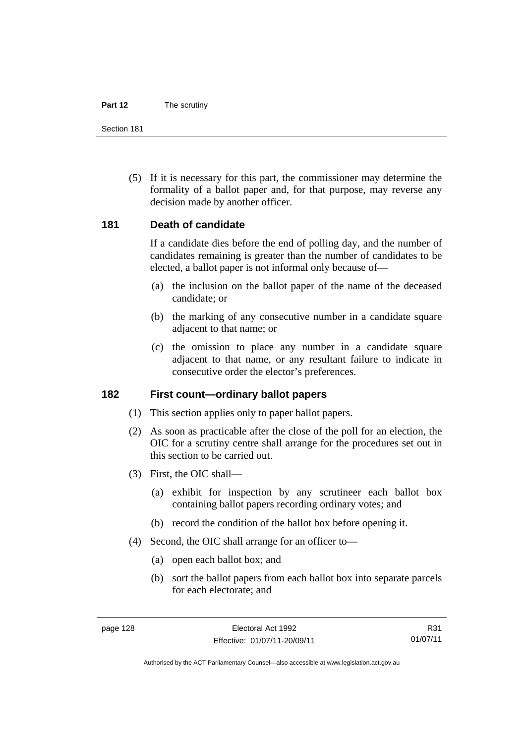#### **Part 12** The scrutiny

Section 181

 (5) If it is necessary for this part, the commissioner may determine the formality of a ballot paper and, for that purpose, may reverse any decision made by another officer.

## **181 Death of candidate**

If a candidate dies before the end of polling day, and the number of candidates remaining is greater than the number of candidates to be elected, a ballot paper is not informal only because of—

- (a) the inclusion on the ballot paper of the name of the deceased candidate; or
- (b) the marking of any consecutive number in a candidate square adjacent to that name; or
- (c) the omission to place any number in a candidate square adjacent to that name, or any resultant failure to indicate in consecutive order the elector's preferences.

#### **182 First count—ordinary ballot papers**

- (1) This section applies only to paper ballot papers.
- (2) As soon as practicable after the close of the poll for an election, the OIC for a scrutiny centre shall arrange for the procedures set out in this section to be carried out.
- (3) First, the OIC shall—
	- (a) exhibit for inspection by any scrutineer each ballot box containing ballot papers recording ordinary votes; and
	- (b) record the condition of the ballot box before opening it.
- (4) Second, the OIC shall arrange for an officer to—
	- (a) open each ballot box; and
	- (b) sort the ballot papers from each ballot box into separate parcels for each electorate; and

R31 01/07/11

Authorised by the ACT Parliamentary Counsel—also accessible at www.legislation.act.gov.au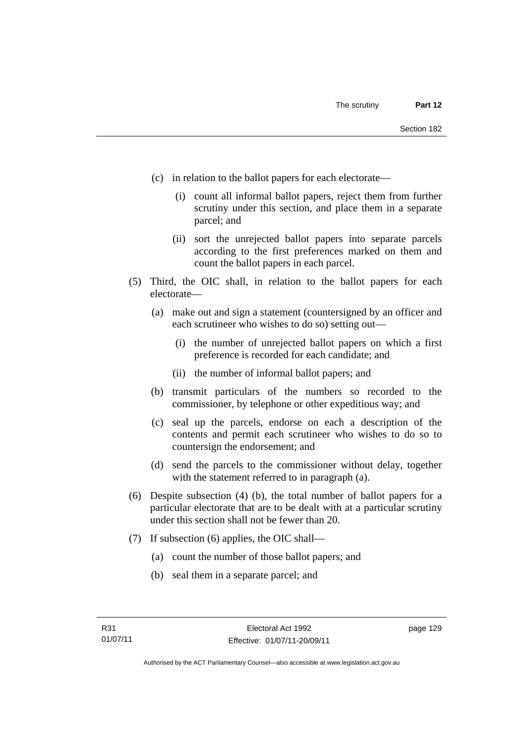- (c) in relation to the ballot papers for each electorate—
	- (i) count all informal ballot papers, reject them from further scrutiny under this section, and place them in a separate parcel; and
	- (ii) sort the unrejected ballot papers into separate parcels according to the first preferences marked on them and count the ballot papers in each parcel.
- (5) Third, the OIC shall, in relation to the ballot papers for each electorate—
	- (a) make out and sign a statement (countersigned by an officer and each scrutineer who wishes to do so) setting out—
		- (i) the number of unrejected ballot papers on which a first preference is recorded for each candidate; and
		- (ii) the number of informal ballot papers; and
	- (b) transmit particulars of the numbers so recorded to the commissioner, by telephone or other expeditious way; and
	- (c) seal up the parcels, endorse on each a description of the contents and permit each scrutineer who wishes to do so to countersign the endorsement; and
	- (d) send the parcels to the commissioner without delay, together with the statement referred to in paragraph (a).
- (6) Despite subsection (4) (b), the total number of ballot papers for a particular electorate that are to be dealt with at a particular scrutiny under this section shall not be fewer than 20.
- (7) If subsection (6) applies, the OIC shall—
	- (a) count the number of those ballot papers; and
	- (b) seal them in a separate parcel; and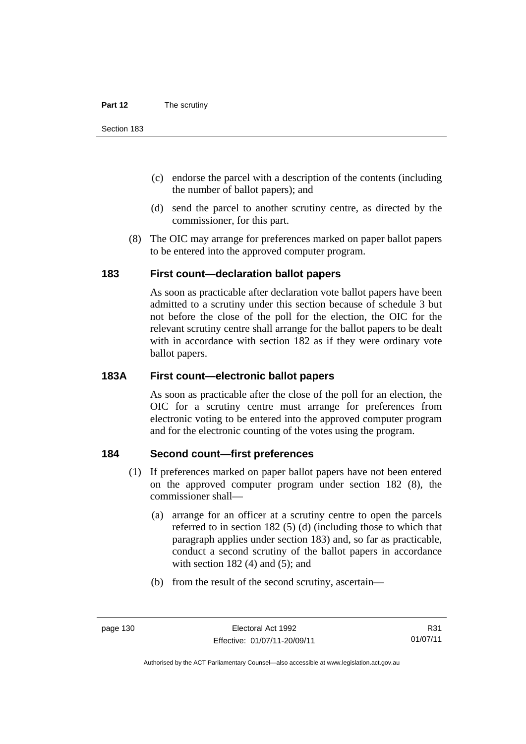- (c) endorse the parcel with a description of the contents (including the number of ballot papers); and
- (d) send the parcel to another scrutiny centre, as directed by the commissioner, for this part.
- (8) The OIC may arrange for preferences marked on paper ballot papers to be entered into the approved computer program.

# **183 First count—declaration ballot papers**

As soon as practicable after declaration vote ballot papers have been admitted to a scrutiny under this section because of schedule 3 but not before the close of the poll for the election, the OIC for the relevant scrutiny centre shall arrange for the ballot papers to be dealt with in accordance with section 182 as if they were ordinary vote ballot papers.

# **183A First count—electronic ballot papers**

As soon as practicable after the close of the poll for an election, the OIC for a scrutiny centre must arrange for preferences from electronic voting to be entered into the approved computer program and for the electronic counting of the votes using the program.

# **184 Second count—first preferences**

- (1) If preferences marked on paper ballot papers have not been entered on the approved computer program under section 182 (8), the commissioner shall—
	- (a) arrange for an officer at a scrutiny centre to open the parcels referred to in section 182 (5) (d) (including those to which that paragraph applies under section 183) and, so far as practicable, conduct a second scrutiny of the ballot papers in accordance with section  $182(4)$  and  $(5)$ ; and
	- (b) from the result of the second scrutiny, ascertain—

Authorised by the ACT Parliamentary Counsel—also accessible at www.legislation.act.gov.au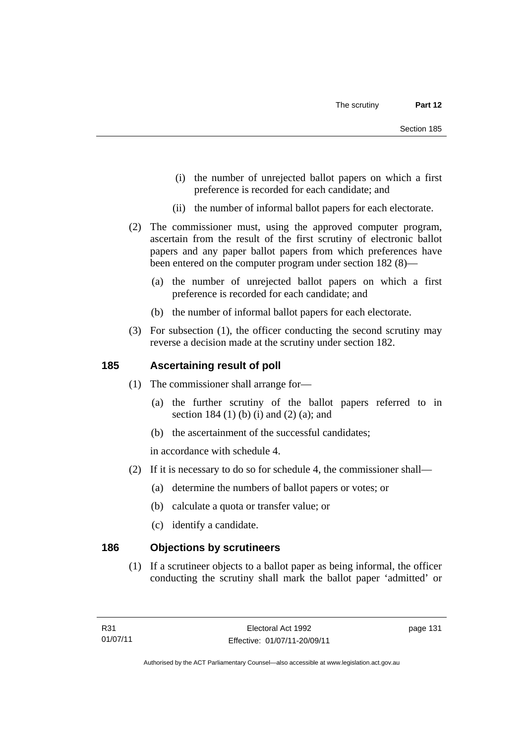- (i) the number of unrejected ballot papers on which a first preference is recorded for each candidate; and
- (ii) the number of informal ballot papers for each electorate.
- (2) The commissioner must, using the approved computer program, ascertain from the result of the first scrutiny of electronic ballot papers and any paper ballot papers from which preferences have been entered on the computer program under section 182 (8)—
	- (a) the number of unrejected ballot papers on which a first preference is recorded for each candidate; and
	- (b) the number of informal ballot papers for each electorate.
- (3) For subsection (1), the officer conducting the second scrutiny may reverse a decision made at the scrutiny under section 182.

# **185 Ascertaining result of poll**

- (1) The commissioner shall arrange for—
	- (a) the further scrutiny of the ballot papers referred to in section 184 (1) (b) (i) and (2) (a); and
	- (b) the ascertainment of the successful candidates;

in accordance with schedule 4.

- (2) If it is necessary to do so for schedule 4, the commissioner shall—
	- (a) determine the numbers of ballot papers or votes; or
	- (b) calculate a quota or transfer value; or
	- (c) identify a candidate.

# **186 Objections by scrutineers**

(1) If a scrutineer objects to a ballot paper as being informal, the officer conducting the scrutiny shall mark the ballot paper 'admitted' or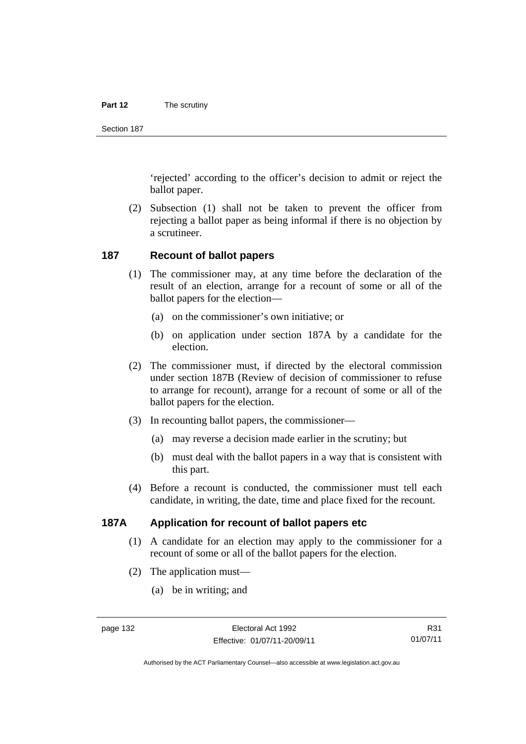#### **Part 12** The scrutiny

Section 187

'rejected' according to the officer's decision to admit or reject the ballot paper.

 (2) Subsection (1) shall not be taken to prevent the officer from rejecting a ballot paper as being informal if there is no objection by a scrutineer.

#### **187 Recount of ballot papers**

- (1) The commissioner may, at any time before the declaration of the result of an election, arrange for a recount of some or all of the ballot papers for the election—
	- (a) on the commissioner's own initiative; or
	- (b) on application under section 187A by a candidate for the election.
- (2) The commissioner must, if directed by the electoral commission under section 187B (Review of decision of commissioner to refuse to arrange for recount), arrange for a recount of some or all of the ballot papers for the election.
- (3) In recounting ballot papers, the commissioner—
	- (a) may reverse a decision made earlier in the scrutiny; but
	- (b) must deal with the ballot papers in a way that is consistent with this part.
- (4) Before a recount is conducted, the commissioner must tell each candidate, in writing, the date, time and place fixed for the recount.

# **187A Application for recount of ballot papers etc**

- (1) A candidate for an election may apply to the commissioner for a recount of some or all of the ballot papers for the election.
- (2) The application must—
	- (a) be in writing; and

Authorised by the ACT Parliamentary Counsel—also accessible at www.legislation.act.gov.au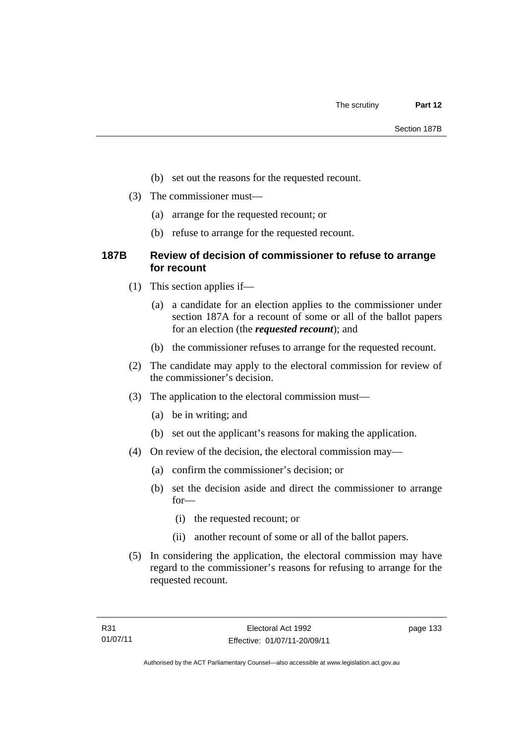- (b) set out the reasons for the requested recount.
- (3) The commissioner must—
	- (a) arrange for the requested recount; or
	- (b) refuse to arrange for the requested recount.

# **187B Review of decision of commissioner to refuse to arrange for recount**

- (1) This section applies if—
	- (a) a candidate for an election applies to the commissioner under section 187A for a recount of some or all of the ballot papers for an election (the *requested recount*); and
	- (b) the commissioner refuses to arrange for the requested recount.
- (2) The candidate may apply to the electoral commission for review of the commissioner's decision.
- (3) The application to the electoral commission must—
	- (a) be in writing; and
	- (b) set out the applicant's reasons for making the application.
- (4) On review of the decision, the electoral commission may—
	- (a) confirm the commissioner's decision; or
	- (b) set the decision aside and direct the commissioner to arrange for—
		- (i) the requested recount; or
		- (ii) another recount of some or all of the ballot papers.
- (5) In considering the application, the electoral commission may have regard to the commissioner's reasons for refusing to arrange for the requested recount.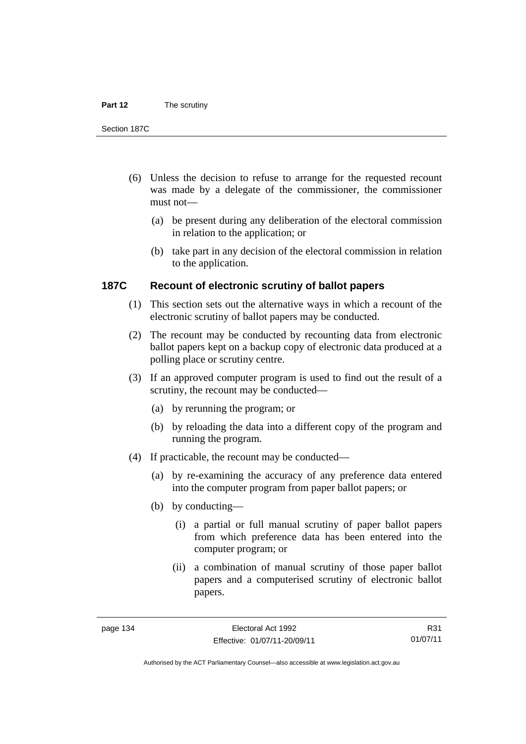#### **Part 12** The scrutiny

Section 187C

- (6) Unless the decision to refuse to arrange for the requested recount was made by a delegate of the commissioner, the commissioner must not—
	- (a) be present during any deliberation of the electoral commission in relation to the application; or
	- (b) take part in any decision of the electoral commission in relation to the application.

# **187C Recount of electronic scrutiny of ballot papers**

- (1) This section sets out the alternative ways in which a recount of the electronic scrutiny of ballot papers may be conducted.
- (2) The recount may be conducted by recounting data from electronic ballot papers kept on a backup copy of electronic data produced at a polling place or scrutiny centre.
- (3) If an approved computer program is used to find out the result of a scrutiny, the recount may be conducted—
	- (a) by rerunning the program; or
	- (b) by reloading the data into a different copy of the program and running the program.
- (4) If practicable, the recount may be conducted—
	- (a) by re-examining the accuracy of any preference data entered into the computer program from paper ballot papers; or
	- (b) by conducting—
		- (i) a partial or full manual scrutiny of paper ballot papers from which preference data has been entered into the computer program; or
		- (ii) a combination of manual scrutiny of those paper ballot papers and a computerised scrutiny of electronic ballot papers.

R31 01/07/11

Authorised by the ACT Parliamentary Counsel—also accessible at www.legislation.act.gov.au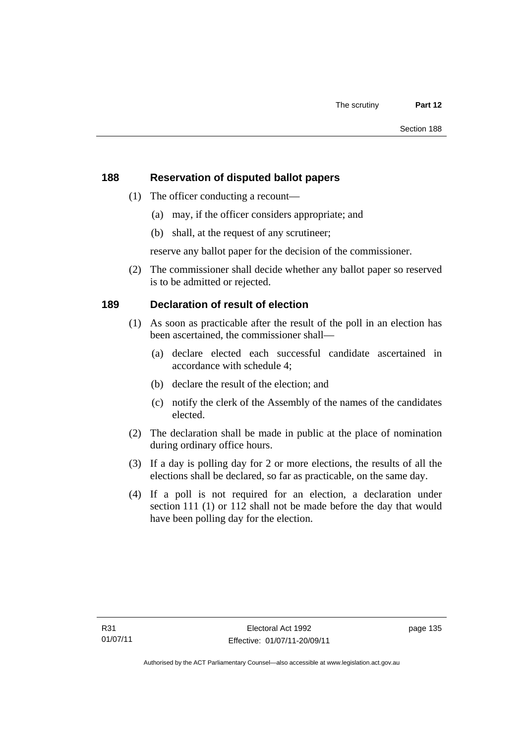# **188 Reservation of disputed ballot papers**

- (1) The officer conducting a recount—
	- (a) may, if the officer considers appropriate; and
	- (b) shall, at the request of any scrutineer;

reserve any ballot paper for the decision of the commissioner.

 (2) The commissioner shall decide whether any ballot paper so reserved is to be admitted or rejected.

# **189 Declaration of result of election**

- (1) As soon as practicable after the result of the poll in an election has been ascertained, the commissioner shall—
	- (a) declare elected each successful candidate ascertained in accordance with schedule 4;
	- (b) declare the result of the election; and
	- (c) notify the clerk of the Assembly of the names of the candidates elected.
- (2) The declaration shall be made in public at the place of nomination during ordinary office hours.
- (3) If a day is polling day for 2 or more elections, the results of all the elections shall be declared, so far as practicable, on the same day.
- (4) If a poll is not required for an election, a declaration under section 111 (1) or 112 shall not be made before the day that would have been polling day for the election.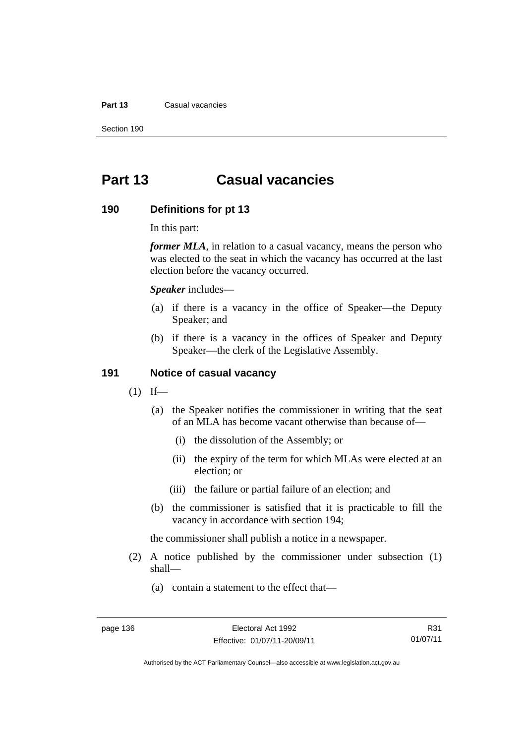#### **Part 13** Casual vacancies

Section 190

# **Part 13 Casual vacancies**

#### **190 Definitions for pt 13**

In this part:

*former MLA*, in relation to a casual vacancy, means the person who was elected to the seat in which the vacancy has occurred at the last election before the vacancy occurred.

*Speaker* includes—

- (a) if there is a vacancy in the office of Speaker—the Deputy Speaker; and
- (b) if there is a vacancy in the offices of Speaker and Deputy Speaker—the clerk of the Legislative Assembly.

# **191 Notice of casual vacancy**

- $(1)$  If—
	- (a) the Speaker notifies the commissioner in writing that the seat of an MLA has become vacant otherwise than because of—
		- (i) the dissolution of the Assembly; or
		- (ii) the expiry of the term for which MLAs were elected at an election; or
		- (iii) the failure or partial failure of an election; and
	- (b) the commissioner is satisfied that it is practicable to fill the vacancy in accordance with section 194;

the commissioner shall publish a notice in a newspaper.

- (2) A notice published by the commissioner under subsection (1) shall—
	- (a) contain a statement to the effect that—

Authorised by the ACT Parliamentary Counsel—also accessible at www.legislation.act.gov.au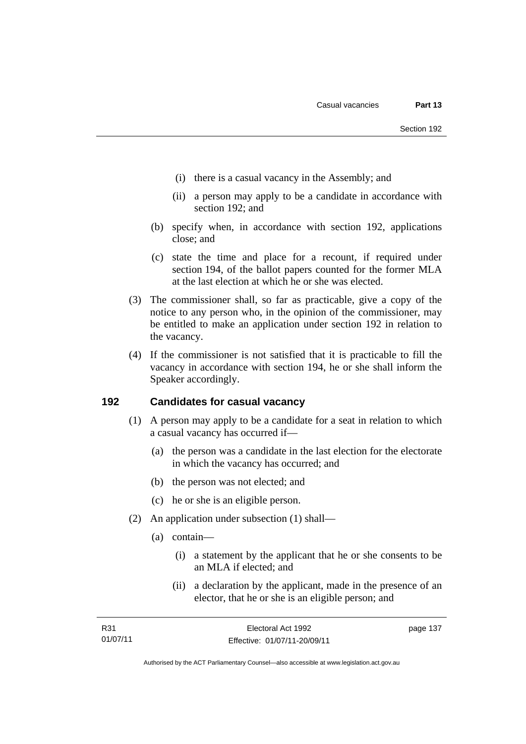- (i) there is a casual vacancy in the Assembly; and
- (ii) a person may apply to be a candidate in accordance with section 192; and
- (b) specify when, in accordance with section 192, applications close; and
- (c) state the time and place for a recount, if required under section 194, of the ballot papers counted for the former MLA at the last election at which he or she was elected.
- (3) The commissioner shall, so far as practicable, give a copy of the notice to any person who, in the opinion of the commissioner, may be entitled to make an application under section 192 in relation to the vacancy.
- (4) If the commissioner is not satisfied that it is practicable to fill the vacancy in accordance with section 194, he or she shall inform the Speaker accordingly.

## **192 Candidates for casual vacancy**

- (1) A person may apply to be a candidate for a seat in relation to which a casual vacancy has occurred if—
	- (a) the person was a candidate in the last election for the electorate in which the vacancy has occurred; and
	- (b) the person was not elected; and
	- (c) he or she is an eligible person.
- (2) An application under subsection (1) shall—
	- (a) contain—
		- (i) a statement by the applicant that he or she consents to be an MLA if elected; and
		- (ii) a declaration by the applicant, made in the presence of an elector, that he or she is an eligible person; and

Authorised by the ACT Parliamentary Counsel—also accessible at www.legislation.act.gov.au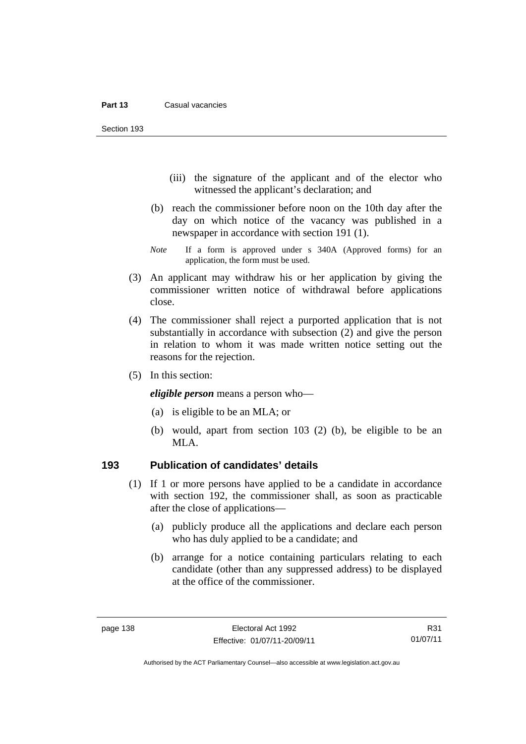Section 193

- (iii) the signature of the applicant and of the elector who witnessed the applicant's declaration; and
- (b) reach the commissioner before noon on the 10th day after the day on which notice of the vacancy was published in a newspaper in accordance with section 191 (1).
- *Note* If a form is approved under s 340A (Approved forms) for an application, the form must be used.
- (3) An applicant may withdraw his or her application by giving the commissioner written notice of withdrawal before applications close.
- (4) The commissioner shall reject a purported application that is not substantially in accordance with subsection (2) and give the person in relation to whom it was made written notice setting out the reasons for the rejection.
- (5) In this section:

*eligible person* means a person who—

- (a) is eligible to be an MLA; or
- (b) would, apart from section 103 (2) (b), be eligible to be an MLA.

## **193 Publication of candidates' details**

- (1) If 1 or more persons have applied to be a candidate in accordance with section 192, the commissioner shall, as soon as practicable after the close of applications—
	- (a) publicly produce all the applications and declare each person who has duly applied to be a candidate; and
	- (b) arrange for a notice containing particulars relating to each candidate (other than any suppressed address) to be displayed at the office of the commissioner.

R31 01/07/11

Authorised by the ACT Parliamentary Counsel—also accessible at www.legislation.act.gov.au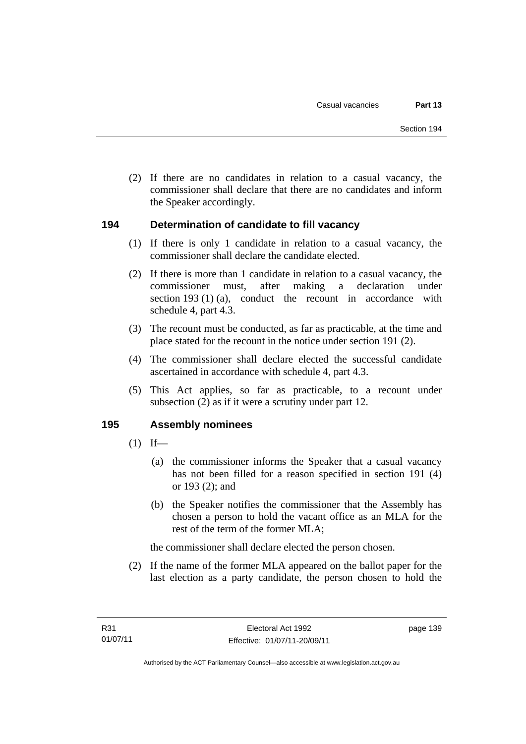(2) If there are no candidates in relation to a casual vacancy, the commissioner shall declare that there are no candidates and inform the Speaker accordingly.

# **194 Determination of candidate to fill vacancy**

- (1) If there is only 1 candidate in relation to a casual vacancy, the commissioner shall declare the candidate elected.
- (2) If there is more than 1 candidate in relation to a casual vacancy, the commissioner must, after making a declaration under section 193 (1) (a), conduct the recount in accordance with schedule 4, part 4.3.
- (3) The recount must be conducted, as far as practicable, at the time and place stated for the recount in the notice under section 191 (2).
- (4) The commissioner shall declare elected the successful candidate ascertained in accordance with schedule 4, part 4.3.
- (5) This Act applies, so far as practicable, to a recount under subsection (2) as if it were a scrutiny under part 12.

## **195 Assembly nominees**

- $(1)$  If—
	- (a) the commissioner informs the Speaker that a casual vacancy has not been filled for a reason specified in section 191 (4) or 193 (2); and
	- (b) the Speaker notifies the commissioner that the Assembly has chosen a person to hold the vacant office as an MLA for the rest of the term of the former MLA;

the commissioner shall declare elected the person chosen.

 (2) If the name of the former MLA appeared on the ballot paper for the last election as a party candidate, the person chosen to hold the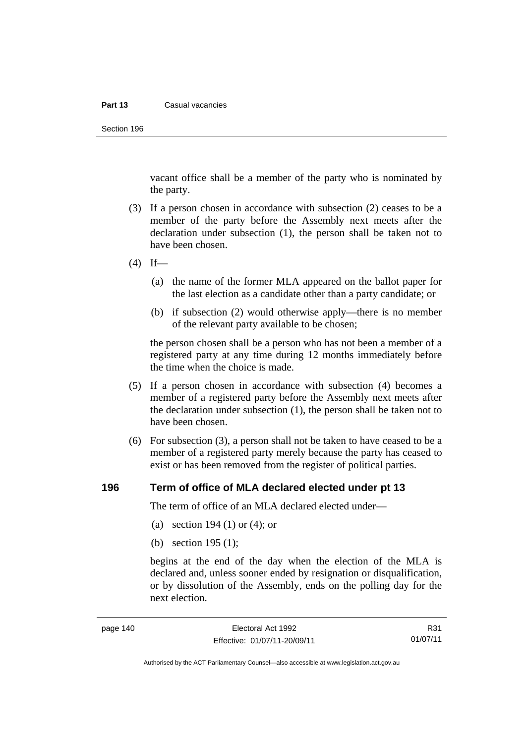#### **Part 13** Casual vacancies

Section 196

vacant office shall be a member of the party who is nominated by the party.

- (3) If a person chosen in accordance with subsection (2) ceases to be a member of the party before the Assembly next meets after the declaration under subsection (1), the person shall be taken not to have been chosen.
- $(4)$  If—
	- (a) the name of the former MLA appeared on the ballot paper for the last election as a candidate other than a party candidate; or
	- (b) if subsection (2) would otherwise apply—there is no member of the relevant party available to be chosen;

the person chosen shall be a person who has not been a member of a registered party at any time during 12 months immediately before the time when the choice is made.

- (5) If a person chosen in accordance with subsection (4) becomes a member of a registered party before the Assembly next meets after the declaration under subsection (1), the person shall be taken not to have been chosen.
- (6) For subsection (3), a person shall not be taken to have ceased to be a member of a registered party merely because the party has ceased to exist or has been removed from the register of political parties.

#### **196 Term of office of MLA declared elected under pt 13**

The term of office of an MLA declared elected under—

- (a) section 194 (1) or (4); or
- (b) section 195 (1);

begins at the end of the day when the election of the MLA is declared and, unless sooner ended by resignation or disqualification, or by dissolution of the Assembly, ends on the polling day for the next election.

R31 01/07/11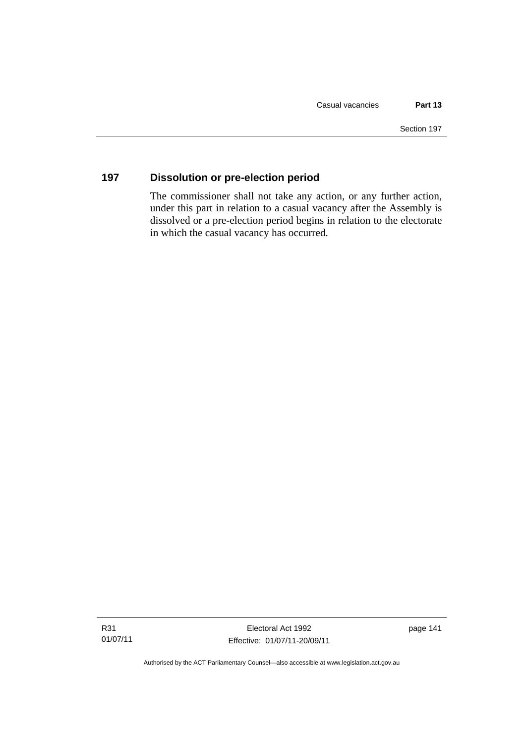# **197 Dissolution or pre-election period**

The commissioner shall not take any action, or any further action, under this part in relation to a casual vacancy after the Assembly is dissolved or a pre-election period begins in relation to the electorate in which the casual vacancy has occurred.

Authorised by the ACT Parliamentary Counsel—also accessible at www.legislation.act.gov.au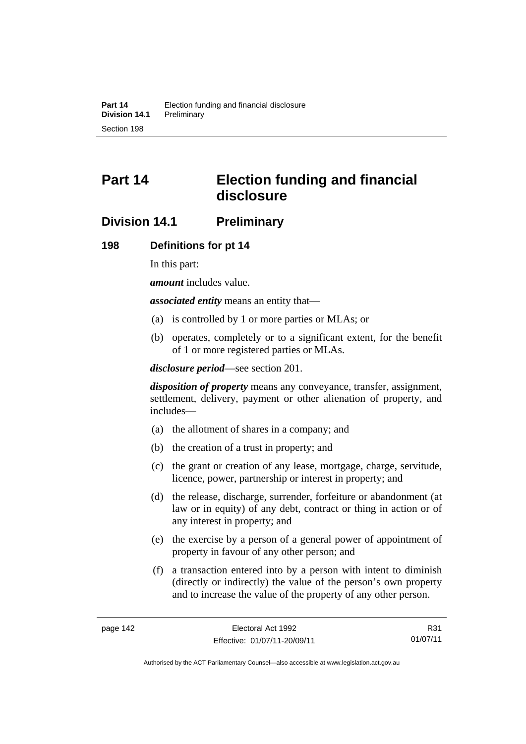# **Part 14 Election funding and financial disclosure**

# **Division 14.1 Preliminary**

#### **198 Definitions for pt 14**

In this part:

*amount* includes value.

*associated entity* means an entity that—

- (a) is controlled by 1 or more parties or MLAs; or
- (b) operates, completely or to a significant extent, for the benefit of 1 or more registered parties or MLAs.

*disclosure period*—see section 201.

*disposition of property* means any conveyance, transfer, assignment, settlement, delivery, payment or other alienation of property, and includes—

- (a) the allotment of shares in a company; and
- (b) the creation of a trust in property; and
- (c) the grant or creation of any lease, mortgage, charge, servitude, licence, power, partnership or interest in property; and
- (d) the release, discharge, surrender, forfeiture or abandonment (at law or in equity) of any debt, contract or thing in action or of any interest in property; and
- (e) the exercise by a person of a general power of appointment of property in favour of any other person; and
- (f) a transaction entered into by a person with intent to diminish (directly or indirectly) the value of the person's own property and to increase the value of the property of any other person.

R31 01/07/11

Authorised by the ACT Parliamentary Counsel—also accessible at www.legislation.act.gov.au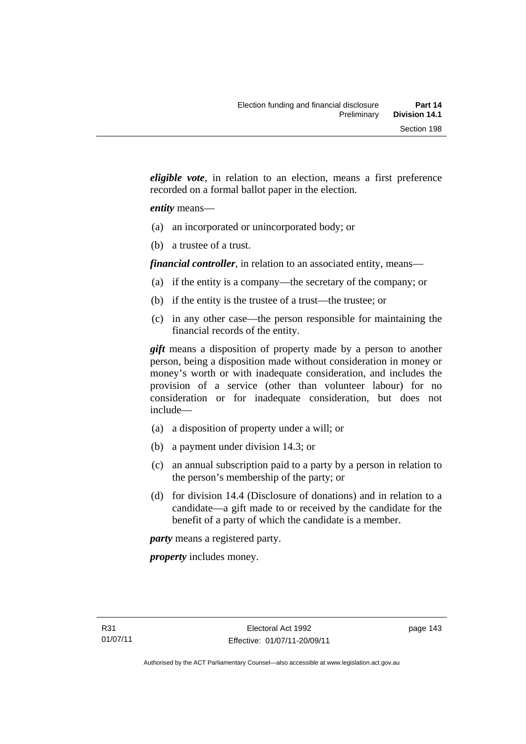*eligible vote*, in relation to an election, means a first preference recorded on a formal ballot paper in the election.

#### *entity* means—

- (a) an incorporated or unincorporated body; or
- (b) a trustee of a trust.

*financial controller*, in relation to an associated entity, means—

- (a) if the entity is a company—the secretary of the company; or
- (b) if the entity is the trustee of a trust—the trustee; or
- (c) in any other case—the person responsible for maintaining the financial records of the entity.

*gift* means a disposition of property made by a person to another person, being a disposition made without consideration in money or money's worth or with inadequate consideration, and includes the provision of a service (other than volunteer labour) for no consideration or for inadequate consideration, but does not include—

- (a) a disposition of property under a will; or
- (b) a payment under division 14.3; or
- (c) an annual subscription paid to a party by a person in relation to the person's membership of the party; or
- (d) for division 14.4 (Disclosure of donations) and in relation to a candidate—a gift made to or received by the candidate for the benefit of a party of which the candidate is a member.

*party* means a registered party.

*property* includes money.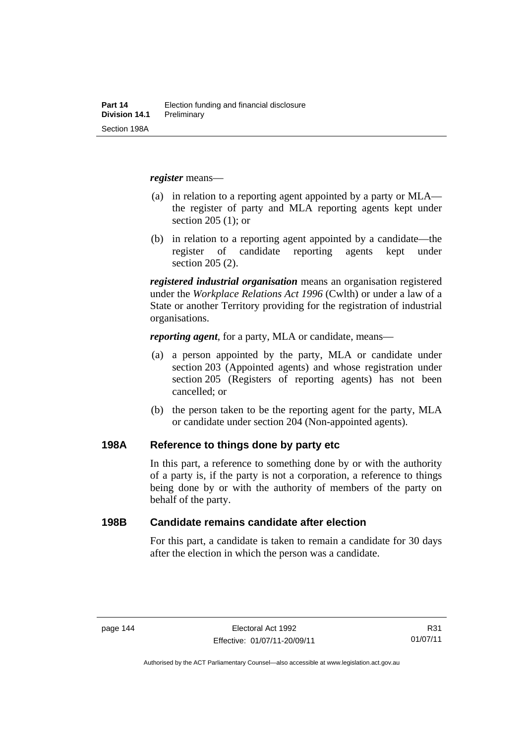*register* means—

- (a) in relation to a reporting agent appointed by a party or MLA the register of party and MLA reporting agents kept under section 205 (1); or
- (b) in relation to a reporting agent appointed by a candidate—the register of candidate reporting agents kept under section 205 (2).

*registered industrial organisation* means an organisation registered under the *Workplace Relations Act 1996* (Cwlth) or under a law of a State or another Territory providing for the registration of industrial organisations.

*reporting agent*, for a party, MLA or candidate, means—

- (a) a person appointed by the party, MLA or candidate under section 203 (Appointed agents) and whose registration under section 205 (Registers of reporting agents) has not been cancelled; or
- (b) the person taken to be the reporting agent for the party, MLA or candidate under section 204 (Non-appointed agents).

#### **198A Reference to things done by party etc**

In this part, a reference to something done by or with the authority of a party is, if the party is not a corporation, a reference to things being done by or with the authority of members of the party on behalf of the party.

#### **198B Candidate remains candidate after election**

For this part, a candidate is taken to remain a candidate for 30 days after the election in which the person was a candidate.

Authorised by the ACT Parliamentary Counsel—also accessible at www.legislation.act.gov.au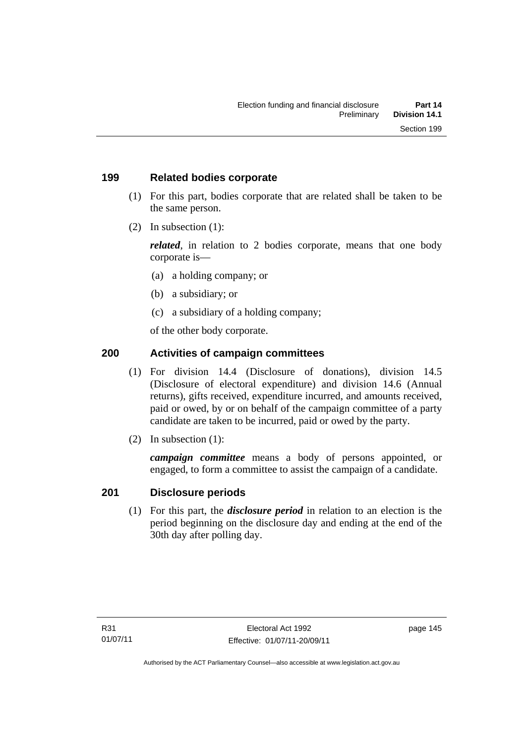## **199 Related bodies corporate**

- (1) For this part, bodies corporate that are related shall be taken to be the same person.
- (2) In subsection (1):

*related*, in relation to 2 bodies corporate, means that one body corporate is—

- (a) a holding company; or
- (b) a subsidiary; or
- (c) a subsidiary of a holding company;

of the other body corporate.

# **200 Activities of campaign committees**

- (1) For division 14.4 (Disclosure of donations), division 14.5 (Disclosure of electoral expenditure) and division 14.6 (Annual returns), gifts received, expenditure incurred, and amounts received, paid or owed, by or on behalf of the campaign committee of a party candidate are taken to be incurred, paid or owed by the party.
- (2) In subsection (1):

*campaign committee* means a body of persons appointed, or engaged, to form a committee to assist the campaign of a candidate.

## **201 Disclosure periods**

(1) For this part, the *disclosure period* in relation to an election is the period beginning on the disclosure day and ending at the end of the 30th day after polling day.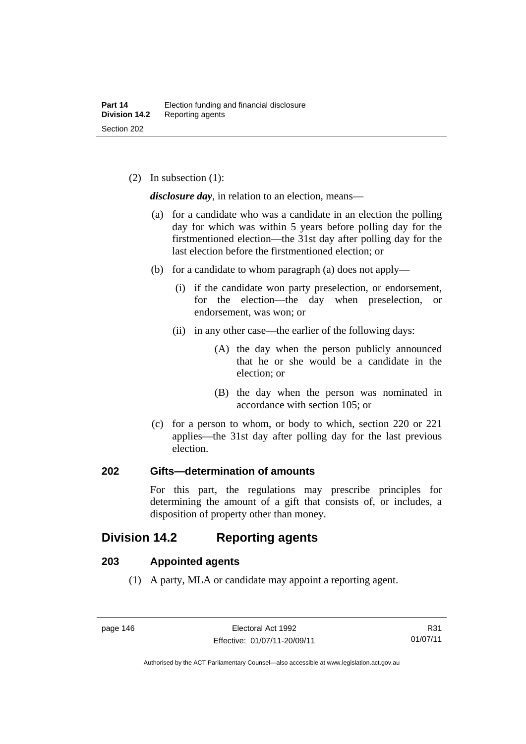(2) In subsection (1):

*disclosure day*, in relation to an election, means—

- (a) for a candidate who was a candidate in an election the polling day for which was within 5 years before polling day for the firstmentioned election—the 31st day after polling day for the last election before the firstmentioned election; or
- (b) for a candidate to whom paragraph (a) does not apply—
	- (i) if the candidate won party preselection, or endorsement, for the election—the day when preselection, or endorsement, was won; or
	- (ii) in any other case—the earlier of the following days:
		- (A) the day when the person publicly announced that he or she would be a candidate in the election; or
		- (B) the day when the person was nominated in accordance with section 105; or
- (c) for a person to whom, or body to which, section 220 or 221 applies—the 31st day after polling day for the last previous election.

## **202 Gifts—determination of amounts**

For this part, the regulations may prescribe principles for determining the amount of a gift that consists of, or includes, a disposition of property other than money.

# **Division 14.2 Reporting agents**

## **203 Appointed agents**

(1) A party, MLA or candidate may appoint a reporting agent.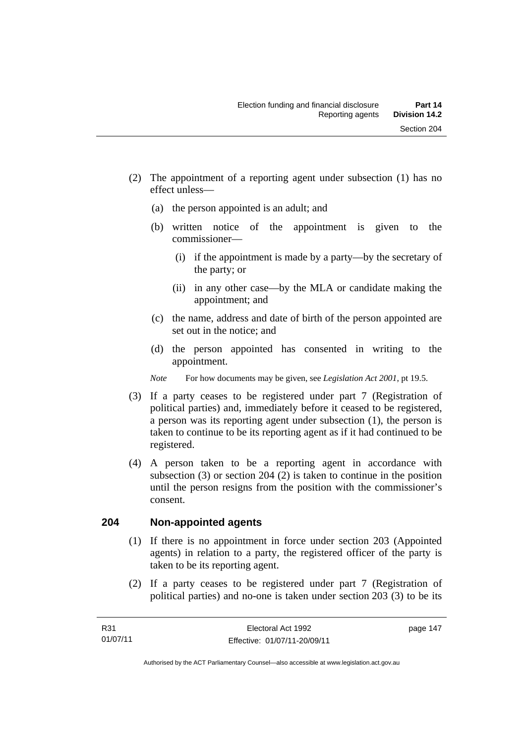- (2) The appointment of a reporting agent under subsection (1) has no effect unless—
	- (a) the person appointed is an adult; and
	- (b) written notice of the appointment is given to the commissioner—
		- (i) if the appointment is made by a party—by the secretary of the party; or
		- (ii) in any other case—by the MLA or candidate making the appointment; and
	- (c) the name, address and date of birth of the person appointed are set out in the notice; and
	- (d) the person appointed has consented in writing to the appointment.
	- *Note* For how documents may be given, see *Legislation Act 2001*, pt 19.5.
- (3) If a party ceases to be registered under part 7 (Registration of political parties) and, immediately before it ceased to be registered, a person was its reporting agent under subsection (1), the person is taken to continue to be its reporting agent as if it had continued to be registered.
- (4) A person taken to be a reporting agent in accordance with subsection (3) or section 204 (2) is taken to continue in the position until the person resigns from the position with the commissioner's consent.

# **204 Non-appointed agents**

- (1) If there is no appointment in force under section 203 (Appointed agents) in relation to a party, the registered officer of the party is taken to be its reporting agent.
- (2) If a party ceases to be registered under part 7 (Registration of political parties) and no-one is taken under section 203 (3) to be its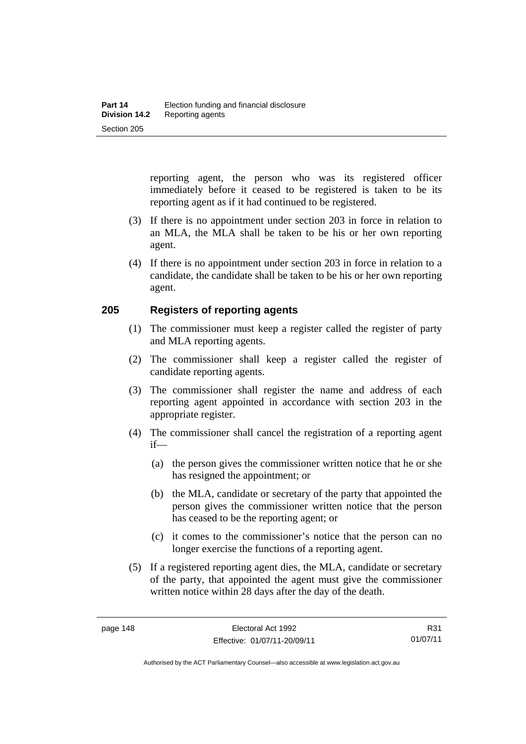reporting agent, the person who was its registered officer immediately before it ceased to be registered is taken to be its reporting agent as if it had continued to be registered.

- (3) If there is no appointment under section 203 in force in relation to an MLA, the MLA shall be taken to be his or her own reporting agent.
- (4) If there is no appointment under section 203 in force in relation to a candidate, the candidate shall be taken to be his or her own reporting agent.

## **205 Registers of reporting agents**

- (1) The commissioner must keep a register called the register of party and MLA reporting agents.
- (2) The commissioner shall keep a register called the register of candidate reporting agents.
- (3) The commissioner shall register the name and address of each reporting agent appointed in accordance with section 203 in the appropriate register.
- (4) The commissioner shall cancel the registration of a reporting agent if—
	- (a) the person gives the commissioner written notice that he or she has resigned the appointment; or
	- (b) the MLA, candidate or secretary of the party that appointed the person gives the commissioner written notice that the person has ceased to be the reporting agent; or
	- (c) it comes to the commissioner's notice that the person can no longer exercise the functions of a reporting agent.
- (5) If a registered reporting agent dies, the MLA, candidate or secretary of the party, that appointed the agent must give the commissioner written notice within 28 days after the day of the death.

R31 01/07/11

Authorised by the ACT Parliamentary Counsel—also accessible at www.legislation.act.gov.au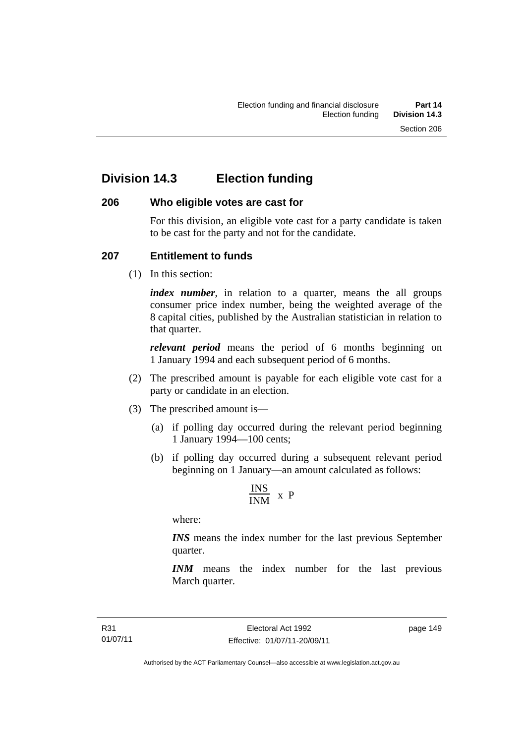# **Division 14.3 Election funding**

## **206 Who eligible votes are cast for**

For this division, an eligible vote cast for a party candidate is taken to be cast for the party and not for the candidate.

# **207 Entitlement to funds**

(1) In this section:

*index number*, in relation to a quarter, means the all groups consumer price index number, being the weighted average of the 8 capital cities, published by the Australian statistician in relation to that quarter.

*relevant period* means the period of 6 months beginning on 1 January 1994 and each subsequent period of 6 months.

- (2) The prescribed amount is payable for each eligible vote cast for a party or candidate in an election.
- (3) The prescribed amount is—
	- (a) if polling day occurred during the relevant period beginning 1 January 1994—100 cents;
	- (b) if polling day occurred during a subsequent relevant period beginning on 1 January—an amount calculated as follows:

$$
\frac{INS}{INM} \times P
$$

where:

*INS* means the index number for the last previous September quarter.

*INM* means the index number for the last previous March quarter.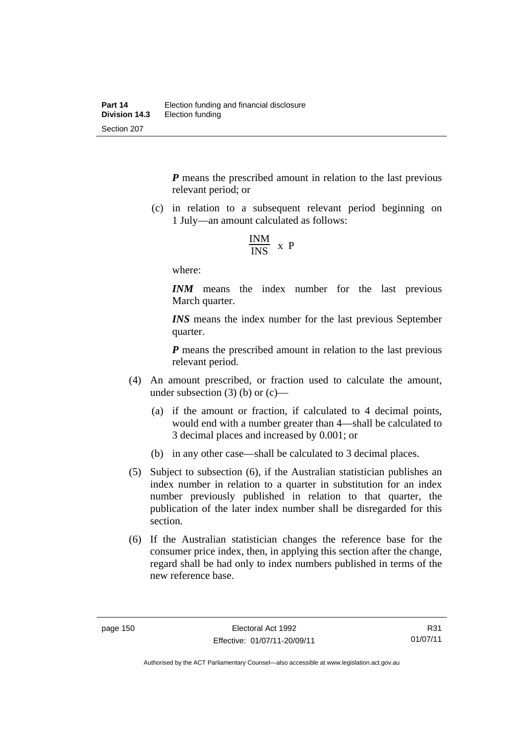*P* means the prescribed amount in relation to the last previous relevant period; or

 (c) in relation to a subsequent relevant period beginning on 1 July—an amount calculated as follows:

$$
\frac{INM}{INS} \times P
$$

where:

*INM* means the index number for the last previous March quarter.

*INS* means the index number for the last previous September quarter.

*P* means the prescribed amount in relation to the last previous relevant period.

- (4) An amount prescribed, or fraction used to calculate the amount, under subsection  $(3)$  (b) or  $(c)$ —
	- (a) if the amount or fraction, if calculated to 4 decimal points, would end with a number greater than 4—shall be calculated to 3 decimal places and increased by 0.001; or
	- (b) in any other case—shall be calculated to 3 decimal places.
- (5) Subject to subsection (6), if the Australian statistician publishes an index number in relation to a quarter in substitution for an index number previously published in relation to that quarter, the publication of the later index number shall be disregarded for this section.
- (6) If the Australian statistician changes the reference base for the consumer price index, then, in applying this section after the change, regard shall be had only to index numbers published in terms of the new reference base.

R31 01/07/11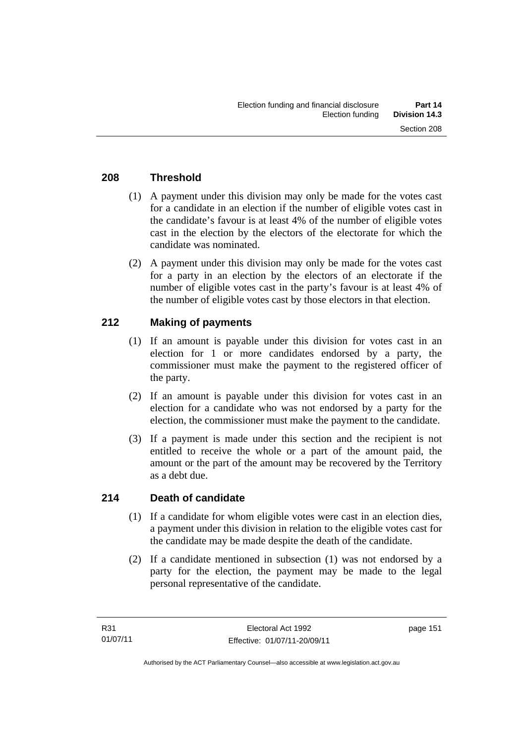# **208 Threshold**

- (1) A payment under this division may only be made for the votes cast for a candidate in an election if the number of eligible votes cast in the candidate's favour is at least 4% of the number of eligible votes cast in the election by the electors of the electorate for which the candidate was nominated.
- (2) A payment under this division may only be made for the votes cast for a party in an election by the electors of an electorate if the number of eligible votes cast in the party's favour is at least 4% of the number of eligible votes cast by those electors in that election.

# **212 Making of payments**

- (1) If an amount is payable under this division for votes cast in an election for 1 or more candidates endorsed by a party, the commissioner must make the payment to the registered officer of the party.
- (2) If an amount is payable under this division for votes cast in an election for a candidate who was not endorsed by a party for the election, the commissioner must make the payment to the candidate.
- (3) If a payment is made under this section and the recipient is not entitled to receive the whole or a part of the amount paid, the amount or the part of the amount may be recovered by the Territory as a debt due.

## **214 Death of candidate**

- (1) If a candidate for whom eligible votes were cast in an election dies, a payment under this division in relation to the eligible votes cast for the candidate may be made despite the death of the candidate.
- (2) If a candidate mentioned in subsection (1) was not endorsed by a party for the election, the payment may be made to the legal personal representative of the candidate.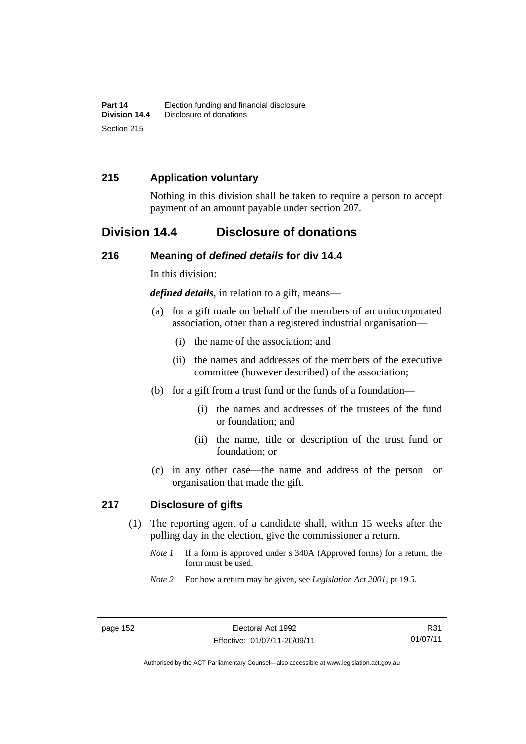# **215 Application voluntary**

Nothing in this division shall be taken to require a person to accept payment of an amount payable under section 207.

# **Division 14.4 Disclosure of donations**

#### **216 Meaning of** *defined details* **for div 14.4**

In this division:

*defined details*, in relation to a gift, means—

- (a) for a gift made on behalf of the members of an unincorporated association, other than a registered industrial organisation—
	- (i) the name of the association; and
	- (ii) the names and addresses of the members of the executive committee (however described) of the association;
- (b) for a gift from a trust fund or the funds of a foundation—
	- (i) the names and addresses of the trustees of the fund or foundation; and
	- (ii) the name, title or description of the trust fund or foundation; or
- (c) in any other case—the name and address of the person or organisation that made the gift.

## **217 Disclosure of gifts**

- (1) The reporting agent of a candidate shall, within 15 weeks after the polling day in the election, give the commissioner a return.
	- *Note 1* If a form is approved under s 340A (Approved forms) for a return, the form must be used.
	- *Note 2* For how a return may be given, see *Legislation Act 2001*, pt 19.5.

R31 01/07/11

Authorised by the ACT Parliamentary Counsel—also accessible at www.legislation.act.gov.au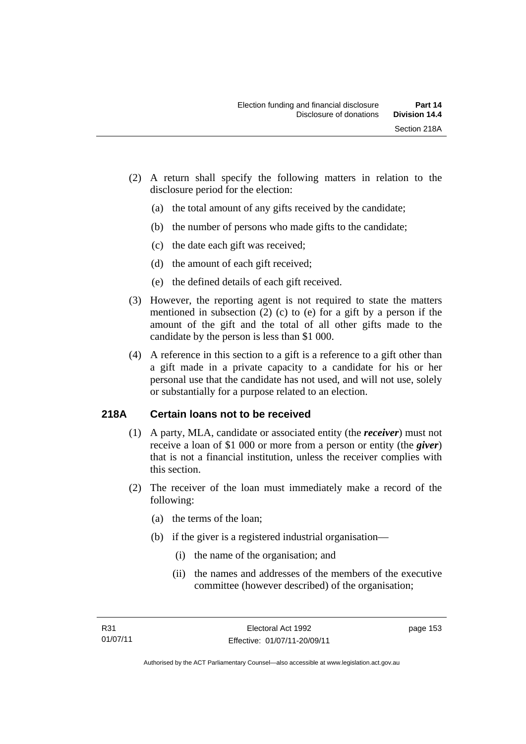- (2) A return shall specify the following matters in relation to the disclosure period for the election:
	- (a) the total amount of any gifts received by the candidate;
	- (b) the number of persons who made gifts to the candidate;
	- (c) the date each gift was received;
	- (d) the amount of each gift received;
	- (e) the defined details of each gift received.
- (3) However, the reporting agent is not required to state the matters mentioned in subsection (2) (c) to (e) for a gift by a person if the amount of the gift and the total of all other gifts made to the candidate by the person is less than \$1 000.
- (4) A reference in this section to a gift is a reference to a gift other than a gift made in a private capacity to a candidate for his or her personal use that the candidate has not used, and will not use, solely or substantially for a purpose related to an election.

# **218A Certain loans not to be received**

- (1) A party, MLA, candidate or associated entity (the *receiver*) must not receive a loan of \$1 000 or more from a person or entity (the *giver*) that is not a financial institution, unless the receiver complies with this section.
- (2) The receiver of the loan must immediately make a record of the following:
	- (a) the terms of the loan;
	- (b) if the giver is a registered industrial organisation—
		- (i) the name of the organisation; and
		- (ii) the names and addresses of the members of the executive committee (however described) of the organisation;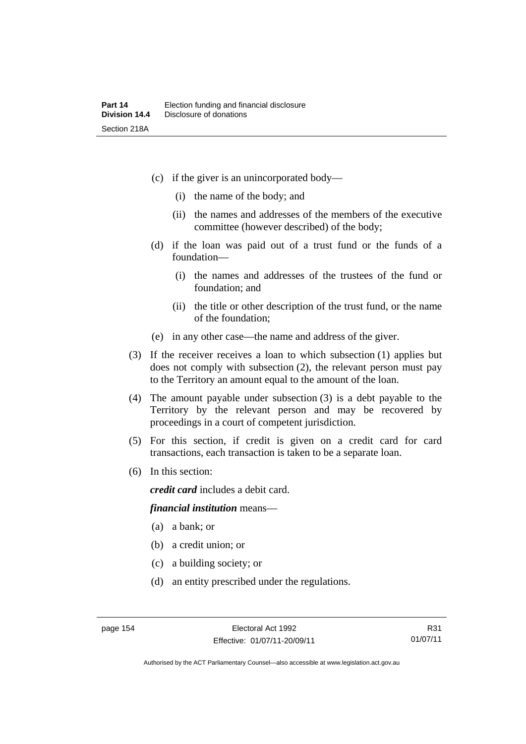- (c) if the giver is an unincorporated body—
	- (i) the name of the body; and
	- (ii) the names and addresses of the members of the executive committee (however described) of the body;
- (d) if the loan was paid out of a trust fund or the funds of a foundation—
	- (i) the names and addresses of the trustees of the fund or foundation; and
	- (ii) the title or other description of the trust fund, or the name of the foundation;
- (e) in any other case—the name and address of the giver.
- (3) If the receiver receives a loan to which subsection (1) applies but does not comply with subsection (2), the relevant person must pay to the Territory an amount equal to the amount of the loan.
- (4) The amount payable under subsection (3) is a debt payable to the Territory by the relevant person and may be recovered by proceedings in a court of competent jurisdiction.
- (5) For this section, if credit is given on a credit card for card transactions, each transaction is taken to be a separate loan.
- (6) In this section:

*credit card* includes a debit card.

#### *financial institution* means—

- (a) a bank; or
- (b) a credit union; or
- (c) a building society; or
- (d) an entity prescribed under the regulations.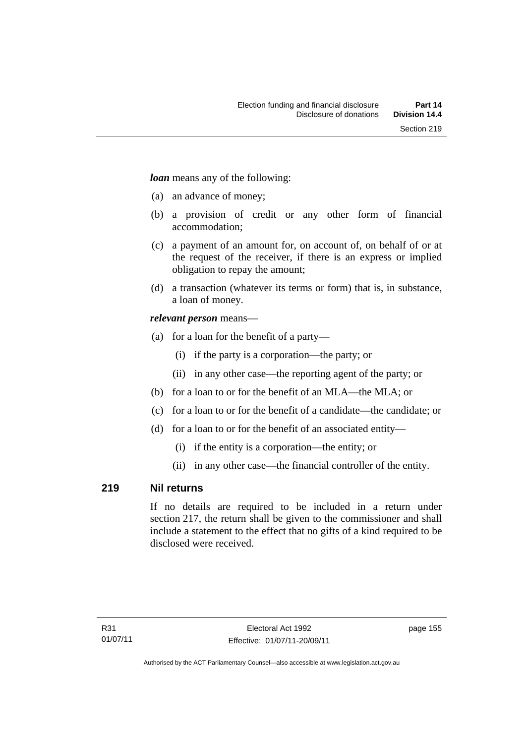*loan* means any of the following:

- (a) an advance of money;
- (b) a provision of credit or any other form of financial accommodation;
- (c) a payment of an amount for, on account of, on behalf of or at the request of the receiver, if there is an express or implied obligation to repay the amount;
- (d) a transaction (whatever its terms or form) that is, in substance, a loan of money.

## *relevant person* means—

- (a) for a loan for the benefit of a party—
	- (i) if the party is a corporation—the party; or
	- (ii) in any other case—the reporting agent of the party; or
- (b) for a loan to or for the benefit of an MLA—the MLA; or
- (c) for a loan to or for the benefit of a candidate—the candidate; or
- (d) for a loan to or for the benefit of an associated entity—
	- (i) if the entity is a corporation—the entity; or
	- (ii) in any other case—the financial controller of the entity.

# **219 Nil returns**

If no details are required to be included in a return under section 217, the return shall be given to the commissioner and shall include a statement to the effect that no gifts of a kind required to be disclosed were received.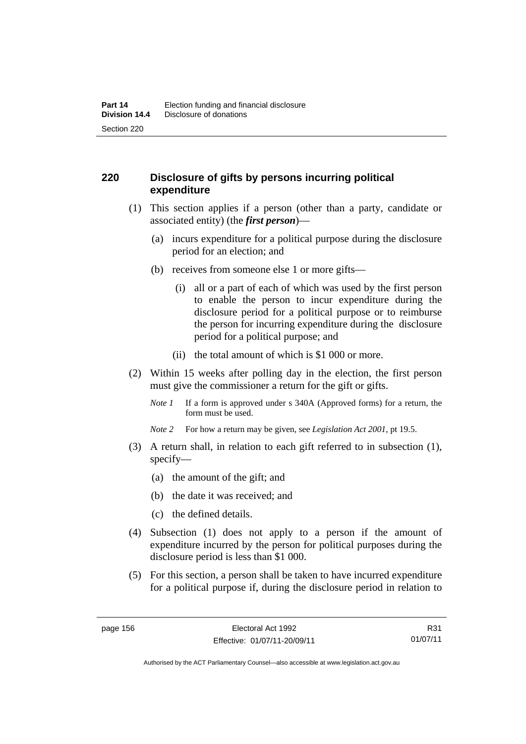# **220 Disclosure of gifts by persons incurring political expenditure**

- (1) This section applies if a person (other than a party, candidate or associated entity) (the *first person*)—
	- (a) incurs expenditure for a political purpose during the disclosure period for an election; and
	- (b) receives from someone else 1 or more gifts—
		- (i) all or a part of each of which was used by the first person to enable the person to incur expenditure during the disclosure period for a political purpose or to reimburse the person for incurring expenditure during the disclosure period for a political purpose; and
		- (ii) the total amount of which is \$1 000 or more.
- (2) Within 15 weeks after polling day in the election, the first person must give the commissioner a return for the gift or gifts.
	- *Note 1* If a form is approved under s 340A (Approved forms) for a return, the form must be used.
	- *Note 2* For how a return may be given, see *Legislation Act 2001*, pt 19.5.
- (3) A return shall, in relation to each gift referred to in subsection (1), specify—
	- (a) the amount of the gift; and
	- (b) the date it was received; and
	- (c) the defined details.
- (4) Subsection (1) does not apply to a person if the amount of expenditure incurred by the person for political purposes during the disclosure period is less than \$1 000.
- (5) For this section, a person shall be taken to have incurred expenditure for a political purpose if, during the disclosure period in relation to

R31 01/07/11

Authorised by the ACT Parliamentary Counsel—also accessible at www.legislation.act.gov.au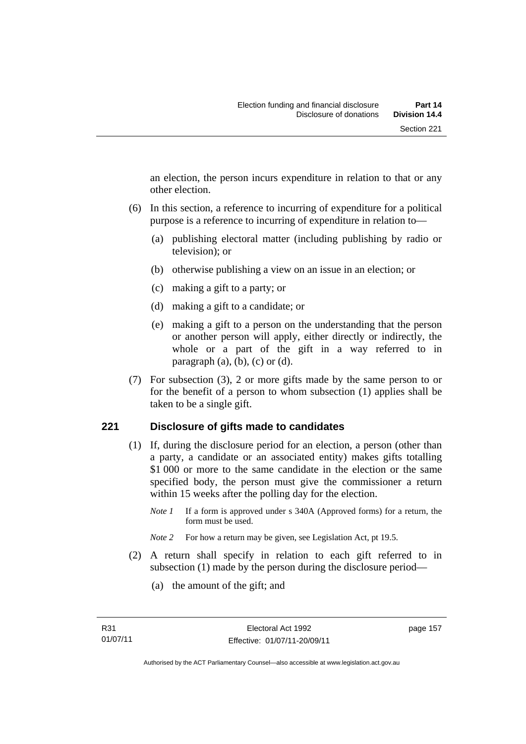an election, the person incurs expenditure in relation to that or any other election.

- (6) In this section, a reference to incurring of expenditure for a political purpose is a reference to incurring of expenditure in relation to—
	- (a) publishing electoral matter (including publishing by radio or television); or
	- (b) otherwise publishing a view on an issue in an election; or
	- (c) making a gift to a party; or
	- (d) making a gift to a candidate; or
	- (e) making a gift to a person on the understanding that the person or another person will apply, either directly or indirectly, the whole or a part of the gift in a way referred to in paragraph  $(a)$ ,  $(b)$ ,  $(c)$  or  $(d)$ .
- (7) For subsection (3), 2 or more gifts made by the same person to or for the benefit of a person to whom subsection (1) applies shall be taken to be a single gift.

## **221 Disclosure of gifts made to candidates**

- (1) If, during the disclosure period for an election, a person (other than a party, a candidate or an associated entity) makes gifts totalling \$1 000 or more to the same candidate in the election or the same specified body, the person must give the commissioner a return within 15 weeks after the polling day for the election.
	- *Note 1* If a form is approved under s 340A (Approved forms) for a return, the form must be used.
	- *Note* 2 For how a return may be given, see Legislation Act, pt 19.5.
- (2) A return shall specify in relation to each gift referred to in subsection (1) made by the person during the disclosure period—
	- (a) the amount of the gift; and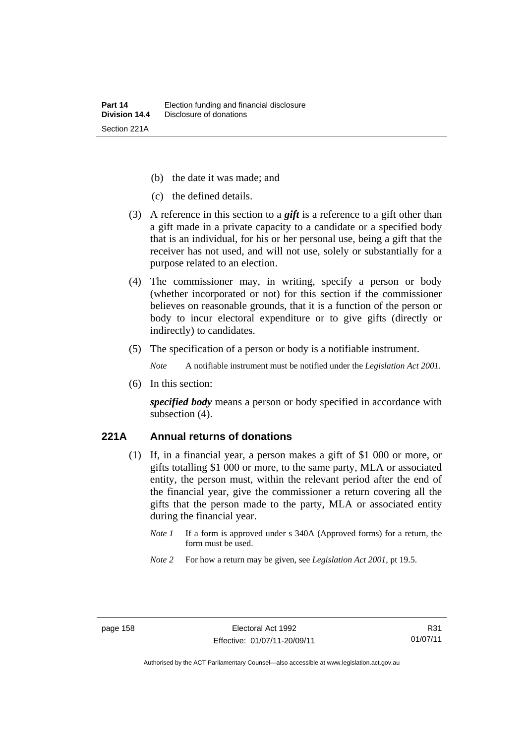- (b) the date it was made; and
- (c) the defined details.
- (3) A reference in this section to a *gift* is a reference to a gift other than a gift made in a private capacity to a candidate or a specified body that is an individual, for his or her personal use, being a gift that the receiver has not used, and will not use, solely or substantially for a purpose related to an election.
- (4) The commissioner may, in writing, specify a person or body (whether incorporated or not) for this section if the commissioner believes on reasonable grounds, that it is a function of the person or body to incur electoral expenditure or to give gifts (directly or indirectly) to candidates.
- (5) The specification of a person or body is a notifiable instrument.

*Note* A notifiable instrument must be notified under the *Legislation Act 2001*.

(6) In this section:

*specified body* means a person or body specified in accordance with subsection (4).

#### **221A Annual returns of donations**

- (1) If, in a financial year, a person makes a gift of \$1 000 or more, or gifts totalling \$1 000 or more, to the same party, MLA or associated entity, the person must, within the relevant period after the end of the financial year, give the commissioner a return covering all the gifts that the person made to the party, MLA or associated entity during the financial year.
	- *Note 1* If a form is approved under s 340A (Approved forms) for a return, the form must be used.
	- *Note 2* For how a return may be given, see *Legislation Act 2001*, pt 19.5.

Authorised by the ACT Parliamentary Counsel—also accessible at www.legislation.act.gov.au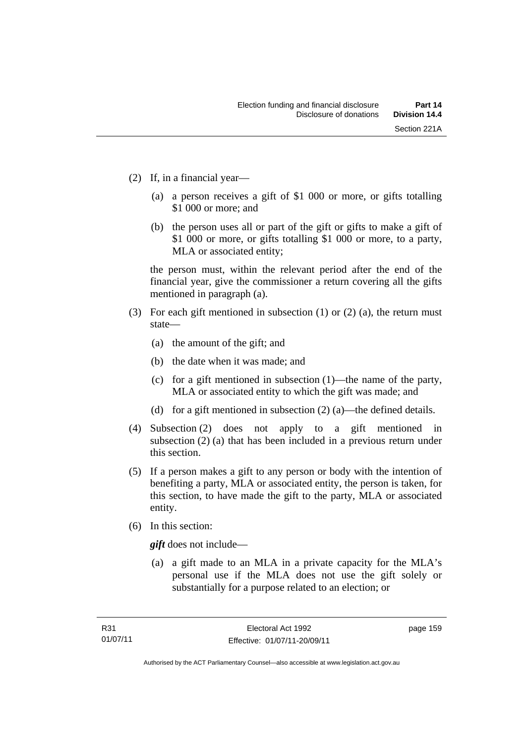- (2) If, in a financial year—
	- (a) a person receives a gift of \$1 000 or more, or gifts totalling \$1 000 or more; and
	- (b) the person uses all or part of the gift or gifts to make a gift of \$1 000 or more, or gifts totalling \$1 000 or more, to a party, MLA or associated entity;

the person must, within the relevant period after the end of the financial year, give the commissioner a return covering all the gifts mentioned in paragraph (a).

- (3) For each gift mentioned in subsection (1) or (2) (a), the return must state—
	- (a) the amount of the gift; and
	- (b) the date when it was made; and
	- (c) for a gift mentioned in subsection (1)—the name of the party, MLA or associated entity to which the gift was made; and
	- (d) for a gift mentioned in subsection (2) (a)—the defined details.
- (4) Subsection (2) does not apply to a gift mentioned in subsection (2) (a) that has been included in a previous return under this section.
- (5) If a person makes a gift to any person or body with the intention of benefiting a party, MLA or associated entity, the person is taken, for this section, to have made the gift to the party, MLA or associated entity.
- (6) In this section:

*gift* does not include—

 (a) a gift made to an MLA in a private capacity for the MLA's personal use if the MLA does not use the gift solely or substantially for a purpose related to an election; or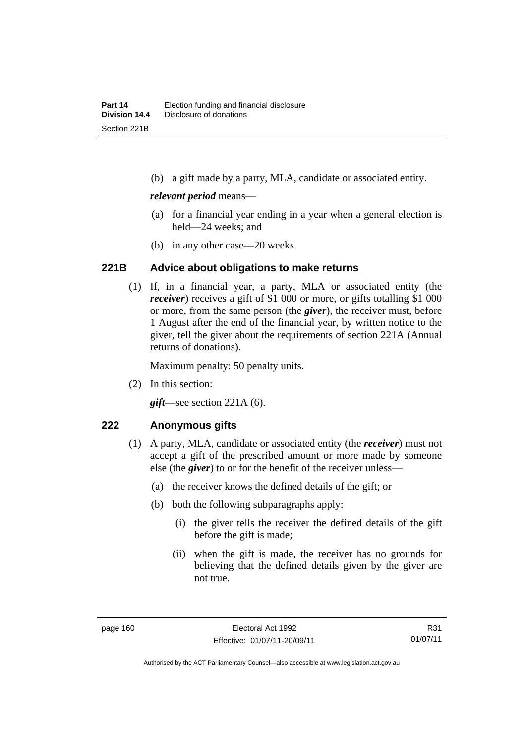(b) a gift made by a party, MLA, candidate or associated entity.

#### *relevant period* means—

- (a) for a financial year ending in a year when a general election is held—24 weeks; and
- (b) in any other case—20 weeks.

#### **221B Advice about obligations to make returns**

(1) If, in a financial year, a party, MLA or associated entity (the *receiver*) receives a gift of \$1 000 or more, or gifts totalling \$1 000 or more, from the same person (the *giver*), the receiver must, before 1 August after the end of the financial year, by written notice to the giver, tell the giver about the requirements of section 221A (Annual returns of donations).

Maximum penalty: 50 penalty units.

(2) In this section:

*gift*—see section 221A (6).

#### **222 Anonymous gifts**

- (1) A party, MLA, candidate or associated entity (the *receiver*) must not accept a gift of the prescribed amount or more made by someone else (the *giver*) to or for the benefit of the receiver unless—
	- (a) the receiver knows the defined details of the gift; or
	- (b) both the following subparagraphs apply:
		- (i) the giver tells the receiver the defined details of the gift before the gift is made;
		- (ii) when the gift is made, the receiver has no grounds for believing that the defined details given by the giver are not true.

Authorised by the ACT Parliamentary Counsel—also accessible at www.legislation.act.gov.au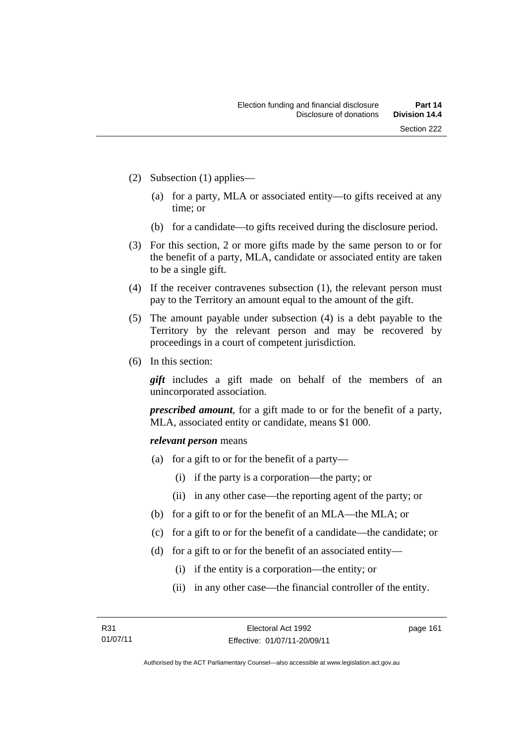- (2) Subsection (1) applies—
	- (a) for a party, MLA or associated entity—to gifts received at any time; or
	- (b) for a candidate—to gifts received during the disclosure period.
- (3) For this section, 2 or more gifts made by the same person to or for the benefit of a party, MLA, candidate or associated entity are taken to be a single gift.
- (4) If the receiver contravenes subsection (1), the relevant person must pay to the Territory an amount equal to the amount of the gift.
- (5) The amount payable under subsection (4) is a debt payable to the Territory by the relevant person and may be recovered by proceedings in a court of competent jurisdiction.
- (6) In this section:

*gift* includes a gift made on behalf of the members of an unincorporated association.

*prescribed amount*, for a gift made to or for the benefit of a party, MLA, associated entity or candidate, means \$1 000.

#### *relevant person* means

- (a) for a gift to or for the benefit of a party—
	- (i) if the party is a corporation—the party; or
	- (ii) in any other case—the reporting agent of the party; or
- (b) for a gift to or for the benefit of an MLA—the MLA; or
- (c) for a gift to or for the benefit of a candidate—the candidate; or
- (d) for a gift to or for the benefit of an associated entity—
	- (i) if the entity is a corporation—the entity; or
	- (ii) in any other case—the financial controller of the entity.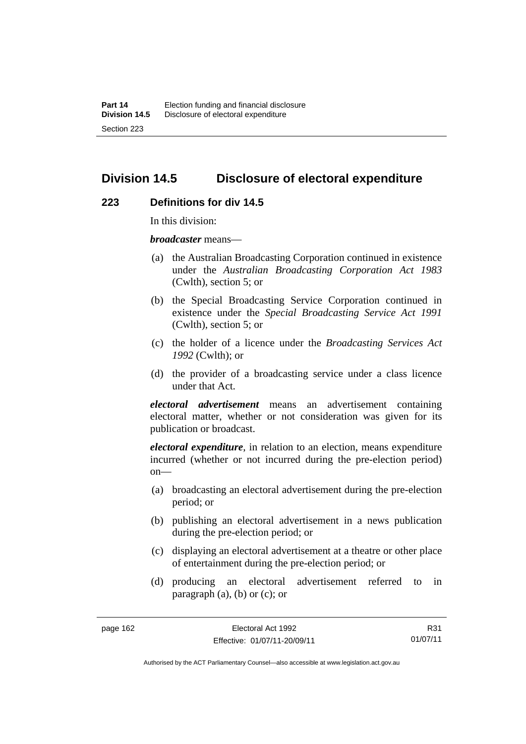# **Division 14.5 Disclosure of electoral expenditure**

#### **223 Definitions for div 14.5**

In this division:

*broadcaster* means—

- (a) the Australian Broadcasting Corporation continued in existence under the *Australian Broadcasting Corporation Act 1983* (Cwlth), section 5; or
- (b) the Special Broadcasting Service Corporation continued in existence under the *Special Broadcasting Service Act 1991*  (Cwlth), section 5; or
- (c) the holder of a licence under the *Broadcasting Services Act 1992* (Cwlth); or
- (d) the provider of a broadcasting service under a class licence under that Act.

*electoral advertisement* means an advertisement containing electoral matter, whether or not consideration was given for its publication or broadcast.

*electoral expenditure*, in relation to an election, means expenditure incurred (whether or not incurred during the pre-election period)  $on$ —

- (a) broadcasting an electoral advertisement during the pre-election period; or
- (b) publishing an electoral advertisement in a news publication during the pre-election period; or
- (c) displaying an electoral advertisement at a theatre or other place of entertainment during the pre-election period; or
- (d) producing an electoral advertisement referred to in paragraph (a), (b) or (c); or

R31 01/07/11

Authorised by the ACT Parliamentary Counsel—also accessible at www.legislation.act.gov.au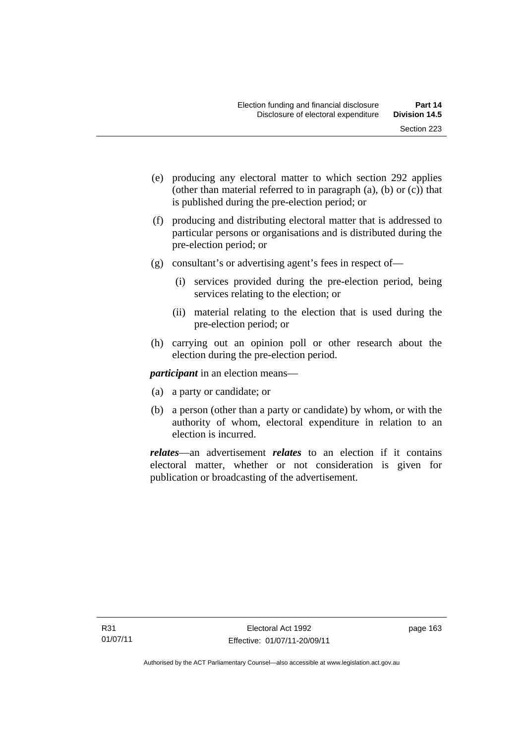- (e) producing any electoral matter to which section 292 applies (other than material referred to in paragraph (a), (b) or (c)) that is published during the pre-election period; or
- (f) producing and distributing electoral matter that is addressed to particular persons or organisations and is distributed during the pre-election period; or
- (g) consultant's or advertising agent's fees in respect of—
	- (i) services provided during the pre-election period, being services relating to the election; or
	- (ii) material relating to the election that is used during the pre-election period; or
- (h) carrying out an opinion poll or other research about the election during the pre-election period.

*participant* in an election means—

- (a) a party or candidate; or
- (b) a person (other than a party or candidate) by whom, or with the authority of whom, electoral expenditure in relation to an election is incurred.

*relates*—an advertisement *relates* to an election if it contains electoral matter, whether or not consideration is given for publication or broadcasting of the advertisement.

page 163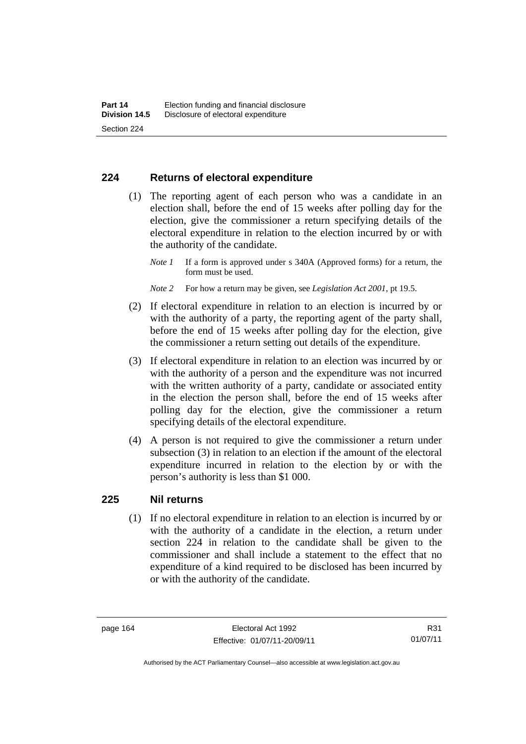## **224 Returns of electoral expenditure**

 (1) The reporting agent of each person who was a candidate in an election shall, before the end of 15 weeks after polling day for the election, give the commissioner a return specifying details of the electoral expenditure in relation to the election incurred by or with the authority of the candidate.

- *Note 2* For how a return may be given, see *Legislation Act 2001*, pt 19.5.
- (2) If electoral expenditure in relation to an election is incurred by or with the authority of a party, the reporting agent of the party shall, before the end of 15 weeks after polling day for the election, give the commissioner a return setting out details of the expenditure.
- (3) If electoral expenditure in relation to an election was incurred by or with the authority of a person and the expenditure was not incurred with the written authority of a party, candidate or associated entity in the election the person shall, before the end of 15 weeks after polling day for the election, give the commissioner a return specifying details of the electoral expenditure.
- (4) A person is not required to give the commissioner a return under subsection (3) in relation to an election if the amount of the electoral expenditure incurred in relation to the election by or with the person's authority is less than \$1 000.

## **225 Nil returns**

(1) If no electoral expenditure in relation to an election is incurred by or with the authority of a candidate in the election, a return under section 224 in relation to the candidate shall be given to the commissioner and shall include a statement to the effect that no expenditure of a kind required to be disclosed has been incurred by or with the authority of the candidate.

*Note 1* If a form is approved under s 340A (Approved forms) for a return, the form must be used.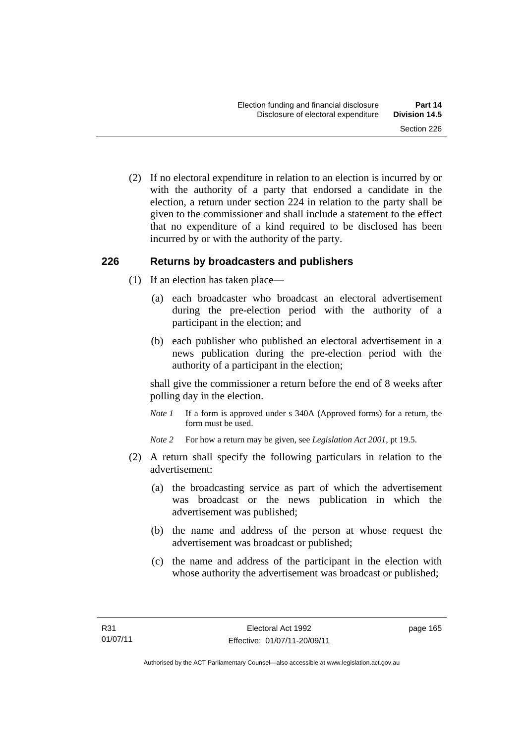(2) If no electoral expenditure in relation to an election is incurred by or with the authority of a party that endorsed a candidate in the election, a return under section 224 in relation to the party shall be given to the commissioner and shall include a statement to the effect that no expenditure of a kind required to be disclosed has been incurred by or with the authority of the party.

## **226 Returns by broadcasters and publishers**

- (1) If an election has taken place—
	- (a) each broadcaster who broadcast an electoral advertisement during the pre-election period with the authority of a participant in the election; and
	- (b) each publisher who published an electoral advertisement in a news publication during the pre-election period with the authority of a participant in the election;

shall give the commissioner a return before the end of 8 weeks after polling day in the election.

*Note 1* If a form is approved under s 340A (Approved forms) for a return, the form must be used.

*Note 2* For how a return may be given, see *Legislation Act 2001*, pt 19.5.

- (2) A return shall specify the following particulars in relation to the advertisement:
	- (a) the broadcasting service as part of which the advertisement was broadcast or the news publication in which the advertisement was published;
	- (b) the name and address of the person at whose request the advertisement was broadcast or published;
	- (c) the name and address of the participant in the election with whose authority the advertisement was broadcast or published;

page 165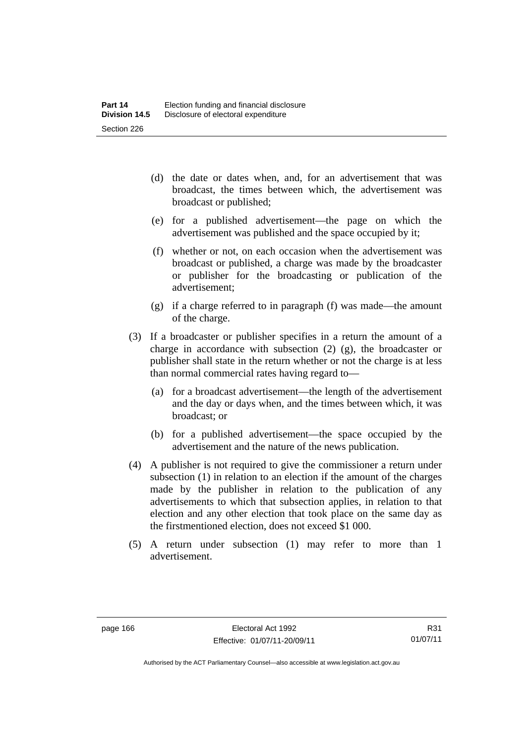- (d) the date or dates when, and, for an advertisement that was broadcast, the times between which, the advertisement was broadcast or published;
- (e) for a published advertisement—the page on which the advertisement was published and the space occupied by it;
- (f) whether or not, on each occasion when the advertisement was broadcast or published, a charge was made by the broadcaster or publisher for the broadcasting or publication of the advertisement;
- (g) if a charge referred to in paragraph (f) was made—the amount of the charge.
- (3) If a broadcaster or publisher specifies in a return the amount of a charge in accordance with subsection (2) (g), the broadcaster or publisher shall state in the return whether or not the charge is at less than normal commercial rates having regard to—
	- (a) for a broadcast advertisement—the length of the advertisement and the day or days when, and the times between which, it was broadcast; or
	- (b) for a published advertisement—the space occupied by the advertisement and the nature of the news publication.
- (4) A publisher is not required to give the commissioner a return under subsection (1) in relation to an election if the amount of the charges made by the publisher in relation to the publication of any advertisements to which that subsection applies, in relation to that election and any other election that took place on the same day as the firstmentioned election, does not exceed \$1 000.
- (5) A return under subsection (1) may refer to more than 1 advertisement.

Authorised by the ACT Parliamentary Counsel—also accessible at www.legislation.act.gov.au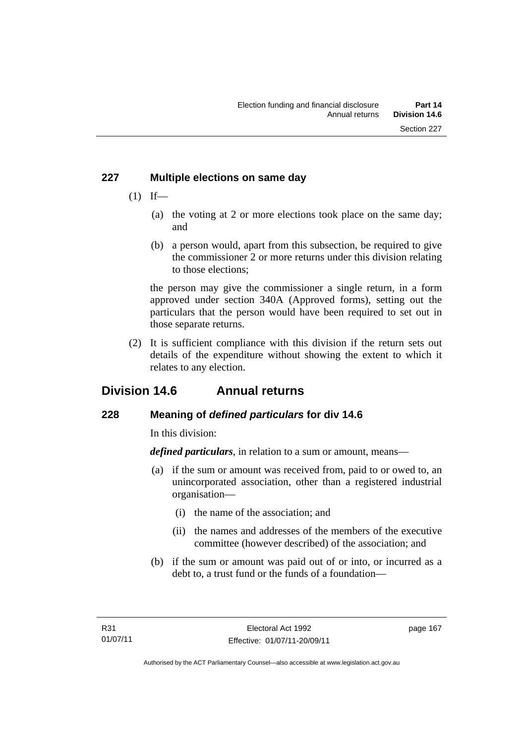## **227 Multiple elections on same day**

- $(1)$  If—
	- (a) the voting at 2 or more elections took place on the same day; and
	- (b) a person would, apart from this subsection, be required to give the commissioner 2 or more returns under this division relating to those elections;

the person may give the commissioner a single return, in a form approved under section 340A (Approved forms), setting out the particulars that the person would have been required to set out in those separate returns.

 (2) It is sufficient compliance with this division if the return sets out details of the expenditure without showing the extent to which it relates to any election.

# **Division 14.6 Annual returns**

# **228 Meaning of** *defined particulars* **for div 14.6**

In this division:

*defined particulars*, in relation to a sum or amount, means—

- (a) if the sum or amount was received from, paid to or owed to, an unincorporated association, other than a registered industrial organisation—
	- (i) the name of the association; and
	- (ii) the names and addresses of the members of the executive committee (however described) of the association; and
- (b) if the sum or amount was paid out of or into, or incurred as a debt to, a trust fund or the funds of a foundation—

page 167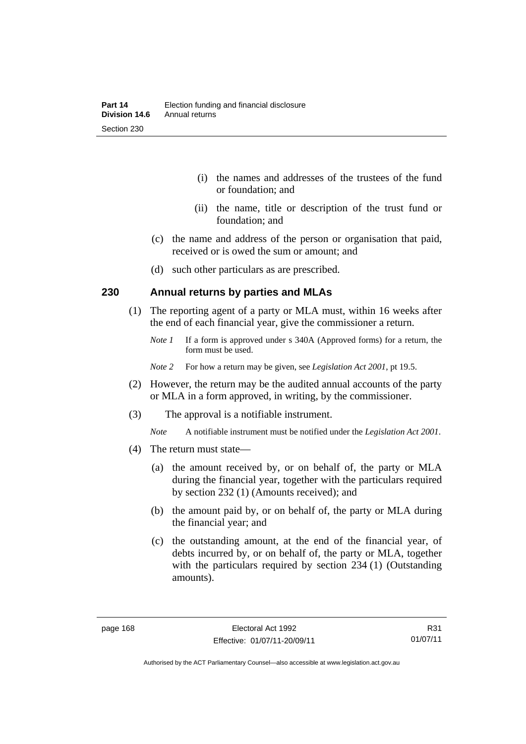- (i) the names and addresses of the trustees of the fund or foundation; and
- (ii) the name, title or description of the trust fund or foundation; and
- (c) the name and address of the person or organisation that paid, received or is owed the sum or amount; and
- (d) such other particulars as are prescribed.

## **230 Annual returns by parties and MLAs**

- (1) The reporting agent of a party or MLA must, within 16 weeks after the end of each financial year, give the commissioner a return.
	- *Note 1* If a form is approved under s 340A (Approved forms) for a return, the form must be used.
	- *Note 2* For how a return may be given, see *Legislation Act 2001*, pt 19.5.
- (2) However, the return may be the audited annual accounts of the party or MLA in a form approved, in writing, by the commissioner.
- (3) The approval is a notifiable instrument.
	- *Note* A notifiable instrument must be notified under the *Legislation Act 2001*.
- (4) The return must state—
	- (a) the amount received by, or on behalf of, the party or MLA during the financial year, together with the particulars required by section 232 (1) (Amounts received); and
	- (b) the amount paid by, or on behalf of, the party or MLA during the financial year; and
	- (c) the outstanding amount, at the end of the financial year, of debts incurred by, or on behalf of, the party or MLA, together with the particulars required by section 234 (1) (Outstanding amounts).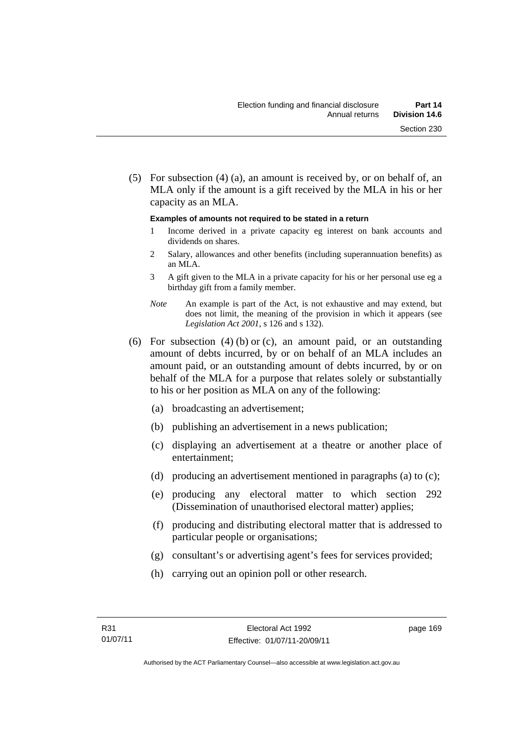(5) For subsection (4) (a), an amount is received by, or on behalf of, an MLA only if the amount is a gift received by the MLA in his or her capacity as an MLA.

#### **Examples of amounts not required to be stated in a return**

- 1 Income derived in a private capacity eg interest on bank accounts and dividends on shares.
- 2 Salary, allowances and other benefits (including superannuation benefits) as an MLA.
- 3 A gift given to the MLA in a private capacity for his or her personal use eg a birthday gift from a family member.
- *Note* An example is part of the Act, is not exhaustive and may extend, but does not limit, the meaning of the provision in which it appears (see *Legislation Act 2001*, s 126 and s 132).
- (6) For subsection (4) (b) or (c), an amount paid, or an outstanding amount of debts incurred, by or on behalf of an MLA includes an amount paid, or an outstanding amount of debts incurred, by or on behalf of the MLA for a purpose that relates solely or substantially to his or her position as MLA on any of the following:
	- (a) broadcasting an advertisement;
	- (b) publishing an advertisement in a news publication;
	- (c) displaying an advertisement at a theatre or another place of entertainment;
	- (d) producing an advertisement mentioned in paragraphs (a) to (c);
	- (e) producing any electoral matter to which section 292 (Dissemination of unauthorised electoral matter) applies;
	- (f) producing and distributing electoral matter that is addressed to particular people or organisations;
	- (g) consultant's or advertising agent's fees for services provided;
	- (h) carrying out an opinion poll or other research.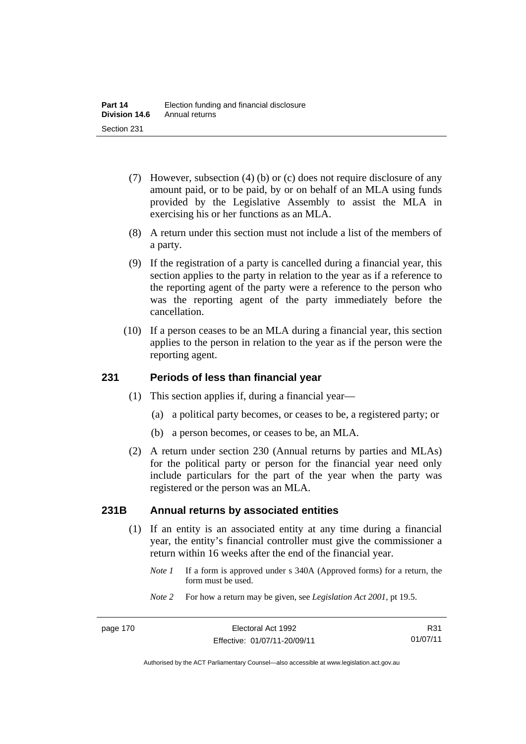- (7) However, subsection (4) (b) or (c) does not require disclosure of any amount paid, or to be paid, by or on behalf of an MLA using funds provided by the Legislative Assembly to assist the MLA in exercising his or her functions as an MLA.
- (8) A return under this section must not include a list of the members of a party.
- (9) If the registration of a party is cancelled during a financial year, this section applies to the party in relation to the year as if a reference to the reporting agent of the party were a reference to the person who was the reporting agent of the party immediately before the cancellation.
- (10) If a person ceases to be an MLA during a financial year, this section applies to the person in relation to the year as if the person were the reporting agent.

## **231 Periods of less than financial year**

- (1) This section applies if, during a financial year—
	- (a) a political party becomes, or ceases to be, a registered party; or
	- (b) a person becomes, or ceases to be, an MLA.
- (2) A return under section 230 (Annual returns by parties and MLAs) for the political party or person for the financial year need only include particulars for the part of the year when the party was registered or the person was an MLA.

## **231B Annual returns by associated entities**

- (1) If an entity is an associated entity at any time during a financial year, the entity's financial controller must give the commissioner a return within 16 weeks after the end of the financial year.
	- *Note 1* If a form is approved under s 340A (Approved forms) for a return, the form must be used.
	- *Note 2* For how a return may be given, see *Legislation Act 2001*, pt 19.5.

R31 01/07/11

Authorised by the ACT Parliamentary Counsel—also accessible at www.legislation.act.gov.au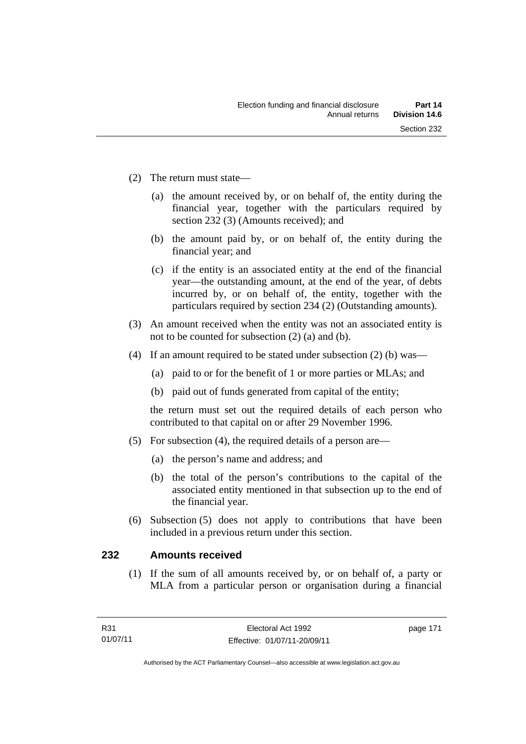- (2) The return must state—
	- (a) the amount received by, or on behalf of, the entity during the financial year, together with the particulars required by section 232 (3) (Amounts received); and
	- (b) the amount paid by, or on behalf of, the entity during the financial year; and
	- (c) if the entity is an associated entity at the end of the financial year—the outstanding amount, at the end of the year, of debts incurred by, or on behalf of, the entity, together with the particulars required by section 234 (2) (Outstanding amounts).
- (3) An amount received when the entity was not an associated entity is not to be counted for subsection (2) (a) and (b).
- (4) If an amount required to be stated under subsection (2) (b) was—
	- (a) paid to or for the benefit of 1 or more parties or MLAs; and
	- (b) paid out of funds generated from capital of the entity;

the return must set out the required details of each person who contributed to that capital on or after 29 November 1996.

- (5) For subsection (4), the required details of a person are—
	- (a) the person's name and address; and
	- (b) the total of the person's contributions to the capital of the associated entity mentioned in that subsection up to the end of the financial year.
- (6) Subsection (5) does not apply to contributions that have been included in a previous return under this section.

## **232 Amounts received**

(1) If the sum of all amounts received by, or on behalf of, a party or MLA from a particular person or organisation during a financial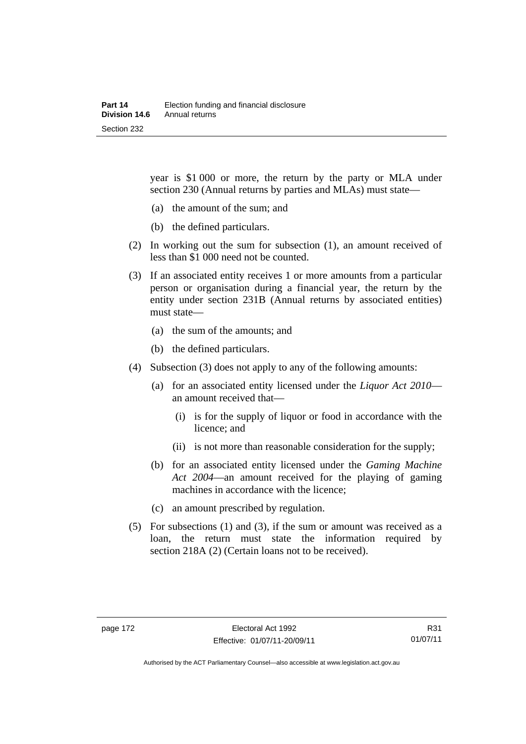year is \$1 000 or more, the return by the party or MLA under section 230 (Annual returns by parties and MLAs) must state—

- (a) the amount of the sum; and
- (b) the defined particulars.
- (2) In working out the sum for subsection (1), an amount received of less than \$1 000 need not be counted.
- (3) If an associated entity receives 1 or more amounts from a particular person or organisation during a financial year, the return by the entity under section 231B (Annual returns by associated entities) must state—
	- (a) the sum of the amounts; and
	- (b) the defined particulars.
- (4) Subsection (3) does not apply to any of the following amounts:
	- (a) for an associated entity licensed under the *Liquor Act 2010* an amount received that—
		- (i) is for the supply of liquor or food in accordance with the licence; and
		- (ii) is not more than reasonable consideration for the supply;
	- (b) for an associated entity licensed under the *Gaming Machine Act 2004*—an amount received for the playing of gaming machines in accordance with the licence;
	- (c) an amount prescribed by regulation.
- (5) For subsections (1) and (3), if the sum or amount was received as a loan, the return must state the information required by section 218A (2) (Certain loans not to be received).

R31 01/07/11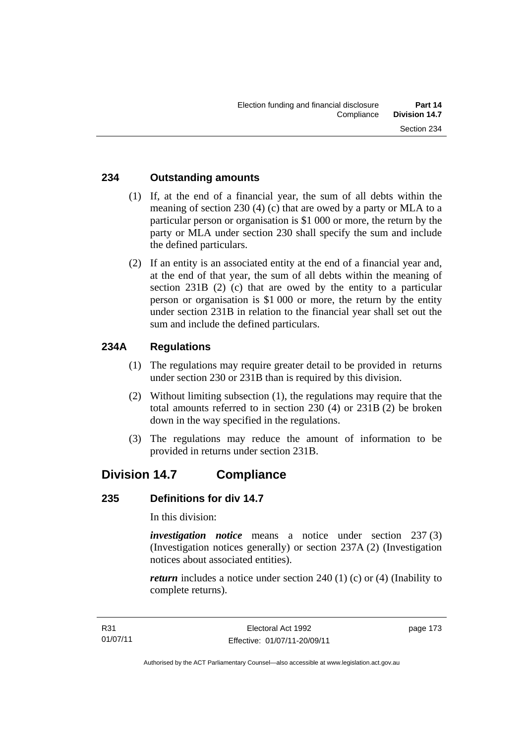## **234 Outstanding amounts**

- (1) If, at the end of a financial year, the sum of all debts within the meaning of section 230 (4) (c) that are owed by a party or MLA to a particular person or organisation is \$1 000 or more, the return by the party or MLA under section 230 shall specify the sum and include the defined particulars.
- (2) If an entity is an associated entity at the end of a financial year and, at the end of that year, the sum of all debts within the meaning of section 231B (2) (c) that are owed by the entity to a particular person or organisation is \$1 000 or more, the return by the entity under section 231B in relation to the financial year shall set out the sum and include the defined particulars.

## **234A Regulations**

- (1) The regulations may require greater detail to be provided in returns under section 230 or 231B than is required by this division.
- (2) Without limiting subsection (1), the regulations may require that the total amounts referred to in section 230 (4) or 231B (2) be broken down in the way specified in the regulations.
- (3) The regulations may reduce the amount of information to be provided in returns under section 231B.

# **Division 14.7 Compliance**

## **235 Definitions for div 14.7**

In this division:

*investigation notice* means a notice under section 237 (3) (Investigation notices generally) or section 237A (2) (Investigation notices about associated entities).

*return* includes a notice under section 240 (1) (c) or (4) (Inability to complete returns).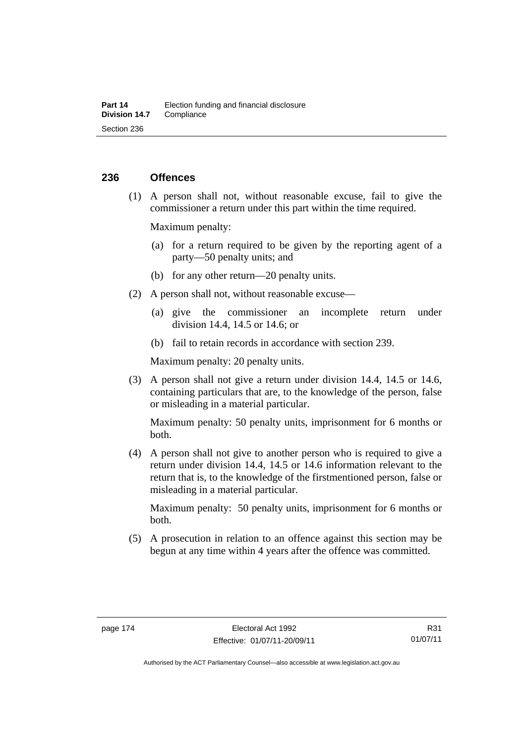## **236 Offences**

 (1) A person shall not, without reasonable excuse, fail to give the commissioner a return under this part within the time required.

Maximum penalty:

- (a) for a return required to be given by the reporting agent of a party—50 penalty units; and
- (b) for any other return—20 penalty units.
- (2) A person shall not, without reasonable excuse—
	- (a) give the commissioner an incomplete return under division 14.4, 14.5 or 14.6; or
	- (b) fail to retain records in accordance with section 239.

Maximum penalty: 20 penalty units.

 (3) A person shall not give a return under division 14.4, 14.5 or 14.6, containing particulars that are, to the knowledge of the person, false or misleading in a material particular.

Maximum penalty: 50 penalty units, imprisonment for 6 months or both.

 (4) A person shall not give to another person who is required to give a return under division 14.4, 14.5 or 14.6 information relevant to the return that is, to the knowledge of the firstmentioned person, false or misleading in a material particular.

Maximum penalty: 50 penalty units, imprisonment for 6 months or both.

 (5) A prosecution in relation to an offence against this section may be begun at any time within 4 years after the offence was committed.

R31 01/07/11

Authorised by the ACT Parliamentary Counsel—also accessible at www.legislation.act.gov.au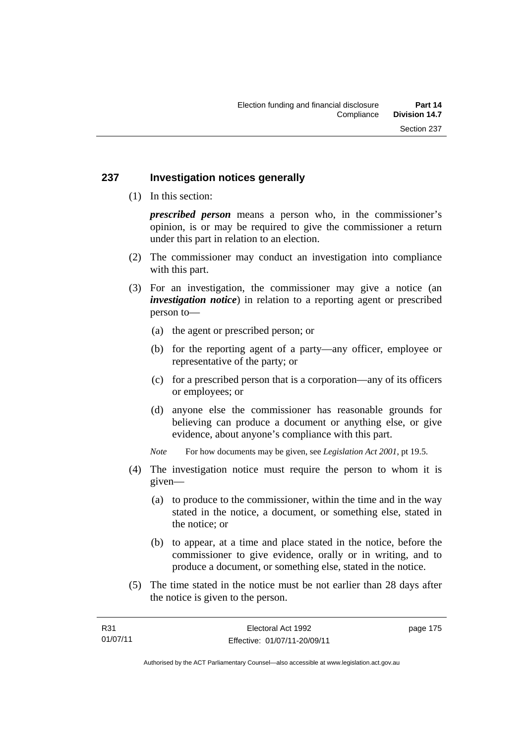## **237 Investigation notices generally**

(1) In this section:

*prescribed person* means a person who, in the commissioner's opinion, is or may be required to give the commissioner a return under this part in relation to an election.

- (2) The commissioner may conduct an investigation into compliance with this part.
- (3) For an investigation, the commissioner may give a notice (an *investigation notice*) in relation to a reporting agent or prescribed person to—
	- (a) the agent or prescribed person; or
	- (b) for the reporting agent of a party—any officer, employee or representative of the party; or
	- (c) for a prescribed person that is a corporation—any of its officers or employees; or
	- (d) anyone else the commissioner has reasonable grounds for believing can produce a document or anything else, or give evidence, about anyone's compliance with this part.
	- *Note* For how documents may be given, see *Legislation Act 2001*, pt 19.5.
- (4) The investigation notice must require the person to whom it is given—
	- (a) to produce to the commissioner, within the time and in the way stated in the notice, a document, or something else, stated in the notice; or
	- (b) to appear, at a time and place stated in the notice, before the commissioner to give evidence, orally or in writing, and to produce a document, or something else, stated in the notice.
- (5) The time stated in the notice must be not earlier than 28 days after the notice is given to the person.

page 175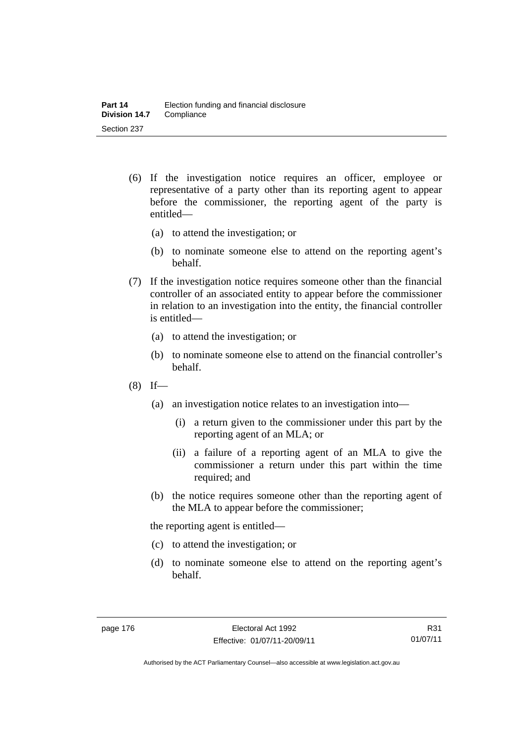- (6) If the investigation notice requires an officer, employee or representative of a party other than its reporting agent to appear before the commissioner, the reporting agent of the party is entitled—
	- (a) to attend the investigation; or
	- (b) to nominate someone else to attend on the reporting agent's behalf.
- (7) If the investigation notice requires someone other than the financial controller of an associated entity to appear before the commissioner in relation to an investigation into the entity, the financial controller is entitled—
	- (a) to attend the investigation; or
	- (b) to nominate someone else to attend on the financial controller's behalf.
- $(8)$  If—
	- (a) an investigation notice relates to an investigation into—
		- (i) a return given to the commissioner under this part by the reporting agent of an MLA; or
		- (ii) a failure of a reporting agent of an MLA to give the commissioner a return under this part within the time required; and
	- (b) the notice requires someone other than the reporting agent of the MLA to appear before the commissioner;

the reporting agent is entitled—

- (c) to attend the investigation; or
- (d) to nominate someone else to attend on the reporting agent's behalf.

R31 01/07/11

Authorised by the ACT Parliamentary Counsel—also accessible at www.legislation.act.gov.au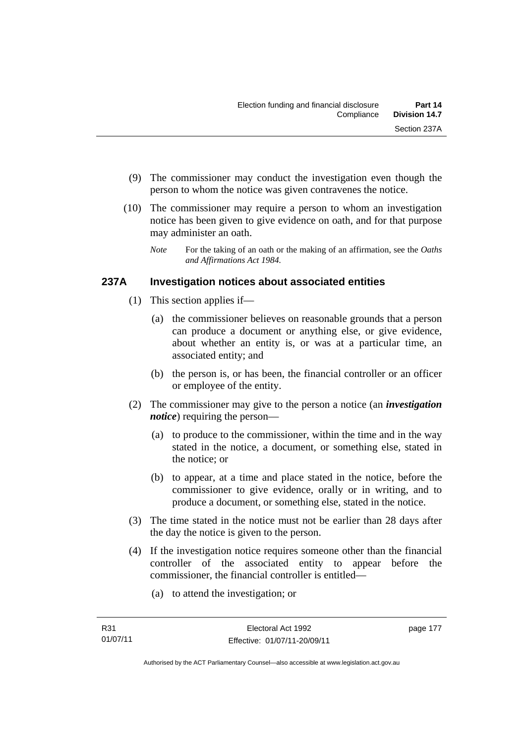- (9) The commissioner may conduct the investigation even though the person to whom the notice was given contravenes the notice.
- (10) The commissioner may require a person to whom an investigation notice has been given to give evidence on oath, and for that purpose may administer an oath.
	- *Note* For the taking of an oath or the making of an affirmation, see the *Oaths and Affirmations Act 1984.*

## **237A Investigation notices about associated entities**

- (1) This section applies if—
	- (a) the commissioner believes on reasonable grounds that a person can produce a document or anything else, or give evidence, about whether an entity is, or was at a particular time, an associated entity; and
	- (b) the person is, or has been, the financial controller or an officer or employee of the entity.
- (2) The commissioner may give to the person a notice (an *investigation notice*) requiring the person—
	- (a) to produce to the commissioner, within the time and in the way stated in the notice, a document, or something else, stated in the notice; or
	- (b) to appear, at a time and place stated in the notice, before the commissioner to give evidence, orally or in writing, and to produce a document, or something else, stated in the notice.
- (3) The time stated in the notice must not be earlier than 28 days after the day the notice is given to the person.
- (4) If the investigation notice requires someone other than the financial controller of the associated entity to appear before the commissioner, the financial controller is entitled—
	- (a) to attend the investigation; or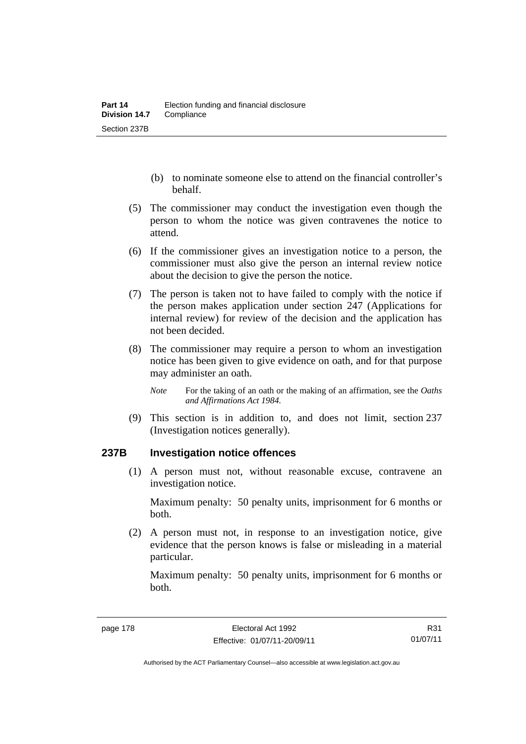- (b) to nominate someone else to attend on the financial controller's behalf.
- (5) The commissioner may conduct the investigation even though the person to whom the notice was given contravenes the notice to attend.
- (6) If the commissioner gives an investigation notice to a person, the commissioner must also give the person an internal review notice about the decision to give the person the notice.
- (7) The person is taken not to have failed to comply with the notice if the person makes application under section 247 (Applications for internal review) for review of the decision and the application has not been decided.
- (8) The commissioner may require a person to whom an investigation notice has been given to give evidence on oath, and for that purpose may administer an oath.
	- *Note* For the taking of an oath or the making of an affirmation, see the *Oaths and Affirmations Act 1984.*
- (9) This section is in addition to, and does not limit, section 237 (Investigation notices generally).

## **237B Investigation notice offences**

(1) A person must not, without reasonable excuse, contravene an investigation notice.

Maximum penalty: 50 penalty units, imprisonment for 6 months or both.

 (2) A person must not, in response to an investigation notice, give evidence that the person knows is false or misleading in a material particular.

Maximum penalty: 50 penalty units, imprisonment for 6 months or both.

R31 01/07/11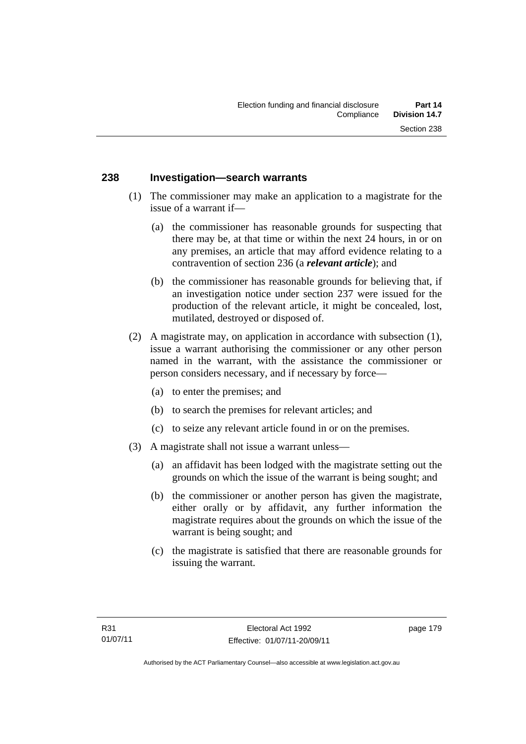## **238 Investigation—search warrants**

- (1) The commissioner may make an application to a magistrate for the issue of a warrant if—
	- (a) the commissioner has reasonable grounds for suspecting that there may be, at that time or within the next 24 hours, in or on any premises, an article that may afford evidence relating to a contravention of section 236 (a *relevant article*); and
	- (b) the commissioner has reasonable grounds for believing that, if an investigation notice under section 237 were issued for the production of the relevant article, it might be concealed, lost, mutilated, destroyed or disposed of.
- (2) A magistrate may, on application in accordance with subsection (1), issue a warrant authorising the commissioner or any other person named in the warrant, with the assistance the commissioner or person considers necessary, and if necessary by force—
	- (a) to enter the premises; and
	- (b) to search the premises for relevant articles; and
	- (c) to seize any relevant article found in or on the premises.
- (3) A magistrate shall not issue a warrant unless—
	- (a) an affidavit has been lodged with the magistrate setting out the grounds on which the issue of the warrant is being sought; and
	- (b) the commissioner or another person has given the magistrate, either orally or by affidavit, any further information the magistrate requires about the grounds on which the issue of the warrant is being sought; and
	- (c) the magistrate is satisfied that there are reasonable grounds for issuing the warrant.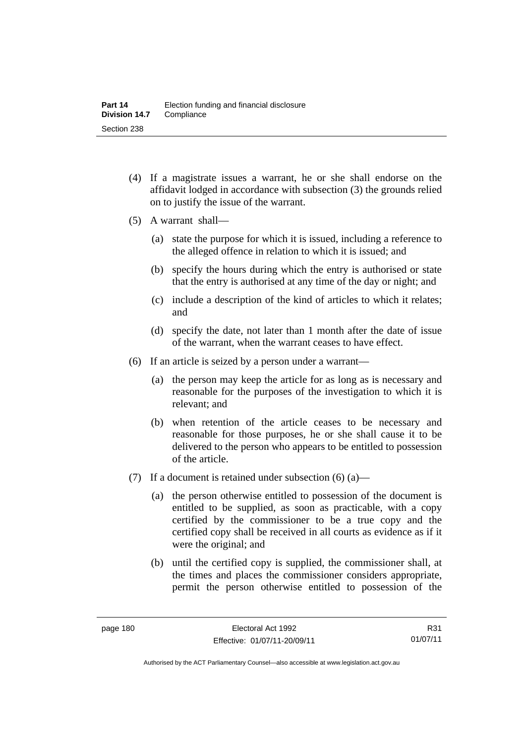- (4) If a magistrate issues a warrant, he or she shall endorse on the affidavit lodged in accordance with subsection (3) the grounds relied on to justify the issue of the warrant.
- (5) A warrant shall—
	- (a) state the purpose for which it is issued, including a reference to the alleged offence in relation to which it is issued; and
	- (b) specify the hours during which the entry is authorised or state that the entry is authorised at any time of the day or night; and
	- (c) include a description of the kind of articles to which it relates; and
	- (d) specify the date, not later than 1 month after the date of issue of the warrant, when the warrant ceases to have effect.
- (6) If an article is seized by a person under a warrant—
	- (a) the person may keep the article for as long as is necessary and reasonable for the purposes of the investigation to which it is relevant; and
	- (b) when retention of the article ceases to be necessary and reasonable for those purposes, he or she shall cause it to be delivered to the person who appears to be entitled to possession of the article.
- (7) If a document is retained under subsection  $(6)$  (a)—
	- (a) the person otherwise entitled to possession of the document is entitled to be supplied, as soon as practicable, with a copy certified by the commissioner to be a true copy and the certified copy shall be received in all courts as evidence as if it were the original; and
	- (b) until the certified copy is supplied, the commissioner shall, at the times and places the commissioner considers appropriate, permit the person otherwise entitled to possession of the

R31 01/07/11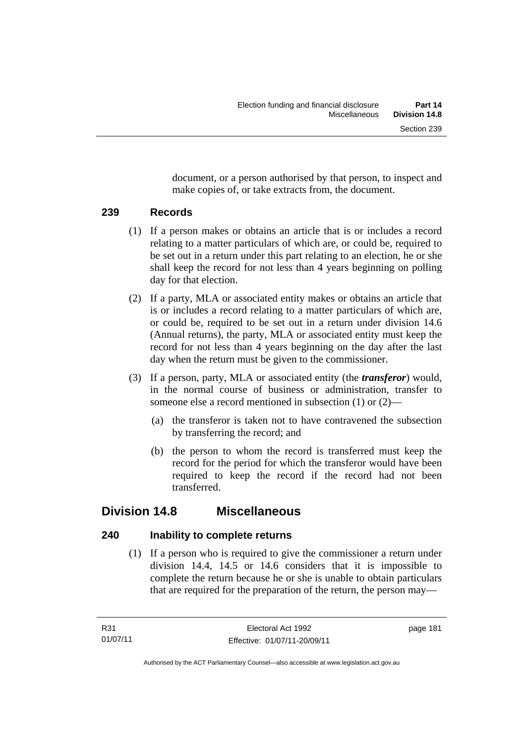document, or a person authorised by that person, to inspect and make copies of, or take extracts from, the document.

## **239 Records**

- (1) If a person makes or obtains an article that is or includes a record relating to a matter particulars of which are, or could be, required to be set out in a return under this part relating to an election, he or she shall keep the record for not less than 4 years beginning on polling day for that election.
- (2) If a party, MLA or associated entity makes or obtains an article that is or includes a record relating to a matter particulars of which are, or could be, required to be set out in a return under division 14.6 (Annual returns), the party, MLA or associated entity must keep the record for not less than 4 years beginning on the day after the last day when the return must be given to the commissioner.
- (3) If a person, party, MLA or associated entity (the *transferor*) would, in the normal course of business or administration, transfer to someone else a record mentioned in subsection (1) or (2)—
	- (a) the transferor is taken not to have contravened the subsection by transferring the record; and
	- (b) the person to whom the record is transferred must keep the record for the period for which the transferor would have been required to keep the record if the record had not been transferred.

# **Division 14.8 Miscellaneous**

## **240 Inability to complete returns**

 (1) If a person who is required to give the commissioner a return under division 14.4, 14.5 or 14.6 considers that it is impossible to complete the return because he or she is unable to obtain particulars that are required for the preparation of the return, the person may—

page 181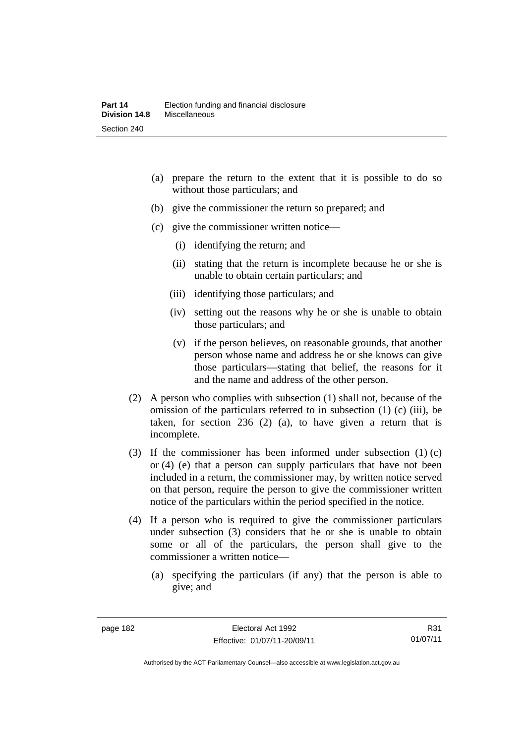- (a) prepare the return to the extent that it is possible to do so without those particulars; and
- (b) give the commissioner the return so prepared; and
- (c) give the commissioner written notice—
	- (i) identifying the return; and
	- (ii) stating that the return is incomplete because he or she is unable to obtain certain particulars; and
	- (iii) identifying those particulars; and
	- (iv) setting out the reasons why he or she is unable to obtain those particulars; and
	- (v) if the person believes, on reasonable grounds, that another person whose name and address he or she knows can give those particulars—stating that belief, the reasons for it and the name and address of the other person.
- (2) A person who complies with subsection (1) shall not, because of the omission of the particulars referred to in subsection (1) (c) (iii), be taken, for section 236 (2) (a), to have given a return that is incomplete.
- (3) If the commissioner has been informed under subsection (1) (c) or (4) (e) that a person can supply particulars that have not been included in a return, the commissioner may, by written notice served on that person, require the person to give the commissioner written notice of the particulars within the period specified in the notice.
- (4) If a person who is required to give the commissioner particulars under subsection (3) considers that he or she is unable to obtain some or all of the particulars, the person shall give to the commissioner a written notice—
	- (a) specifying the particulars (if any) that the person is able to give; and

R31 01/07/11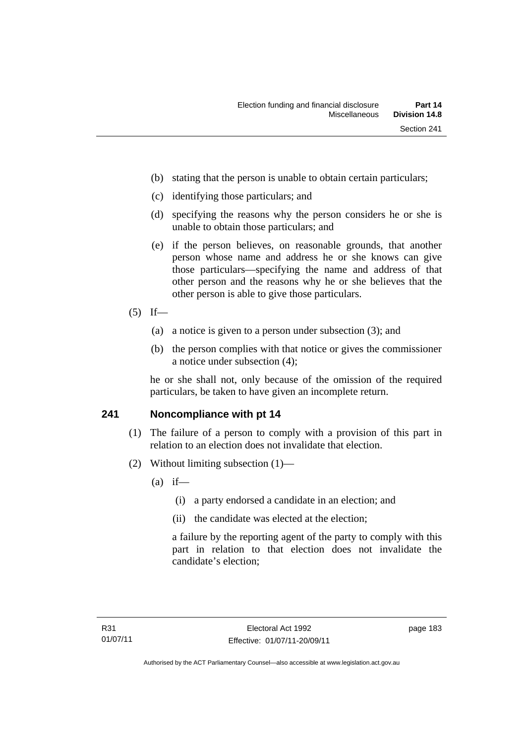- (b) stating that the person is unable to obtain certain particulars;
- (c) identifying those particulars; and
- (d) specifying the reasons why the person considers he or she is unable to obtain those particulars; and
- (e) if the person believes, on reasonable grounds, that another person whose name and address he or she knows can give those particulars—specifying the name and address of that other person and the reasons why he or she believes that the other person is able to give those particulars.
- $(5)$  If—
	- (a) a notice is given to a person under subsection (3); and
	- (b) the person complies with that notice or gives the commissioner a notice under subsection (4);

he or she shall not, only because of the omission of the required particulars, be taken to have given an incomplete return.

## **241 Noncompliance with pt 14**

- (1) The failure of a person to comply with a provision of this part in relation to an election does not invalidate that election.
- (2) Without limiting subsection (1)—
	- $(a)$  if—
		- (i) a party endorsed a candidate in an election; and
		- (ii) the candidate was elected at the election;

a failure by the reporting agent of the party to comply with this part in relation to that election does not invalidate the candidate's election;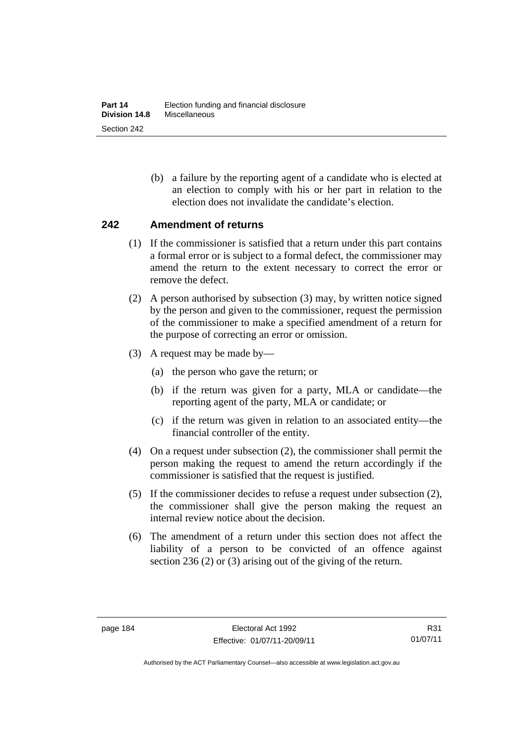(b) a failure by the reporting agent of a candidate who is elected at an election to comply with his or her part in relation to the election does not invalidate the candidate's election.

## **242 Amendment of returns**

- (1) If the commissioner is satisfied that a return under this part contains a formal error or is subject to a formal defect, the commissioner may amend the return to the extent necessary to correct the error or remove the defect.
- (2) A person authorised by subsection (3) may, by written notice signed by the person and given to the commissioner, request the permission of the commissioner to make a specified amendment of a return for the purpose of correcting an error or omission.
- (3) A request may be made by—
	- (a) the person who gave the return; or
	- (b) if the return was given for a party, MLA or candidate—the reporting agent of the party, MLA or candidate; or
	- (c) if the return was given in relation to an associated entity—the financial controller of the entity.
- (4) On a request under subsection (2), the commissioner shall permit the person making the request to amend the return accordingly if the commissioner is satisfied that the request is justified.
- (5) If the commissioner decides to refuse a request under subsection (2), the commissioner shall give the person making the request an internal review notice about the decision.
- (6) The amendment of a return under this section does not affect the liability of a person to be convicted of an offence against section 236 (2) or (3) arising out of the giving of the return.

R31 01/07/11

Authorised by the ACT Parliamentary Counsel—also accessible at www.legislation.act.gov.au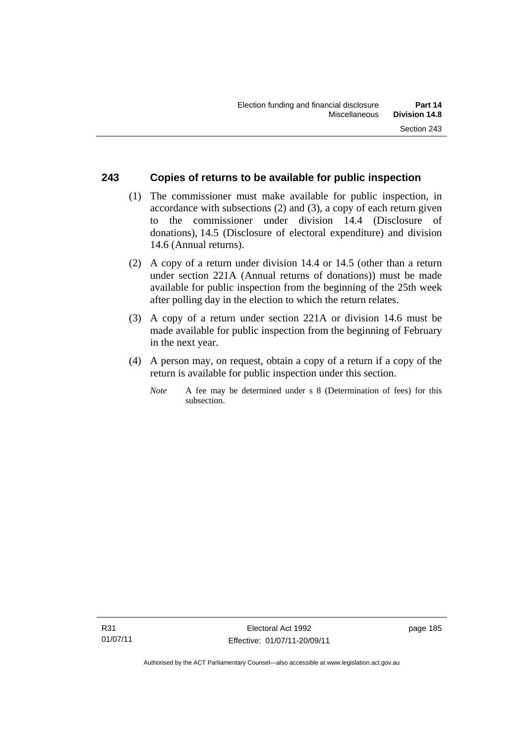## **243 Copies of returns to be available for public inspection**

- (1) The commissioner must make available for public inspection, in accordance with subsections (2) and (3), a copy of each return given to the commissioner under division 14.4 (Disclosure of donations), 14.5 (Disclosure of electoral expenditure) and division 14.6 (Annual returns).
- (2) A copy of a return under division 14.4 or 14.5 (other than a return under section 221A (Annual returns of donations)) must be made available for public inspection from the beginning of the 25th week after polling day in the election to which the return relates.
- (3) A copy of a return under section 221A or division 14.6 must be made available for public inspection from the beginning of February in the next year.
- (4) A person may, on request, obtain a copy of a return if a copy of the return is available for public inspection under this section.
	- *Note* A fee may be determined under s 8 (Determination of fees) for this subsection.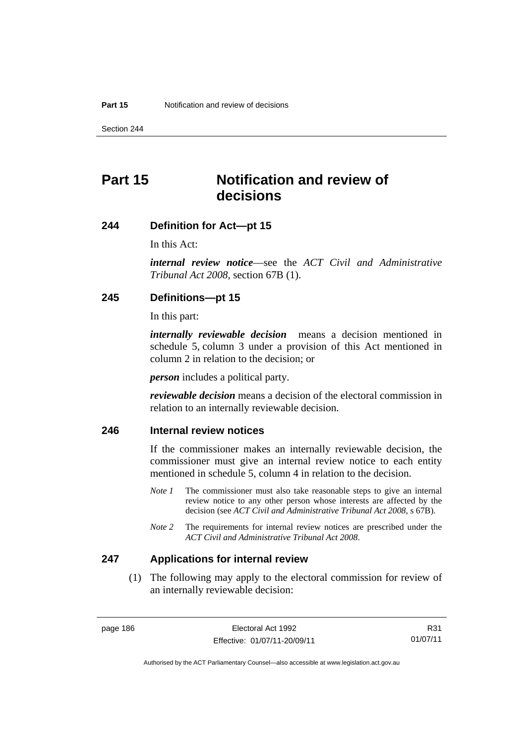Section 244

# **Part 15 Notification and review of decisions**

#### **244 Definition for Act—pt 15**

In this Act:

*internal review notice*—see the *ACT Civil and Administrative Tribunal Act 2008*, section 67B (1).

## **245 Definitions—pt 15**

In this part:

*internally reviewable decision* means a decision mentioned in schedule 5, column 3 under a provision of this Act mentioned in column 2 in relation to the decision; or

*person* includes a political party.

*reviewable decision* means a decision of the electoral commission in relation to an internally reviewable decision.

## **246 Internal review notices**

If the commissioner makes an internally reviewable decision, the commissioner must give an internal review notice to each entity mentioned in schedule 5, column 4 in relation to the decision.

- *Note 1* The commissioner must also take reasonable steps to give an internal review notice to any other person whose interests are affected by the decision (see *ACT Civil and Administrative Tribunal Act 2008*, s 67B).
- *Note* 2 The requirements for internal review notices are prescribed under the *ACT Civil and Administrative Tribunal Act 2008*.

#### **247 Applications for internal review**

 (1) The following may apply to the electoral commission for review of an internally reviewable decision:

Authorised by the ACT Parliamentary Counsel—also accessible at www.legislation.act.gov.au

R31 01/07/11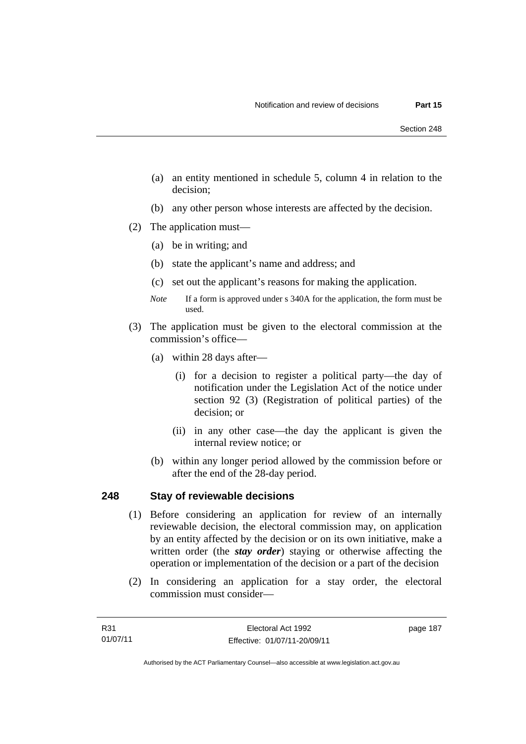- (a) an entity mentioned in schedule 5, column 4 in relation to the decision;
- (b) any other person whose interests are affected by the decision.
- (2) The application must—
	- (a) be in writing; and
	- (b) state the applicant's name and address; and
	- (c) set out the applicant's reasons for making the application.
	- *Note* If a form is approved under s 340A for the application, the form must be used.
- (3) The application must be given to the electoral commission at the commission's office—
	- (a) within 28 days after—
		- (i) for a decision to register a political party—the day of notification under the Legislation Act of the notice under section 92 (3) (Registration of political parties) of the decision; or
		- (ii) in any other case—the day the applicant is given the internal review notice; or
	- (b) within any longer period allowed by the commission before or after the end of the 28-day period.

## **248 Stay of reviewable decisions**

- (1) Before considering an application for review of an internally reviewable decision, the electoral commission may, on application by an entity affected by the decision or on its own initiative, make a written order (the *stay order*) staying or otherwise affecting the operation or implementation of the decision or a part of the decision
- (2) In considering an application for a stay order, the electoral commission must consider—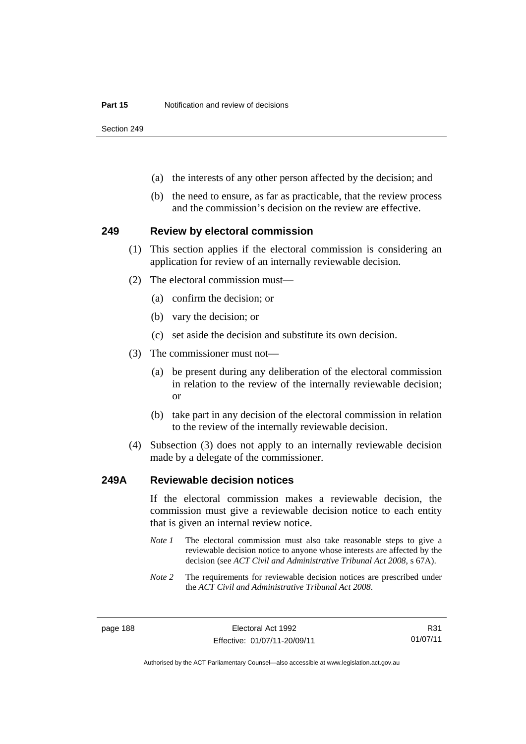Section 249

- (a) the interests of any other person affected by the decision; and
- (b) the need to ensure, as far as practicable, that the review process and the commission's decision on the review are effective.

#### **249 Review by electoral commission**

- (1) This section applies if the electoral commission is considering an application for review of an internally reviewable decision.
- (2) The electoral commission must—
	- (a) confirm the decision; or
	- (b) vary the decision; or
	- (c) set aside the decision and substitute its own decision.
- (3) The commissioner must not—
	- (a) be present during any deliberation of the electoral commission in relation to the review of the internally reviewable decision; or
	- (b) take part in any decision of the electoral commission in relation to the review of the internally reviewable decision.
- (4) Subsection (3) does not apply to an internally reviewable decision made by a delegate of the commissioner.

#### **249A Reviewable decision notices**

If the electoral commission makes a reviewable decision, the commission must give a reviewable decision notice to each entity that is given an internal review notice.

- *Note 1* The electoral commission must also take reasonable steps to give a reviewable decision notice to anyone whose interests are affected by the decision (see *ACT Civil and Administrative Tribunal Act 2008*, s 67A).
- *Note 2* The requirements for reviewable decision notices are prescribed under the *ACT Civil and Administrative Tribunal Act 2008*.

Authorised by the ACT Parliamentary Counsel—also accessible at www.legislation.act.gov.au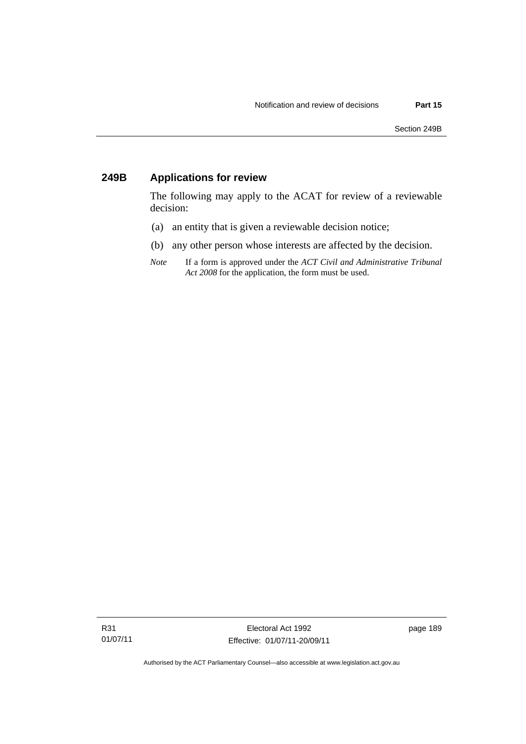# **249B Applications for review**

The following may apply to the ACAT for review of a reviewable decision:

- (a) an entity that is given a reviewable decision notice;
- (b) any other person whose interests are affected by the decision.
- *Note* If a form is approved under the *ACT Civil and Administrative Tribunal Act 2008* for the application, the form must be used.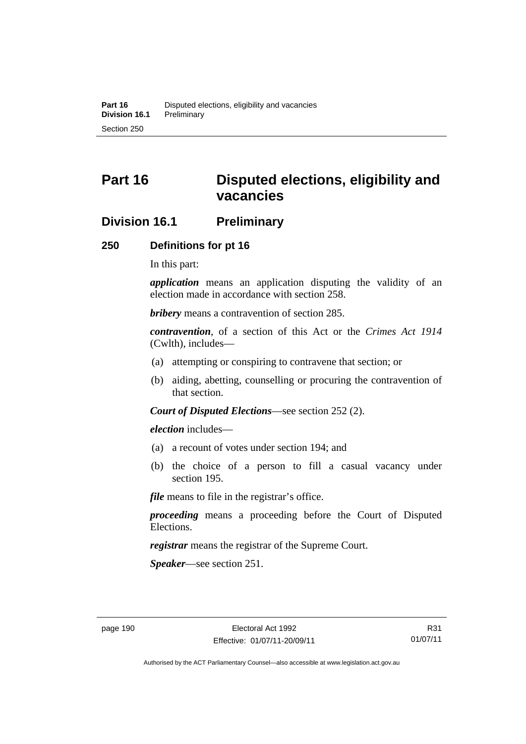# **Part 16 Disputed elections, eligibility and vacancies**

## **Division 16.1 Preliminary**

#### **250 Definitions for pt 16**

In this part:

*application* means an application disputing the validity of an election made in accordance with section 258.

*bribery* means a contravention of section 285.

*contravention*, of a section of this Act or the *Crimes Act 1914* (Cwlth), includes—

- (a) attempting or conspiring to contravene that section; or
- (b) aiding, abetting, counselling or procuring the contravention of that section.

*Court of Disputed Elections*—see section 252 (2).

*election* includes—

- (a) a recount of votes under section 194; and
- (b) the choice of a person to fill a casual vacancy under section 195.

*file* means to file in the registrar's office.

*proceeding* means a proceeding before the Court of Disputed Elections.

*registrar* means the registrar of the Supreme Court.

*Speaker*—see section 251.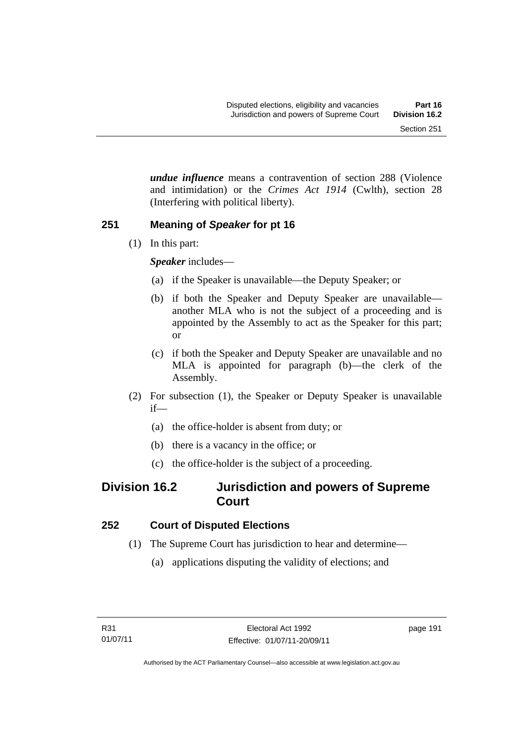*undue influence* means a contravention of section 288 (Violence and intimidation) or the *Crimes Act 1914* (Cwlth), section 28 (Interfering with political liberty).

## **251 Meaning of** *Speaker* **for pt 16**

(1) In this part:

*Speaker* includes—

- (a) if the Speaker is unavailable—the Deputy Speaker; or
- (b) if both the Speaker and Deputy Speaker are unavailable another MLA who is not the subject of a proceeding and is appointed by the Assembly to act as the Speaker for this part; or
- (c) if both the Speaker and Deputy Speaker are unavailable and no MLA is appointed for paragraph (b)—the clerk of the Assembly.
- (2) For subsection (1), the Speaker or Deputy Speaker is unavailable if—
	- (a) the office-holder is absent from duty; or
	- (b) there is a vacancy in the office; or
	- (c) the office-holder is the subject of a proceeding.

# **Division 16.2 Jurisdiction and powers of Supreme Court**

## **252 Court of Disputed Elections**

- (1) The Supreme Court has jurisdiction to hear and determine—
	- (a) applications disputing the validity of elections; and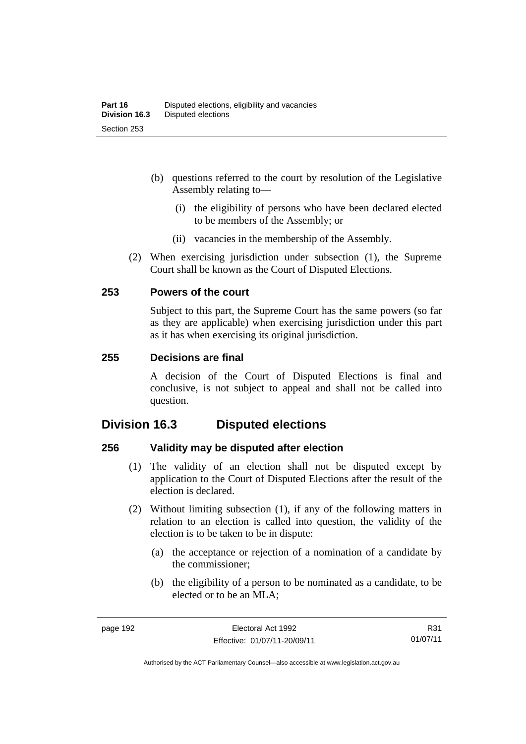- (b) questions referred to the court by resolution of the Legislative Assembly relating to—
	- (i) the eligibility of persons who have been declared elected to be members of the Assembly; or
	- (ii) vacancies in the membership of the Assembly.
- (2) When exercising jurisdiction under subsection (1), the Supreme Court shall be known as the Court of Disputed Elections.

## **253 Powers of the court**

Subject to this part, the Supreme Court has the same powers (so far as they are applicable) when exercising jurisdiction under this part as it has when exercising its original jurisdiction.

#### **255 Decisions are final**

A decision of the Court of Disputed Elections is final and conclusive, is not subject to appeal and shall not be called into question.

# **Division 16.3 Disputed elections**

## **256 Validity may be disputed after election**

- (1) The validity of an election shall not be disputed except by application to the Court of Disputed Elections after the result of the election is declared.
- (2) Without limiting subsection (1), if any of the following matters in relation to an election is called into question, the validity of the election is to be taken to be in dispute:
	- (a) the acceptance or rejection of a nomination of a candidate by the commissioner;
	- (b) the eligibility of a person to be nominated as a candidate, to be elected or to be an MLA;

R31 01/07/11

Authorised by the ACT Parliamentary Counsel—also accessible at www.legislation.act.gov.au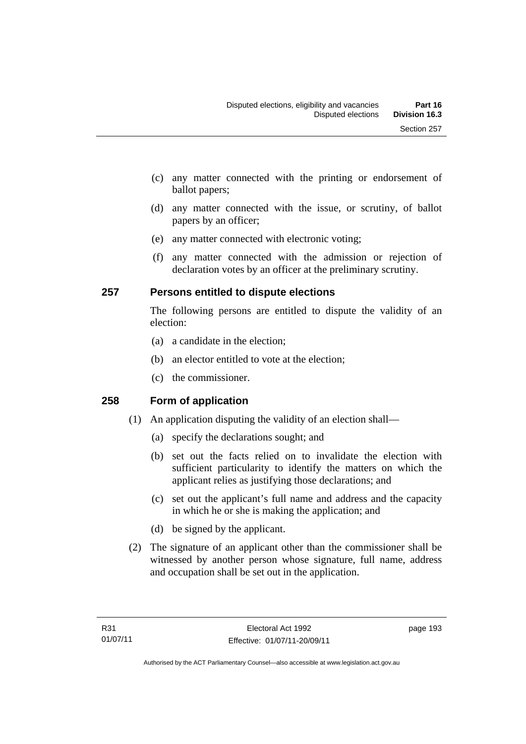- (c) any matter connected with the printing or endorsement of ballot papers;
- (d) any matter connected with the issue, or scrutiny, of ballot papers by an officer;
- (e) any matter connected with electronic voting;
- (f) any matter connected with the admission or rejection of declaration votes by an officer at the preliminary scrutiny.

## **257 Persons entitled to dispute elections**

The following persons are entitled to dispute the validity of an election:

- (a) a candidate in the election;
- (b) an elector entitled to vote at the election;
- (c) the commissioner.

## **258 Form of application**

- (1) An application disputing the validity of an election shall—
	- (a) specify the declarations sought; and
	- (b) set out the facts relied on to invalidate the election with sufficient particularity to identify the matters on which the applicant relies as justifying those declarations; and
	- (c) set out the applicant's full name and address and the capacity in which he or she is making the application; and
	- (d) be signed by the applicant.
- (2) The signature of an applicant other than the commissioner shall be witnessed by another person whose signature, full name, address and occupation shall be set out in the application.

page 193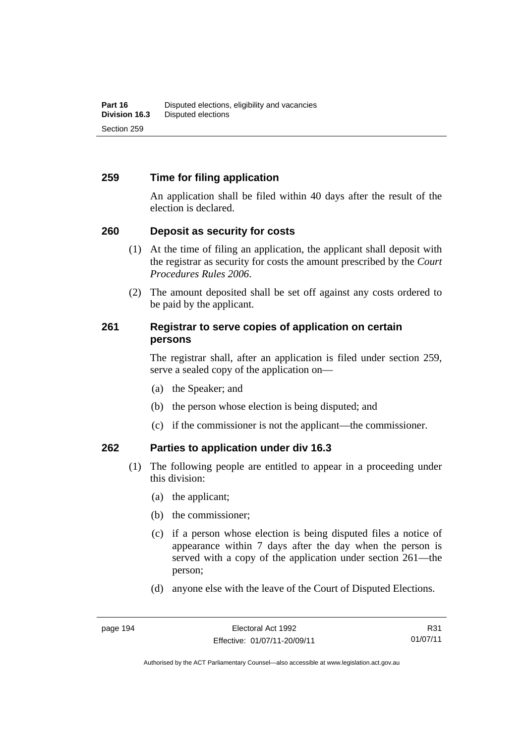## **259 Time for filing application**

An application shall be filed within 40 days after the result of the election is declared.

## **260 Deposit as security for costs**

- (1) At the time of filing an application, the applicant shall deposit with the registrar as security for costs the amount prescribed by the *Court Procedures Rules 2006*.
- (2) The amount deposited shall be set off against any costs ordered to be paid by the applicant.

## **261 Registrar to serve copies of application on certain persons**

The registrar shall, after an application is filed under section 259, serve a sealed copy of the application on—

- (a) the Speaker; and
- (b) the person whose election is being disputed; and
- (c) if the commissioner is not the applicant—the commissioner.

## **262 Parties to application under div 16.3**

- (1) The following people are entitled to appear in a proceeding under this division:
	- (a) the applicant;
	- (b) the commissioner;
	- (c) if a person whose election is being disputed files a notice of appearance within 7 days after the day when the person is served with a copy of the application under section 261—the person;
	- (d) anyone else with the leave of the Court of Disputed Elections.

R31 01/07/11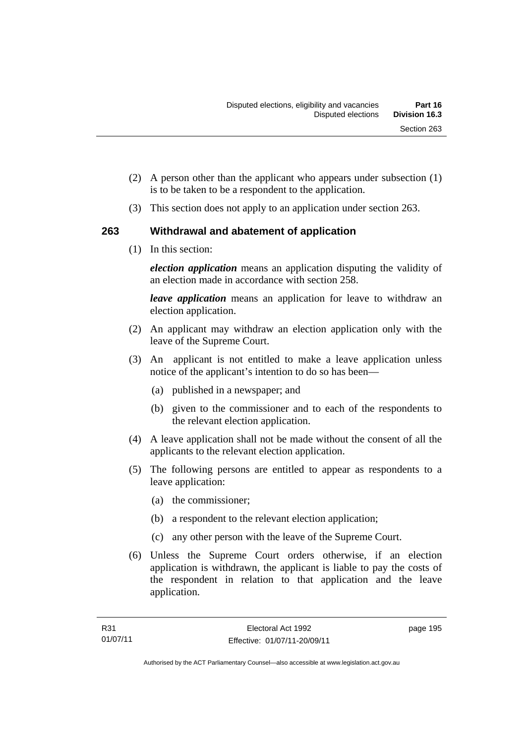- (2) A person other than the applicant who appears under subsection (1) is to be taken to be a respondent to the application.
- (3) This section does not apply to an application under section 263.

## **263 Withdrawal and abatement of application**

(1) In this section:

*election application* means an application disputing the validity of an election made in accordance with section 258.

*leave application* means an application for leave to withdraw an election application.

- (2) An applicant may withdraw an election application only with the leave of the Supreme Court.
- (3) An applicant is not entitled to make a leave application unless notice of the applicant's intention to do so has been—
	- (a) published in a newspaper; and
	- (b) given to the commissioner and to each of the respondents to the relevant election application.
- (4) A leave application shall not be made without the consent of all the applicants to the relevant election application.
- (5) The following persons are entitled to appear as respondents to a leave application:
	- (a) the commissioner;
	- (b) a respondent to the relevant election application;
	- (c) any other person with the leave of the Supreme Court.
- (6) Unless the Supreme Court orders otherwise, if an election application is withdrawn, the applicant is liable to pay the costs of the respondent in relation to that application and the leave application.

page 195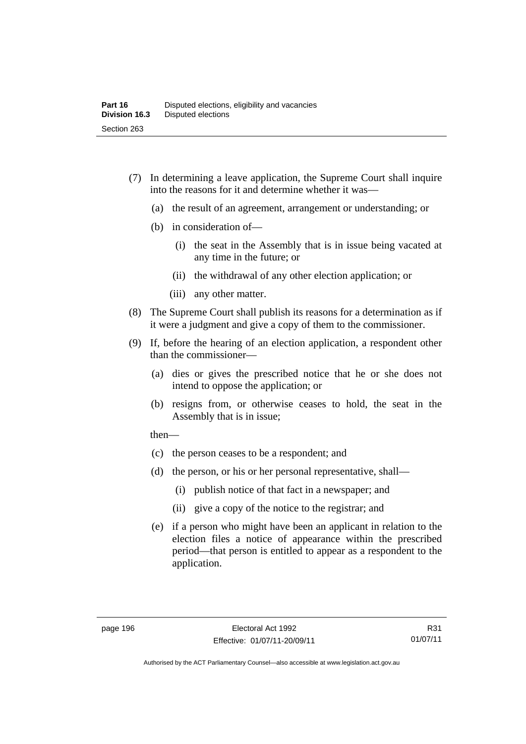- (7) In determining a leave application, the Supreme Court shall inquire into the reasons for it and determine whether it was—
	- (a) the result of an agreement, arrangement or understanding; or
	- (b) in consideration of—
		- (i) the seat in the Assembly that is in issue being vacated at any time in the future; or
		- (ii) the withdrawal of any other election application; or
		- (iii) any other matter.
- (8) The Supreme Court shall publish its reasons for a determination as if it were a judgment and give a copy of them to the commissioner.
- (9) If, before the hearing of an election application, a respondent other than the commissioner—
	- (a) dies or gives the prescribed notice that he or she does not intend to oppose the application; or
	- (b) resigns from, or otherwise ceases to hold, the seat in the Assembly that is in issue;

then—

- (c) the person ceases to be a respondent; and
- (d) the person, or his or her personal representative, shall—
	- (i) publish notice of that fact in a newspaper; and
	- (ii) give a copy of the notice to the registrar; and
- (e) if a person who might have been an applicant in relation to the election files a notice of appearance within the prescribed period—that person is entitled to appear as a respondent to the application.

Authorised by the ACT Parliamentary Counsel—also accessible at www.legislation.act.gov.au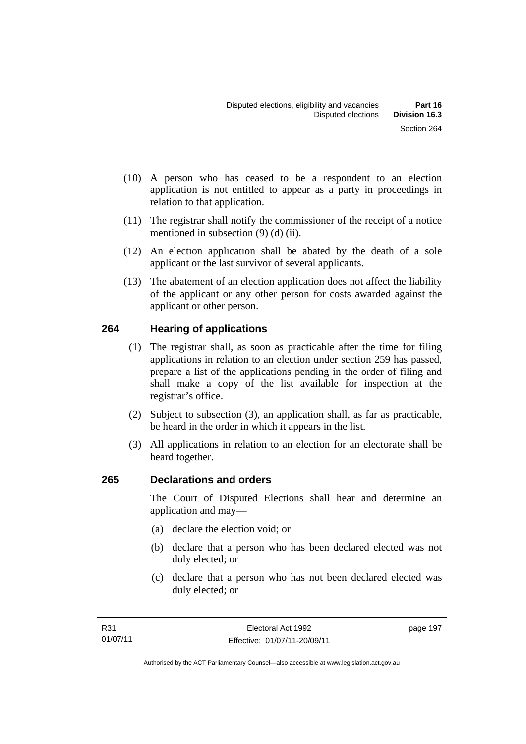- (10) A person who has ceased to be a respondent to an election application is not entitled to appear as a party in proceedings in relation to that application.
- (11) The registrar shall notify the commissioner of the receipt of a notice mentioned in subsection (9) (d) (ii).
- (12) An election application shall be abated by the death of a sole applicant or the last survivor of several applicants.
- (13) The abatement of an election application does not affect the liability of the applicant or any other person for costs awarded against the applicant or other person.

# **264 Hearing of applications**

- (1) The registrar shall, as soon as practicable after the time for filing applications in relation to an election under section 259 has passed, prepare a list of the applications pending in the order of filing and shall make a copy of the list available for inspection at the registrar's office.
- (2) Subject to subsection (3), an application shall, as far as practicable, be heard in the order in which it appears in the list.
- (3) All applications in relation to an election for an electorate shall be heard together.

# **265 Declarations and orders**

The Court of Disputed Elections shall hear and determine an application and may—

- (a) declare the election void; or
- (b) declare that a person who has been declared elected was not duly elected; or
- (c) declare that a person who has not been declared elected was duly elected; or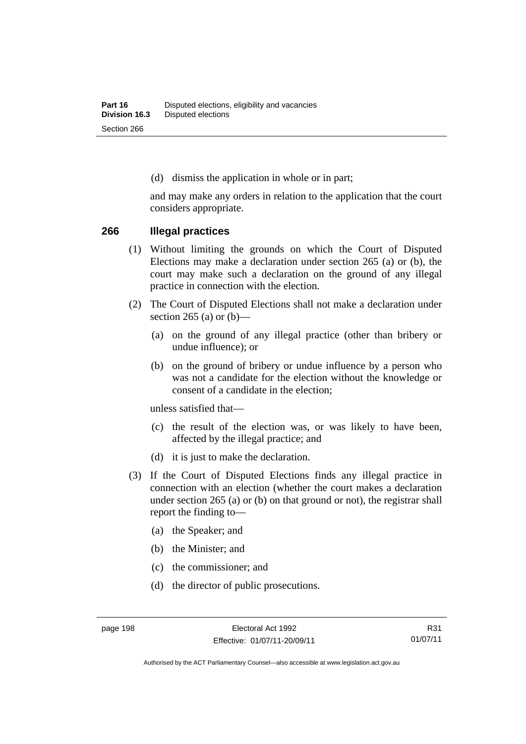(d) dismiss the application in whole or in part;

and may make any orders in relation to the application that the court considers appropriate.

#### **266 Illegal practices**

- (1) Without limiting the grounds on which the Court of Disputed Elections may make a declaration under section 265 (a) or (b), the court may make such a declaration on the ground of any illegal practice in connection with the election.
- (2) The Court of Disputed Elections shall not make a declaration under section 265 (a) or  $(b)$ —
	- (a) on the ground of any illegal practice (other than bribery or undue influence); or
	- (b) on the ground of bribery or undue influence by a person who was not a candidate for the election without the knowledge or consent of a candidate in the election;

unless satisfied that—

- (c) the result of the election was, or was likely to have been, affected by the illegal practice; and
- (d) it is just to make the declaration.
- (3) If the Court of Disputed Elections finds any illegal practice in connection with an election (whether the court makes a declaration under section 265 (a) or (b) on that ground or not), the registrar shall report the finding to—
	- (a) the Speaker; and
	- (b) the Minister; and
	- (c) the commissioner; and
	- (d) the director of public prosecutions.

R31 01/07/11

Authorised by the ACT Parliamentary Counsel—also accessible at www.legislation.act.gov.au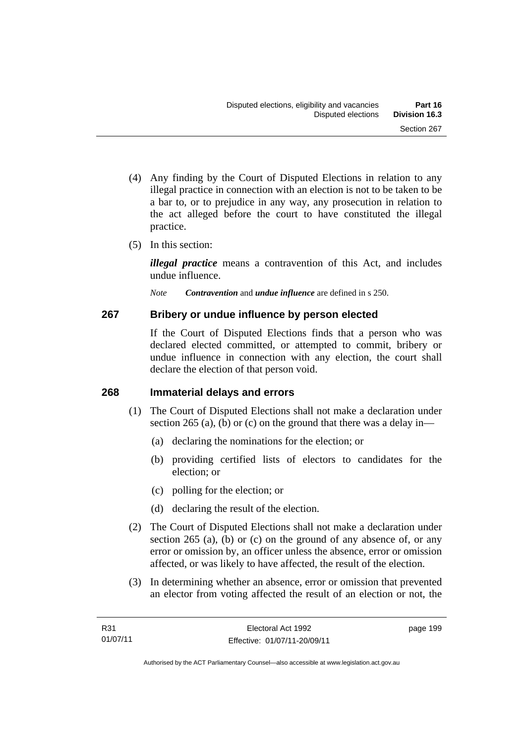- (4) Any finding by the Court of Disputed Elections in relation to any illegal practice in connection with an election is not to be taken to be a bar to, or to prejudice in any way, any prosecution in relation to the act alleged before the court to have constituted the illegal practice.
- (5) In this section:

*illegal practice* means a contravention of this Act, and includes undue influence.

*Note Contravention* and *undue influence* are defined in s 250.

### **267 Bribery or undue influence by person elected**

If the Court of Disputed Elections finds that a person who was declared elected committed, or attempted to commit, bribery or undue influence in connection with any election, the court shall declare the election of that person void.

### **268 Immaterial delays and errors**

- (1) The Court of Disputed Elections shall not make a declaration under section 265 (a), (b) or (c) on the ground that there was a delay in—
	- (a) declaring the nominations for the election; or
	- (b) providing certified lists of electors to candidates for the election; or
	- (c) polling for the election; or
	- (d) declaring the result of the election.
- (2) The Court of Disputed Elections shall not make a declaration under section 265 (a), (b) or (c) on the ground of any absence of, or any error or omission by, an officer unless the absence, error or omission affected, or was likely to have affected, the result of the election.
- (3) In determining whether an absence, error or omission that prevented an elector from voting affected the result of an election or not, the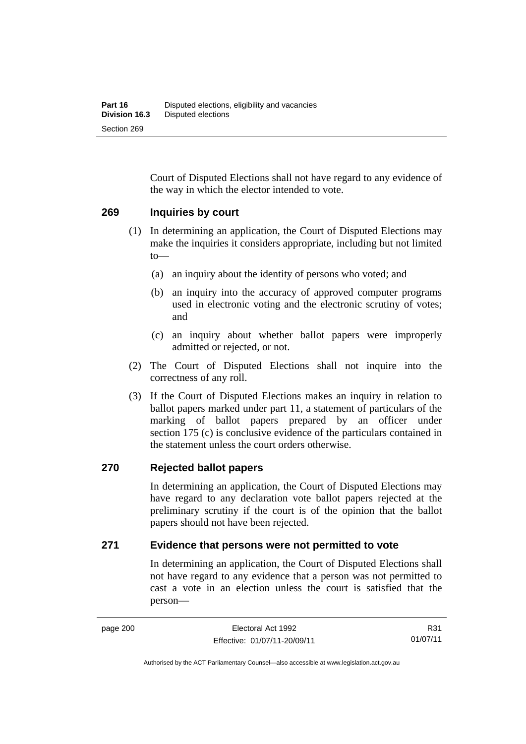Court of Disputed Elections shall not have regard to any evidence of the way in which the elector intended to vote.

#### **269 Inquiries by court**

- (1) In determining an application, the Court of Disputed Elections may make the inquiries it considers appropriate, including but not limited to—
	- (a) an inquiry about the identity of persons who voted; and
	- (b) an inquiry into the accuracy of approved computer programs used in electronic voting and the electronic scrutiny of votes; and
	- (c) an inquiry about whether ballot papers were improperly admitted or rejected, or not.
- (2) The Court of Disputed Elections shall not inquire into the correctness of any roll.
- (3) If the Court of Disputed Elections makes an inquiry in relation to ballot papers marked under part 11, a statement of particulars of the marking of ballot papers prepared by an officer under section 175 (c) is conclusive evidence of the particulars contained in the statement unless the court orders otherwise.

#### **270 Rejected ballot papers**

In determining an application, the Court of Disputed Elections may have regard to any declaration vote ballot papers rejected at the preliminary scrutiny if the court is of the opinion that the ballot papers should not have been rejected.

#### **271 Evidence that persons were not permitted to vote**

In determining an application, the Court of Disputed Elections shall not have regard to any evidence that a person was not permitted to cast a vote in an election unless the court is satisfied that the person—

R31 01/07/11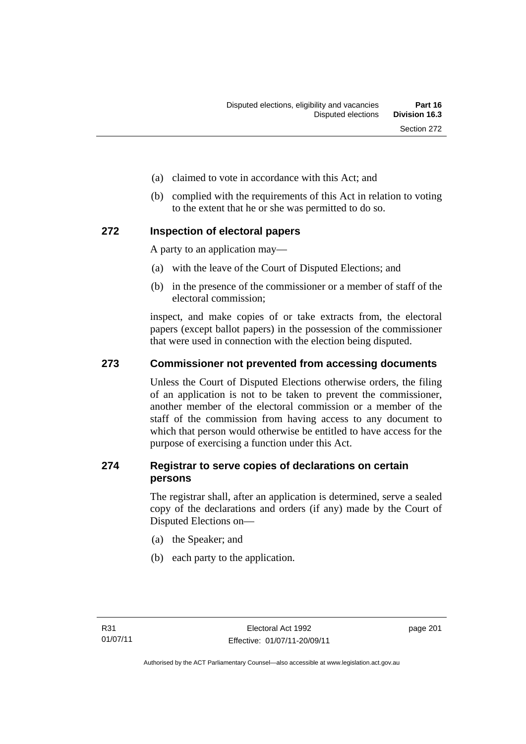- (a) claimed to vote in accordance with this Act; and
- (b) complied with the requirements of this Act in relation to voting to the extent that he or she was permitted to do so.

### **272 Inspection of electoral papers**

A party to an application may—

- (a) with the leave of the Court of Disputed Elections; and
- (b) in the presence of the commissioner or a member of staff of the electoral commission;

inspect, and make copies of or take extracts from, the electoral papers (except ballot papers) in the possession of the commissioner that were used in connection with the election being disputed.

### **273 Commissioner not prevented from accessing documents**

Unless the Court of Disputed Elections otherwise orders, the filing of an application is not to be taken to prevent the commissioner, another member of the electoral commission or a member of the staff of the commission from having access to any document to which that person would otherwise be entitled to have access for the purpose of exercising a function under this Act.

### **274 Registrar to serve copies of declarations on certain persons**

The registrar shall, after an application is determined, serve a sealed copy of the declarations and orders (if any) made by the Court of Disputed Elections on—

- (a) the Speaker; and
- (b) each party to the application.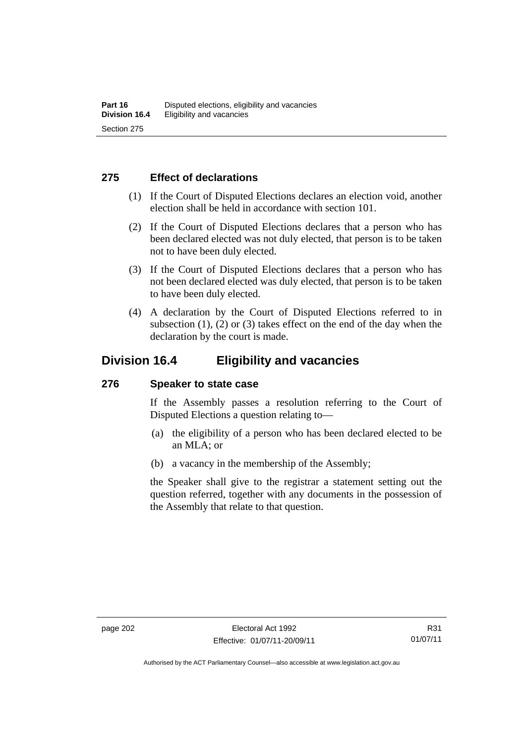### **275 Effect of declarations**

- (1) If the Court of Disputed Elections declares an election void, another election shall be held in accordance with section 101.
- (2) If the Court of Disputed Elections declares that a person who has been declared elected was not duly elected, that person is to be taken not to have been duly elected.
- (3) If the Court of Disputed Elections declares that a person who has not been declared elected was duly elected, that person is to be taken to have been duly elected.
- (4) A declaration by the Court of Disputed Elections referred to in subsection  $(1)$ ,  $(2)$  or  $(3)$  takes effect on the end of the day when the declaration by the court is made.

### **Division 16.4 Eligibility and vacancies**

#### **276 Speaker to state case**

If the Assembly passes a resolution referring to the Court of Disputed Elections a question relating to—

- (a) the eligibility of a person who has been declared elected to be an MLA; or
- (b) a vacancy in the membership of the Assembly;

the Speaker shall give to the registrar a statement setting out the question referred, together with any documents in the possession of the Assembly that relate to that question.

Authorised by the ACT Parliamentary Counsel—also accessible at www.legislation.act.gov.au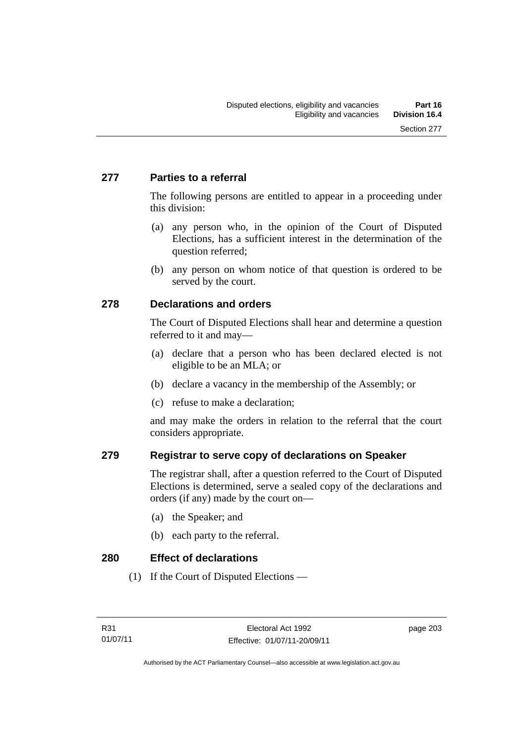### **277 Parties to a referral**

The following persons are entitled to appear in a proceeding under this division:

- (a) any person who, in the opinion of the Court of Disputed Elections, has a sufficient interest in the determination of the question referred;
- (b) any person on whom notice of that question is ordered to be served by the court.

### **278 Declarations and orders**

The Court of Disputed Elections shall hear and determine a question referred to it and may—

- (a) declare that a person who has been declared elected is not eligible to be an MLA; or
- (b) declare a vacancy in the membership of the Assembly; or
- (c) refuse to make a declaration;

and may make the orders in relation to the referral that the court considers appropriate.

### **279 Registrar to serve copy of declarations on Speaker**

The registrar shall, after a question referred to the Court of Disputed Elections is determined, serve a sealed copy of the declarations and orders (if any) made by the court on—

- (a) the Speaker; and
- (b) each party to the referral.

**280 Effect of declarations** 

(1) If the Court of Disputed Elections —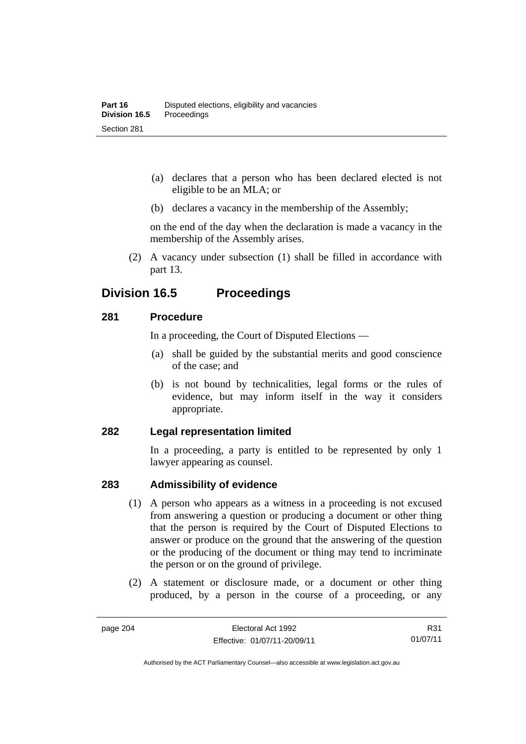- (a) declares that a person who has been declared elected is not eligible to be an MLA; or
- (b) declares a vacancy in the membership of the Assembly;

on the end of the day when the declaration is made a vacancy in the membership of the Assembly arises.

 (2) A vacancy under subsection (1) shall be filled in accordance with part 13.

## **Division 16.5 Proceedings**

### **281 Procedure**

In a proceeding, the Court of Disputed Elections —

- (a) shall be guided by the substantial merits and good conscience of the case; and
- (b) is not bound by technicalities, legal forms or the rules of evidence, but may inform itself in the way it considers appropriate.

#### **282 Legal representation limited**

In a proceeding, a party is entitled to be represented by only 1 lawyer appearing as counsel.

### **283 Admissibility of evidence**

- (1) A person who appears as a witness in a proceeding is not excused from answering a question or producing a document or other thing that the person is required by the Court of Disputed Elections to answer or produce on the ground that the answering of the question or the producing of the document or thing may tend to incriminate the person or on the ground of privilege.
- (2) A statement or disclosure made, or a document or other thing produced, by a person in the course of a proceeding, or any

R31 01/07/11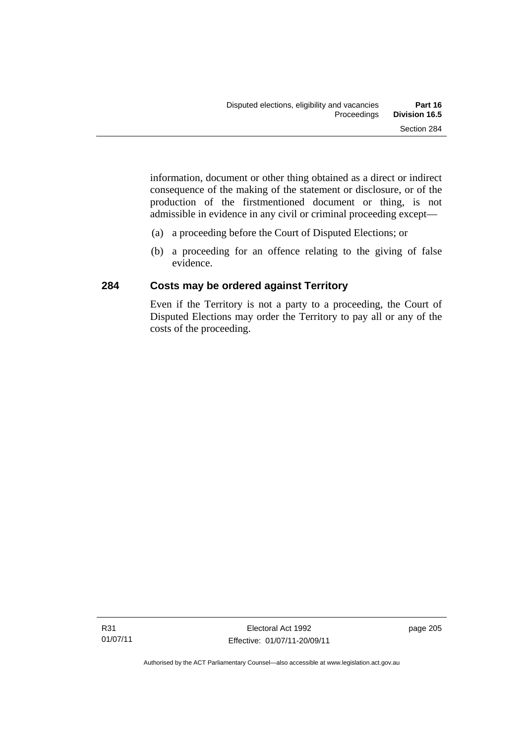information, document or other thing obtained as a direct or indirect consequence of the making of the statement or disclosure, or of the production of the firstmentioned document or thing, is not admissible in evidence in any civil or criminal proceeding except—

- (a) a proceeding before the Court of Disputed Elections; or
- (b) a proceeding for an offence relating to the giving of false evidence.

### **284 Costs may be ordered against Territory**

Even if the Territory is not a party to a proceeding, the Court of Disputed Elections may order the Territory to pay all or any of the costs of the proceeding.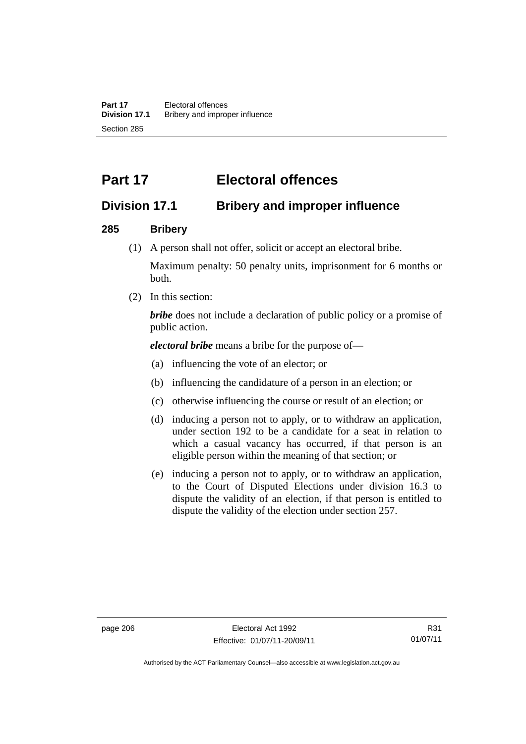# **Part 17 Electoral offences**

## **Division 17.1 Bribery and improper influence**

### **285 Bribery**

(1) A person shall not offer, solicit or accept an electoral bribe.

Maximum penalty: 50 penalty units, imprisonment for 6 months or both.

(2) In this section:

*bribe* does not include a declaration of public policy or a promise of public action.

*electoral bribe* means a bribe for the purpose of—

- (a) influencing the vote of an elector; or
- (b) influencing the candidature of a person in an election; or
- (c) otherwise influencing the course or result of an election; or
- (d) inducing a person not to apply, or to withdraw an application, under section 192 to be a candidate for a seat in relation to which a casual vacancy has occurred, if that person is an eligible person within the meaning of that section; or
- (e) inducing a person not to apply, or to withdraw an application, to the Court of Disputed Elections under division 16.3 to dispute the validity of an election, if that person is entitled to dispute the validity of the election under section 257.

Authorised by the ACT Parliamentary Counsel—also accessible at www.legislation.act.gov.au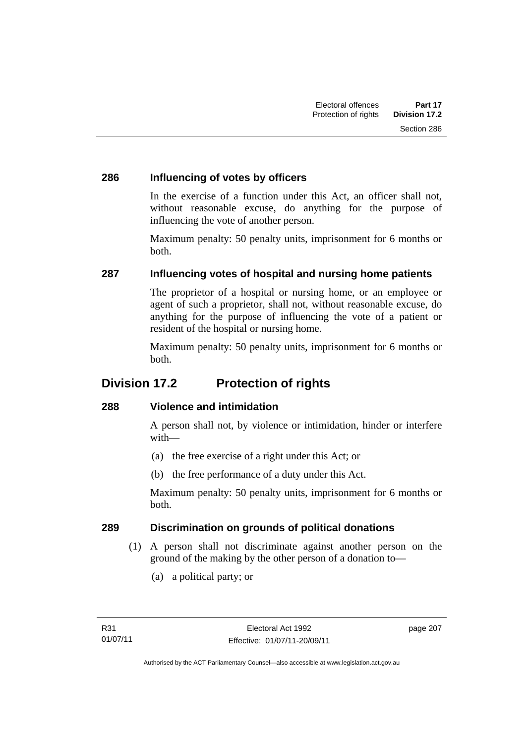### **286 Influencing of votes by officers**

In the exercise of a function under this Act, an officer shall not, without reasonable excuse, do anything for the purpose of influencing the vote of another person.

Maximum penalty: 50 penalty units, imprisonment for 6 months or both.

### **287 Influencing votes of hospital and nursing home patients**

The proprietor of a hospital or nursing home, or an employee or agent of such a proprietor, shall not, without reasonable excuse, do anything for the purpose of influencing the vote of a patient or resident of the hospital or nursing home.

Maximum penalty: 50 penalty units, imprisonment for 6 months or both.

## **Division 17.2 Protection of rights**

### **288 Violence and intimidation**

A person shall not, by violence or intimidation, hinder or interfere with—

- (a) the free exercise of a right under this Act; or
- (b) the free performance of a duty under this Act.

Maximum penalty: 50 penalty units, imprisonment for 6 months or both.

### **289 Discrimination on grounds of political donations**

- (1) A person shall not discriminate against another person on the ground of the making by the other person of a donation to—
	- (a) a political party; or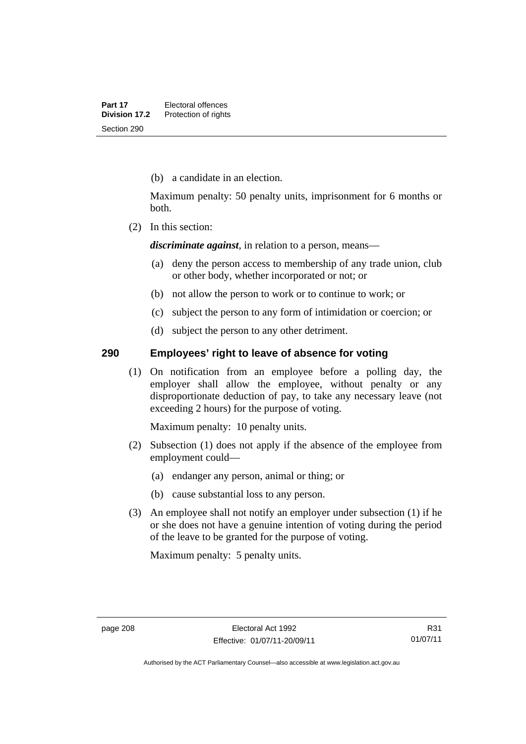(b) a candidate in an election.

Maximum penalty: 50 penalty units, imprisonment for 6 months or both.

(2) In this section:

*discriminate against*, in relation to a person, means—

- (a) deny the person access to membership of any trade union, club or other body, whether incorporated or not; or
- (b) not allow the person to work or to continue to work; or
- (c) subject the person to any form of intimidation or coercion; or
- (d) subject the person to any other detriment.

#### **290 Employees' right to leave of absence for voting**

(1) On notification from an employee before a polling day, the employer shall allow the employee, without penalty or any disproportionate deduction of pay, to take any necessary leave (not exceeding 2 hours) for the purpose of voting.

Maximum penalty: 10 penalty units.

- (2) Subsection (1) does not apply if the absence of the employee from employment could—
	- (a) endanger any person, animal or thing; or
	- (b) cause substantial loss to any person.
- (3) An employee shall not notify an employer under subsection (1) if he or she does not have a genuine intention of voting during the period of the leave to be granted for the purpose of voting.

Maximum penalty: 5 penalty units.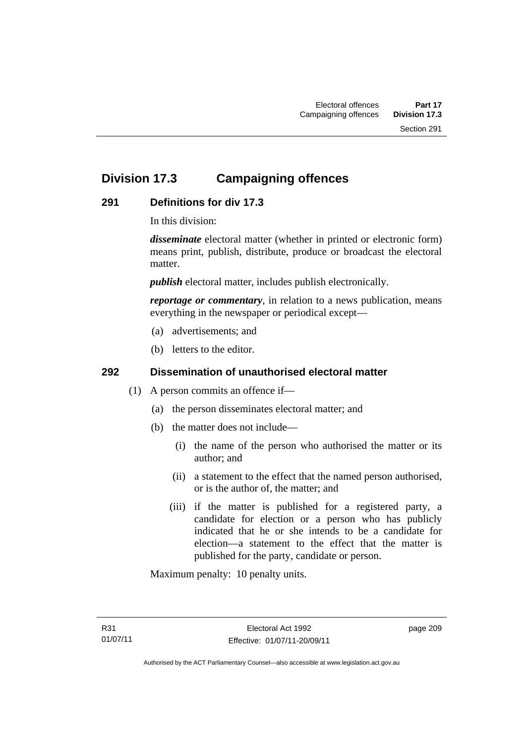## **Division 17.3 Campaigning offences**

### **291 Definitions for div 17.3**

In this division:

*disseminate* electoral matter (whether in printed or electronic form) means print, publish, distribute, produce or broadcast the electoral matter.

*publish* electoral matter, includes publish electronically.

*reportage or commentary*, in relation to a news publication, means everything in the newspaper or periodical except—

- (a) advertisements; and
- (b) letters to the editor.

### **292 Dissemination of unauthorised electoral matter**

- (1) A person commits an offence if—
	- (a) the person disseminates electoral matter; and
	- (b) the matter does not include—
		- (i) the name of the person who authorised the matter or its author; and
		- (ii) a statement to the effect that the named person authorised, or is the author of, the matter; and
		- (iii) if the matter is published for a registered party, a candidate for election or a person who has publicly indicated that he or she intends to be a candidate for election—a statement to the effect that the matter is published for the party, candidate or person.

Maximum penalty: 10 penalty units.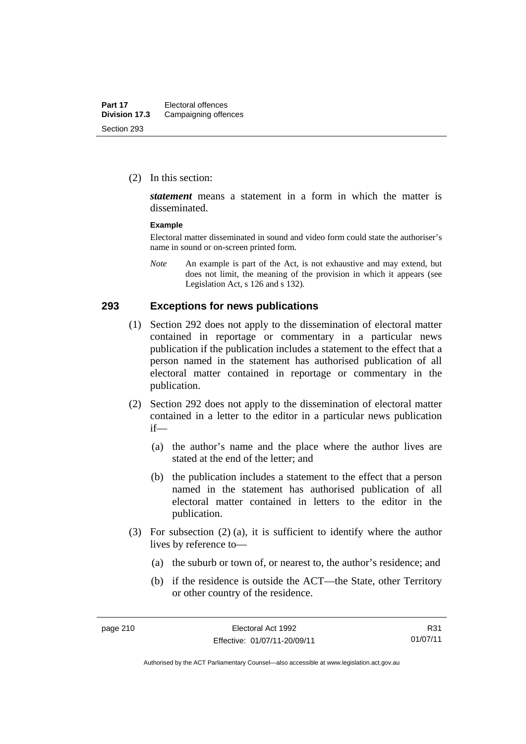(2) In this section:

*statement* means a statement in a form in which the matter is disseminated.

#### **Example**

Electoral matter disseminated in sound and video form could state the authoriser's name in sound or on-screen printed form.

*Note* An example is part of the Act, is not exhaustive and may extend, but does not limit, the meaning of the provision in which it appears (see Legislation Act, s 126 and s 132).

#### **293 Exceptions for news publications**

- (1) Section 292 does not apply to the dissemination of electoral matter contained in reportage or commentary in a particular news publication if the publication includes a statement to the effect that a person named in the statement has authorised publication of all electoral matter contained in reportage or commentary in the publication.
- (2) Section 292 does not apply to the dissemination of electoral matter contained in a letter to the editor in a particular news publication if—
	- (a) the author's name and the place where the author lives are stated at the end of the letter; and
	- (b) the publication includes a statement to the effect that a person named in the statement has authorised publication of all electoral matter contained in letters to the editor in the publication.
- (3) For subsection (2) (a), it is sufficient to identify where the author lives by reference to—
	- (a) the suburb or town of, or nearest to, the author's residence; and
	- (b) if the residence is outside the ACT—the State, other Territory or other country of the residence.

R31 01/07/11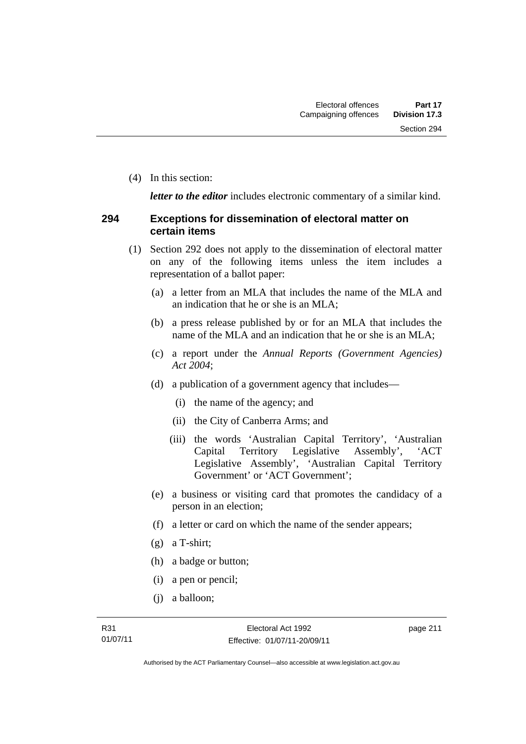(4) In this section:

*letter to the editor* includes electronic commentary of a similar kind.

#### **294 Exceptions for dissemination of electoral matter on certain items**

- (1) Section 292 does not apply to the dissemination of electoral matter on any of the following items unless the item includes a representation of a ballot paper:
	- (a) a letter from an MLA that includes the name of the MLA and an indication that he or she is an MLA;
	- (b) a press release published by or for an MLA that includes the name of the MLA and an indication that he or she is an MLA;
	- (c) a report under the *Annual Reports (Government Agencies) Act 2004*;
	- (d) a publication of a government agency that includes—
		- (i) the name of the agency; and
		- (ii) the City of Canberra Arms; and
		- (iii) the words 'Australian Capital Territory', 'Australian Capital Territory Legislative Assembly', 'ACT Legislative Assembly', 'Australian Capital Territory Government' or 'ACT Government';
	- (e) a business or visiting card that promotes the candidacy of a person in an election;
	- (f) a letter or card on which the name of the sender appears;
	- (g) a T-shirt;
	- (h) a badge or button;
	- (i) a pen or pencil;
	- (j) a balloon;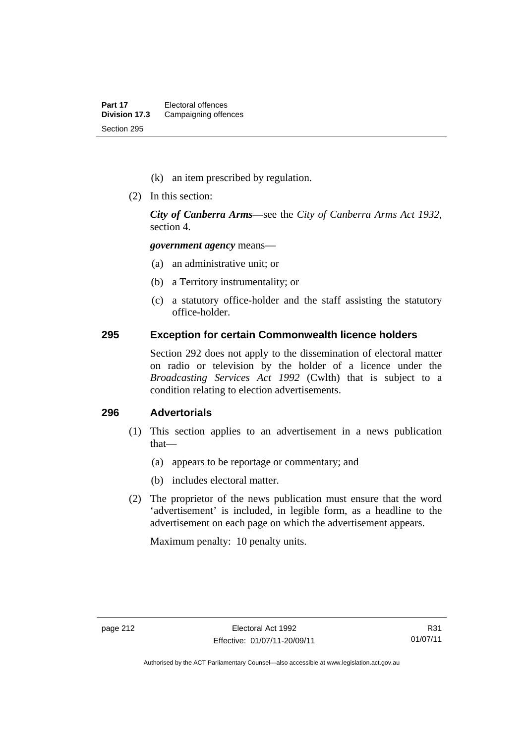- (k) an item prescribed by regulation.
- (2) In this section:

*City of Canberra Arms*—see the *City of Canberra Arms Act 1932*, section 4.

*government agency* means—

- (a) an administrative unit; or
- (b) a Territory instrumentality; or
- (c) a statutory office-holder and the staff assisting the statutory office-holder.

#### **295 Exception for certain Commonwealth licence holders**

Section 292 does not apply to the dissemination of electoral matter on radio or television by the holder of a licence under the *Broadcasting Services Act 1992* (Cwlth) that is subject to a condition relating to election advertisements.

### **296 Advertorials**

- (1) This section applies to an advertisement in a news publication that—
	- (a) appears to be reportage or commentary; and
	- (b) includes electoral matter.
- (2) The proprietor of the news publication must ensure that the word 'advertisement' is included, in legible form, as a headline to the advertisement on each page on which the advertisement appears.

Maximum penalty: 10 penalty units.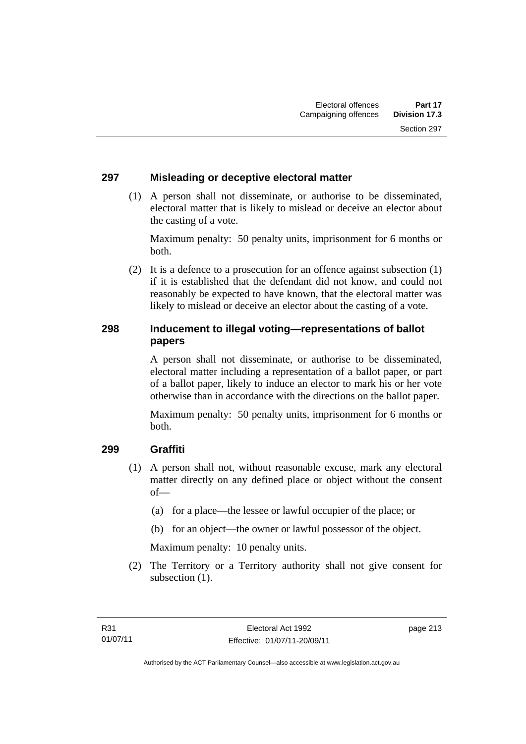### **297 Misleading or deceptive electoral matter**

 (1) A person shall not disseminate, or authorise to be disseminated, electoral matter that is likely to mislead or deceive an elector about the casting of a vote.

Maximum penalty: 50 penalty units, imprisonment for 6 months or both.

 (2) It is a defence to a prosecution for an offence against subsection (1) if it is established that the defendant did not know, and could not reasonably be expected to have known, that the electoral matter was likely to mislead or deceive an elector about the casting of a vote.

### **298 Inducement to illegal voting—representations of ballot papers**

A person shall not disseminate, or authorise to be disseminated, electoral matter including a representation of a ballot paper, or part of a ballot paper, likely to induce an elector to mark his or her vote otherwise than in accordance with the directions on the ballot paper.

Maximum penalty: 50 penalty units, imprisonment for 6 months or both.

### **299 Graffiti**

- (1) A person shall not, without reasonable excuse, mark any electoral matter directly on any defined place or object without the consent of—
	- (a) for a place—the lessee or lawful occupier of the place; or
	- (b) for an object—the owner or lawful possessor of the object.

Maximum penalty: 10 penalty units.

 (2) The Territory or a Territory authority shall not give consent for subsection  $(1)$ .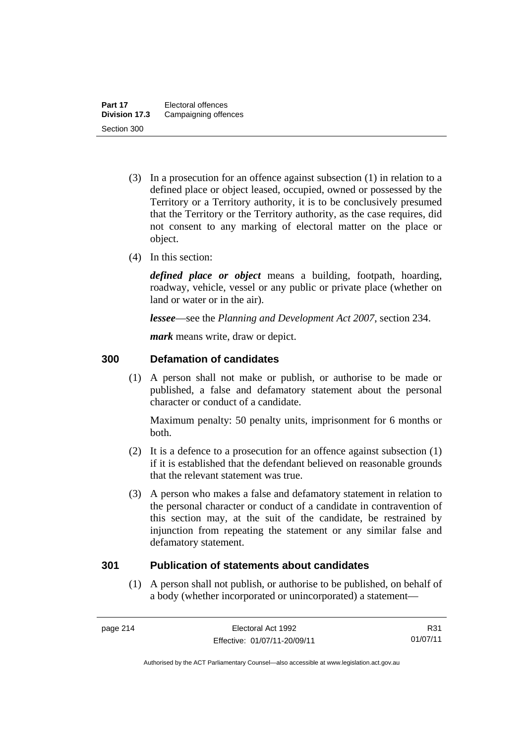- (3) In a prosecution for an offence against subsection (1) in relation to a defined place or object leased, occupied, owned or possessed by the Territory or a Territory authority, it is to be conclusively presumed that the Territory or the Territory authority, as the case requires, did not consent to any marking of electoral matter on the place or object.
- (4) In this section:

*defined place or object* means a building, footpath, hoarding, roadway, vehicle, vessel or any public or private place (whether on land or water or in the air).

*lessee*—see the *Planning and Development Act 2007*, section 234.

*mark* means write, draw or depict.

### **300 Defamation of candidates**

(1) A person shall not make or publish, or authorise to be made or published, a false and defamatory statement about the personal character or conduct of a candidate.

Maximum penalty: 50 penalty units, imprisonment for 6 months or both.

- (2) It is a defence to a prosecution for an offence against subsection (1) if it is established that the defendant believed on reasonable grounds that the relevant statement was true.
- (3) A person who makes a false and defamatory statement in relation to the personal character or conduct of a candidate in contravention of this section may, at the suit of the candidate, be restrained by injunction from repeating the statement or any similar false and defamatory statement.

#### **301 Publication of statements about candidates**

 (1) A person shall not publish, or authorise to be published, on behalf of a body (whether incorporated or unincorporated) a statement—

R31 01/07/11

Authorised by the ACT Parliamentary Counsel—also accessible at www.legislation.act.gov.au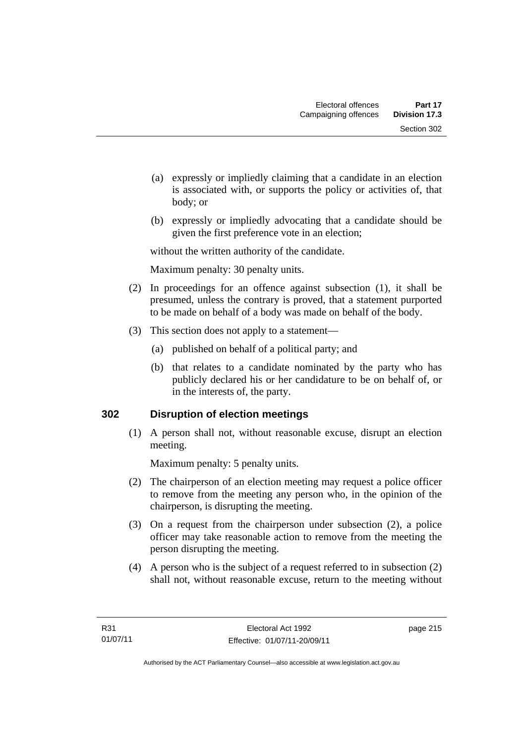- (a) expressly or impliedly claiming that a candidate in an election is associated with, or supports the policy or activities of, that body; or
- (b) expressly or impliedly advocating that a candidate should be given the first preference vote in an election;

without the written authority of the candidate.

Maximum penalty: 30 penalty units.

- (2) In proceedings for an offence against subsection (1), it shall be presumed, unless the contrary is proved, that a statement purported to be made on behalf of a body was made on behalf of the body.
- (3) This section does not apply to a statement—
	- (a) published on behalf of a political party; and
	- (b) that relates to a candidate nominated by the party who has publicly declared his or her candidature to be on behalf of, or in the interests of, the party.

### **302 Disruption of election meetings**

(1) A person shall not, without reasonable excuse, disrupt an election meeting.

Maximum penalty: 5 penalty units.

- (2) The chairperson of an election meeting may request a police officer to remove from the meeting any person who, in the opinion of the chairperson, is disrupting the meeting.
- (3) On a request from the chairperson under subsection (2), a police officer may take reasonable action to remove from the meeting the person disrupting the meeting.
- (4) A person who is the subject of a request referred to in subsection (2) shall not, without reasonable excuse, return to the meeting without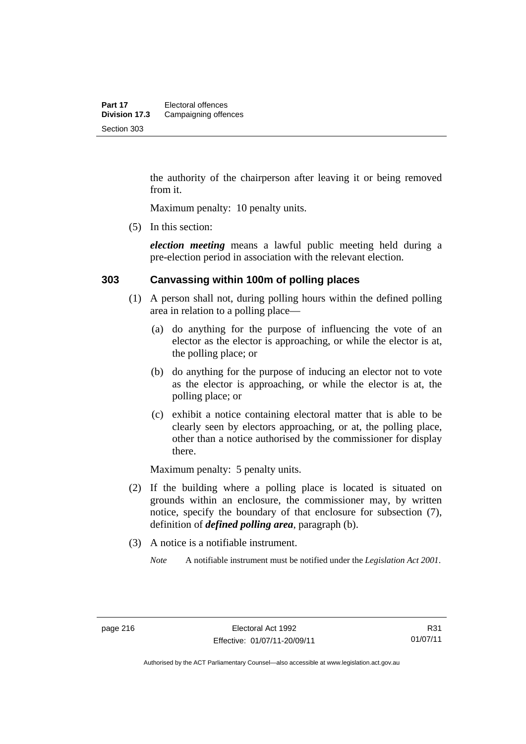the authority of the chairperson after leaving it or being removed from it.

Maximum penalty: 10 penalty units.

(5) In this section:

*election meeting* means a lawful public meeting held during a pre-election period in association with the relevant election.

#### **303 Canvassing within 100m of polling places**

- (1) A person shall not, during polling hours within the defined polling area in relation to a polling place—
	- (a) do anything for the purpose of influencing the vote of an elector as the elector is approaching, or while the elector is at, the polling place; or
	- (b) do anything for the purpose of inducing an elector not to vote as the elector is approaching, or while the elector is at, the polling place; or
	- (c) exhibit a notice containing electoral matter that is able to be clearly seen by electors approaching, or at, the polling place, other than a notice authorised by the commissioner for display there.

Maximum penalty: 5 penalty units.

- (2) If the building where a polling place is located is situated on grounds within an enclosure, the commissioner may, by written notice, specify the boundary of that enclosure for subsection (7), definition of *defined polling area*, paragraph (b).
- (3) A notice is a notifiable instrument.

*Note* A notifiable instrument must be notified under the *Legislation Act 2001*.

R31 01/07/11

Authorised by the ACT Parliamentary Counsel—also accessible at www.legislation.act.gov.au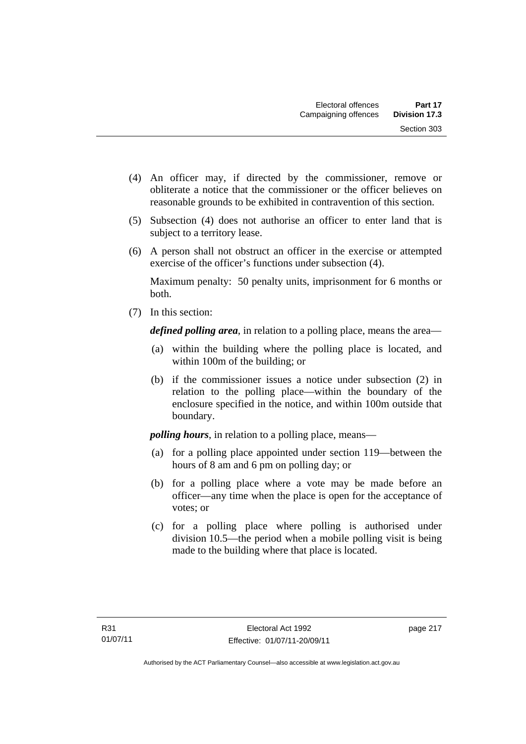- (4) An officer may, if directed by the commissioner, remove or obliterate a notice that the commissioner or the officer believes on reasonable grounds to be exhibited in contravention of this section.
- (5) Subsection (4) does not authorise an officer to enter land that is subject to a territory lease.
- (6) A person shall not obstruct an officer in the exercise or attempted exercise of the officer's functions under subsection (4).

Maximum penalty: 50 penalty units, imprisonment for 6 months or both.

(7) In this section:

*defined polling area*, in relation to a polling place, means the area—

- (a) within the building where the polling place is located, and within 100m of the building; or
- (b) if the commissioner issues a notice under subsection (2) in relation to the polling place—within the boundary of the enclosure specified in the notice, and within 100m outside that boundary.

*polling hours*, in relation to a polling place, means—

- (a) for a polling place appointed under section 119—between the hours of 8 am and 6 pm on polling day; or
- (b) for a polling place where a vote may be made before an officer—any time when the place is open for the acceptance of votes; or
- (c) for a polling place where polling is authorised under division 10.5—the period when a mobile polling visit is being made to the building where that place is located.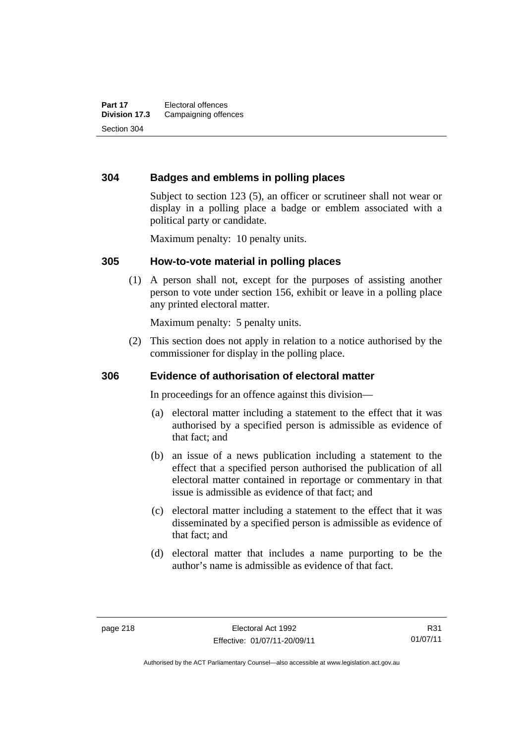### **304 Badges and emblems in polling places**

Subject to section 123 (5), an officer or scrutineer shall not wear or display in a polling place a badge or emblem associated with a political party or candidate.

Maximum penalty: 10 penalty units.

#### **305 How-to-vote material in polling places**

(1) A person shall not, except for the purposes of assisting another person to vote under section 156, exhibit or leave in a polling place any printed electoral matter.

Maximum penalty: 5 penalty units.

 (2) This section does not apply in relation to a notice authorised by the commissioner for display in the polling place.

#### **306 Evidence of authorisation of electoral matter**

In proceedings for an offence against this division—

- (a) electoral matter including a statement to the effect that it was authorised by a specified person is admissible as evidence of that fact; and
- (b) an issue of a news publication including a statement to the effect that a specified person authorised the publication of all electoral matter contained in reportage or commentary in that issue is admissible as evidence of that fact; and
- (c) electoral matter including a statement to the effect that it was disseminated by a specified person is admissible as evidence of that fact; and
- (d) electoral matter that includes a name purporting to be the author's name is admissible as evidence of that fact.

R31 01/07/11

Authorised by the ACT Parliamentary Counsel—also accessible at www.legislation.act.gov.au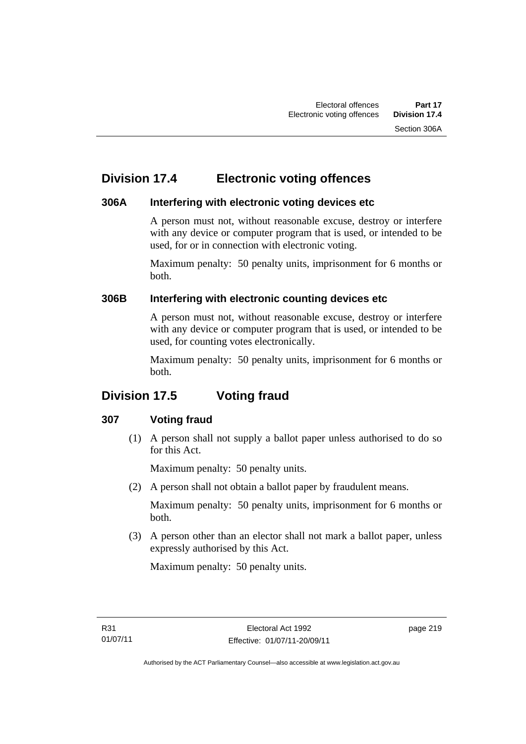## **Division 17.4 Electronic voting offences**

### **306A Interfering with electronic voting devices etc**

A person must not, without reasonable excuse, destroy or interfere with any device or computer program that is used, or intended to be used, for or in connection with electronic voting.

Maximum penalty: 50 penalty units, imprisonment for 6 months or both.

### **306B Interfering with electronic counting devices etc**

A person must not, without reasonable excuse, destroy or interfere with any device or computer program that is used, or intended to be used, for counting votes electronically.

Maximum penalty: 50 penalty units, imprisonment for 6 months or both.

# **Division 17.5 Voting fraud**

### **307 Voting fraud**

 (1) A person shall not supply a ballot paper unless authorised to do so for this Act.

Maximum penalty: 50 penalty units.

(2) A person shall not obtain a ballot paper by fraudulent means.

Maximum penalty: 50 penalty units, imprisonment for 6 months or both.

 (3) A person other than an elector shall not mark a ballot paper, unless expressly authorised by this Act.

Maximum penalty: 50 penalty units.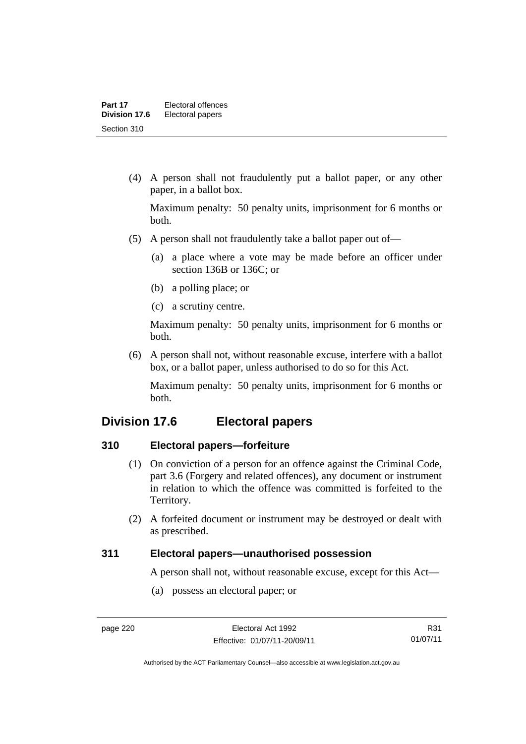(4) A person shall not fraudulently put a ballot paper, or any other paper, in a ballot box.

Maximum penalty: 50 penalty units, imprisonment for 6 months or both.

- (5) A person shall not fraudulently take a ballot paper out of—
	- (a) a place where a vote may be made before an officer under section 136B or 136C; or
	- (b) a polling place; or
	- (c) a scrutiny centre.

Maximum penalty: 50 penalty units, imprisonment for 6 months or both.

 (6) A person shall not, without reasonable excuse, interfere with a ballot box, or a ballot paper, unless authorised to do so for this Act.

Maximum penalty: 50 penalty units, imprisonment for 6 months or both.

## **Division 17.6 Electoral papers**

#### **310 Electoral papers—forfeiture**

- (1) On conviction of a person for an offence against the Criminal Code, part 3.6 (Forgery and related offences), any document or instrument in relation to which the offence was committed is forfeited to the Territory.
- (2) A forfeited document or instrument may be destroyed or dealt with as prescribed.

#### **311 Electoral papers—unauthorised possession**

A person shall not, without reasonable excuse, except for this Act—

(a) possess an electoral paper; or

R31 01/07/11

Authorised by the ACT Parliamentary Counsel—also accessible at www.legislation.act.gov.au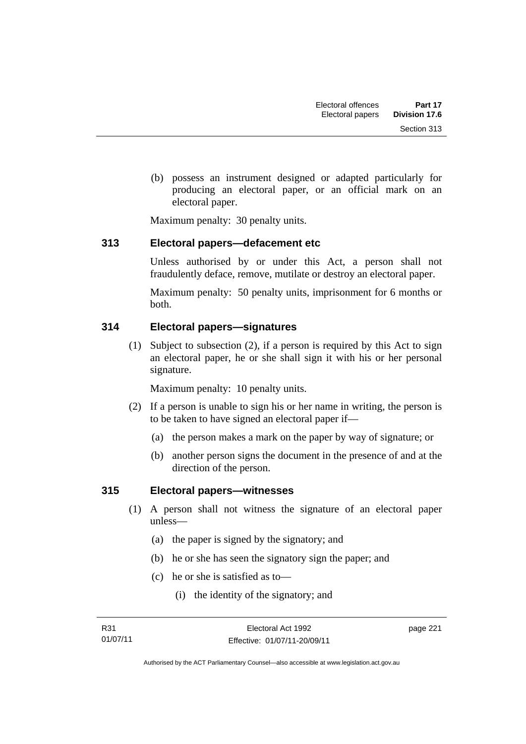(b) possess an instrument designed or adapted particularly for producing an electoral paper, or an official mark on an electoral paper.

Maximum penalty: 30 penalty units.

### **313 Electoral papers—defacement etc**

Unless authorised by or under this Act, a person shall not fraudulently deface, remove, mutilate or destroy an electoral paper.

Maximum penalty: 50 penalty units, imprisonment for 6 months or both.

### **314 Electoral papers—signatures**

(1) Subject to subsection (2), if a person is required by this Act to sign an electoral paper, he or she shall sign it with his or her personal signature.

Maximum penalty: 10 penalty units.

- (2) If a person is unable to sign his or her name in writing, the person is to be taken to have signed an electoral paper if—
	- (a) the person makes a mark on the paper by way of signature; or
	- (b) another person signs the document in the presence of and at the direction of the person.

### **315 Electoral papers—witnesses**

- (1) A person shall not witness the signature of an electoral paper unless—
	- (a) the paper is signed by the signatory; and
	- (b) he or she has seen the signatory sign the paper; and
	- (c) he or she is satisfied as to—
		- (i) the identity of the signatory; and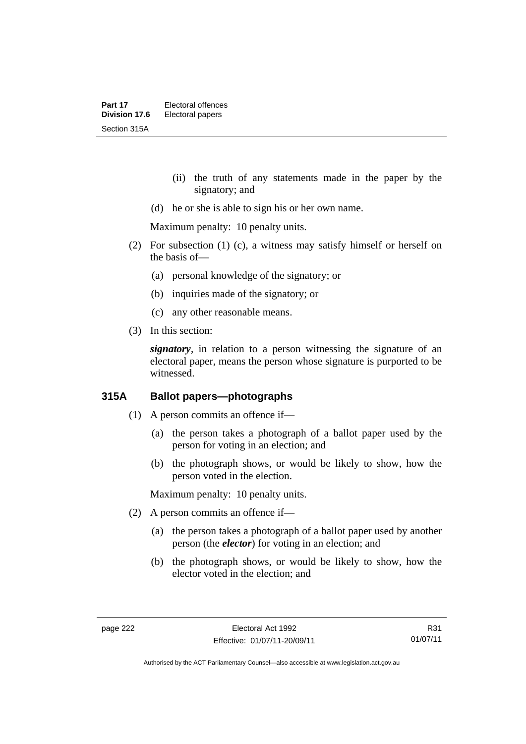- (ii) the truth of any statements made in the paper by the signatory; and
- (d) he or she is able to sign his or her own name.

Maximum penalty: 10 penalty units.

- (2) For subsection (1) (c), a witness may satisfy himself or herself on the basis of—
	- (a) personal knowledge of the signatory; or
	- (b) inquiries made of the signatory; or
	- (c) any other reasonable means.
- (3) In this section:

*signatory*, in relation to a person witnessing the signature of an electoral paper, means the person whose signature is purported to be witnessed.

### **315A Ballot papers—photographs**

- (1) A person commits an offence if—
	- (a) the person takes a photograph of a ballot paper used by the person for voting in an election; and
	- (b) the photograph shows, or would be likely to show, how the person voted in the election.

Maximum penalty: 10 penalty units.

- (2) A person commits an offence if—
	- (a) the person takes a photograph of a ballot paper used by another person (the *elector*) for voting in an election; and
	- (b) the photograph shows, or would be likely to show, how the elector voted in the election; and

R31 01/07/11

Authorised by the ACT Parliamentary Counsel—also accessible at www.legislation.act.gov.au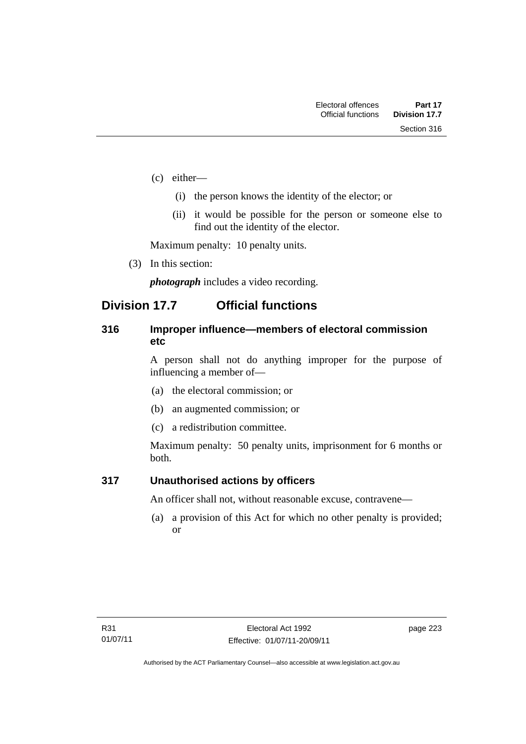- (c) either—
	- (i) the person knows the identity of the elector; or
	- (ii) it would be possible for the person or someone else to find out the identity of the elector.

Maximum penalty: 10 penalty units.

(3) In this section:

*photograph* includes a video recording.

## **Division 17.7 Official functions**

### **316 Improper influence—members of electoral commission etc**

A person shall not do anything improper for the purpose of influencing a member of—

- (a) the electoral commission; or
- (b) an augmented commission; or
- (c) a redistribution committee.

Maximum penalty: 50 penalty units, imprisonment for 6 months or both.

### **317 Unauthorised actions by officers**

An officer shall not, without reasonable excuse, contravene—

(a) a provision of this Act for which no other penalty is provided; or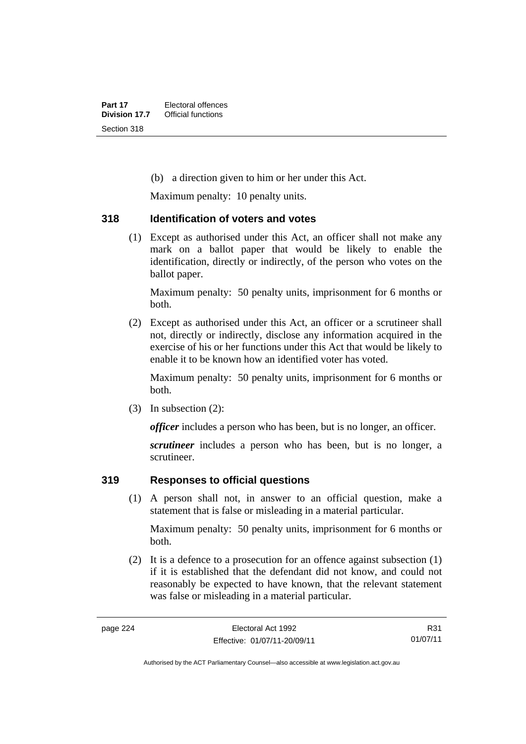(b) a direction given to him or her under this Act.

Maximum penalty: 10 penalty units.

#### **318 Identification of voters and votes**

(1) Except as authorised under this Act, an officer shall not make any mark on a ballot paper that would be likely to enable the identification, directly or indirectly, of the person who votes on the ballot paper.

Maximum penalty: 50 penalty units, imprisonment for 6 months or both.

 (2) Except as authorised under this Act, an officer or a scrutineer shall not, directly or indirectly, disclose any information acquired in the exercise of his or her functions under this Act that would be likely to enable it to be known how an identified voter has voted.

Maximum penalty: 50 penalty units, imprisonment for 6 months or both.

(3) In subsection (2):

*officer* includes a person who has been, but is no longer, an officer.

*scrutineer* includes a person who has been, but is no longer, a scrutineer.

### **319 Responses to official questions**

(1) A person shall not, in answer to an official question, make a statement that is false or misleading in a material particular.

Maximum penalty: 50 penalty units, imprisonment for 6 months or both.

 (2) It is a defence to a prosecution for an offence against subsection (1) if it is established that the defendant did not know, and could not reasonably be expected to have known, that the relevant statement was false or misleading in a material particular.

R31 01/07/11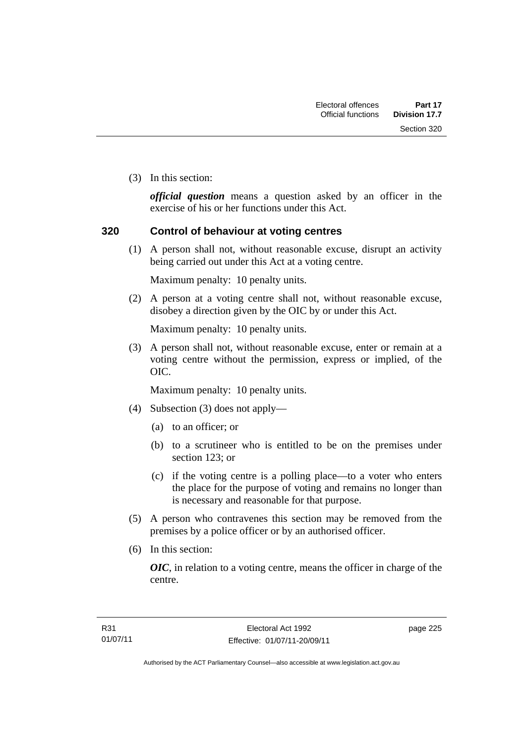Section 320

(3) In this section:

*official question* means a question asked by an officer in the exercise of his or her functions under this Act.

### **320 Control of behaviour at voting centres**

 (1) A person shall not, without reasonable excuse, disrupt an activity being carried out under this Act at a voting centre.

Maximum penalty: 10 penalty units.

 (2) A person at a voting centre shall not, without reasonable excuse, disobey a direction given by the OIC by or under this Act.

Maximum penalty: 10 penalty units.

 (3) A person shall not, without reasonable excuse, enter or remain at a voting centre without the permission, express or implied, of the OIC.

Maximum penalty: 10 penalty units.

- (4) Subsection (3) does not apply—
	- (a) to an officer; or
	- (b) to a scrutineer who is entitled to be on the premises under section 123; or
	- (c) if the voting centre is a polling place—to a voter who enters the place for the purpose of voting and remains no longer than is necessary and reasonable for that purpose.
- (5) A person who contravenes this section may be removed from the premises by a police officer or by an authorised officer.
- (6) In this section:

*OIC*, in relation to a voting centre, means the officer in charge of the centre.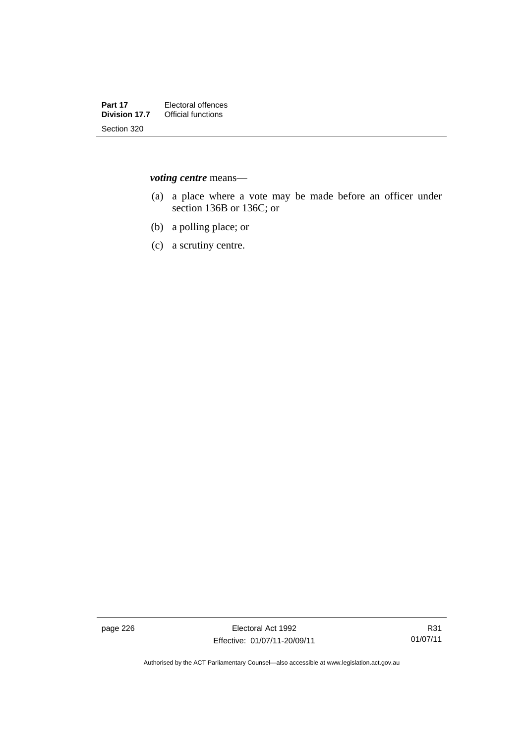*voting centre* means—

- (a) a place where a vote may be made before an officer under section 136B or 136C; or
- (b) a polling place; or
- (c) a scrutiny centre.

page 226 Electoral Act 1992 Effective: 01/07/11-20/09/11

Authorised by the ACT Parliamentary Counsel—also accessible at www.legislation.act.gov.au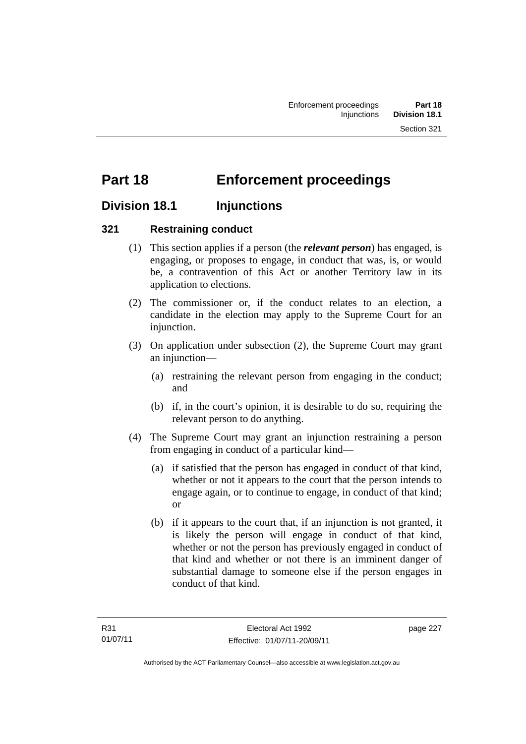# **Part 18 Enforcement proceedings**

## **Division 18.1 Injunctions**

### **321 Restraining conduct**

- (1) This section applies if a person (the *relevant person*) has engaged, is engaging, or proposes to engage, in conduct that was, is, or would be, a contravention of this Act or another Territory law in its application to elections.
- (2) The commissioner or, if the conduct relates to an election, a candidate in the election may apply to the Supreme Court for an injunction.
- (3) On application under subsection (2), the Supreme Court may grant an injunction—
	- (a) restraining the relevant person from engaging in the conduct; and
	- (b) if, in the court's opinion, it is desirable to do so, requiring the relevant person to do anything.
- (4) The Supreme Court may grant an injunction restraining a person from engaging in conduct of a particular kind—
	- (a) if satisfied that the person has engaged in conduct of that kind, whether or not it appears to the court that the person intends to engage again, or to continue to engage, in conduct of that kind; or
	- (b) if it appears to the court that, if an injunction is not granted, it is likely the person will engage in conduct of that kind, whether or not the person has previously engaged in conduct of that kind and whether or not there is an imminent danger of substantial damage to someone else if the person engages in conduct of that kind.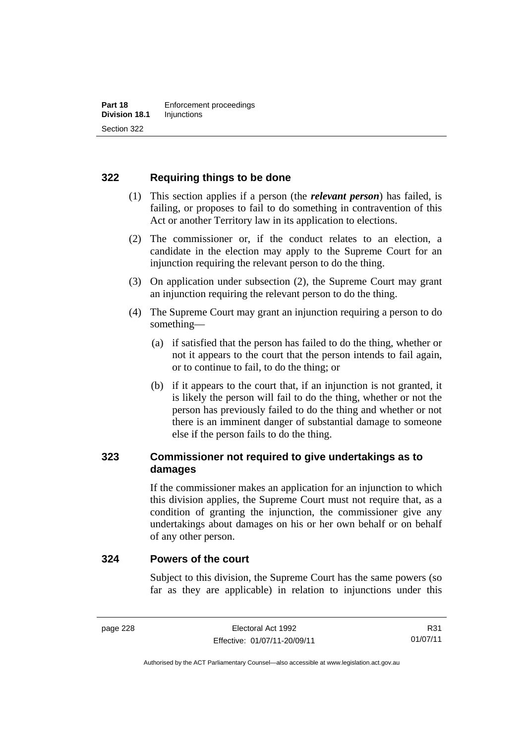### **322 Requiring things to be done**

- (1) This section applies if a person (the *relevant person*) has failed, is failing, or proposes to fail to do something in contravention of this Act or another Territory law in its application to elections.
- (2) The commissioner or, if the conduct relates to an election, a candidate in the election may apply to the Supreme Court for an injunction requiring the relevant person to do the thing.
- (3) On application under subsection (2), the Supreme Court may grant an injunction requiring the relevant person to do the thing.
- (4) The Supreme Court may grant an injunction requiring a person to do something—
	- (a) if satisfied that the person has failed to do the thing, whether or not it appears to the court that the person intends to fail again, or to continue to fail, to do the thing; or
	- (b) if it appears to the court that, if an injunction is not granted, it is likely the person will fail to do the thing, whether or not the person has previously failed to do the thing and whether or not there is an imminent danger of substantial damage to someone else if the person fails to do the thing.

### **323 Commissioner not required to give undertakings as to damages**

If the commissioner makes an application for an injunction to which this division applies, the Supreme Court must not require that, as a condition of granting the injunction, the commissioner give any undertakings about damages on his or her own behalf or on behalf of any other person.

#### **324 Powers of the court**

Subject to this division, the Supreme Court has the same powers (so far as they are applicable) in relation to injunctions under this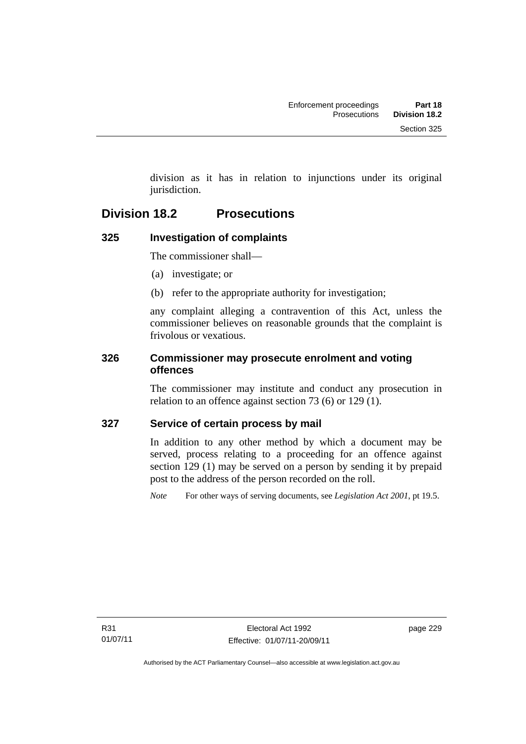division as it has in relation to injunctions under its original jurisdiction.

## **Division 18.2 Prosecutions**

### **325 Investigation of complaints**

The commissioner shall—

- (a) investigate; or
- (b) refer to the appropriate authority for investigation;

any complaint alleging a contravention of this Act, unless the commissioner believes on reasonable grounds that the complaint is frivolous or vexatious.

### **326 Commissioner may prosecute enrolment and voting offences**

The commissioner may institute and conduct any prosecution in relation to an offence against section 73 (6) or 129 (1).

### **327 Service of certain process by mail**

In addition to any other method by which a document may be served, process relating to a proceeding for an offence against section 129 (1) may be served on a person by sending it by prepaid post to the address of the person recorded on the roll.

*Note* For other ways of serving documents, see *Legislation Act 2001*, pt 19.5.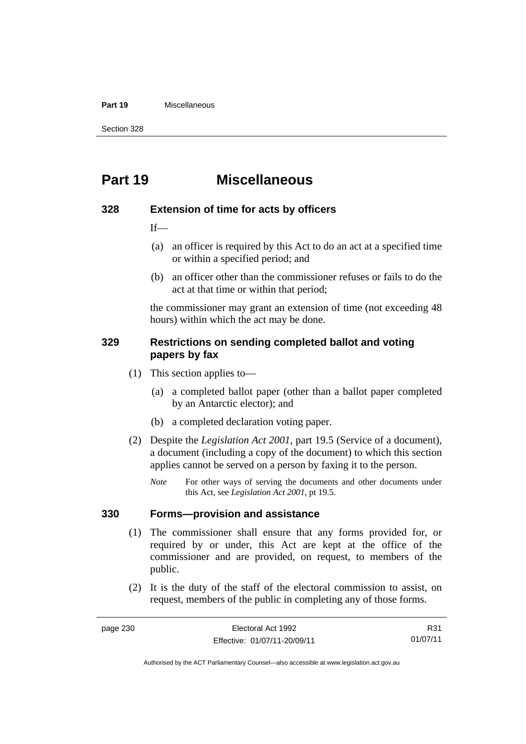#### **Part 19** Miscellaneous

Section 328

# **Part 19 Miscellaneous**

#### **328 Extension of time for acts by officers**

 $If$ 

- (a) an officer is required by this Act to do an act at a specified time or within a specified period; and
- (b) an officer other than the commissioner refuses or fails to do the act at that time or within that period;

the commissioner may grant an extension of time (not exceeding 48 hours) within which the act may be done.

#### **329 Restrictions on sending completed ballot and voting papers by fax**

- (1) This section applies to—
	- (a) a completed ballot paper (other than a ballot paper completed by an Antarctic elector); and
	- (b) a completed declaration voting paper.
- (2) Despite the *Legislation Act 2001*, part 19.5 (Service of a document), a document (including a copy of the document) to which this section applies cannot be served on a person by faxing it to the person.
	- *Note* For other ways of serving the documents and other documents under this Act, see *Legislation Act 2001*, pt 19.5.

#### **330 Forms—provision and assistance**

- (1) The commissioner shall ensure that any forms provided for, or required by or under, this Act are kept at the office of the commissioner and are provided, on request, to members of the public.
- (2) It is the duty of the staff of the electoral commission to assist, on request, members of the public in completing any of those forms.

R31 01/07/11

Authorised by the ACT Parliamentary Counsel—also accessible at www.legislation.act.gov.au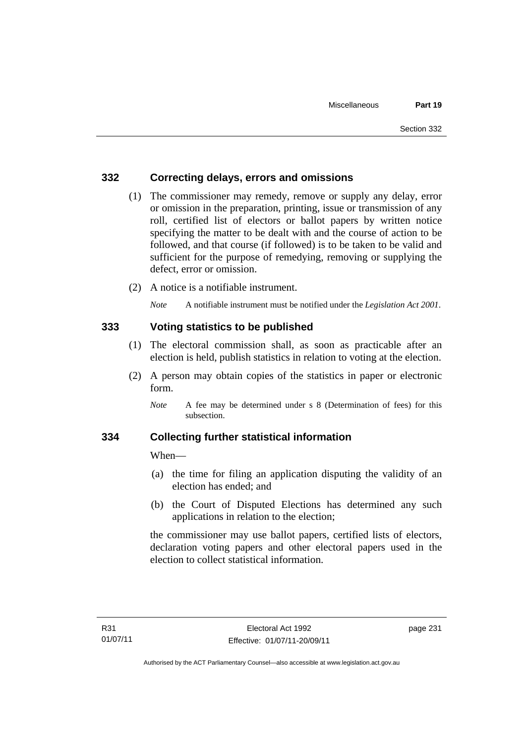### **332 Correcting delays, errors and omissions**

- (1) The commissioner may remedy, remove or supply any delay, error or omission in the preparation, printing, issue or transmission of any roll, certified list of electors or ballot papers by written notice specifying the matter to be dealt with and the course of action to be followed, and that course (if followed) is to be taken to be valid and sufficient for the purpose of remedying, removing or supplying the defect, error or omission.
- (2) A notice is a notifiable instrument.

*Note* A notifiable instrument must be notified under the *Legislation Act 2001*.

### **333 Voting statistics to be published**

- (1) The electoral commission shall, as soon as practicable after an election is held, publish statistics in relation to voting at the election.
- (2) A person may obtain copies of the statistics in paper or electronic form.

#### **334 Collecting further statistical information**

When—

- (a) the time for filing an application disputing the validity of an election has ended; and
- (b) the Court of Disputed Elections has determined any such applications in relation to the election;

the commissioner may use ballot papers, certified lists of electors, declaration voting papers and other electoral papers used in the election to collect statistical information.

*Note* A fee may be determined under s 8 (Determination of fees) for this subsection.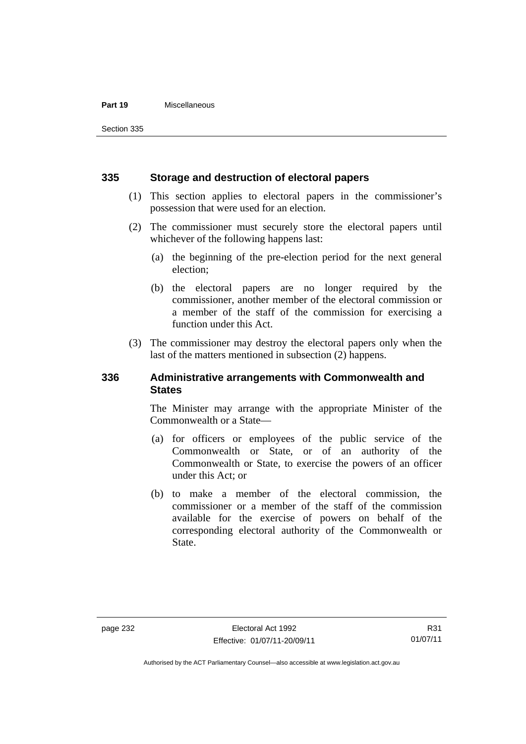#### **Part 19** Miscellaneous

Section 335

#### **335 Storage and destruction of electoral papers**

- (1) This section applies to electoral papers in the commissioner's possession that were used for an election.
- (2) The commissioner must securely store the electoral papers until whichever of the following happens last:
	- (a) the beginning of the pre-election period for the next general election;
	- (b) the electoral papers are no longer required by the commissioner, another member of the electoral commission or a member of the staff of the commission for exercising a function under this Act.
- (3) The commissioner may destroy the electoral papers only when the last of the matters mentioned in subsection (2) happens.

#### **336 Administrative arrangements with Commonwealth and States**

The Minister may arrange with the appropriate Minister of the Commonwealth or a State—

- (a) for officers or employees of the public service of the Commonwealth or State, or of an authority of the Commonwealth or State, to exercise the powers of an officer under this Act; or
- (b) to make a member of the electoral commission, the commissioner or a member of the staff of the commission available for the exercise of powers on behalf of the corresponding electoral authority of the Commonwealth or State.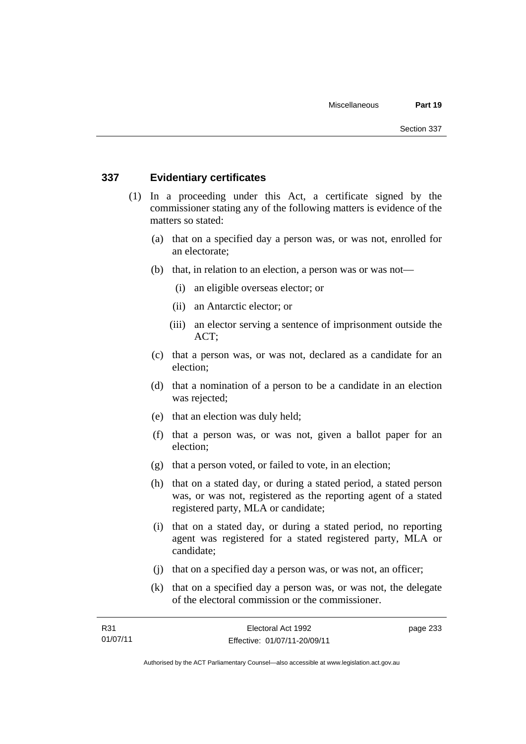#### **337 Evidentiary certificates**

- (1) In a proceeding under this Act, a certificate signed by the commissioner stating any of the following matters is evidence of the matters so stated:
	- (a) that on a specified day a person was, or was not, enrolled for an electorate;
	- (b) that, in relation to an election, a person was or was not—
		- (i) an eligible overseas elector; or
		- (ii) an Antarctic elector; or
		- (iii) an elector serving a sentence of imprisonment outside the ACT;
	- (c) that a person was, or was not, declared as a candidate for an election;
	- (d) that a nomination of a person to be a candidate in an election was rejected;
	- (e) that an election was duly held;
	- (f) that a person was, or was not, given a ballot paper for an election;
	- (g) that a person voted, or failed to vote, in an election;
	- (h) that on a stated day, or during a stated period, a stated person was, or was not, registered as the reporting agent of a stated registered party, MLA or candidate;
	- (i) that on a stated day, or during a stated period, no reporting agent was registered for a stated registered party, MLA or candidate;
	- (j) that on a specified day a person was, or was not, an officer;
	- (k) that on a specified day a person was, or was not, the delegate of the electoral commission or the commissioner.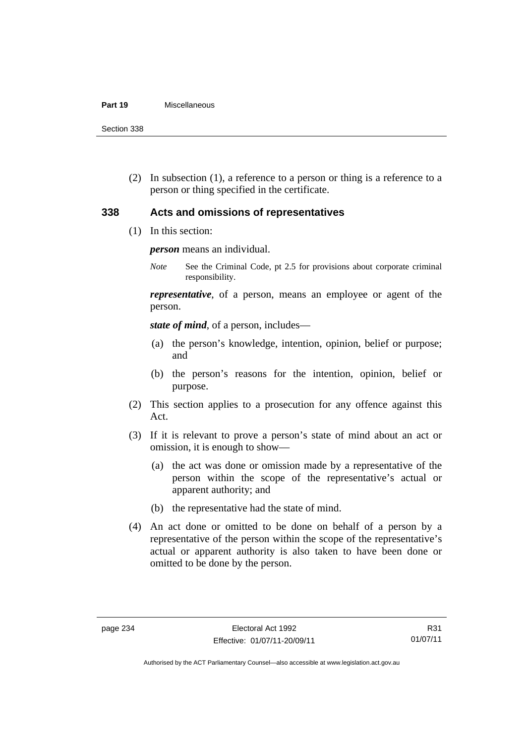#### **Part 19** Miscellaneous

Section 338

 (2) In subsection (1), a reference to a person or thing is a reference to a person or thing specified in the certificate.

### **338 Acts and omissions of representatives**

(1) In this section:

*person* means an individual.

*Note* See the Criminal Code, pt 2.5 for provisions about corporate criminal responsibility.

*representative*, of a person, means an employee or agent of the person.

*state of mind*, of a person, includes—

- (a) the person's knowledge, intention, opinion, belief or purpose; and
- (b) the person's reasons for the intention, opinion, belief or purpose.
- (2) This section applies to a prosecution for any offence against this Act.
- (3) If it is relevant to prove a person's state of mind about an act or omission, it is enough to show—
	- (a) the act was done or omission made by a representative of the person within the scope of the representative's actual or apparent authority; and
	- (b) the representative had the state of mind.
- (4) An act done or omitted to be done on behalf of a person by a representative of the person within the scope of the representative's actual or apparent authority is also taken to have been done or omitted to be done by the person.

R31 01/07/11

Authorised by the ACT Parliamentary Counsel—also accessible at www.legislation.act.gov.au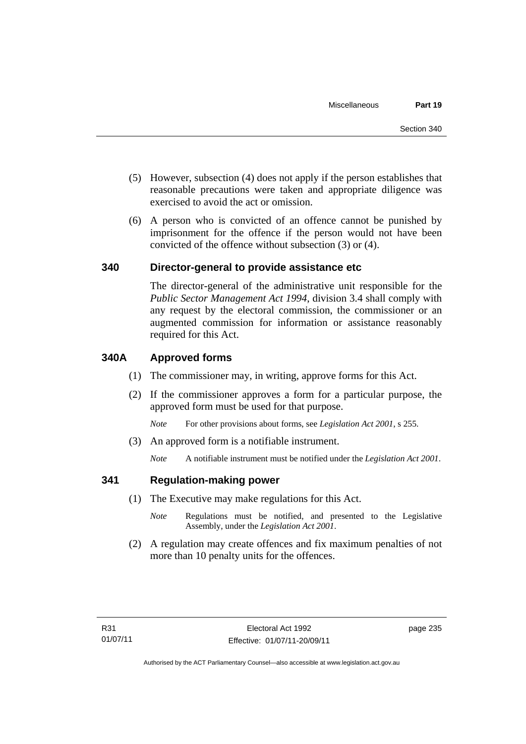- (5) However, subsection (4) does not apply if the person establishes that reasonable precautions were taken and appropriate diligence was exercised to avoid the act or omission.
- (6) A person who is convicted of an offence cannot be punished by imprisonment for the offence if the person would not have been convicted of the offence without subsection (3) or (4).

#### **340 Director-general to provide assistance etc**

The director-general of the administrative unit responsible for the *Public Sector Management Act 1994*, division 3.4 shall comply with any request by the electoral commission, the commissioner or an augmented commission for information or assistance reasonably required for this Act.

#### **340A Approved forms**

- (1) The commissioner may, in writing, approve forms for this Act.
- (2) If the commissioner approves a form for a particular purpose, the approved form must be used for that purpose.

*Note* For other provisions about forms, see *Legislation Act 2001*, s 255.

(3) An approved form is a notifiable instrument.

*Note* A notifiable instrument must be notified under the *Legislation Act 2001*.

#### **341 Regulation-making power**

- (1) The Executive may make regulations for this Act.
	- *Note* **Regulations** must be notified, and presented to the Legislative Assembly, under the *Legislation Act 2001*.
- (2) A regulation may create offences and fix maximum penalties of not more than 10 penalty units for the offences.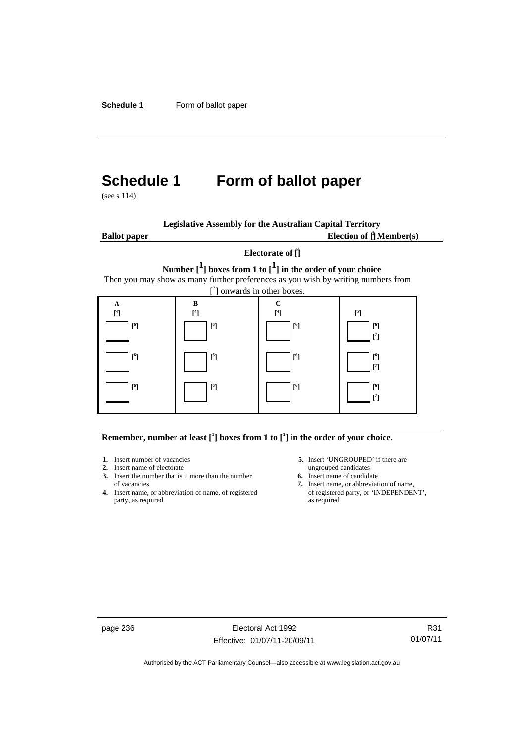# **Schedule 1 Form of ballot paper**

(see s 114)

| <b>Legislative Assembly for the Australian Capital Territory</b> |  |
|------------------------------------------------------------------|--|
|                                                                  |  |

**Ballot paper** Election of  $\prod_{i=1}^{n} \text{Member}(s)$ 

#### **Electorate of [ 2 ]**

**Number [1] boxes from 1 to [1] in the order of your choice**  Then you may show as many further preferences as you wish by writing numbers from



#### **Remember, number at least**  $\begin{bmatrix} 1 \end{bmatrix}$  boxes from 1 to  $\begin{bmatrix} 1 \end{bmatrix}$  in the order of your choice.

- **2.** Insert name of electorate ungrouped candidates
- **3.** Insert the number that is 1 more than the number **6.** Insert name of candidate of vacancies **7.** Insert name, or abbreviate
- **4.** Insert name, or abbreviation of name, of registered party, as required as required
- 1. Insert number of vacancies **5.** Insert 'UNGROUPED' if there are
	-
	- 7. Insert name, or abbreviation of name, of registered party, or 'INDEPENDENT',

page 236 Electoral Act 1992 Effective: 01/07/11-20/09/11

R31 01/07/11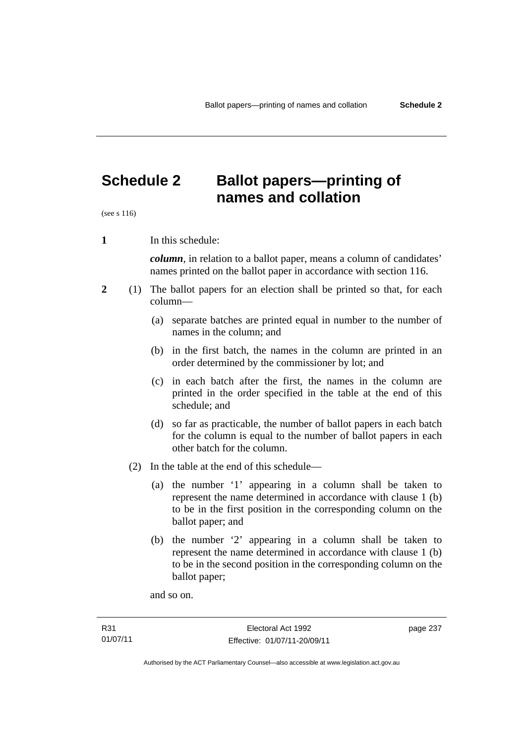## **Schedule 2 Ballot papers—printing of names and collation**

(see s 116)

**1** In this schedule:

*column*, in relation to a ballot paper, means a column of candidates' names printed on the ballot paper in accordance with section 116.

- **2** (1) The ballot papers for an election shall be printed so that, for each column—
	- (a) separate batches are printed equal in number to the number of names in the column; and
	- (b) in the first batch, the names in the column are printed in an order determined by the commissioner by lot; and
	- (c) in each batch after the first, the names in the column are printed in the order specified in the table at the end of this schedule; and
	- (d) so far as practicable, the number of ballot papers in each batch for the column is equal to the number of ballot papers in each other batch for the column.
	- (2) In the table at the end of this schedule—
		- (a) the number '1' appearing in a column shall be taken to represent the name determined in accordance with clause 1 (b) to be in the first position in the corresponding column on the ballot paper; and
		- (b) the number '2' appearing in a column shall be taken to represent the name determined in accordance with clause 1 (b) to be in the second position in the corresponding column on the ballot paper;

and so on.

page 237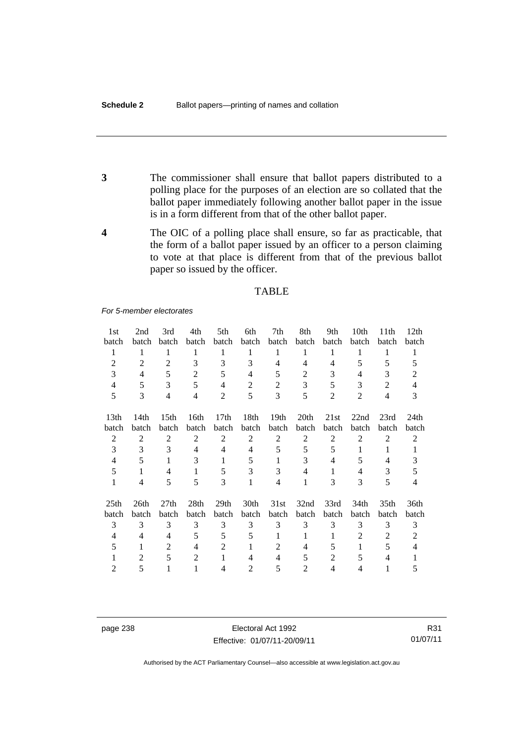- **3** The commissioner shall ensure that ballot papers distributed to a polling place for the purposes of an election are so collated that the ballot paper immediately following another ballot paper in the issue is in a form different from that of the other ballot paper.
- **4** The OIC of a polling place shall ensure, so far as practicable, that the form of a ballot paper issued by an officer to a person claiming to vote at that place is different from that of the previous ballot paper so issued by the officer.

#### TABLE

*For 5-member electorates*

| 1st              | 2nd            | 3rd                      | 4th              | 5th              | 6th            | 7th                      | 8th              | 9th            | 10th           | 11th             | 12th             |
|------------------|----------------|--------------------------|------------------|------------------|----------------|--------------------------|------------------|----------------|----------------|------------------|------------------|
| batch            | batch          | batch                    | batch            | batch            | batch          | batch                    | batch            | batch          | batch          | batch            | batch            |
| 1                | 1              | 1                        | 1                | 1                | 1              | 1                        | 1                | 1              | 1              | 1                | 1                |
| 2                | $\overline{2}$ | 2                        | 3                | 3                | 3              | 4                        | 4                | 4              | 5              | 5                | 5                |
| 3                | 4              | 5                        | $\overline{2}$   | 5                | 4              | 5                        | $\overline{2}$   | 3              | 4              | 3                | 2                |
| 4                | 5              | 3                        | 5                | 4                | $\overline{2}$ | 2                        | 3                | 5              | 3              | $\overline{2}$   | 4                |
| 5                | 3              | $\overline{\mathcal{L}}$ | $\overline{4}$   | $\overline{2}$   | 5              | 3                        | 5                | $\overline{2}$ | $\overline{2}$ | $\overline{4}$   | 3                |
| 13 <sub>th</sub> | 14th           | 15 <sub>th</sub>         | 16th             | 17 <sub>th</sub> | 18th           | 19 <sub>th</sub>         | 20 <sub>th</sub> | 21st           | 22nd           | 23rd             | 24 <sub>th</sub> |
| batch            | batch          | batch                    | batch            | batch            | batch          | batch                    | batch            | batch          | batch          | batch            | batch            |
| $\overline{2}$   | $\overline{2}$ | 2                        | $\overline{2}$   | $\overline{2}$   | $\overline{2}$ | $\overline{2}$           | $\overline{2}$   | $\overline{2}$ | $\overline{2}$ | $\overline{2}$   | 2                |
| 3                | 3              | 3                        | $\overline{4}$   | 4                | 4              | 5                        | 5                | 5              | 1              | 1                | 1                |
| 4                | 5              | 1                        | 3                | 1                | 5              | 1                        | 3                | 4              | 5              | 4                | 3                |
| 5                | 1              | 4                        | 1                | 5                | 3              | 3                        | 4                | 1              | $\overline{4}$ | 3                | 5                |
| 1                | 4              | 5                        | 5                | 3                | 1              | $\overline{4}$           | 1                | 3              | 3              | 5                | 4                |
| 25 <sub>th</sub> | 26th           | 27 <sub>th</sub>         | 28 <sub>th</sub> | 29 <sub>th</sub> | 30th           | 31st                     | 32nd             | 33rd           | 34th           | 35 <sub>th</sub> | 36th             |
| batch            | batch          | batch                    | batch            | batch            | batch          | batch                    | batch            | batch          | batch          | batch            | batch            |
| 3                | 3              | 3                        | 3                | 3                | 3              | 3                        | 3                | 3              | 3              | 3                | 3                |
| 4                | 4              | 4                        | 5                | 5                | 5              | 1                        | 1                | 1              | 2              | 2                | 2                |
| 5                | 1              | $\mathfrak{D}$           | 4                | $\mathfrak{D}$   | 1              | $\overline{\mathcal{L}}$ | 4                | 5              | 1              | 5                | 4                |
|                  | $\overline{c}$ | 5                        | $\overline{2}$   |                  | 4              | $\overline{4}$           | 5                | $\overline{c}$ | 5              | 4                |                  |
| 2                | 5              |                          |                  | 4                | 2              | 5                        | 2                | 4              | 4              |                  | 5                |

page 238 Electoral Act 1992 Effective: 01/07/11-20/09/11

R31 01/07/11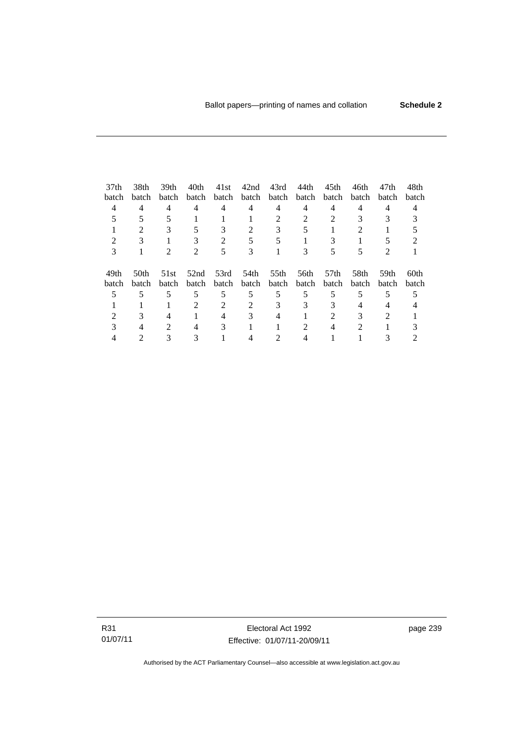| 37 <sub>th</sub> | 38th                        | 39th                        | 40th                        | 41st        | 42nd  | 43rd              | 44th  | 45th  | 46th  | 47th           | 48th             |
|------------------|-----------------------------|-----------------------------|-----------------------------|-------------|-------|-------------------|-------|-------|-------|----------------|------------------|
| batch            | batch                       | <b>batch</b>                | batch                       | batch       |       | batch batch batch |       | batch | batch | batch          | batch            |
| 4                | $\overline{4}$              | 4                           | 4                           | 4           | 4     | 4                 | 4     | 4     | 4     | 4              |                  |
|                  |                             |                             |                             |             |       |                   |       |       |       |                |                  |
|                  | $\mathcal{D}_{\mathcal{L}}$ | 3                           | 5                           | 3           | 2     | 3                 |       |       |       |                |                  |
|                  |                             |                             |                             |             |       |                   |       |       |       |                |                  |
| 3                |                             | $\mathcal{D}_{\cdot}$       | $\mathcal{D}_{\mathcal{L}}$ | 5           | 3     |                   | 3     |       | 5     | $\mathfrak{D}$ |                  |
|                  |                             |                             |                             |             |       |                   |       |       |       |                |                  |
| 49th             | 50 <sub>th</sub>            | 51st                        | 52nd                        | 53rd        | 54th  | 55th              | 56th  | .57th | 58th  | 59th           | 60 <sub>th</sub> |
| batch            | batch                       | batch                       |                             | batch batch | batch | batch             | batch | batch | batch | batch          | batch            |
|                  |                             | 5                           | 5                           | 5           | 5     | 5                 | 5     | 5     | 5     | 5              |                  |
|                  |                             |                             |                             | 2           |       |                   | 3     |       |       |                |                  |
|                  |                             |                             |                             |             |       |                   |       |       |       | $\mathcal{D}$  |                  |
|                  |                             | $\mathcal{D}_{\mathcal{L}}$ | 4                           | 3           |       |                   | 2     |       | 2     |                |                  |
|                  |                             |                             |                             |             |       |                   |       |       |       |                |                  |

R31 01/07/11

Electoral Act 1992 Effective: 01/07/11-20/09/11 page 239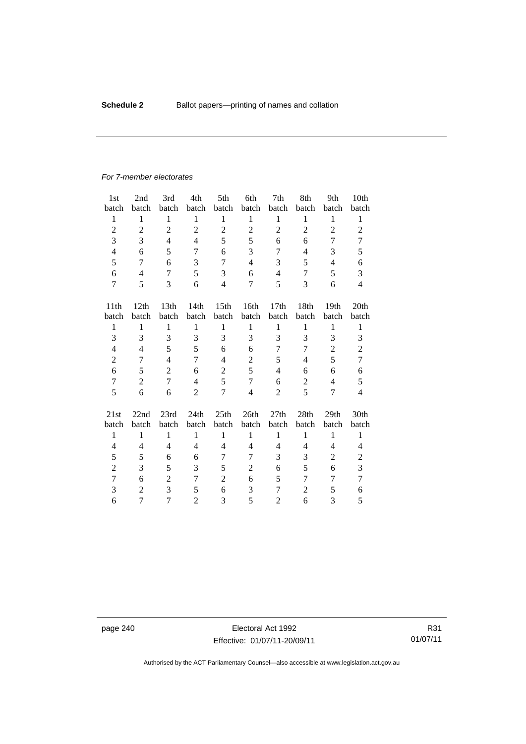#### *For 7-member electorates*

| 1st              | 2nd            | 3rd              | 4th            | 5th              | 6th            | 7th              | 8th            | 9th            | 10th             |
|------------------|----------------|------------------|----------------|------------------|----------------|------------------|----------------|----------------|------------------|
| batch            | batch          | batch            | batch          | batch            | batch          | batch            | batch          | batch          | batch            |
| $\mathbf{1}$     | $\mathbf{1}$   | $\mathbf{1}$     | $\mathbf{1}$   | $\mathbf{1}$     | $\mathbf{1}$   | $\mathbf{1}$     | 1              | $\mathbf{1}$   | $\mathbf{1}$     |
| $\overline{2}$   | $\overline{2}$ | $\overline{c}$   | $\overline{2}$ | $\overline{c}$   | $\overline{2}$ | $\overline{c}$   | $\overline{c}$ | $\overline{2}$ | $\mathbf{2}$     |
| 3                | 3              | $\overline{4}$   | $\overline{4}$ | 5                | 5              | 6                | 6              | 7              | 7                |
| $\overline{4}$   | 6              | 5                | 7              | 6                | 3              | 7                | 4              | 3              | 5                |
| 5                | 7              | 6                | 3              | $\overline{7}$   | $\overline{4}$ | 3                | 5              | $\overline{4}$ | 6                |
| 6                | $\overline{4}$ | 7                | 5              | 3                | 6              | $\overline{4}$   | 7              | 5              | 3                |
| 7                | 5              | 3                | 6              | $\overline{4}$   | 7              | 5                | 3              | 6              | $\overline{4}$   |
|                  |                |                  |                |                  |                |                  |                |                |                  |
| 11 <sup>th</sup> | 12th           | 13 <sub>th</sub> | 14th           | 15 <sub>th</sub> | 16th           | 17 <sub>th</sub> | 18th           | 19th           | 20 <sub>th</sub> |
| batch            | batch          | batch            | batch          | batch            | batch          | batch            | batch          | batch          | batch            |
| 1                | 1              | $\mathbf{1}$     | $\mathbf{1}$   | $\mathbf{1}$     | $\mathbf{1}$   | $\mathbf{1}$     | $\mathbf{1}$   | $\mathbf{1}$   | $\mathbf{1}$     |
| 3                | 3              | 3                | 3              | 3                | 3              | 3                | 3              | 3              | 3                |
| $\overline{4}$   | 4              | 5                | 5              | 6                | 6              | 7                | 7              | $\overline{c}$ | $\overline{c}$   |
| $\overline{c}$   | 7              | $\overline{4}$   | 7              | $\overline{4}$   | $\overline{c}$ | 5                | 4              | 5              | $\overline{7}$   |
| 6                | 5              | $\overline{2}$   | 6              | $\overline{c}$   | 5              | $\overline{4}$   | 6              | 6              | 6                |
| $\tau$           | $\overline{2}$ | 7                | $\overline{4}$ | 5                | $\overline{7}$ | 6                | $\overline{2}$ | $\overline{4}$ | 5                |
| 5                | 6              | 6                | $\overline{2}$ | $\overline{7}$   | $\overline{4}$ | $\overline{2}$   | 5              | 7              | $\overline{4}$   |
| 21st             | 22nd           | 23rd             | 24th           | 25th             | 26th           | 27th             | 28th           | 29th           | 30th             |
| batch            | batch          | batch            | batch          | batch            | batch          | batch            | batch          | batch          | batch            |
|                  |                |                  | $\mathbf{1}$   | 1                | 1              |                  | $\mathbf{1}$   |                |                  |
| $\mathbf{1}$     | $\mathbf{1}$   | $\mathbf{1}$     |                |                  |                | $\mathbf{1}$     |                | $\mathbf{1}$   | $\mathbf{1}$     |
| $\overline{4}$   | 4              | $\overline{4}$   | $\overline{4}$ | 4                | $\overline{4}$ | 4                | 4              | 4              | $\overline{4}$   |
| 5                | 5              | 6                | 6              | 7                | 7              | 3                | 3              | $\overline{c}$ | $\overline{c}$   |
| $\overline{c}$   | 3              | 5                | 3              | 5                | 2              | 6                | 5              | 6              | 3                |
| 7                | 6              | $\overline{2}$   | 7              | $\overline{2}$   | 6              | 5                | 7              | 7              | 7                |
| 3                | $\overline{2}$ | 3                | 5              | 6                | 3              | 7                | 2              | 5              | 6                |
| 6                | $\overline{7}$ | $\overline{7}$   | $\overline{2}$ | 3                | 5              | $\overline{c}$   | 6              | 3              | 5                |

page 240 **Electoral Act 1992** Effective: 01/07/11-20/09/11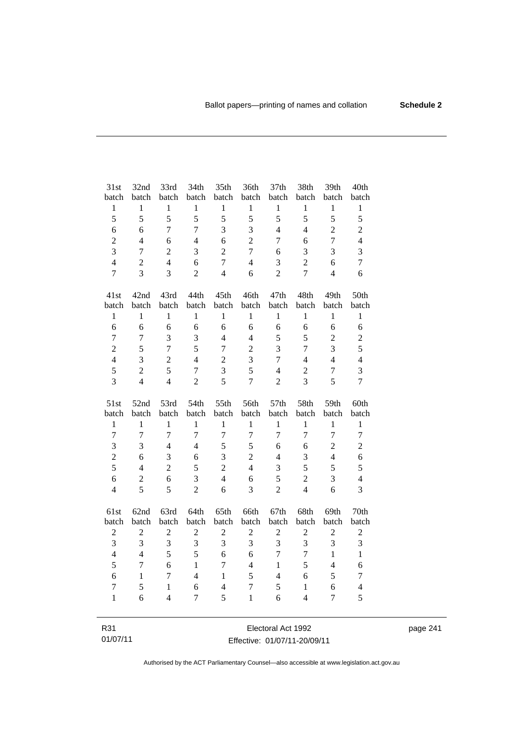| 31st             | 32nd             | 33rd           | 34th             | 35th             | 36th                    | 37th             | 38th           | 39th           | 40th           |
|------------------|------------------|----------------|------------------|------------------|-------------------------|------------------|----------------|----------------|----------------|
| batch            | batch            | batch          | batch            | batch            | batch                   | batch            | batch          | batch          | batch          |
| $\mathbf{1}$     | $\mathbf{1}$     | $\mathbf{1}$   | $\mathbf{1}$     | $\mathbf{1}$     | $\,1$                   | $\mathbf{1}$     | $\mathbf{1}$   | $\mathbf{1}$   | $\mathbf{1}$   |
| 5                | 5                | 5              | 5                | 5                | 5                       | 5                | 5              | 5              | 5              |
| 6                | 6                | $\overline{7}$ | $\overline{7}$   | 3                | 3                       | $\overline{4}$   | $\overline{4}$ | $\overline{c}$ | $\overline{c}$ |
| $\boldsymbol{2}$ | $\overline{4}$   | 6              | $\overline{4}$   | 6                | $\overline{c}$          | 7                | 6              | $\overline{7}$ | $\overline{4}$ |
| 3                | $\overline{7}$   | $\overline{c}$ | 3                | $\overline{2}$   | $\boldsymbol{7}$        | 6                | 3              | 3              | 3              |
| $\overline{4}$   | $\overline{2}$   | $\overline{4}$ | 6                | $\overline{7}$   | $\overline{4}$          | 3                | $\overline{2}$ | 6              | $\overline{7}$ |
| $\overline{7}$   | $\overline{3}$   | $\overline{3}$ | $\overline{2}$   | $\overline{4}$   | 6                       | $\overline{2}$   | $\overline{7}$ | $\overline{4}$ | 6              |
| 41st             | 42nd             | 43rd           | 44th             | 45th             | 46th                    | 47th             | 48th           | 49th           | 50th           |
| batch            | batch            | batch          | batch            | batch            | batch                   | batch            | batch          | batch          | batch          |
| $\mathbf{1}$     | $\mathbf{1}$     | $\mathbf{1}$   | $\mathbf{1}$     | $\mathbf{1}$     | $\mathbf{1}$            | $\mathbf{1}$     | $\mathbf{1}$   | $\mathbf{1}$   | $\mathbf{1}$   |
| 6                | 6                | 6              | 6                | 6                | 6                       | 6                | 6              | 6              | 6              |
| 7                | $\boldsymbol{7}$ | 3              | 3                | $\overline{4}$   | $\overline{4}$          | 5                | 5              | $\overline{c}$ | $\overline{c}$ |
| $\overline{2}$   | 5                | $\overline{7}$ | 5                | $\overline{7}$   | $\overline{c}$          | 3                | $\overline{7}$ | 3              | 5              |
| $\overline{4}$   | $\overline{3}$   | $\overline{2}$ | $\overline{4}$   | $\overline{2}$   | $\overline{\mathbf{3}}$ | $\boldsymbol{7}$ | $\overline{4}$ | $\overline{4}$ | $\overline{4}$ |
| 5                | $\overline{c}$   | 5              | $\boldsymbol{7}$ | 3                | 5                       | $\overline{4}$   | $\overline{c}$ | $\overline{7}$ | 3              |
| 3                | $\overline{4}$   | $\overline{4}$ | $\overline{2}$   | 5                | $\overline{7}$          | $\overline{2}$   | 3              | 5              | $\overline{7}$ |
|                  |                  |                |                  |                  |                         |                  |                |                |                |
| 51st             | 52nd             | 53rd           | 54th             | 55th             | 56th                    | 57th             | 58th           | 59th           | 60th           |
| batch            | batch            | batch          | batch            | batch            | batch                   | batch            | batch          | batch          | batch          |
| $\mathbf{1}$     | $\mathbf{1}$     | $\mathbf{1}$   | $\mathbf{1}$     | $\mathbf{1}$     | $\mathbf{1}$            | $\mathbf{1}$     | $\mathbf{1}$   | $\mathbf{1}$   | $\mathbf{1}$   |
| $\overline{7}$   | $\overline{7}$   | $\overline{7}$ | $\overline{7}$   | $\overline{7}$   | $\overline{7}$          | $\overline{7}$   | $\overline{7}$ | $\overline{7}$ | $\tau$         |
| 3                | 3                | $\overline{4}$ | $\overline{4}$   | 5                | 5                       | 6                | 6              | $\overline{c}$ | $\overline{c}$ |
| $\overline{c}$   | 6                | 3              | 6                | 3                | $\overline{c}$          | $\overline{4}$   | 3              | $\overline{4}$ | 6              |
| 5                | $\overline{4}$   | $\overline{2}$ | 5                | $\overline{2}$   | $\overline{4}$          | 3                | 5              | 5              | 5              |
| 6                | $\overline{2}$   | 6              | 3                | $\overline{4}$   | 6                       | 5                | $\overline{c}$ | 3              | $\overline{4}$ |
| $\overline{4}$   | 5                | 5              | $\overline{c}$   | 6                | 3                       | $\overline{c}$   | $\overline{4}$ | 6              | 3              |
| 61st             | 62nd             | 63rd           | 64th             | 65th             | 66th                    | 67th             | 68th           | 69th           | 70th           |
| batch            | batch            | batch          | batch            | batch            | batch                   | batch            | batch          | batch          | batch          |
| $\overline{c}$   | $\overline{c}$   | $\overline{c}$ | $\overline{c}$   | $\boldsymbol{2}$ | $\overline{2}$          | $\overline{2}$   | $\overline{c}$ | $\overline{c}$ | $\overline{c}$ |
| 3                | $\overline{3}$   | 3              | 3                | 3                | 3                       | 3                | 3              | 3              | 3              |
| $\overline{4}$   | $\overline{4}$   | 5              | 5                | 6                | 6                       | $\overline{7}$   | $\overline{7}$ | $\mathbf{1}$   | $\mathbf{1}$   |
| 5                | $\boldsymbol{7}$ | 6              | $\mathbf{1}$     | $\overline{7}$   | $\overline{4}$          | $\mathbf{1}$     | 5              | $\overline{4}$ | 6              |
| 6                | $\mathbf{1}$     | $\tau$         | $\overline{4}$   | $\mathbf{1}$     | 5                       | $\overline{4}$   | $\sqrt{6}$     | 5              | $\tau$         |
| $\overline{7}$   | 5                | $\mathbf{1}$   | 6                | $\overline{4}$   | $\overline{7}$          | 5                | $\mathbf{1}$   | 6              | $\overline{4}$ |
| $\mathbf{1}$     | 6                | $\overline{4}$ | 7                | 5                | $\mathbf{1}$            | 6                | $\overline{4}$ | $\overline{7}$ | 5              |

page 241

Effective: 01/07/11-20/09/11

R31 01/07/11

Authorised by the ACT Parliamentary Counsel—also accessible at www.legislation.act.gov.au

Electoral Act 1992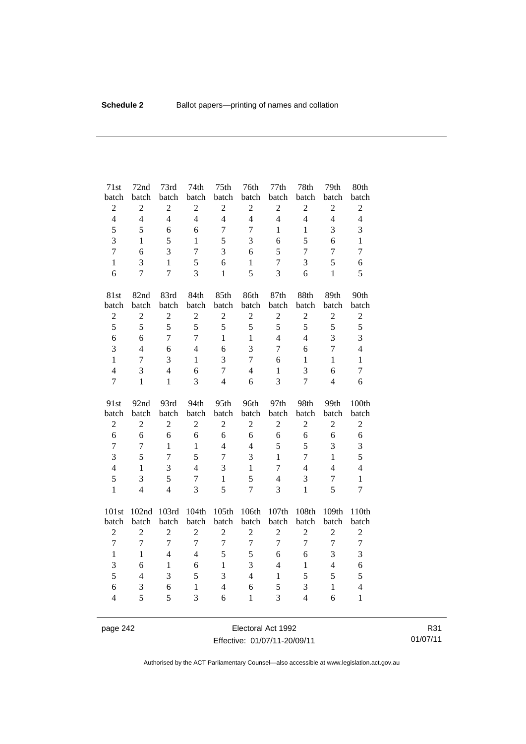| 71st                | 72nd             | 73rd           | 74th              | 75 <sup>th</sup>    | 76th              | 77th             | 78th                | 79th              | 80th                           |
|---------------------|------------------|----------------|-------------------|---------------------|-------------------|------------------|---------------------|-------------------|--------------------------------|
| batch               | batch            | batch          | batch             | batch               | batch             | batch            | batch               | batch             | batch                          |
| $\overline{c}$      | $\sqrt{2}$       | $\overline{c}$ | $\overline{c}$    | $\overline{2}$      | $\sqrt{2}$        | $\overline{2}$   | $\sqrt{2}$          | $\mathbf{2}$      | $\overline{c}$                 |
| $\overline{4}$      | $\overline{4}$   | $\overline{4}$ | $\overline{4}$    | $\overline{4}$      | $\overline{4}$    | $\overline{4}$   | $\overline{4}$      | $\overline{4}$    | $\overline{4}$                 |
| 5                   | 5                | 6              | 6                 | $\overline{7}$      | $\overline{7}$    | $\mathbf{1}$     | $\mathbf{1}$        | 3                 | 3                              |
| 3                   | $\mathbf{1}$     | 5              | $\mathbf{1}$      | 5                   | 3                 | 6                | 5                   | 6                 | $\mathbf{1}$                   |
| $\overline{7}$      | 6                | 3              | $\overline{7}$    | 3                   | 6                 | 5                | $\tau$              | $\overline{7}$    | $\overline{7}$                 |
| $\mathbf{1}$        | 3                | $\mathbf{1}$   | 5                 | 6                   | $\mathbf{1}$      | $\boldsymbol{7}$ | 3                   | 5                 | 6                              |
| 6                   | $\overline{7}$   | $\overline{7}$ | 3                 | $\mathbf{1}$        | 5                 | 3                | 6                   | $\mathbf{1}$      | 5                              |
| 81st                | 82nd             | 83rd           | 84th              | 85th                | 86th              | 87th             | 88th                | 89th              | 90th                           |
| batch               | batch            | batch          | batch             | batch               | batch             | batch            | batch               | batch             | batch                          |
| $\sqrt{2}$          | $\overline{c}$   | $\overline{c}$ | $\overline{2}$    | $\overline{2}$      | $\overline{2}$    | $\overline{2}$   | $\overline{c}$      | $\overline{c}$    | $\sqrt{2}$                     |
| 5                   | 5                | 5              | 5                 | 5                   | 5                 | 5                | 5                   | 5                 | 5                              |
| 6                   | 6                | $\overline{7}$ | $\overline{7}$    | $\mathbf{1}$        | $\mathbf{1}$      | $\overline{4}$   | $\overline{4}$      | 3                 | 3                              |
| 3                   | $\overline{4}$   | 6              | $\overline{4}$    | 6                   | 3                 | $\tau$           | 6                   | $\overline{7}$    | $\overline{4}$                 |
| $\mathbf{1}$        | 7                | 3              | $\mathbf{1}$      | 3                   | $\overline{7}$    | 6                | $\mathbf{1}$        | $\mathbf{1}$      | $\mathbf{1}$                   |
| $\overline{4}$      | 3                | $\overline{4}$ | 6                 | $\overline{7}$      | $\overline{4}$    | $\mathbf{1}$     | 3                   | 6                 | $\tau$                         |
| $\overline{7}$      | $\mathbf{1}$     | $\mathbf{1}$   | 3                 | $\overline{4}$      | 6                 | 3                | $\overline{7}$      | $\overline{4}$    | 6                              |
|                     |                  |                |                   |                     |                   |                  |                     |                   |                                |
| 91st                | 92nd             | 93rd           | 94th              | 95th                | 96th              | 97th             | 98th                | 99th              | 100th                          |
| batch               | batch            | batch          | batch             | batch               | batch             | batch            | batch               | batch             | batch                          |
| $\overline{c}$      | $\boldsymbol{2}$ | $\overline{c}$ | $\overline{c}$    | $\sqrt{2}$          | $\overline{2}$    | $\overline{c}$   | $\overline{c}$      | $\overline{c}$    | $\overline{c}$                 |
| 6                   | 6                | 6              | 6                 | 6                   | 6                 | 6                | 6                   | 6                 | 6                              |
| $\overline{7}$      | $\tau$           | $\mathbf{1}$   | $\mathbf{1}$      | $\overline{4}$      | $\overline{4}$    | 5                | 5                   | 3                 | $\mathfrak{Z}$                 |
| 3                   | 5                | $\overline{7}$ | 5                 | $\overline{7}$      | 3                 | $\mathbf{1}$     | $\overline{7}$      | $\mathbf{1}$      | 5                              |
| $\overline{4}$      | $\mathbf{1}$     | 3              | $\overline{4}$    | 3                   | $\mathbf{1}$      | 7                | $\overline{4}$      | $\overline{4}$    | $\overline{4}$                 |
| 5                   | 3                | 5              | $\tau$            | $\mathbf{1}$        | 5                 | $\overline{4}$   | 3                   | $\boldsymbol{7}$  | $\mathbf{1}$                   |
| $\mathbf{1}$        | $\overline{4}$   | $\overline{4}$ | $\overline{3}$    | 5                   | $\overline{7}$    | 3                | $\mathbf{1}$        | 5                 | $\overline{7}$                 |
| 101st               | 102nd            | 103rd          | 104th             | 105th               | 106th             | 107th            | 108th               | 109th             | 110th                          |
| batch               | batch            | batch          | batch             | batch               | batch             | batch            | batch               | batch             | batch                          |
| $\overline{2}$      | $\overline{2}$   | $\overline{2}$ | $\overline{2}$    | $\overline{2}$      | $\overline{2}$    | $\overline{2}$   | $\overline{c}$      | $\overline{c}$    | $\overline{2}$                 |
| $\overline{7}$      | $\boldsymbol{7}$ | $\overline{7}$ | $\overline{7}$    | $\overline{7}$      | $\boldsymbol{7}$  | $\overline{7}$   | $\overline{7}$      | $\overline{7}$    | $\boldsymbol{7}$               |
| $\mathbf{1}$        | $\mathbf{1}$     | $\overline{4}$ | $\overline{4}$    | 5                   | 5                 | 6                | 6                   | 3                 | 3                              |
| 3                   | 6                | $\mathbf{1}$   | 6                 | $\mathbf{1}$        | 3                 | $\overline{4}$   | $\mathbf{1}$        | $\overline{4}$    | 6                              |
| 5                   | $\overline{4}$   | 3              | 5                 | 3                   | $\overline{4}$    | $\mathbf{1}$     | 5                   | 5                 | 5                              |
| 6<br>$\overline{4}$ | 3<br>5           | 6<br>5         | $\mathbf{1}$<br>3 | $\overline{4}$<br>6 | 6<br>$\mathbf{1}$ | 5<br>3           | 3<br>$\overline{4}$ | $\mathbf{1}$<br>6 | $\overline{4}$<br>$\mathbf{1}$ |

page 242 **Electoral Act 1992** Effective: 01/07/11-20/09/11

R31 01/07/11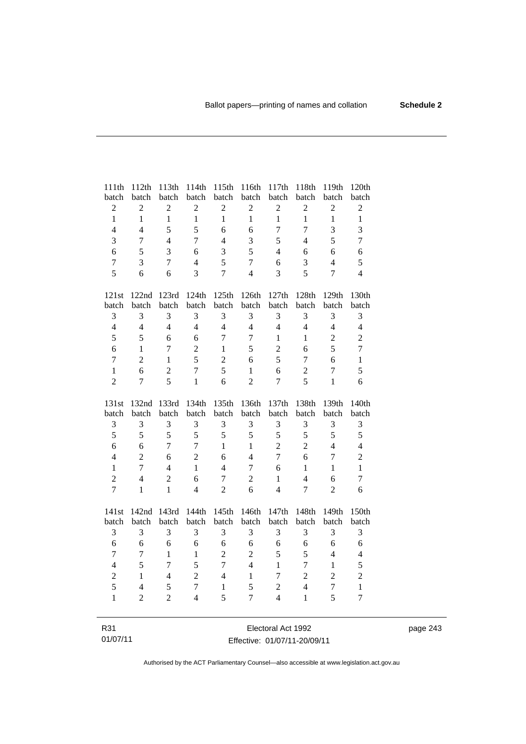| 111th                          | 112th                            | 113th                    | 114th                          | 115th               | 116th                          | 117th                            | 118th                    | 119th                            | 120th                          |
|--------------------------------|----------------------------------|--------------------------|--------------------------------|---------------------|--------------------------------|----------------------------------|--------------------------|----------------------------------|--------------------------------|
| batch                          | batch                            | batch                    | batch                          | batch               | batch                          | batch                            | batch                    | batch                            | batch                          |
| $\sqrt{2}$                     | $\boldsymbol{2}$                 | $\overline{2}$           | $\overline{2}$                 | $\overline{c}$      | $\boldsymbol{2}$               | $\overline{2}$                   | $\sqrt{2}$               | $\boldsymbol{2}$                 | $\sqrt{2}$                     |
| $\mathbf{1}$                   | $\mathbf{1}$                     | $\mathbf{1}$             | $\mathbf{1}$                   | $\mathbf{1}$        | $\mathbf{1}$                   | $\mathbf{1}$                     | $\mathbf{1}$             | $\mathbf{1}$                     | $\mathbf{1}$                   |
| $\overline{4}$                 | $\overline{4}$                   | 5                        | 5                              | 6                   | 6                              | $\overline{7}$                   | $\overline{7}$           | 3                                | 3                              |
| $\overline{3}$                 | 7                                | $\overline{4}$           | $\overline{7}$                 | $\overline{4}$      | 3                              | 5                                | $\overline{\mathcal{L}}$ | 5                                | $\overline{7}$                 |
| 6                              | 5                                | $\overline{3}$           | 6                              | 3                   | 5                              | $\overline{4}$                   | 6                        | 6                                | 6                              |
| $\overline{7}$                 | 3                                | $\overline{7}$           | $\overline{4}$                 | 5                   | $\overline{7}$                 | 6                                | 3                        | $\overline{4}$                   | 5                              |
| 5                              | 6                                | 6                        | 3                              | $\overline{7}$      | $\overline{4}$                 | 3                                | 5                        | $\overline{7}$                   | $\overline{4}$                 |
| 121st                          | 122nd                            | 123rd                    | 124th                          | 125th               | 126th                          | 127th                            | 128th                    | 129th                            | 130th                          |
| batch                          | batch                            | batch                    | batch                          | batch               | batch                          | batch                            | batch                    | batch                            | batch                          |
| 3                              | 3                                | 3                        | 3                              | 3                   | $\mathfrak{Z}$                 | 3                                | 3                        | 3                                | 3                              |
| $\overline{4}$                 | $\overline{4}$                   | $\overline{4}$           | $\overline{4}$                 | $\overline{4}$      | $\overline{4}$                 | $\overline{4}$                   | $\overline{4}$           | $\overline{4}$                   | $\overline{4}$                 |
| 5                              | 5                                | 6                        | 6                              | $\overline{7}$      | $\boldsymbol{7}$               | $\mathbf{1}$                     | 1                        | $\mathbf{2}$                     | $\overline{2}$                 |
| 6                              | $\mathbf{1}$                     | $\overline{7}$           | $\overline{c}$                 | $\mathbf{1}$        | 5                              | $\overline{2}$                   | 6                        | 5                                | $\tau$                         |
| $\overline{7}$                 | $\overline{2}$                   | $\mathbf{1}$             | 5                              | $\overline{2}$      | 6                              | 5                                | $\overline{7}$           | 6                                | $\mathbf{1}$                   |
| $\mathbf{1}$                   | 6                                | $\overline{c}$           | $\overline{7}$                 | 5                   | $\mathbf{1}$                   | 6                                | $\overline{2}$           | $\boldsymbol{7}$                 | 5                              |
| $\overline{2}$                 | 7                                | $\overline{5}$           | $\mathbf{1}$                   | 6                   | $\overline{2}$                 | 7                                | 5                        | $\mathbf{1}$                     | 6                              |
|                                |                                  |                          |                                |                     |                                |                                  |                          |                                  |                                |
| 131st                          | 132nd                            | 133rd                    | 134th                          | 135th               | 136th                          | 137th                            | 138th                    | 139th                            | 140th                          |
| batch                          | batch                            | batch                    | batch                          | batch               | batch                          | batch                            | batch                    | batch                            | batch                          |
| 3                              | 3                                | 3                        | 3                              | 3                   | 3                              | 3                                | 3                        | 3                                | 3                              |
| 5                              | 5                                | 5                        | 5                              | 5                   | 5                              | 5                                | 5                        | 5                                | 5                              |
| 6                              | 6                                | $\tau$                   | $\tau$                         | $\mathbf{1}$        | $\mathbf{1}$<br>$\overline{4}$ | $\overline{2}$<br>$\overline{7}$ | $\overline{2}$           | $\overline{4}$<br>$\overline{7}$ | $\overline{4}$                 |
| $\overline{4}$<br>$\mathbf{1}$ | $\overline{2}$<br>$\overline{7}$ | 6<br>$\overline{4}$      | $\overline{2}$<br>$\mathbf{1}$ | 6<br>$\overline{4}$ | $\overline{7}$                 | 6                                | 6<br>$\mathbf{1}$        | $\mathbf{1}$                     | $\overline{c}$<br>$\mathbf{1}$ |
| $\overline{2}$                 | $\overline{4}$                   | $\overline{2}$           | 6                              | $\boldsymbol{7}$    | $\overline{2}$                 | $\mathbf{1}$                     | $\overline{4}$           | 6                                | $\tau$                         |
| $\overline{7}$                 | $\mathbf{1}$                     | $\mathbf{1}$             | $\overline{4}$                 | $\overline{2}$      | 6                              | $\overline{4}$                   | $\overline{7}$           | $\overline{2}$                   | 6                              |
|                                |                                  |                          |                                |                     |                                |                                  |                          |                                  |                                |
| 141st                          | 142nd<br>batch                   | 143rd<br>batch           | 144th<br>batch                 | 145th<br>batch      | 146th<br>batch                 | 147th<br>batch                   | 148th<br>batch           | 149th<br>batch                   | 150th                          |
| batch<br>3                     | 3                                | 3                        | 3                              | 3                   | 3                              | 3                                | 3                        | 3                                | batch<br>3                     |
| 6                              | 6                                | 6                        | 6                              | 6                   | 6                              | 6                                | 6                        | 6                                | 6                              |
| $\overline{7}$                 | $\tau$                           | $\mathbf{1}$             | $\mathbf{1}$                   | $\overline{2}$      | $\sqrt{2}$                     | 5                                | 5                        | $\overline{\mathcal{L}}$         | $\overline{4}$                 |
| $\overline{4}$                 | 5                                | $\overline{7}$           | 5                              | $\overline{7}$      | $\overline{4}$                 | $\mathbf{1}$                     | $\overline{7}$           | $\mathbf{1}$                     | 5                              |
| $\sqrt{2}$                     | $\mathbf{1}$                     | $\overline{\mathcal{L}}$ | $\overline{c}$                 | $\overline{4}$      | $\mathbf{1}$                   | 7                                | $\overline{2}$           | $\overline{2}$                   |                                |
| 5                              | $\overline{\mathcal{L}}$         | 5                        | $\overline{7}$                 | $\mathbf{1}$        | 5                              | $\overline{2}$                   | $\overline{4}$           | $\overline{7}$                   | $\overline{c}$<br>$\mathbf{1}$ |
| $\mathbf{1}$                   | $\overline{2}$                   | $\overline{2}$           | $\overline{4}$                 | 5                   | $\overline{7}$                 | $\overline{4}$                   | $\mathbf{1}$             | 5                                | $\overline{7}$                 |

R31 01/07/11

Electoral Act 1992 Effective: 01/07/11-20/09/11 page 243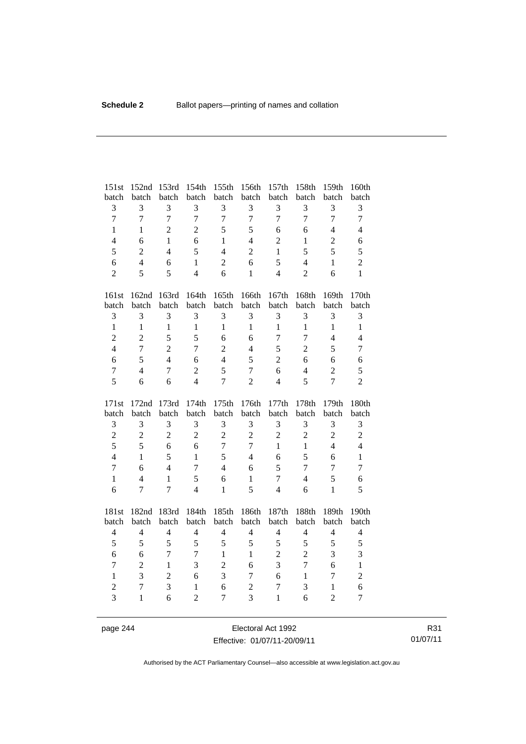| 151st          | 152nd          | 153rd          | 154th          | 155th                      | 156th             | 157th                        | 158th               | 159th            | 160th          |
|----------------|----------------|----------------|----------------|----------------------------|-------------------|------------------------------|---------------------|------------------|----------------|
| batch          | batch          | batch          | batch          | batch                      | batch             | batch                        | batch               | batch            | batch          |
| 3              | 3              | 3              | 3              | 3                          | 3                 | 3                            | 3                   | $\mathfrak{Z}$   | $\mathfrak{Z}$ |
| $\overline{7}$ | $\overline{7}$ | $\overline{7}$ | $\overline{7}$ | $\overline{7}$             | $\overline{7}$    | $\overline{7}$               | $\overline{7}$      | $\overline{7}$   | $\overline{7}$ |
| $\mathbf{1}$   | $\mathbf{1}$   | $\overline{2}$ | $\overline{2}$ | 5                          | 5                 | 6                            | 6                   | $\overline{4}$   | $\overline{4}$ |
| $\overline{4}$ | 6              | $\mathbf{1}$   | 6              | $\mathbf{1}$               | $\overline{4}$    | $\overline{2}$               | $\mathbf{1}$        | $\overline{c}$   | 6              |
| 5              | $\overline{2}$ | $\overline{4}$ | 5              | $\overline{4}$             | $\overline{2}$    | $\mathbf{1}$                 | 5                   | 5                | 5              |
| 6              | $\overline{4}$ | 6              | $\mathbf{1}$   | $\overline{2}$             | 6                 | 5                            | $\overline{4}$      | $\mathbf{1}$     | $\overline{c}$ |
| $\overline{2}$ | 5              | 5              | $\overline{4}$ | 6                          | $\mathbf{1}$      | $\overline{4}$               | $\overline{2}$      | 6                | $\mathbf{1}$   |
| 161st          | 162nd          | 163rd          | 164th          | 165th                      | 166th             | 167th                        | 168th               | 169th            | 170th          |
| batch          | batch          | batch          | batch          | batch                      | batch             | batch                        | batch               | batch            | batch          |
| 3              | 3              | 3              | 3              | 3                          | 3                 | 3                            | 3                   | $\mathfrak{Z}$   | 3              |
| $\mathbf{1}$   | $\mathbf{1}$   | $\mathbf{1}$   | $\mathbf{1}$   | $\mathbf{1}$               | $\mathbf{1}$      | $\mathbf{1}$                 | $\mathbf{1}$        | $\mathbf{1}$     | $\mathbf{1}$   |
| $\overline{c}$ | $\overline{2}$ | 5              | 5              | 6                          | 6                 | 7                            | $\overline{7}$      | $\overline{4}$   | $\overline{4}$ |
| $\overline{4}$ | $\overline{7}$ | $\overline{2}$ | $\overline{7}$ | $\overline{2}$             | $\overline{4}$    | 5                            | $\overline{2}$      | 5                | $\tau$         |
| 6              | 5              | $\overline{4}$ | 6              | $\overline{4}$             | 5                 | $\overline{2}$               | 6                   | 6                | 6              |
| $\overline{7}$ | $\overline{4}$ | $\tau$         | $\overline{2}$ | 5                          | $\overline{7}$    | 6                            | $\overline{4}$      | $\overline{2}$   | 5              |
| 5              | 6              | 6              | $\overline{4}$ | $\overline{7}$             | $\overline{2}$    | $\overline{4}$               | 5                   | $\overline{7}$   | $\overline{2}$ |
|                |                |                |                |                            |                   |                              |                     |                  |                |
|                |                |                |                |                            |                   |                              |                     |                  |                |
| 171st<br>batch | 172nd<br>batch | 173rd<br>batch | 174th<br>batch | 175th<br>batch             | 176th<br>batch    | 177th<br>batch               | 178th<br>batch      | 179th<br>batch   | 180th<br>batch |
| 3              | 3              | 3              | 3              | $\mathfrak{Z}$             | 3                 | 3                            | $\mathfrak{Z}$      | 3                | $\mathfrak{Z}$ |
| $\overline{c}$ | $\overline{c}$ | $\overline{2}$ | $\overline{2}$ | $\overline{2}$             | $\overline{c}$    | $\overline{2}$               | $\overline{2}$      | $\overline{2}$   | $\overline{2}$ |
| 5              | 5              | 6              | 6              | $\overline{7}$             | $\overline{7}$    | $\mathbf{1}$                 | $\mathbf{1}$        | $\overline{4}$   | $\overline{4}$ |
| $\overline{4}$ | $\mathbf{1}$   | 5              | $\mathbf{1}$   | 5                          | $\overline{4}$    | 6                            | 5                   | 6                | $\mathbf{1}$   |
| $\overline{7}$ | 6              | $\overline{4}$ | $\tau$         | $\overline{4}$             | 6                 | 5                            | $\tau$              | $\overline{7}$   | $\overline{7}$ |
| $\mathbf{1}$   | $\overline{4}$ | $\mathbf{1}$   | 5              | 6                          | $\mathbf{1}$      | 7                            | $\overline{4}$      | 5                | 6              |
| 6              | 7              | $\overline{7}$ | $\overline{4}$ | $\mathbf{1}$               | 5                 | $\overline{4}$               | 6                   | $\mathbf{1}$     | 5              |
|                |                |                |                |                            |                   |                              |                     |                  |                |
| 181st<br>batch | 182nd<br>batch | 183rd<br>batch | 184th<br>batch | 185th<br>batch             | 186th<br>batch    | 187th<br>batch               | 188th<br>batch      | 189th<br>batch   | 190th<br>batch |
| $\overline{4}$ | $\overline{4}$ | $\overline{4}$ | $\overline{4}$ | $\overline{4}$             | $\overline{4}$    | $\overline{4}$               | $\overline{4}$      | $\overline{4}$   | $\overline{4}$ |
|                | 5              | 5              | 5              |                            |                   |                              |                     |                  |                |
| 5<br>6         | 6              | $\overline{7}$ | $\overline{7}$ | $\sqrt{5}$<br>$\mathbf{1}$ | 5<br>$\mathbf{1}$ | $\sqrt{5}$<br>$\overline{c}$ | 5<br>$\overline{2}$ | 5<br>3           | 5<br>3         |
| $\tau$         | $\overline{2}$ | $\mathbf{1}$   | 3              | $\overline{2}$             | 6                 | 3                            | $\overline{7}$      | 6                | $\mathbf{1}$   |
| $\mathbf{1}$   | 3              | $\overline{c}$ | 6              | 3                          | $\tau$            | 6                            | $\mathbf{1}$        | $\boldsymbol{7}$ | $\overline{c}$ |
| $\overline{c}$ | $\overline{7}$ | 3              | $\mathbf{1}$   | 6                          | $\overline{c}$    | $\overline{7}$               | 3                   | $\mathbf{1}$     | 6              |
| $\overline{3}$ | $\mathbf{1}$   | 6              | $\overline{c}$ | $\overline{7}$             | $\overline{3}$    | $\mathbf{1}$                 | 6                   | $\overline{2}$   | $\overline{7}$ |

page 244 Electoral Act 1992 Effective: 01/07/11-20/09/11

R31 01/07/11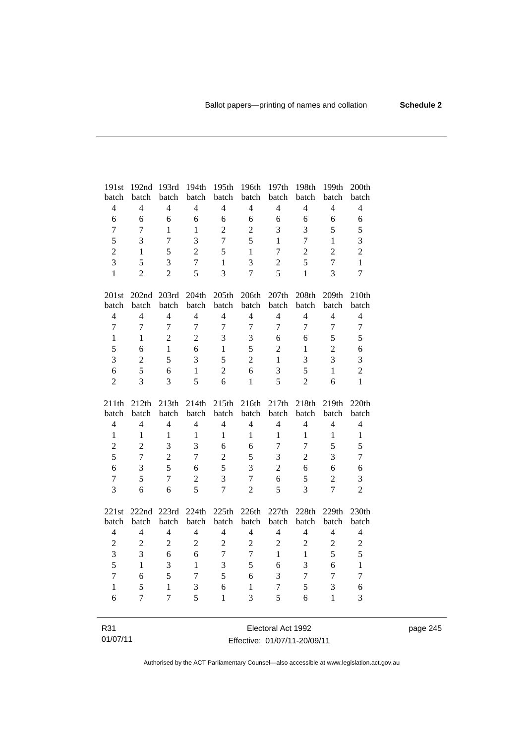| 191st          | 192nd          | 193rd          | 194th          | 195th          | 196th          | 197th            | 198th          | 199th          | 200th            |
|----------------|----------------|----------------|----------------|----------------|----------------|------------------|----------------|----------------|------------------|
| batch          | batch          | batch          | batch          | batch          | batch          | batch            | batch          | batch          | batch            |
| $\overline{4}$ | $\overline{4}$ | $\overline{4}$ | $\overline{4}$ | $\overline{4}$ | $\overline{4}$ | $\overline{4}$   | $\overline{4}$ | $\overline{4}$ | $\overline{4}$   |
| 6              | 6              | 6              | 6              | 6              | 6              | 6                | 6              | 6              | 6                |
| $\tau$         | $\overline{7}$ | $\mathbf{1}$   | $\mathbf{1}$   | $\overline{2}$ | $\overline{2}$ | 3                | 3              | 5              | 5                |
| 5              | 3              | $\overline{7}$ | 3              | $\overline{7}$ | 5              | $\mathbf{1}$     | $\overline{7}$ | $\mathbf{1}$   | 3                |
| $\overline{c}$ | 1              | 5              | $\overline{2}$ | 5              | $\mathbf{1}$   | $\boldsymbol{7}$ | $\overline{c}$ | $\overline{2}$ | $\overline{c}$   |
| $\overline{3}$ | 5              | $\overline{3}$ | $\overline{7}$ | $\mathbf{1}$   | $\overline{3}$ | $\overline{c}$   | 5              | $\overline{7}$ | $\mathbf{1}$     |
| $\mathbf{1}$   | $\overline{2}$ | $\overline{2}$ | 5              | 3              | $\overline{7}$ | 5                | $\mathbf{1}$   | 3              | $\overline{7}$   |
| 201st          |                | 202nd 203rd    | 204th          | 205th          | 206th          | 207th            | 208th          | 209th          | 210th            |
| batch          | batch          | batch          | batch          | batch          | batch          | batch            | batch          | batch          | batch            |
| $\overline{4}$ | $\overline{4}$ | $\overline{4}$ | $\overline{4}$ | $\overline{4}$ | $\overline{4}$ | $\overline{4}$   | $\overline{4}$ | $\overline{4}$ | $\overline{4}$   |
| $\overline{7}$ | $\overline{7}$ | $\overline{7}$ | $\overline{7}$ | $\overline{7}$ | $\overline{7}$ | $\overline{7}$   | $\overline{7}$ | $\overline{7}$ | $\boldsymbol{7}$ |
| $\mathbf{1}$   | $\mathbf{1}$   | $\overline{c}$ | $\overline{2}$ | 3              | 3              | 6                | 6              | 5              | 5                |
| 5              | 6              | $\mathbf{1}$   | 6              | $\mathbf{1}$   | 5              | $\overline{c}$   | $\mathbf{1}$   | $\overline{2}$ | 6                |
| 3              | $\overline{2}$ | 5              | 3              | 5              | $\overline{2}$ | $\mathbf{1}$     | 3              | 3              | $\overline{3}$   |
| 6              | 5              | 6              | $\mathbf{1}$   | $\overline{2}$ | 6              | 3                | 5              | $\mathbf{1}$   | $\overline{2}$   |
| $\overline{2}$ | 3              | $\overline{3}$ | 5              | 6              | $\mathbf{1}$   | 5                | $\overline{2}$ | 6              | $\mathbf{1}$     |
|                |                |                |                |                |                |                  |                |                |                  |
| 211th          | 212th          | 213th          | 214th          | 215th          | 216th          | 217th            | 218th          | 219th          | 220th            |
| batch          | batch          | batch          | batch          | batch          | batch          | batch            | batch          | batch          | batch            |
| $\overline{4}$ | $\overline{4}$ | $\overline{4}$ | $\overline{4}$ | $\overline{4}$ | $\overline{4}$ | $\overline{4}$   | $\overline{4}$ | $\overline{4}$ | $\overline{4}$   |
| $\mathbf{1}$   | 1              | 1              | $\mathbf{1}$   | $\mathbf{1}$   | $\mathbf{1}$   | 1                | $\mathbf{1}$   | $\mathbf{1}$   | $\,1\,$          |
| $\overline{c}$ | $\overline{2}$ | 3              | 3              | 6              | 6              | $\overline{7}$   | $\overline{7}$ | 5              | 5                |
| 5              | $\overline{7}$ | $\overline{2}$ | $\overline{7}$ | $\overline{c}$ | 5              | 3                | $\overline{c}$ | $\overline{3}$ | $\overline{7}$   |
| 6              | 3              | 5              | 6              | 5              | 3              | $\overline{2}$   | 6              | 6              | 6                |
| $\overline{7}$ | 5              | $\overline{7}$ | $\overline{2}$ | 3              | $\overline{7}$ | 6                | 5              | $\overline{2}$ | 3                |
| $\overline{3}$ | 6              | 6              | 5              | $\overline{7}$ | $\overline{2}$ | 5                | 3              | $\overline{7}$ | $\overline{2}$   |
| 221st          | 222nd          | 223rd          | 224th          | 225th          | 226th          | 227th            | 228th          | 229th          | 230th            |
| batch          | batch          | batch          | batch          | batch          | batch          | batch            | batch          | batch          | batch            |
| $\overline{4}$ | $\overline{4}$ | $\overline{4}$ | $\overline{4}$ | $\overline{4}$ | $\overline{4}$ | $\overline{4}$   | $\overline{4}$ | $\overline{4}$ | $\overline{4}$   |
| $\overline{c}$ | $\overline{c}$ | $\overline{2}$ | $\overline{2}$ | $\overline{2}$ | $\overline{2}$ | $\overline{2}$   | $\overline{2}$ | $\overline{c}$ | $\overline{c}$   |
| 3              | 3              | 6              | 6              | $\overline{7}$ | $\overline{7}$ | $\mathbf{1}$     | $\mathbf{1}$   | 5              | 5                |
| 5              | $\mathbf{1}$   | 3              | $\mathbf{1}$   | 3              | 5              | 6                | 3              | 6              | $\mathbf{1}$     |
| $\overline{7}$ | 6              | 5              | 7              | 5              | 6              | 3                | $\tau$         | $\tau$         | $\overline{7}$   |
| $\mathbf{1}$   | 5              | $\mathbf{1}$   | 3              | 6              | $\mathbf{1}$   | $\boldsymbol{7}$ | 5              | 3              | 6                |
| 6              | 7              | $\overline{7}$ | 5              | 1              | 3              | 5                | 6              | $\mathbf{1}$   | 3                |

page 245

R31 01/07/11

Electoral Act 1992 Effective: 01/07/11-20/09/11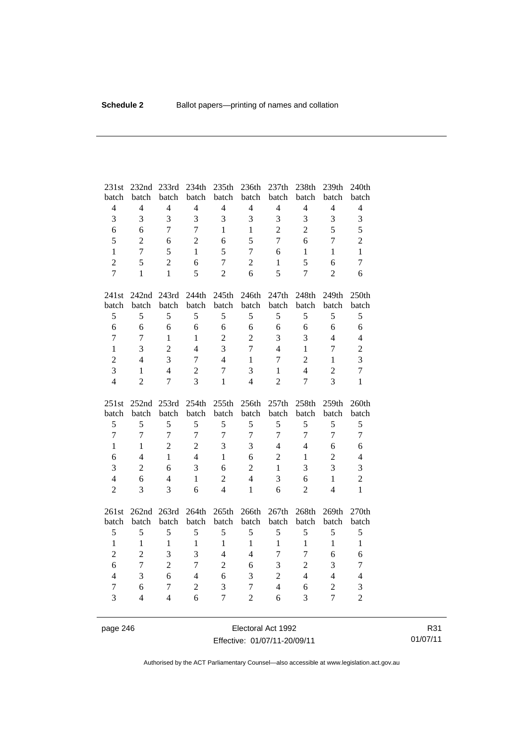| 231st<br>batch | 232nd<br>batch | 233rd<br>batch | 234th<br>batch      | 235th<br>batch      | 236th<br>batch                   | 237th<br>batch | 238th<br>batch | 239th<br>batch                   | 240th<br>batch      |
|----------------|----------------|----------------|---------------------|---------------------|----------------------------------|----------------|----------------|----------------------------------|---------------------|
| $\overline{4}$ | $\overline{4}$ | $\overline{4}$ | $\overline{4}$      | $\overline{4}$      | $\overline{4}$                   | $\overline{4}$ | $\overline{4}$ | $\overline{4}$                   | $\overline{4}$      |
| 3              | 3              | $\overline{3}$ | $\overline{3}$      | 3                   | 3                                | 3              | 3              | 3                                | 3                   |
| 6              | 6              | $\overline{7}$ | $\overline{7}$      | $\mathbf{1}$        | $\mathbf{1}$                     | $\overline{2}$ | $\overline{2}$ | 5                                | 5                   |
| 5              | $\overline{2}$ | 6              | $\overline{2}$      | 6                   | 5                                | $\overline{7}$ | 6              | $\overline{7}$                   | $\overline{2}$      |
| $\mathbf{1}$   | $\overline{7}$ | 5              | $\mathbf{1}$        | 5                   | $\overline{7}$                   | 6              | $\mathbf{1}$   | $\mathbf{1}$                     | $\mathbf{1}$        |
| $\overline{c}$ | 5              | $\overline{2}$ | 6                   | $\overline{7}$      | $\overline{c}$                   | 1              | 5              | 6                                | $\overline{7}$      |
| $\overline{7}$ | $\mathbf{1}$   | $\mathbf{1}$   | 5                   | $\overline{2}$      | 6                                | 5              | $\overline{7}$ | $\overline{2}$                   | 6                   |
|                |                |                |                     |                     |                                  |                |                |                                  |                     |
| 241st          | 242nd          | 243rd          | 244th               | 245th               | 246th                            | 247th          | 248th          | 249th                            | 250th               |
| batch          | batch          | batch          | batch               | batch               | batch                            | batch          | batch          | batch                            | batch               |
| 5              | 5              | 5              | 5                   | 5                   | 5                                | 5              | 5              | 5                                | 5                   |
| 6              | 6              | 6              | 6                   | 6                   | 6                                | 6              | 6              | 6                                | 6                   |
| $\overline{7}$ | $\overline{7}$ | $\mathbf{1}$   | $\mathbf{1}$        | $\overline{2}$      | $\overline{2}$                   | 3              | 3              | $\overline{4}$                   | $\overline{4}$      |
| $\mathbf{1}$   | 3              | $\overline{2}$ | $\overline{4}$      | $\overline{3}$      | $\overline{7}$                   | $\overline{4}$ | $\mathbf{1}$   | $\overline{7}$                   | $\overline{2}$      |
| $\overline{c}$ | $\overline{4}$ | 3              | $\overline{7}$      | $\overline{4}$      | $\mathbf{1}$                     | 7              | $\overline{2}$ | $\mathbf{1}$                     | 3                   |
| 3              | $\mathbf{1}$   | $\overline{4}$ | $\overline{2}$      | $\overline{7}$      | 3                                | 1              | $\overline{4}$ | $\overline{2}$                   | $\overline{7}$      |
| $\overline{4}$ | $\overline{2}$ | $\overline{7}$ | 3                   | $\mathbf{1}$        | $\overline{4}$                   | $\overline{2}$ | $\overline{7}$ | $\overline{3}$                   | $\mathbf{1}$        |
|                |                |                |                     |                     |                                  |                |                |                                  |                     |
| 251st          | 252nd          | 253rd          | 254th               | 255th               | 256th                            | 257th          | 258th          | 259th                            | 260th               |
| batch          | batch          | batch          | batch               | batch               | batch                            | batch          | batch          | batch                            | batch               |
| 5              | 5              | 5              | 5                   | 5                   | 5                                | 5              | 5              | 5                                | 5                   |
| $\overline{7}$ | $\overline{7}$ | $\overline{7}$ | $\overline{7}$      | $\overline{7}$      | $\overline{7}$                   | $\overline{7}$ | $\overline{7}$ | $\overline{7}$                   | $\overline{7}$      |
| $\mathbf{1}$   | $\mathbf{1}$   | $\overline{2}$ | $\overline{2}$      | 3                   | 3                                | $\overline{4}$ | $\overline{4}$ | 6                                | 6                   |
| 6              | $\overline{4}$ | $\mathbf{1}$   | $\overline{4}$      | $\mathbf{1}$        | 6                                | $\overline{2}$ | $\mathbf{1}$   | $\overline{2}$                   | $\overline{4}$      |
| 3              | $\overline{2}$ | 6              | 3                   | 6                   | $\overline{2}$                   | $\mathbf{1}$   | 3              | 3                                | 3                   |
| $\overline{4}$ | 6              | $\overline{4}$ | $\mathbf{1}$        | $\overline{2}$      | $\overline{4}$                   | 3              | 6              | $\mathbf{1}$                     | $\overline{c}$      |
| $\overline{2}$ | 3              | 3              | 6                   | $\overline{4}$      | $\mathbf{1}$                     | 6              | $\overline{2}$ | $\overline{4}$                   | $\mathbf{1}$        |
| 261st          | 262nd 263rd    |                | 264th               | 265th               | 266th                            | 267th          | 268th          | 269th                            | 270th               |
| batch          | batch          | batch          | batch               | batch               | batch                            | batch          | batch          | batch                            | batch               |
| 5              | 5              | 5              | 5                   | 5                   | 5                                | 5              | 5              | 5                                | 5                   |
| $\mathbf{1}$   | $\mathbf{1}$   | $\mathbf{1}$   | $\mathbf{1}$        | $\mathbf{1}$        | $\mathbf{1}$                     | $\mathbf{1}$   | $\mathbf{1}$   | $\mathbf{1}$                     | $\mathbf{1}$        |
| $\overline{c}$ | $\overline{2}$ | 3              | 3                   | $\overline{4}$      | $\overline{4}$                   | 7              | $\overline{7}$ | 6                                | 6                   |
| 6              | $\overline{7}$ | $\overline{2}$ | $\overline{7}$      | $\overline{2}$      | 6                                | 3              | $\overline{c}$ | 3                                | $\tau$              |
| $\overline{4}$ | 3              | 6              | $\overline{4}$      | 6                   | 3                                | $\overline{2}$ | $\overline{4}$ | $\overline{4}$                   | $\overline{4}$      |
| $\tau$<br>3    | 6              | $\tau$         | $\overline{2}$<br>6 | 3<br>$\overline{7}$ | $\overline{7}$<br>$\overline{2}$ | $\overline{4}$ | 6<br>3         | $\overline{2}$<br>$\overline{7}$ | 3<br>$\overline{2}$ |

page 246 Electoral Act 1992 Effective: 01/07/11-20/09/11

R31 01/07/11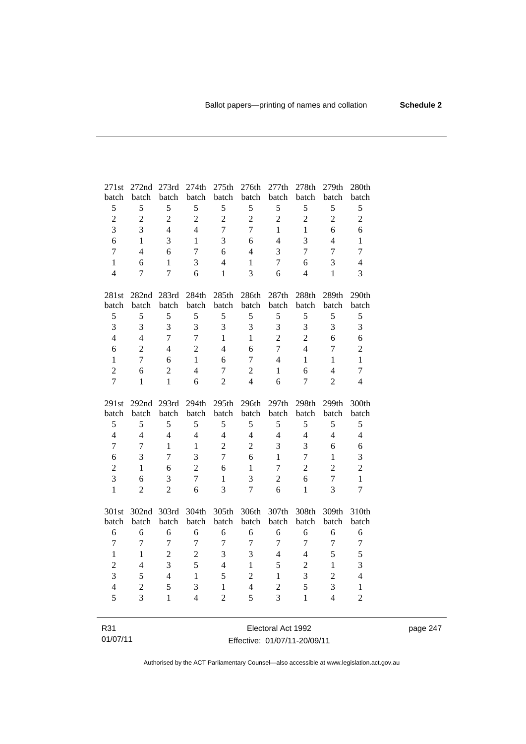| 271st          | 272nd 273rd    |                | 274th          | 275th          | 276th          | 277th             | 278th          | 279th          | 280th          |
|----------------|----------------|----------------|----------------|----------------|----------------|-------------------|----------------|----------------|----------------|
| batch          | batch          | batch          | batch          | batch          | batch          | batch             | batch          | batch          | batch          |
| 5              | 5              | 5              | 5              | 5              | 5              | 5                 | 5              | 5              | 5              |
| $\overline{c}$ | $\overline{2}$ | $\overline{2}$ | $\overline{2}$ | $\overline{2}$ | $\overline{2}$ | $\overline{c}$    | $\overline{2}$ | $\overline{2}$ | $\overline{2}$ |
| $\overline{3}$ | 3              | $\overline{4}$ | $\overline{4}$ | $\overline{7}$ | $\overline{7}$ | $\mathbf{1}$      | $\mathbf{1}$   | 6              | 6              |
| 6              | 1              | 3              | 1              | 3              | 6              | $\overline{4}$    | 3              | $\overline{4}$ | $\mathbf{1}$   |
| $\overline{7}$ | $\overline{4}$ | 6              | $\tau$         | 6              | $\overline{4}$ | 3                 | $\tau$         | $\overline{7}$ | $\overline{7}$ |
| $\mathbf{1}$   | 6              | $\mathbf{1}$   | 3              | $\overline{4}$ | $\mathbf{1}$   | 7                 | 6              | 3              | $\overline{4}$ |
| $\overline{4}$ | $\overline{7}$ | $\overline{7}$ | 6              | $\mathbf{1}$   | $\overline{3}$ | 6                 | $\overline{4}$ | $\mathbf{1}$   | 3              |
|                |                |                |                |                |                |                   |                |                |                |
| 281st          |                | 282nd 283rd    | 284th          | 285th          | 286th          | 287 <sub>th</sub> | 288th          | 289th          | 290th          |
| batch          | batch          | batch          | batch          | batch          | batch          | batch             | batch          | batch          | batch          |
| $\mathfrak s$  | 5              | 5              | 5              | 5              | 5              | 5                 | 5              | 5              | 5              |
| 3              | 3              | 3              | 3              | 3              | 3              | 3                 | 3              | 3              | 3              |
| $\overline{4}$ | $\overline{4}$ | $\overline{7}$ | $\overline{7}$ | $\mathbf{1}$   | $\mathbf{1}$   | $\overline{2}$    | $\overline{c}$ | 6              | 6              |
| 6              | $\overline{c}$ | $\overline{4}$ | $\overline{2}$ | $\overline{4}$ | 6              | $\overline{7}$    | $\overline{4}$ | $\tau$         | $\overline{c}$ |
| $\mathbf{1}$   | $\overline{7}$ | 6              | $\mathbf{1}$   | 6              | $\tau$         | $\overline{4}$    | $\mathbf{1}$   | $\mathbf{1}$   | $\mathbf{1}$   |
| $\overline{2}$ | 6              | $\overline{2}$ | $\overline{4}$ | $\overline{7}$ | $\overline{2}$ | $\mathbf{1}$      | 6              | $\overline{4}$ | $\tau$         |
| $\overline{7}$ | $\mathbf{1}$   | $\mathbf{1}$   | 6              | $\overline{2}$ | $\overline{4}$ | 6                 | $\tau$         | $\overline{2}$ | $\overline{4}$ |
|                |                |                |                |                |                |                   |                |                |                |
|                |                |                |                |                |                |                   |                |                |                |
| 291st          | 292nd 293rd    |                | 294th          | 295th          | 296th          | 297th             | 298th          | 299th          | 300th          |
| batch          | batch          | batch          | batch          | batch          | batch          | batch             | batch          | batch          | batch          |
| 5              | 5              | 5              | 5              | 5              | 5              | 5                 | 5              | 5              | 5              |
| $\overline{4}$ | $\overline{4}$ | $\overline{4}$ | $\overline{4}$ | $\overline{4}$ | $\overline{4}$ | $\overline{4}$    | $\overline{4}$ | $\overline{4}$ | $\overline{4}$ |
| $\overline{7}$ | 7              | $\mathbf{1}$   | $\mathbf{1}$   | $\overline{2}$ | $\overline{2}$ | 3                 | 3              | 6              | 6              |
| 6              | 3              | $\tau$         | $\overline{3}$ | $\overline{7}$ | 6              | $\mathbf{1}$      | $\tau$         | $\mathbf{1}$   | 3              |
| $\overline{c}$ | $\mathbf{1}$   | 6              | $\overline{c}$ | 6              | $\mathbf{1}$   | $\overline{7}$    | $\overline{c}$ | $\overline{c}$ | $\overline{2}$ |
| $\overline{3}$ | 6              | 3              | $\overline{7}$ | $\mathbf{1}$   | 3              | $\overline{2}$    | 6              | $\overline{7}$ | $\mathbf{1}$   |
| $\mathbf{1}$   | $\overline{2}$ | $\overline{2}$ | 6              | 3              | $\overline{7}$ | 6                 | $\mathbf{1}$   | 3              | $\overline{7}$ |
|                |                |                |                |                |                |                   |                |                |                |
| 301st          | 302nd          | 303rd          | 304th          | 305th          | 306th          | 307th             | 308th          | 309th          | 310th          |
| batch          | batch          | batch          | batch          | batch          | batch          | batch             | batch          | batch          | batch          |
| 6              | 6              | 6              | 6              | 6              | 6              | 6                 | 6              | 6              | 6              |
| $\overline{7}$ | $\overline{7}$ | $\overline{7}$ | $\overline{7}$ | $\overline{7}$ | $\overline{7}$ | $\overline{7}$    | 7              | $\overline{7}$ | $\overline{7}$ |
| $\mathbf{1}$   | $\mathbf{1}$   | $\overline{c}$ | $\overline{c}$ | 3              | 3              | $\overline{4}$    | $\overline{4}$ | 5              | 5              |
| $\overline{c}$ | $\overline{4}$ | $\overline{3}$ | $\overline{5}$ | $\overline{4}$ | $\mathbf{1}$   | 5                 | $\overline{c}$ | $\mathbf{1}$   | 3              |
| $\overline{3}$ | 5              | $\overline{4}$ | $\mathbf{1}$   | 5              | $\overline{c}$ | $\mathbf{1}$      | 3              | $\overline{2}$ | $\overline{4}$ |
| $\overline{4}$ | $\overline{2}$ | 5              | 3              | $\mathbf{1}$   | $\overline{4}$ | $\overline{c}$    | 5              | 3              | $\mathbf{1}$   |
| 5              | 3              | $\mathbf{1}$   | $\overline{4}$ | $\overline{2}$ | 5              | 3                 | $\mathbf{1}$   | $\overline{4}$ | $\overline{2}$ |

R31 01/07/11 Electoral Act 1992 Effective: 01/07/11-20/09/11 page 247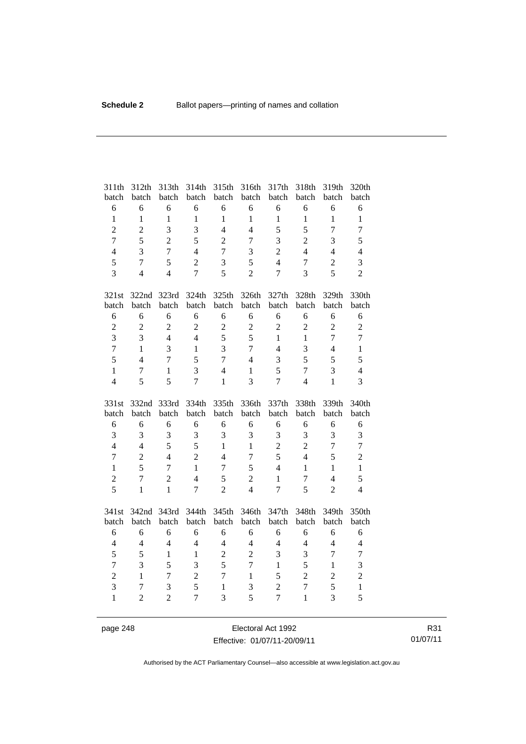| 311th<br>batch    | 312th<br>batch                   | 313th<br>batch      | 314th<br>batch      | 315th<br>batch                 | 316th<br>batch | 317th<br>batch                   | 318th<br>batch                 | 319th<br>batch | 320th<br>batch    |
|-------------------|----------------------------------|---------------------|---------------------|--------------------------------|----------------|----------------------------------|--------------------------------|----------------|-------------------|
| 6                 | 6                                | 6                   | 6                   | 6                              | 6              | 6                                | 6                              | 6              | 6                 |
| $\mathbf{1}$      | $\mathbf{1}$                     | $\mathbf{1}$        | $\mathbf{1}$        | $\mathbf{1}$                   | $\mathbf{1}$   | $\mathbf{1}$                     | $\mathbf{1}$                   | $\mathbf{1}$   | $\mathbf{1}$      |
| $\overline{c}$    | $\overline{c}$                   | $\overline{3}$      | $\overline{3}$      | $\overline{4}$                 | $\overline{4}$ | 5                                | 5                              | $\overline{7}$ | $\overline{7}$    |
| $\overline{7}$    | 5                                | $\overline{2}$      | 5                   | $\overline{2}$                 | $\overline{7}$ | 3                                | $\overline{2}$                 | 3              | 5                 |
| $\overline{4}$    | 3                                | $\overline{7}$      | $\overline{4}$      | $\overline{7}$                 | 3              | $\overline{2}$                   | $\overline{4}$                 | $\overline{4}$ | $\overline{4}$    |
| 5                 | $\overline{7}$                   | 5                   | $\overline{2}$      | 3                              | 5              | $\overline{4}$                   | $\overline{7}$                 | $\overline{2}$ | 3                 |
| $\overline{3}$    | $\overline{4}$                   | $\overline{4}$      | $\overline{7}$      | 5                              | $\overline{2}$ | 7                                | 3                              | 5              | $\overline{2}$    |
| 321st             | 322nd                            | 323rd               | 324th               | 325th                          | 326th          | 327th                            | 328th                          | 329th          | 330th             |
| batch             | batch                            | batch               | batch               | batch                          | batch          | batch                            | batch                          | batch          | batch             |
| 6                 | 6                                | 6                   | 6                   | 6                              | 6              | 6                                | 6                              | 6              | 6                 |
| $\overline{2}$    | $\overline{2}$                   | $\overline{2}$      | $\overline{2}$      | $\overline{c}$                 | $\overline{2}$ | $\overline{2}$                   | $\overline{2}$                 | $\overline{2}$ | $\overline{2}$    |
| $\overline{3}$    | 3                                | $\overline{4}$      | $\overline{4}$      | 5                              | 5              | $\mathbf{1}$                     | $\mathbf{1}$                   | $\overline{7}$ | $\overline{7}$    |
| $\overline{7}$    | $\mathbf{1}$                     | $\overline{3}$      | $\mathbf{1}$        | $\overline{3}$                 | $\overline{7}$ | $\overline{4}$                   | 3                              | $\overline{4}$ | $\mathbf{1}$      |
| 5                 | $\overline{4}$                   | $\overline{7}$      | 5                   | $\overline{7}$                 | $\overline{4}$ | 3                                | 5                              | 5              | 5                 |
| $\mathbf{1}$      | 7                                | 1                   | 3                   | $\overline{4}$                 | $\mathbf{1}$   | 5                                | $\overline{7}$                 | 3              | $\overline{4}$    |
| $\overline{4}$    | 5                                | 5                   | $\overline{7}$      | $\mathbf{1}$                   | $\overline{3}$ | $\overline{7}$                   | $\overline{4}$                 | $\mathbf{1}$   | 3                 |
|                   |                                  |                     |                     |                                |                |                                  |                                |                |                   |
| 331st             | 332nd                            | 333rd               | 334th               | 335th                          | 336th          | 337th                            | 338th                          | 339th          | 340th             |
| batch             | batch                            | batch               | batch               | batch                          | batch          | batch                            | batch                          | batch          | batch             |
| 6                 | 6                                | 6                   | 6                   | 6                              | 6              | 6                                | 6                              | 6              | $\sqrt{6}$        |
| $\overline{3}$    | 3                                | 3                   | 3                   | 3                              | 3              | 3                                | 3                              | 3              | 3                 |
| $\overline{4}$    | $\overline{4}$                   | 5                   | 5                   | $\mathbf{1}$                   | $\mathbf{1}$   | $\overline{c}$                   | $\overline{2}$                 | $\overline{7}$ | $\overline{7}$    |
| $\overline{7}$    | $\overline{2}$                   | $\overline{4}$      | $\overline{2}$      | $\overline{4}$                 | $\overline{7}$ | 5                                | $\overline{4}$                 | 5              | $\overline{c}$    |
| $\mathbf{1}$      | 5                                | 7                   | $\mathbf{1}$        | $\overline{7}$                 | 5              | $\overline{4}$                   | $\mathbf{1}$                   | $\mathbf{1}$   | $\mathbf{1}$      |
| $\overline{c}$    | $\overline{7}$                   | $\overline{2}$      | $\overline{4}$      | 5                              | $\overline{2}$ | $\mathbf{1}$                     | 7                              | $\overline{4}$ | 5                 |
| $\overline{5}$    | $\mathbf{1}$                     | $\mathbf{1}$        | $\overline{7}$      | $\overline{2}$                 | $\overline{4}$ | $\overline{7}$                   | 5                              | $\overline{2}$ | $\overline{4}$    |
| 341st             | 342nd                            | 343rd               | 344th               | 345th                          | 346th          | 347th                            | 348th                          | 349th          | 350th             |
| batch             | batch                            | batch               | batch               | batch                          | batch          | batch                            | batch                          | batch          | batch             |
| 6                 | 6                                | 6                   | 6                   | 6                              | 6              | 6                                | 6                              | 6              | $\sqrt{6}$        |
| $\overline{4}$    | $\overline{4}$                   | $\overline{4}$      | $\overline{4}$      | $\overline{4}$                 | $\overline{4}$ | $\overline{4}$                   | $\overline{4}$                 | $\overline{4}$ | $\overline{4}$    |
| 5                 | 5                                | $\mathbf{1}$        | $\mathbf{1}$        | $\overline{2}$                 | $\overline{2}$ | 3                                | 3                              | $\overline{7}$ | $\tau$            |
| $\overline{7}$    | 3                                | 5                   | 3                   | 5                              | $\overline{7}$ | $\mathbf{1}$                     | 5                              | $\mathbf{1}$   | 3                 |
| $\overline{2}$    | $\mathbf{1}$                     | $\overline{7}$      | $\overline{2}$      | $\overline{7}$                 | $\mathbf{1}$   | 5                                | $\overline{c}$                 | $\overline{2}$ | $\overline{c}$    |
| 3<br>$\mathbf{1}$ | $\overline{7}$<br>$\overline{2}$ | 3<br>$\overline{2}$ | 5<br>$\overline{7}$ | $\mathbf{1}$<br>$\overline{3}$ | 3<br>5         | $\overline{2}$<br>$\overline{7}$ | $\overline{7}$<br>$\mathbf{1}$ | 5<br>3         | $\mathbf{1}$<br>5 |

page 248 Electoral Act 1992 Effective: 01/07/11-20/09/11

R31 01/07/11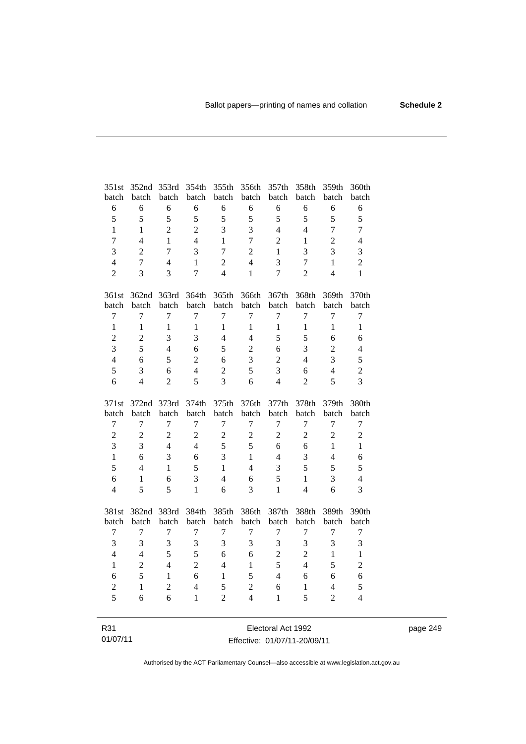| 351st            | 352nd          | 353rd          | 354th          | 355th          | 356th            | 357th            | 358th            | 359th            | 360th                   |
|------------------|----------------|----------------|----------------|----------------|------------------|------------------|------------------|------------------|-------------------------|
| batch            | batch          | batch          | batch          | batch          | batch            | batch            | batch            | batch            | batch                   |
| $\sqrt{6}$       | 6              | 6              | 6              | 6              | 6                | 6                | 6                | 6                | $\sqrt{6}$              |
| 5                | 5              | 5              | 5              | 5              | 5                | 5                | 5                | 5                | 5                       |
| $\mathbf{1}$     | $\mathbf{1}$   | $\overline{2}$ | $\overline{2}$ | 3              | 3                | $\overline{4}$   | $\overline{4}$   | $\overline{7}$   | $\boldsymbol{7}$        |
| $\tau$           | $\overline{4}$ | 1              | $\overline{4}$ | $\mathbf{1}$   | $\overline{7}$   | $\overline{2}$   | 1                | $\overline{2}$   | $\overline{4}$          |
| 3                | $\overline{2}$ | $\overline{7}$ | 3              | $\overline{7}$ | $\overline{2}$   | $\mathbf{1}$     | 3                | 3                | 3                       |
| $\overline{4}$   | $\overline{7}$ | $\overline{4}$ | $\mathbf{1}$   | $\overline{c}$ | $\overline{4}$   | 3                | $\tau$           | $\mathbf{1}$     | $\overline{c}$          |
| $\overline{2}$   | 3              | 3              | $\overline{7}$ | $\overline{4}$ | $\mathbf{1}$     | $\overline{7}$   | $\overline{2}$   | $\overline{4}$   | $\mathbf{1}$            |
| 361st            | 362nd 363rd    |                | 364th          | 365th          | 366th            | 367th            | 368th            | 369th            | 370th                   |
| batch            | batch          | batch          | batch          | batch          | batch            | batch            | batch            | batch            | batch                   |
| $\tau$           | $\overline{7}$ | $\overline{7}$ | $\overline{7}$ | $\tau$         | $\overline{7}$   | $\overline{7}$   | $\overline{7}$   | $\overline{7}$   | $\boldsymbol{7}$        |
| $\mathbf{1}$     | $\mathbf{1}$   | $\mathbf{1}$   | $\mathbf{1}$   | $\mathbf{1}$   | $\mathbf{1}$     | $\mathbf{1}$     | $\mathbf{1}$     | $\mathbf{1}$     | $\mathbf{1}$            |
| $\overline{c}$   | $\overline{c}$ | 3              | 3              | $\overline{4}$ | $\overline{4}$   | 5                | 5                | 6                | 6                       |
| 3                | 5              | $\overline{4}$ | 6              | 5              | $\overline{2}$   | 6                | 3                | $\overline{c}$   | $\overline{4}$          |
| $\overline{4}$   | 6              | 5              | $\overline{2}$ | 6              | 3                | $\overline{2}$   | $\overline{4}$   | 3                | 5                       |
| 5                | 3              | 6              | $\overline{4}$ | $\overline{2}$ | 5                | 3                | 6                | $\overline{4}$   | $\overline{2}$          |
| 6                | $\overline{4}$ | $\overline{2}$ | 5              | 3              | 6                | $\overline{4}$   | $\overline{2}$   | 5                | 3                       |
|                  |                |                |                |                |                  |                  |                  |                  |                         |
| 371st            | 372nd 373rd    |                | 374th          | 375th          | 376th            | 377th            | 378th            | 379th            | 380th                   |
| batch            | batch          | batch          | batch          | batch          | batch            | batch            | batch            | batch            | batch                   |
| $\boldsymbol{7}$ | $\tau$         | $\overline{7}$ | $\tau$         | 7              | $\tau$           | $\tau$           | $\tau$           | 7                | $\boldsymbol{7}$        |
| $\overline{c}$   | $\overline{2}$ | $\overline{c}$ | $\overline{2}$ | $\overline{2}$ | $\sqrt{2}$       | $\overline{2}$   | $\overline{2}$   | $\overline{2}$   | $\sqrt{2}$              |
| $\overline{3}$   | 3              | $\overline{4}$ | $\overline{4}$ | 5              | 5                | 6                | 6                | $\mathbf{1}$     | $\mathbf{1}$            |
| $\mathbf{1}$     | 6              | 3              | 6              | 3              | $\mathbf{1}$     | $\overline{4}$   | 3                | $\overline{4}$   | 6                       |
| 5                | $\overline{4}$ | $\mathbf{1}$   | 5              | $\mathbf{1}$   | $\overline{4}$   | 3                | 5                | 5                | 5                       |
| 6                | 1              | 6              | $\overline{3}$ | $\overline{4}$ | 6                | 5                | $\mathbf{1}$     | 3                | $\overline{4}$          |
| $\overline{4}$   | 5              | 5              | $\mathbf{1}$   | 6              | 3                | $\mathbf{1}$     | $\overline{4}$   | 6                | 3                       |
| 381st            |                |                |                |                |                  |                  |                  | 389th            | 390th                   |
| batch            | 382nd<br>batch | 383rd<br>batch | 384th<br>batch | 385th<br>batch | 386th<br>batch   | 387th<br>batch   | 388th<br>batch   | batch            | batch                   |
| $\boldsymbol{7}$ | $\overline{7}$ | $\overline{7}$ | $\tau$         | 7              | $\boldsymbol{7}$ | $\boldsymbol{7}$ | $\boldsymbol{7}$ | $\boldsymbol{7}$ | $\boldsymbol{7}$        |
| 3                | 3              | $\overline{3}$ | 3              | $\overline{3}$ | 3                | 3                | 3                | 3                | $\overline{\mathbf{3}}$ |
| $\overline{4}$   | $\overline{4}$ | 5              | 5              | 6              | 6                | $\overline{c}$   | $\overline{c}$   | $\mathbf{1}$     | $\mathbf{1}$            |
| $\mathbf{1}$     | $\overline{c}$ | $\overline{4}$ | $\overline{2}$ | $\overline{4}$ | $\mathbf{1}$     | 5                | $\overline{4}$   | 5                | $\overline{c}$          |
| 6                | 5              | $\mathbf{1}$   | 6              | $\mathbf{1}$   | 5                | $\overline{4}$   | 6                | 6                | 6                       |
| $\sqrt{2}$       | $\mathbf{1}$   | $\overline{c}$ | $\overline{4}$ | 5              | $\sqrt{2}$       | 6                | $\,1$            | $\overline{4}$   | 5                       |
| 5                | 6              | 6              | $\mathbf{1}$   | $\overline{2}$ | $\overline{4}$   | $\mathbf{1}$     | 5                | $\overline{2}$   | $\overline{4}$          |

| R31      | Electoral Act 1992           | page 249 |
|----------|------------------------------|----------|
| 01/07/11 | Effective: 01/07/11-20/09/11 |          |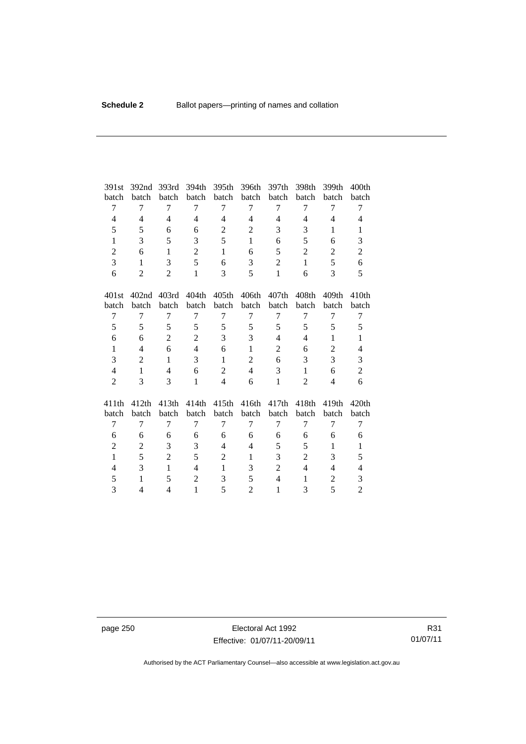| 391st          | 392 <sub>nd</sub> | 393rd          | 394th          | 395th             | 396th          | 397th          | 398th             | 399th             | 400 <sub>th</sub> |
|----------------|-------------------|----------------|----------------|-------------------|----------------|----------------|-------------------|-------------------|-------------------|
| batch          | batch             | batch          | batch          | batch             | batch          | batch          | batch             | batch             | batch             |
| 7              | 7                 | 7              | 7              | 7                 | 7              | 7              | 7                 | 7                 | 7                 |
| $\overline{4}$ | $\overline{4}$    | $\overline{4}$ | $\overline{4}$ | $\overline{4}$    | $\overline{4}$ | $\overline{4}$ | $\overline{4}$    | $\overline{4}$    | $\overline{4}$    |
| 5              | 5                 | 6              | 6              | $\overline{c}$    | $\mathbf{2}$   | 3              | 3                 | 1                 | 1                 |
| $\mathbf{1}$   | 3                 | 5              | 3              | 5                 | $\mathbf{1}$   | 6              | 5                 | 6                 | 3                 |
| $\overline{2}$ | 6                 | 1              | $\overline{2}$ | $\mathbf{1}$      | 6              | 5              | $\overline{2}$    | $\overline{2}$    | $\overline{2}$    |
| 3              | 1                 | 3              | 5              | 6                 | 3              | $\overline{c}$ | $\mathbf{1}$      | 5                 | 6                 |
| 6              | $\overline{2}$    | $\overline{2}$ | $\mathbf{1}$   | 3                 | 5              | $\mathbf{1}$   | 6                 | 3                 | 5                 |
| 401st          | 402 <sub>nd</sub> | 403rd          | 404th          | 405 <sub>th</sub> | 406th          | 407th          | 408 <sub>th</sub> | 409 <sub>th</sub> | 410 <sub>th</sub> |
| batch          | batch             | batch          | batch          | batch             | batch          | batch          | batch             | batch             | batch             |
| 7              | 7                 | 7              | 7              | 7                 | 7              | 7              | 7                 | 7                 | 7                 |
| 5              | 5                 | 5              | 5              | 5                 | 5              | 5              | 5                 | 5                 | 5                 |
| 6              | 6                 | $\overline{2}$ | $\overline{2}$ | 3                 | 3              | $\overline{4}$ | $\overline{4}$    | $\mathbf{1}$      | $\mathbf{1}$      |
| $\mathbf{1}$   | $\overline{4}$    | 6              | $\overline{4}$ | 6                 | $\mathbf{1}$   | $\overline{2}$ | 6                 | $\overline{c}$    | $\overline{4}$    |
| 3              | $\overline{2}$    | 1              | 3              | $\mathbf{1}$      | $\overline{2}$ | 6              | 3                 | 3                 | 3                 |
| $\overline{4}$ | $\mathbf{1}$      | $\overline{4}$ | 6              | $\overline{2}$    | $\overline{4}$ | 3              | $\mathbf{1}$      | 6                 | $\overline{c}$    |
| $\overline{2}$ | 3                 | 3              | $\mathbf{1}$   | $\overline{4}$    | 6              | $\mathbf{1}$   | $\overline{2}$    | 4                 | 6                 |
| 411th          | 412th             | 413th          | 414th          | 415th             | 416th          | 417th          | 418th             | 419th             | 420th             |
| batch          | batch             | batch          | batch          | batch             | batch          | batch          | batch             | batch             | batch             |
| 7              | $\overline{7}$    | 7              | 7              | 7                 | 7              | 7              | 7                 | 7                 | 7                 |
| 6              | 6                 | 6              | 6              | 6                 | 6              | 6              | 6                 | 6                 | 6                 |
| $\overline{2}$ | 2                 | 3              | 3              | $\overline{4}$    | $\overline{4}$ | 5              | 5                 | $\mathbf{1}$      | $\mathbf{1}$      |
| $\mathbf{1}$   | 5                 | $\overline{c}$ | 5              | $\overline{c}$    | 1              | 3              | $\overline{2}$    | 3                 | 5                 |
| 4              | 3                 | $\mathbf{1}$   | $\overline{4}$ | $\mathbf{1}$      | 3              | $\overline{2}$ | $\overline{4}$    | $\overline{4}$    | $\overline{4}$    |
| 5              | $\mathbf{1}$      | 5              | $\overline{2}$ | 3                 | 5              | $\overline{4}$ | $\mathbf{1}$      | $\overline{c}$    | 3                 |
| 3              | 4                 | 4              | $\mathbf{1}$   | 5                 | $\overline{2}$ | $\mathbf{1}$   | 3                 | 5                 | $\overline{2}$    |

page 250 **Electoral Act 1992** Effective: 01/07/11-20/09/11

R31 01/07/11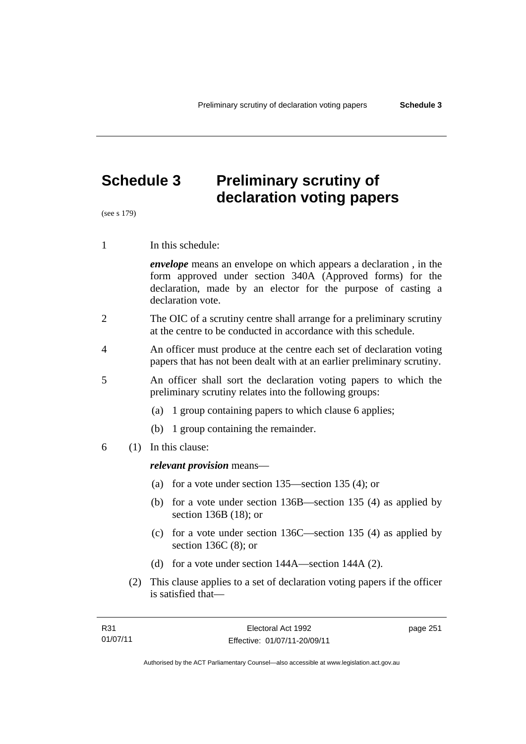# **Schedule 3 Preliminary scrutiny of declaration voting papers**

(see s 179)

1 In this schedule:

*envelope* means an envelope on which appears a declaration , in the form approved under section 340A (Approved forms) for the declaration, made by an elector for the purpose of casting a declaration vote.

- 2 The OIC of a scrutiny centre shall arrange for a preliminary scrutiny at the centre to be conducted in accordance with this schedule.
- 4 An officer must produce at the centre each set of declaration voting papers that has not been dealt with at an earlier preliminary scrutiny.
- 5 An officer shall sort the declaration voting papers to which the preliminary scrutiny relates into the following groups:
	- (a) 1 group containing papers to which clause 6 applies;
	- (b) 1 group containing the remainder.
- 6 (1) In this clause:

#### *relevant provision* means—

- (a) for a vote under section 135—section 135 (4); or
- (b) for a vote under section 136B—section 135 (4) as applied by section 136B (18); or
- (c) for a vote under section 136C—section 135 (4) as applied by section 136C (8); or
- (d) for a vote under section 144A—section 144A (2).
- (2) This clause applies to a set of declaration voting papers if the officer is satisfied that—

page 251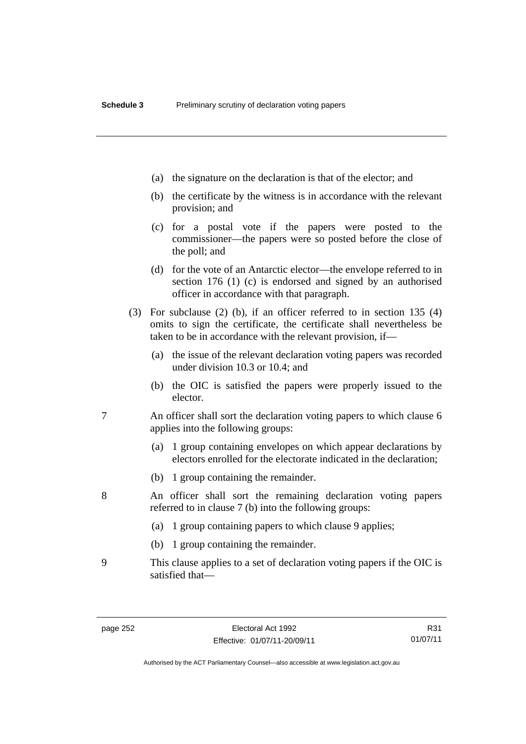- (a) the signature on the declaration is that of the elector; and
- (b) the certificate by the witness is in accordance with the relevant provision; and
- (c) for a postal vote if the papers were posted to the commissioner—the papers were so posted before the close of the poll; and
- (d) for the vote of an Antarctic elector—the envelope referred to in section 176 (1) (c) is endorsed and signed by an authorised officer in accordance with that paragraph.
- (3) For subclause (2) (b), if an officer referred to in section 135 (4) omits to sign the certificate, the certificate shall nevertheless be taken to be in accordance with the relevant provision, if—
	- (a) the issue of the relevant declaration voting papers was recorded under division 10.3 or 10.4; and
	- (b) the OIC is satisfied the papers were properly issued to the elector.
- 7 An officer shall sort the declaration voting papers to which clause 6 applies into the following groups:
	- (a) 1 group containing envelopes on which appear declarations by electors enrolled for the electorate indicated in the declaration;
	- (b) 1 group containing the remainder.
- 8 An officer shall sort the remaining declaration voting papers referred to in clause 7 (b) into the following groups:
	- (a) 1 group containing papers to which clause 9 applies;
	- (b) 1 group containing the remainder.
- 9 This clause applies to a set of declaration voting papers if the OIC is satisfied that—

R31 01/07/11

Authorised by the ACT Parliamentary Counsel—also accessible at www.legislation.act.gov.au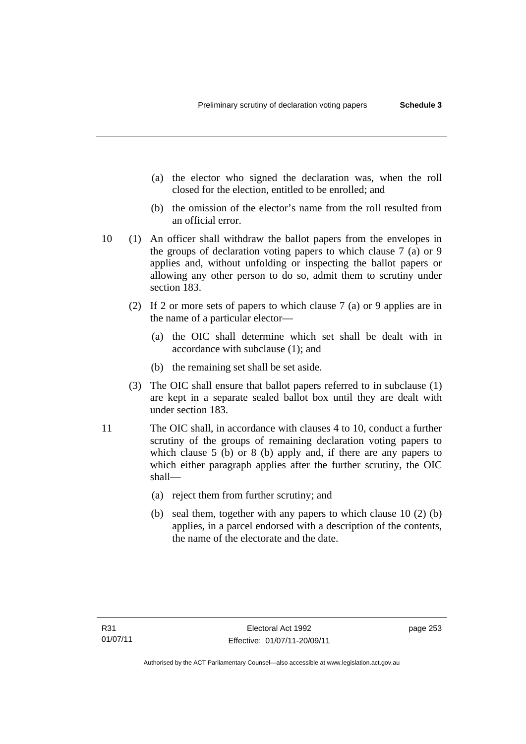- (a) the elector who signed the declaration was, when the roll closed for the election, entitled to be enrolled; and
- (b) the omission of the elector's name from the roll resulted from an official error.
- 10 (1) An officer shall withdraw the ballot papers from the envelopes in the groups of declaration voting papers to which clause 7 (a) or 9 applies and, without unfolding or inspecting the ballot papers or allowing any other person to do so, admit them to scrutiny under section 183.
	- (2) If 2 or more sets of papers to which clause 7 (a) or 9 applies are in the name of a particular elector—
		- (a) the OIC shall determine which set shall be dealt with in accordance with subclause (1); and
		- (b) the remaining set shall be set aside.
	- (3) The OIC shall ensure that ballot papers referred to in subclause (1) are kept in a separate sealed ballot box until they are dealt with under section 183.
- 11 The OIC shall, in accordance with clauses 4 to 10, conduct a further scrutiny of the groups of remaining declaration voting papers to which clause 5 (b) or 8 (b) apply and, if there are any papers to which either paragraph applies after the further scrutiny, the OIC shall—
	- (a) reject them from further scrutiny; and
	- (b) seal them, together with any papers to which clause 10 (2) (b) applies, in a parcel endorsed with a description of the contents, the name of the electorate and the date.

page 253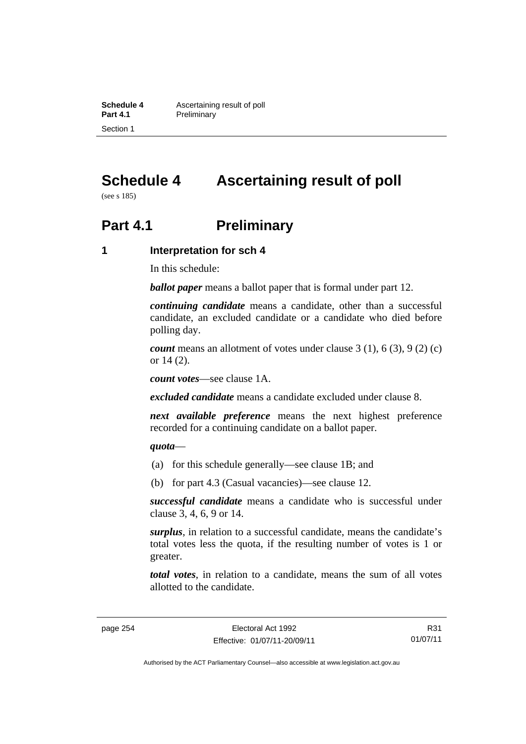**Schedule 4 Ascertaining result of poll**<br>**Part 4.1 Preliminary Preliminary** Section 1

# **Schedule 4 Ascertaining result of poll**

(see s 185)

## **Part 4.1** Preliminary

#### **1 Interpretation for sch 4**

In this schedule:

*ballot paper* means a ballot paper that is formal under part 12.

*continuing candidate* means a candidate, other than a successful candidate, an excluded candidate or a candidate who died before polling day.

*count* means an allotment of votes under clause 3 (1), 6 (3), 9 (2) (c) or 14 (2).

*count votes*—see clause 1A.

*excluded candidate* means a candidate excluded under clause 8.

*next available preference* means the next highest preference recorded for a continuing candidate on a ballot paper.

#### *quota*—

- (a) for this schedule generally—see clause 1B; and
- (b) for part 4.3 (Casual vacancies)—see clause 12.

*successful candidate* means a candidate who is successful under clause 3, 4, 6, 9 or 14.

*surplus*, in relation to a successful candidate, means the candidate's total votes less the quota, if the resulting number of votes is 1 or greater.

*total votes*, in relation to a candidate, means the sum of all votes allotted to the candidate.

R31 01/07/11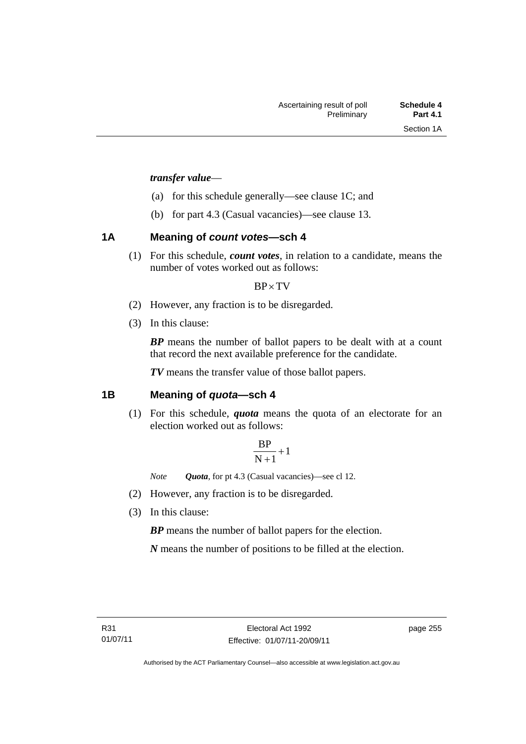#### *transfer value*—

- (a) for this schedule generally—see clause 1C; and
- (b) for part 4.3 (Casual vacancies)—see clause 13.

#### **1A Meaning of** *count votes***—sch 4**

(1) For this schedule, *count votes*, in relation to a candidate, means the number of votes worked out as follows:

#### $BP \times TV$

- (2) However, any fraction is to be disregarded.
- (3) In this clause:

*BP* means the number of ballot papers to be dealt with at a count that record the next available preference for the candidate.

*TV* means the transfer value of those ballot papers.

#### **1B Meaning of** *quota***—sch 4**

(1) For this schedule, *quota* means the quota of an electorate for an election worked out as follows:

$$
\frac{BP}{N+1}+1
$$

*Note Quota*, for pt 4.3 (Casual vacancies)—see cl 12.

- (2) However, any fraction is to be disregarded.
- (3) In this clause:

*BP* means the number of ballot papers for the election.

*N* means the number of positions to be filled at the election.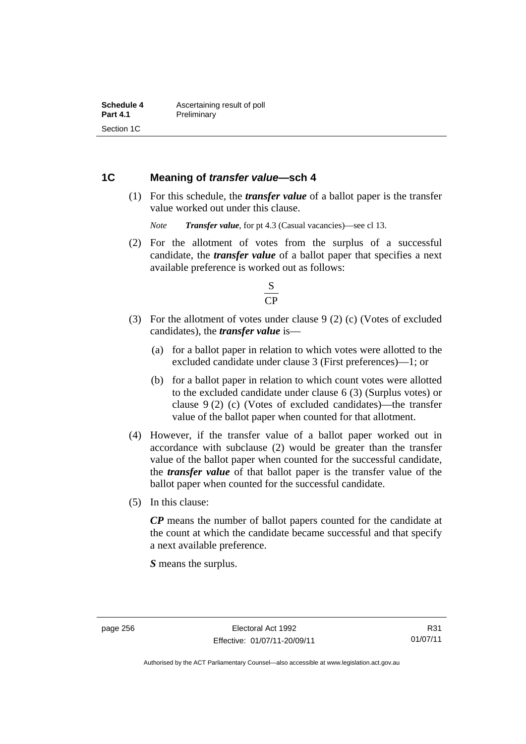#### **1C Meaning of** *transfer value***—sch 4**

 (1) For this schedule, the *transfer value* of a ballot paper is the transfer value worked out under this clause.

*Note Transfer value*, for pt 4.3 (Casual vacancies)—see cl 13.

 (2) For the allotment of votes from the surplus of a successful candidate, the *transfer value* of a ballot paper that specifies a next available preference is worked out as follows:



- (3) For the allotment of votes under clause 9 (2) (c) (Votes of excluded candidates), the *transfer value* is—
	- (a) for a ballot paper in relation to which votes were allotted to the excluded candidate under clause 3 (First preferences)—1; or
	- (b) for a ballot paper in relation to which count votes were allotted to the excluded candidate under clause 6 (3) (Surplus votes) or clause 9 (2) (c) (Votes of excluded candidates)—the transfer value of the ballot paper when counted for that allotment.
- (4) However, if the transfer value of a ballot paper worked out in accordance with subclause (2) would be greater than the transfer value of the ballot paper when counted for the successful candidate, the *transfer value* of that ballot paper is the transfer value of the ballot paper when counted for the successful candidate.
- (5) In this clause:

*CP* means the number of ballot papers counted for the candidate at the count at which the candidate became successful and that specify a next available preference.

*S* means the surplus.

Authorised by the ACT Parliamentary Counsel—also accessible at www.legislation.act.gov.au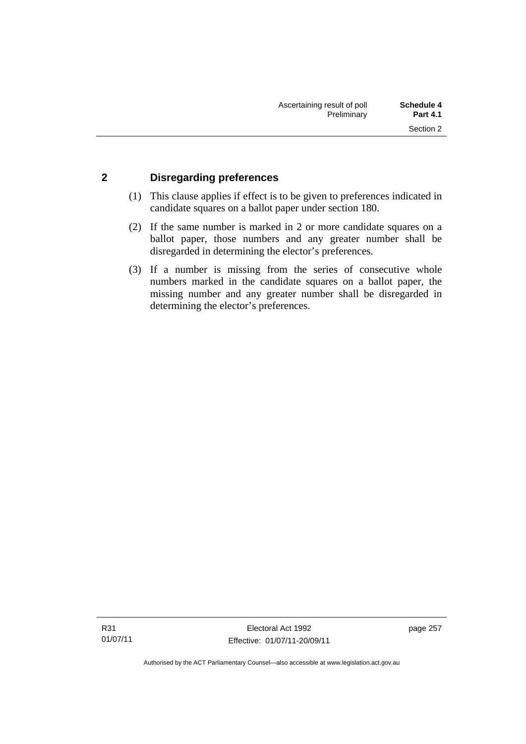#### **2 Disregarding preferences**

- (1) This clause applies if effect is to be given to preferences indicated in candidate squares on a ballot paper under section 180.
- (2) If the same number is marked in 2 or more candidate squares on a ballot paper, those numbers and any greater number shall be disregarded in determining the elector's preferences.
- (3) If a number is missing from the series of consecutive whole numbers marked in the candidate squares on a ballot paper, the missing number and any greater number shall be disregarded in determining the elector's preferences.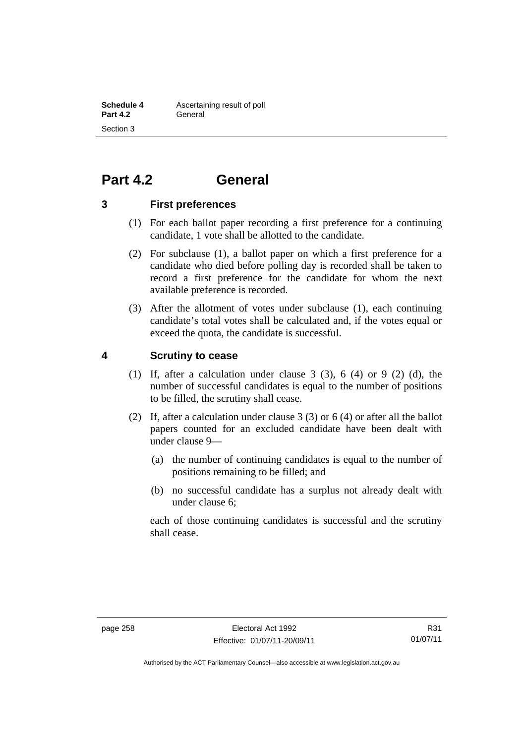## **Part 4.2 General**

#### **3 First preferences**

- (1) For each ballot paper recording a first preference for a continuing candidate, 1 vote shall be allotted to the candidate.
- (2) For subclause (1), a ballot paper on which a first preference for a candidate who died before polling day is recorded shall be taken to record a first preference for the candidate for whom the next available preference is recorded.
- (3) After the allotment of votes under subclause (1), each continuing candidate's total votes shall be calculated and, if the votes equal or exceed the quota, the candidate is successful.

#### **4 Scrutiny to cease**

- (1) If, after a calculation under clause  $3$  (3),  $6$  (4) or  $9$  (2) (d), the number of successful candidates is equal to the number of positions to be filled, the scrutiny shall cease.
- (2) If, after a calculation under clause 3 (3) or 6 (4) or after all the ballot papers counted for an excluded candidate have been dealt with under clause 9—
	- (a) the number of continuing candidates is equal to the number of positions remaining to be filled; and
	- (b) no successful candidate has a surplus not already dealt with under clause 6;

each of those continuing candidates is successful and the scrutiny shall cease.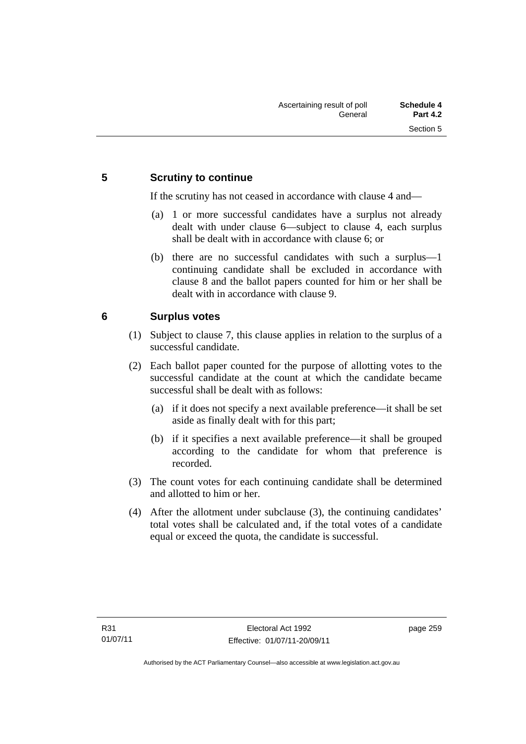#### **5 Scrutiny to continue**

If the scrutiny has not ceased in accordance with clause 4 and—

- (a) 1 or more successful candidates have a surplus not already dealt with under clause 6—subject to clause 4, each surplus shall be dealt with in accordance with clause 6; or
- (b) there are no successful candidates with such a surplus—1 continuing candidate shall be excluded in accordance with clause 8 and the ballot papers counted for him or her shall be dealt with in accordance with clause 9.

#### **6 Surplus votes**

- (1) Subject to clause 7, this clause applies in relation to the surplus of a successful candidate.
- (2) Each ballot paper counted for the purpose of allotting votes to the successful candidate at the count at which the candidate became successful shall be dealt with as follows:
	- (a) if it does not specify a next available preference—it shall be set aside as finally dealt with for this part;
	- (b) if it specifies a next available preference—it shall be grouped according to the candidate for whom that preference is recorded.
- (3) The count votes for each continuing candidate shall be determined and allotted to him or her.
- (4) After the allotment under subclause (3), the continuing candidates' total votes shall be calculated and, if the total votes of a candidate equal or exceed the quota, the candidate is successful.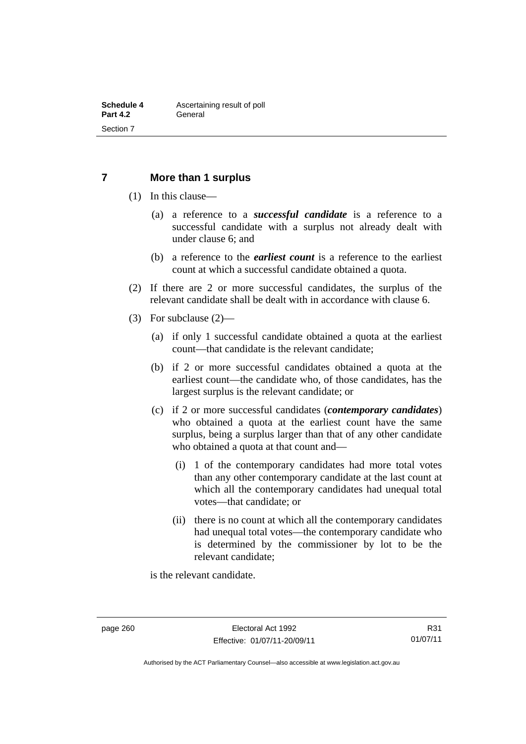#### **7 More than 1 surplus**

- (1) In this clause—
	- (a) a reference to a *successful candidate* is a reference to a successful candidate with a surplus not already dealt with under clause 6; and
	- (b) a reference to the *earliest count* is a reference to the earliest count at which a successful candidate obtained a quota.
- (2) If there are 2 or more successful candidates, the surplus of the relevant candidate shall be dealt with in accordance with clause 6.
- (3) For subclause (2)—
	- (a) if only 1 successful candidate obtained a quota at the earliest count—that candidate is the relevant candidate;
	- (b) if 2 or more successful candidates obtained a quota at the earliest count—the candidate who, of those candidates, has the largest surplus is the relevant candidate; or
	- (c) if 2 or more successful candidates (*contemporary candidates*) who obtained a quota at the earliest count have the same surplus, being a surplus larger than that of any other candidate who obtained a quota at that count and—
		- (i) 1 of the contemporary candidates had more total votes than any other contemporary candidate at the last count at which all the contemporary candidates had unequal total votes—that candidate; or
		- (ii) there is no count at which all the contemporary candidates had unequal total votes—the contemporary candidate who is determined by the commissioner by lot to be the relevant candidate;

is the relevant candidate.

Authorised by the ACT Parliamentary Counsel—also accessible at www.legislation.act.gov.au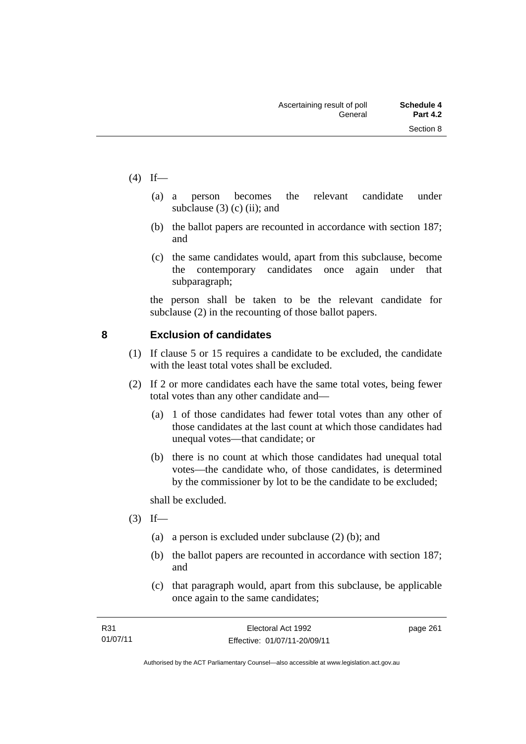- $(4)$  If—
- (a) a person becomes the relevant candidate under subclause  $(3)$  (c) (ii); and
	- (b) the ballot papers are recounted in accordance with section 187; and
	- (c) the same candidates would, apart from this subclause, become the contemporary candidates once again under that subparagraph;

the person shall be taken to be the relevant candidate for subclause (2) in the recounting of those ballot papers.

#### **8 Exclusion of candidates**

- (1) If clause 5 or 15 requires a candidate to be excluded, the candidate with the least total votes shall be excluded.
- (2) If 2 or more candidates each have the same total votes, being fewer total votes than any other candidate and—
	- (a) 1 of those candidates had fewer total votes than any other of those candidates at the last count at which those candidates had unequal votes—that candidate; or
	- (b) there is no count at which those candidates had unequal total votes—the candidate who, of those candidates, is determined by the commissioner by lot to be the candidate to be excluded;

shall be excluded.

- $(3)$  If—
	- (a) a person is excluded under subclause (2) (b); and
	- (b) the ballot papers are recounted in accordance with section 187; and
	- (c) that paragraph would, apart from this subclause, be applicable once again to the same candidates;

page 261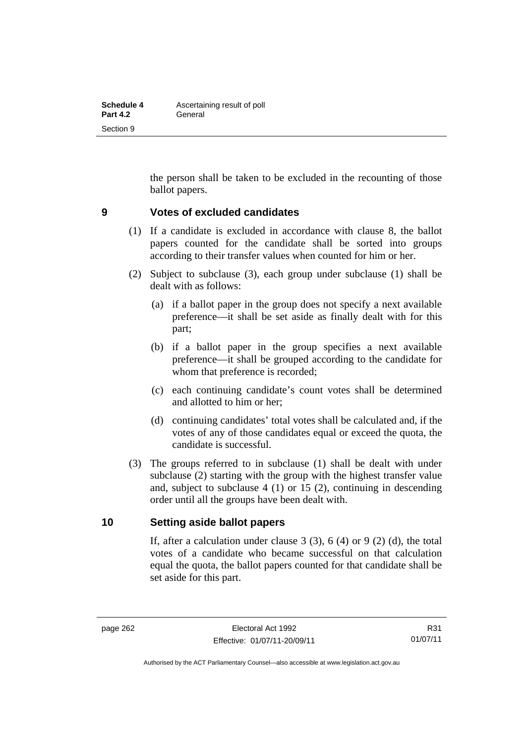| Schedule 4      | Ascertaining result of poll |
|-----------------|-----------------------------|
| <b>Part 4.2</b> | General                     |
| Section 9       |                             |

the person shall be taken to be excluded in the recounting of those ballot papers.

#### **9 Votes of excluded candidates**

- (1) If a candidate is excluded in accordance with clause 8, the ballot papers counted for the candidate shall be sorted into groups according to their transfer values when counted for him or her.
- (2) Subject to subclause (3), each group under subclause (1) shall be dealt with as follows:
	- (a) if a ballot paper in the group does not specify a next available preference—it shall be set aside as finally dealt with for this part;
	- (b) if a ballot paper in the group specifies a next available preference—it shall be grouped according to the candidate for whom that preference is recorded;
	- (c) each continuing candidate's count votes shall be determined and allotted to him or her;
	- (d) continuing candidates' total votes shall be calculated and, if the votes of any of those candidates equal or exceed the quota, the candidate is successful.
- (3) The groups referred to in subclause (1) shall be dealt with under subclause (2) starting with the group with the highest transfer value and, subject to subclause 4 (1) or 15 (2), continuing in descending order until all the groups have been dealt with.

#### **10 Setting aside ballot papers**

If, after a calculation under clause  $3(3)$ ,  $6(4)$  or  $9(2)(d)$ , the total votes of a candidate who became successful on that calculation equal the quota, the ballot papers counted for that candidate shall be set aside for this part.

R31 01/07/11

Authorised by the ACT Parliamentary Counsel—also accessible at www.legislation.act.gov.au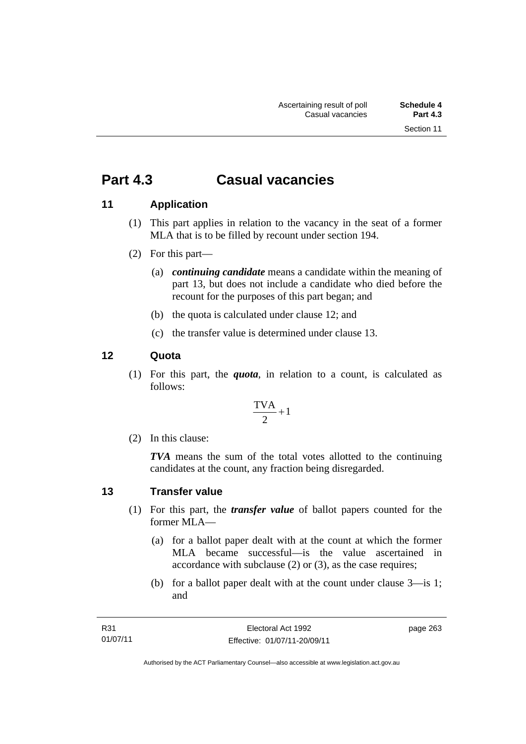## **Part 4.3 Casual vacancies**

### **11 Application**

- (1) This part applies in relation to the vacancy in the seat of a former MLA that is to be filled by recount under section 194.
- (2) For this part—
	- (a) *continuing candidate* means a candidate within the meaning of part 13, but does not include a candidate who died before the recount for the purposes of this part began; and
	- (b) the quota is calculated under clause 12; and
	- (c) the transfer value is determined under clause 13.

#### **12 Quota**

(1) For this part, the *quota*, in relation to a count, is calculated as follows:

$$
\frac{\text{TVA}}{2} + 1
$$

(2) In this clause:

*TVA* means the sum of the total votes allotted to the continuing candidates at the count, any fraction being disregarded.

### **13 Transfer value**

- (1) For this part, the *transfer value* of ballot papers counted for the former MLA—
	- (a) for a ballot paper dealt with at the count at which the former MLA became successful—is the value ascertained in accordance with subclause (2) or (3), as the case requires;
	- (b) for a ballot paper dealt with at the count under clause 3—is 1; and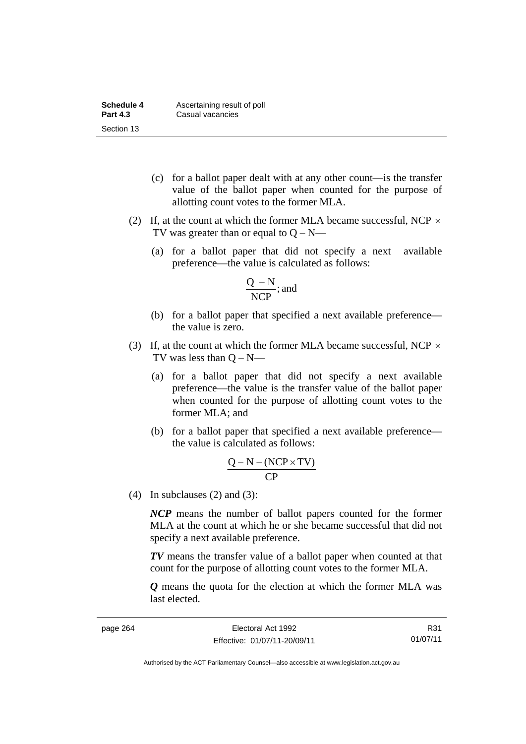| Schedule 4      | Ascertaining result of poll |
|-----------------|-----------------------------|
| <b>Part 4.3</b> | Casual vacancies            |
| Section 13      |                             |

- (c) for a ballot paper dealt with at any other count—is the transfer value of the ballot paper when counted for the purpose of allotting count votes to the former MLA.
- (2) If, at the count at which the former MLA became successful, NCP  $\times$ TV was greater than or equal to  $Q - N$ —
	- (a) for a ballot paper that did not specify a next available preference—the value is calculated as follows:

$$
\frac{Q - N}{NCP}; \text{and}
$$

- (b) for a ballot paper that specified a next available preference the value is zero.
- (3) If, at the count at which the former MLA became successful, NCP  $\times$ TV was less than  $Q - N$ —
	- (a) for a ballot paper that did not specify a next available preference—the value is the transfer value of the ballot paper when counted for the purpose of allotting count votes to the former MLA; and
	- (b) for a ballot paper that specified a next available preference the value is calculated as follows:

$$
\frac{Q-N-(NCP \times TV)}{CP}
$$

(4) In subclauses (2) and (3):

*NCP* means the number of ballot papers counted for the former MLA at the count at which he or she became successful that did not specify a next available preference.

*TV* means the transfer value of a ballot paper when counted at that count for the purpose of allotting count votes to the former MLA.

*Q* means the quota for the election at which the former MLA was last elected.

R31 01/07/11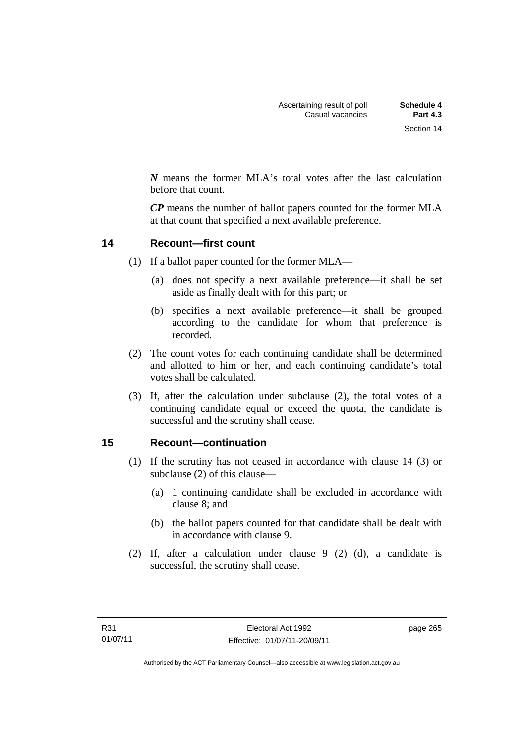*N* means the former MLA's total votes after the last calculation before that count.

*CP* means the number of ballot papers counted for the former MLA at that count that specified a next available preference.

#### **14 Recount—first count**

- (1) If a ballot paper counted for the former MLA—
	- (a) does not specify a next available preference—it shall be set aside as finally dealt with for this part; or
	- (b) specifies a next available preference—it shall be grouped according to the candidate for whom that preference is recorded.
- (2) The count votes for each continuing candidate shall be determined and allotted to him or her, and each continuing candidate's total votes shall be calculated.
- (3) If, after the calculation under subclause (2), the total votes of a continuing candidate equal or exceed the quota, the candidate is successful and the scrutiny shall cease.

#### **15 Recount—continuation**

- (1) If the scrutiny has not ceased in accordance with clause 14 (3) or subclause (2) of this clause—
	- (a) 1 continuing candidate shall be excluded in accordance with clause 8; and
	- (b) the ballot papers counted for that candidate shall be dealt with in accordance with clause 9.
- (2) If, after a calculation under clause 9 (2) (d), a candidate is successful, the scrutiny shall cease.

page 265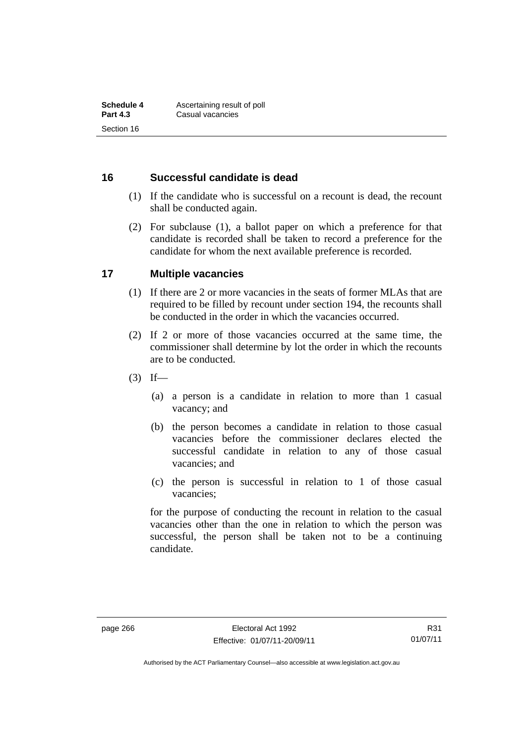#### **16 Successful candidate is dead**

- (1) If the candidate who is successful on a recount is dead, the recount shall be conducted again.
- (2) For subclause (1), a ballot paper on which a preference for that candidate is recorded shall be taken to record a preference for the candidate for whom the next available preference is recorded.

#### **17 Multiple vacancies**

- (1) If there are 2 or more vacancies in the seats of former MLAs that are required to be filled by recount under section 194, the recounts shall be conducted in the order in which the vacancies occurred.
- (2) If 2 or more of those vacancies occurred at the same time, the commissioner shall determine by lot the order in which the recounts are to be conducted.
- $(3)$  If—
	- (a) a person is a candidate in relation to more than 1 casual vacancy; and
	- (b) the person becomes a candidate in relation to those casual vacancies before the commissioner declares elected the successful candidate in relation to any of those casual vacancies; and
	- (c) the person is successful in relation to 1 of those casual vacancies;

for the purpose of conducting the recount in relation to the casual vacancies other than the one in relation to which the person was successful, the person shall be taken not to be a continuing candidate.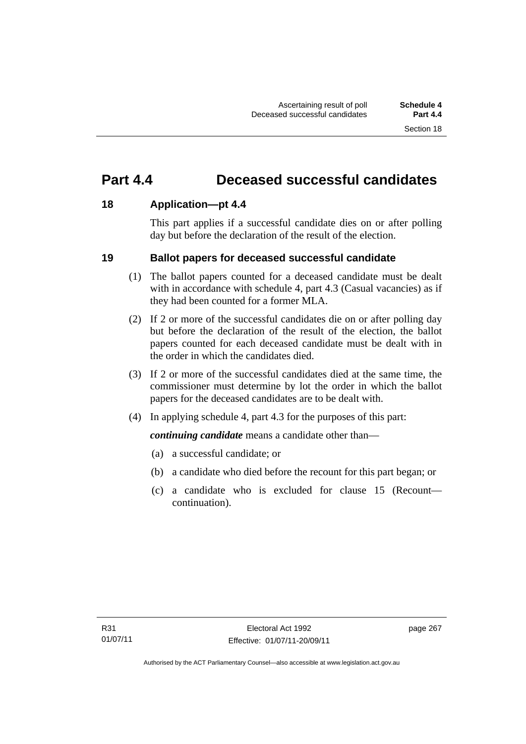## **Part 4.4 Deceased successful candidates**

#### **18 Application—pt 4.4**

This part applies if a successful candidate dies on or after polling day but before the declaration of the result of the election.

#### **19 Ballot papers for deceased successful candidate**

- (1) The ballot papers counted for a deceased candidate must be dealt with in accordance with schedule 4, part 4.3 (Casual vacancies) as if they had been counted for a former MLA.
- (2) If 2 or more of the successful candidates die on or after polling day but before the declaration of the result of the election, the ballot papers counted for each deceased candidate must be dealt with in the order in which the candidates died.
- (3) If 2 or more of the successful candidates died at the same time, the commissioner must determine by lot the order in which the ballot papers for the deceased candidates are to be dealt with.
- (4) In applying schedule 4, part 4.3 for the purposes of this part:

*continuing candidate* means a candidate other than—

- (a) a successful candidate; or
- (b) a candidate who died before the recount for this part began; or
- (c) a candidate who is excluded for clause 15 (Recount continuation).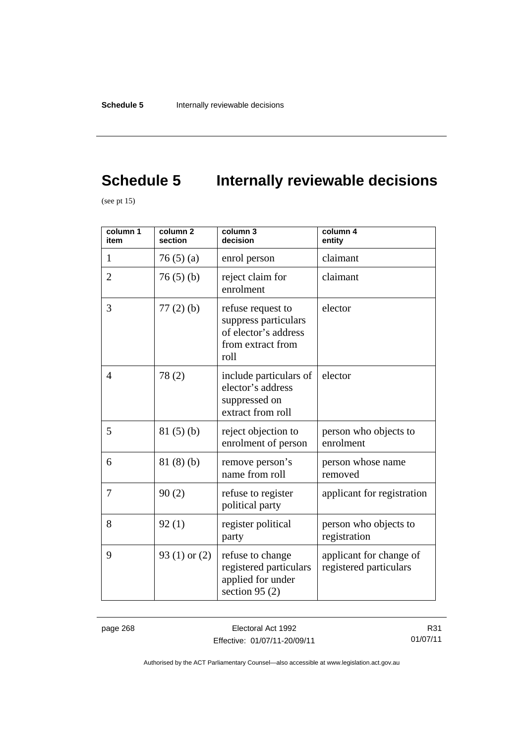# **Schedule 5** Internally reviewable decisions

(see pt  $15$ )

| column 1<br>item | column <sub>2</sub><br>section | column 3<br>decision                                                                           | column 4<br>entity                                |
|------------------|--------------------------------|------------------------------------------------------------------------------------------------|---------------------------------------------------|
| 1                | 76(5)(a)                       | enrol person                                                                                   | claimant                                          |
| $\overline{2}$   | 76(5)(b)                       | reject claim for<br>enrolment                                                                  | claimant                                          |
| 3                | $77(2)$ (b)                    | refuse request to<br>suppress particulars<br>of elector's address<br>from extract from<br>roll | elector                                           |
| 4                | 78(2)                          | include particulars of<br>elector's address<br>suppressed on<br>extract from roll              | elector                                           |
| 5                | 81(5)(b)                       | reject objection to<br>enrolment of person                                                     | person who objects to<br>enrolment                |
| 6                | 81(8)(b)                       | remove person's<br>name from roll                                                              | person whose name<br>removed                      |
| 7                | 90(2)                          | refuse to register<br>political party                                                          | applicant for registration                        |
| 8                | 92(1)                          | register political<br>party                                                                    | person who objects to<br>registration             |
| 9                | 93 $(1)$ or $(2)$              | refuse to change<br>registered particulars<br>applied for under<br>section 95 $(2)$            | applicant for change of<br>registered particulars |

page 268 Electoral Act 1992 Effective: 01/07/11-20/09/11

R31 01/07/11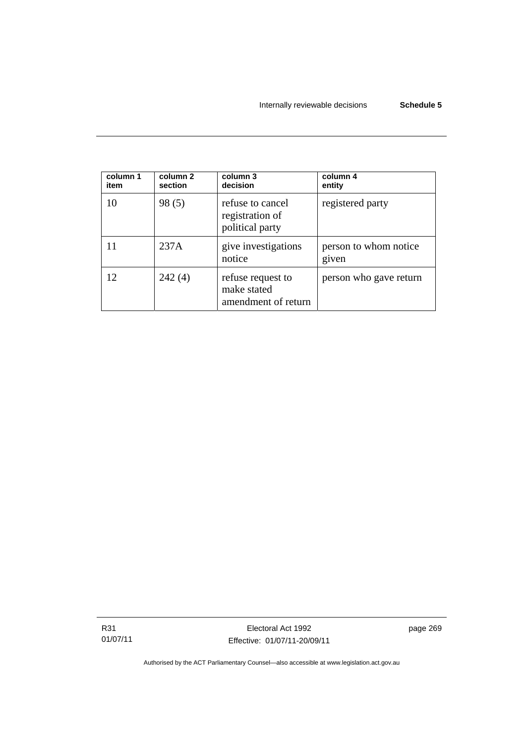| column 1<br>item | column 2<br>section | column 3<br>decision                                    | column 4<br>entity             |
|------------------|---------------------|---------------------------------------------------------|--------------------------------|
| 10               | 98(5)               | refuse to cancel<br>registration of<br>political party  | registered party               |
|                  | 237A                | give investigations<br>notice                           | person to whom notice<br>given |
| 12               | 242(4)              | refuse request to<br>make stated<br>amendment of return | person who gave return         |

R31 01/07/11 page 269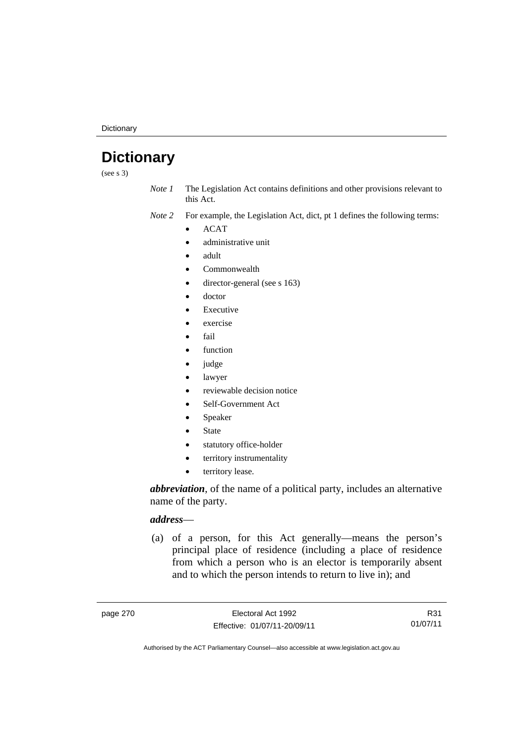**Dictionary** 

## **Dictionary**

(see s 3)

*Note 1* The Legislation Act contains definitions and other provisions relevant to this Act.

*Note 2* For example, the Legislation Act, dict, pt 1 defines the following terms:

 $\bullet$  ACAT

- administrative unit
- adult
- Commonwealth
- director-general (see s 163)
- doctor
- Executive
- exercise
- fail
- function
- judge
- lawyer
- reviewable decision notice
- Self-Government Act
- Speaker
- State
- statutory office-holder
- territory instrumentality
- territory lease.

*abbreviation*, of the name of a political party, includes an alternative name of the party.

#### *address*—

 (a) of a person, for this Act generally—means the person's principal place of residence (including a place of residence from which a person who is an elector is temporarily absent and to which the person intends to return to live in); and

R31 01/07/11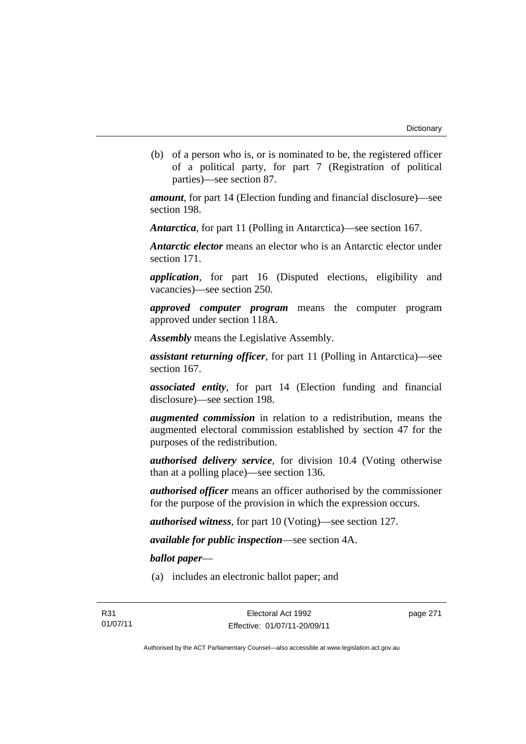(b) of a person who is, or is nominated to be, the registered officer of a political party, for part 7 (Registration of political parties)—see section 87.

*amount*, for part 14 (Election funding and financial disclosure)—see section 198.

*Antarctica*, for part 11 (Polling in Antarctica)—see section 167.

*Antarctic elector* means an elector who is an Antarctic elector under section 171.

*application*, for part 16 (Disputed elections, eligibility and vacancies)—see section 250.

*approved computer program* means the computer program approved under section 118A.

*Assembly* means the Legislative Assembly.

*assistant returning officer*, for part 11 (Polling in Antarctica)—see section 167.

*associated entity*, for part 14 (Election funding and financial disclosure)—see section 198.

*augmented commission* in relation to a redistribution, means the augmented electoral commission established by section 47 for the purposes of the redistribution.

*authorised delivery service*, for division 10.4 (Voting otherwise than at a polling place)—see section 136.

*authorised officer* means an officer authorised by the commissioner for the purpose of the provision in which the expression occurs.

*authorised witness*, for part 10 (Voting)—see section 127.

*available for public inspection*—see section 4A.

*ballot paper*—

(a) includes an electronic ballot paper; and

page 271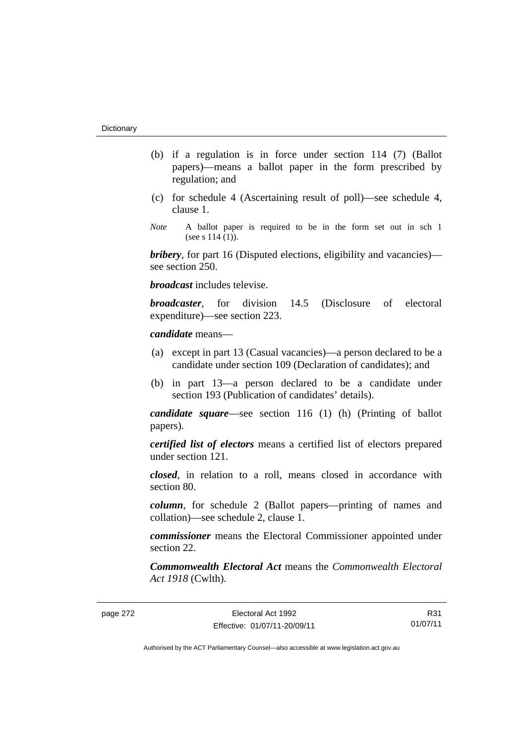- (b) if a regulation is in force under section 114 (7) (Ballot papers)—means a ballot paper in the form prescribed by regulation; and
- (c) for schedule 4 (Ascertaining result of poll)—see schedule 4, clause 1.
- *Note* A ballot paper is required to be in the form set out in sch 1 (see s  $114(1)$ ).

*bribery*, for part 16 (Disputed elections, eligibility and vacancies) see section 250.

*broadcast* includes televise.

*broadcaster*, for division 14.5 (Disclosure of electoral expenditure)—see section 223.

#### *candidate* means—

- (a) except in part 13 (Casual vacancies)—a person declared to be a candidate under section 109 (Declaration of candidates); and
- (b) in part 13—a person declared to be a candidate under section 193 (Publication of candidates' details).

*candidate square*—see section 116 (1) (h) (Printing of ballot papers).

*certified list of electors* means a certified list of electors prepared under section 121.

*closed*, in relation to a roll, means closed in accordance with section 80.

*column*, for schedule 2 (Ballot papers—printing of names and collation)—see schedule 2, clause 1.

*commissioner* means the Electoral Commissioner appointed under section 22.

*Commonwealth Electoral Act* means the *Commonwealth Electoral Act 1918* (Cwlth).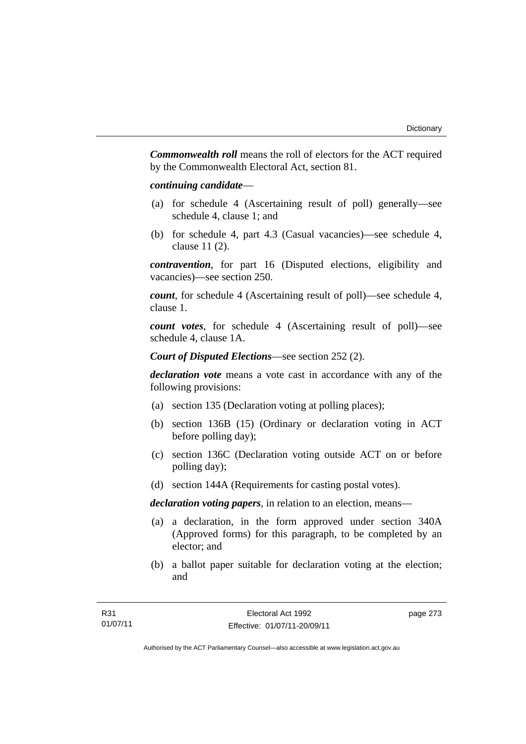*Commonwealth roll* means the roll of electors for the ACT required by the Commonwealth Electoral Act, section 81.

#### *continuing candidate*—

- (a) for schedule 4 (Ascertaining result of poll) generally—see schedule 4, clause 1; and
- (b) for schedule 4, part 4.3 (Casual vacancies)—see schedule 4, clause 11 (2).

*contravention*, for part 16 (Disputed elections, eligibility and vacancies)—see section 250.

*count*, for schedule 4 (Ascertaining result of poll)—see schedule 4, clause 1.

*count votes*, for schedule 4 (Ascertaining result of poll)—see schedule 4, clause 1A.

*Court of Disputed Elections*—see section 252 (2).

*declaration vote* means a vote cast in accordance with any of the following provisions:

- (a) section 135 (Declaration voting at polling places);
- (b) section 136B (15) (Ordinary or declaration voting in ACT before polling day);
- (c) section 136C (Declaration voting outside ACT on or before polling day);
- (d) section 144A (Requirements for casting postal votes).

*declaration voting papers*, in relation to an election, means—

- (a) a declaration, in the form approved under section 340A (Approved forms) for this paragraph, to be completed by an elector; and
- (b) a ballot paper suitable for declaration voting at the election; and

page 273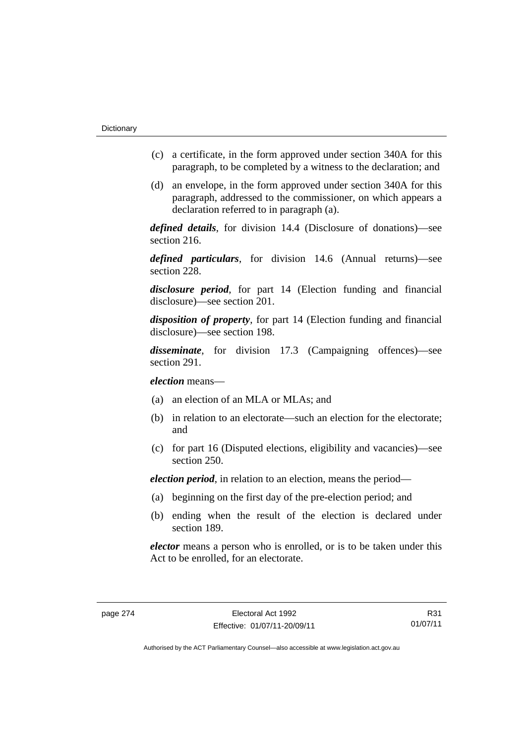- (c) a certificate, in the form approved under section 340A for this paragraph, to be completed by a witness to the declaration; and
- (d) an envelope, in the form approved under section 340A for this paragraph, addressed to the commissioner, on which appears a declaration referred to in paragraph (a).

*defined details*, for division 14.4 (Disclosure of donations)—see section 216.

*defined particulars*, for division 14.6 (Annual returns)—see section 228.

*disclosure period*, for part 14 (Election funding and financial disclosure)—see section 201.

*disposition of property*, for part 14 (Election funding and financial disclosure)—see section 198.

*disseminate*, for division 17.3 (Campaigning offences)—see section 291.

*election* means—

- (a) an election of an MLA or MLAs; and
- (b) in relation to an electorate—such an election for the electorate; and
- (c) for part 16 (Disputed elections, eligibility and vacancies)—see section 250.

*election period*, in relation to an election, means the period—

- (a) beginning on the first day of the pre-election period; and
- (b) ending when the result of the election is declared under section 189.

*elector* means a person who is enrolled, or is to be taken under this Act to be enrolled, for an electorate.

R31 01/07/11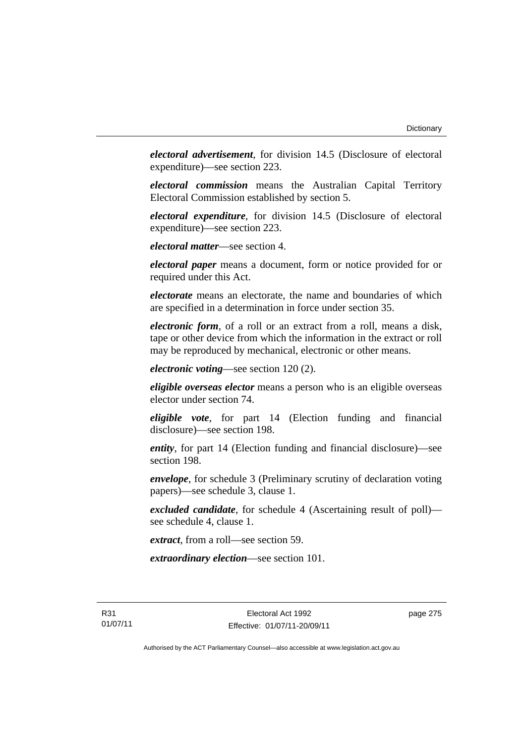*electoral advertisement*, for division 14.5 (Disclosure of electoral expenditure)—see section 223.

*electoral commission* means the Australian Capital Territory Electoral Commission established by section 5.

*electoral expenditure*, for division 14.5 (Disclosure of electoral expenditure)—see section 223.

*electoral matter*—see section 4.

*electoral paper* means a document, form or notice provided for or required under this Act.

*electorate* means an electorate, the name and boundaries of which are specified in a determination in force under section 35.

*electronic form*, of a roll or an extract from a roll, means a disk, tape or other device from which the information in the extract or roll may be reproduced by mechanical, electronic or other means.

*electronic voting*—see section 120 (2).

*eligible overseas elector* means a person who is an eligible overseas elector under section 74.

*eligible vote*, for part 14 (Election funding and financial disclosure)—see section 198.

*entity*, for part 14 (Election funding and financial disclosure)—see section 198.

*envelope*, for schedule 3 (Preliminary scrutiny of declaration voting papers)—see schedule 3, clause 1.

*excluded candidate*, for schedule 4 (Ascertaining result of poll) see schedule 4, clause 1.

*extract*, from a roll—see section 59.

*extraordinary election*—see section 101.

R31 01/07/11 page 275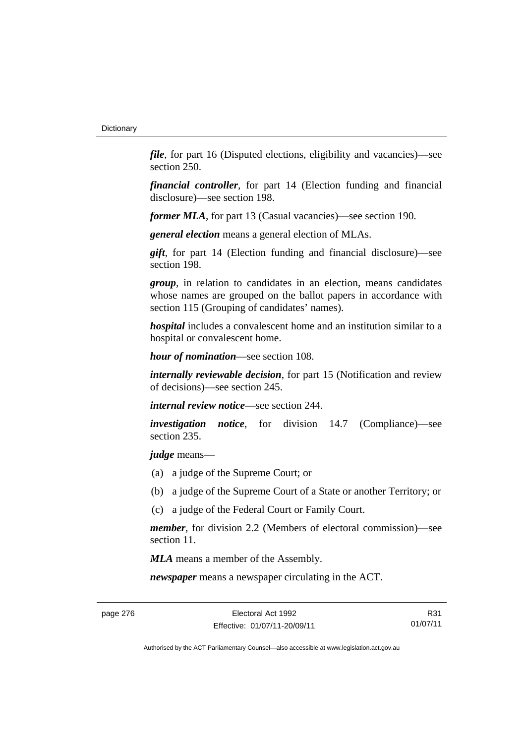*file*, for part 16 (Disputed elections, eligibility and vacancies)—see section 250.

*financial controller*, for part 14 (Election funding and financial disclosure)—see section 198.

*former MLA*, for part 13 (Casual vacancies)—see section 190.

*general election* means a general election of MLAs.

*gift*, for part 14 (Election funding and financial disclosure)—see section 198.

*group*, in relation to candidates in an election, means candidates whose names are grouped on the ballot papers in accordance with section 115 (Grouping of candidates' names).

*hospital* includes a convalescent home and an institution similar to a hospital or convalescent home.

*hour of nomination*—see section 108.

*internally reviewable decision*, for part 15 (Notification and review of decisions)—see section 245.

*internal review notice*—see section 244.

*investigation notice*, for division 14.7 (Compliance)—see section 235.

*judge* means—

- (a) a judge of the Supreme Court; or
- (b) a judge of the Supreme Court of a State or another Territory; or
- (c) a judge of the Federal Court or Family Court.

*member*, for division 2.2 (Members of electoral commission)—see section 11.

*MLA* means a member of the Assembly.

*newspaper* means a newspaper circulating in the ACT.

page 276 Electoral Act 1992 Effective: 01/07/11-20/09/11

R31 01/07/11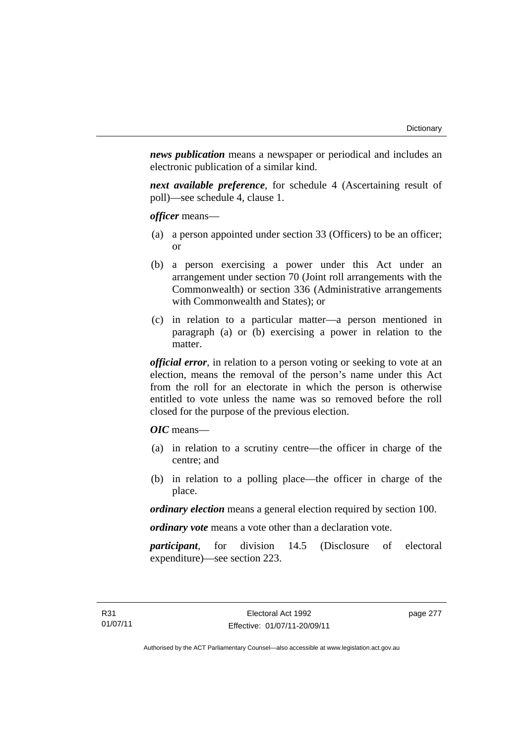*news publication* means a newspaper or periodical and includes an electronic publication of a similar kind.

*next available preference*, for schedule 4 (Ascertaining result of poll)—see schedule 4, clause 1.

*officer* means—

- (a) a person appointed under section 33 (Officers) to be an officer; or
- (b) a person exercising a power under this Act under an arrangement under section 70 (Joint roll arrangements with the Commonwealth) or section 336 (Administrative arrangements with Commonwealth and States); or
- (c) in relation to a particular matter—a person mentioned in paragraph (a) or (b) exercising a power in relation to the matter.

*official error*, in relation to a person voting or seeking to vote at an election, means the removal of the person's name under this Act from the roll for an electorate in which the person is otherwise entitled to vote unless the name was so removed before the roll closed for the purpose of the previous election.

*OIC* means—

- (a) in relation to a scrutiny centre—the officer in charge of the centre; and
- (b) in relation to a polling place—the officer in charge of the place.

*ordinary election* means a general election required by section 100.

*ordinary vote* means a vote other than a declaration vote.

*participant*, for division 14.5 (Disclosure of electoral expenditure)—see section 223.

page 277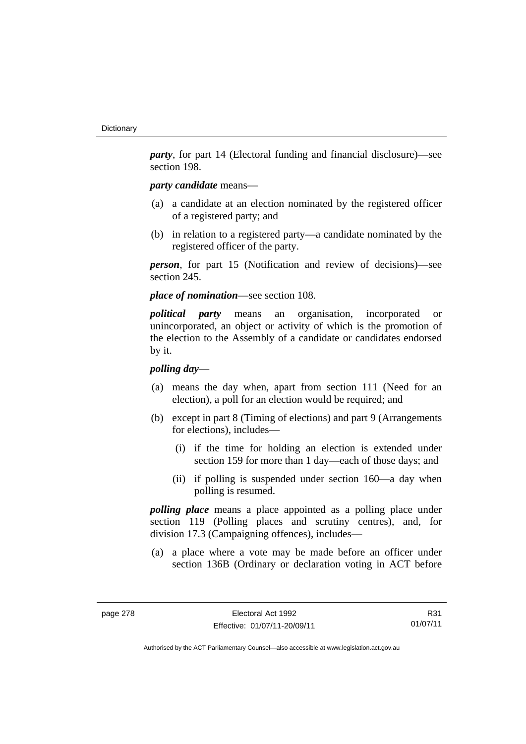*party*, for part 14 (Electoral funding and financial disclosure)—see section 198.

### *party candidate* means—

- (a) a candidate at an election nominated by the registered officer of a registered party; and
- (b) in relation to a registered party—a candidate nominated by the registered officer of the party.

*person*, for part 15 (Notification and review of decisions)—see section 245.

*place of nomination*—see section 108.

*political party* means an organisation, incorporated or unincorporated, an object or activity of which is the promotion of the election to the Assembly of a candidate or candidates endorsed by it.

### *polling day*—

- (a) means the day when, apart from section 111 (Need for an election), a poll for an election would be required; and
- (b) except in part 8 (Timing of elections) and part 9 (Arrangements for elections), includes—
	- (i) if the time for holding an election is extended under section 159 for more than 1 day—each of those days; and
	- (ii) if polling is suspended under section 160—a day when polling is resumed.

*polling place* means a place appointed as a polling place under section 119 (Polling places and scrutiny centres), and, for division 17.3 (Campaigning offences), includes—

 (a) a place where a vote may be made before an officer under section 136B (Ordinary or declaration voting in ACT before

R31 01/07/11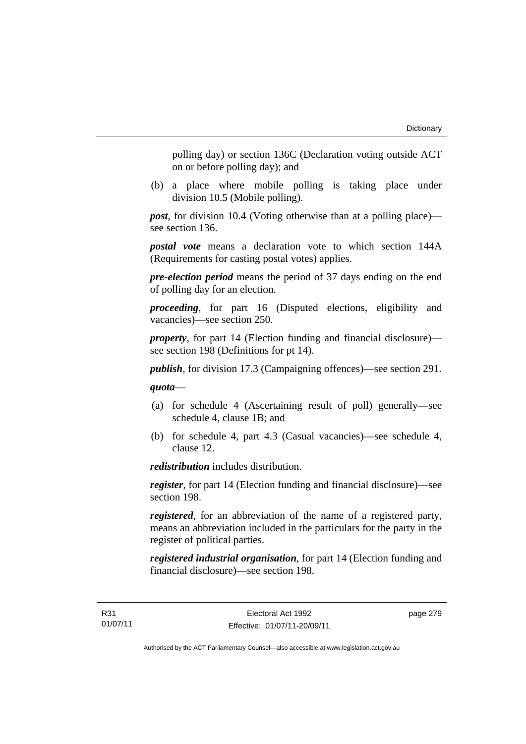polling day) or section 136C (Declaration voting outside ACT on or before polling day); and

 (b) a place where mobile polling is taking place under division 10.5 (Mobile polling).

*post*, for division 10.4 (Voting otherwise than at a polling place) see section 136.

*postal vote* means a declaration vote to which section 144A (Requirements for casting postal votes) applies.

*pre-election period* means the period of 37 days ending on the end of polling day for an election.

*proceeding*, for part 16 (Disputed elections, eligibility and vacancies)—see section 250.

*property*, for part 14 (Election funding and financial disclosure) see section 198 (Definitions for pt 14).

*publish*, for division 17.3 (Campaigning offences)—see section 291.

*quota*—

- (a) for schedule 4 (Ascertaining result of poll) generally—see schedule 4, clause 1B; and
- (b) for schedule 4, part 4.3 (Casual vacancies)—see schedule 4, clause 12.

*redistribution* includes distribution.

*register*, for part 14 (Election funding and financial disclosure)—see section 198.

*registered*, for an abbreviation of the name of a registered party, means an abbreviation included in the particulars for the party in the register of political parties.

*registered industrial organisation*, for part 14 (Election funding and financial disclosure)—see section 198.

page 279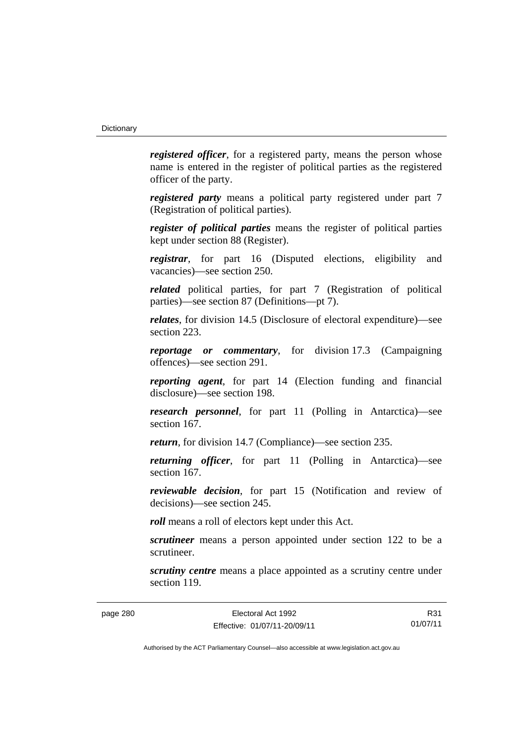*registered officer*, for a registered party, means the person whose name is entered in the register of political parties as the registered officer of the party.

*registered party* means a political party registered under part 7 (Registration of political parties).

*register of political parties* means the register of political parties kept under section 88 (Register).

*registrar*, for part 16 (Disputed elections, eligibility and vacancies)—see section 250.

*related* political parties, for part 7 (Registration of political parties)—see section 87 (Definitions—pt 7).

*relates*, for division 14.5 (Disclosure of electoral expenditure)—see section 223.

*reportage or commentary*, for division 17.3 (Campaigning offences)—see section 291.

*reporting agent*, for part 14 (Election funding and financial disclosure)—see section 198.

*research personnel*, for part 11 (Polling in Antarctica)—see section 167.

*return*, for division 14.7 (Compliance)—see section 235.

*returning officer*, for part 11 (Polling in Antarctica)—see section 167.

*reviewable decision*, for part 15 (Notification and review of decisions)—see section 245.

*roll* means a roll of electors kept under this Act.

*scrutineer* means a person appointed under section 122 to be a scrutineer.

*scrutiny centre* means a place appointed as a scrutiny centre under section 119.

R31 01/07/11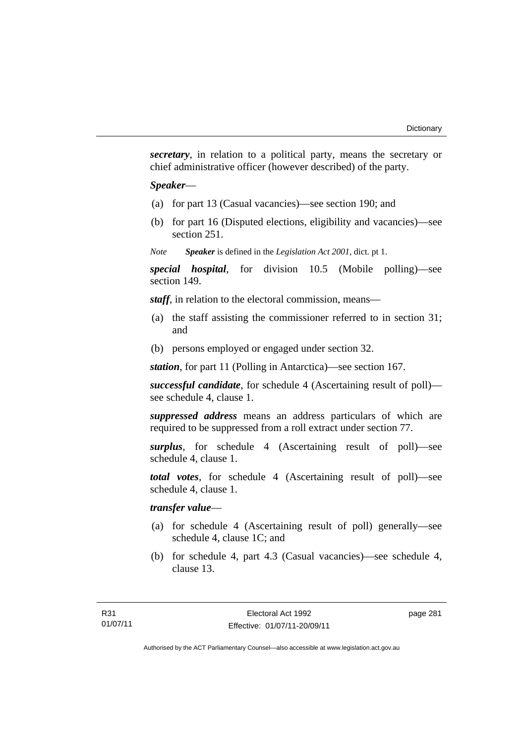*secretary*, in relation to a political party, means the secretary or chief administrative officer (however described) of the party.

#### *Speaker*—

- (a) for part 13 (Casual vacancies)—see section 190; and
- (b) for part 16 (Disputed elections, eligibility and vacancies)—see section 251.
- *Note Speaker* is defined in the *Legislation Act 2001*, dict. pt 1.

*special hospital*, for division 10.5 (Mobile polling)—see section 149.

*staff*, in relation to the electoral commission, means—

- (a) the staff assisting the commissioner referred to in section 31; and
- (b) persons employed or engaged under section 32.

*station*, for part 11 (Polling in Antarctica)—see section 167.

*successful candidate*, for schedule 4 (Ascertaining result of poll) see schedule 4, clause 1.

*suppressed address* means an address particulars of which are required to be suppressed from a roll extract under section 77.

*surplus*, for schedule 4 (Ascertaining result of poll)—see schedule 4, clause 1.

*total votes*, for schedule 4 (Ascertaining result of poll)—see schedule 4, clause 1.

### *transfer value*—

- (a) for schedule 4 (Ascertaining result of poll) generally—see schedule 4, clause 1C; and
- (b) for schedule 4, part 4.3 (Casual vacancies)—see schedule 4, clause 13.

page 281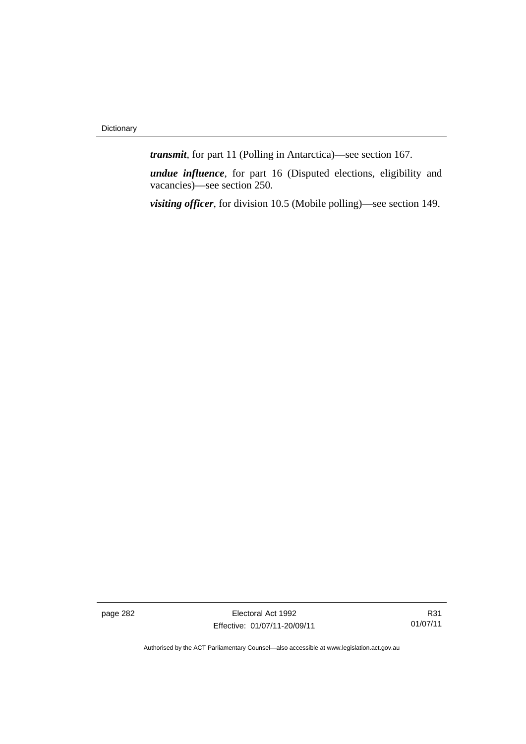*transmit*, for part 11 (Polling in Antarctica)—see section 167.

*undue influence*, for part 16 (Disputed elections, eligibility and vacancies)—see section 250.

*visiting officer*, for division 10.5 (Mobile polling)—see section 149.

page 282 Electoral Act 1992 Effective: 01/07/11-20/09/11

R31 01/07/11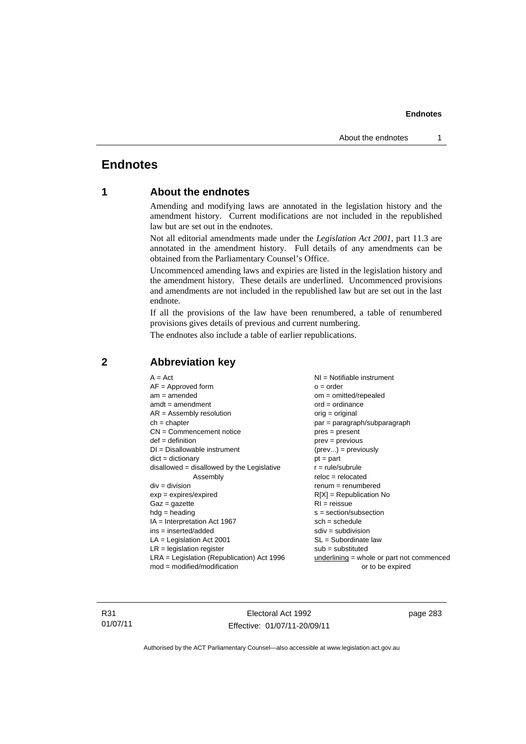## **Endnotes**

### **1 About the endnotes**

Amending and modifying laws are annotated in the legislation history and the amendment history. Current modifications are not included in the republished law but are set out in the endnotes.

Not all editorial amendments made under the *Legislation Act 2001*, part 11.3 are annotated in the amendment history. Full details of any amendments can be obtained from the Parliamentary Counsel's Office.

Uncommenced amending laws and expiries are listed in the legislation history and the amendment history. These details are underlined. Uncommenced provisions and amendments are not included in the republished law but are set out in the last endnote.

If all the provisions of the law have been renumbered, a table of renumbered provisions gives details of previous and current numbering.

The endnotes also include a table of earlier republications.

| $A = Act$                                    | $NI = Notifiable$ instrument              |
|----------------------------------------------|-------------------------------------------|
| $AF =$ Approved form                         | $o = order$                               |
| $am = amended$                               | $om = omitted/repealed$                   |
| $amdt = amendment$                           | $ord = ordinance$                         |
| $AR = Assembly resolution$                   | $orig = original$                         |
| $ch = chapter$                               | $par = paragraph/subparagraph$            |
| $CN =$ Commencement notice                   | $pres = present$                          |
| $def = definition$                           | $prev = previous$                         |
| $DI = Disallowable instrument$               | $(\text{prev}) = \text{previously}$       |
| $dict = dictionary$                          | $pt = part$                               |
| disallowed = disallowed by the Legislative   | $r = rule/subrule$                        |
| Assembly                                     | $reloc = relocated$                       |
| $div =$ division                             | $renum = renumbered$                      |
| $exp = expires/expired$                      | $R[X]$ = Republication No                 |
| $Gaz = gazette$                              | $RI = reissue$                            |
| $hdg = heading$                              | $s = section/subsection$                  |
| $IA = Interpretation Act 1967$               | $sch = schedule$                          |
| $ins = inserted/added$                       | $sdiv = subdivision$                      |
| $LA =$ Legislation Act 2001                  | $SL = Subordinate$ law                    |
| $LR =$ legislation register                  | $sub =$ substituted                       |
| $LRA =$ Legislation (Republication) Act 1996 | underlining = whole or part not commenced |
| $mod = modified/modification$                | or to be expired                          |
|                                              |                                           |

### **2 Abbreviation key**

R31 01/07/11

Electoral Act 1992 Effective: 01/07/11-20/09/11 page 283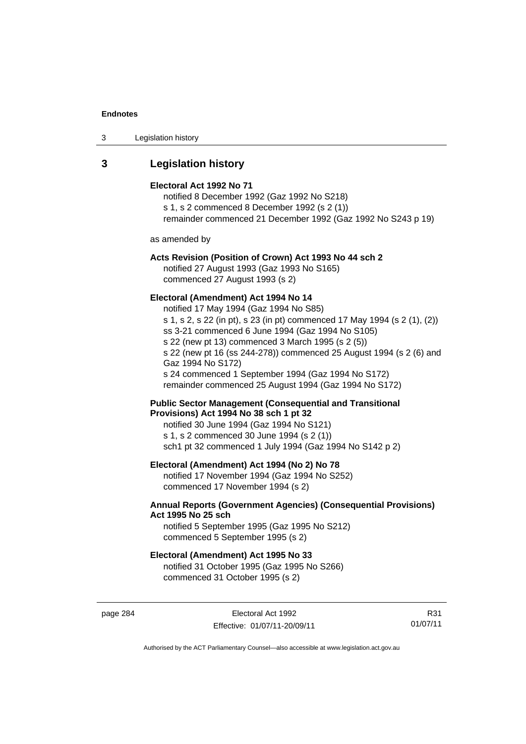| 3 | Legislation history |  |
|---|---------------------|--|
|---|---------------------|--|

### **3 Legislation history**

#### **Electoral Act 1992 No 71**

notified 8 December 1992 (Gaz 1992 No S218) s 1, s 2 commenced 8 December 1992 (s 2 (1)) remainder commenced 21 December 1992 (Gaz 1992 No S243 p 19)

as amended by

### **Acts Revision (Position of Crown) Act 1993 No 44 sch 2**

notified 27 August 1993 (Gaz 1993 No S165) commenced 27 August 1993 (s 2)

#### **Electoral (Amendment) Act 1994 No 14**

notified 17 May 1994 (Gaz 1994 No S85) s 1, s 2, s 22 (in pt), s 23 (in pt) commenced 17 May 1994 (s 2 (1), (2)) ss 3-21 commenced 6 June 1994 (Gaz 1994 No S105) s 22 (new pt 13) commenced 3 March 1995 (s 2 (5)) s 22 (new pt 16 (ss 244-278)) commenced 25 August 1994 (s 2 (6) and Gaz 1994 No S172) s 24 commenced 1 September 1994 (Gaz 1994 No S172) remainder commenced 25 August 1994 (Gaz 1994 No S172)

**Public Sector Management (Consequential and Transitional Provisions) Act 1994 No 38 sch 1 pt 32** 

notified 30 June 1994 (Gaz 1994 No S121) s 1, s 2 commenced 30 June 1994 (s 2 (1)) sch1 pt 32 commenced 1 July 1994 (Gaz 1994 No S142 p 2)

### **Electoral (Amendment) Act 1994 (No 2) No 78**

notified 17 November 1994 (Gaz 1994 No S252) commenced 17 November 1994 (s 2)

### **Annual Reports (Government Agencies) (Consequential Provisions) Act 1995 No 25 sch**

notified 5 September 1995 (Gaz 1995 No S212) commenced 5 September 1995 (s 2)

#### **Electoral (Amendment) Act 1995 No 33**

notified 31 October 1995 (Gaz 1995 No S266) commenced 31 October 1995 (s 2)

page 284 Electoral Act 1992 Effective: 01/07/11-20/09/11

R31 01/07/11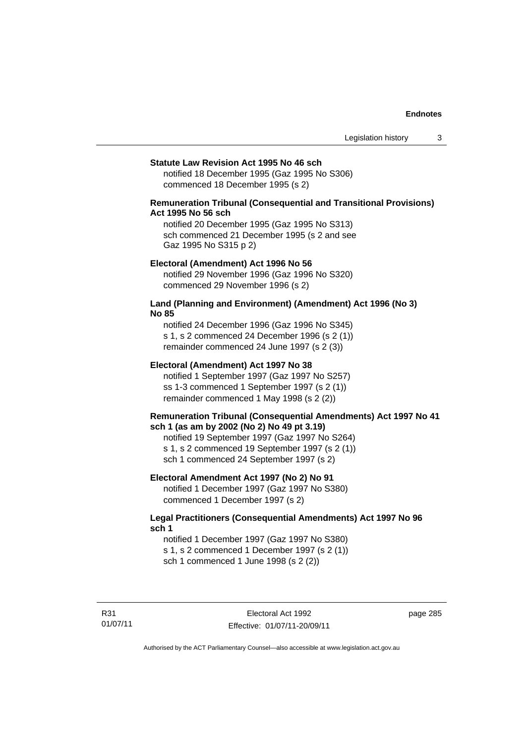#### **Statute Law Revision Act 1995 No 46 sch**

notified 18 December 1995 (Gaz 1995 No S306) commenced 18 December 1995 (s 2)

### **Remuneration Tribunal (Consequential and Transitional Provisions) Act 1995 No 56 sch**

notified 20 December 1995 (Gaz 1995 No S313) sch commenced 21 December 1995 (s 2 and see Gaz 1995 No S315 p 2)

#### **Electoral (Amendment) Act 1996 No 56**

notified 29 November 1996 (Gaz 1996 No S320) commenced 29 November 1996 (s 2)

#### **Land (Planning and Environment) (Amendment) Act 1996 (No 3) No 85**

notified 24 December 1996 (Gaz 1996 No S345) s 1, s 2 commenced 24 December 1996 (s 2 (1)) remainder commenced 24 June 1997 (s 2 (3))

#### **Electoral (Amendment) Act 1997 No 38**

notified 1 September 1997 (Gaz 1997 No S257) ss 1-3 commenced 1 September 1997 (s 2 (1)) remainder commenced 1 May 1998 (s 2 (2))

#### **Remuneration Tribunal (Consequential Amendments) Act 1997 No 41 sch 1 (as am by 2002 (No 2) No 49 pt 3.19)**

notified 19 September 1997 (Gaz 1997 No S264) s 1, s 2 commenced 19 September 1997 (s 2 (1)) sch 1 commenced 24 September 1997 (s 2)

#### **Electoral Amendment Act 1997 (No 2) No 91**

notified 1 December 1997 (Gaz 1997 No S380) commenced 1 December 1997 (s 2)

#### **Legal Practitioners (Consequential Amendments) Act 1997 No 96 sch 1**

notified 1 December 1997 (Gaz 1997 No S380) s 1, s 2 commenced 1 December 1997 (s 2 (1)) sch 1 commenced 1 June 1998 (s 2 (2))

R31 01/07/11 page 285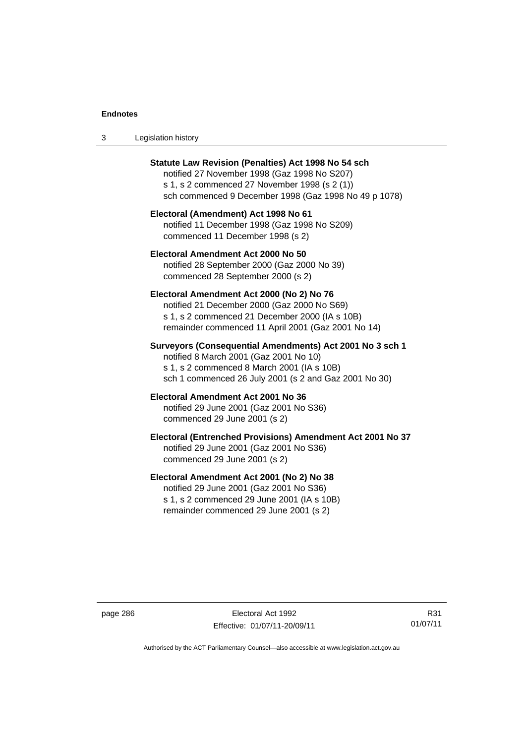| -3 | Legislation history |  |
|----|---------------------|--|
|----|---------------------|--|

| <b>Statute Law Revision (Penalties) Act 1998 No 54 sch</b><br>notified 27 November 1998 (Gaz 1998 No S207)<br>s 1, s 2 commenced 27 November 1998 (s 2 (1))<br>sch commenced 9 December 1998 (Gaz 1998 No 49 p 1078) |
|----------------------------------------------------------------------------------------------------------------------------------------------------------------------------------------------------------------------|
| Electoral (Amendment) Act 1998 No 61<br>notified 11 December 1998 (Gaz 1998 No S209)<br>commenced 11 December 1998 (s 2)                                                                                             |
| Electoral Amendment Act 2000 No 50<br>notified 28 September 2000 (Gaz 2000 No 39)<br>commenced 28 September 2000 (s 2)                                                                                               |
| Electoral Amendment Act 2000 (No 2) No 76<br>notified 21 December 2000 (Gaz 2000 No S69)<br>s 1, s 2 commenced 21 December 2000 (IA s 10B)<br>remainder commenced 11 April 2001 (Gaz 2001 No 14)                     |
| Surveyors (Consequential Amendments) Act 2001 No 3 sch 1<br>notified 8 March 2001 (Gaz 2001 No 10)<br>s 1, s 2 commenced 8 March 2001 (IA s 10B)<br>sch 1 commenced 26 July 2001 (s 2 and Gaz 2001 No 30)            |
| Electoral Amendment Act 2001 No 36<br>notified 29 June 2001 (Gaz 2001 No S36)<br>commenced 29 June 2001 (s 2)                                                                                                        |
| Electoral (Entrenched Provisions) Amendment Act 2001 No 37<br>notified 29 June 2001 (Gaz 2001 No S36)<br>commenced 29 June 2001 (s 2)                                                                                |
| Electoral Amendment Act 2001 (No 2) No 38<br>notified 29 June 2001 (Gaz 2001 No S36)<br>s 1, s 2 commenced 29 June 2001 (IA s 10B)<br>remainder commenced 29 June 2001 (s 2)                                         |

page 286 Electoral Act 1992 Effective: 01/07/11-20/09/11

R31 01/07/11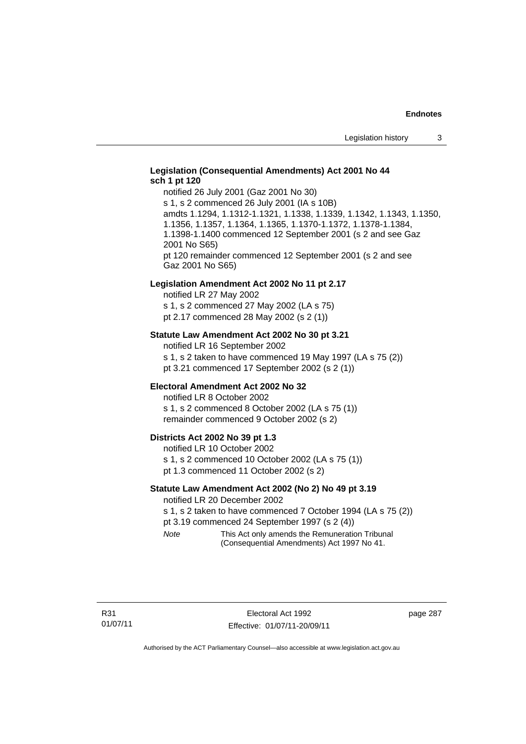### **Legislation (Consequential Amendments) Act 2001 No 44 sch 1 pt 120**

notified 26 July 2001 (Gaz 2001 No 30) s 1, s 2 commenced 26 July 2001 (IA s 10B) amdts 1.1294, 1.1312-1.1321, 1.1338, 1.1339, 1.1342, 1.1343, 1.1350, 1.1356, 1.1357, 1.1364, 1.1365, 1.1370-1.1372, 1.1378-1.1384, 1.1398-1.1400 commenced 12 September 2001 (s 2 and see Gaz 2001 No S65) pt 120 remainder commenced 12 September 2001 (s 2 and see Gaz 2001 No S65)

#### **Legislation Amendment Act 2002 No 11 pt 2.17**

notified LR 27 May 2002 s 1, s 2 commenced 27 May 2002 (LA s 75) pt 2.17 commenced 28 May 2002 (s 2 (1))

#### **Statute Law Amendment Act 2002 No 30 pt 3.21**

notified LR 16 September 2002 s 1, s 2 taken to have commenced 19 May 1997 (LA s 75 (2)) pt 3.21 commenced 17 September 2002 (s 2 (1))

#### **Electoral Amendment Act 2002 No 32**

notified LR 8 October 2002 s 1, s 2 commenced 8 October 2002 (LA s 75 (1)) remainder commenced 9 October 2002 (s 2)

#### **Districts Act 2002 No 39 pt 1.3**

notified LR 10 October 2002 s 1, s 2 commenced 10 October 2002 (LA s 75 (1)) pt 1.3 commenced 11 October 2002 (s 2)

#### **Statute Law Amendment Act 2002 (No 2) No 49 pt 3.19**

notified LR 20 December 2002

s 1, s 2 taken to have commenced 7 October 1994 (LA s 75 (2)) pt 3.19 commenced 24 September 1997 (s 2 (4))

*Note* This Act only amends the Remuneration Tribunal (Consequential Amendments) Act 1997 No 41.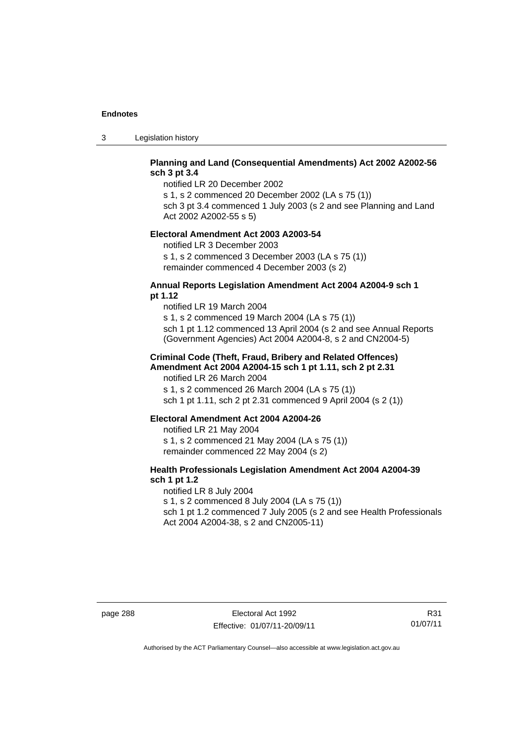3 Legislation history

### **Planning and Land (Consequential Amendments) Act 2002 A2002-56 sch 3 pt 3.4**

notified LR 20 December 2002

s 1, s 2 commenced 20 December 2002 (LA s 75 (1)) sch 3 pt 3.4 commenced 1 July 2003 (s 2 and see Planning and Land

Act 2002 A2002-55 s 5)

#### **Electoral Amendment Act 2003 A2003-54**

notified LR 3 December 2003 s 1, s 2 commenced 3 December 2003 (LA s 75 (1)) remainder commenced 4 December 2003 (s 2)

#### **Annual Reports Legislation Amendment Act 2004 A2004-9 sch 1 pt 1.12**

notified LR 19 March 2004 s 1, s 2 commenced 19 March 2004 (LA s 75 (1)) sch 1 pt 1.12 commenced 13 April 2004 (s 2 and see Annual Reports (Government Agencies) Act 2004 A2004-8, s 2 and CN2004-5)

### **Criminal Code (Theft, Fraud, Bribery and Related Offences) Amendment Act 2004 A2004-15 sch 1 pt 1.11, sch 2 pt 2.31**

notified LR 26 March 2004 s 1, s 2 commenced 26 March 2004 (LA s 75 (1)) sch 1 pt 1.11, sch 2 pt 2.31 commenced 9 April 2004 (s 2 (1))

#### **Electoral Amendment Act 2004 A2004-26**

notified LR 21 May 2004 s 1, s 2 commenced 21 May 2004 (LA s 75 (1)) remainder commenced 22 May 2004 (s 2)

### **Health Professionals Legislation Amendment Act 2004 A2004-39 sch 1 pt 1.2**

notified LR 8 July 2004 s 1, s 2 commenced 8 July 2004 (LA s 75 (1)) sch 1 pt 1.2 commenced 7 July 2005 (s 2 and see Health Professionals Act 2004 A2004-38, s 2 and CN2005-11)

R31 01/07/11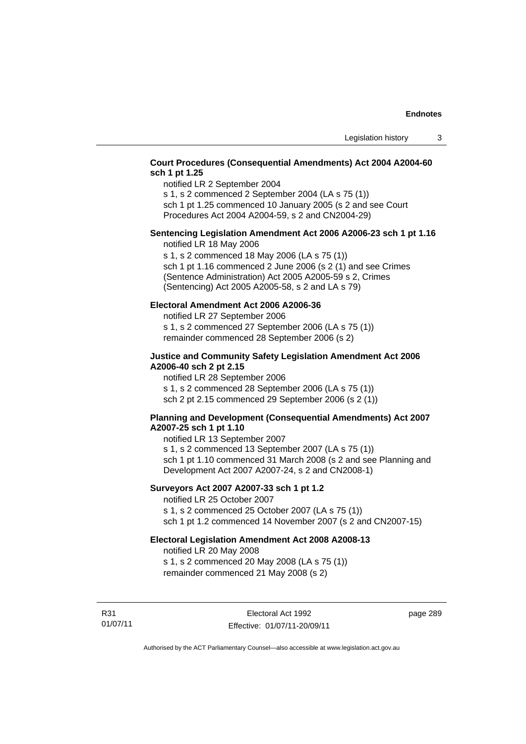### **Court Procedures (Consequential Amendments) Act 2004 A2004-60 sch 1 pt 1.25**

notified LR 2 September 2004

s 1, s 2 commenced 2 September 2004 (LA s 75 (1)) sch 1 pt 1.25 commenced 10 January 2005 (s 2 and see Court

Procedures Act 2004 A2004-59, s 2 and CN2004-29)

# **Sentencing Legislation Amendment Act 2006 A2006-23 sch 1 pt 1.16**

notified LR 18 May 2006

s 1, s 2 commenced 18 May 2006 (LA s 75 (1)) sch 1 pt 1.16 commenced 2 June 2006 (s 2 (1) and see Crimes (Sentence Administration) Act 2005 A2005-59 s 2, Crimes (Sentencing) Act 2005 A2005-58, s 2 and LA s 79)

### **Electoral Amendment Act 2006 A2006-36**

notified LR 27 September 2006 s 1, s 2 commenced 27 September 2006 (LA s 75 (1)) remainder commenced 28 September 2006 (s 2)

### **Justice and Community Safety Legislation Amendment Act 2006 A2006-40 sch 2 pt 2.15**

notified LR 28 September 2006 s 1, s 2 commenced 28 September 2006 (LA s 75 (1)) sch 2 pt 2.15 commenced 29 September 2006 (s 2 (1))

### **Planning and Development (Consequential Amendments) Act 2007 A2007-25 sch 1 pt 1.10**

notified LR 13 September 2007 s 1, s 2 commenced 13 September 2007 (LA s 75 (1)) sch 1 pt 1.10 commenced 31 March 2008 (s 2 and see Planning and Development Act 2007 A2007-24, s 2 and CN2008-1)

### **Surveyors Act 2007 A2007-33 sch 1 pt 1.2**

notified LR 25 October 2007 s 1, s 2 commenced 25 October 2007 (LA s 75 (1)) sch 1 pt 1.2 commenced 14 November 2007 (s 2 and CN2007-15)

### **Electoral Legislation Amendment Act 2008 A2008-13**

notified LR 20 May 2008 s 1, s 2 commenced 20 May 2008 (LA s 75 (1)) remainder commenced 21 May 2008 (s 2)

R31 01/07/11

Electoral Act 1992 Effective: 01/07/11-20/09/11 page 289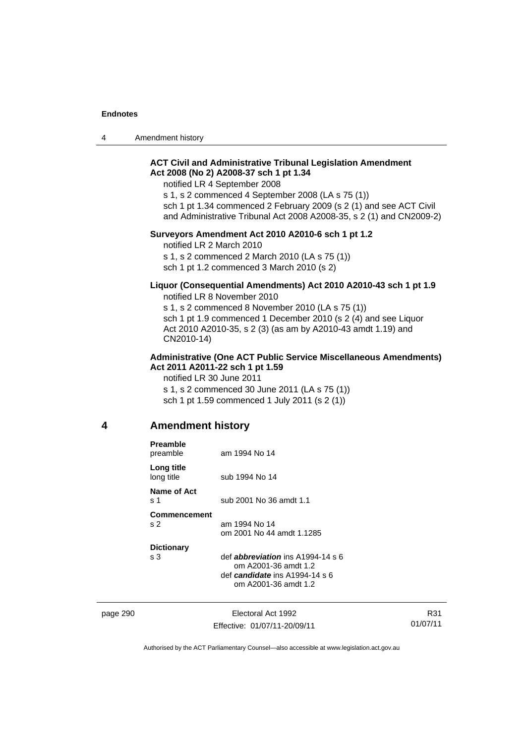4 Amendment history

### **ACT Civil and Administrative Tribunal Legislation Amendment Act 2008 (No 2) A2008-37 sch 1 pt 1.34**

notified LR 4 September 2008

s 1, s 2 commenced 4 September 2008 (LA s 75 (1)) sch 1 pt 1.34 commenced 2 February 2009 (s 2 (1) and see ACT Civil and Administrative Tribunal Act 2008 A2008-35, s 2 (1) and CN2009-2)

#### **Surveyors Amendment Act 2010 A2010-6 sch 1 pt 1.2**

notified LR 2 March 2010 s 1, s 2 commenced 2 March 2010 (LA s 75 (1)) sch 1 pt 1.2 commenced 3 March 2010 (s 2)

#### **Liquor (Consequential Amendments) Act 2010 A2010-43 sch 1 pt 1.9**  notified LR 8 November 2010

s 1, s 2 commenced 8 November 2010 (LA s 75 (1)) sch 1 pt 1.9 commenced 1 December 2010 (s 2 (4) and see Liquor Act 2010 A2010-35, s 2 (3) (as am by A2010-43 amdt 1.19) and CN2010-14)

#### **Administrative (One ACT Public Service Miscellaneous Amendments) Act 2011 A2011-22 sch 1 pt 1.59**

notified LR 30 June 2011 s 1, s 2 commenced 30 June 2011 (LA s 75 (1)) sch 1 pt 1.59 commenced 1 July 2011 (s 2 (1))

### **4 Amendment history**

|          | <b>Preamble</b><br>preamble           | am 1994 No 14                                                                                                                  |
|----------|---------------------------------------|--------------------------------------------------------------------------------------------------------------------------------|
|          | Long title<br>long title              | sub 1994 No 14                                                                                                                 |
|          | Name of Act<br>s 1                    | sub 2001 No 36 amdt 1.1                                                                                                        |
|          | <b>Commencement</b><br>s <sub>2</sub> | am 1994 No 14<br>om 2001 No 44 amdt 1.1285                                                                                     |
|          | <b>Dictionary</b><br>s 3              | def <b>abbreviation</b> ins $A1994-14 s 6$<br>om A2001-36 amdt 1.2<br>def candidate ins $A1994-14 s 6$<br>om A2001-36 amdt 1.2 |
| page 290 |                                       | Electoral Act 1992                                                                                                             |

Effective: 01/07/11-20/09/11

R31 01/07/11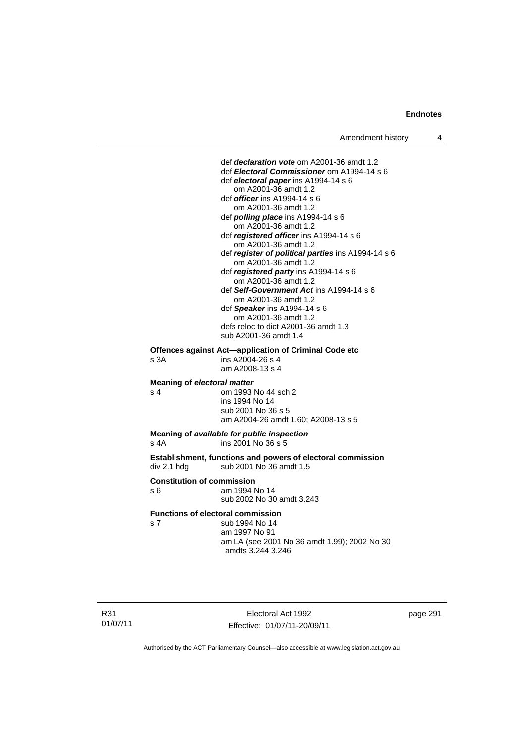def *declaration vote* om A2001-36 amdt 1.2 def *Electoral Commissioner* om A1994-14 s 6 def *electoral paper* ins A1994-14 s 6 om A2001-36 amdt 1.2 def *officer* ins A1994-14 s 6 om A2001-36 amdt 1.2 def *polling place* ins A1994-14 s 6 om A2001-36 amdt 1.2 def *registered officer* ins A1994-14 s 6 om A2001-36 amdt 1.2 def *register of political parties* ins A1994-14 s 6 om A2001-36 amdt 1.2 def *registered party* ins A1994-14 s 6 om A2001-36 amdt 1.2 def *Self-Government Act* ins A1994-14 s 6 om A2001-36 amdt 1.2 def *Speaker* ins A1994-14 s 6 om A2001-36 amdt 1.2 defs reloc to dict A2001-36 amdt 1.3 sub A2001-36 amdt 1.4 **Offences against Act—application of Criminal Code etc**  s 3A ins A2004-26 s 4 am A2008-13 s 4 **Meaning of** *electoral matter* s 4 om 1993 No 44 sch 2 ins 1994 No 14 sub 2001 No 36 s 5

am A2004-26 amdt 1.60; A2008-13 s 5

#### **Meaning of** *available for public inspection* s 4A ins 2001 No 36 s 5

**Establishment, functions and powers of electoral commission**  div 2.1 hdg sub 2001 No 36 amdt 1.5

#### **Constitution of commission**

s 6 am 1994 No 14 sub 2002 No 30 amdt 3.243

#### **Functions of electoral commission**

s 7 sub 1994 No 14 am 1997 No 91 am LA (see 2001 No 36 amdt 1.99); 2002 No 30 amdts 3.244 3.246

Electoral Act 1992 Effective: 01/07/11-20/09/11 page 291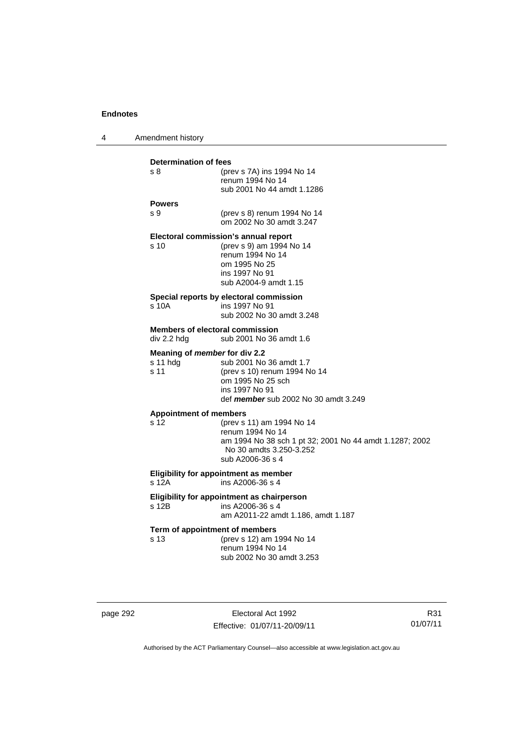4 Amendment history

| <b>Determination of fees</b>  |                                                           |
|-------------------------------|-----------------------------------------------------------|
| s 8                           | (prev s 7A) ins 1994 No 14                                |
|                               | renum 1994 No 14                                          |
|                               | sub 2001 No 44 amdt 1.1286                                |
| <b>Powers</b>                 |                                                           |
| S <sub>9</sub>                | (prev s 8) renum 1994 No 14                               |
|                               | om 2002 No 30 amdt 3.247                                  |
|                               |                                                           |
|                               | Electoral commission's annual report                      |
| s <sub>10</sub>               | (prev s 9) am 1994 No 14<br>renum 1994 No 14              |
|                               | om 1995 No 25                                             |
|                               | ins 1997 No 91                                            |
|                               | sub A2004-9 amdt 1.15                                     |
|                               |                                                           |
| s 10A                         | Special reports by electoral commission<br>ins 1997 No 91 |
|                               | sub 2002 No 30 amdt 3.248                                 |
|                               |                                                           |
|                               | <b>Members of electoral commission</b>                    |
| div 2.2 hdg                   | sub 2001 No 36 amdt 1.6                                   |
|                               | Meaning of <i>member</i> for div 2.2                      |
| s 11 hdg                      | sub 2001 No 36 amdt 1.7                                   |
| s 11                          | (prev s 10) renum 1994 No 14                              |
|                               | om 1995 No 25 sch                                         |
|                               | ins 1997 No 91                                            |
|                               | def member sub 2002 No 30 amdt 3.249                      |
| <b>Appointment of members</b> |                                                           |
| s 12                          | (prev s 11) am 1994 No 14                                 |
|                               | renum 1994 No 14                                          |
|                               | am 1994 No 38 sch 1 pt 32; 2001 No 44 amdt 1.1287; 2002   |
|                               | No 30 amdts 3.250-3.252<br>sub A2006-36 s 4               |
|                               |                                                           |
|                               | Eligibility for appointment as member                     |
| s 12A                         | ins A2006-36 s 4                                          |
|                               | Eligibility for appointment as chairperson                |
| s 12B                         | ins A2006-36 s 4                                          |
|                               | am A2011-22 amdt 1.186, amdt 1.187                        |
|                               | Term of appointment of members                            |
| s 13                          | (prev s 12) am 1994 No 14                                 |
|                               | renum 1994 No 14                                          |
|                               | sub 2002 No 30 amdt 3.253                                 |
|                               |                                                           |

page 292 Electoral Act 1992 Effective: 01/07/11-20/09/11

R31 01/07/11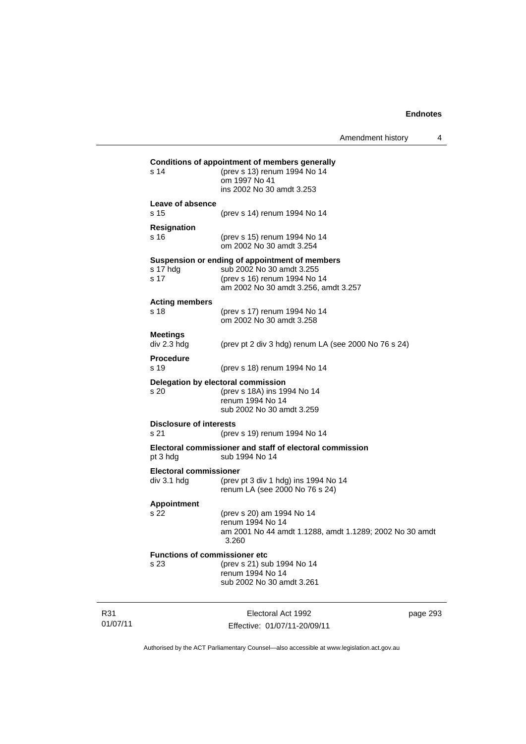| s 14                                          | <b>Conditions of appointment of members generally</b><br>(prev s 13) renum 1994 No 14<br>om 1997 No 41<br>ins 2002 No 30 amdt 3.253                 |          |
|-----------------------------------------------|-----------------------------------------------------------------------------------------------------------------------------------------------------|----------|
| Leave of absence<br>s 15                      | (prev s 14) renum 1994 No 14                                                                                                                        |          |
| <b>Resignation</b><br>s 16                    | (prev s 15) renum 1994 No 14<br>om 2002 No 30 amdt 3.254                                                                                            |          |
| s 17 hdg<br>s 17                              | Suspension or ending of appointment of members<br>sub 2002 No 30 amdt 3.255<br>(prev s 16) renum 1994 No 14<br>am 2002 No 30 amdt 3.256, amdt 3.257 |          |
| <b>Acting members</b><br>s 18                 | (prev s 17) renum 1994 No 14<br>om 2002 No 30 amdt 3.258                                                                                            |          |
| <b>Meetings</b><br>div 2.3 hdg                | (prev pt 2 div 3 hdg) renum LA (see 2000 No $76$ s $24$ )                                                                                           |          |
| <b>Procedure</b><br>s 19                      | (prev s 18) renum 1994 No 14                                                                                                                        |          |
| s 20                                          | Delegation by electoral commission<br>(prev s 18A) ins 1994 No 14<br>renum 1994 No 14<br>sub 2002 No 30 amdt 3.259                                  |          |
| <b>Disclosure of interests</b><br>s 21        | (prev s 19) renum 1994 No 14                                                                                                                        |          |
| pt 3 hdg                                      | Electoral commissioner and staff of electoral commission<br>sub 1994 No 14                                                                          |          |
| <b>Electoral commissioner</b><br>div 3.1 h dg | (prev pt 3 div 1 hdg) ins 1994 No 14<br>renum LA (see 2000 No 76 s 24)                                                                              |          |
| <b>Appointment</b><br>s 22                    | (prev s 20) am 1994 No 14<br>renum 1994 No 14<br>am 2001 No 44 amdt 1.1288, amdt 1.1289; 2002 No 30 amdt<br>3.260                                   |          |
| s 23                                          | <b>Functions of commissioner etc</b><br>(prev s 21) sub 1994 No 14<br>renum 1994 No 14<br>sub 2002 No 30 amdt 3.261                                 |          |
|                                               | Electoral Act 1992<br>Effective: 01/07/11-20/09/11                                                                                                  | page 293 |

Authorised by the ACT Parliamentary Counsel—also accessible at www.legislation.act.gov.au

R31 01/07/11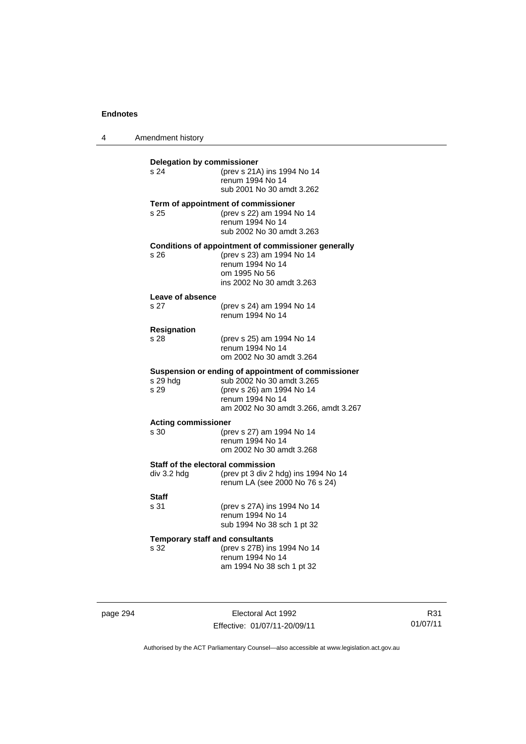4 Amendment history

| Delegation by commissioner<br>s <sub>24</sub>    | (prev s 21A) ins 1994 No 14<br>renum 1994 No 14<br>sub 2001 No 30 amdt 3.262                                                                                              |
|--------------------------------------------------|---------------------------------------------------------------------------------------------------------------------------------------------------------------------------|
| s 25                                             | Term of appointment of commissioner<br>(prev s 22) am 1994 No 14<br>renum 1994 No 14<br>sub 2002 No 30 amdt 3.263                                                         |
| s 26                                             | Conditions of appointment of commissioner generally<br>(prev s 23) am 1994 No 14<br>renum 1994 No 14<br>om 1995 No 56<br>ins 2002 No 30 amdt 3.263                        |
| Leave of absence<br>s 27                         | (prev s 24) am 1994 No 14<br>renum 1994 No 14                                                                                                                             |
| <b>Resignation</b><br>s 28                       | (prev s 25) am 1994 No 14<br>renum 1994 No 14<br>om 2002 No 30 amdt 3.264                                                                                                 |
| s 29 hdg<br>s 29                                 | Suspension or ending of appointment of commissioner<br>sub 2002 No 30 amdt 3.265<br>(prev s 26) am 1994 No 14<br>renum 1994 No 14<br>am 2002 No 30 amdt 3.266, amdt 3.267 |
| <b>Acting commissioner</b><br>s 30               | (prev s 27) am 1994 No 14<br>renum 1994 No 14<br>om 2002 No 30 amdt 3.268                                                                                                 |
| Staff of the electoral commission<br>div 3.2 hdg | (prev pt 3 div 2 hdg) ins 1994 No 14<br>renum LA (see 2000 No 76 s 24)                                                                                                    |
| <b>Staff</b><br>s 31                             | (prev s 27A) ins 1994 No 14<br>renum 1994 No 14<br>sub 1994 No 38 sch 1 pt 32                                                                                             |
| <b>Temporary staff and consultants</b><br>s 32   | (prev s 27B) ins 1994 No 14<br>renum 1994 No 14<br>am 1994 No 38 sch 1 pt 32                                                                                              |

page 294 Electoral Act 1992 Effective: 01/07/11-20/09/11

R31 01/07/11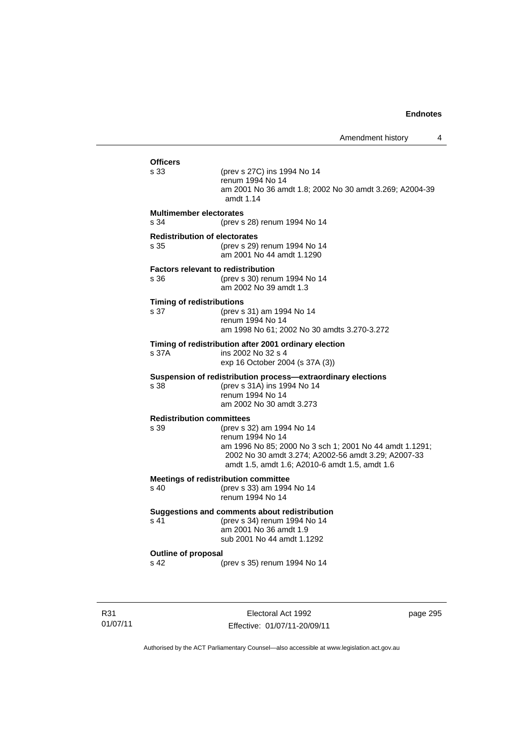| <b>Officers</b>                                   |                                                                                                                                                                                                                   |
|---------------------------------------------------|-------------------------------------------------------------------------------------------------------------------------------------------------------------------------------------------------------------------|
| s 33                                              | (prev s 27C) ins 1994 No 14<br>renum 1994 No 14<br>am 2001 No 36 amdt 1.8; 2002 No 30 amdt 3.269; A2004-39<br>amdt $1.14$                                                                                         |
| <b>Multimember electorates</b><br>s 34            | (prev s 28) renum 1994 No 14                                                                                                                                                                                      |
| <b>Redistribution of electorates</b><br>s 35      | (prev s 29) renum 1994 No 14<br>am 2001 No 44 amdt 1.1290                                                                                                                                                         |
| <b>Factors relevant to redistribution</b><br>s 36 | (prev s 30) renum 1994 No 14<br>am 2002 No 39 amdt 1.3                                                                                                                                                            |
| <b>Timing of redistributions</b><br>s 37          | (prev s 31) am 1994 No 14<br>renum 1994 No 14<br>am 1998 No 61; 2002 No 30 amdts 3.270-3.272                                                                                                                      |
| s 37A                                             | Timing of redistribution after 2001 ordinary election<br>ins 2002 No 32 s 4<br>exp 16 October 2004 (s 37A (3))                                                                                                    |
| s 38                                              | Suspension of redistribution process-extraordinary elections<br>(prev s 31A) ins 1994 No 14<br>renum 1994 No 14<br>am 2002 No 30 amdt 3.273                                                                       |
| <b>Redistribution committees</b><br>s 39          | (prev s 32) am 1994 No 14<br>renum 1994 No 14<br>am 1996 No 85; 2000 No 3 sch 1; 2001 No 44 amdt 1.1291;<br>2002 No 30 amdt 3.274; A2002-56 amdt 3.29; A2007-33<br>amdt 1.5, amdt 1.6; A2010-6 amdt 1.5, amdt 1.6 |
| $\sin 40$                                         | <b>Meetings of redistribution committee</b><br>(prev s 33) am 1994 No 14<br>renum 1994 No 14                                                                                                                      |
| s 41                                              | Suggestions and comments about redistribution<br>(prev s 34) renum 1994 No 14<br>am 2001 No 36 amdt 1.9<br>sub 2001 No 44 amdt 1.1292                                                                             |
| <b>Outline of proposal</b><br>s 42                | (prev s 35) renum 1994 No 14                                                                                                                                                                                      |

R31 01/07/11

Electoral Act 1992 Effective: 01/07/11-20/09/11 page 295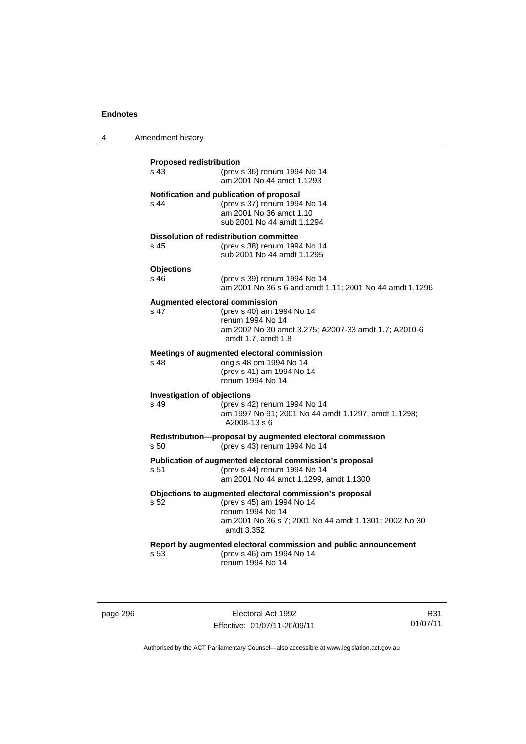4 Amendment history

| <b>Proposed redistribution</b><br>s <sub>43</sub>                                                 | (prev s 36) renum 1994 No 14<br>am 2001 No 44 amdt 1.1293                                                                                                                       |  |  |  |
|---------------------------------------------------------------------------------------------------|---------------------------------------------------------------------------------------------------------------------------------------------------------------------------------|--|--|--|
| s 44                                                                                              | Notification and publication of proposal<br>(prev s 37) renum 1994 No 14<br>am 2001 No 36 amdt 1.10<br>sub 2001 No 44 amdt 1.1294                                               |  |  |  |
| s 45                                                                                              | <b>Dissolution of redistribution committee</b><br>(prev s 38) renum 1994 No 14<br>sub 2001 No 44 amdt 1.1295                                                                    |  |  |  |
| <b>Objections</b><br>$s$ 46                                                                       | (prev s 39) renum 1994 No 14<br>am 2001 No 36 s 6 and amdt 1.11; 2001 No 44 amdt 1.1296                                                                                         |  |  |  |
| <b>Augmented electoral commission</b><br>s <sub>47</sub>                                          | (prev s 40) am 1994 No 14<br>renum 1994 No 14<br>am 2002 No 30 amdt 3.275; A2007-33 amdt 1.7; A2010-6<br>amdt 1.7, amdt 1.8                                                     |  |  |  |
| s 48                                                                                              | Meetings of augmented electoral commission<br>orig s 48 om 1994 No 14<br>(prev s 41) am 1994 No 14<br>renum 1994 No 14                                                          |  |  |  |
| <b>Investigation of objections</b><br>$s$ 49                                                      | (prev s 42) renum 1994 No 14<br>am 1997 No 91; 2001 No 44 amdt 1.1297, amdt 1.1298;<br>A2008-13 s 6                                                                             |  |  |  |
| Redistribution-proposal by augmented electoral commission<br>(prev s 43) renum 1994 No 14<br>s 50 |                                                                                                                                                                                 |  |  |  |
| s 51                                                                                              | Publication of augmented electoral commission's proposal<br>(prev s 44) renum 1994 No 14<br>am 2001 No 44 amdt 1.1299, amdt 1.1300                                              |  |  |  |
| s 52                                                                                              | Objections to augmented electoral commission's proposal<br>(prev s 45) am 1994 No 14<br>renum 1994 No 14<br>am 2001 No 36 s 7; 2001 No 44 amdt 1.1301; 2002 No 30<br>amdt 3.352 |  |  |  |
| s <sub>53</sub>                                                                                   | Report by augmented electoral commission and public announcement<br>(prev s 46) am 1994 No 14<br>renum 1994 No 14                                                               |  |  |  |

page 296 Electoral Act 1992 Effective: 01/07/11-20/09/11

R31 01/07/11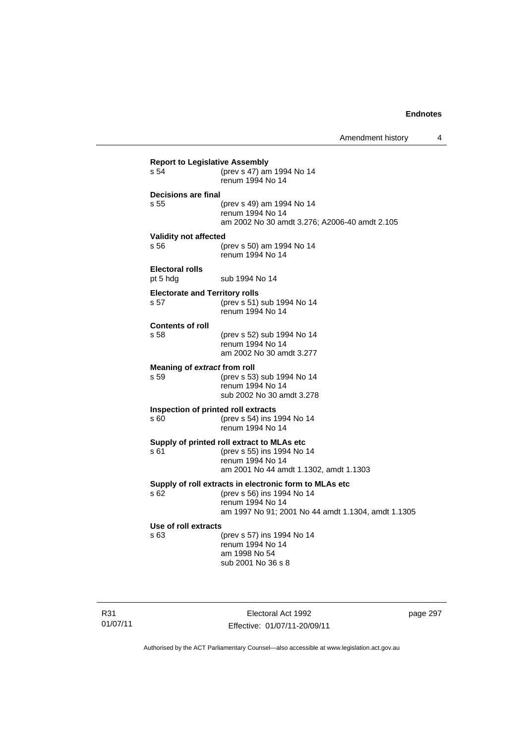Amendment history 4

| s 54                                          | (prev s 47) am 1994 No 14<br>renum 1994 No 14                                                                                                                  |
|-----------------------------------------------|----------------------------------------------------------------------------------------------------------------------------------------------------------------|
| Decisions are final<br>s.55                   | (prev s 49) am 1994 No 14<br>renum 1994 No 14<br>am 2002 No 30 amdt 3.276; A2006-40 amdt 2.105                                                                 |
| <b>Validity not affected</b><br>s 56          | (prev s 50) am 1994 No 14<br>renum 1994 No 14                                                                                                                  |
| <b>Electoral rolls</b><br>pt 5 hdg            | sub 1994 No 14                                                                                                                                                 |
| <b>Electorate and Territory rolls</b><br>s 57 | (prev s 51) sub 1994 No 14<br>renum 1994 No 14                                                                                                                 |
| <b>Contents of roll</b><br>s 58               | (prev s 52) sub 1994 No 14<br>renum 1994 No 14<br>am 2002 No 30 amdt 3.277                                                                                     |
| Meaning of extract from roll<br>s 59          | (prev s 53) sub 1994 No 14<br>renum 1994 No 14<br>sub 2002 No 30 amdt 3.278                                                                                    |
| s 60                                          | Inspection of printed roll extracts<br>(prev s 54) ins 1994 No 14<br>renum 1994 No 14                                                                          |
| s 61                                          | Supply of printed roll extract to MLAs etc<br>(prev s 55) ins 1994 No 14<br>renum 1994 No 14<br>am 2001 No 44 amdt 1.1302, amdt 1.1303                         |
| s <sub>62</sub>                               | Supply of roll extracts in electronic form to MLAs etc<br>(prev s 56) ins 1994 No 14<br>renum 1994 No 14<br>am 1997 No 91; 2001 No 44 amdt 1.1304, amdt 1.1305 |
| Use of roll extracts<br>s 63                  | (prev s 57) ins 1994 No 14<br>renum 1994 No 14<br>am 1998 No 54<br>sub 2001 No 36 s 8                                                                          |

R31 01/07/11

Electoral Act 1992 Effective: 01/07/11-20/09/11 page 297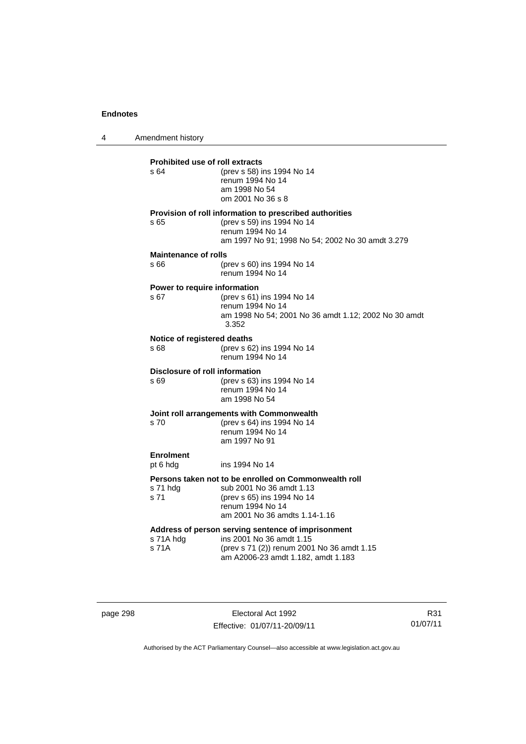4 Amendment history

**Prohibited use of roll extracts**<br>  $\frac{64}{100}$  (prev s 58) is s 64 (prev s 58) ins 1994 No 14 renum 1994 No 14 am 1998 No 54 om 2001 No 36 s 8 **Provision of roll information to prescribed authorities**  s 65 (prev s 59) ins 1994 No 14 renum 1994 No 14 am 1997 No 91; 1998 No 54; 2002 No 30 amdt 3.279 **Maintenance of rolls**  s 66 (prev s 60) ins 1994 No 14 renum 1994 No 14 **Power to require information**  s 67 (prev s 61) ins 1994 No 14 renum 1994 No 14 am 1998 No 54; 2001 No 36 amdt 1.12; 2002 No 30 amdt 3.352 **Notice of registered deaths**  s 68 (prev s 62) ins 1994 No 14 renum 1994 No 14 **Disclosure of roll information**  s 69 (prev s 63) ins 1994 No 14 renum 1994 No 14 am 1998 No 54 **Joint roll arrangements with Commonwealth**<br>s 70 (prev s 64) ins 1994 No 14 (prev s 64) ins 1994 No 14 renum 1994 No 14 am 1997 No 91 **Enrolment**  pt 6 hdg ins 1994 No 14 **Persons taken not to be enrolled on Commonwealth roll**  s 71 hdg sub 2001 No 36 amdt 1.13 s 71 (prev s 65) ins 1994 No 14 renum 1994 No 14 am 2001 No 36 amdts 1.14-1.16 **Address of person serving sentence of imprisonment**  s 71A hdg ins 2001 No 36 amdt 1.15<br>s 71A (prev s 71 (2)) renum 200 (prev s 71 (2)) renum 2001 No 36 amdt 1.15 am A2006-23 amdt 1.182, amdt 1.183

page 298 Electoral Act 1992 Effective: 01/07/11-20/09/11

R31 01/07/11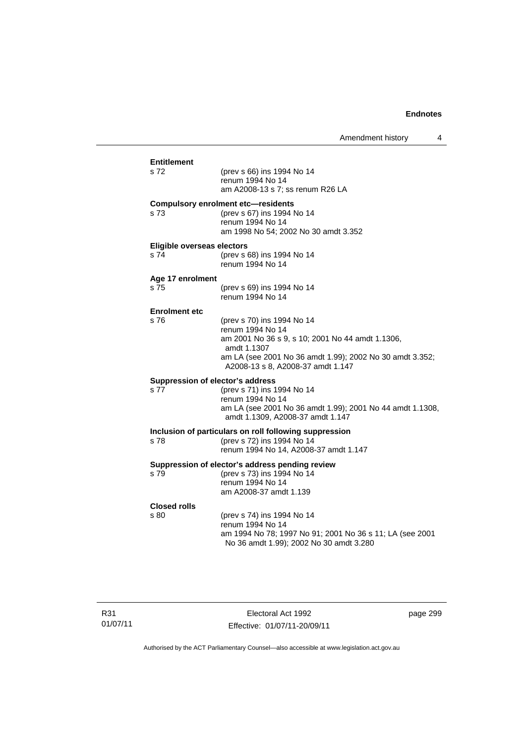|                                          |                                                                                                                                                                                                                    | Amendment history | 4 |
|------------------------------------------|--------------------------------------------------------------------------------------------------------------------------------------------------------------------------------------------------------------------|-------------------|---|
| Entitlement<br>s 72                      | (prev s 66) ins 1994 No 14<br>renum 1994 No 14<br>am A2008-13 s 7; ss renum R26 LA                                                                                                                                 |                   |   |
| s 73                                     | <b>Compulsory enrolment etc-residents</b><br>(prev s 67) ins 1994 No 14<br>renum 1994 No 14<br>am 1998 No 54; 2002 No 30 amdt 3.352                                                                                |                   |   |
| Eligible overseas electors<br>s 74       | (prev s 68) ins 1994 No 14<br>renum 1994 No 14                                                                                                                                                                     |                   |   |
| Age 17 enrolment<br>s 75                 | (prev s 69) ins 1994 No 14<br>renum 1994 No 14                                                                                                                                                                     |                   |   |
| <b>Enrolment etc</b><br>s 76             | (prev s 70) ins 1994 No 14<br>renum 1994 No 14<br>am 2001 No 36 s 9, s 10; 2001 No 44 amdt 1.1306,<br>amdt 1.1307<br>am LA (see 2001 No 36 amdt 1.99); 2002 No 30 amdt 3.352;<br>A2008-13 s 8, A2008-37 amdt 1.147 |                   |   |
| Suppression of elector's address<br>s 77 | (prev s 71) ins 1994 No 14<br>renum 1994 No 14<br>am LA (see 2001 No 36 amdt 1.99); 2001 No 44 amdt 1.1308,<br>amdt 1.1309, A2008-37 amdt 1.147                                                                    |                   |   |
| s 78                                     | Inclusion of particulars on roll following suppression<br>(prev s 72) ins 1994 No 14<br>renum 1994 No 14, A2008-37 amdt 1.147                                                                                      |                   |   |
| s 79                                     | Suppression of elector's address pending review<br>(prev s 73) ins 1994 No 14<br>renum 1994 No 14<br>am A2008-37 amdt 1.139                                                                                        |                   |   |
| <b>Closed rolls</b><br>s 80              | (prev s 74) ins 1994 No 14<br>renum 1994 No 14<br>am 1994 No 78; 1997 No 91; 2001 No 36 s 11; LA (see 2001<br>No 36 amdt 1.99); 2002 No 30 amdt 3.280                                                              |                   |   |

Electoral Act 1992 Effective: 01/07/11-20/09/11 page 299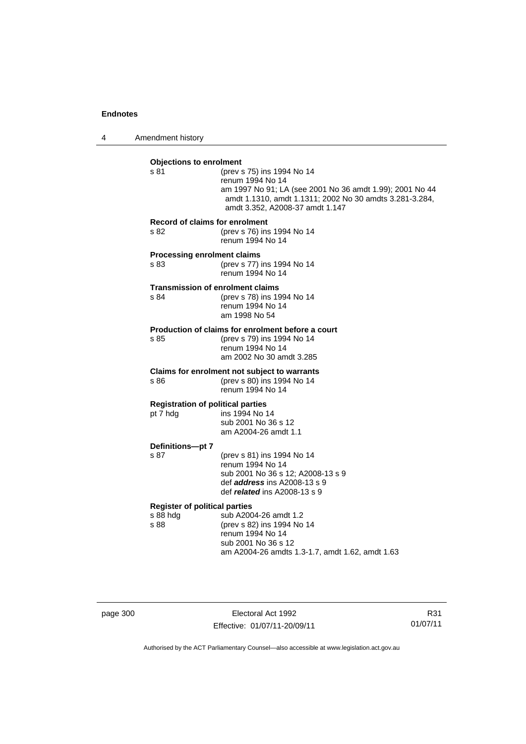4 Amendment history

| <b>Objections to enrolment</b><br>s 81                   | (prev s 75) ins 1994 No 14<br>renum 1994 No 14<br>am 1997 No 91; LA (see 2001 No 36 amdt 1.99); 2001 No 44<br>amdt 1.1310, amdt 1.1311; 2002 No 30 amdts 3.281-3.284,<br>amdt 3.352, A2008-37 amdt 1.147 |
|----------------------------------------------------------|----------------------------------------------------------------------------------------------------------------------------------------------------------------------------------------------------------|
| Record of claims for enrolment<br>s 82                   | (prev s 76) ins 1994 No 14<br>renum 1994 No 14                                                                                                                                                           |
| <b>Processing enrolment claims</b><br>s 83               | (prev s 77) ins 1994 No 14<br>renum 1994 No 14                                                                                                                                                           |
| <b>Transmission of enrolment claims</b><br>s 84          | (prev s 78) ins 1994 No 14<br>renum 1994 No 14<br>am 1998 No 54                                                                                                                                          |
| s 85                                                     | Production of claims for enrolment before a court<br>(prev s 79) ins 1994 No 14<br>renum 1994 No 14<br>am 2002 No 30 amdt 3.285                                                                          |
| s 86                                                     | Claims for enrolment not subject to warrants<br>(prev s 80) ins 1994 No 14<br>renum 1994 No 14                                                                                                           |
| <b>Registration of political parties</b><br>pt 7 hdg     | ins 1994 No 14<br>sub 2001 No 36 s 12<br>am A2004-26 amdt 1.1                                                                                                                                            |
| Definitions-pt 7<br>s 87                                 | (prev s 81) ins 1994 No 14<br>renum 1994 No 14<br>sub 2001 No 36 s 12; A2008-13 s 9<br>def <i>address</i> ins A2008-13 s 9<br>def <i>related</i> ins $A2008-13$ s 9                                      |
| <b>Register of political parties</b><br>s 88 hdg<br>s 88 | sub A2004-26 amdt 1.2<br>(prev s 82) ins 1994 No 14<br>renum 1994 No 14<br>sub 2001 No 36 s 12<br>am A2004-26 amdts 1.3-1.7, amdt 1.62, amdt 1.63                                                        |

page 300 Electoral Act 1992 Effective: 01/07/11-20/09/11

R31 01/07/11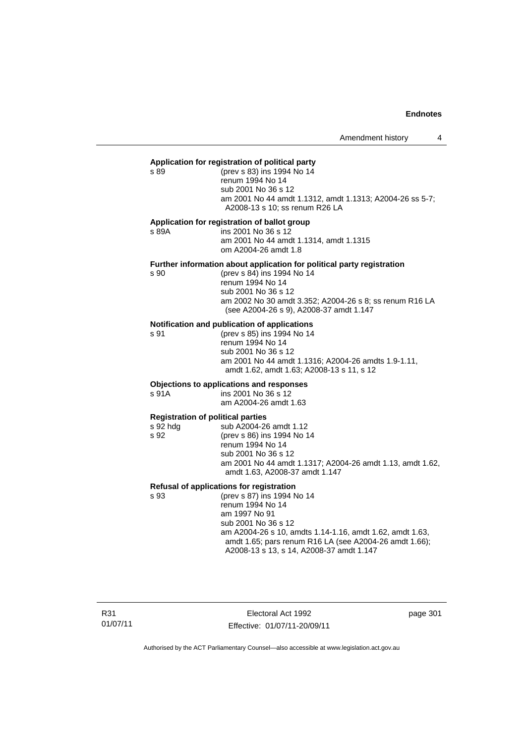#### **Application for registration of political party**

s 89 (prev s 83) ins 1994 No 14 renum 1994 No 14 sub 2001 No 36 s 12 am 2001 No 44 amdt 1.1312, amdt 1.1313; A2004-26 ss 5-7; A2008-13 s 10; ss renum R26 LA

#### **Application for registration of ballot group**

s 89A ins 2001 No 36 s 12 am 2001 No 44 amdt 1.1314, amdt 1.1315 om A2004-26 amdt 1.8

#### **Further information about application for political party registration**

s 90 (prev s 84) ins 1994 No 14 renum 1994 No 14 sub 2001 No 36 s 12 am 2002 No 30 amdt 3.352; A2004-26 s 8; ss renum R16 LA (see A2004-26 s 9), A2008-37 amdt 1.147

#### **Notification and publication of applications**

s 91 (prev s 85) ins 1994 No 14 renum 1994 No 14 sub 2001 No 36 s 12 am 2001 No 44 amdt 1.1316; A2004-26 amdts 1.9-1.11, amdt 1.62, amdt 1.63; A2008-13 s 11, s 12

#### **Objections to applications and responses**

s 91A ins 2001 No 36 s 12 am A2004-26 amdt 1.63

#### **Registration of political parties**

| s 92 hdg | sub A2004-26 amdt 1.12                                    |
|----------|-----------------------------------------------------------|
| s 92     | (prev s 86) ins 1994 No 14                                |
|          | renum 1994 No 14                                          |
|          | sub 2001 No 36 s 12                                       |
|          | am 2001 No 44 amdt 1.1317; A2004-26 amdt 1.13, amdt 1.62, |
|          | amdt 1.63, A2008-37 amdt 1.147                            |
|          |                                                           |

#### **Refusal of applications for registration**

s 93 (prev s 87) ins 1994 No 14 renum 1994 No 14 am 1997 No 91 sub 2001 No 36 s 12 am A2004-26 s 10, amdts 1.14-1.16, amdt 1.62, amdt 1.63, amdt 1.65; pars renum R16 LA (see A2004-26 amdt 1.66); A2008-13 s 13, s 14, A2008-37 amdt 1.147

R31 01/07/11

Electoral Act 1992 Effective: 01/07/11-20/09/11 page 301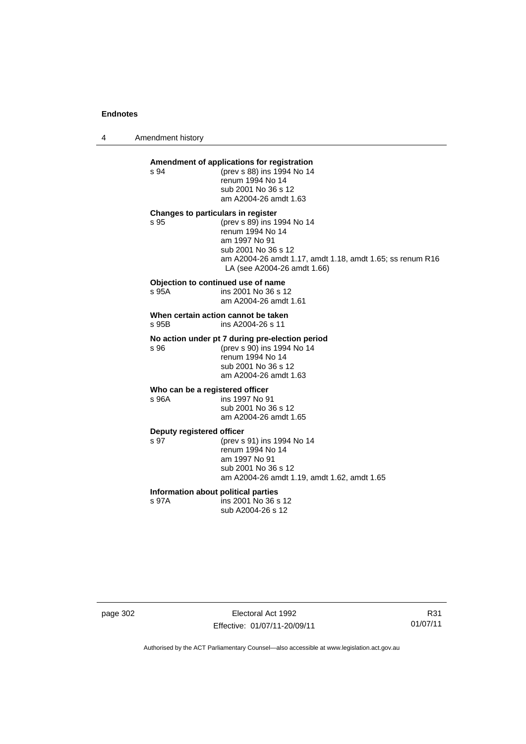4 Amendment history

# **Amendment of applications for registration**

s 94 (prev s 88) ins 1994 No 14 renum 1994 No 14 sub 2001 No 36 s 12 am A2004-26 amdt 1.63

#### **Changes to particulars in register**

s 95 (prev s 89) ins 1994 No 14 renum 1994 No 14 am 1997 No 91 sub 2001 No 36 s 12 am A2004-26 amdt 1.17, amdt 1.18, amdt 1.65; ss renum R16 LA (see A2004-26 amdt 1.66)

#### **Objection to continued use of name**

s 95A ins 2001 No 36 s 12 am A2004-26 amdt 1.61

**When certain action cannot be taken**  s 95B ins A2004-26 s 11

#### **No action under pt 7 during pre-election period**

s 96 (prev s 90) ins 1994 No 14 renum 1994 No 14 sub 2001 No 36 s 12 am A2004-26 amdt 1.63

#### **Who can be a registered officer**

s 96A ins 1997 No 91 sub 2001 No 36 s 12 am A2004-26 amdt 1.65

#### **Deputy registered officer**

s 97 (prev s 91) ins 1994 No 14 renum 1994 No 14 am 1997 No 91 sub 2001 No 36 s 12 am A2004-26 amdt 1.19, amdt 1.62, amdt 1.65

### **Information about political parties**

s 97A ins 2001 No 36 s 12 sub A2004-26 s 12

page 302 Electoral Act 1992 Effective: 01/07/11-20/09/11

R31 01/07/11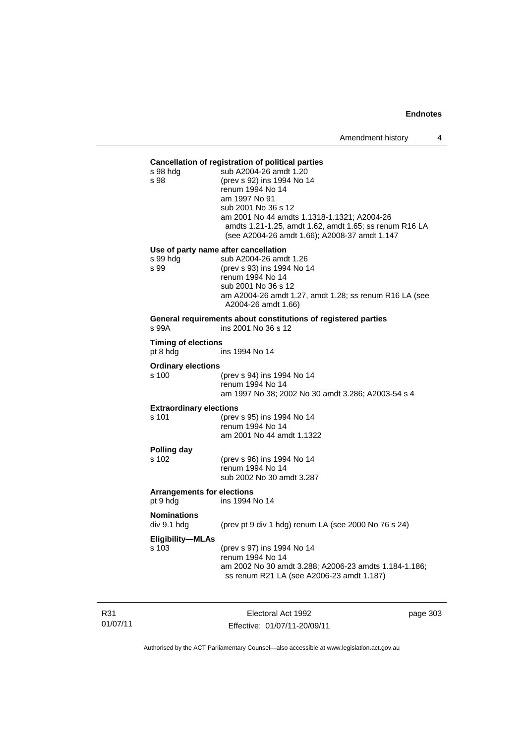#### **Cancellation of registration of political parties**

| s 98 hdg<br>s 98                              | sub A2004-26 amdt 1.20<br>(prev s 92) ins 1994 No 14<br>renum 1994 No 14<br>am 1997 No 91<br>sub 2001 No 36 s 12<br>am 2001 No 44 amdts 1.1318-1.1321; A2004-26<br>amdts 1.21-1.25, amdt 1.62, amdt 1.65; ss renum R16 LA<br>(see A2004-26 amdt 1.66); A2008-37 amdt 1.147 |
|-----------------------------------------------|----------------------------------------------------------------------------------------------------------------------------------------------------------------------------------------------------------------------------------------------------------------------------|
|                                               | Use of party name after cancellation                                                                                                                                                                                                                                       |
| s 99 hdg<br>s 99                              | sub A2004-26 amdt 1.26<br>(prev s 93) ins 1994 No 14<br>renum 1994 No 14<br>sub 2001 No 36 s 12<br>am A2004-26 amdt 1.27, amdt 1.28; ss renum R16 LA (see<br>A2004-26 amdt 1.66)                                                                                           |
| s 99A                                         | General requirements about constitutions of registered parties<br>ins 2001 No 36 s 12                                                                                                                                                                                      |
| <b>Timing of elections</b><br>pt 8 hdg        | ins 1994 No 14                                                                                                                                                                                                                                                             |
| <b>Ordinary elections</b>                     |                                                                                                                                                                                                                                                                            |
| s 100                                         | (prev s 94) ins 1994 No 14<br>renum 1994 No 14<br>am 1997 No 38; 2002 No 30 amdt 3.286; A2003-54 s 4                                                                                                                                                                       |
| <b>Extraordinary elections</b>                |                                                                                                                                                                                                                                                                            |
| s 101                                         | (prev s 95) ins 1994 No 14<br>renum 1994 No 14<br>am 2001 No 44 amdt 1.1322                                                                                                                                                                                                |
| Polling day<br>s 102                          | (prev s 96) ins 1994 No 14<br>renum 1994 No 14<br>sub 2002 No 30 amdt 3.287                                                                                                                                                                                                |
| <b>Arrangements for elections</b><br>pt 9 hdg | ins 1994 No 14                                                                                                                                                                                                                                                             |
| <b>Nominations</b><br>div 9.1 hdg             | (prev pt 9 div 1 hdg) renum LA (see 2000 No 76 s 24)                                                                                                                                                                                                                       |
| <b>Eligibility-MLAs</b><br>s 103              | (prev s 97) ins 1994 No 14<br>renum 1994 No 14<br>am 2002 No 30 amdt 3.288; A2006-23 amdts 1.184-1.186;<br>ss renum R21 LA (see A2006-23 amdt 1.187)                                                                                                                       |

R31 01/07/11

Electoral Act 1992 Effective: 01/07/11-20/09/11 page 303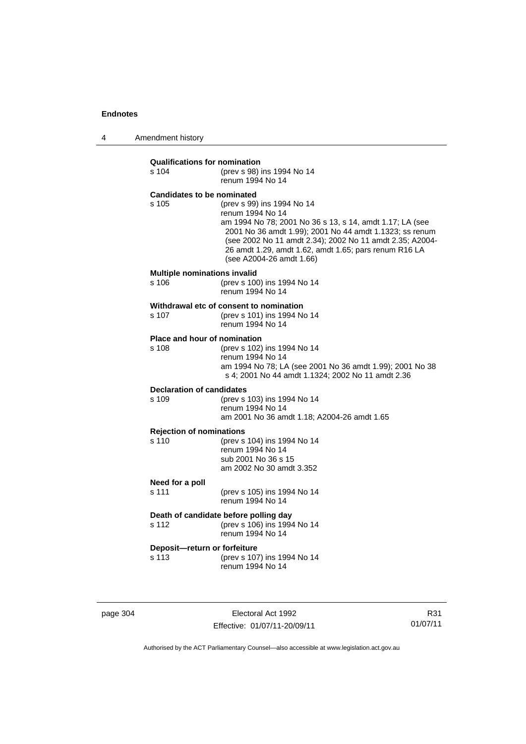4 Amendment history

| <b>Qualifications for nomination</b><br>s 104 | (prev s 98) ins 1994 No 14<br>renum 1994 No 14                                                                                                                                                                                                                                                                         |
|-----------------------------------------------|------------------------------------------------------------------------------------------------------------------------------------------------------------------------------------------------------------------------------------------------------------------------------------------------------------------------|
| <b>Candidates to be nominated</b><br>s 105    | (prev s 99) ins 1994 No 14<br>renum 1994 No 14<br>am 1994 No 78; 2001 No 36 s 13, s 14, amdt 1.17; LA (see<br>2001 No 36 amdt 1.99); 2001 No 44 amdt 1.1323; ss renum<br>(see 2002 No 11 amdt 2.34); 2002 No 11 amdt 2.35; A2004-<br>26 amdt 1.29, amdt 1.62, amdt 1.65; pars renum R16 LA<br>(see A2004-26 amdt 1.66) |
| <b>Multiple nominations invalid</b><br>s 106  | (prev s 100) ins 1994 No 14<br>renum 1994 No 14                                                                                                                                                                                                                                                                        |
| s 107                                         | Withdrawal etc of consent to nomination<br>(prev s 101) ins 1994 No 14<br>renum 1994 No 14                                                                                                                                                                                                                             |
| Place and hour of nomination<br>s 108         | (prev s 102) ins 1994 No 14<br>renum 1994 No 14<br>am 1994 No 78; LA (see 2001 No 36 amdt 1.99); 2001 No 38<br>s 4; 2001 No 44 amdt 1.1324; 2002 No 11 amdt 2.36                                                                                                                                                       |
| <b>Declaration of candidates</b><br>s 109     | (prev s 103) ins 1994 No 14<br>renum 1994 No 14<br>am 2001 No 36 amdt 1.18; A2004-26 amdt 1.65                                                                                                                                                                                                                         |
| <b>Rejection of nominations</b><br>s 110      | (prev s 104) ins 1994 No 14<br>renum 1994 No 14<br>sub 2001 No 36 s 15<br>am 2002 No 30 amdt 3.352                                                                                                                                                                                                                     |
| Need for a poll<br>s 111                      | (prev s 105) ins 1994 No 14<br>renum 1994 No 14                                                                                                                                                                                                                                                                        |
| s 112                                         | Death of candidate before polling day<br>(prev s 106) ins 1994 No 14<br>renum 1994 No 14                                                                                                                                                                                                                               |
| Deposit-return or forfeiture<br>s 113         | (prev s 107) ins 1994 No 14<br>renum 1994 No 14                                                                                                                                                                                                                                                                        |

page 304 Electoral Act 1992 Effective: 01/07/11-20/09/11

R31 01/07/11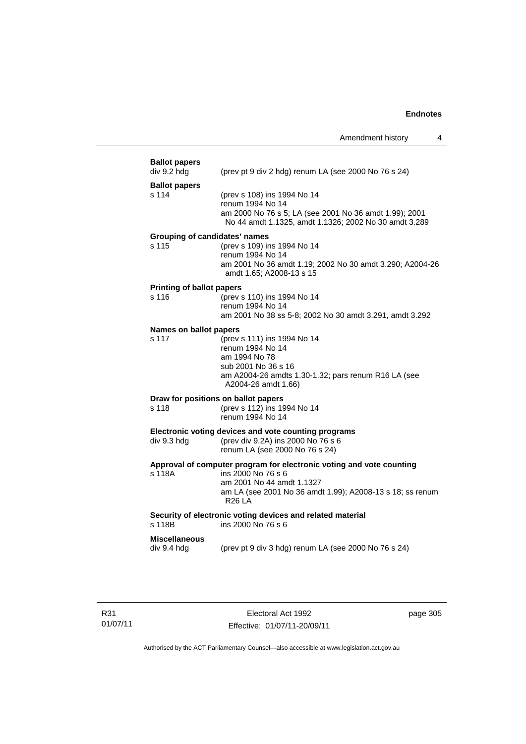| <b>Ballot papers</b><br>div 9.2 hdg | (prev pt 9 div 2 hdg) renum LA (see 2000 No 76 s 24)                                                            |
|-------------------------------------|-----------------------------------------------------------------------------------------------------------------|
| <b>Ballot papers</b><br>s 114       | (prev s 108) ins 1994 No 14<br>renum 1994 No 14                                                                 |
|                                     | am 2000 No 76 s 5; LA (see 2001 No 36 amdt 1.99); 2001<br>No 44 amdt 1.1325, amdt 1.1326; 2002 No 30 amdt 3.289 |
| Grouping of candidates' names       |                                                                                                                 |
| s 115                               | (prev s 109) ins 1994 No 14<br>renum 1994 No 14                                                                 |
|                                     | am 2001 No 36 amdt 1.19; 2002 No 30 amdt 3.290; A2004-26<br>amdt 1.65; A2008-13 s 15                            |
| <b>Printing of ballot papers</b>    |                                                                                                                 |
| s 116                               | (prev s 110) ins 1994 No 14<br>renum 1994 No 14                                                                 |
|                                     | am 2001 No 38 ss 5-8; 2002 No 30 amdt 3.291, amdt 3.292                                                         |
| Names on ballot papers              |                                                                                                                 |
| s 117                               | (prev s 111) ins 1994 No 14<br>renum 1994 No 14                                                                 |
|                                     | am 1994 No 78                                                                                                   |
|                                     | sub 2001 No 36 s 16                                                                                             |
|                                     | am A2004-26 amdts 1.30-1.32; pars renum R16 LA (see<br>A2004-26 amdt 1.66)                                      |
|                                     | Draw for positions on ballot papers                                                                             |
| s 118                               | (prev s 112) ins 1994 No 14<br>renum 1994 No 14                                                                 |
|                                     | Electronic voting devices and vote counting programs                                                            |
| div 9.3 hdg                         | (prev div 9.2A) ins 2000 No 76 s 6<br>renum LA (see 2000 No 76 s 24)                                            |
| s 118A                              | Approval of computer program for electronic voting and vote counting<br>ins 2000 No 76 s 6                      |
|                                     | am 2001 No 44 amdt 1.1327                                                                                       |
|                                     | am LA (see 2001 No 36 amdt 1.99); A2008-13 s 18; ss renum<br>R <sub>26</sub> LA                                 |
| s 118B                              | Security of electronic voting devices and related material<br>ins 2000 No 76 s 6                                |
| <b>Miscellaneous</b>                |                                                                                                                 |
| div 9.4 hdg                         | (prev pt 9 div 3 hdg) renum LA (see 2000 No 76 s 24)                                                            |
|                                     |                                                                                                                 |
|                                     |                                                                                                                 |

Electoral Act 1992 Effective: 01/07/11-20/09/11 page 305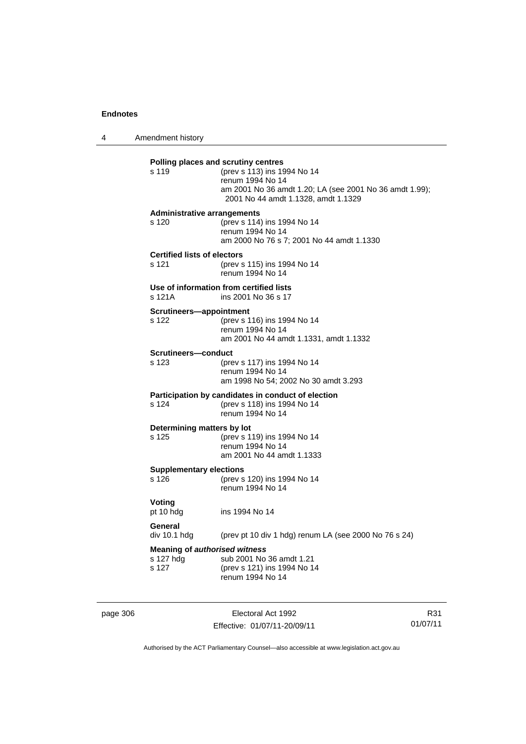4 Amendment history

| s 119                                              | (prev s 113) ins 1994 No 14<br>renum 1994 No 14<br>am 2001 No 36 amdt 1.20; LA (see 2001 No 36 amdt 1.99);<br>2001 No 44 amdt 1.1328, amdt 1.1329 |
|----------------------------------------------------|---------------------------------------------------------------------------------------------------------------------------------------------------|
| <b>Administrative arrangements</b><br>s 120        | (prev s 114) ins 1994 No 14<br>renum 1994 No 14<br>am 2000 No 76 s 7; 2001 No 44 amdt 1.1330                                                      |
| <b>Certified lists of electors</b><br>s 121        | (prev s 115) ins 1994 No 14<br>renum 1994 No 14                                                                                                   |
| s 121A                                             | Use of information from certified lists<br>ins 2001 No 36 s 17                                                                                    |
| Scrutineers-appointment<br>s 122                   | (prev s 116) ins 1994 No 14<br>renum 1994 No 14<br>am 2001 No 44 amdt 1.1331, amdt 1.1332                                                         |
| Scrutineers-conduct<br>s 123                       | (prev s 117) ins 1994 No 14<br>renum 1994 No 14<br>am 1998 No 54; 2002 No 30 amdt 3.293                                                           |
| s 124                                              | Participation by candidates in conduct of election<br>(prev s 118) ins 1994 No 14<br>renum 1994 No 14                                             |
| Determining matters by lot<br>s 125                | (prev s 119) ins 1994 No 14<br>renum 1994 No 14<br>am 2001 No 44 amdt 1.1333                                                                      |
| <b>Supplementary elections</b><br>s <sub>126</sub> | (prev s 120) ins 1994 No 14<br>renum 1994 No 14                                                                                                   |
| Voting<br>pt 10 hdg                                | ins 1994 No 14                                                                                                                                    |
| General<br>div 10.1 hdg                            | (prev pt 10 div 1 hdg) renum LA (see 2000 No 76 s 24)                                                                                             |
| s 127 hdg<br>s 127                                 | <b>Meaning of authorised witness</b><br>sub 2001 No 36 amdt 1.21<br>(prev s 121) ins 1994 No 14<br>renum 1994 No 14                               |

page 306 Electoral Act 1992 Effective: 01/07/11-20/09/11

R31 01/07/11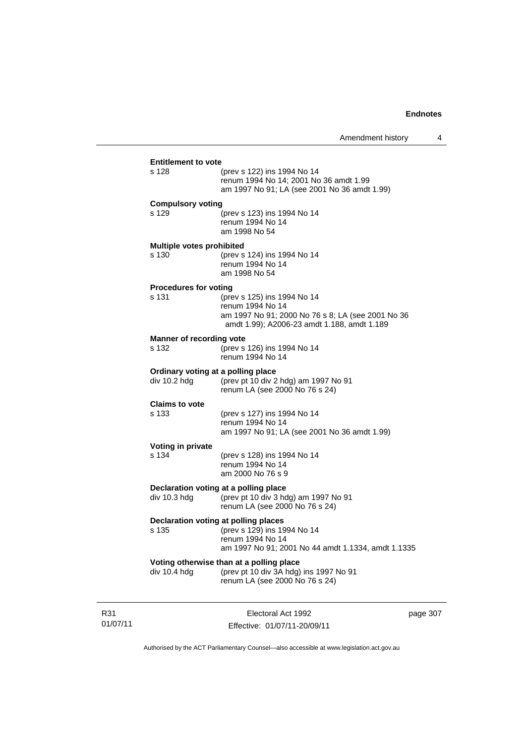| <b>Entitlement to vote</b>                         |                                                                                                                                                     |    |
|----------------------------------------------------|-----------------------------------------------------------------------------------------------------------------------------------------------------|----|
| s 128                                              | (prev s 122) ins 1994 No 14<br>renum 1994 No 14; 2001 No 36 amdt 1.99<br>am 1997 No 91; LA (see 2001 No 36 amdt 1.99)                               |    |
| <b>Compulsory voting</b>                           |                                                                                                                                                     |    |
| s 129                                              | (prev s 123) ins 1994 No 14<br>renum 1994 No 14<br>am 1998 No 54                                                                                    |    |
| <b>Multiple votes prohibited</b>                   |                                                                                                                                                     |    |
| s 130                                              | (prev s 124) ins 1994 No 14<br>renum 1994 No 14<br>am 1998 No 54                                                                                    |    |
| <b>Procedures for voting</b>                       |                                                                                                                                                     |    |
| s 131                                              | (prev s 125) ins 1994 No 14<br>renum 1994 No 14<br>am 1997 No 91; 2000 No 76 s 8; LA (see 2001 No 36<br>amdt 1.99); A2006-23 amdt 1.188, amdt 1.189 |    |
| <b>Manner of recording vote</b>                    |                                                                                                                                                     |    |
| s 132                                              | (prev s 126) ins 1994 No 14<br>renum 1994 No 14                                                                                                     |    |
| Ordinary voting at a polling place<br>div 10.2 hdg | (prev pt 10 div 2 hdg) am 1997 No 91<br>renum LA (see 2000 No 76 s 24)                                                                              |    |
| <b>Claims to vote</b>                              |                                                                                                                                                     |    |
| s 133                                              | (prev s 127) ins 1994 No 14<br>renum 1994 No 14<br>am 1997 No 91; LA (see 2001 No 36 amdt 1.99)                                                     |    |
| Voting in private                                  |                                                                                                                                                     |    |
| s 134                                              | (prev s 128) ins 1994 No 14<br>renum 1994 No 14<br>am 2000 No 76 s 9                                                                                |    |
| div 10.3 hdg                                       | Declaration voting at a polling place<br>(prev pt 10 div 3 hdg) am 1997 No 91<br>renum LA (see 2000 No 76 s 24)                                     |    |
|                                                    | Declaration voting at polling places                                                                                                                |    |
| s 135                                              | (prev s 129) ins 1994 No 14<br>renum 1994 No 14<br>am 1997 No 91; 2001 No 44 amdt 1.1334, amdt 1.1335                                               |    |
| div 10.4 hdg                                       | Voting otherwise than at a polling place<br>(prev pt 10 div 3A hdg) ins 1997 No 91<br>renum LA (see 2000 No 76 s 24)                                |    |
|                                                    | Flectoral Act 1992                                                                                                                                  | na |

R31 01/07/11

Electoral Act 1992 Effective: 01/07/11-20/09/11 page 307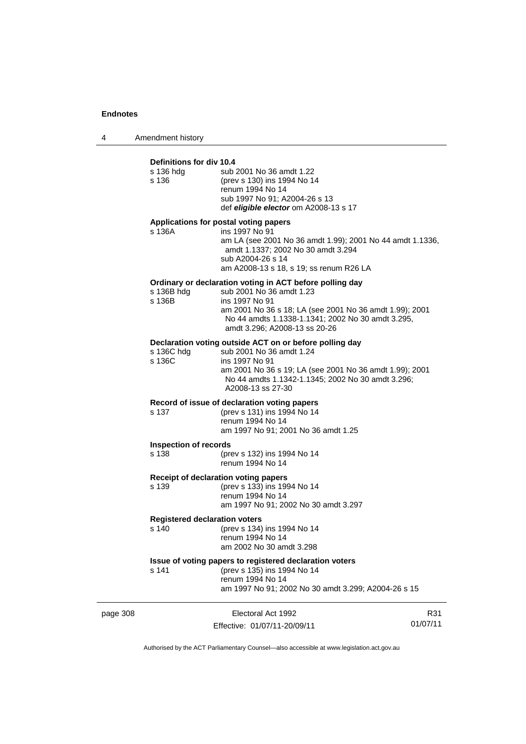4 Amendment history

### **Definitions for div 10.4** s 136 hdg sub 2001 No 36 amdt 1.22 s 136 (prev s 130) ins 1994 No 14 renum 1994 No 14 sub 1997 No 91; A2004-26 s 13 def *eligible elector* om A2008-13 s 17 **Applications for postal voting papers** s 136A ins 1997 No 91 am LA (see 2001 No 36 amdt 1.99); 2001 No 44 amdt 1.1336, amdt 1.1337; 2002 No 30 amdt 3.294 sub A2004-26 s 14 am A2008-13 s 18, s 19; ss renum R26 LA **Ordinary or declaration voting in ACT before polling day** s 136B hdg sub 2001 No 36 amdt 1.23<br>s 136B s ins 1997 No 91 ins 1997 No 91 am 2001 No 36 s 18; LA (see 2001 No 36 amdt 1.99); 2001 No 44 amdts 1.1338-1.1341; 2002 No 30 amdt 3.295, amdt 3.296; A2008-13 ss 20-26 **Declaration voting outside ACT on or before polling day** s 136C hdg sub 2001 No 36 amdt 1.24<br>s 136C ins 1997 No 91 ins 1997 No 91 am 2001 No 36 s 19; LA (see 2001 No 36 amdt 1.99); 2001 No 44 amdts 1.1342-1.1345; 2002 No 30 amdt 3.296; A2008-13 ss 27-30 **Record of issue of declaration voting papers** s 137 (prev s 131) ins 1994 No 14 renum 1994 No 14 am 1997 No 91; 2001 No 36 amdt 1.25 **Inspection of records** s 138 (prev s 132) ins 1994 No 14 renum 1994 No 14 **Receipt of declaration voting papers** s 139 (prev s 133) ins 1994 No 14 renum 1994 No 14 am 1997 No 91; 2002 No 30 amdt 3.297 **Registered declaration voters**<br>s 140 (prev s 134) (prev s 134) ins 1994 No 14 renum 1994 No 14 am 2002 No 30 amdt 3.298 **Issue of voting papers to registered declaration voters** s 141 (prev s 135) ins 1994 No 14 renum 1994 No 14 am 1997 No 91; 2002 No 30 amdt 3.299; A2004-26 s 15

| page 308 | Electoral Act 1992           | R31      |
|----------|------------------------------|----------|
|          | Effective: 01/07/11-20/09/11 | 01/07/11 |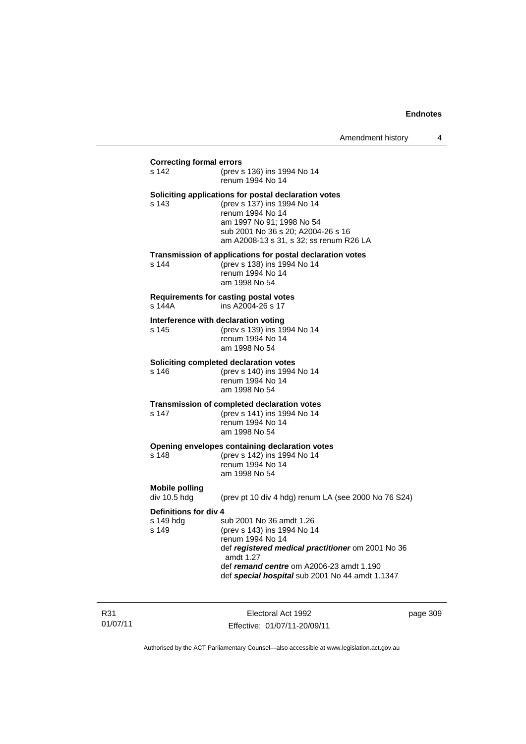#### **Correcting formal errors**

s 142 (prev s 136) ins 1994 No 14 renum 1994 No 14 **Soliciting applications for postal declaration votes**

s 143 (prev s 137) ins 1994 No 14 renum 1994 No 14 am 1997 No 91; 1998 No 54 sub 2001 No 36 s 20; A2004-26 s 16 am A2008-13 s 31, s 32; ss renum R26 LA

#### **Transmission of applications for postal declaration votes**

s 144 (prev s 138) ins 1994 No 14 renum 1994 No 14 am 1998 No 54

# **Requirements for casting postal votes**

ins A2004-26 s 17

#### **Interference with declaration voting**

s 145 (prev s 139) ins 1994 No 14 renum 1994 No 14 am 1998 No 54

#### **Soliciting completed declaration votes**

s 146 (prev s 140) ins 1994 No 14 renum 1994 No 14 am 1998 No 54

#### **Transmission of completed declaration votes**

s 147 (prev s 141) ins 1994 No 14 renum 1994 No 14 am 1998 No 54

#### **Opening envelopes containing declaration votes**

s 148 (prev s 142) ins 1994 No 14 renum 1994 No 14 am 1998 No 54

# **Mobile polling**

(prev pt 10 div 4 hdg) renum LA (see 2000 No 76 S24)

#### **Definitions for div 4**

s 149 hdg sub 2001 No 36 amdt 1.26<br>s 149 (prev s 143) ins 1994 No 14 s 149 (prev s 143) ins 1994 No 14 renum 1994 No 14 def *registered medical practitioner* om 2001 No 36 amdt 1.27 def *remand centre* om A2006-23 amdt 1.190 def *special hospital* sub 2001 No 44 amdt 1.1347

R31 01/07/11

Electoral Act 1992 Effective: 01/07/11-20/09/11 page 309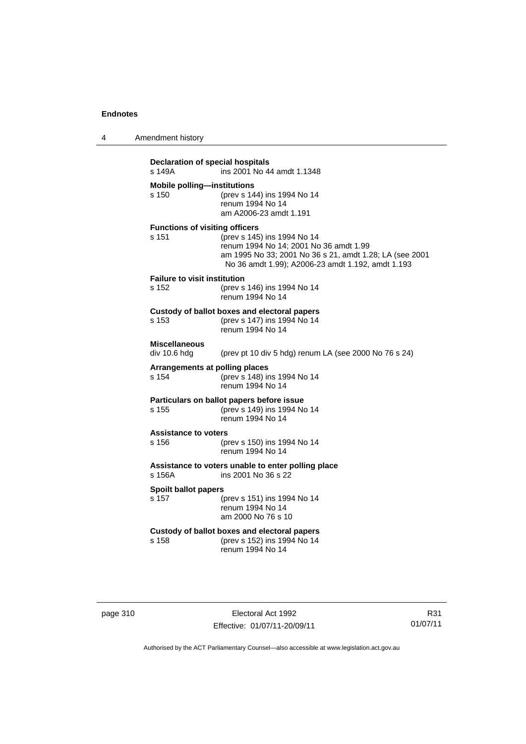4 Amendment history

| s 149A                                      | Declaration of special hospitals<br>ins 2001 No 44 amdt 1.1348                                                                                                                        |
|---------------------------------------------|---------------------------------------------------------------------------------------------------------------------------------------------------------------------------------------|
| <b>Mobile polling-institutions</b><br>s 150 | (prev s 144) ins 1994 No 14<br>renum 1994 No 14<br>am A2006-23 amdt 1.191                                                                                                             |
|                                             | <b>Functions of visiting officers</b>                                                                                                                                                 |
| s 151                                       | (prev s 145) ins 1994 No 14<br>renum 1994 No 14; 2001 No 36 amdt 1.99<br>am 1995 No 33; 2001 No 36 s 21, amdt 1.28; LA (see 2001<br>No 36 amdt 1.99); A2006-23 amdt 1.192, amdt 1.193 |
| <b>Failure to visit institution</b>         |                                                                                                                                                                                       |
| s 152                                       | (prev s 146) ins 1994 No 14<br>renum 1994 No 14                                                                                                                                       |
|                                             | Custody of ballot boxes and electoral papers                                                                                                                                          |
| s 153                                       | (prev s 147) ins 1994 No 14<br>renum 1994 No 14                                                                                                                                       |
| <b>Miscellaneous</b>                        |                                                                                                                                                                                       |
| div 10.6 hda                                | (prev pt 10 div 5 hdg) renum LA (see 2000 No 76 s 24)                                                                                                                                 |
|                                             | Arrangements at polling places                                                                                                                                                        |
| s 154                                       | (prev s 148) ins 1994 No 14<br>renum 1994 No 14                                                                                                                                       |
|                                             | Particulars on ballot papers before issue                                                                                                                                             |
| s 155                                       | (prev s 149) ins 1994 No 14<br>renum 1994 No 14                                                                                                                                       |

# **Assistance to voters**

(prev s 150) ins 1994 No 14 renum 1994 No 14

**Assistance to voters unable to enter polling place** ins 2001 No 36 s 22

# **Spoilt ballot papers**<br>s 157 (**i**

(prev s 151) ins 1994 No 14 renum 1994 No 14 am 2000 No 76 s 10

#### **Custody of ballot boxes and electoral papers** s 158 (prev s 152) ins 1994 No 14 renum 1994 No 14

page 310 Electoral Act 1992 Effective: 01/07/11-20/09/11

R31 01/07/11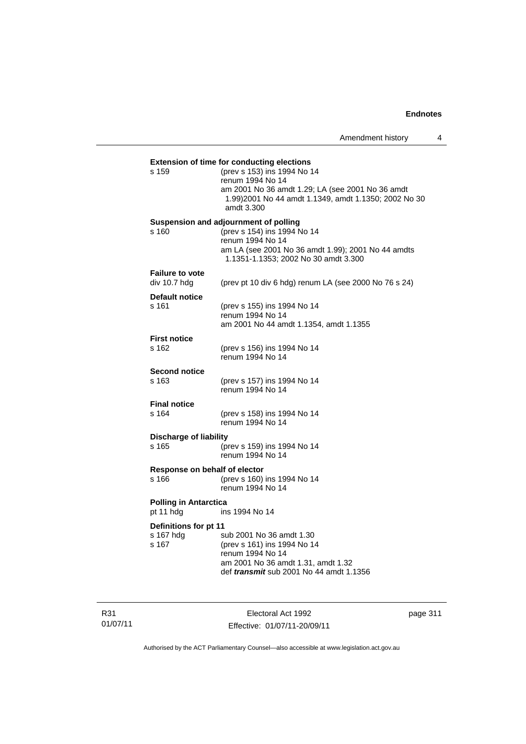|                               | <b>Extension of time for conducting elections</b>                                          |
|-------------------------------|--------------------------------------------------------------------------------------------|
| s 159                         | (prev s 153) ins 1994 No 14<br>renum 1994 No 14                                            |
|                               | am 2001 No 36 amdt 1.29; LA (see 2001 No 36 amdt                                           |
|                               | 1.99) 2001 No 44 amdt 1.1349, amdt 1.1350; 2002 No 30<br>amdt 3.300                        |
|                               | Suspension and adjournment of polling                                                      |
| s 160                         | (prev s 154) ins 1994 No 14                                                                |
|                               | renum 1994 No 14                                                                           |
|                               | am LA (see 2001 No 36 amdt 1.99); 2001 No 44 amdts<br>1.1351-1.1353; 2002 No 30 amdt 3.300 |
| <b>Failure to vote</b>        |                                                                                            |
| div 10.7 hdg                  | (prev pt 10 div 6 hdg) renum LA (see 2000 No 76 s 24)                                      |
| Default notice                |                                                                                            |
| s 161                         | (prev s 155) ins 1994 No 14<br>renum 1994 No 14                                            |
|                               | am 2001 No 44 amdt 1.1354, amdt 1.1355                                                     |
|                               |                                                                                            |
| <b>First notice</b><br>s 162  | (prev s 156) ins 1994 No 14                                                                |
|                               | renum 1994 No 14                                                                           |
| <b>Second notice</b>          |                                                                                            |
| s 163                         | (prev s 157) ins 1994 No 14                                                                |
|                               | renum 1994 No 14                                                                           |
| <b>Final notice</b>           |                                                                                            |
| s 164                         | (prev s 158) ins 1994 No 14                                                                |
|                               | renum 1994 No 14                                                                           |
| <b>Discharge of liability</b> |                                                                                            |
| s 165                         | (prev s 159) ins 1994 No 14                                                                |
|                               | renum 1994 No 14                                                                           |
| Response on behalf of elector |                                                                                            |
| s 166                         | (prev s 160) ins 1994 No 14<br>renum 1994 No 14                                            |
| <b>Polling in Antarctica</b>  |                                                                                            |
| pt 11 hdg                     | ins 1994 No 14                                                                             |
| Definitions for pt 11         |                                                                                            |
| s 167 hdg                     | sub 2001 No 36 amdt 1.30                                                                   |
| s 167                         | (prev s 161) ins 1994 No 14                                                                |
|                               | renum 1994 No 14<br>am 2001 No 36 amdt 1.31, amdt 1.32                                     |
|                               |                                                                                            |

R31 01/07/11

Electoral Act 1992 Effective: 01/07/11-20/09/11 page 311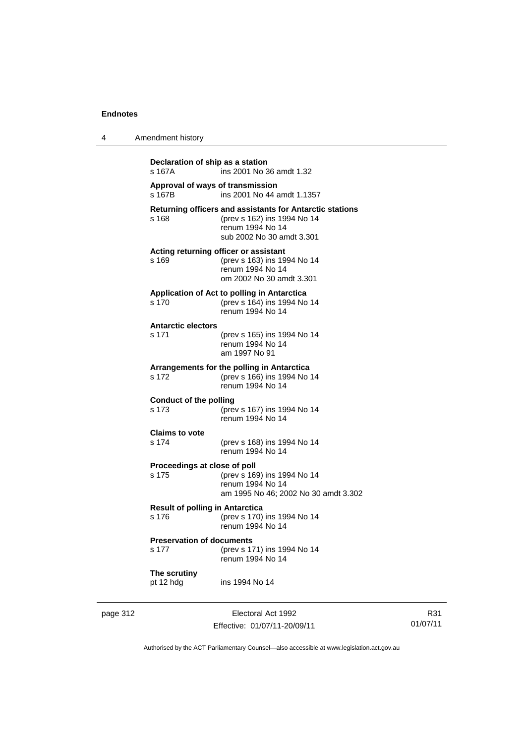4 Amendment history

| Declaration of ship as a station<br>s 167A      | ins 2001 No 36 amdt 1.32                                                                                                                 |
|-------------------------------------------------|------------------------------------------------------------------------------------------------------------------------------------------|
| s 167B                                          | Approval of ways of transmission<br>ins 2001 No 44 amdt 1.1357                                                                           |
| s 168                                           | Returning officers and assistants for Antarctic stations<br>(prev s 162) ins 1994 No 14<br>renum 1994 No 14<br>sub 2002 No 30 amdt 3.301 |
| s 169                                           | Acting returning officer or assistant<br>(prev s 163) ins 1994 No 14<br>renum 1994 No 14<br>om 2002 No 30 amdt 3.301                     |
| s 170                                           | Application of Act to polling in Antarctica<br>(prev s 164) ins 1994 No 14<br>renum 1994 No 14                                           |
| <b>Antarctic electors</b><br>s 171              | (prev s 165) ins 1994 No 14<br>renum 1994 No 14<br>am 1997 No 91                                                                         |
| s 172                                           | Arrangements for the polling in Antarctica<br>(prev s 166) ins 1994 No 14<br>renum 1994 No 14                                            |
| <b>Conduct of the polling</b><br>s 173          | (prev s 167) ins 1994 No 14<br>renum 1994 No 14                                                                                          |
| <b>Claims to vote</b><br>s 174                  | (prev s 168) ins 1994 No 14<br>renum 1994 No 14                                                                                          |
| Proceedings at close of poll<br>s 175           | (prev s 169) ins 1994 No 14<br>renum 1994 No 14<br>am 1995 No 46; 2002 No 30 amdt 3.302                                                  |
| <b>Result of polling in Antarctica</b><br>s 176 | (prev s 170) ins 1994 No 14<br>renum 1994 No 14                                                                                          |
| <b>Preservation of documents</b><br>s 177       | (prev s 171) ins 1994 No 14<br>renum 1994 No 14                                                                                          |
| The scrutiny<br>pt 12 hdg                       | ins 1994 No 14                                                                                                                           |

page 312 **Electoral Act 1992** Effective: 01/07/11-20/09/11

R31 01/07/11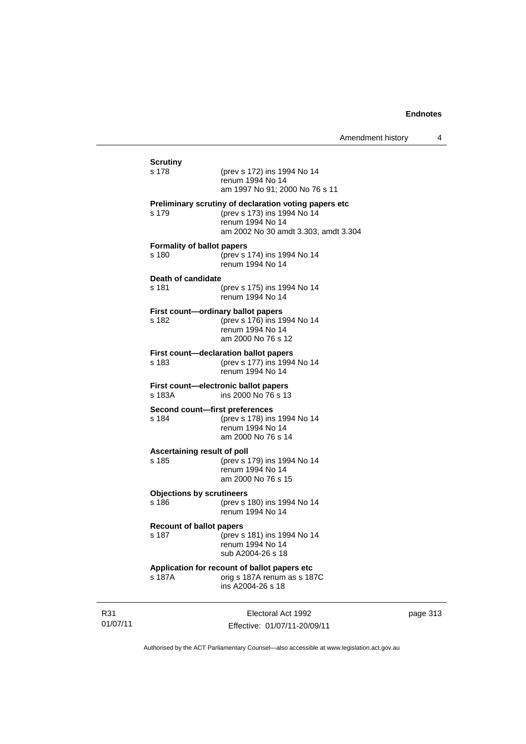| <b>Scrutiny</b>                            |                                                                                                                                                  |
|--------------------------------------------|--------------------------------------------------------------------------------------------------------------------------------------------------|
| s 178                                      | (prev s 172) ins 1994 No 14<br>renum 1994 No 14<br>am 1997 No 91; 2000 No 76 s 11                                                                |
| s 179                                      | Preliminary scrutiny of declaration voting papers etc<br>(prev s 173) ins 1994 No 14<br>renum 1994 No 14<br>am 2002 No 30 amdt 3.303, amdt 3.304 |
| <b>Formality of ballot papers</b><br>s 180 | (prev s 174) ins 1994 No 14<br>renum 1994 No 14                                                                                                  |
| Death of candidate<br>s 181                | (prev s 175) ins 1994 No 14<br>renum 1994 No 14                                                                                                  |
| s 182                                      | First count-ordinary ballot papers<br>(prev s 176) ins 1994 No 14<br>renum 1994 No 14<br>am 2000 No 76 s 12                                      |
| s 183                                      | First count-declaration ballot papers<br>(prev s 177) ins 1994 No 14<br>renum 1994 No 14                                                         |
| s 183A                                     | First count-electronic ballot papers<br>ins 2000 No 76 s 13                                                                                      |
| Second count-first preferences<br>s 184    | (prev s 178) ins 1994 No 14<br>renum 1994 No 14<br>am 2000 No 76 s 14                                                                            |
| Ascertaining result of poll<br>s 185       | (prev s 179) ins 1994 No 14<br>renum 1994 No 14<br>am 2000 No 76 s 15                                                                            |
| <b>Objections by scrutineers</b><br>s 186  | (prev s 180) ins 1994 No 14<br>renum 1994 No 14                                                                                                  |
| <b>Recount of ballot papers</b><br>s 187   | (prev s 181) ins 1994 No 14<br>renum 1994 No 14<br>sub A2004-26 s 18                                                                             |
|                                            | Application for recount of ballot papers etc<br>orig s 187A renum as s 187C                                                                      |

R31 01/07/11

Electoral Act 1992 Effective: 01/07/11-20/09/11 page 313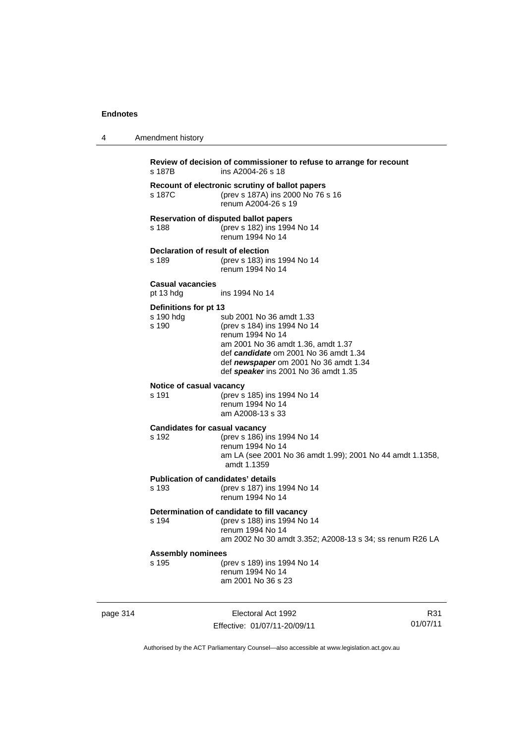4 Amendment history

| s 187B                                             | Review of decision of commissioner to refuse to arrange for recount<br>ins A2004-26 s 18                                                                                                                                                    |
|----------------------------------------------------|---------------------------------------------------------------------------------------------------------------------------------------------------------------------------------------------------------------------------------------------|
| s 187C                                             | Recount of electronic scrutiny of ballot papers<br>(prev s 187A) ins 2000 No 76 s 16<br>renum A2004-26 s 19                                                                                                                                 |
| s 188                                              | <b>Reservation of disputed ballot papers</b><br>(prev s 182) ins 1994 No 14<br>renum 1994 No 14                                                                                                                                             |
| Declaration of result of election<br>s 189         | (prev s 183) ins 1994 No 14<br>renum 1994 No 14                                                                                                                                                                                             |
| <b>Casual vacancies</b><br>pt 13 hdg               | ins 1994 No 14                                                                                                                                                                                                                              |
| Definitions for pt 13<br>s 190 hdg<br>s 190        | sub 2001 No 36 amdt 1.33<br>(prev s 184) ins 1994 No 14<br>renum 1994 No 14<br>am 2001 No 36 amdt 1.36, amdt 1.37<br>def candidate om 2001 No 36 amdt 1.34<br>def newspaper om 2001 No 36 amdt 1.34<br>def speaker ins 2001 No 36 amdt 1.35 |
| Notice of casual vacancy<br>s 191                  | (prev s 185) ins 1994 No 14<br>renum 1994 No 14<br>am A2008-13 s 33                                                                                                                                                                         |
| <b>Candidates for casual vacancy</b><br>s 192      | (prev s 186) ins 1994 No 14<br>renum 1994 No 14<br>am LA (see 2001 No 36 amdt 1.99); 2001 No 44 amdt 1.1358,<br>amdt 1.1359                                                                                                                 |
| <b>Publication of candidates' details</b><br>s 193 | (prev s 187) ins 1994 No 14<br>renum 1994 No 14                                                                                                                                                                                             |
| s 194                                              | Determination of candidate to fill vacancy<br>(prev s 188) ins 1994 No 14<br>renum 1994 No 14<br>am 2002 No 30 amdt 3.352; A2008-13 s 34; ss renum R26 LA                                                                                   |
| <b>Assembly nominees</b><br>s 195                  | (prev s 189) ins 1994 No 14<br>renum 1994 No 14<br>am 2001 No 36 s 23                                                                                                                                                                       |

page 314 Electoral Act 1992 Effective: 01/07/11-20/09/11

R31 01/07/11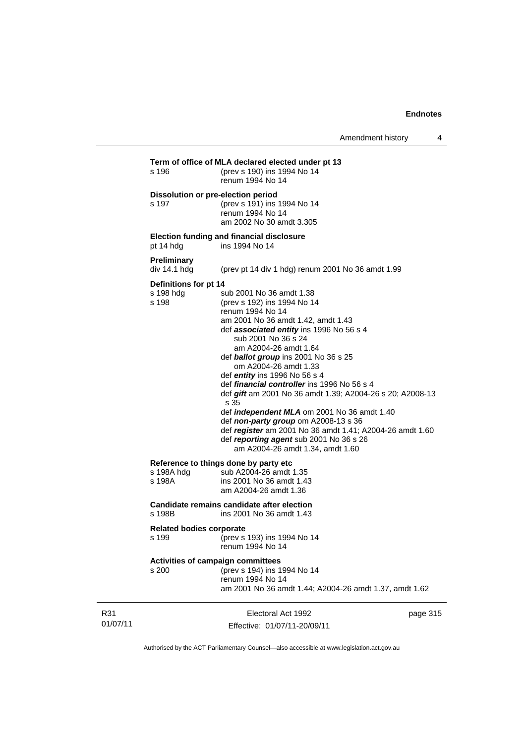|                 | s 196                                       | Term of office of MLA declared elected under pt 13<br>(prev s 190) ins 1994 No 14<br>renum 1994 No 14                                                                                                                                                                                                                                                                                                                                                                                                                                                                                                                                                                                      |          |
|-----------------|---------------------------------------------|--------------------------------------------------------------------------------------------------------------------------------------------------------------------------------------------------------------------------------------------------------------------------------------------------------------------------------------------------------------------------------------------------------------------------------------------------------------------------------------------------------------------------------------------------------------------------------------------------------------------------------------------------------------------------------------------|----------|
|                 | s 197                                       | Dissolution or pre-election period<br>(prev s 191) ins 1994 No 14<br>renum 1994 No 14<br>am 2002 No 30 amdt 3.305                                                                                                                                                                                                                                                                                                                                                                                                                                                                                                                                                                          |          |
|                 | pt 14 hdg                                   | Election funding and financial disclosure<br>ins 1994 No 14                                                                                                                                                                                                                                                                                                                                                                                                                                                                                                                                                                                                                                |          |
|                 | <b>Preliminary</b><br>div 14.1 hdg          | (prev pt 14 div 1 hdg) renum 2001 No 36 amdt 1.99                                                                                                                                                                                                                                                                                                                                                                                                                                                                                                                                                                                                                                          |          |
|                 | Definitions for pt 14<br>s 198 hdg<br>s 198 | sub 2001 No 36 amdt 1.38<br>(prev s 192) ins 1994 No 14<br>renum 1994 No 14<br>am 2001 No 36 amdt 1.42, amdt 1.43<br>def associated entity ins 1996 No 56 s 4<br>sub 2001 No 36 s 24<br>am A2004-26 amdt 1.64<br>def <b>ballot group</b> ins 2001 No 36 s 25<br>om A2004-26 amdt 1.33<br>def entity ins 1996 No 56 s 4<br>def <i>financial controller</i> ins 1996 No 56 s 4<br>def gift am 2001 No 36 amdt 1.39; A2004-26 s 20; A2008-13<br>s 35<br>def <i>independent MLA</i> om 2001 No 36 amdt 1.40<br>def non-party group om A2008-13 s 36<br>def register am 2001 No 36 amdt 1.41; A2004-26 amdt 1.60<br>def reporting agent sub 2001 No 36 s 26<br>am A2004-26 amdt 1.34, amdt 1.60 |          |
|                 | s 198A hdg<br>s 198A                        | Reference to things done by party etc<br>sub A2004-26 amdt 1.35<br>ins 2001 No 36 amdt 1.43<br>am A2004-26 amdt 1.36                                                                                                                                                                                                                                                                                                                                                                                                                                                                                                                                                                       |          |
|                 | s 198B                                      | Candidate remains candidate after election<br>ins 2001 No 36 amdt 1.43                                                                                                                                                                                                                                                                                                                                                                                                                                                                                                                                                                                                                     |          |
|                 | <b>Related bodies corporate</b><br>s 199    | (prev s 193) ins 1994 No 14<br>renum 1994 No 14                                                                                                                                                                                                                                                                                                                                                                                                                                                                                                                                                                                                                                            |          |
|                 | s 200                                       | <b>Activities of campaign committees</b><br>(prev s 194) ins 1994 No 14<br>renum 1994 No 14<br>am 2001 No 36 amdt 1.44; A2004-26 amdt 1.37, amdt 1.62                                                                                                                                                                                                                                                                                                                                                                                                                                                                                                                                      |          |
| R31<br>01/07/11 |                                             | Electoral Act 1992<br>Effective: 01/07/11-20/09/11                                                                                                                                                                                                                                                                                                                                                                                                                                                                                                                                                                                                                                         | page 315 |

Authorised by the ACT Parliamentary Counsel—also accessible at www.legislation.act.gov.au

Effective: 01/07/11-20/09/11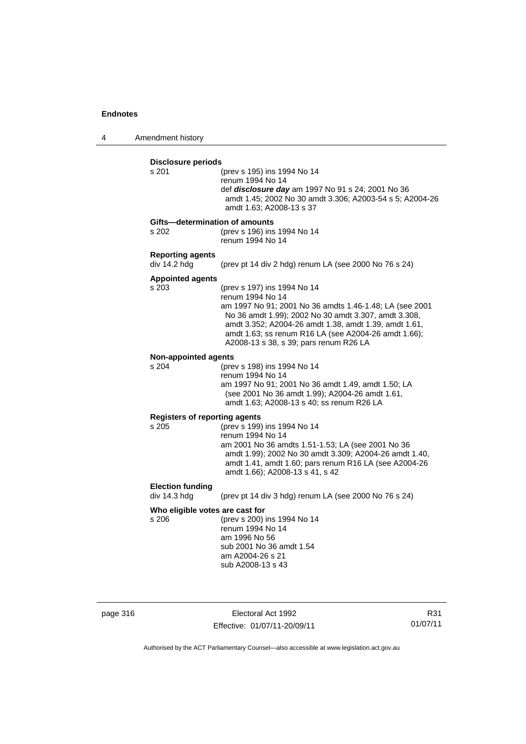4 Amendment history

### **Disclosure periods** s 201 (prev s 195) ins 1994 No 14 renum 1994 No 14 def *disclosure day* am 1997 No 91 s 24; 2001 No 36 amdt 1.45; 2002 No 30 amdt 3.306; A2003-54 s 5; A2004-26 amdt 1.63; A2008-13 s 37 **Gifts—determination of amounts** s 202 (prev s 196) ins 1994 No 14 renum 1994 No 14 **Reporting agents**  div 14.2 hdg (prev pt 14 div 2 hdg) renum LA (see 2000 No 76 s 24) **Appointed agents** (prev s 197) ins 1994 No 14 renum 1994 No 14 am 1997 No 91; 2001 No 36 amdts 1.46-1.48; LA (see 2001 No 36 amdt 1.99); 2002 No 30 amdt 3.307, amdt 3.308, amdt 3.352; A2004-26 amdt 1.38, amdt 1.39, amdt 1.61, amdt 1.63; ss renum R16 LA (see A2004-26 amdt 1.66); A2008-13 s 38, s 39; pars renum R26 LA **Non-appointed agents** s 204 (prev s 198) ins 1994 No 14 renum 1994 No 14 am 1997 No 91; 2001 No 36 amdt 1.49, amdt 1.50; LA (see 2001 No 36 amdt 1.99); A2004-26 amdt 1.61, amdt 1.63; A2008-13 s 40; ss renum R26 LA **Registers of reporting agents** s 205 (prev s 199) ins 1994 No 14 renum 1994 No 14 am 2001 No 36 amdts 1.51-1.53; LA (see 2001 No 36 amdt 1.99); 2002 No 30 amdt 3.309; A2004-26 amdt 1.40, amdt 1.41, amdt 1.60; pars renum R16 LA (see A2004-26 amdt 1.66); A2008-13 s 41, s 42 **Election funding**  div 14.3 hdg (prev pt 14 div 3 hdg) renum LA (see 2000 No 76 s 24) **Who eligible votes are cast for** s 206 (prev s 200) ins 1994 No 14 renum 1994 No 14 am 1996 No 56 sub 2001 No 36 amdt 1.54 am A2004-26 s 21 sub A2008-13 s 43

page 316 **Electoral Act 1992** Effective: 01/07/11-20/09/11

R31 01/07/11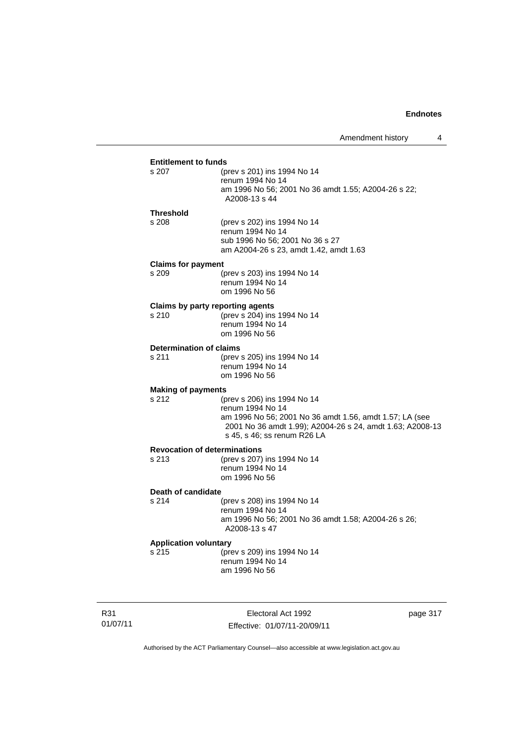# **Entitlement to funds**<br>s 207 (b)

| s 207            | (prev s 201) ins 1994 No 14                                          |
|------------------|----------------------------------------------------------------------|
|                  | renum 1994 No 14                                                     |
|                  | am 1996 No 56; 2001 No 36 amdt 1.55; A2004-26 s 22;<br>A2008-13 s 44 |
| <b>Threshold</b> |                                                                      |

s 208 (prev s 202) ins 1994 No 14 renum 1994 No 14 sub 1996 No 56; 2001 No 36 s 27 am A2004-26 s 23, amdt 1.42, amdt 1.63

#### **Claims for payment**

| s 209 | (prev s 203) ins 1994 No 14 |
|-------|-----------------------------|
|       | renum 1994 No 14            |
|       | om 1996 No 56               |

# **Claims by party reporting agents**<br>s 210 (prev s 204) ins

 $S$  (prev s 204) ins 1994 No 14 renum 1994 No 14 om 1996 No 56

#### **Determination of claims**

s 211 (prev s 205) ins 1994 No 14 renum 1994 No 14 om 1996 No 56

#### **Making of payments**

s 212 (prev s 206) ins 1994 No 14 renum 1994 No 14 am 1996 No 56; 2001 No 36 amdt 1.56, amdt 1.57; LA (see 2001 No 36 amdt 1.99); A2004-26 s 24, amdt 1.63; A2008-13 s 45, s 46; ss renum R26 LA

# **Revocation of determinations**

(prev s 207) ins 1994 No 14 renum 1994 No 14 om 1996 No 56

#### **Death of candidate**

#### s 214 (prev s 208) ins 1994 No 14 renum 1994 No 14 am 1996 No 56; 2001 No 36 amdt 1.58; A2004-26 s 26; A2008-13 s 47

#### **Application voluntary**

s 215 (prev s 209) ins 1994 No 14 renum 1994 No 14 am 1996 No 56

R31 01/07/11

Electoral Act 1992 Effective: 01/07/11-20/09/11 page 317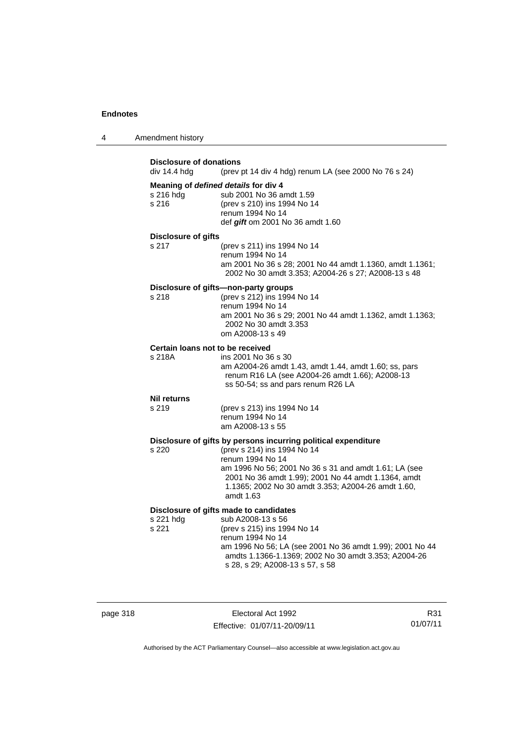| 4 | Amendment history |
|---|-------------------|
|---|-------------------|

| <b>Disclosure of donations</b><br>div 14.4 hdg<br>(prev pt 14 div 4 hdg) renum LA (see 2000 No 76 s 24) |                                                                                                                                                                                                                                                                                                      |  |
|---------------------------------------------------------------------------------------------------------|------------------------------------------------------------------------------------------------------------------------------------------------------------------------------------------------------------------------------------------------------------------------------------------------------|--|
| s 216 hdg<br>s 216                                                                                      | Meaning of defined details for div 4<br>sub 2001 No 36 amdt 1.59<br>(prev s 210) ins 1994 No 14<br>renum 1994 No 14<br>def gift om 2001 No 36 amdt 1.60                                                                                                                                              |  |
| <b>Disclosure of gifts</b><br>s 217                                                                     | (prev s 211) ins 1994 No 14<br>renum 1994 No 14<br>am 2001 No 36 s 28; 2001 No 44 amdt 1.1360, amdt 1.1361;<br>2002 No 30 amdt 3.353; A2004-26 s 27; A2008-13 s 48                                                                                                                                   |  |
| s 218                                                                                                   | Disclosure of gifts-non-party groups<br>(prev s 212) ins 1994 No 14<br>renum 1994 No 14<br>am 2001 No 36 s 29; 2001 No 44 amdt 1.1362, amdt 1.1363;<br>2002 No 30 amdt 3.353<br>om A2008-13 s 49                                                                                                     |  |
| Certain loans not to be received<br>s 218A                                                              | ins 2001 No 36 s 30<br>am A2004-26 amdt 1.43, amdt 1.44, amdt 1.60; ss, pars<br>renum R16 LA (see A2004-26 amdt 1.66); A2008-13<br>ss 50-54; ss and pars renum R26 LA                                                                                                                                |  |
| <b>Nil returns</b><br>s 219                                                                             | (prev s 213) ins 1994 No 14<br>renum 1994 No 14<br>am A2008-13 s 55                                                                                                                                                                                                                                  |  |
| s 220                                                                                                   | Disclosure of gifts by persons incurring political expenditure<br>(prev s 214) ins 1994 No 14<br>renum 1994 No 14<br>am 1996 No 56; 2001 No 36 s 31 and amdt 1.61; LA (see<br>2001 No 36 amdt 1.99); 2001 No 44 amdt 1.1364, amdt<br>1.1365; 2002 No 30 amdt 3.353; A2004-26 amdt 1.60,<br>amdt 1.63 |  |
| s 221 hdg<br>s 221                                                                                      | Disclosure of gifts made to candidates<br>sub A2008-13 s 56<br>(prev s 215) ins 1994 No 14<br>renum 1994 No 14<br>am 1996 No 56; LA (see 2001 No 36 amdt 1.99); 2001 No 44<br>amdts 1.1366-1.1369; 2002 No 30 amdt 3.353; A2004-26<br>s 28, s 29; A2008-13 s 57, s 58                                |  |

page 318 Electoral Act 1992 Effective: 01/07/11-20/09/11

R31 01/07/11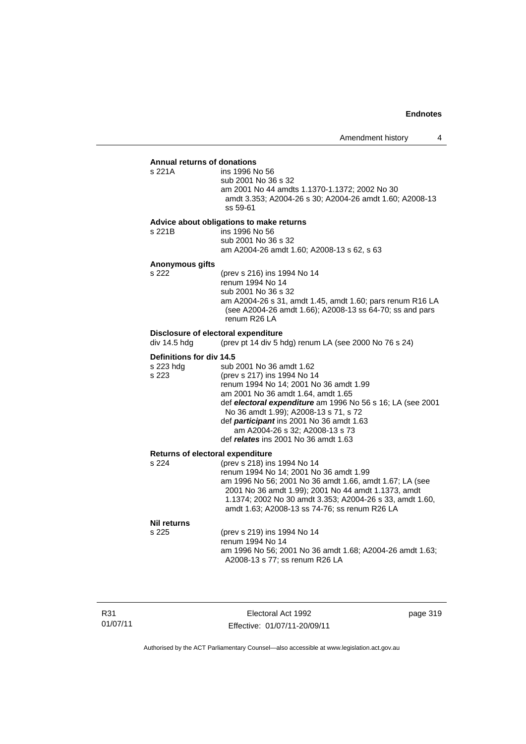#### **Annual returns of donations**

| ins 1996 No 56                                          |
|---------------------------------------------------------|
| sub 2001 No 36 s 32                                     |
| am 2001 No 44 amdts 1.1370-1.1372: 2002 No 30           |
| amdt 3.353; A2004-26 s 30; A2004-26 amdt 1.60; A2008-13 |
| ss 59-61                                                |

#### **Advice about obligations to make returns**

s 221B ins 1996 No 56 sub 2001 No 36 s 32 am A2004-26 amdt 1.60; A2008-13 s 62, s 63

# **Anonymous gifts**

s 221A

(prev s 216) ins 1994 No 14 renum 1994 No 14 sub 2001 No 36 s 32 am A2004-26 s 31, amdt 1.45, amdt 1.60; pars renum R16 LA (see A2004-26 amdt 1.66); A2008-13 ss 64-70; ss and pars renum R26 LA

# **Disclosure of electoral expenditure**<br>div 14.5 hdg (prev pt 14 div 5 h

(prev pt 14 div 5 hdg) renum LA (see 2000 No 76 s 24)

#### **Definitions for div 14.5**

| s 223 hdg | sub 2001 No 36 amdt 1.62                                   |
|-----------|------------------------------------------------------------|
| s 223     | (prev s 217) ins 1994 No 14                                |
|           | renum 1994 No 14; 2001 No 36 amdt 1.99                     |
|           | am 2001 No 36 amdt 1.64, amdt 1.65                         |
|           | def electoral expenditure am 1996 No 56 s 16; LA (see 2001 |
|           | No 36 amdt 1.99); A2008-13 s 71, s 72                      |
|           | def participant ins 2001 No 36 amdt 1.63                   |
|           | am A2004-26 s 32; A2008-13 s 73                            |
|           | def relates ins 2001 No 36 amdt 1.63                       |

#### **Returns of electoral expenditure**

| s 224 | (prev s 218) ins 1994 No 14                              |
|-------|----------------------------------------------------------|
|       | renum 1994 No 14: 2001 No 36 amdt 1.99                   |
|       | am 1996 No 56; 2001 No 36 amdt 1.66, amdt 1.67; LA (see  |
|       | 2001 No 36 amdt 1.99); 2001 No 44 amdt 1.1373, amdt      |
|       | 1.1374; 2002 No 30 amdt 3.353; A2004-26 s 33, amdt 1.60, |
|       | amdt 1.63; A2008-13 ss 74-76; ss renum R26 LA            |
|       |                                                          |

#### **Nil returns**

| NII I GUI IIS |                                                          |
|---------------|----------------------------------------------------------|
| s 225         | (prev s 219) ins 1994 No 14                              |
|               | renum 1994 No 14                                         |
|               | am 1996 No 56: 2001 No 36 amdt 1.68: A2004-26 amdt 1.63: |
|               | A2008-13 s 77: ss renum R26 LA                           |
|               |                                                          |

R31 01/07/11

Electoral Act 1992 Effective: 01/07/11-20/09/11 page 319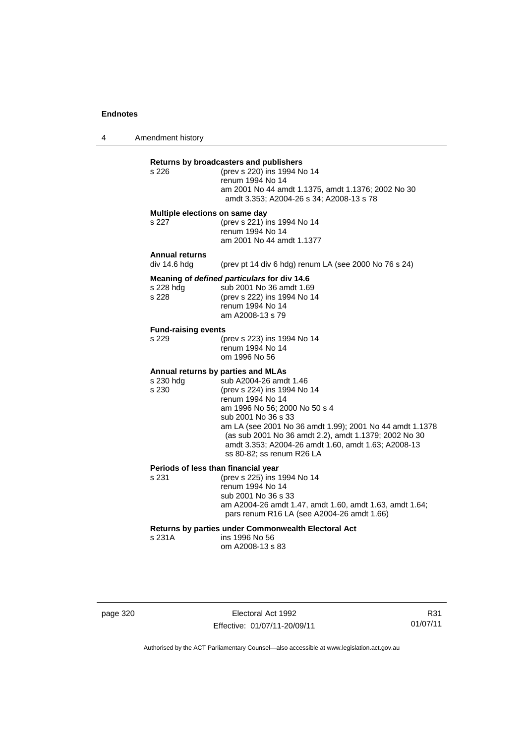4 Amendment history

| s 226                                        | Returns by broadcasters and publishers<br>(prev s 220) ins 1994 No 14<br>renum 1994 No 14<br>am 2001 No 44 amdt 1.1375, amdt 1.1376; 2002 No 30<br>amdt 3.353; A2004-26 s 34; A2008-13 s 78                                                                                                                                                                                      |
|----------------------------------------------|----------------------------------------------------------------------------------------------------------------------------------------------------------------------------------------------------------------------------------------------------------------------------------------------------------------------------------------------------------------------------------|
| Multiple elections on same day<br>s 227      | (prev s 221) ins 1994 No 14<br>renum 1994 No 14<br>am 2001 No 44 amdt 1.1377                                                                                                                                                                                                                                                                                                     |
| <b>Annual returns</b><br>div 14.6 hdg        | (prev pt 14 div 6 hdg) renum LA (see 2000 No 76 s 24)                                                                                                                                                                                                                                                                                                                            |
| s 228 hdg<br>s 228                           | Meaning of defined particulars for div 14.6<br>sub 2001 No 36 amdt 1.69<br>(prev s 222) ins 1994 No 14<br>renum 1994 No 14<br>am A2008-13 s 79                                                                                                                                                                                                                                   |
| <b>Fund-raising events</b><br>s 229          | (prev s 223) ins 1994 No 14<br>renum 1994 No 14<br>om 1996 No 56                                                                                                                                                                                                                                                                                                                 |
| s 230 hdg<br>s 230                           | Annual returns by parties and MLAs<br>sub A2004-26 amdt 1.46<br>(prev s 224) ins 1994 No 14<br>renum 1994 No 14<br>am 1996 No 56; 2000 No 50 s 4<br>sub 2001 No 36 s 33<br>am LA (see 2001 No 36 amdt 1.99); 2001 No 44 amdt 1.1378<br>(as sub 2001 No 36 amdt 2.2), amdt 1.1379; 2002 No 30<br>amdt 3.353; A2004-26 amdt 1.60, amdt 1.63; A2008-13<br>ss 80-82: ss renum R26 LA |
| Periods of less than financial year<br>s 231 | (prev s 225) ins 1994 No 14<br>renum 1994 No 14<br>sub 2001 No 36 s 33<br>am A2004-26 amdt 1.47, amdt 1.60, amdt 1.63, amdt 1.64;<br>pars renum R16 LA (see A2004-26 amdt 1.66)                                                                                                                                                                                                  |
| s 231A                                       | <b>Returns by parties under Commonwealth Electoral Act</b><br>ins 1996 No 56<br>om A2008-13 s 83                                                                                                                                                                                                                                                                                 |

page 320 Electoral Act 1992 Effective: 01/07/11-20/09/11

R31 01/07/11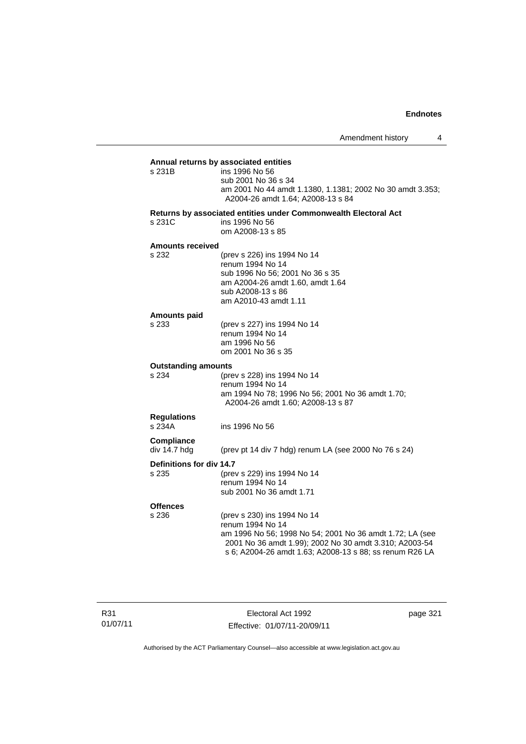**Annual returns by associated entities** ins 1996 No 56 sub 2001 No 36 s 34 am 2001 No 44 amdt 1.1380, 1.1381; 2002 No 30 amdt 3.353; A2004-26 amdt 1.64; A2008-13 s 84 **Returns by associated entities under Commonwealth Electoral Act**

# s 231C ins 1996 No 56

om A2008-13 s 85

#### **Amounts received**

s 232

| (prev s 226) ins 1994 No 14      |
|----------------------------------|
| renum 1994 No 14                 |
| sub 1996 No 56; 2001 No 36 s 35  |
| am A2004-26 amdt 1.60, amdt 1.64 |
| sub A2008-13 s 86                |
| am A2010-43 amdt 1.11            |

#### **Amounts paid**

| s 233 | (prev s 227) ins 1994 No 14 |
|-------|-----------------------------|
|       | renum 1994 No 14            |
|       | am 1996 No 56               |
|       | om 2001 No 36 s 35          |

#### **Outstanding amounts**

| s 234              | (prev s 228) ins 1994 No 14                      |
|--------------------|--------------------------------------------------|
|                    | renum 1994 No 14                                 |
|                    | am 1994 No 78; 1996 No 56; 2001 No 36 amdt 1.70; |
|                    | A2004-26 amdt 1.60: A2008-13 s 87                |
| <b>Regulations</b> |                                                  |

s 234A ins 1996 No 56

**Compliance**  (prev pt 14 div 7 hdg) renum LA (see 2000 No 76 s 24)

#### **Definitions for div 14.7**

s 235 (prev s 229) ins 1994 No 14 renum 1994 No 14 sub 2001 No 36 amdt 1.71

### **Offences**

s 236 (prev s 230) ins 1994 No 14 renum 1994 No 14 am 1996 No 56; 1998 No 54; 2001 No 36 amdt 1.72; LA (see 2001 No 36 amdt 1.99); 2002 No 30 amdt 3.310; A2003-54 s 6; A2004-26 amdt 1.63; A2008-13 s 88; ss renum R26 LA

R31 01/07/11

Electoral Act 1992 Effective: 01/07/11-20/09/11 page 321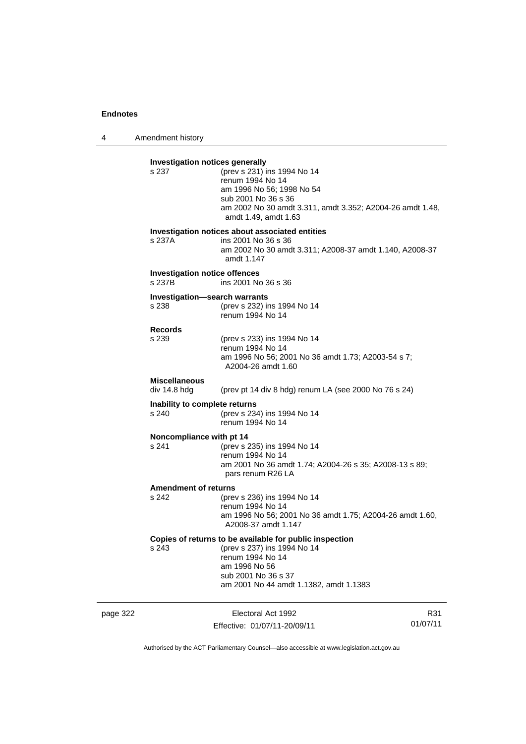4 Amendment history

page 322 Electoral Act 1992 R31 01/07/11 **Investigation notices generally** s 237 (prev s 231) ins 1994 No 14 renum 1994 No 14 am 1996 No 56; 1998 No 54 sub 2001 No 36 s 36 am 2002 No 30 amdt 3.311, amdt 3.352; A2004-26 amdt 1.48, amdt 1.49, amdt 1.63 **Investigation notices about associated entities** s 237A ins 2001 No 36 s 36 am 2002 No 30 amdt 3.311; A2008-37 amdt 1.140, A2008-37 amdt 1.147 **Investigation notice offences** s 237B ins 2001 No 36 s 36 **Investigation—search warrants** s 238 (prev s 232) ins 1994 No 14 renum 1994 No 14 **Records** s 239 (prev s 233) ins 1994 No 14 renum 1994 No 14 am 1996 No 56; 2001 No 36 amdt 1.73; A2003-54 s 7; A2004-26 amdt 1.60 **Miscellaneous**  (prev pt 14 div 8 hdg) renum LA (see 2000 No 76 s 24) **Inability to complete returns** s 240 (prev s 234) ins 1994 No 14 renum 1994 No 14 **Noncompliance with pt 14** s 241 (prev s 235) ins 1994 No 14 renum 1994 No 14 am 2001 No 36 amdt 1.74; A2004-26 s 35; A2008-13 s 89; pars renum R26 LA **Amendment of returns**<br>s 242 (prev (prev s 236) ins 1994 No 14 renum 1994 No 14 am 1996 No 56; 2001 No 36 amdt 1.75; A2004-26 amdt 1.60, A2008-37 amdt 1.147 **Copies of returns to be available for public inspection**<br>s 243 (prev s 237) ins 1994 No 14 (prev s 237) ins 1994 No 14 renum 1994 No 14 am 1996 No 56 sub 2001 No 36 s 37 am 2001 No 44 amdt 1.1382, amdt 1.1383

Authorised by the ACT Parliamentary Counsel—also accessible at www.legislation.act.gov.au

Effective: 01/07/11-20/09/11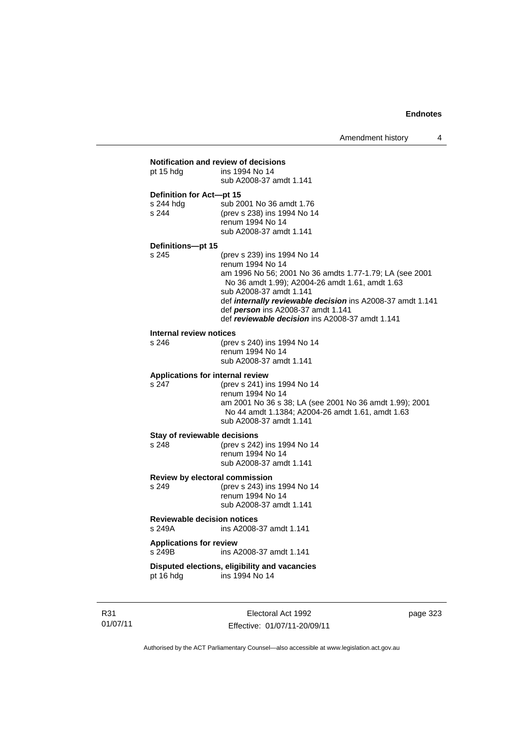| pt 15 hdg                                      | ins 1994 No 14<br>sub A2008-37 amdt 1.141                                                                                                                                                                                                                                                                                                       |
|------------------------------------------------|-------------------------------------------------------------------------------------------------------------------------------------------------------------------------------------------------------------------------------------------------------------------------------------------------------------------------------------------------|
| Definition for Act-pt 15<br>s 244 hdg<br>s 244 | sub 2001 No 36 amdt 1.76<br>(prev s 238) ins 1994 No 14<br>renum 1994 No 14<br>sub A2008-37 amdt 1.141                                                                                                                                                                                                                                          |
| Definitions-pt 15<br>s 245                     | (prev s 239) ins 1994 No 14<br>renum 1994 No 14<br>am 1996 No 56; 2001 No 36 amdts 1.77-1.79; LA (see 2001<br>No 36 amdt 1.99); A2004-26 amdt 1.61, amdt 1.63<br>sub A2008-37 amdt 1.141<br>def internally reviewable decision ins A2008-37 amdt 1.141<br>def person ins A2008-37 amdt 1.141<br>def reviewable decision ins A2008-37 amdt 1.141 |
| Internal review notices<br>s 246               | (prev s 240) ins 1994 No 14<br>renum 1994 No 14<br>sub A2008-37 amdt 1.141                                                                                                                                                                                                                                                                      |
| s 247                                          | Applications for internal review<br>(prev s 241) ins 1994 No 14<br>renum 1994 No 14<br>am 2001 No 36 s 38; LA (see 2001 No 36 amdt 1.99); 2001<br>No 44 amdt 1.1384; A2004-26 amdt 1.61, amdt 1.63<br>sub A2008-37 amdt 1.141                                                                                                                   |
| s 248                                          | Stay of reviewable decisions<br>(prev s 242) ins 1994 No 14<br>renum 1994 No 14<br>sub A2008-37 amdt 1.141                                                                                                                                                                                                                                      |
| s 249                                          | Review by electoral commission<br>(prev s 243) ins 1994 No 14<br>renum 1994 No 14<br>sub A2008-37 amdt 1.141                                                                                                                                                                                                                                    |
| s 249A                                         | <b>Reviewable decision notices</b><br>ins A2008-37 amdt 1.141                                                                                                                                                                                                                                                                                   |
| <b>Applications for review</b><br>s 249B       | ins A2008-37 amdt 1.141                                                                                                                                                                                                                                                                                                                         |
| pt 16 hdg                                      | Disputed elections, eligibility and vacancies<br>ins 1994 No 14                                                                                                                                                                                                                                                                                 |

R31 01/07/11

Electoral Act 1992 Effective: 01/07/11-20/09/11 page 323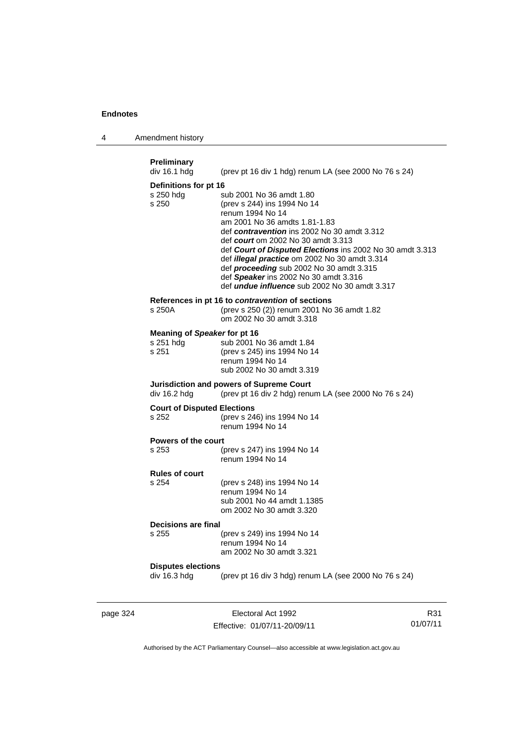4 Amendment history

| <b>Preliminary</b><br>div 16.1 hdg                 | (prev pt 16 div 1 hdg) renum LA (see 2000 No 76 s 24)                                                                                                                                                                                                                                                                                                                                                                                                               |
|----------------------------------------------------|---------------------------------------------------------------------------------------------------------------------------------------------------------------------------------------------------------------------------------------------------------------------------------------------------------------------------------------------------------------------------------------------------------------------------------------------------------------------|
| Definitions for pt 16<br>s 250 hdg<br>s 250        | sub 2001 No 36 amdt 1.80<br>(prev s 244) ins 1994 No 14<br>renum 1994 No 14<br>am 2001 No 36 amdts 1.81-1.83<br>def contravention ins 2002 No 30 amdt 3.312<br>def <i>court</i> om 2002 No 30 amdt 3.313<br>def Court of Disputed Elections ins 2002 No 30 amdt 3.313<br>def illegal practice om 2002 No 30 amdt 3.314<br>def proceeding sub 2002 No 30 amdt 3.315<br>def Speaker ins 2002 No 30 amdt 3.316<br>def <i>undue influence</i> sub 2002 No 30 amdt 3.317 |
| s 250A                                             | References in pt 16 to <i>contravention</i> of sections<br>(prev s 250 (2)) renum 2001 No 36 amdt 1.82<br>om 2002 No 30 amdt 3.318                                                                                                                                                                                                                                                                                                                                  |
| Meaning of Speaker for pt 16<br>s 251 hdg<br>s 251 | sub 2001 No 36 amdt 1.84<br>(prev s 245) ins 1994 No 14<br>renum 1994 No 14<br>sub 2002 No 30 amdt 3.319                                                                                                                                                                                                                                                                                                                                                            |
| div 16.2 hdg                                       | Jurisdiction and powers of Supreme Court<br>(prev pt 16 div 2 hdg) renum LA (see 2000 No 76 s 24)                                                                                                                                                                                                                                                                                                                                                                   |
| <b>Court of Disputed Elections</b><br>s 252        | (prev s 246) ins 1994 No 14<br>renum 1994 No 14                                                                                                                                                                                                                                                                                                                                                                                                                     |
| Powers of the court<br>s 253                       | (prev s 247) ins 1994 No 14<br>renum 1994 No 14                                                                                                                                                                                                                                                                                                                                                                                                                     |
| <b>Rules of court</b><br>s 254                     | (prev s 248) ins 1994 No 14<br>renum 1994 No 14<br>sub 2001 No 44 amdt 1.1385<br>om 2002 No 30 amdt 3.320                                                                                                                                                                                                                                                                                                                                                           |
| Decisions are final<br>s 255                       | (prev s 249) ins 1994 No 14<br>renum 1994 No 14<br>am 2002 No 30 amdt 3.321                                                                                                                                                                                                                                                                                                                                                                                         |
| <b>Disputes elections</b><br>div 16.3 hdg          | (prev pt 16 div 3 hdg) renum LA (see 2000 No 76 s 24)                                                                                                                                                                                                                                                                                                                                                                                                               |

page 324 Electoral Act 1992 Effective: 01/07/11-20/09/11

R31 01/07/11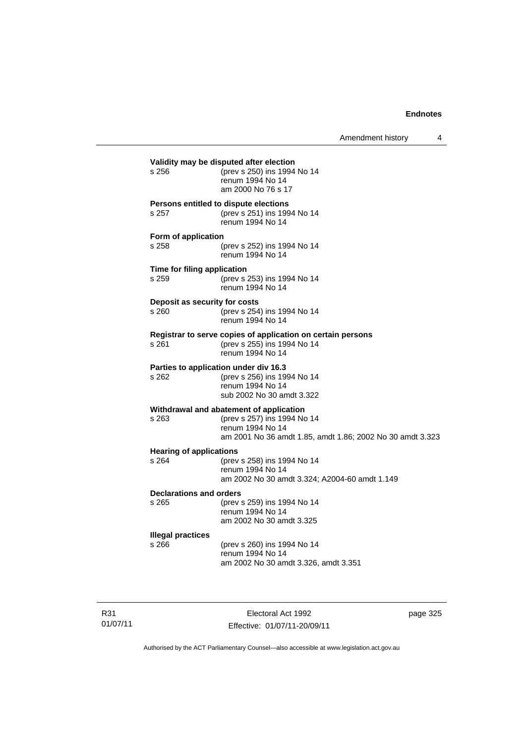| s 256                                   | (prev s 250) ins 1994 No 14<br>renum 1994 No 14<br>am 2000 No 76 s 17                                                                                   |
|-----------------------------------------|---------------------------------------------------------------------------------------------------------------------------------------------------------|
| s 257                                   | Persons entitled to dispute elections<br>(prev s 251) ins 1994 No 14<br>renum 1994 No 14                                                                |
| Form of application<br>s 258            | (prev s 252) ins 1994 No 14<br>renum 1994 No 14                                                                                                         |
| Time for filing application<br>s 259    | (prev s 253) ins 1994 No 14<br>renum 1994 No 14                                                                                                         |
| Deposit as security for costs<br>s 260  | (prev s 254) ins 1994 No 14<br>renum 1994 No 14                                                                                                         |
| s 261                                   | Registrar to serve copies of application on certain persons<br>(prev s 255) ins 1994 No 14<br>renum 1994 No 14                                          |
| s 262                                   | Parties to application under div 16.3<br>(prev s 256) ins 1994 No 14<br>renum 1994 No 14<br>sub 2002 No 30 amdt 3.322                                   |
| $s$ 263                                 | Withdrawal and abatement of application<br>(prev s 257) ins 1994 No 14<br>renum 1994 No 14<br>am 2001 No 36 amdt 1.85, amdt 1.86; 2002 No 30 amdt 3.323 |
| <b>Hearing of applications</b><br>s 264 | (prev s 258) ins 1994 No 14<br>renum 1994 No 14<br>am 2002 No 30 amdt 3.324; A2004-60 amdt 1.149                                                        |
| Declarations and orders<br>s 265        | (prev s 259) ins 1994 No 14<br>renum 1994 No 14<br>am 2002 No 30 amdt 3.325                                                                             |
| <b>Illegal practices</b><br>s 266       | (prev s 260) ins 1994 No 14<br>renum 1994 No 14<br>am 2002 No 30 amdt 3.326, amdt 3.351                                                                 |

R31 01/07/11

Electoral Act 1992 Effective: 01/07/11-20/09/11 page 325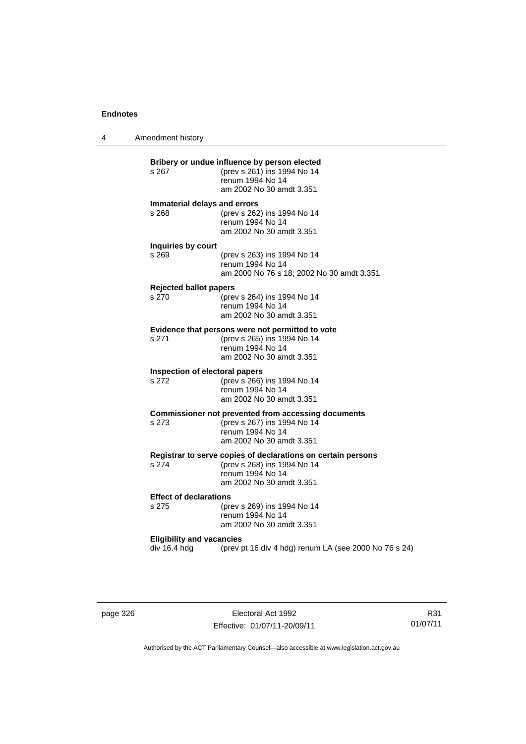4 Amendment history

| s 267                                  | (prev s 261) ins 1994 No 14<br>renum 1994 No 14<br>am 2002 No 30 amdt 3.351                                                                 |
|----------------------------------------|---------------------------------------------------------------------------------------------------------------------------------------------|
| Immaterial delays and errors<br>s 268  | (prev s 262) ins 1994 No 14<br>renum 1994 No 14<br>am 2002 No 30 amdt 3.351                                                                 |
| Inquiries by court<br>s 269            | (prev s 263) ins 1994 No 14<br>renum 1994 No 14<br>am 2000 No 76 s 18; 2002 No 30 amdt 3.351                                                |
| <b>Rejected ballot papers</b><br>s 270 | (prev s 264) ins 1994 No 14<br>renum 1994 No 14                                                                                             |
|                                        | am 2002 No 30 amdt 3.351                                                                                                                    |
| s 271                                  | Evidence that persons were not permitted to vote<br>(prev s 265) ins 1994 No 14<br>renum 1994 No 14<br>am 2002 No 30 amdt 3.351             |
| s 272                                  | Inspection of electoral papers<br>(prev s 266) ins 1994 No 14<br>renum 1994 No 14<br>am 2002 No 30 amdt 3.351                               |
| s 273                                  | <b>Commissioner not prevented from accessing documents</b><br>(prev s 267) ins 1994 No 14<br>renum 1994 No 14<br>am 2002 No 30 amdt 3.351   |
| s 274                                  | Registrar to serve copies of declarations on certain persons<br>(prev s 268) ins 1994 No 14<br>renum 1994 No 14<br>am 2002 No 30 amdt 3.351 |
| <b>Effect of declarations</b><br>s 275 | (prev s 269) ins 1994 No 14<br>renum 1994 No 14<br>am 2002 No 30 amdt 3.351                                                                 |
| <b>Eligibility and vacancies</b>       |                                                                                                                                             |

page 326 Electoral Act 1992 Effective: 01/07/11-20/09/11

R31 01/07/11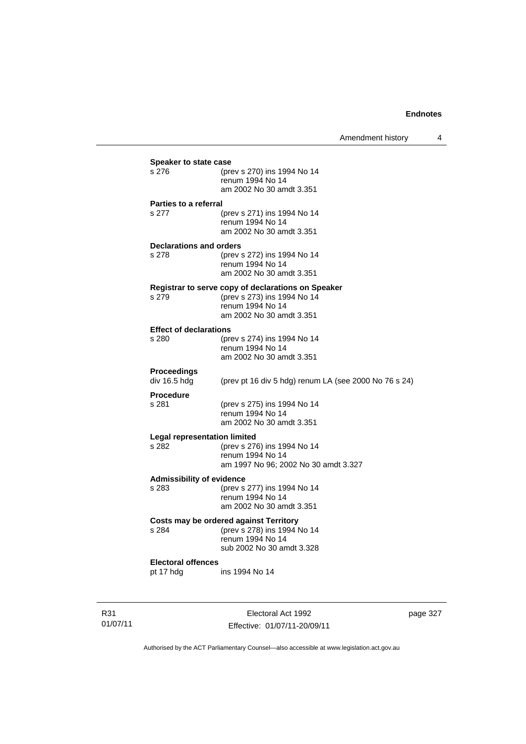| <b>Speaker to state case</b>     |                                                                       |  |  |
|----------------------------------|-----------------------------------------------------------------------|--|--|
| s 276                            | (prev s 270) ins 1994 No 14                                           |  |  |
|                                  | renum 1994 No 14                                                      |  |  |
|                                  | am 2002 No 30 amdt 3.351                                              |  |  |
| <b>Parties to a referral</b>     |                                                                       |  |  |
| s 277                            | (prev s 271) ins 1994 No 14                                           |  |  |
|                                  | renum 1994 No 14                                                      |  |  |
|                                  | am 2002 No 30 amdt 3.351                                              |  |  |
| <b>Declarations and orders</b>   |                                                                       |  |  |
| s 278                            | (prev s 272) ins 1994 No 14                                           |  |  |
|                                  | renum 1994 No 14<br>am 2002 No 30 amdt 3.351                          |  |  |
|                                  |                                                                       |  |  |
| s 279                            | Registrar to serve copy of declarations on Speaker                    |  |  |
|                                  | (prev s 273) ins 1994 No 14<br>renum 1994 No 14                       |  |  |
|                                  | am 2002 No 30 amdt 3.351                                              |  |  |
| <b>Effect of declarations</b>    |                                                                       |  |  |
| s 280                            | (prev s 274) ins 1994 No 14                                           |  |  |
|                                  | renum 1994 No 14                                                      |  |  |
|                                  | am 2002 No 30 amdt 3.351                                              |  |  |
| Proceedings                      |                                                                       |  |  |
| div 16.5 hdg                     | (prev pt 16 div 5 hdg) renum LA (see 2000 No 76 s 24)                 |  |  |
| <b>Procedure</b>                 |                                                                       |  |  |
| s 281                            | (prev s 275) ins 1994 No 14                                           |  |  |
|                                  | renum 1994 No 14                                                      |  |  |
|                                  | am 2002 No 30 amdt 3.351                                              |  |  |
| Legal representation limited     |                                                                       |  |  |
| s 282                            | (prev s 276) ins 1994 No 14                                           |  |  |
|                                  | renum 1994 No 14                                                      |  |  |
|                                  | am 1997 No 96; 2002 No 30 amdt 3.327                                  |  |  |
| <b>Admissibility of evidence</b> |                                                                       |  |  |
| s 283                            | (prev s 277) ins 1994 No 14<br>renum 1994 No 14                       |  |  |
|                                  | am 2002 No 30 amdt 3.351                                              |  |  |
|                                  |                                                                       |  |  |
| s 284                            | Costs may be ordered against Territory<br>(prev s 278) ins 1994 No 14 |  |  |
|                                  | renum 1994 No 14                                                      |  |  |
|                                  | sub 2002 No 30 amdt 3.328                                             |  |  |
| <b>Electoral offences</b>        |                                                                       |  |  |
| pt 17 hdg                        | ins 1994 No 14                                                        |  |  |
|                                  |                                                                       |  |  |
|                                  |                                                                       |  |  |

R31 01/07/11

Electoral Act 1992 Effective: 01/07/11-20/09/11 page 327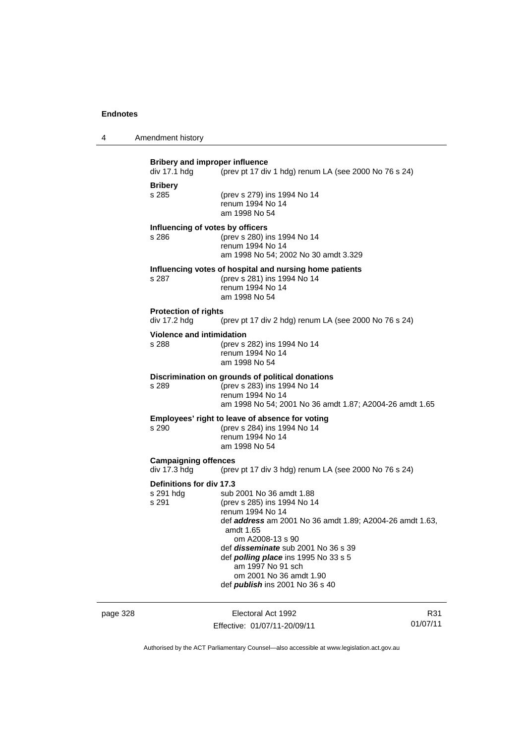| Amendment history                 |
|-----------------------------------|
| <b>Rribery and improper influ</b> |

|                                                                                                      | Bribery and improper influence<br>div 17.1 hdg | (prev pt 17 div 1 hdg) renum LA (see 2000 No 76 s 24)                                                                                                                                                                                                                                                                                                           |
|------------------------------------------------------------------------------------------------------|------------------------------------------------|-----------------------------------------------------------------------------------------------------------------------------------------------------------------------------------------------------------------------------------------------------------------------------------------------------------------------------------------------------------------|
|                                                                                                      | <b>Bribery</b><br>s 285                        | (prev s 279) ins 1994 No 14<br>renum 1994 No 14<br>am 1998 No 54                                                                                                                                                                                                                                                                                                |
|                                                                                                      | Influencing of votes by officers<br>s 286      | (prev s 280) ins 1994 No 14<br>renum 1994 No 14<br>am 1998 No 54; 2002 No 30 amdt 3.329                                                                                                                                                                                                                                                                         |
|                                                                                                      | s 287                                          | Influencing votes of hospital and nursing home patients<br>(prev s 281) ins 1994 No 14<br>renum 1994 No 14<br>am 1998 No 54                                                                                                                                                                                                                                     |
|                                                                                                      | <b>Protection of rights</b><br>div 17.2 hdg    | (prev pt 17 div 2 hdg) renum LA (see 2000 No 76 s 24)                                                                                                                                                                                                                                                                                                           |
|                                                                                                      | <b>Violence and intimidation</b><br>s 288      | (prev s 282) ins 1994 No 14<br>renum 1994 No 14<br>am 1998 No 54                                                                                                                                                                                                                                                                                                |
|                                                                                                      | s 289                                          | Discrimination on grounds of political donations<br>(prev s 283) ins 1994 No 14<br>renum 1994 No 14<br>am 1998 No 54; 2001 No 36 amdt 1.87; A2004-26 amdt 1.65                                                                                                                                                                                                  |
|                                                                                                      | $s$ 290                                        | Employees' right to leave of absence for voting<br>(prev s 284) ins 1994 No 14<br>renum 1994 No 14<br>am 1998 No 54                                                                                                                                                                                                                                             |
| <b>Campaigning offences</b><br>div 17.3 hdg<br>(prev pt 17 div 3 hdg) renum LA (see 2000 No 76 s 24) |                                                |                                                                                                                                                                                                                                                                                                                                                                 |
|                                                                                                      | Definitions for div 17.3<br>s 291 hdg<br>s 291 | sub 2001 No 36 amdt 1.88<br>(prev s 285) ins 1994 No 14<br>renum 1994 No 14<br>def address am 2001 No 36 amdt 1.89; A2004-26 amdt 1.63,<br>amdt 1.65<br>om A2008-13 s 90<br>def <i>disseminate</i> sub 2001 No 36 s 39<br>def <i>polling place</i> ins 1995 No 33 s 5<br>am 1997 No 91 sch<br>om 2001 No 36 amdt 1.90<br>def <i>publish</i> ins 2001 No 36 s 40 |

page 328 Electoral Act 1992 Effective: 01/07/11-20/09/11

R31 01/07/11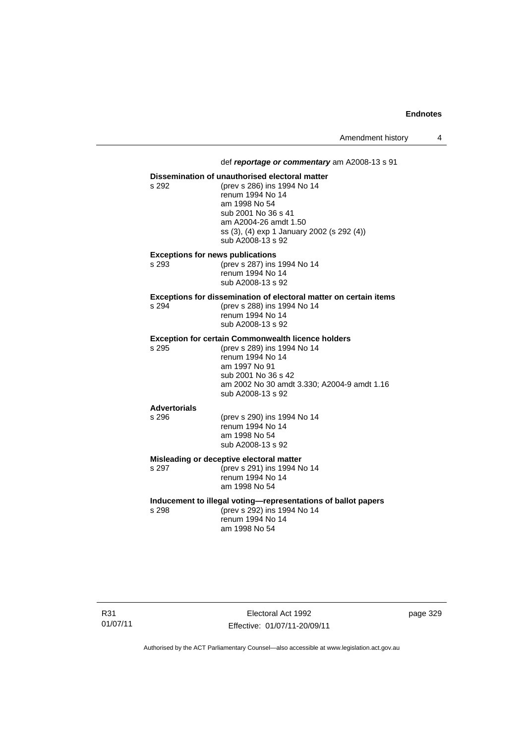#### def *reportage or commentary* am A2008-13 s 91

#### **Dissemination of unauthorised electoral matter**

s 292 (prev s 286) ins 1994 No 14 renum 1994 No 14 am 1998 No 54 sub 2001 No 36 s 41 am A2004-26 amdt 1.50 ss (3), (4) exp 1 January 2002 (s 292 (4)) sub A2008-13 s 92

# **Exceptions for news publications**<br>s 293 (prev s 287) ins

(prev s 287) ins 1994 No 14 renum 1994 No 14 sub A2008-13 s 92

# **Exceptions for dissemination of electoral matter on certain items**<br>s 294 (prev s 288) ins 1994 No 14

s 294 (prev s 288) ins 1994 No 14 renum 1994 No 14 sub A2008-13 s 92

### **Exception for certain Commonwealth licence holders**

s 295 (prev s 289) ins 1994 No 14 renum 1994 No 14 am 1997 No 91 sub 2001 No 36 s 42 am 2002 No 30 amdt 3.330; A2004-9 amdt 1.16 sub A2008-13 s 92

# **Advertorials**

#### renum 1994 No 14 am 1998 No 54 sub A2008-13 s 92

**Misleading or deceptive electoral matter**

s 297 (prev s 291) ins 1994 No 14 renum 1994 No 14 am 1998 No 54

#### **Inducement to illegal voting—representations of ballot papers**

(prev s 290) ins 1994 No 14

s 298 (prev s 292) ins 1994 No 14 renum 1994 No 14 am 1998 No 54

R31 01/07/11

Electoral Act 1992 Effective: 01/07/11-20/09/11 page 329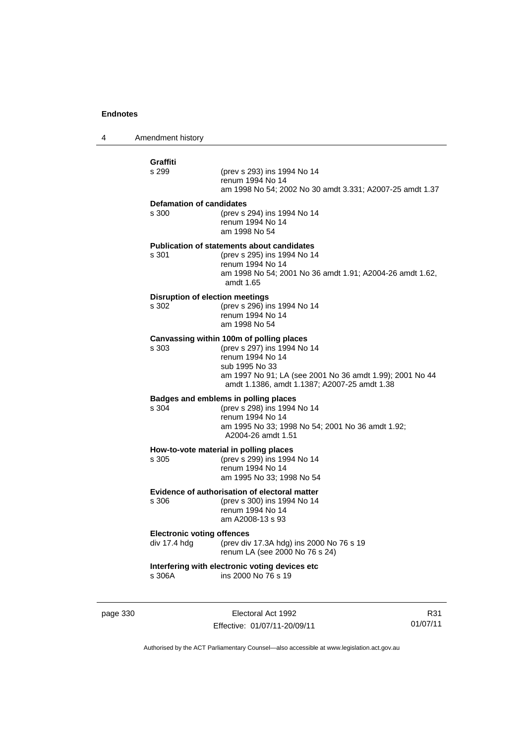4 Amendment history

| Graffiti                                          |                                                                                                                                                                                                                           |
|---------------------------------------------------|---------------------------------------------------------------------------------------------------------------------------------------------------------------------------------------------------------------------------|
| s 299                                             | (prev s 293) ins 1994 No 14<br>renum 1994 No 14<br>am 1998 No 54; 2002 No 30 amdt 3.331; A2007-25 amdt 1.37                                                                                                               |
| <b>Defamation of candidates</b><br>s 300          | (prev s 294) ins 1994 No 14<br>renum 1994 No 14<br>am 1998 No 54                                                                                                                                                          |
| s 301                                             | <b>Publication of statements about candidates</b><br>(prev s 295) ins 1994 No 14<br>renum 1994 No 14<br>am 1998 No 54; 2001 No 36 amdt 1.91; A2004-26 amdt 1.62,<br>amdt 1.65                                             |
| s 302                                             | <b>Disruption of election meetings</b><br>(prev s 296) ins 1994 No 14<br>renum 1994 No 14<br>am 1998 No 54                                                                                                                |
| s 303                                             | Canvassing within 100m of polling places<br>(prev s 297) ins 1994 No 14<br>renum 1994 No 14<br>sub 1995 No 33<br>am 1997 No 91; LA (see 2001 No 36 amdt 1.99); 2001 No 44<br>amdt 1.1386, amdt 1.1387; A2007-25 amdt 1.38 |
| s 304                                             | Badges and emblems in polling places<br>(prev s 298) ins 1994 No 14<br>renum 1994 No 14<br>am 1995 No 33; 1998 No 54; 2001 No 36 amdt 1.92;<br>A2004-26 amdt 1.51                                                         |
| s 305                                             | How-to-vote material in polling places<br>(prev s 299) ins 1994 No 14<br>renum 1994 No 14<br>am 1995 No 33; 1998 No 54                                                                                                    |
| s 306                                             | <b>Evidence of authorisation of electoral matter</b><br>(prev s 300) ins 1994 No 14<br>renum 1994 No 14<br>am A2008-13 s 93                                                                                               |
| <b>Electronic voting offences</b><br>div 17.4 hdg | (prev div 17.3A hdg) ins 2000 No 76 s 19<br>renum LA (see 2000 No 76 s 24)                                                                                                                                                |
| s 306A                                            | Interfering with electronic voting devices etc<br>ins 2000 No 76 s 19                                                                                                                                                     |

page 330 Electoral Act 1992 Effective: 01/07/11-20/09/11

R31 01/07/11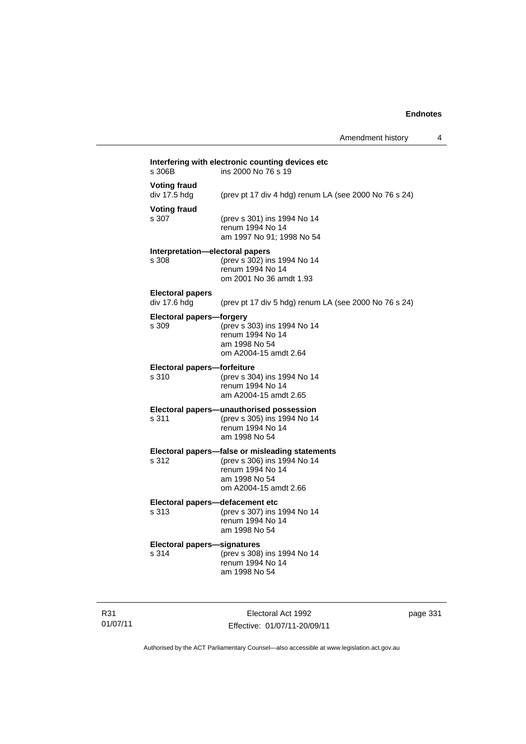Amendment history 4

| s 306B                                   | Interfering with electronic counting devices etc<br>ins 2000 No 76 s 19                                                                      |  |  |
|------------------------------------------|----------------------------------------------------------------------------------------------------------------------------------------------|--|--|
| <b>Voting fraud</b><br>div 17.5 hdg      | (prev pt 17 div 4 hdg) renum LA (see 2000 No 76 s 24)                                                                                        |  |  |
| <b>Voting fraud</b><br>s 307             | (prev s 301) ins 1994 No 14<br>renum 1994 No 14<br>am 1997 No 91; 1998 No 54                                                                 |  |  |
| Interpretation-electoral papers<br>s 308 | (prev s 302) ins 1994 No 14<br>renum 1994 No 14<br>om 2001 No 36 amdt 1.93                                                                   |  |  |
| <b>Electoral papers</b><br>div 17.6 hdg  | (prev pt 17 div 5 hdg) renum LA (see 2000 No 76 s 24)                                                                                        |  |  |
| <b>Electoral papers-forgery</b><br>s 309 | (prev s 303) ins 1994 No 14<br>renum 1994 No 14<br>am 1998 No 54<br>om A2004-15 amdt 2.64                                                    |  |  |
| Electoral papers-forfeiture<br>s 310     | (prev s 304) ins 1994 No 14<br>renum 1994 No 14<br>am A2004-15 amdt 2.65                                                                     |  |  |
| s 311                                    | Electoral papers-unauthorised possession<br>(prev s 305) ins 1994 No 14<br>renum 1994 No 14<br>am 1998 No 54                                 |  |  |
| s 312                                    | Electoral papers-false or misleading statements<br>(prev s 306) ins 1994 No 14<br>renum 1994 No 14<br>am 1998 No 54<br>om A2004-15 amdt 2.66 |  |  |
| Electoral papers-defacement etc<br>s 313 | (prev s 307) ins 1994 No 14<br>renum 1994 No 14<br>am 1998 No 54                                                                             |  |  |
| Electoral papers-signatures<br>s 314     | (prev s 308) ins 1994 No 14<br>renum 1994 No 14<br>am 1998 No 54                                                                             |  |  |

R31 01/07/11

Electoral Act 1992 Effective: 01/07/11-20/09/11 page 331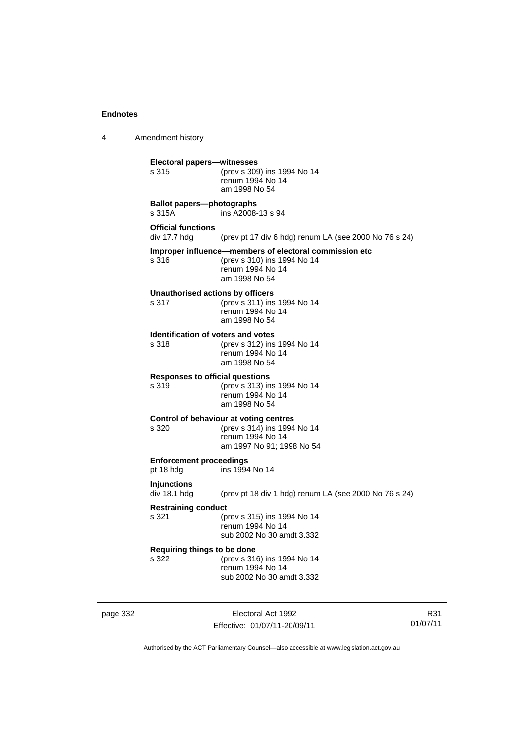4 Amendment history

| <b>Electoral papers-witnesses</b><br>s 315         | (prev s 309) ins 1994 No 14<br>renum 1994 No 14<br>am 1998 No 54                                                           |
|----------------------------------------------------|----------------------------------------------------------------------------------------------------------------------------|
| <b>Ballot papers-photographs</b><br>s 315A         | ins A2008-13 s 94                                                                                                          |
| <b>Official functions</b><br>div 17.7 hdg          | (prev pt 17 div 6 hdg) renum LA (see 2000 No 76 s 24)                                                                      |
| s 316                                              | Improper influence-members of electoral commission etc<br>(prev s 310) ins 1994 No 14<br>renum 1994 No 14<br>am 1998 No 54 |
| Unauthorised actions by officers<br>s 317          | (prev s 311) ins 1994 No 14<br>renum 1994 No 14<br>am 1998 No 54                                                           |
| <b>Identification of voters and votes</b><br>s 318 | (prev s 312) ins 1994 No 14<br>renum 1994 No 14<br>am 1998 No 54                                                           |
| <b>Responses to official questions</b><br>s 319    | (prev s 313) ins 1994 No 14<br>renum 1994 No 14<br>am 1998 No 54                                                           |
| s 320                                              | Control of behaviour at voting centres<br>(prev s 314) ins 1994 No 14<br>renum 1994 No 14<br>am 1997 No 91; 1998 No 54     |
| <b>Enforcement proceedings</b><br>pt 18 hdg        | ins 1994 No 14                                                                                                             |
| <b>Injunctions</b><br>div 18.1 hda                 | (prev pt 18 div 1 hdg) renum LA (see 2000 No 76 s 24)                                                                      |
| <b>Restraining conduct</b><br>s 321                | (prev s 315) ins 1994 No 14<br>renum 1994 No 14<br>sub 2002 No 30 amdt 3.332                                               |
| Requiring things to be done<br>s 322               | (prev s 316) ins 1994 No 14<br>renum 1994 No 14<br>sub 2002 No 30 amdt 3.332                                               |

page 332 Electoral Act 1992 Effective: 01/07/11-20/09/11

R31 01/07/11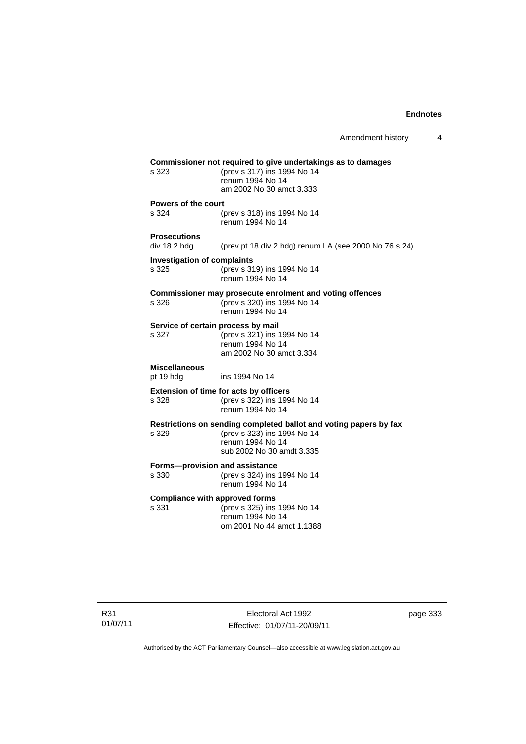| Commissioner not required to give undertakings as to damages |                                                                   |  |  |
|--------------------------------------------------------------|-------------------------------------------------------------------|--|--|
| s 323                                                        | (prev s 317) ins 1994 No 14                                       |  |  |
|                                                              | renum 1994 No 14                                                  |  |  |
|                                                              | am 2002 No 30 amdt 3.333                                          |  |  |
| Powers of the court                                          |                                                                   |  |  |
| s 324                                                        | (prev s 318) ins 1994 No 14                                       |  |  |
|                                                              | renum 1994 No 14                                                  |  |  |
| <b>Prosecutions</b>                                          |                                                                   |  |  |
| div 18.2 hdg                                                 | (prev pt 18 div 2 hdg) renum LA (see 2000 No 76 s 24)             |  |  |
|                                                              |                                                                   |  |  |
| <b>Investigation of complaints</b>                           |                                                                   |  |  |
| s 325                                                        | (prev s 319) ins 1994 No 14                                       |  |  |
|                                                              | renum 1994 No 14                                                  |  |  |
|                                                              | Commissioner may prosecute enrolment and voting offences          |  |  |
| s 326                                                        | (prev s 320) ins 1994 No 14                                       |  |  |
|                                                              | renum 1994 No 14                                                  |  |  |
|                                                              |                                                                   |  |  |
| Service of certain process by mail<br>s 327                  |                                                                   |  |  |
|                                                              | (prev s 321) ins 1994 No 14<br>renum 1994 No 14                   |  |  |
|                                                              | am 2002 No 30 amdt 3.334                                          |  |  |
|                                                              |                                                                   |  |  |
| <b>Miscellaneous</b>                                         |                                                                   |  |  |
| pt 19 hdg                                                    | ins 1994 No 14                                                    |  |  |
|                                                              | <b>Extension of time for acts by officers</b>                     |  |  |
| s 328                                                        | (prev s 322) ins 1994 No 14                                       |  |  |
|                                                              | renum 1994 No 14                                                  |  |  |
|                                                              | Restrictions on sending completed ballot and voting papers by fax |  |  |
| s 329                                                        | (prev s 323) ins 1994 No 14                                       |  |  |
|                                                              | renum 1994 No 14                                                  |  |  |
|                                                              | sub 2002 No 30 amdt 3.335                                         |  |  |
|                                                              |                                                                   |  |  |
| Forms-provision and assistance                               |                                                                   |  |  |
| s 330                                                        | (prev s 324) ins 1994 No 14                                       |  |  |
|                                                              | renum 1994 No 14                                                  |  |  |
| <b>Compliance with approved forms</b>                        |                                                                   |  |  |
| s 331                                                        | (prev s 325) ins 1994 No 14                                       |  |  |
|                                                              | renum 1994 No 14                                                  |  |  |
|                                                              | om 2001 No 44 amdt 1.1388                                         |  |  |
|                                                              |                                                                   |  |  |

page 333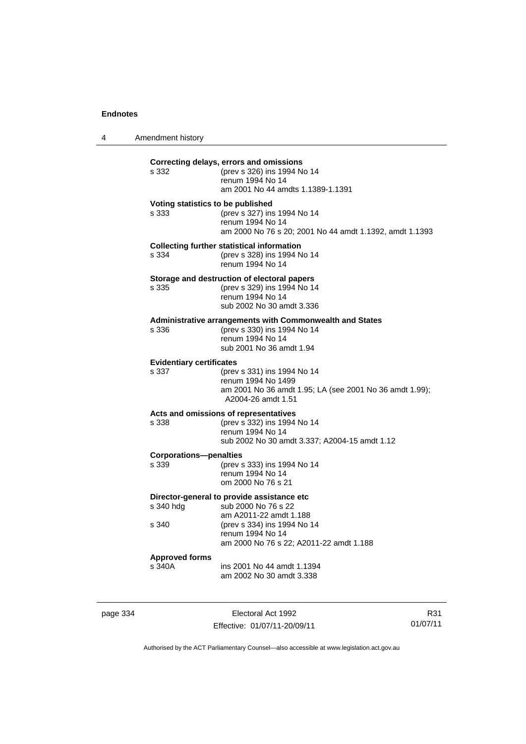4 Amendment history

| s 332                                      | Correcting delays, errors and omissions<br>(prev s 326) ins 1994 No 14<br>renum 1994 No 14<br>am 2001 No 44 amdts 1.1389-1.1391           |
|--------------------------------------------|-------------------------------------------------------------------------------------------------------------------------------------------|
| Voting statistics to be published<br>s 333 | (prev s 327) ins 1994 No 14<br>renum 1994 No 14<br>am 2000 No 76 s 20; 2001 No 44 amdt 1.1392, amdt 1.1393                                |
| s 334                                      | <b>Collecting further statistical information</b><br>(prev s 328) ins 1994 No 14<br>renum 1994 No 14                                      |
| s 335                                      | Storage and destruction of electoral papers<br>(prev s 329) ins 1994 No 14<br>renum 1994 No 14<br>sub 2002 No 30 amdt 3.336               |
| s 336                                      | Administrative arrangements with Commonwealth and States<br>(prev s 330) ins 1994 No 14<br>renum 1994 No 14<br>sub 2001 No 36 amdt 1.94   |
| <b>Evidentiary certificates</b><br>s 337   | (prev s 331) ins 1994 No 14<br>renum 1994 No 1499<br>am 2001 No 36 amdt 1.95; LA (see 2001 No 36 amdt 1.99);<br>A2004-26 amdt 1.51        |
| s 338                                      | Acts and omissions of representatives<br>(prev s 332) ins 1994 No 14<br>renum 1994 No 14<br>sub 2002 No 30 amdt 3.337; A2004-15 amdt 1.12 |
| <b>Corporations-penalties</b><br>s 339     | (prev s 333) ins 1994 No 14<br>renum 1994 No 14<br>om 2000 No 76 s 21                                                                     |
| s 340 hdg                                  | Director-general to provide assistance etc<br>sub 2000 No 76 s 22<br>am A2011-22 amdt 1.188                                               |
| s 340                                      | (prev s 334) ins 1994 No 14<br>renum 1994 No 14<br>am 2000 No 76 s 22; A2011-22 amdt 1.188                                                |
|                                            |                                                                                                                                           |

page 334 Electoral Act 1992 Effective: 01/07/11-20/09/11

R31 01/07/11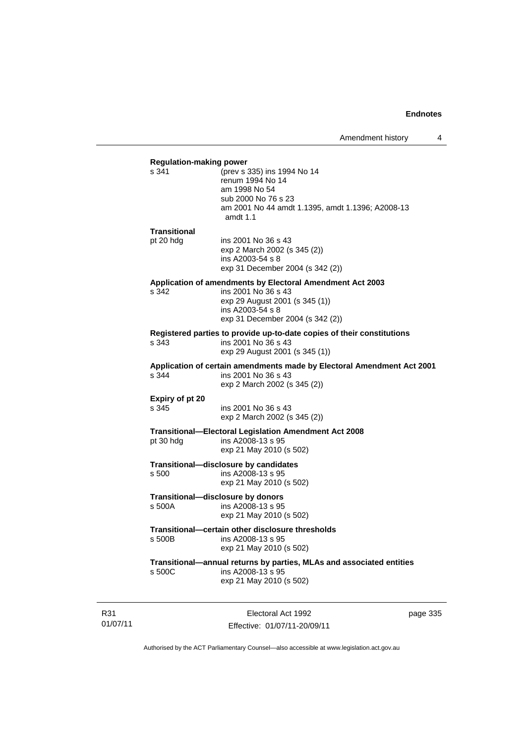| <b>Regulation-making power</b><br>s 341 | (prev s 335) ins 1994 No 14                                            |          |
|-----------------------------------------|------------------------------------------------------------------------|----------|
|                                         | renum 1994 No 14                                                       |          |
|                                         | am 1998 No 54                                                          |          |
|                                         | sub 2000 No 76 s 23                                                    |          |
|                                         | am 2001 No 44 amdt 1.1395, amdt 1.1396; A2008-13<br>amdt 1.1           |          |
| Transitional                            |                                                                        |          |
| pt 20 hdg                               | ins 2001 No 36 s 43                                                    |          |
|                                         | exp 2 March 2002 (s 345 (2))                                           |          |
|                                         | ins A2003-54 s 8<br>exp 31 December 2004 (s 342 (2))                   |          |
|                                         | Application of amendments by Electoral Amendment Act 2003              |          |
| s 342                                   | ins 2001 No 36 s 43                                                    |          |
|                                         | exp 29 August 2001 (s 345 (1))                                         |          |
|                                         | ins A2003-54 s 8                                                       |          |
|                                         | exp 31 December 2004 (s 342 (2))                                       |          |
|                                         | Registered parties to provide up-to-date copies of their constitutions |          |
| s 343                                   | ins 2001 No 36 s 43                                                    |          |
|                                         | exp 29 August 2001 (s 345 (1))                                         |          |
|                                         | Application of certain amendments made by Electoral Amendment Act 2001 |          |
| s 344                                   | ins 2001 No 36 s 43                                                    |          |
|                                         | exp 2 March 2002 (s 345 (2))                                           |          |
| Expiry of pt 20                         |                                                                        |          |
| s 345                                   | ins 2001 No 36 s 43                                                    |          |
|                                         | exp 2 March 2002 (s 345 (2))                                           |          |
|                                         | <b>Transitional-Electoral Legislation Amendment Act 2008</b>           |          |
| pt 30 hdg                               | ins A2008-13 s 95                                                      |          |
|                                         | exp 21 May 2010 (s 502)                                                |          |
|                                         | Transitional-disclosure by candidates                                  |          |
| s 500                                   | ins A2008-13 s 95                                                      |          |
|                                         | exp 21 May 2010 (s 502)                                                |          |
|                                         | Transitional-disclosure by donors                                      |          |
| s 500A                                  | ins A2008-13 s 95                                                      |          |
|                                         | exp 21 May 2010 (s 502)                                                |          |
|                                         | Transitional-certain other disclosure thresholds                       |          |
| s 500B                                  | ins A2008-13 s 95                                                      |          |
|                                         | exp 21 May 2010 (s 502)                                                |          |
|                                         | Transitional-annual returns by parties, MLAs and associated entities   |          |
| s 500C                                  | ins A2008-13 s 95<br>exp 21 May 2010 (s 502)                           |          |
|                                         |                                                                        |          |
|                                         |                                                                        |          |
|                                         | Electoral Act 1992                                                     | page 335 |

Authorised by the ACT Parliamentary Counsel—also accessible at www.legislation.act.gov.au

Effective: 01/07/11-20/09/11

R31 01/07/11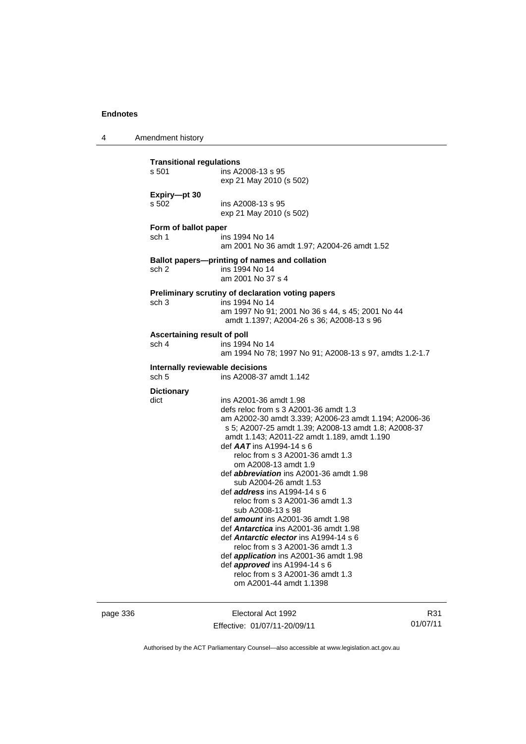4 Amendment history **Transitional regulations**  s 501 ins A2008-13 s 95 exp 21 May 2010 (s 502) **Expiry—pt 30**  s 502 ins A2008-13 s 95 exp 21 May 2010 (s 502) **Form of ballot paper** sch 1 ins 1994 No 14 am 2001 No 36 amdt 1.97; A2004-26 amdt 1.52 **Ballot papers—printing of names and collation** sch 2 ins 1994 No 14 am 2001 No 37 s 4 **Preliminary scrutiny of declaration voting papers** sch 3 ins 1994 No 14 am 1997 No 91; 2001 No 36 s 44, s 45; 2001 No 44 amdt 1.1397; A2004-26 s 36; A2008-13 s 96 **Ascertaining result of poll** sch 4 ins 1994 No 14 am 1994 No 78; 1997 No 91; A2008-13 s 97, amdts 1.2-1.7 **Internally reviewable decisions**  sch 5 ins A2008-37 amdt 1.142 **Dictionary** dict ins A2001-36 amdt 1.98 defs reloc from s 3 A2001-36 amdt 1.3 am A2002-30 amdt 3.339; A2006-23 amdt 1.194; A2006-36 s 5; A2007-25 amdt 1.39; A2008-13 amdt 1.8; A2008-37 amdt 1.143; A2011-22 amdt 1.189, amdt 1.190 def *AAT* ins A1994-14 s 6 reloc from s 3 A2001-36 amdt 1.3 om A2008-13 amdt 1.9 def *abbreviation* ins A2001-36 amdt 1.98 sub A2004-26 amdt 1.53 def *address* ins A1994-14 s 6 reloc from s 3 A2001-36 amdt 1.3 sub A2008-13 s 98 def *amount* ins A2001-36 amdt 1.98 def *Antarctica* ins A2001-36 amdt 1.98 def *Antarctic elector* ins A1994-14 s 6 reloc from s 3 A2001-36 amdt 1.3 def *application* ins A2001-36 amdt 1.98 def *approved* ins A1994-14 s 6 reloc from s 3 A2001-36 amdt 1.3 om A2001-44 amdt 1.1398

page 336 Electoral Act 1992 Effective: 01/07/11-20/09/11

R31 01/07/11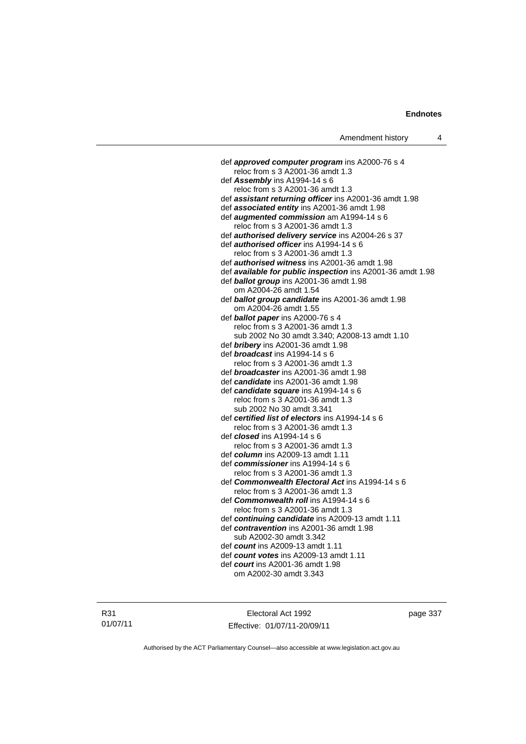def *approved computer program* ins A2000-76 s 4 reloc from s 3 A2001-36 amdt 1.3 def *Assembly* ins A1994-14 s 6 reloc from s 3 A2001-36 amdt 1.3 def *assistant returning officer* ins A2001-36 amdt 1.98 def *associated entity* ins A2001-36 amdt 1.98 def *augmented commission* am A1994-14 s 6 reloc from s 3 A2001-36 amdt 1.3 def *authorised delivery service* ins A2004-26 s 37 def *authorised officer* ins A1994-14 s 6 reloc from s 3 A2001-36 amdt 1.3 def *authorised witness* ins A2001-36 amdt 1.98 def *available for public inspection* ins A2001-36 amdt 1.98 def *ballot group* ins A2001-36 amdt 1.98 om A2004-26 amdt 1.54 def *ballot group candidate* ins A2001-36 amdt 1.98 om A2004-26 amdt 1.55 def *ballot paper* ins A2000-76 s 4 reloc from s 3 A2001-36 amdt 1.3 sub 2002 No 30 amdt 3.340; A2008-13 amdt 1.10 def *bribery* ins A2001-36 amdt 1.98 def *broadcast* ins A1994-14 s 6 reloc from s 3 A2001-36 amdt 1.3 def *broadcaster* ins A2001-36 amdt 1.98 def *candidate* ins A2001-36 amdt 1.98 def *candidate square* ins A1994-14 s 6 reloc from s 3 A2001-36 amdt 1.3 sub 2002 No 30 amdt 3.341 def *certified list of electors* ins A1994-14 s 6 reloc from s 3 A2001-36 amdt 1.3 def *closed* ins A1994-14 s 6 reloc from s 3 A2001-36 amdt 1.3 def *column* ins A2009-13 amdt 1.11 def *commissioner* ins A1994-14 s 6 reloc from s 3 A2001-36 amdt 1.3 def *Commonwealth Electoral Act* ins A1994-14 s 6 reloc from s 3 A2001-36 amdt 1.3 def *Commonwealth roll* ins A1994-14 s 6 reloc from s 3 A2001-36 amdt 1.3 def *continuing candidate* ins A2009-13 amdt 1.11 def *contravention* ins A2001-36 amdt 1.98 sub A2002-30 amdt 3.342 def *count* ins A2009-13 amdt 1.11 def *count votes* ins A2009-13 amdt 1.11 def *court* ins A2001-36 amdt 1.98 om A2002-30 amdt 3.343

Electoral Act 1992 Effective: 01/07/11-20/09/11 page 337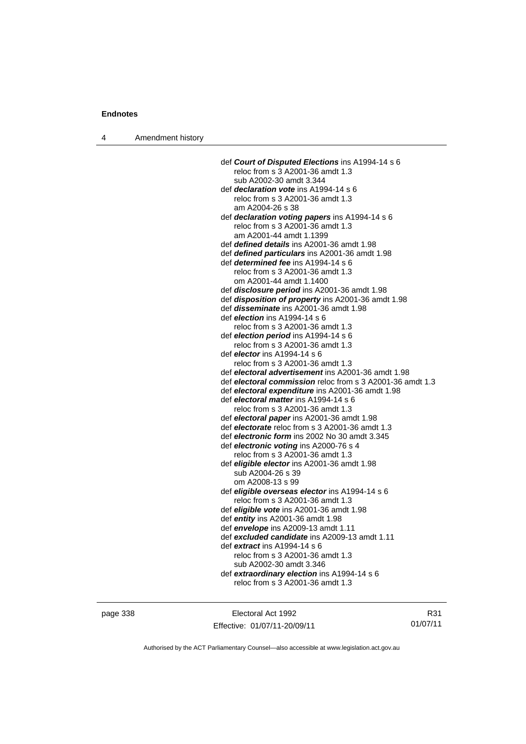4 Amendment history

| def Court of Disputed Elections ins A1994-14 s 6                                |
|---------------------------------------------------------------------------------|
| reloc from s 3 A2001-36 amdt 1.3                                                |
| sub A2002-30 amdt 3.344                                                         |
| def <i>declaration vote</i> ins A1994-14 s 6                                    |
| reloc from s 3 A2001-36 amdt 1.3                                                |
| am A2004-26 s 38                                                                |
| def declaration voting papers ins A1994-14 s 6                                  |
| reloc from s 3 A2001-36 amdt 1.3                                                |
| am A2001-44 amdt 1.1399                                                         |
| def <i>defined details</i> ins A2001-36 amdt 1.98                               |
| def <b>defined particulars</b> ins A2001-36 amdt 1.98                           |
| def <i>determined fee</i> ins A1994-14 s 6                                      |
| reloc from s 3 A2001-36 amdt 1.3                                                |
| om A2001-44 amdt 1.1400                                                         |
| def <i>disclosure period</i> ins A2001-36 amdt 1.98                             |
| def disposition of property ins A2001-36 amdt 1.98                              |
| def <i>disseminate</i> ins A2001-36 amdt 1.98                                   |
| def <i>election</i> ins A1994-14 s 6                                            |
| reloc from s 3 A2001-36 amdt 1.3                                                |
| def election period ins A1994-14 s 6                                            |
| reloc from s 3 A2001-36 amdt 1.3                                                |
| def <i>elector</i> ins A1994-14 s 6                                             |
| reloc from s 3 A2001-36 amdt 1.3                                                |
| def electoral advertisement ins A2001-36 amdt 1.98                              |
| def <i>electoral commission</i> reloc from s 3 A2001-36 amdt 1.3                |
| def electoral expenditure ins A2001-36 amdt 1.98                                |
| def electoral matter ins A1994-14 s 6                                           |
| reloc from s 3 A2001-36 amdt 1.3                                                |
| def electoral paper ins A2001-36 amdt 1.98                                      |
| def electorate reloc from s 3 A2001-36 amdt 1.3                                 |
| def electronic form ins 2002 No 30 amdt 3.345                                   |
| def electronic voting ins A2000-76 s 4                                          |
| reloc from s 3 A2001-36 amdt 1.3                                                |
| def <i>eligible elector</i> ins A2001-36 amdt 1.98                              |
| sub A2004-26 s 39                                                               |
| om A2008-13 s 99                                                                |
| def eligible overseas elector ins A1994-14 s 6                                  |
| reloc from s 3 A2001-36 amdt 1.3                                                |
| def <i>eligible vote</i> ins A2001-36 amdt 1.98                                 |
| def entity ins A2001-36 amdt 1.98                                               |
| def envelope ins A2009-13 amdt 1.11                                             |
| def excluded candidate ins A2009-13 amdt 1.11                                   |
| def <i>extract</i> ins A1994-14 s 6                                             |
| reloc from s 3 A2001-36 amdt 1.3                                                |
| sub A2002-30 amdt 3.346                                                         |
|                                                                                 |
| def extraordinary election ins A1994-14 s 6<br>reloc from s 3 A2001-36 amdt 1.3 |
|                                                                                 |
|                                                                                 |

page 338 Electoral Act 1992 Effective: 01/07/11-20/09/11

R31 01/07/11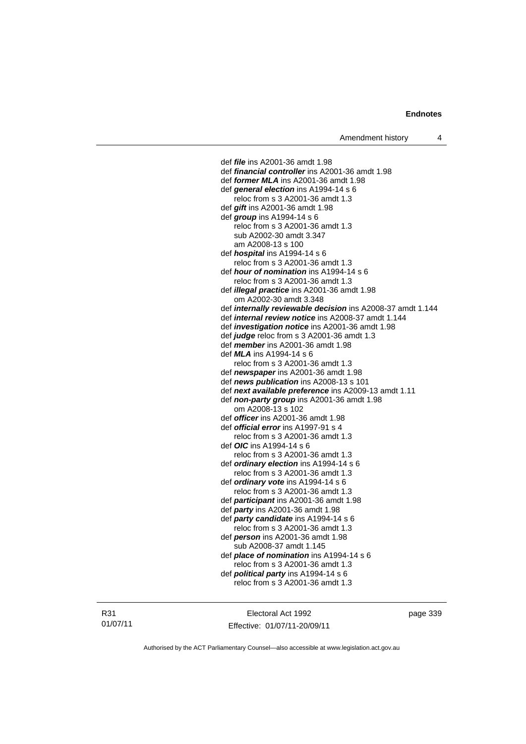def *file* ins A2001-36 amdt 1.98 def *financial controller* ins A2001-36 amdt 1.98 def *former MLA* ins A2001-36 amdt 1.98 def *general election* ins A1994-14 s 6 reloc from s 3 A2001-36 amdt 1.3 def *gift* ins A2001-36 amdt 1.98 def *group* ins A1994-14 s 6 reloc from s 3 A2001-36 amdt 1.3 sub A2002-30 amdt 3.347 am A2008-13 s 100 def *hospital* ins A1994-14 s 6 reloc from s 3 A2001-36 amdt 1.3 def *hour of nomination* ins A1994-14 s 6 reloc from s 3 A2001-36 amdt 1.3 def *illegal practice* ins A2001-36 amdt 1.98 om A2002-30 amdt 3.348 def *internally reviewable decision* ins A2008-37 amdt 1.144 def *internal review notice* ins A2008-37 amdt 1.144 def *investigation notice* ins A2001-36 amdt 1.98 def *judge* reloc from s 3 A2001-36 amdt 1.3 def *member* ins A2001-36 amdt 1.98 def *MLA* ins A1994-14 s 6 reloc from s 3 A2001-36 amdt 1.3 def *newspaper* ins A2001-36 amdt 1.98 def *news publication* ins A2008-13 s 101 def *next available preference* ins A2009-13 amdt 1.11 def *non-party group* ins A2001-36 amdt 1.98 om A2008-13 s 102 def *officer* ins A2001-36 amdt 1.98 def *official error* ins A1997-91 s 4 reloc from s 3 A2001-36 amdt 1.3 def *OIC* ins A1994-14 s 6 reloc from s 3 A2001-36 amdt 1.3 def *ordinary election* ins A1994-14 s 6 reloc from s 3 A2001-36 amdt 1.3 def *ordinary vote* ins A1994-14 s 6 reloc from s 3 A2001-36 amdt 1.3 def *participant* ins A2001-36 amdt 1.98 def *party* ins A2001-36 amdt 1.98 def *party candidate* ins A1994-14 s 6 reloc from s 3 A2001-36 amdt 1.3 def *person* ins A2001-36 amdt 1.98 sub A2008-37 amdt 1.145 def *place of nomination* ins A1994-14 s 6 reloc from s 3 A2001-36 amdt 1.3 def *political party* ins A1994-14 s 6 reloc from s 3 A2001-36 amdt 1.3

R31 01/07/11

Electoral Act 1992 Effective: 01/07/11-20/09/11 page 339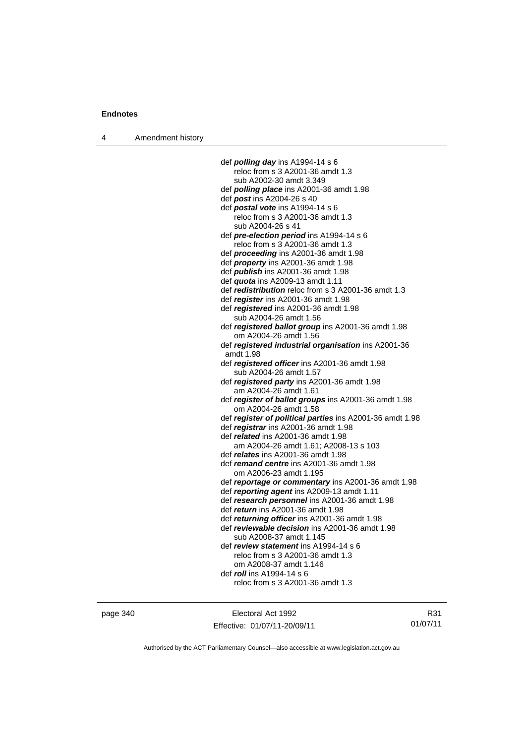4 Amendment history

 def *polling day* ins A1994-14 s 6 reloc from s 3 A2001-36 amdt 1.3 sub A2002-30 amdt 3.349 def *polling place* ins A2001-36 amdt 1.98 def *post* ins A2004-26 s 40 def *postal vote* ins A1994-14 s 6 reloc from s 3 A2001-36 amdt 1.3 sub A2004-26 s 41 def *pre-election period* ins A1994-14 s 6 reloc from s 3 A2001-36 amdt 1.3 def *proceeding* ins A2001-36 amdt 1.98 def *property* ins A2001-36 amdt 1.98 def *publish* ins A2001-36 amdt 1.98 def *quota* ins A2009-13 amdt 1.11 def *redistribution* reloc from s 3 A2001-36 amdt 1.3 def *register* ins A2001-36 amdt 1.98 def *registered* ins A2001-36 amdt 1.98 sub A2004-26 amdt 1.56 def *registered ballot group* ins A2001-36 amdt 1.98 om A2004-26 amdt 1.56 def *registered industrial organisation* ins A2001-36 amdt 1.98 def *registered officer* ins A2001-36 amdt 1.98 sub A2004-26 amdt 1.57 def *registered party* ins A2001-36 amdt 1.98 am A2004-26 amdt 1.61 def *register of ballot groups* ins A2001-36 amdt 1.98 om A2004-26 amdt 1.58 def *register of political parties* ins A2001-36 amdt 1.98 def *registrar* ins A2001-36 amdt 1.98 def *related* ins A2001-36 amdt 1.98 am A2004-26 amdt 1.61; A2008-13 s 103 def *relates* ins A2001-36 amdt 1.98 def *remand centre* ins A2001-36 amdt 1.98 om A2006-23 amdt 1.195 def *reportage or commentary* ins A2001-36 amdt 1.98 def *reporting agent* ins A2009-13 amdt 1.11 def *research personnel* ins A2001-36 amdt 1.98 def *return* ins A2001-36 amdt 1.98 def *returning officer* ins A2001-36 amdt 1.98 def *reviewable decision* ins A2001-36 amdt 1.98 sub A2008-37 amdt 1.145 def *review statement* ins A1994-14 s 6 reloc from s 3 A2001-36 amdt 1.3 om A2008-37 amdt 1.146 def *roll* ins A1994-14 s 6 reloc from s 3 A2001-36 amdt 1.3

page 340 Electoral Act 1992 Effective: 01/07/11-20/09/11

R31 01/07/11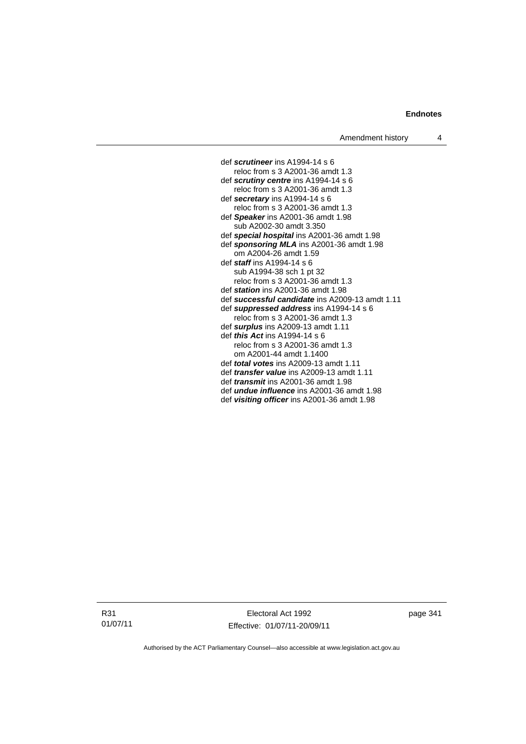def *scrutineer* ins A1994-14 s 6 reloc from s 3 A2001-36 amdt 1.3 def *scrutiny centre* ins A1994-14 s 6 reloc from s 3 A2001-36 amdt 1.3 def *secretary* ins A1994-14 s 6 reloc from s 3 A2001-36 amdt 1.3 def *Speaker* ins A2001-36 amdt 1.98 sub A2002-30 amdt 3.350 def *special hospital* ins A2001-36 amdt 1.98 def *sponsoring MLA* ins A2001-36 amdt 1.98 om A2004-26 amdt 1.59 def *staff* ins A1994-14 s 6 sub A1994-38 sch 1 pt 32 reloc from s 3 A2001-36 amdt 1.3 def *station* ins A2001-36 amdt 1.98 def *successful candidate* ins A2009-13 amdt 1.11 def *suppressed address* ins A1994-14 s 6 reloc from s 3 A2001-36 amdt 1.3 def *surplus* ins A2009-13 amdt 1.11 def *this Act* ins A1994-14 s 6 reloc from s 3 A2001-36 amdt 1.3 om A2001-44 amdt 1.1400 def *total votes* ins A2009-13 amdt 1.11 def *transfer value* ins A2009-13 amdt 1.11 def *transmit* ins A2001-36 amdt 1.98 def *undue influence* ins A2001-36 amdt 1.98 def *visiting officer* ins A2001-36 amdt 1.98

R31 01/07/11

Electoral Act 1992 Effective: 01/07/11-20/09/11 page 341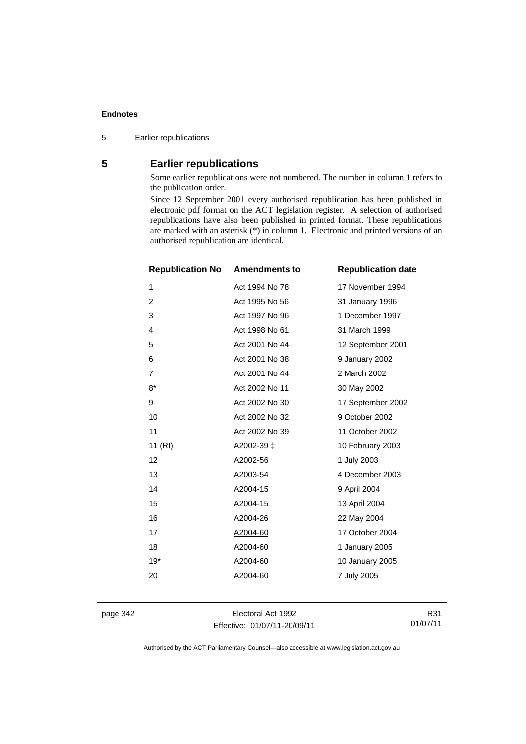5 Earlier republications

# **5 Earlier republications**

Some earlier republications were not numbered. The number in column 1 refers to the publication order.

Since 12 September 2001 every authorised republication has been published in electronic pdf format on the ACT legislation register. A selection of authorised republications have also been published in printed format. These republications are marked with an asterisk (\*) in column 1. Electronic and printed versions of an authorised republication are identical.

| <b>Republication No</b> | <b>Amendments to</b> | <b>Republication date</b> |
|-------------------------|----------------------|---------------------------|
| $\mathbf{1}$            | Act 1994 No 78       | 17 November 1994          |
| $\overline{2}$          | Act 1995 No 56       | 31 January 1996           |
| 3                       | Act 1997 No 96       | 1 December 1997           |
| 4                       | Act 1998 No 61       | 31 March 1999             |
| 5                       | Act 2001 No 44       | 12 September 2001         |
| 6                       | Act 2001 No 38       | 9 January 2002            |
| $\overline{7}$          | Act 2001 No 44       | 2 March 2002              |
| $8*$                    | Act 2002 No 11       | 30 May 2002               |
| 9                       | Act 2002 No 30       | 17 September 2002         |
| 10                      | Act 2002 No 32       | 9 October 2002            |
| 11                      | Act 2002 No 39       | 11 October 2002           |
| 11(RI)                  | A2002-39 ‡           | 10 February 2003          |
| 12                      | A2002-56             | 1 July 2003               |
| 13                      | A2003-54             | 4 December 2003           |
| 14                      | A2004-15             | 9 April 2004              |
| 15                      | A2004-15             | 13 April 2004             |
| 16                      | A2004-26             | 22 May 2004               |
| 17                      | A2004-60             | 17 October 2004           |
| 18                      | A2004-60             | 1 January 2005            |
| $19*$                   | A2004-60             | 10 January 2005           |
| 20                      | A2004-60             | 7 July 2005               |
|                         |                      |                           |

page 342 Electoral Act 1992 Effective: 01/07/11-20/09/11

R31 01/07/11